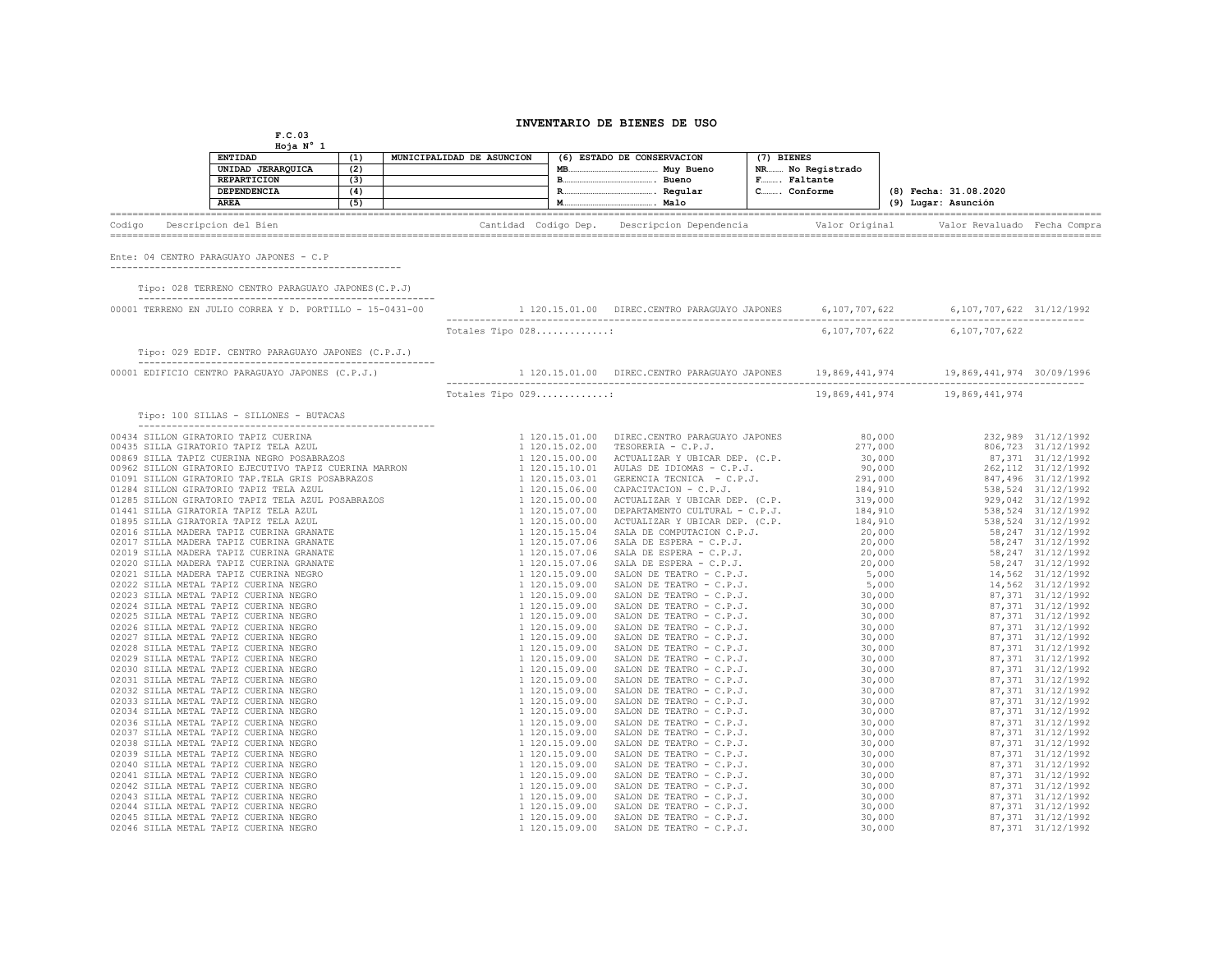## **INVENTARIO DE BIENES DE USO**

**F.C.03 Hoja N° 1**

|        | <b>ENTIDAD</b><br>UNIDAD JERARQUICA<br><b>REPARTICION</b><br>DEPENDENCIA<br><b>AREA</b> | (1)<br>(2)<br>(3)<br>(5) | MUNICIPALIDAD DE ASUNCION | MB. | (6) ESTADO DE CONSERVACION<br>Muy Bueno<br>Bueno<br>Regular<br>Malo | (7) BIENES<br>NR No Registrado<br>F Faltante<br>CConforme | (8) Fecha: 31.08.2020<br>(9) Lugar: Asunción |  |
|--------|-----------------------------------------------------------------------------------------|--------------------------|---------------------------|-----|---------------------------------------------------------------------|-----------------------------------------------------------|----------------------------------------------|--|
| Codigo | Descripcion del Bien                                                                    |                          | Cantidad Codigo Dep.      |     | Descripcion Dependencia                                             | Valor Original                                            | Valor Revaluado Fecha Compra                 |  |
|        | Ente: 04 CENTRO PARAGUAYO JAPONES - C.P                                                 |                          |                           |     |                                                                     |                                                           |                                              |  |

----------------------------------------------------

 Tipo: 028 TERRENO CENTRO PARAGUAYO JAPONES(C.P.J) -----------------------------------------------------

| 00001 TERRENO EN JULIO CORREA Y D. PORTILLO - 15-0431-00 |                   | 1 120.15.01.00 DIREC.CENTRO PARAGUAYO JAPONES 6,107,707,622 6,107,707,622 31/12/1992 |               |                           |  |
|----------------------------------------------------------|-------------------|--------------------------------------------------------------------------------------|---------------|---------------------------|--|
|                                                          | Totales Tipo 028: |                                                                                      | 6,107,707,622 | 6,107,707,622             |  |
| Tipo: 029 EDIF. CENTRO PARAGUAYO JAPONES (C.P.J.)        |                   |                                                                                      |               |                           |  |
|                                                          |                   |                                                                                      |               | 19,869,441,974 30/09/1996 |  |
|                                                          |                   |                                                                                      |               |                           |  |
|                                                          |                   |                                                                                      |               |                           |  |
|                                                          |                   |                                                                                      |               |                           |  |
|                                                          |                   |                                                                                      |               |                           |  |
|                                                          |                   |                                                                                      |               |                           |  |
|                                                          |                   |                                                                                      |               |                           |  |
|                                                          |                   |                                                                                      |               |                           |  |
|                                                          |                   |                                                                                      |               |                           |  |
|                                                          |                   |                                                                                      |               |                           |  |
|                                                          |                   |                                                                                      |               |                           |  |
|                                                          |                   |                                                                                      |               |                           |  |
|                                                          |                   |                                                                                      |               |                           |  |
|                                                          |                   |                                                                                      |               |                           |  |
|                                                          |                   |                                                                                      |               |                           |  |
|                                                          |                   |                                                                                      |               |                           |  |
|                                                          |                   |                                                                                      |               |                           |  |
|                                                          |                   |                                                                                      |               |                           |  |
|                                                          |                   |                                                                                      |               |                           |  |
|                                                          |                   |                                                                                      |               |                           |  |
|                                                          |                   |                                                                                      |               |                           |  |
|                                                          |                   |                                                                                      |               |                           |  |
|                                                          |                   |                                                                                      |               |                           |  |
|                                                          |                   |                                                                                      |               |                           |  |
|                                                          |                   |                                                                                      |               |                           |  |
|                                                          |                   |                                                                                      |               |                           |  |
|                                                          |                   |                                                                                      |               |                           |  |
|                                                          |                   |                                                                                      |               |                           |  |
|                                                          |                   |                                                                                      |               |                           |  |
|                                                          |                   |                                                                                      |               |                           |  |
|                                                          |                   |                                                                                      |               |                           |  |
|                                                          |                   |                                                                                      |               |                           |  |
|                                                          |                   |                                                                                      |               |                           |  |
|                                                          |                   |                                                                                      |               |                           |  |
|                                                          |                   |                                                                                      |               |                           |  |
|                                                          |                   |                                                                                      |               |                           |  |
|                                                          |                   |                                                                                      |               |                           |  |
|                                                          |                   |                                                                                      |               |                           |  |
|                                                          |                   |                                                                                      |               |                           |  |
|                                                          |                   |                                                                                      |               |                           |  |
|                                                          |                   |                                                                                      |               |                           |  |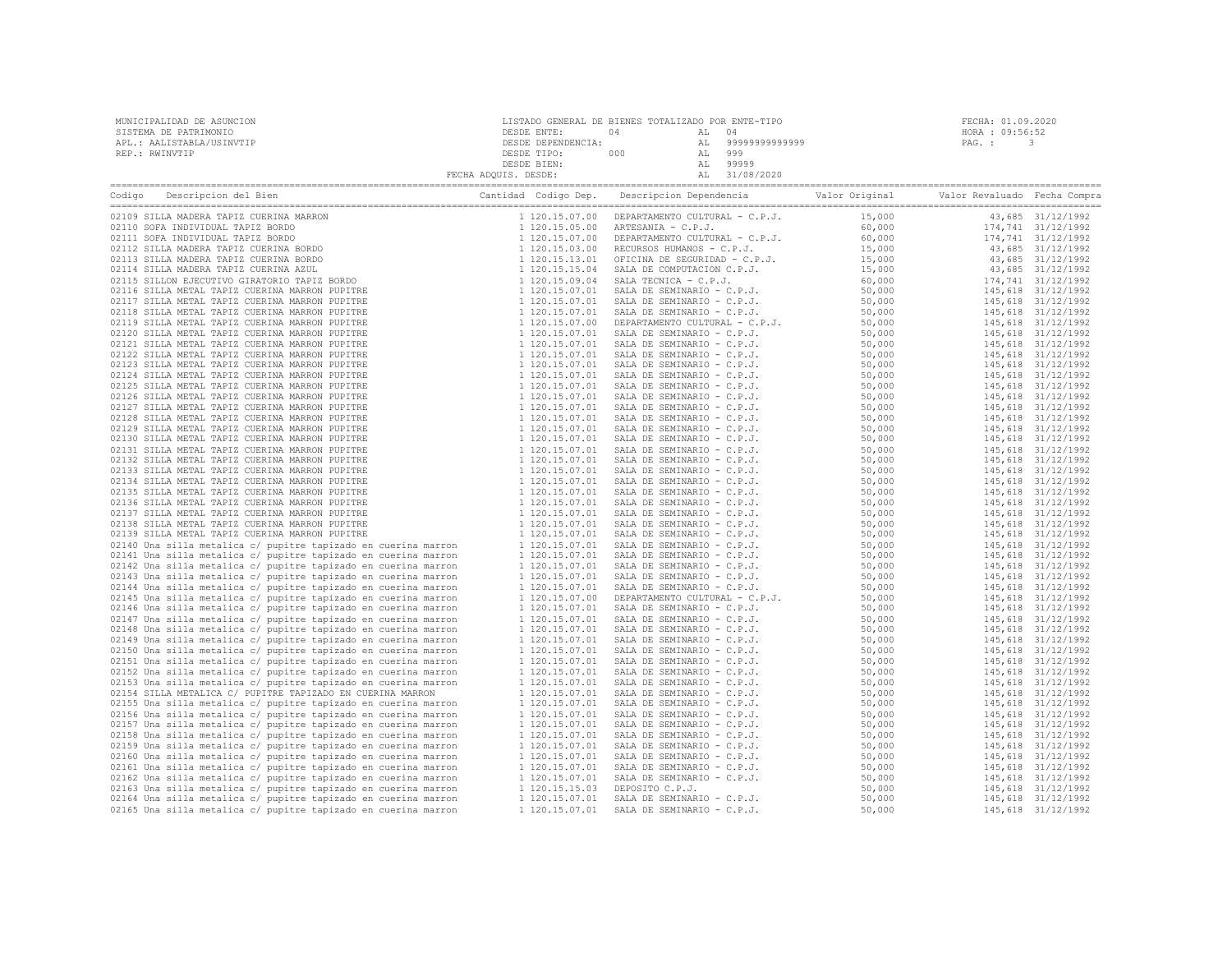| MUNICIPALIDAD DE ASUNCION | LISTADO GENERAL DE BIENES TOTALIZADO POR ENTE-TIPO |     |       |                   | FECHA: 01.09.2020 |  |
|---------------------------|----------------------------------------------------|-----|-------|-------------------|-------------------|--|
| SISTEMA DE PATRIMONIO     | DESDE ENTE:                                        | 04  | AL 04 |                   | HORA : 09:56:52   |  |
| APL.: AALISTABLA/USINVTIP | DESDE DEPENDENCIA:                                 |     |       | AL 99999999999999 | PAG. :            |  |
| REP.: RWINVTIP            | DESDE TIPO:                                        | 000 | AL    | 999               |                   |  |
|                           | DESDE BIEN:                                        |     |       | 99999             |                   |  |
|                           | FECHA ADQUIS. DESDE:                               |     |       | 31/08/2020        |                   |  |

| Descripcion del Bien<br>Codigo                                                                                                                                                                                                                                                           | Cantidad Codigo Dep.             | Descripcion Dependencia                                                                                                                                                                                                                                | Valor Original   | Valor Revaluado Fecha Compra |                                          |
|------------------------------------------------------------------------------------------------------------------------------------------------------------------------------------------------------------------------------------------------------------------------------------------|----------------------------------|--------------------------------------------------------------------------------------------------------------------------------------------------------------------------------------------------------------------------------------------------------|------------------|------------------------------|------------------------------------------|
| 02109 SILLA MADERA TAPIZ CUERINA MARRON<br>02109 SILLA MADERA TATIZ CUERINA MARRON<br>102109 SILLA MADERA TATIZ COERINA MARRON<br>10211 SOFA INDIVIDUAL TARIZ BORDO<br>10211 SICHA MADERA TAPIZ CUERINA BORDO<br>10211 SILLA MADERA TAPIZ CUERINA BORDO<br>10211 SILLA MADERA TAPIZ CUER | 1 120.15.07.00                   | DEPARTAMENTO CULTURAL - C.P.J.                                                                                                                                                                                                                         | 15,000           |                              | 43,685 31/12/1992                        |
|                                                                                                                                                                                                                                                                                          | 1 120.15.05.00                   |                                                                                                                                                                                                                                                        | 60,000           |                              | 174,741 31/12/1992                       |
|                                                                                                                                                                                                                                                                                          | 1 120.15.07.00                   |                                                                                                                                                                                                                                                        | 60,000           |                              | 174,741 31/12/1992                       |
|                                                                                                                                                                                                                                                                                          | 1 120.15.03.00                   | ARTESANIA - C.P.J.<br>DEPARTAMENTO CULTURAL - C.P.J.<br>RECURSOS HUMANOS - C.P.J.<br>CECURSOS HUMANOS - C.P.J.<br>SALA DE COMPUTACION C.P.J.<br>SALA TECNICA - C.P.J.<br>SALA TECNICA - C.P.J.                                                         | 15,000           |                              | 43,685 31/12/1992                        |
|                                                                                                                                                                                                                                                                                          | 1 120.15.13.01                   |                                                                                                                                                                                                                                                        | 15,000           |                              | 43,685 31/12/1992                        |
|                                                                                                                                                                                                                                                                                          | 1 120.15.15.04                   |                                                                                                                                                                                                                                                        | 15,000           |                              | 43,685 31/12/1992                        |
|                                                                                                                                                                                                                                                                                          | 1 120.15.09.04                   | SALA TECNICA - C.P.J.<br>SALA DE SEMINARIO - C.P.J.<br>SALA DE SEMINARIO - C.P.J.<br>SALA DE SEMINARIO - C.P.J.<br>DEPARTAMENTO CULTURAL - C.P.J.<br>DEPARTAMENTO CULTURAL - C.P.J.                                                                    | 60,000           |                              | 174,741 31/12/1992                       |
|                                                                                                                                                                                                                                                                                          | 1 120.15.07.01                   |                                                                                                                                                                                                                                                        | 50,000           |                              | 145,618 31/12/1992                       |
|                                                                                                                                                                                                                                                                                          | 1 120.15.07.01                   |                                                                                                                                                                                                                                                        | 50,000           |                              | 145,618 31/12/1992                       |
|                                                                                                                                                                                                                                                                                          | 1 120.15.07.01                   |                                                                                                                                                                                                                                                        | 50,000           |                              | 145,618 31/12/1992                       |
|                                                                                                                                                                                                                                                                                          | 1 120.15.07.00                   |                                                                                                                                                                                                                                                        | 50,000           |                              | 145,618 31/12/1992                       |
|                                                                                                                                                                                                                                                                                          | 1 120.15.07.01                   | SALA DE SEMINARIO - C.P.J.                                                                                                                                                                                                                             | 50,000           |                              | 145,618 31/12/1992                       |
|                                                                                                                                                                                                                                                                                          | 1 120.15.07.01                   | SALA DE SEMINARIO - C.P.J.                                                                                                                                                                                                                             | 50,000           |                              | 145,618 31/12/1992                       |
|                                                                                                                                                                                                                                                                                          | 1 120.15.07.01                   | SALA DE SEMINARIO - C.P.J.                                                                                                                                                                                                                             | 50,000           |                              | 145,618 31/12/1992                       |
|                                                                                                                                                                                                                                                                                          | 1 120.15.07.01                   | SALA DE SEMINARIO - C.P.J.                                                                                                                                                                                                                             | 50,000           |                              | 145,618 31/12/1992                       |
|                                                                                                                                                                                                                                                                                          | 1 120.15.07.01                   | SALA DE SEMINARIO - C.P.J.                                                                                                                                                                                                                             | 50,000           |                              | 145,618 31/12/1992                       |
|                                                                                                                                                                                                                                                                                          | 1 120.15.07.01                   | SALA DE SEMINARIO - C.P.J.                                                                                                                                                                                                                             | 50,000           |                              | 145,618 31/12/1992                       |
|                                                                                                                                                                                                                                                                                          | 1 120.15.07.01                   | SALA DE SEMINARIO - C.P.J.                                                                                                                                                                                                                             | 50,000           |                              | 145,618 31/12/1992                       |
|                                                                                                                                                                                                                                                                                          | 1 120.15.07.01                   | SALA DE SEMINARIO - C.P.J.                                                                                                                                                                                                                             | 50,000           |                              | 145,618 31/12/1992                       |
|                                                                                                                                                                                                                                                                                          | 1 120.15.07.01                   | SALA DE SEMINARIO - C.P.J.                                                                                                                                                                                                                             | 50,000           |                              | 145,618 31/12/1992                       |
|                                                                                                                                                                                                                                                                                          | 1 120.15.07.01                   | SALA DE SEMINARIO - C.P.J.                                                                                                                                                                                                                             | 50,000           |                              | 145,618 31/12/1992                       |
|                                                                                                                                                                                                                                                                                          | 1 120.15.07.01                   | SALA DE SEMINARIO - C.P.J.                                                                                                                                                                                                                             | 50,000           |                              | 145,618 31/12/1992                       |
|                                                                                                                                                                                                                                                                                          | 1 120.15.07.01                   | SALA DE SEMINARIO - C.P.J.                                                                                                                                                                                                                             | 50,000           |                              | 145,618 31/12/1992                       |
|                                                                                                                                                                                                                                                                                          | 1 120.15.07.01                   | SALA DE SEMINARIO - C.P.J.                                                                                                                                                                                                                             | 50,000           |                              | 145,618 31/12/1992                       |
|                                                                                                                                                                                                                                                                                          | 1 120.15.07.01                   | SALA DE SEMINARIO - C.P.J.                                                                                                                                                                                                                             | 50,000           |                              | 145,618 31/12/1992                       |
|                                                                                                                                                                                                                                                                                          | 1 120.15.07.01                   | SALA DE SEMINARIO - C.P.J.                                                                                                                                                                                                                             | 50,000           |                              | 145,618 31/12/1992                       |
|                                                                                                                                                                                                                                                                                          | 1 120.15.07.01                   | SALA DE SEMINARIO - C.P.J.                                                                                                                                                                                                                             | 50,000           |                              | 145,618 31/12/1992                       |
|                                                                                                                                                                                                                                                                                          | 1 120.15.07.01                   | SALA DE SEMINARIO - C.P.J.                                                                                                                                                                                                                             | 50,000           |                              | 145,618 31/12/1992                       |
|                                                                                                                                                                                                                                                                                          | 1 120.15.07.01                   | SALA DE SEMINARIO - C.P.J.                                                                                                                                                                                                                             | 50,000           |                              | 145,618 31/12/1992                       |
|                                                                                                                                                                                                                                                                                          | 1 120.15.07.01                   | SALA DE SEMINARIO - C.P.J.                                                                                                                                                                                                                             | 50,000           |                              | 145,618 31/12/1992                       |
|                                                                                                                                                                                                                                                                                          | 1 120.15.07.01                   | SALA DE SEMINARIO - C.P.J.                                                                                                                                                                                                                             | 50,000           |                              | 145,618 31/12/1992                       |
| 02140 Una silla metalica c/ pupitre tapizado en cuerina marron                                                                                                                                                                                                                           | 1 120.15.07.01                   | SALA DE SEMINARIO - C.P.J.                                                                                                                                                                                                                             | 50,000           |                              | 145,618 31/12/1992                       |
| 02141 Una silla metalica c/ pupitre tapizado en cuerina marron                                                                                                                                                                                                                           | 1 120.15.07.01                   | SALA DE SEMINARIO - C.P.J.                                                                                                                                                                                                                             | 50,000           |                              | 145,618 31/12/1992                       |
| 02142 Una silla metalica c/ pupitre tapizado en cuerina marron                                                                                                                                                                                                                           | 1 120.15.07.01                   | SALA DE SEMINARIO - C.P.J.                                                                                                                                                                                                                             | 50,000           |                              | 145,618 31/12/1992                       |
| 02143 Una silla metalica c/ pupitre tapizado en cuerina marron                                                                                                                                                                                                                           | 1 120.15.07.01                   | SALA DE SEMINARIO - C.P.J.                                                                                                                                                                                                                             | 50,000           |                              | 145,618 31/12/1992                       |
| 02144 Una silla metalica c/ pupitre tapizado en cuerina marron                                                                                                                                                                                                                           | 1 120.15.07.01                   | SALA DE SEMINARIO - C.P.J.                                                                                                                                                                                                                             | 50,000           |                              | 145,618 31/12/1992                       |
| 02145 Una silla metalica c/ pupitre tapizado en cuerina marron                                                                                                                                                                                                                           | 1 120.15.07.00                   |                                                                                                                                                                                                                                                        | 50,000           |                              | 145,618 31/12/1992                       |
| 02146 Una silla metalica c/ pupitre tapizado en cuerina marron                                                                                                                                                                                                                           | 1 120.15.07.01                   |                                                                                                                                                                                                                                                        | 50,000           |                              | 145,618 31/12/1992                       |
| 02147 Una silla metalica c/ pupitre tapizado en cuerina marron                                                                                                                                                                                                                           | 1 120.15.07.01                   |                                                                                                                                                                                                                                                        | 50,000           |                              | 145,618 31/12/1992                       |
| 02148 Una silla metalica c/ pupitre tapizado en cuerina marron                                                                                                                                                                                                                           | 1 120.15.07.01                   | SAMA DE SAMINARIO - C.P.J.<br>DEFARTAMENTO CULTURAL - C.P.J.<br>SALA DE SEMINARIO - C.P.J.<br>SALA DE SEMINARIO - C.P.J.<br>SALA DE SEMINARIO - C.P.J.<br>SALA DE SEMINARIO - C.P.J.<br>SALA DE SEMINARIO - C.P.J.<br>SALA DE SEMINARIO - C.P.J.<br>SA | 50,000           |                              | 145,618 31/12/1992                       |
| 02149 Una silla metalica c/ pupitre tapizado en cuerina marron                                                                                                                                                                                                                           | 1 120.15.07.01                   |                                                                                                                                                                                                                                                        | 50,000           |                              | 145,618 31/12/1992                       |
| 02150 Una silla metalica c/ pupitre tapizado en cuerina marron                                                                                                                                                                                                                           | 1 120.15.07.01                   |                                                                                                                                                                                                                                                        | 50,000           |                              | 145,618 31/12/1992                       |
| 02151 Una silla metalica c/ pupitre tapizado en cuerina marron                                                                                                                                                                                                                           | 1 120.15.07.01                   |                                                                                                                                                                                                                                                        | 50,000           |                              | 145,618 31/12/1992                       |
| 02152 Una silla metalica c/ pupitre tapizado en cuerina marron                                                                                                                                                                                                                           | 1 120.15.07.01                   |                                                                                                                                                                                                                                                        | 50,000           |                              | 145,618 31/12/1992                       |
| 02153 Una silla metalica c/ pupitre tapizado en cuerina marron                                                                                                                                                                                                                           | 1 120.15.07.01                   | SALA DE SEMINARIO - C.P.J.                                                                                                                                                                                                                             | 50,000           |                              | 145,618 31/12/1992                       |
| 02154 SILLA METALICA C/ PUPITRE TAPIZADO EN CUERINA MARRON<br>02155 Una silla metalica c/ pupitre tapizado en cuerina marron                                                                                                                                                             | 1 120.15.07.01<br>1 120.15.07.01 | SALA DE SEMINARIO - C.P.J.                                                                                                                                                                                                                             | 50,000<br>50,000 |                              | 145,618 31/12/1992                       |
| 02156 Una silla metalica c/ pupitre tapizado en cuerina marron                                                                                                                                                                                                                           | 1 120.15.07.01                   | SALA DE SEMINARIO - C.P.J.                                                                                                                                                                                                                             | 50,000           |                              | 145,618 31/12/1992<br>145,618 31/12/1992 |
| 02157 Una silla metalica c/ pupitre tapizado en cuerina marron                                                                                                                                                                                                                           | 1 120.15.07.01                   |                                                                                                                                                                                                                                                        | 50,000           |                              | 145,618 31/12/1992                       |
| 02158 Una silla metalica c/ pupitre tapizado en cuerina marron                                                                                                                                                                                                                           | 1 120.15.07.01                   |                                                                                                                                                                                                                                                        | 50,000           |                              | 145,618 31/12/1992                       |
| 02159 Una silla metalica c/ pupitre tapizado en cuerina marron                                                                                                                                                                                                                           | 1 120.15.07.01                   | ALL DE SEMINARIO - C.P.J.<br>SALA DE SEMINARIO - C.P.J.<br>SALA DE SEMINARIO - C.P.J.<br>SALA DE SEMINARIO - C.P.J.<br>SALA DE SEMINARIO - C.P.J.<br>SALA DE SEMINARIO - C.P.J.<br>SALA DE SEMINARIO - C.P.J.<br>SALA DE SEMINARIO - C.P.J.<br>DEPOSIT | 50,000           |                              | 145,618 31/12/1992                       |
| 02160 Una silla metalica c/ pupitre tapizado en cuerina marron                                                                                                                                                                                                                           | 1 120.15.07.01                   |                                                                                                                                                                                                                                                        | 50,000           |                              | 145,618 31/12/1992                       |
| 02161 Una silla metalica c/ pupitre tapizado en cuerina marron                                                                                                                                                                                                                           | 1 120.15.07.01                   |                                                                                                                                                                                                                                                        | 50,000           |                              | 145,618 31/12/1992                       |
| 02162 Una silla metalica c/ pupitre tapizado en cuerina marron                                                                                                                                                                                                                           | 1 120.15.07.01                   |                                                                                                                                                                                                                                                        | 50,000           |                              | 145,618 31/12/1992                       |
| 02163 Una silla metalica c/ pupitre tapizado en cuerina marron                                                                                                                                                                                                                           | 1 120.15.15.03                   |                                                                                                                                                                                                                                                        | 50,000           |                              | 145,618 31/12/1992                       |
| 02164 Una silla metalica c/ pupitre tapizado en cuerina marron                                                                                                                                                                                                                           | 1 120.15.07.01                   |                                                                                                                                                                                                                                                        | 50,000           |                              | 145,618 31/12/1992                       |
| 02165 Una silla metalica c/ pupitre tapizado en cuerina marron                                                                                                                                                                                                                           | 1 120.15.07.01                   | SALA DE SEMINARIO - C.P.J.                                                                                                                                                                                                                             | 50,000           |                              | 145,618 31/12/1992                       |
|                                                                                                                                                                                                                                                                                          |                                  |                                                                                                                                                                                                                                                        |                  |                              |                                          |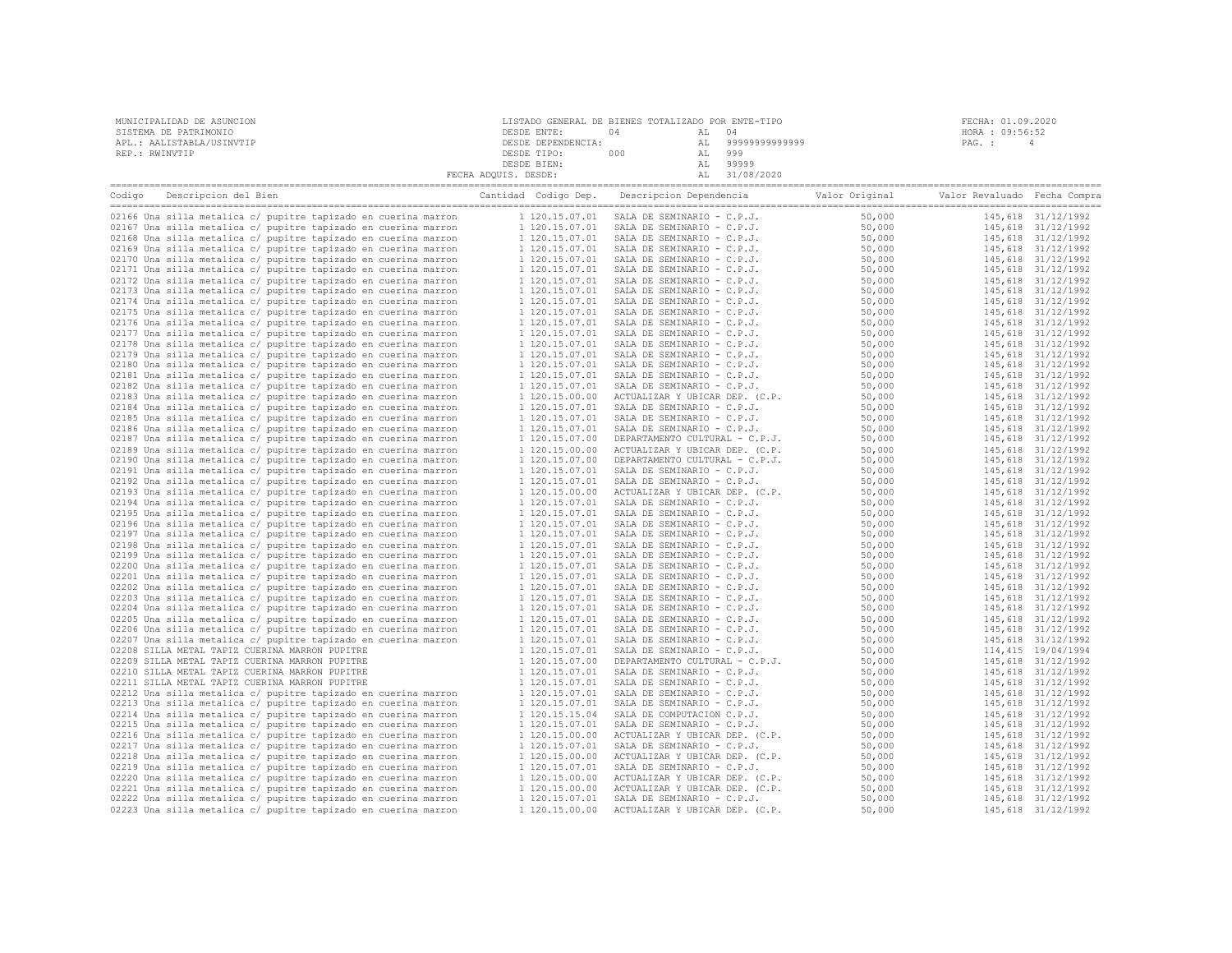| MUNICIPALIDAD DE ASUNCION | LISTADO GENERAL DE BIENES TOTALIZADO POR ENTE-TIPO |     |       |                   | FECHA: 01.09.2020 |
|---------------------------|----------------------------------------------------|-----|-------|-------------------|-------------------|
| SISTEMA DE PATRIMONIO     | DESDE ENTE:                                        |     | AL 04 |                   | HORA : 09:56:52   |
| APL.: AALISTABLA/USINVTIP | DESDE DEPENDENCIA:                                 |     |       | AL 99999999999999 | PAG. :            |
| REP.: RWINVTIP            | DESDE TIPO:                                        | 000 | AL    | 999               |                   |
|                           | DESDE BIEN:                                        |     | AL    | 99999             |                   |
|                           | FECHA ADOUIS. DESDE:                               |     |       | 31/08/2020        |                   |

| Descripcion del Bien<br>Codigo                                 | Cantidad Codigo Dep. | Descripcion Dependencia        | Valor Original | Valor Revaluado Fecha Compra |                    |
|----------------------------------------------------------------|----------------------|--------------------------------|----------------|------------------------------|--------------------|
|                                                                |                      |                                |                |                              |                    |
| 02166 Una silla metalica c/ pupitre tapizado en cuerina marron | 1 120.15.07.01       | SALA DE SEMINARIO - C.P.J.     | 50,000         |                              | 145,618 31/12/1992 |
| 02167 Una silla metalica c/ pupitre tapizado en cuerina marron | 1 120.15.07.01       | SALA DE SEMINARIO - C.P.J.     | 50,000         |                              | 145,618 31/12/1992 |
| 02168 Una silla metalica c/ pupitre tapizado en cuerina marron | 1 120.15.07.01       | SALA DE SEMINARIO - C.P.J.     | 50,000         |                              | 145,618 31/12/1992 |
| 02169 Una silla metalica c/ pupitre tapizado en cuerina marron | 1 120.15.07.01       | SALA DE SEMINARIO - C.P.J.     | 50,000         |                              | 145,618 31/12/1992 |
| 02170 Una silla metalica c/ pupitre tapizado en cuerina marron | 1 120.15.07.01       | SALA DE SEMINARIO - C.P.J.     | 50,000         |                              | 145,618 31/12/1992 |
| 02171 Una silla metalica c/ pupitre tapizado en cuerina marron | 1 120.15.07.01       | SALA DE SEMINARIO - C.P.J.     | 50,000         |                              | 145,618 31/12/1992 |
| 02172 Una silla metalica c/ pupitre tapizado en cuerina marron | 1 120.15.07.01       | SALA DE SEMINARIO - C.P.J.     | 50,000         |                              | 145,618 31/12/1992 |
| 02173 Una silla metalica c/ pupitre tapizado en cuerina marron | 1 120.15.07.01       | SALA DE SEMINARIO - C.P.J.     | 50,000         |                              | 145,618 31/12/1992 |
| 02174 Una silla metalica c/ pupitre tapizado en cuerina marron | 1 120.15.07.01       | SALA DE SEMINARIO - C.P.J.     | 50,000         |                              | 145,618 31/12/1992 |
| 02175 Una silla metalica c/ pupitre tapizado en cuerina marron | 1 120.15.07.01       | SALA DE SEMINARIO - C.P.J.     | 50,000         |                              | 145,618 31/12/1992 |
| 02176 Una silla metalica c/ pupitre tapizado en cuerina marron | 1 120.15.07.01       | SALA DE SEMINARIO - C.P.J.     | 50,000         |                              | 145,618 31/12/1992 |
| 02177 Una silla metalica c/ pupitre tapizado en cuerina marron | 1 120.15.07.01       | SALA DE SEMINARIO - C.P.J.     | 50,000         |                              | 145,618 31/12/1992 |
| 02178 Una silla metalica c/ pupitre tapizado en cuerina marron | 1 120.15.07.01       | SALA DE SEMINARIO - C.P.J.     | 50,000         |                              | 145,618 31/12/1992 |
| 02179 Una silla metalica c/ pupitre tapizado en cuerina marron | 1 120.15.07.01       | SALA DE SEMINARIO - C.P.J.     | 50,000         |                              | 145,618 31/12/1992 |
|                                                                |                      |                                |                |                              |                    |
| 02180 Una silla metalica c/ pupitre tapizado en cuerina marron | 1 120.15.07.01       | SALA DE SEMINARIO - C.P.J.     | 50,000         |                              | 145,618 31/12/1992 |
| 02181 Una silla metalica c/ pupitre tapizado en cuerina marron | 1 120.15.07.01       | SALA DE SEMINARIO - C.P.J.     | 50,000         |                              | 145,618 31/12/1992 |
| 02182 Una silla metalica c/ pupitre tapizado en cuerina marron | 1 120.15.07.01       | SALA DE SEMINARIO - C.P.J.     | 50,000         |                              | 145,618 31/12/1992 |
| 02183 Una silla metalica c/ pupitre tapizado en cuerina marron | 1 120.15.00.00       | ACTUALIZAR Y UBICAR DEP. (C.P. | 50,000         |                              | 145,618 31/12/1992 |
| 02184 Una silla metalica c/ pupitre tapizado en cuerina marron | 1 120.15.07.01       | SALA DE SEMINARIO - C.P.J.     | 50,000         |                              | 145,618 31/12/1992 |
| 02185 Una silla metalica c/ pupitre tapizado en cuerina marron | 1 120.15.07.01       | SALA DE SEMINARIO - C.P.J.     | 50,000         |                              | 145,618 31/12/1992 |
| 02186 Una silla metalica c/ pupitre tapizado en cuerina marron | 1 120.15.07.01       | SALA DE SEMINARIO - C.P.J.     | 50,000         |                              | 145,618 31/12/1992 |
| 02187 Una silla metalica c/ pupitre tapizado en cuerina marron | 1 120.15.07.00       | DEPARTAMENTO CULTURAL - C.P.J. | 50,000         |                              | 145,618 31/12/1992 |
| 02189 Una silla metalica c/ pupitre tapizado en cuerina marron | 1 120.15.00.00       | ACTUALIZAR Y UBICAR DEP. (C.P. | 50,000         |                              | 145,618 31/12/1992 |
| 02190 Una silla metalica c/ pupitre tapizado en cuerina marron | 1 120.15.07.00       | DEPARTAMENTO CULTURAL - C.P.J. | 50,000         |                              | 145,618 31/12/1992 |
| 02191 Una silla metalica c/ pupitre tapizado en cuerina marron | 1 120.15.07.01       | SALA DE SEMINARIO - C.P.J.     | 50,000         |                              | 145,618 31/12/1992 |
| 02192 Una silla metalica c/ pupitre tapizado en cuerina marron | 1 120.15.07.01       | SALA DE SEMINARIO - C.P.J.     | 50,000         |                              | 145,618 31/12/1992 |
| 02193 Una silla metalica c/ pupitre tapizado en cuerina marron | 1 120.15.00.00       | ACTUALIZAR Y UBICAR DEP. (C.P. | 50,000         |                              | 145,618 31/12/1992 |
| 02194 Una silla metalica c/ pupitre tapizado en cuerina marron | 1 120.15.07.01       | SALA DE SEMINARIO - C.P.J.     | 50,000         |                              | 145,618 31/12/1992 |
| 02195 Una silla metalica c/ pupitre tapizado en cuerina marron | 1 120.15.07.01       | SALA DE SEMINARIO - C.P.J.     | 50,000         |                              | 145,618 31/12/1992 |
| 02196 Una silla metalica c/ pupitre tapizado en cuerina marron | 1 120.15.07.01       | SALA DE SEMINARIO - C.P.J.     | 50,000         |                              | 145,618 31/12/1992 |
| 02197 Una silla metalica c/ pupitre tapizado en cuerina marron | 1 120.15.07.01       | SALA DE SEMINARIO - C.P.J.     | 50,000         |                              | 145,618 31/12/1992 |
| 02198 Una silla metalica c/ pupitre tapizado en cuerina marron | 1 120.15.07.01       | SALA DE SEMINARIO - C.P.J.     | 50,000         |                              | 145,618 31/12/1992 |
| 02199 Una silla metalica c/ pupitre tapizado en cuerina marron | 1 120.15.07.01       | SALA DE SEMINARIO - C.P.J.     | 50,000         |                              | 145,618 31/12/1992 |
| 02200 Una silla metalica c/ pupitre tapizado en cuerina marron | 1 120.15.07.01       | SALA DE SEMINARIO - C.P.J.     | 50,000         |                              | 145,618 31/12/1992 |
| 02201 Una silla metalica c/ pupitre tapizado en cuerina marron |                      |                                | 50,000         |                              | 145,618 31/12/1992 |
|                                                                | 1 120.15.07.01       | SALA DE SEMINARIO - C.P.J.     |                |                              |                    |
| 02202 Una silla metalica c/ pupitre tapizado en cuerina marron | 1 120.15.07.01       | SALA DE SEMINARIO - C.P.J.     | 50,000         |                              | 145,618 31/12/1992 |
| 02203 Una silla metalica c/ pupitre tapizado en cuerina marron | 1 120.15.07.01       | SALA DE SEMINARIO - C.P.J.     | 50,000         |                              | 145,618 31/12/1992 |
| 02204 Una silla metalica c/ pupitre tapizado en cuerina marron | 1 120.15.07.01       | SALA DE SEMINARIO - C.P.J.     | 50,000         |                              | 145,618 31/12/1992 |
| 02205 Una silla metalica c/ pupitre tapizado en cuerina marron | 1 120.15.07.01       | SALA DE SEMINARIO - C.P.J.     | 50,000         |                              | 145,618 31/12/1992 |
| 02206 Una silla metalica c/ pupitre tapizado en cuerina marron | 1 120.15.07.01       | SALA DE SEMINARIO - C.P.J.     | 50,000         |                              | 145,618 31/12/1992 |
| 02207 Una silla metalica c/ pupitre tapizado en cuerina marron | 1 120.15.07.01       | SALA DE SEMINARIO - C.P.J.     | 50,000         |                              | 145,618 31/12/1992 |
| 02208 SILLA METAL TAPIZ CUERINA MARRON PUPITRE                 | 1 120.15.07.01       | SALA DE SEMINARIO - C.P.J.     | 50,000         |                              | 114,415 19/04/1994 |
| 02209 SILLA METAL TAPIZ CUERINA MARRON PUPITRE                 | 1 120.15.07.00       | DEPARTAMENTO CULTURAL - C.P.J. | 50,000         |                              | 145,618 31/12/1992 |
| 02210 SILLA METAL TAPIZ CUERINA MARRON PUPITRE                 | 1 120.15.07.01       | SALA DE SEMINARIO - C.P.J.     | 50,000         |                              | 145,618 31/12/1992 |
| 02211 SILLA METAL TAPIZ CUERINA MARRON PUPITRE                 | 1 120.15.07.01       | SALA DE SEMINARIO - C.P.J.     | 50,000         |                              | 145,618 31/12/1992 |
| 02212 Una silla metalica c/ pupitre tapizado en cuerina marron | 1 120.15.07.01       | SALA DE SEMINARIO - C.P.J.     | 50,000         |                              | 145,618 31/12/1992 |
| 02213 Una silla metalica c/ pupitre tapizado en cuerina marron | 1 120.15.07.01       | SALA DE SEMINARIO - C.P.J.     | 50,000         |                              | 145,618 31/12/1992 |
| 02214 Una silla metalica c/ pupitre tapizado en cuerina marron | 1 120.15.15.04       | SALA DE COMPUTACION C.P.J.     | 50,000         |                              | 145,618 31/12/1992 |
| 02215 Una silla metalica c/ pupitre tapizado en cuerina marron | 1 120.15.07.01       | SALA DE SEMINARIO - C.P.J.     | 50,000         |                              | 145,618 31/12/1992 |
| 02216 Una silla metalica c/ pupitre tapizado en cuerina marron | 1 120.15.00.00       | ACTUALIZAR Y UBICAR DEP. (C.P. | 50,000         |                              | 145,618 31/12/1992 |
| 02217 Una silla metalica c/ pupitre tapizado en cuerina marron | 1 120.15.07.01       | SALA DE SEMINARIO - C.P.J.     | 50,000         |                              | 145,618 31/12/1992 |
| 02218 Una silla metalica c/ pupitre tapizado en cuerina marron | 1 120.15.00.00       | ACTUALIZAR Y UBICAR DEP. (C.P. | 50,000         |                              | 145,618 31/12/1992 |
| 02219 Una silla metalica c/ pupitre tapizado en cuerina marron | 1 120.15.07.01       | SALA DE SEMINARIO - C.P.J.     | 50,000         |                              | 145,618 31/12/1992 |
| 02220 Una silla metalica c/ pupitre tapizado en cuerina marron | 1 120.15.00.00       | ACTUALIZAR Y UBICAR DEP. (C.P. | 50,000         |                              | 145,618 31/12/1992 |
| 02221 Una silla metalica c/ pupitre tapizado en cuerina marron | 1 120.15.00.00       | ACTUALIZAR Y UBICAR DEP. (C.P. | 50,000         |                              | 145,618 31/12/1992 |
| 02222 Una silla metalica c/ pupitre tapizado en cuerina marron | 1 120.15.07.01       | SALA DE SEMINARIO - C.P.J.     | 50,000         |                              | 145,618 31/12/1992 |
|                                                                |                      |                                |                |                              |                    |
| 02223 Una silla metalica c/ pupitre tapizado en cuerina marron | 1 120.15.00.00       | ACTUALIZAR Y UBICAR DEP. (C.P. | 50,000         |                              | 145,618 31/12/1992 |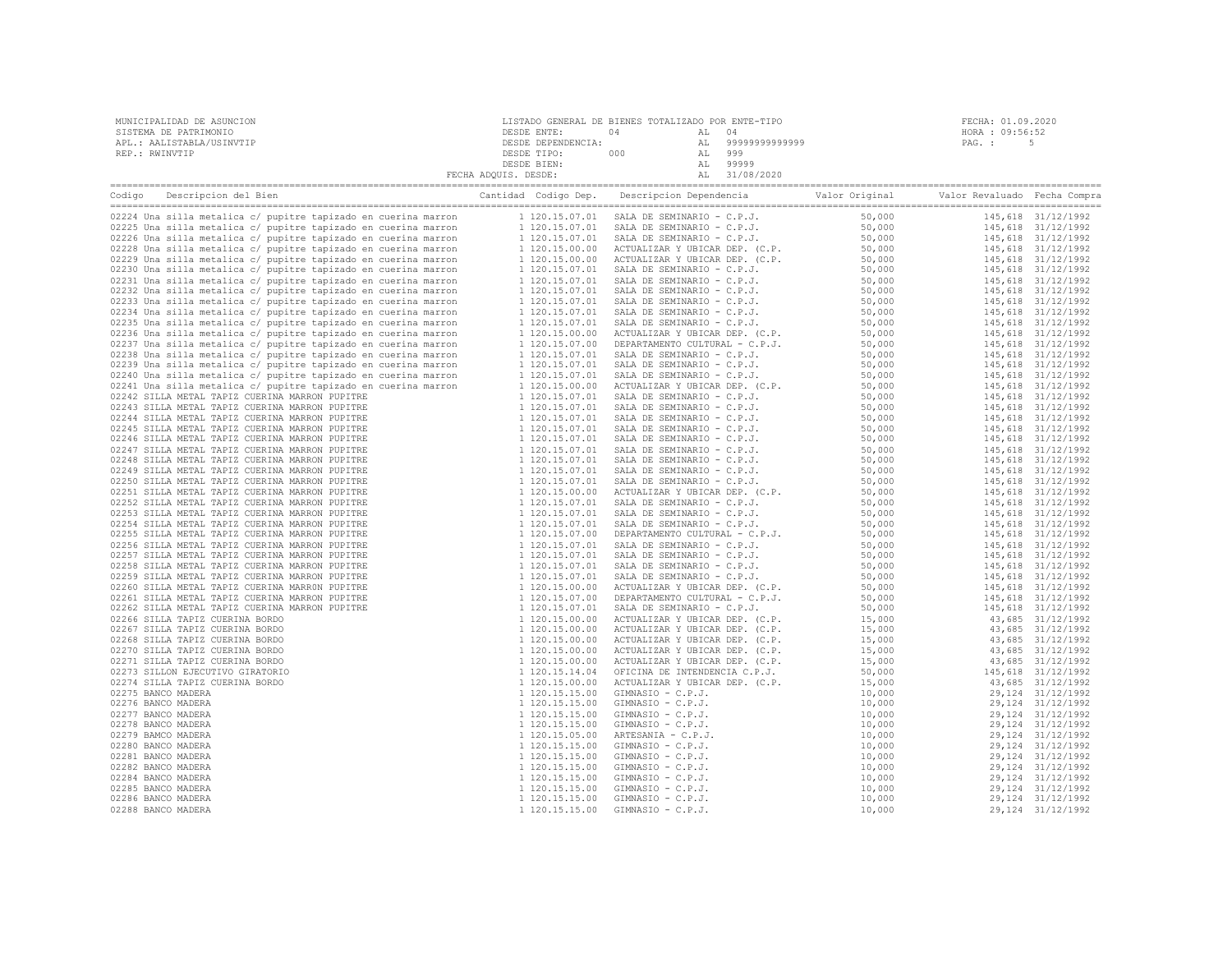| MUNICIPALIDAD DE ASUNCION<br>SISTEMA DE PATRIMONIO<br>APL.: AALISTABLA/USINVTIP<br>REP.: RWINVTIP                                         | $\begin{tabular}{c c c c} \multicolumn{4}{c }{\textbf{DESDE}} {\begin{tabular}{c} \multicolumn{4}{c}{\textbf{DESDE}} {\begin{tabular}{c} \multicolumn{4}{c}{\textbf{DESDE}} {\begin{tabular}{c} \multicolumn{4}{c}{\textbf{DESDE}} {\begin{tabular}{c} \multicolumn{4}{c}{\textbf{DESDE}} {\begin{tabular}{c} \multicolumn{4}{c}{\textbf{DESDE}} {\begin{tabular}{c} \multicolumn{4}{c}{\textbf{DESDE}} {\begin{tabular}{c} \multicolumn{4}{c}{\textbf{DESDE}} {\begin{tabular}{c} \multicolumn{4$ | FECHA: 01.09.2020<br>HORA : 09:56:52<br>PAG. :<br>-5 |  |
|-------------------------------------------------------------------------------------------------------------------------------------------|----------------------------------------------------------------------------------------------------------------------------------------------------------------------------------------------------------------------------------------------------------------------------------------------------------------------------------------------------------------------------------------------------------------------------------------------------------------------------------------------------|------------------------------------------------------|--|
| Codigo Descripcion del Bien de Marco de Marco Cantidad Codigo Dep. Descripcion Dependencia de Valor Original Valor Revaluado Fecha Compra |                                                                                                                                                                                                                                                                                                                                                                                                                                                                                                    |                                                      |  |
|                                                                                                                                           |                                                                                                                                                                                                                                                                                                                                                                                                                                                                                                    |                                                      |  |
|                                                                                                                                           |                                                                                                                                                                                                                                                                                                                                                                                                                                                                                                    |                                                      |  |
|                                                                                                                                           |                                                                                                                                                                                                                                                                                                                                                                                                                                                                                                    |                                                      |  |
|                                                                                                                                           |                                                                                                                                                                                                                                                                                                                                                                                                                                                                                                    |                                                      |  |
|                                                                                                                                           |                                                                                                                                                                                                                                                                                                                                                                                                                                                                                                    |                                                      |  |
|                                                                                                                                           |                                                                                                                                                                                                                                                                                                                                                                                                                                                                                                    |                                                      |  |
|                                                                                                                                           |                                                                                                                                                                                                                                                                                                                                                                                                                                                                                                    |                                                      |  |
|                                                                                                                                           |                                                                                                                                                                                                                                                                                                                                                                                                                                                                                                    |                                                      |  |
|                                                                                                                                           |                                                                                                                                                                                                                                                                                                                                                                                                                                                                                                    |                                                      |  |
|                                                                                                                                           |                                                                                                                                                                                                                                                                                                                                                                                                                                                                                                    |                                                      |  |
|                                                                                                                                           |                                                                                                                                                                                                                                                                                                                                                                                                                                                                                                    |                                                      |  |
|                                                                                                                                           |                                                                                                                                                                                                                                                                                                                                                                                                                                                                                                    |                                                      |  |
|                                                                                                                                           |                                                                                                                                                                                                                                                                                                                                                                                                                                                                                                    |                                                      |  |
|                                                                                                                                           |                                                                                                                                                                                                                                                                                                                                                                                                                                                                                                    |                                                      |  |
|                                                                                                                                           |                                                                                                                                                                                                                                                                                                                                                                                                                                                                                                    |                                                      |  |
|                                                                                                                                           |                                                                                                                                                                                                                                                                                                                                                                                                                                                                                                    |                                                      |  |
|                                                                                                                                           |                                                                                                                                                                                                                                                                                                                                                                                                                                                                                                    |                                                      |  |
|                                                                                                                                           |                                                                                                                                                                                                                                                                                                                                                                                                                                                                                                    |                                                      |  |
|                                                                                                                                           |                                                                                                                                                                                                                                                                                                                                                                                                                                                                                                    |                                                      |  |
|                                                                                                                                           |                                                                                                                                                                                                                                                                                                                                                                                                                                                                                                    |                                                      |  |
|                                                                                                                                           |                                                                                                                                                                                                                                                                                                                                                                                                                                                                                                    |                                                      |  |
|                                                                                                                                           |                                                                                                                                                                                                                                                                                                                                                                                                                                                                                                    |                                                      |  |
|                                                                                                                                           |                                                                                                                                                                                                                                                                                                                                                                                                                                                                                                    |                                                      |  |
|                                                                                                                                           |                                                                                                                                                                                                                                                                                                                                                                                                                                                                                                    |                                                      |  |
|                                                                                                                                           |                                                                                                                                                                                                                                                                                                                                                                                                                                                                                                    |                                                      |  |
|                                                                                                                                           |                                                                                                                                                                                                                                                                                                                                                                                                                                                                                                    |                                                      |  |
|                                                                                                                                           |                                                                                                                                                                                                                                                                                                                                                                                                                                                                                                    |                                                      |  |
|                                                                                                                                           |                                                                                                                                                                                                                                                                                                                                                                                                                                                                                                    |                                                      |  |
|                                                                                                                                           |                                                                                                                                                                                                                                                                                                                                                                                                                                                                                                    |                                                      |  |
|                                                                                                                                           |                                                                                                                                                                                                                                                                                                                                                                                                                                                                                                    |                                                      |  |
|                                                                                                                                           |                                                                                                                                                                                                                                                                                                                                                                                                                                                                                                    |                                                      |  |
|                                                                                                                                           |                                                                                                                                                                                                                                                                                                                                                                                                                                                                                                    |                                                      |  |
|                                                                                                                                           |                                                                                                                                                                                                                                                                                                                                                                                                                                                                                                    |                                                      |  |
|                                                                                                                                           |                                                                                                                                                                                                                                                                                                                                                                                                                                                                                                    |                                                      |  |
|                                                                                                                                           |                                                                                                                                                                                                                                                                                                                                                                                                                                                                                                    |                                                      |  |
|                                                                                                                                           |                                                                                                                                                                                                                                                                                                                                                                                                                                                                                                    |                                                      |  |
|                                                                                                                                           |                                                                                                                                                                                                                                                                                                                                                                                                                                                                                                    |                                                      |  |
|                                                                                                                                           |                                                                                                                                                                                                                                                                                                                                                                                                                                                                                                    |                                                      |  |
|                                                                                                                                           |                                                                                                                                                                                                                                                                                                                                                                                                                                                                                                    |                                                      |  |
|                                                                                                                                           |                                                                                                                                                                                                                                                                                                                                                                                                                                                                                                    |                                                      |  |
|                                                                                                                                           |                                                                                                                                                                                                                                                                                                                                                                                                                                                                                                    |                                                      |  |
|                                                                                                                                           |                                                                                                                                                                                                                                                                                                                                                                                                                                                                                                    |                                                      |  |
|                                                                                                                                           |                                                                                                                                                                                                                                                                                                                                                                                                                                                                                                    |                                                      |  |
|                                                                                                                                           |                                                                                                                                                                                                                                                                                                                                                                                                                                                                                                    |                                                      |  |
|                                                                                                                                           |                                                                                                                                                                                                                                                                                                                                                                                                                                                                                                    |                                                      |  |
|                                                                                                                                           |                                                                                                                                                                                                                                                                                                                                                                                                                                                                                                    |                                                      |  |
|                                                                                                                                           |                                                                                                                                                                                                                                                                                                                                                                                                                                                                                                    |                                                      |  |
|                                                                                                                                           |                                                                                                                                                                                                                                                                                                                                                                                                                                                                                                    |                                                      |  |
|                                                                                                                                           |                                                                                                                                                                                                                                                                                                                                                                                                                                                                                                    |                                                      |  |
|                                                                                                                                           |                                                                                                                                                                                                                                                                                                                                                                                                                                                                                                    |                                                      |  |
|                                                                                                                                           |                                                                                                                                                                                                                                                                                                                                                                                                                                                                                                    |                                                      |  |
|                                                                                                                                           |                                                                                                                                                                                                                                                                                                                                                                                                                                                                                                    |                                                      |  |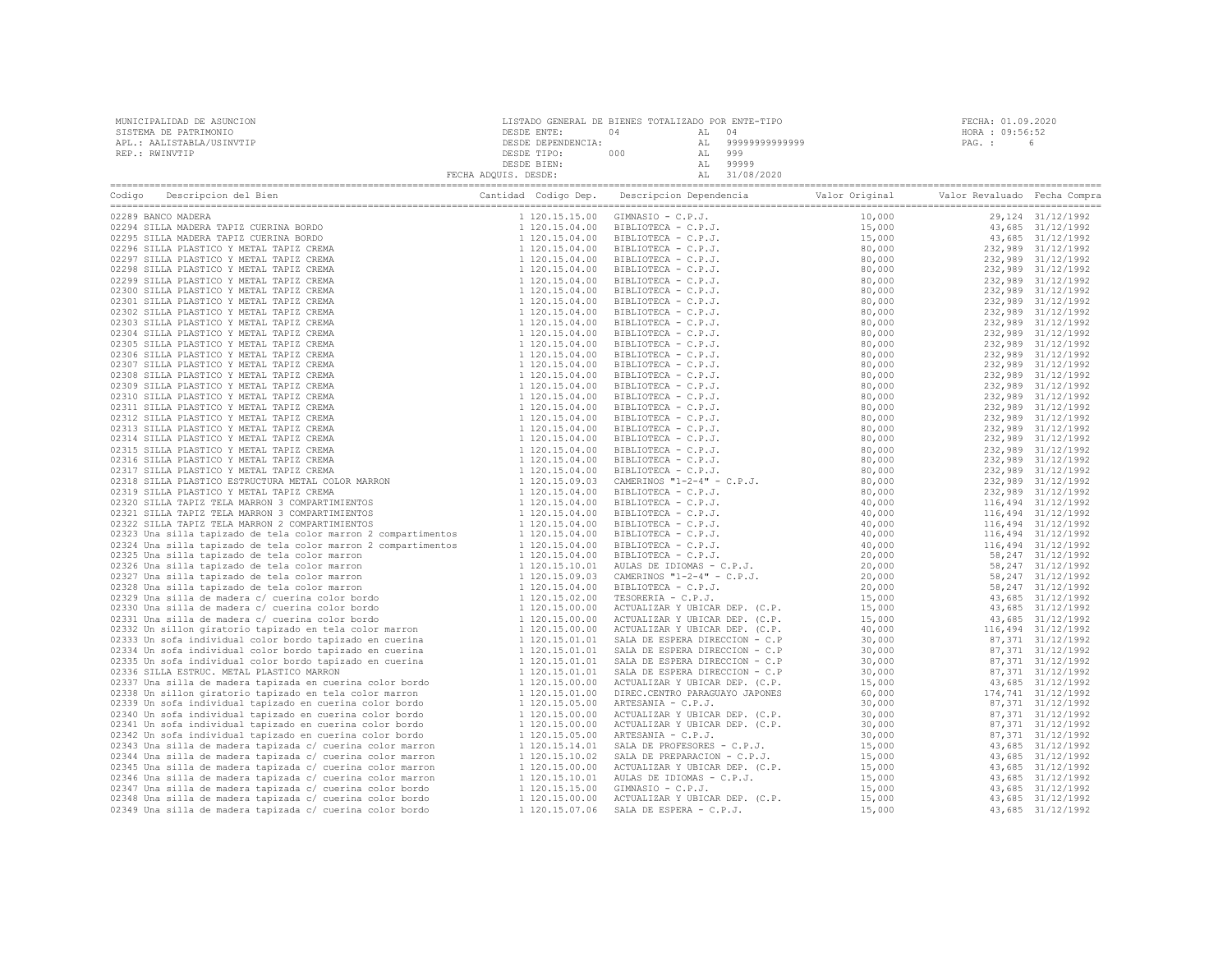| MUNICIPALIDAD DE ASUNCION                                                                                                                                                                                                      |  | FECHA: 01.09.2020 |  |
|--------------------------------------------------------------------------------------------------------------------------------------------------------------------------------------------------------------------------------|--|-------------------|--|
| SISTEMA DE PATRIMONIO                                                                                                                                                                                                          |  | HORA : 09:56:52   |  |
| APL.: AALISTABLA/USINVTIP                                                                                                                                                                                                      |  |                   |  |
| REP.: RWINVTIP                                                                                                                                                                                                                 |  |                   |  |
|                                                                                                                                                                                                                                |  |                   |  |
|                                                                                                                                                                                                                                |  |                   |  |
| Codigo Descripcion del Bien (Compra Cantidad Codigo Dep. Descripcion Dependencia Valor Original Valor Revaluado Fecha Compra Cantidad Codigo Dep. Descripcion Dependencia Valor Original Valor Revaluado Fecha Compra Cantidad |  |                   |  |
|                                                                                                                                                                                                                                |  |                   |  |
|                                                                                                                                                                                                                                |  |                   |  |
|                                                                                                                                                                                                                                |  |                   |  |
|                                                                                                                                                                                                                                |  |                   |  |
|                                                                                                                                                                                                                                |  |                   |  |
|                                                                                                                                                                                                                                |  |                   |  |
|                                                                                                                                                                                                                                |  |                   |  |
|                                                                                                                                                                                                                                |  |                   |  |
|                                                                                                                                                                                                                                |  |                   |  |
|                                                                                                                                                                                                                                |  |                   |  |
|                                                                                                                                                                                                                                |  |                   |  |
|                                                                                                                                                                                                                                |  |                   |  |
|                                                                                                                                                                                                                                |  |                   |  |
|                                                                                                                                                                                                                                |  |                   |  |
|                                                                                                                                                                                                                                |  |                   |  |
|                                                                                                                                                                                                                                |  |                   |  |
|                                                                                                                                                                                                                                |  |                   |  |
|                                                                                                                                                                                                                                |  |                   |  |
|                                                                                                                                                                                                                                |  |                   |  |
|                                                                                                                                                                                                                                |  |                   |  |
|                                                                                                                                                                                                                                |  |                   |  |
|                                                                                                                                                                                                                                |  |                   |  |
|                                                                                                                                                                                                                                |  |                   |  |
|                                                                                                                                                                                                                                |  |                   |  |
|                                                                                                                                                                                                                                |  |                   |  |
|                                                                                                                                                                                                                                |  |                   |  |
|                                                                                                                                                                                                                                |  |                   |  |
|                                                                                                                                                                                                                                |  |                   |  |
|                                                                                                                                                                                                                                |  |                   |  |
|                                                                                                                                                                                                                                |  |                   |  |
|                                                                                                                                                                                                                                |  |                   |  |
|                                                                                                                                                                                                                                |  |                   |  |
|                                                                                                                                                                                                                                |  |                   |  |
|                                                                                                                                                                                                                                |  |                   |  |
|                                                                                                                                                                                                                                |  |                   |  |
|                                                                                                                                                                                                                                |  |                   |  |
|                                                                                                                                                                                                                                |  |                   |  |
|                                                                                                                                                                                                                                |  |                   |  |
|                                                                                                                                                                                                                                |  |                   |  |
|                                                                                                                                                                                                                                |  |                   |  |
|                                                                                                                                                                                                                                |  |                   |  |
|                                                                                                                                                                                                                                |  |                   |  |
|                                                                                                                                                                                                                                |  |                   |  |
|                                                                                                                                                                                                                                |  |                   |  |
|                                                                                                                                                                                                                                |  |                   |  |
|                                                                                                                                                                                                                                |  |                   |  |
|                                                                                                                                                                                                                                |  |                   |  |
|                                                                                                                                                                                                                                |  |                   |  |
|                                                                                                                                                                                                                                |  |                   |  |
|                                                                                                                                                                                                                                |  |                   |  |
|                                                                                                                                                                                                                                |  |                   |  |
|                                                                                                                                                                                                                                |  |                   |  |
|                                                                                                                                                                                                                                |  |                   |  |
|                                                                                                                                                                                                                                |  |                   |  |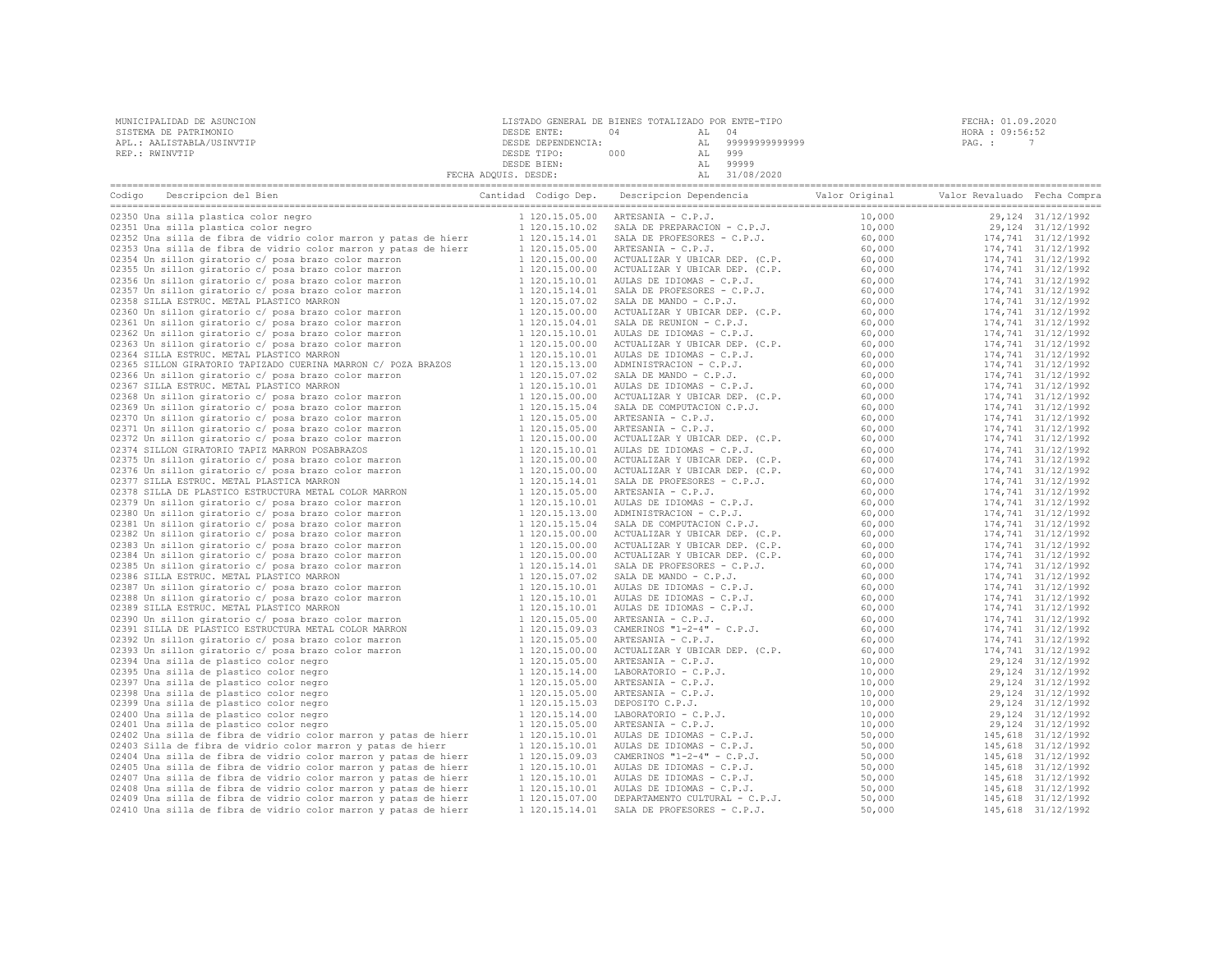| SISTEMA DE PATRIMONIO                                                                                                                     | DESDE ENTE:          | 04<br>04<br>AL                                                                                                                                                                                                                           |        | HORA : 09:56:52                          |
|-------------------------------------------------------------------------------------------------------------------------------------------|----------------------|------------------------------------------------------------------------------------------------------------------------------------------------------------------------------------------------------------------------------------------|--------|------------------------------------------|
| APL.: AALISTABLA/USINVTIP                                                                                                                 | DESDE DEPENDENCIA:   | AL 99999999999999                                                                                                                                                                                                                        |        | PAG.: 7                                  |
| REP.: RWINVTIP                                                                                                                            |                      |                                                                                                                                                                                                                                          |        |                                          |
|                                                                                                                                           |                      |                                                                                                                                                                                                                                          |        |                                          |
|                                                                                                                                           | FECHA ADQUIS. DESDE: |                                                                                                                                                                                                                                          |        |                                          |
| Codigo Descripcion del Bien de Marco de Marco Cantidad Codigo Dep. Descripcion Dependencia de Valor Original Valor Revaluado Fecha Compra |                      |                                                                                                                                                                                                                                          |        |                                          |
|                                                                                                                                           |                      |                                                                                                                                                                                                                                          |        | 29,124 31/12/1992                        |
|                                                                                                                                           |                      |                                                                                                                                                                                                                                          |        | 29,124 31/12/1992                        |
|                                                                                                                                           |                      |                                                                                                                                                                                                                                          |        | 174,741 31/12/1992                       |
|                                                                                                                                           |                      |                                                                                                                                                                                                                                          |        | 174,741 31/12/1992                       |
|                                                                                                                                           |                      |                                                                                                                                                                                                                                          |        | 174,741 31/12/1992                       |
|                                                                                                                                           |                      |                                                                                                                                                                                                                                          |        | 174,741 31/12/1992                       |
|                                                                                                                                           |                      |                                                                                                                                                                                                                                          |        | 174,741 31/12/1992                       |
|                                                                                                                                           |                      |                                                                                                                                                                                                                                          |        | 174,741 31/12/1992                       |
|                                                                                                                                           |                      |                                                                                                                                                                                                                                          |        | 174,741 31/12/1992                       |
|                                                                                                                                           |                      |                                                                                                                                                                                                                                          |        | 174,741 31/12/1992                       |
|                                                                                                                                           |                      |                                                                                                                                                                                                                                          |        | 174,741 31/12/1992                       |
|                                                                                                                                           |                      |                                                                                                                                                                                                                                          |        | 174,741 31/12/1992                       |
|                                                                                                                                           |                      |                                                                                                                                                                                                                                          |        | 174,741 31/12/1992                       |
|                                                                                                                                           |                      |                                                                                                                                                                                                                                          |        | 174,741 31/12/1992                       |
|                                                                                                                                           |                      |                                                                                                                                                                                                                                          |        | 174,741 31/12/1992                       |
|                                                                                                                                           |                      |                                                                                                                                                                                                                                          |        | 174,741 31/12/1992                       |
|                                                                                                                                           |                      |                                                                                                                                                                                                                                          |        | 174,741 31/12/1992                       |
|                                                                                                                                           |                      |                                                                                                                                                                                                                                          |        | 174,741 31/12/1992                       |
|                                                                                                                                           |                      |                                                                                                                                                                                                                                          |        | 174,741 31/12/1992                       |
|                                                                                                                                           |                      |                                                                                                                                                                                                                                          |        | 174,741 31/12/1992                       |
|                                                                                                                                           |                      |                                                                                                                                                                                                                                          |        | 174,741 31/12/1992                       |
|                                                                                                                                           |                      |                                                                                                                                                                                                                                          |        | 174,741 31/12/1992                       |
|                                                                                                                                           |                      |                                                                                                                                                                                                                                          |        | 174,741 31/12/1992                       |
|                                                                                                                                           |                      |                                                                                                                                                                                                                                          |        | 174,741 31/12/1992                       |
|                                                                                                                                           |                      |                                                                                                                                                                                                                                          |        | 174,741 31/12/1992                       |
|                                                                                                                                           |                      |                                                                                                                                                                                                                                          |        | 174,741 31/12/1992<br>174,741 31/12/1992 |
|                                                                                                                                           |                      |                                                                                                                                                                                                                                          |        | 174,741 31/12/1992                       |
|                                                                                                                                           |                      |                                                                                                                                                                                                                                          |        | 174,741 31/12/1992                       |
|                                                                                                                                           |                      |                                                                                                                                                                                                                                          |        | 174,741 31/12/1992                       |
|                                                                                                                                           |                      |                                                                                                                                                                                                                                          |        | 174,741 31/12/1992                       |
|                                                                                                                                           |                      |                                                                                                                                                                                                                                          |        | 174,741 31/12/1992                       |
|                                                                                                                                           |                      |                                                                                                                                                                                                                                          |        | 174,741 31/12/1992                       |
|                                                                                                                                           |                      |                                                                                                                                                                                                                                          |        | 174,741 31/12/1992                       |
|                                                                                                                                           |                      |                                                                                                                                                                                                                                          |        | 174,741 31/12/1992                       |
|                                                                                                                                           |                      |                                                                                                                                                                                                                                          |        | 174,741 31/12/1992                       |
|                                                                                                                                           |                      |                                                                                                                                                                                                                                          |        | 174,741 31/12/1992                       |
|                                                                                                                                           |                      |                                                                                                                                                                                                                                          |        | 174,741 31/12/1992                       |
|                                                                                                                                           |                      |                                                                                                                                                                                                                                          |        | 174,741 31/12/1992                       |
|                                                                                                                                           |                      |                                                                                                                                                                                                                                          |        | 174,741 31/12/1992                       |
|                                                                                                                                           |                      |                                                                                                                                                                                                                                          |        | 174,741 31/12/1992                       |
|                                                                                                                                           |                      |                                                                                                                                                                                                                                          |        | 174,741 31/12/1992                       |
|                                                                                                                                           |                      |                                                                                                                                                                                                                                          |        | 29,124 31/12/1992                        |
|                                                                                                                                           |                      |                                                                                                                                                                                                                                          |        | 29, 124 31/12/1992                       |
|                                                                                                                                           |                      |                                                                                                                                                                                                                                          |        | 29,124 31/12/1992                        |
|                                                                                                                                           |                      |                                                                                                                                                                                                                                          |        | 29,124 31/12/1992                        |
|                                                                                                                                           |                      |                                                                                                                                                                                                                                          |        | 29,124 31/12/1992                        |
|                                                                                                                                           |                      |                                                                                                                                                                                                                                          |        | 29,124 31/12/1992                        |
|                                                                                                                                           |                      | 1 120.15.00 ORTESANTA - C.P.J.<br>1 120.15.05.00 ARTESANTA - C.P.J.<br>1 120.15.00.00 ACTUALIZAR Y UBICAR DEP. (C.P. 60,000<br>1 120.15.00.00 ARTESANTA - C.P.J.<br>1 120.15.14.00 LABORATORIO - C.P.J. 10,000<br>1 120.15.05.00 ARTESAN |        | 29,124 31/12/1992                        |
| 02402 Una silla de fibra de vidrio color marron y patas de hierr                                                                          |                      |                                                                                                                                                                                                                                          |        | 145,618 31/12/1992                       |
| 02403 Silla de fibra de vidrio color marron y patas de hierr                                                                              |                      |                                                                                                                                                                                                                                          |        | 145,618 31/12/1992                       |
| 02404 Una silla de fibra de vidrio color marron y patas de hierr                                                                          |                      |                                                                                                                                                                                                                                          |        | 145,618 31/12/1992                       |
| 02405 Una silla de fibra de vidrio color marron y patas de hierr                                                                          |                      |                                                                                                                                                                                                                                          |        | 145,618 31/12/1992                       |
| 02407 Una silla de fibra de vidrio color marron y patas de hierr                                                                          |                      |                                                                                                                                                                                                                                          |        | 145,618 31/12/1992                       |
| 02408 Una silla de fibra de vidrio color marron y patas de hierr                                                                          |                      |                                                                                                                                                                                                                                          |        | 145,618 31/12/1992                       |
| 02409 Una silla de fibra de vidrio color marron y patas de hierr                                                                          |                      |                                                                                                                                                                                                                                          |        | 145,618 31/12/1992                       |
| 02410 Una silla de fibra de vidrio color marron y patas de hierr                                                                          | 1 120.15.14.01       | SALA DE PROFESORES - C.P.J.                                                                                                                                                                                                              | 50,000 | 145,618 31/12/1992                       |

MUNICIPALIDAD DE ASUNCION LISTADO GENERAL DE BIENES TOTALIZADO POR ENTE-TIPO FECHA: 01.09.2020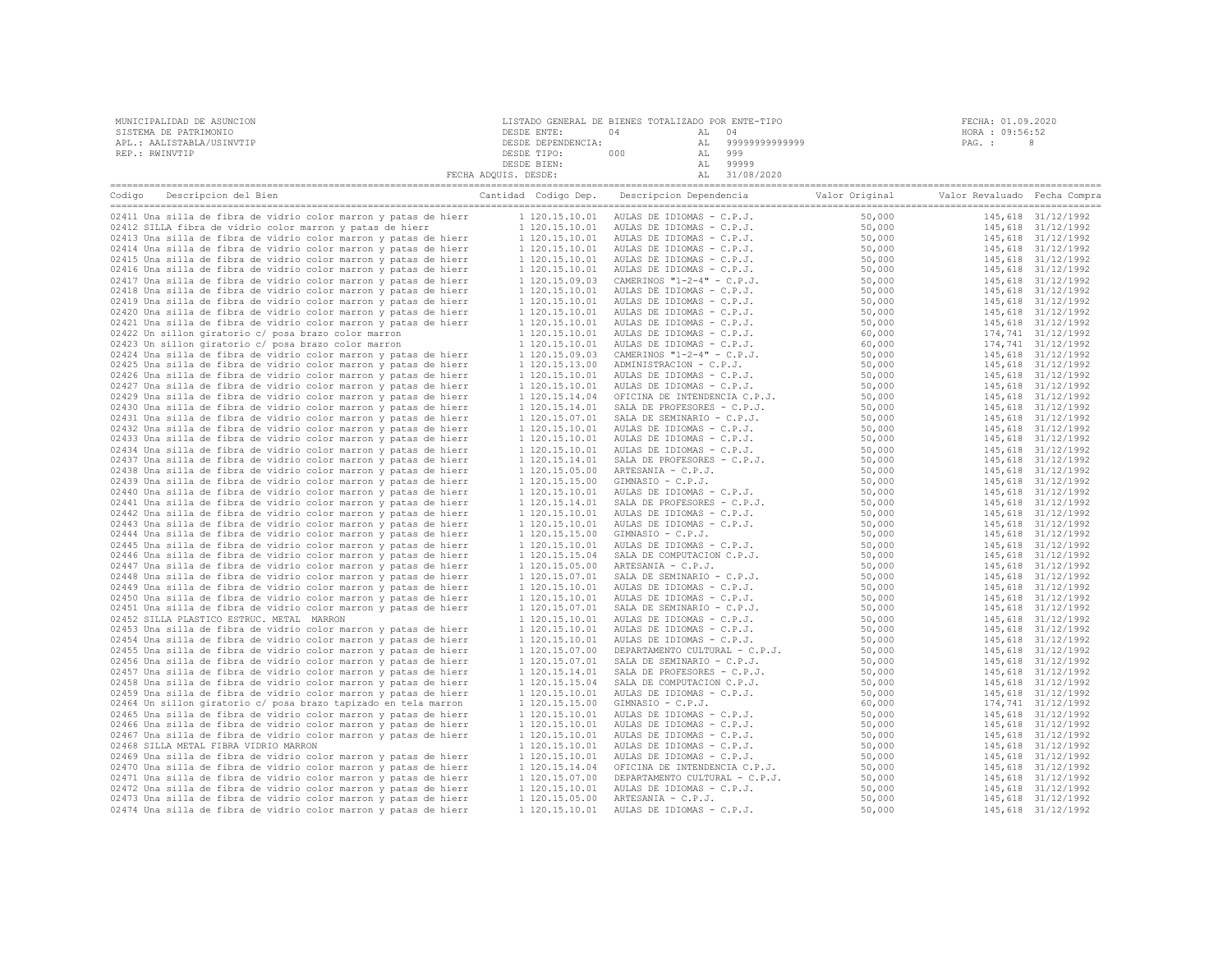| MUNICIPALIDAD DE ASUNCION | LISTADO GENERAL DE BIENES TOTALIZADO POR ENTE-TIPO |     |    |               | FECHA: 01.09.2020 |  |  |
|---------------------------|----------------------------------------------------|-----|----|---------------|-------------------|--|--|
| SISTEMA DE PATRIMONIO     | DESDE ENTE:                                        | 04  |    | 04            | HORA : 09:56:52   |  |  |
| APL.: AALISTABLA/USINVTIP | DESDE DEPENDENCIA:                                 |     | AL | 9999999999999 | PAG. :            |  |  |
| REP.: RWINVTIP            | DESDE TIPO:                                        | 000 |    | 999           |                   |  |  |
|                           | DESDE BIEN:                                        |     |    | 99999         |                   |  |  |
|                           | FECHA ADQUIS. DESDE:                               |     |    | 31/08/2020    |                   |  |  |
|                           |                                                    |     |    |               |                   |  |  |

| Codigo | Descripcion del Bien                                             | Cantidad Codigo Dep. | Descripcion Dependencia        | Valor Original | Valor Revaluado Fecha Compra |                    |
|--------|------------------------------------------------------------------|----------------------|--------------------------------|----------------|------------------------------|--------------------|
|        | 02411 Una silla de fibra de vidrio color marron y patas de hierr | 1 120.15.10.01       | AULAS DE IDIOMAS - C.P.J.      | 50,000         |                              | 145,618 31/12/1992 |
|        | 02412 SILLA fibra de vidrio color marron y patas de hierr        | 1 120.15.10.01       | AULAS DE IDIOMAS - C.P.J.      | 50,000         |                              | 145,618 31/12/1992 |
|        | 02413 Una silla de fibra de vidrio color marron y patas de hierr | 1 120.15.10.01       | AULAS DE IDIOMAS - C.P.J.      | 50,000         |                              | 145,618 31/12/1992 |
|        | 02414 Una silla de fibra de vidrio color marron y patas de hierr | 1 120.15.10.01       | AULAS DE IDIOMAS - C.P.J.      | 50,000         |                              | 145,618 31/12/1992 |
|        | 02415 Una silla de fibra de vidrio color marron y patas de hierr | 1 120.15.10.01       | AULAS DE IDIOMAS - C.P.J.      | 50,000         |                              | 145,618 31/12/1992 |
|        | 02416 Una silla de fibra de vidrio color marron y patas de hierr | 1 120.15.10.01       | AULAS DE IDIOMAS - C.P.J.      | 50,000         |                              | 145,618 31/12/1992 |
|        | 02417 Una silla de fibra de vidrio color marron y patas de hierr | 1 120.15.09.03       | CAMERINOS " $1-2-4$ " - C.P.J. | 50,000         |                              | 145,618 31/12/1992 |
|        | 02418 Una silla de fibra de vidrio color marron y patas de hierr | 1 120.15.10.01       | AULAS DE IDIOMAS - C.P.J.      | 50,000         |                              | 145,618 31/12/1992 |
|        | 02419 Una silla de fibra de vidrio color marron y patas de hierr | 1 120.15.10.01       | AULAS DE IDIOMAS - C.P.J.      | 50,000         |                              | 145,618 31/12/1992 |
|        | 02420 Una silla de fibra de vidrio color marron y patas de hierr | 1 120.15.10.01       | AULAS DE IDIOMAS - C.P.J.      | 50,000         |                              | 145,618 31/12/1992 |
|        | 02421 Una silla de fibra de vidrio color marron y patas de hierr | 1 120.15.10.01       | AULAS DE IDIOMAS - C.P.J.      | 50,000         |                              | 145,618 31/12/1992 |
|        | 02422 Un sillon giratorio c/ posa brazo color marron             | 1 120.15.10.01       | AULAS DE IDIOMAS - C.P.J.      | 60,000         |                              | 174,741 31/12/1992 |
|        | 02423 Un sillon giratorio c/ posa brazo color marron             | 1 120.15.10.01       | AULAS DE IDIOMAS - C.P.J.      | 60,000         |                              | 174,741 31/12/1992 |
|        | 02424 Una silla de fibra de vidrio color marron y patas de hierr | 1 120.15.09.03       | CAMERINOS $"1-2-4" - C.P.J.$   | 50,000         |                              | 145,618 31/12/1992 |
|        | 02425 Una silla de fibra de vidrio color marron y patas de hierr | 1 120.15.13.00       | ADMINISTRACION - C.P.J.        | 50,000         |                              | 145,618 31/12/1992 |
|        | 02426 Una silla de fibra de vidrio color marron y patas de hierr | 1 120.15.10.01       | AULAS DE IDIOMAS - C.P.J.      | 50,000         |                              | 145,618 31/12/1992 |
|        | 02427 Una silla de fibra de vidrio color marron y patas de hierr | 1 120.15.10.01       | AULAS DE IDIOMAS - C.P.J.      | 50,000         |                              | 145,618 31/12/1992 |
|        | 02429 Una silla de fibra de vidrio color marron y patas de hierr | 1 120.15.14.04       | OFICINA DE INTENDENCIA C.P.J.  | 50,000         |                              | 145,618 31/12/1992 |
|        | 02430 Una silla de fibra de vidrio color marron y patas de hierr | 1 120.15.14.01       | SALA DE PROFESORES - C.P.J.    | 50,000         |                              | 145,618 31/12/1992 |
|        | 02431 Una silla de fibra de vidrio color marron y patas de hierr | 1 120.15.07.01       | SALA DE SEMINARIO - C.P.J.     | 50,000         |                              | 145,618 31/12/1992 |
|        | 02432 Una silla de fibra de vidrio color marron y patas de hierr | 1 120.15.10.01       | AULAS DE IDIOMAS - C.P.J.      | 50,000         |                              | 145,618 31/12/1992 |
|        | 02433 Una silla de fibra de vidrio color marron y patas de hierr | 1 120.15.10.01       | AULAS DE IDIOMAS - C.P.J.      | 50,000         |                              | 145,618 31/12/1992 |
|        | 02434 Una silla de fibra de vidrio color marron y patas de hierr | 1 120.15.10.01       | AULAS DE IDIOMAS - C.P.J.      | 50,000         |                              | 145,618 31/12/1992 |
|        | 02437 Una silla de fibra de vidrio color marron y patas de hierr | 1 120.15.14.01       | SALA DE PROFESORES - C.P.J.    | 50,000         |                              | 145,618 31/12/1992 |
|        | 02438 Una silla de fibra de vidrio color marron y patas de hierr | 1 120.15.05.00       | ARTESANIA - C.P.J.             | 50,000         |                              | 145,618 31/12/1992 |
|        | 02439 Una silla de fibra de vidrio color marron y patas de hierr | 1 120.15.15.00       | GIMNASIO - C.P.J.              | 50,000         |                              | 145,618 31/12/1992 |
|        | 02440 Una silla de fibra de vidrio color marron y patas de hierr | 1 120.15.10.01       | AULAS DE IDIOMAS - C.P.J.      | 50,000         |                              | 145,618 31/12/1992 |
|        | 02441 Una silla de fibra de vidrio color marron y patas de hierr | 1 120.15.14.01       | SALA DE PROFESORES - C.P.J.    | 50,000         |                              | 145,618 31/12/1992 |
|        | 02442 Una silla de fibra de vidrio color marron y patas de hierr | 1 120.15.10.01       | AULAS DE IDIOMAS - C.P.J.      | 50,000         |                              | 145,618 31/12/1992 |
|        | 02443 Una silla de fibra de vidrio color marron y patas de hierr | 1 120.15.10.01       | AULAS DE IDIOMAS - C.P.J.      | 50,000         |                              | 145,618 31/12/1992 |
|        | 02444 Una silla de fibra de vidrio color marron y patas de hierr | 1 120.15.15.00       | GIMNASIO - C.P.J.              | 50,000         |                              | 145,618 31/12/1992 |
|        | 02445 Una silla de fibra de vidrio color marron y patas de hierr | 1 120.15.10.01       | AULAS DE IDIOMAS - C.P.J.      | 50,000         |                              | 145,618 31/12/1992 |
|        | 02446 Una silla de fibra de vidrio color marron y patas de hierr | 1 120.15.15.04       | SALA DE COMPUTACION C.P.J.     | 50,000         |                              | 145,618 31/12/1992 |
|        | 02447 Una silla de fibra de vidrio color marron y patas de hierr | 1 120.15.05.00       | ARTESANIA - C.P.J.             | 50,000         |                              | 145,618 31/12/1992 |
|        | 02448 Una silla de fibra de vidrio color marron y patas de hierr | 1 120.15.07.01       | SALA DE SEMINARIO - C.P.J.     | 50,000         |                              | 145,618 31/12/1992 |
|        | 02449 Una silla de fibra de vidrio color marron y patas de hierr | 1 120.15.10.01       | AULAS DE IDIOMAS - C.P.J.      | 50,000         |                              | 145,618 31/12/1992 |
|        | 02450 Una silla de fibra de vidrio color marron y patas de hierr | 1 120.15.10.01       | AULAS DE IDIOMAS - C.P.J.      | 50,000         |                              | 145,618 31/12/1992 |
|        | 02451 Una silla de fibra de vidrio color marron y patas de hierr | 1 120.15.07.01       | SALA DE SEMINARIO - C.P.J.     | 50,000         |                              | 145,618 31/12/1992 |
|        | 02452 SILLA PLASTICO ESTRUC. METAL MARRON                        | 1 120.15.10.01       | AULAS DE IDIOMAS - C.P.J.      | 50,000         |                              | 145,618 31/12/1992 |
|        | 02453 Una silla de fibra de vidrio color marron y patas de hierr | 1 120.15.10.01       | AULAS DE IDIOMAS - C.P.J.      | 50,000         |                              | 145,618 31/12/1992 |
|        | 02454 Una silla de fibra de vidrio color marron y patas de hierr | 1 120.15.10.01       | AULAS DE IDIOMAS - C.P.J.      | 50,000         |                              | 145,618 31/12/1992 |
|        | 02455 Una silla de fibra de vidrio color marron y patas de hierr | 1 120.15.07.00       | DEPARTAMENTO CULTURAL - C.P.J. | 50,000         |                              | 145,618 31/12/1992 |
|        | 02456 Una silla de fibra de vidrio color marron y patas de hierr | 1 120.15.07.01       | SALA DE SEMINARIO - C.P.J.     | 50,000         |                              | 145,618 31/12/1992 |
|        | 02457 Una silla de fibra de vidrio color marron y patas de hierr | 1 120.15.14.01       | SALA DE PROFESORES - C.P.J.    | 50,000         |                              | 145,618 31/12/1992 |
|        | 02458 Una silla de fibra de vidrio color marron y patas de hierr | 1 120.15.15.04       | SALA DE COMPUTACION C.P.J.     | 50,000         |                              | 145,618 31/12/1992 |
|        | 02459 Una silla de fibra de vidrio color marron y patas de hierr | 1 120.15.10.01       | AULAS DE IDIOMAS - C.P.J.      | 50,000         |                              | 145,618 31/12/1992 |
|        | 02464 Un sillon giratorio c/ posa brazo tapizado en tela marron  | 1 120.15.15.00       | GIMNASIO - C.P.J.              | 60,000         |                              | 174,741 31/12/1992 |
|        | 02465 Una silla de fibra de vidrio color marron y patas de hierr | 1 120.15.10.01       | AULAS DE IDIOMAS - C.P.J.      | 50,000         |                              | 145,618 31/12/1992 |
|        | 02466 Una silla de fibra de vidrio color marron y patas de hierr | 1 120.15.10.01       | AULAS DE IDIOMAS - C.P.J.      | 50,000         |                              | 145,618 31/12/1992 |
|        | 02467 Una silla de fibra de vidrio color marron y patas de hierr | 1 120.15.10.01       | AULAS DE IDIOMAS - C.P.J.      | 50,000         |                              | 145,618 31/12/1992 |
|        | 02468 SILLA METAL FIBRA VIDRIO MARRON                            | 1 120.15.10.01       | AULAS DE IDIOMAS - C.P.J.      | 50,000         |                              | 145,618 31/12/1992 |
|        | 02469 Una silla de fibra de vidrio color marron y patas de hierr | 1 120.15.10.01       | AULAS DE IDIOMAS - C.P.J.      | 50,000         |                              | 145,618 31/12/1992 |
|        | 02470 Una silla de fibra de vidrio color marron y patas de hierr | 1 120.15.14.04       | OFICINA DE INTENDENCIA C.P.J.  | 50,000         |                              | 145,618 31/12/1992 |
|        | 02471 Una silla de fibra de vidrio color marron y patas de hierr | 1 120.15.07.00       | DEPARTAMENTO CULTURAL - C.P.J. | 50,000         |                              | 145,618 31/12/1992 |
|        |                                                                  | 1 120.15.10.01       | AULAS DE IDIOMAS - C.P.J.      | 50,000         |                              | 145,618 31/12/1992 |
|        | 02472 Una silla de fibra de vidrio color marron y patas de hierr |                      |                                |                |                              |                    |
|        | 02473 Una silla de fibra de vidrio color marron y patas de hierr | 1 120.15.05.00       | ARTESANIA - C.P.J.             | 50,000         |                              | 145,618 31/12/1992 |
|        | 02474 Una silla de fibra de vidrio color marron y patas de hierr | 1 120.15.10.01       | AULAS DE IDIOMAS - C.P.J.      | 50,000         |                              | 145,618 31/12/1992 |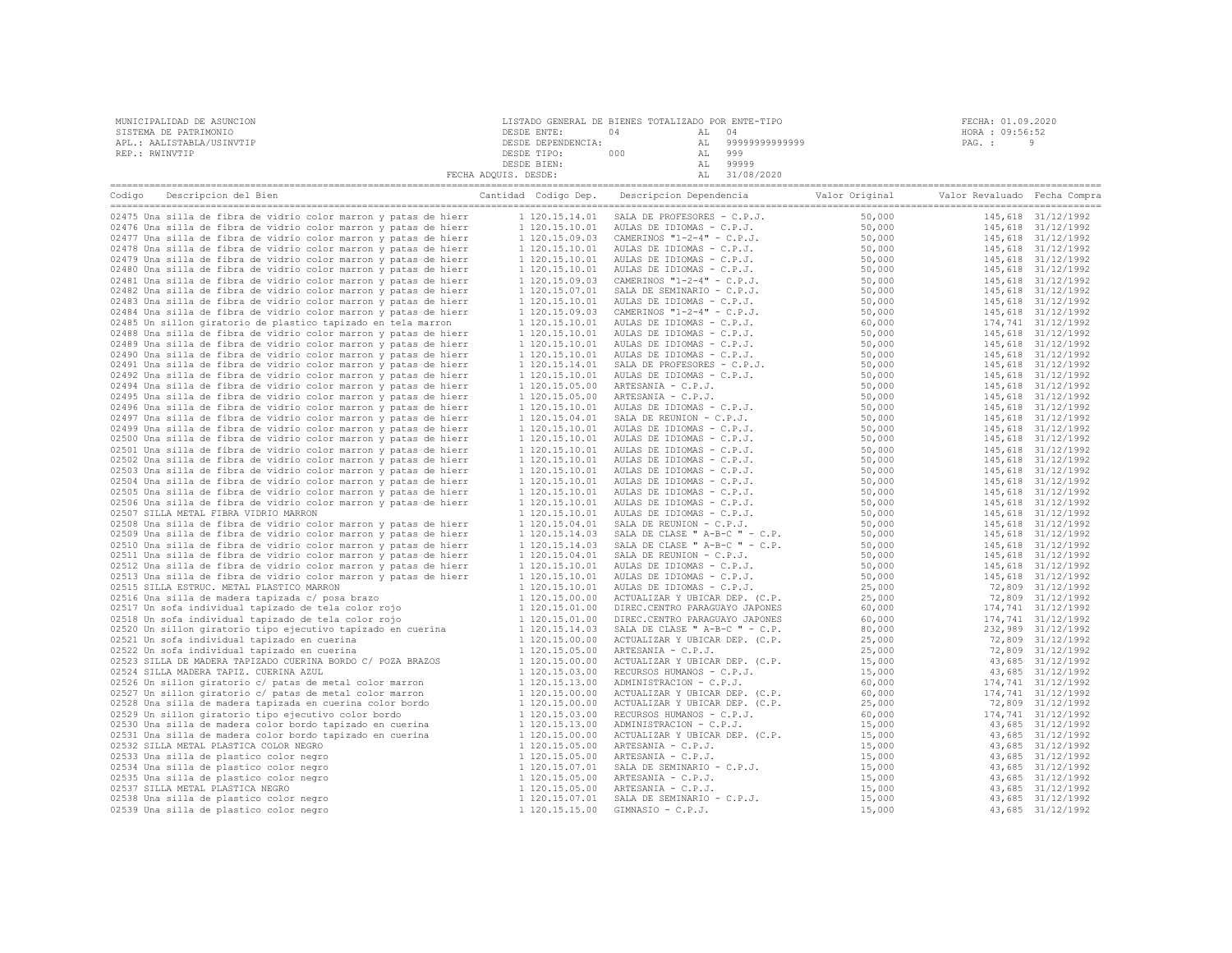| MUNICIPALIDAD DE ASUNCION | LISTADO GENERAL DE BIENES TOTALIZADO POR ENTE-TIPO |     |       |                | FECHA: 01.09.2020 |  |
|---------------------------|----------------------------------------------------|-----|-------|----------------|-------------------|--|
| SISTEMA DE PATRIMONIO     | DESDE ENTE:                                        |     | AL 04 |                | HORA : 09:56:52   |  |
| APL.: AALISTABLA/USINVTIP | DESDE DEPENDENCIA:                                 |     | AT.   | 99999999999999 | PAG. :            |  |
| REP.: RWINVTIP            | DESDE TIPO:                                        | 000 | AL    | 999            |                   |  |
|                           | DESDE BIEN:                                        |     |       | 99999          |                   |  |
|                           | FECHA ADQUIS. DESDE:                               |     |       | 31/08/2020     |                   |  |

| Codigo Descripcion del Bien                                      | Cantidad Codigo Dep. | Descripcion Dependencia                                                                                                                                                                                                                                  | Valor Original | Valor Revaluado Fecha Compra |                    |
|------------------------------------------------------------------|----------------------|----------------------------------------------------------------------------------------------------------------------------------------------------------------------------------------------------------------------------------------------------------|----------------|------------------------------|--------------------|
|                                                                  |                      |                                                                                                                                                                                                                                                          |                |                              |                    |
| 02475 Una silla de fibra de vidrio color marron y patas de hierr | 1 120.15.14.01       | SALA DE PROFESORES - C.P.J.                                                                                                                                                                                                                              | 50,000         |                              | 145,618 31/12/1992 |
| 02476 Una silla de fibra de vidrio color marron y patas de hierr | 1 120.15.10.01       |                                                                                                                                                                                                                                                          | 50,000         |                              | 145,618 31/12/1992 |
| 02477 Una silla de fibra de vidrio color marron y patas de hierr | 1 120.15.09.03       | SALA DE PROFESORES - C.P.J.<br>CAMERINOS "1-2-4" - C.P.J.<br>CAMERINOS "1-2-4" - C.P.J.<br>AULAS DE IDIOMAS - C.P.J.<br>AULAS DE IDIOMAS - C.P.J.<br>CAMERINOS "1-2-4" - C.P.J.<br>CAMERINOS "1-2-4" - C.P.J.<br>CAMERINOS "1-2-4" - C.P.J.<br>AULAS D   | 50,000         |                              | 145,618 31/12/1992 |
| 02478 Una silla de fibra de vidrio color marron y patas de hierr | 1 120.15.10.01       |                                                                                                                                                                                                                                                          | 50,000         |                              | 145,618 31/12/1992 |
| 02479 Una silla de fibra de vidrio color marron y patas de hierr | 1 120.15.10.01       |                                                                                                                                                                                                                                                          | 50,000         |                              | 145,618 31/12/1992 |
| 02480 Una silla de fibra de vidrio color marron y patas de hierr | 1 120.15.10.01       |                                                                                                                                                                                                                                                          | 50,000         |                              | 145,618 31/12/1992 |
| 02481 Una silla de fibra de vidrio color marron y patas de hierr | 1 120.15.09.03       |                                                                                                                                                                                                                                                          | 50,000         |                              | 145,618 31/12/1992 |
| 02482 Una silla de fibra de vidrio color marron y patas de hierr | 1 120.15.07.01       |                                                                                                                                                                                                                                                          | 50,000         |                              | 145,618 31/12/1992 |
| 02483 Una silla de fibra de vidrio color marron y patas de hierr | 1 120.15.10.01       |                                                                                                                                                                                                                                                          | 50,000         |                              | 145,618 31/12/1992 |
| 02484 Una silla de fibra de vidrio color marron y patas de hierr | 1 120.15.09.03       |                                                                                                                                                                                                                                                          | 50,000         |                              | 145,618 31/12/1992 |
| 02485 Un sillon giratorio de plastico tapizado en tela marron    | 1 120.15.10.01       | AULAS DE IDIOMAS - C.P.J.                                                                                                                                                                                                                                | 60,000         |                              | 174,741 31/12/1992 |
| 02488 Una silla de fibra de vidrio color marron y patas de hierr | 1 120.15.10.01       | AULAS DE IDIOMAS - C.P.J.                                                                                                                                                                                                                                | 50,000         |                              | 145,618 31/12/1992 |
| 02489 Una silla de fibra de vidrio color marron y patas de hierr | 1 120.15.10.01       | AULAS DE IDIOMAS - C.P.J.                                                                                                                                                                                                                                | 50,000         |                              | 145,618 31/12/1992 |
| 02490 Una silla de fibra de vidrio color marron y patas de hierr | 1 120.15.10.01       | AULAS DE IDIOMAS - C.P.J.                                                                                                                                                                                                                                | 50,000         |                              | 145,618 31/12/1992 |
| 02491 Una silla de fibra de vidrio color marron y patas de hierr | 1 120.15.14.01       |                                                                                                                                                                                                                                                          | 50,000         |                              | 145,618 31/12/1992 |
| 02492 Una silla de fibra de vidrio color marron y patas de hierr |                      |                                                                                                                                                                                                                                                          | 50,000         |                              |                    |
|                                                                  | 1 120.15.10.01       |                                                                                                                                                                                                                                                          |                |                              | 145,618 31/12/1992 |
| 02494 Una silla de fibra de vidrio color marron y patas de hierr | 1 120.15.05.00       |                                                                                                                                                                                                                                                          | 50,000         |                              | 145,618 31/12/1992 |
| 02495 Una silla de fibra de vidrio color marron y patas de hierr | 1 120.15.05.00       |                                                                                                                                                                                                                                                          | 50,000         |                              | 145,618 31/12/1992 |
| 02496 Una silla de fibra de vidrio color marron y patas de hierr | 1 120.15.10.01       |                                                                                                                                                                                                                                                          | 50,000         |                              | 145,618 31/12/1992 |
| 02497 Una silla de fibra de vidrio color marron y patas de hierr | 1 120.15.04.01       |                                                                                                                                                                                                                                                          | 50,000         |                              | 145,618 31/12/1992 |
| 02499 Una silla de fibra de vidrio color marron y patas de hierr | 1 120.15.10.01       |                                                                                                                                                                                                                                                          | 50,000         |                              | 145,618 31/12/1992 |
| 02500 Una silla de fibra de vidrio color marron y patas de hierr | 1 120.15.10.01       | AULAS DE IDIOMAS - C.P.J.<br>SALA DE PROFESORES - C.P.J.<br>AULAS DE IDIOMAS - C.P.J.<br>ARTESANIA - C.P.J.<br>ARTESANIA - C.P.J.<br>ARTESANIA - C.P.J.<br>SALA DE IDIOMAS - C.P.J.<br>SALA DE REUNION - C.P.J.<br>AULAS DE IDIOMAS - C.P.J.<br>AULAS DE | 50,000         |                              | 145,618 31/12/1992 |
| 02501 Una silla de fibra de vidrio color marron y patas de hierr | 1 120.15.10.01       |                                                                                                                                                                                                                                                          | 50,000         |                              | 145,618 31/12/1992 |
| 02502 Una silla de fibra de vidrio color marron y patas de hierr | 1 120.15.10.01       |                                                                                                                                                                                                                                                          | 50,000         |                              | 145,618 31/12/1992 |
| 02503 Una silla de fibra de vidrio color marron y patas de hierr | 1 120.15.10.01       |                                                                                                                                                                                                                                                          | 50,000         |                              | 145,618 31/12/1992 |
| 02504 Una silla de fibra de vidrio color marron y patas de hierr | 1 120.15.10.01       |                                                                                                                                                                                                                                                          | 50,000         |                              | 145,618 31/12/1992 |
| 02505 Una silla de fibra de vidrio color marron y patas de hierr | 1 120.15.10.01       |                                                                                                                                                                                                                                                          | 50,000         |                              | 145,618 31/12/1992 |
| 02506 Una silla de fibra de vidrio color marron y patas de hierr | 1 120.15.10.01       |                                                                                                                                                                                                                                                          | 50,000         |                              | 145,618 31/12/1992 |
| 02507 SILLA METAL FIBRA VIDRIO MARRON                            | 1 120.15.10.01       | AULAS DE IDIOMAS - C.P.J.                                                                                                                                                                                                                                | 50,000         |                              | 145,618 31/12/1992 |
| 02508 Una silla de fibra de vidrio color marron y patas de hierr | 1 120.15.04.01       | SALA DE REUNION - C.P.J.                                                                                                                                                                                                                                 | 50,000         |                              | 145,618 31/12/1992 |
| 02509 Una silla de fibra de vidrio color marron y patas de hierr | 1 120.15.14.03       |                                                                                                                                                                                                                                                          | 50,000         |                              | 145,618 31/12/1992 |
| 02510 Una silla de fibra de vidrio color marron y patas de hierr | 1 120.15.14.03       |                                                                                                                                                                                                                                                          | 50,000         |                              | 145,618 31/12/1992 |
| 02511 Una silla de fibra de vidrio color marron y patas de hierr | 1 120.15.04.01       |                                                                                                                                                                                                                                                          | 50,000         |                              | 145,618 31/12/1992 |
| 02512 Una silla de fibra de vidrio color marron y patas de hierr | 1 120.15.10.01       | SALA DE CLASE " A-B-C " - C.P.<br>SALA DE CLASE " A-B-C " - C.P.<br>SALA DE REUNION - C.P.J.<br>AULAS DE IDIOMAS - C.P.J.<br>AULAS DE IDIOMAS - C.P.J.                                                                                                   | 50,000         |                              | 145,618 31/12/1992 |
| 02513 Una silla de fibra de vidrio color marron y patas de hierr | 1 120.15.10.01       | AULAS DE IDIOMAS - C.P.J.                                                                                                                                                                                                                                | 50,000         |                              | 145,618 31/12/1992 |
| 02515 SILLA ESTRUC. METAL PLASTICO MARRON                        | 1 120.15.10.01       | AULAS DE IDIOMAS - C.P.J.                                                                                                                                                                                                                                | 25,000         |                              | 72,809 31/12/1992  |
| 02516 Una silla de madera tapizada c/ posa brazo                 | 1 120.15.00.00       | ACTUALIZAR Y UBICAR DEP. (C.P.                                                                                                                                                                                                                           | 25,000         |                              | 72,809 31/12/1992  |
| 02517 Un sofa individual tapizado de tela color rojo             | 1 120.15.01.00       | DIREC.CENTRO PARAGUAYO JAPONES                                                                                                                                                                                                                           | 60,000         |                              | 174,741 31/12/1992 |
| 02518 Un sofa individual tapizado de tela color rojo             | 1 120.15.01.00       | DIREC.CENTRO PARAGUAYO JAPONES                                                                                                                                                                                                                           | 60,000         |                              | 174,741 31/12/1992 |
| 02520 Un sillon giratorio tipo ejecutivo tapizado en cuerina     | 1 120.15.14.03       | SALA DE CLASE " A-B-C " - C.P.                                                                                                                                                                                                                           | 80,000         |                              | 232,989 31/12/1992 |
| 02521 Un sofa individual tapizado en cuerina                     | 1 120.15.00.00       | ACTUALIZAR Y UBICAR DEP. (C.P.                                                                                                                                                                                                                           | 25,000         |                              | 72,809 31/12/1992  |
| 02522 Un sofa individual tapizado en cuerina                     | 1 120.15.05.00       |                                                                                                                                                                                                                                                          | 25,000         |                              | 72,809 31/12/1992  |
|                                                                  |                      | ARTESANIA - C.P.J.                                                                                                                                                                                                                                       |                |                              |                    |
| 02523 SILLA DE MADERA TAPIZADO CUERINA BORDO C/ POZA BRAZOS      | 1 120.15.00.00       |                                                                                                                                                                                                                                                          | 15,000         |                              | 43,685 31/12/1992  |
| 02524 SILLA MADERA TAPIZ. CUERINA AZUL                           | 1 120.15.03.00       |                                                                                                                                                                                                                                                          | 15,000         |                              | 43,685 31/12/1992  |
| 02526 Un sillon giratorio c/ patas de metal color marron         | 1 120.15.13.00       |                                                                                                                                                                                                                                                          | 60,000         |                              | 174,741 31/12/1992 |
| 02527 Un sillon giratorio c/ patas de metal color marron         | 1 120.15.00.00       |                                                                                                                                                                                                                                                          | 60,000         |                              | 174,741 31/12/1992 |
| 02528 Una silla de madera tapizada en cuerina color bordo        | 1 120.15.00.00       | ACTUALIZAR Y UBICAR DEP. (C.P.<br>RECURSOS HUMANOS - C.P.J.<br>ACTUALIZAR Y UBICAR DEP. (C.P.<br>ACTUALIZAR Y UBICAR DEP. (C.P.<br>ACTUALIZAR Y UBICAR DEP. (C.P.<br>RECURSOS HUMANOS - C.P.J.<br>ADMINISTRACION - C.P.J.<br>ACTUALIZAR Y UBICAR DE      | 25,000         |                              | 72,809 31/12/1992  |
| 02529 Un sillon giratorio tipo ejecutivo color bordo             | 1 120.15.03.00       |                                                                                                                                                                                                                                                          | 60,000         |                              | 174,741 31/12/1992 |
| 02530 Una silla de madera color bordo tapizado en cuerina        | 1 120.15.13.00       |                                                                                                                                                                                                                                                          | 15,000         |                              | 43,685 31/12/1992  |
| 02531 Una silla de madera color bordo tapizado en cuerina        | 1 120.15.00.00       |                                                                                                                                                                                                                                                          | 15,000         |                              | 43,685 31/12/1992  |
| 02532 SILLA METAL PLASTICA COLOR NEGRO                           | 1 120.15.05.00       | ARTESANIA - C.P.J.                                                                                                                                                                                                                                       | 15,000         |                              | 43,685 31/12/1992  |
| 02533 Una silla de plastico color negro                          | 1 120.15.05.00       |                                                                                                                                                                                                                                                          | 15,000         |                              | 43,685 31/12/1992  |
| 02534 Una silla de plastico color negro                          | 1 120.15.07.01       |                                                                                                                                                                                                                                                          | 15,000         |                              | 43,685 31/12/1992  |
| 02535 Una silla de plastico color negro                          | 1 120.15.05.00       |                                                                                                                                                                                                                                                          | 15,000         |                              | 43,685 31/12/1992  |
| 02537 SILLA METAL PLASTICA NEGRO                                 | 1 120.15.05.00       | ARTESANIA - C.P.J.                                                                                                                                                                                                                                       | 15,000         |                              | 43,685 31/12/1992  |
| 02538 Una silla de plastico color negro                          | 1 120.15.07.01       |                                                                                                                                                                                                                                                          | 15,000         |                              | 43,685 31/12/1992  |
| 02539 Una silla de plastico color negro                          | 1 120.15.15.00       | ARTESANIA - C.P.J.<br>SALA DE SEMINARIO - C.P.J.<br>ARTESANIA - C.P.J.<br>ARTESANIA - C.P.J.<br>ARTESANIA - C.P.J.<br>SALA DE SEMINARIO - C.P.J.<br>GIMNASIO - C.P.J.                                                                                    | 15,000         |                              | 43,685 31/12/1992  |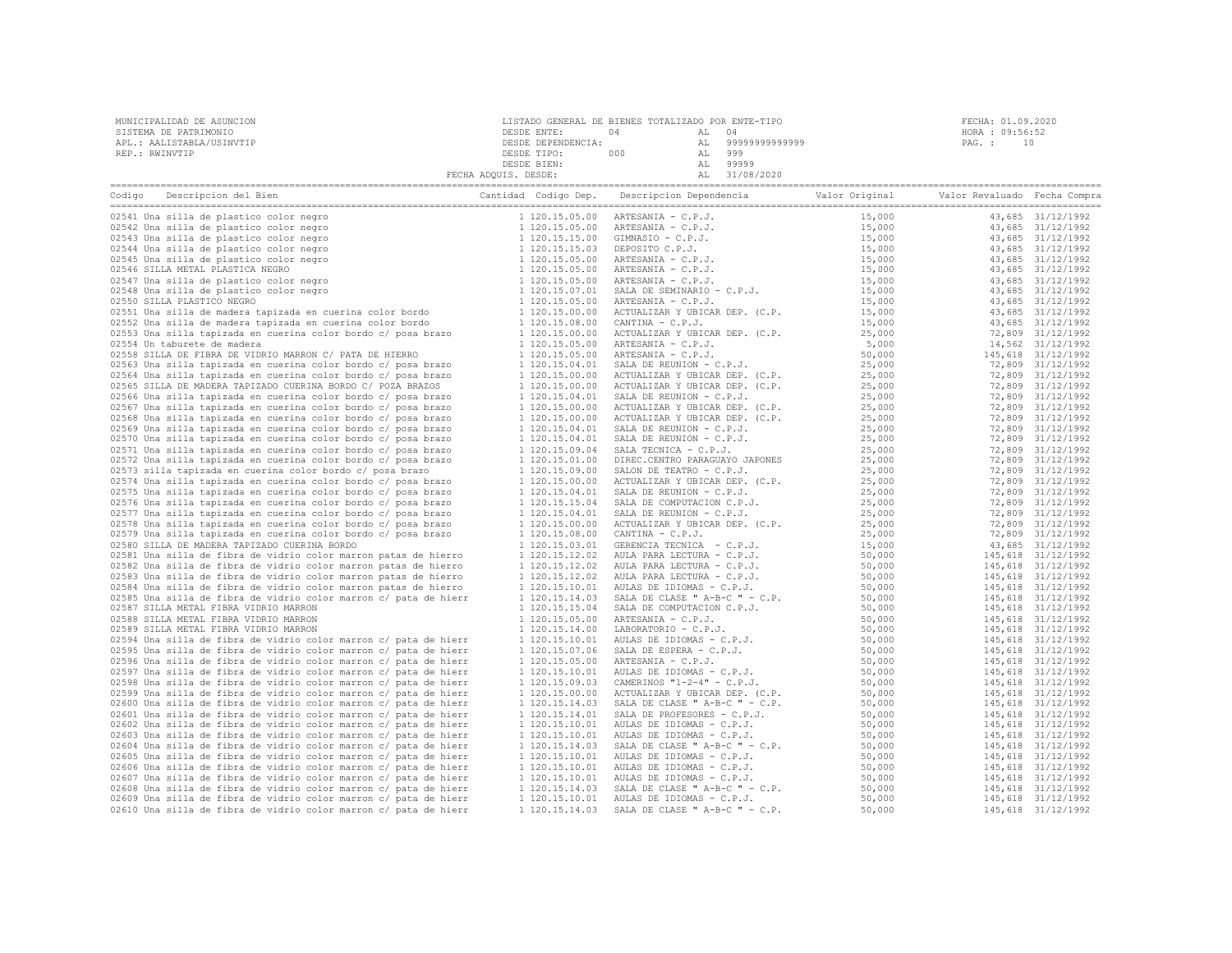| MUNICIPALIDAD DE ASUNCION                                                                                                            | LISTADO GENERAL DE BIENES TOTALIZADO POR ENTE-TIPO | FECHA: 01.09.2020                                                                                                                                            |  |                 |
|--------------------------------------------------------------------------------------------------------------------------------------|----------------------------------------------------|--------------------------------------------------------------------------------------------------------------------------------------------------------------|--|-----------------|
| SISTEMA DE PATRIMONIO                                                                                                                | DESDE ENTE:                                        | $0\,4$ $\hfill$ AL $\hfill 0\,4$                                                                                                                             |  | HORA : 09:56:52 |
| APL.: AALISTABLA/USINVTIP                                                                                                            |                                                    |                                                                                                                                                              |  | PAG.: 10        |
| REP.: RWINVTIP                                                                                                                       |                                                    |                                                                                                                                                              |  |                 |
|                                                                                                                                      |                                                    | ENTE: 04 AL 04<br>DESDE DEPENDENCIA: AL 999999999999999<br>DESDE TIPO: 000 AL 999<br>DESDE TIEN: DESDE BIEN: AL 999999<br>FECHA ADQUIS. DESDE: AL 31/08/2020 |  |                 |
|                                                                                                                                      |                                                    |                                                                                                                                                              |  |                 |
| Codigo Descripcion del Bien de Compra de Cantidad Codigo Dep. Descripcion Dependencia de Valor Original Valor Revaluado Fecha Compra |                                                    |                                                                                                                                                              |  |                 |
|                                                                                                                                      |                                                    |                                                                                                                                                              |  |                 |
|                                                                                                                                      |                                                    |                                                                                                                                                              |  |                 |
|                                                                                                                                      |                                                    |                                                                                                                                                              |  |                 |
|                                                                                                                                      |                                                    |                                                                                                                                                              |  |                 |
|                                                                                                                                      |                                                    |                                                                                                                                                              |  |                 |
|                                                                                                                                      |                                                    |                                                                                                                                                              |  |                 |
|                                                                                                                                      |                                                    |                                                                                                                                                              |  |                 |
|                                                                                                                                      |                                                    |                                                                                                                                                              |  |                 |
|                                                                                                                                      |                                                    |                                                                                                                                                              |  |                 |
|                                                                                                                                      |                                                    |                                                                                                                                                              |  |                 |
|                                                                                                                                      |                                                    |                                                                                                                                                              |  |                 |
|                                                                                                                                      |                                                    |                                                                                                                                                              |  |                 |
|                                                                                                                                      |                                                    |                                                                                                                                                              |  |                 |
|                                                                                                                                      |                                                    |                                                                                                                                                              |  |                 |
|                                                                                                                                      |                                                    |                                                                                                                                                              |  |                 |
|                                                                                                                                      |                                                    |                                                                                                                                                              |  |                 |
|                                                                                                                                      |                                                    |                                                                                                                                                              |  |                 |
|                                                                                                                                      |                                                    |                                                                                                                                                              |  |                 |
|                                                                                                                                      |                                                    |                                                                                                                                                              |  |                 |
|                                                                                                                                      |                                                    |                                                                                                                                                              |  |                 |
|                                                                                                                                      |                                                    |                                                                                                                                                              |  |                 |
|                                                                                                                                      |                                                    |                                                                                                                                                              |  |                 |
|                                                                                                                                      |                                                    |                                                                                                                                                              |  |                 |
|                                                                                                                                      |                                                    |                                                                                                                                                              |  |                 |
|                                                                                                                                      |                                                    |                                                                                                                                                              |  |                 |
|                                                                                                                                      |                                                    |                                                                                                                                                              |  |                 |
|                                                                                                                                      |                                                    |                                                                                                                                                              |  |                 |
|                                                                                                                                      |                                                    |                                                                                                                                                              |  |                 |
|                                                                                                                                      |                                                    |                                                                                                                                                              |  |                 |
|                                                                                                                                      |                                                    |                                                                                                                                                              |  |                 |
|                                                                                                                                      |                                                    |                                                                                                                                                              |  |                 |
|                                                                                                                                      |                                                    |                                                                                                                                                              |  |                 |
|                                                                                                                                      |                                                    |                                                                                                                                                              |  |                 |
|                                                                                                                                      |                                                    |                                                                                                                                                              |  |                 |
|                                                                                                                                      |                                                    |                                                                                                                                                              |  |                 |
|                                                                                                                                      |                                                    |                                                                                                                                                              |  |                 |
|                                                                                                                                      |                                                    |                                                                                                                                                              |  |                 |
|                                                                                                                                      |                                                    |                                                                                                                                                              |  |                 |
|                                                                                                                                      |                                                    |                                                                                                                                                              |  |                 |
|                                                                                                                                      |                                                    |                                                                                                                                                              |  |                 |
|                                                                                                                                      |                                                    |                                                                                                                                                              |  |                 |
|                                                                                                                                      |                                                    |                                                                                                                                                              |  |                 |
|                                                                                                                                      |                                                    |                                                                                                                                                              |  |                 |
|                                                                                                                                      |                                                    |                                                                                                                                                              |  |                 |
|                                                                                                                                      |                                                    |                                                                                                                                                              |  |                 |
|                                                                                                                                      |                                                    |                                                                                                                                                              |  |                 |
|                                                                                                                                      |                                                    |                                                                                                                                                              |  |                 |
|                                                                                                                                      |                                                    |                                                                                                                                                              |  |                 |
|                                                                                                                                      |                                                    |                                                                                                                                                              |  |                 |
|                                                                                                                                      |                                                    |                                                                                                                                                              |  |                 |
|                                                                                                                                      |                                                    |                                                                                                                                                              |  |                 |
|                                                                                                                                      |                                                    |                                                                                                                                                              |  |                 |
|                                                                                                                                      |                                                    |                                                                                                                                                              |  |                 |
|                                                                                                                                      |                                                    |                                                                                                                                                              |  |                 |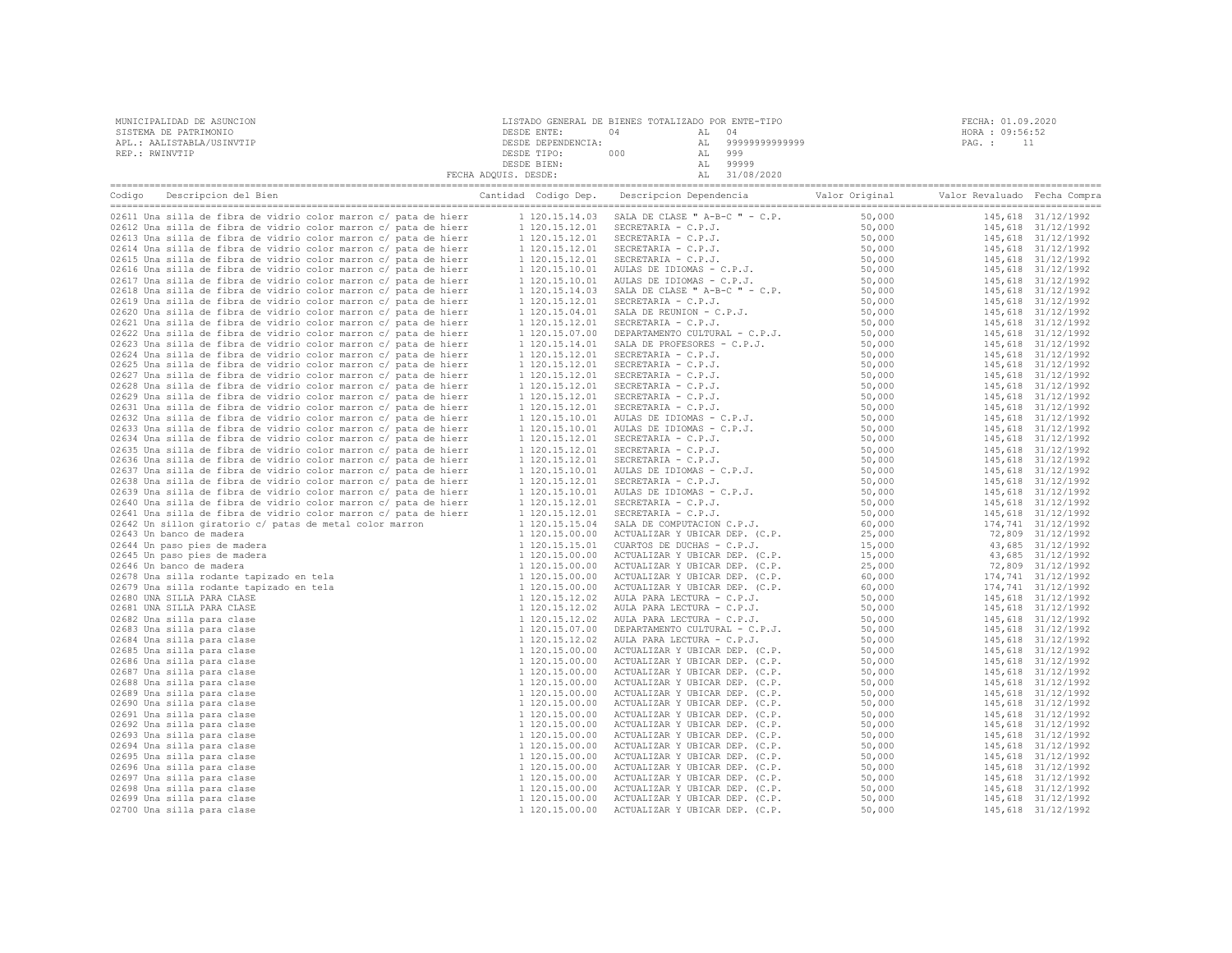| MUNICIPALIDAD DE ASUNCION | LISTADO GENERAL DE BIENES TOTALIZADO POR ENTE-TIPO |     |       |                   | FECHA: 01.09.2020 |  |
|---------------------------|----------------------------------------------------|-----|-------|-------------------|-------------------|--|
| SISTEMA DE PATRIMONIO     | DESDE ENTE:                                        | 04  | AL 04 |                   | HORA : 09:56:52   |  |
| APL.: AALISTABLA/USINVTIP | DESDE DEPENDENCIA:                                 |     |       | AL 99999999999999 | PAG. :            |  |
| REP.: RWINVTIP            | DESDE TIPO:                                        | 000 |       | 999               |                   |  |
|                           | DESDE BIEN:                                        |     |       | 99999             |                   |  |
|                           | FECHA ADOUIS. DESDE:                               |     |       | AL 31/08/2020     |                   |  |
|                           |                                                    |     |       |                   |                   |  |

|                                                                  | Descripcion Dependencia<br>Valor Original | Valor Revaluado Fecha Compra |  |
|------------------------------------------------------------------|-------------------------------------------|------------------------------|--|
|                                                                  |                                           |                              |  |
|                                                                  |                                           |                              |  |
|                                                                  |                                           |                              |  |
|                                                                  |                                           |                              |  |
| 02615 Una silla de fibra de vidrio color marron c/ pata de hierr |                                           |                              |  |
| 02616 Una silla de fibra de vidrio color marron c/ pata de hierr |                                           |                              |  |
| 02617 Una silla de fibra de vidrio color marron c/ pata de hierr |                                           |                              |  |
| 02618 Una silla de fibra de vidrio color marron c/ pata de hierr |                                           |                              |  |
| 02619 Una silla de fibra de vidrio color marron c/ pata de hierr |                                           |                              |  |
| 02620 Una silla de fibra de vidrio color marron c/ pata de hierr |                                           |                              |  |
| 02621 Una silla de fibra de vidrio color marron c/ pata de hierr |                                           |                              |  |
| 02622 Una silla de fibra de vidrio color marron c/ pata de hierr |                                           |                              |  |
| 02623 Una silla de fibra de vidrio color marron c/ pata de hierr |                                           |                              |  |
| 02624 Una silla de fibra de vidrio color marron c/ pata de hierr |                                           |                              |  |
| 02625 Una silla de fibra de vidrio color marron c/ pata de hierr |                                           |                              |  |
| 02627 Una silla de fibra de vidrio color marron c/ pata de hierr |                                           |                              |  |
| 02628 Una silla de fibra de vidrio color marron c/ pata de hierr |                                           |                              |  |
| 02629 Una silla de fibra de vidrio color marron c/ pata de hierr |                                           |                              |  |
| 02631 Una silla de fibra de vidrio color marron c/ pata de hierr |                                           |                              |  |
| 02632 Una silla de fibra de vidrio color marron c/ pata de hierr |                                           |                              |  |
| 02633 Una silla de fibra de vidrio color marron c/ pata de hierr |                                           |                              |  |
| 02634 Una silla de fibra de vidrio color marron c/ pata de hierr |                                           |                              |  |
| 02635 Una silla de fibra de vidrio color marron c/ pata de hierr |                                           |                              |  |
| 02636 Una silla de fibra de vidrio color marron c/ pata de hierr |                                           |                              |  |
| 02637 Una silla de fibra de vidrio color marron c/ pata de hierr |                                           |                              |  |
| 02638 Una silla de fibra de vidrio color marron c/ pata de hierr |                                           |                              |  |
| 02639 Una silla de fibra de vidrio color marron c/ pata de hierr |                                           |                              |  |
| 02640 Una silla de fibra de vidrio color marron c/ pata de hierr |                                           |                              |  |
| 02641 Una silla de fibra de vidrio color marron c/ pata de hierr |                                           |                              |  |
| 02642 Un sillon giratorio c/ patas de metal color marron         |                                           |                              |  |
| 02643 Un banco de madera                                         |                                           |                              |  |
| 02644 Un paso pies de madera                                     |                                           |                              |  |
| 02645 Un paso pies de madera                                     |                                           |                              |  |
| 02646 Un banco de madera                                         |                                           |                              |  |
| 02678 Una silla rodante tapizado en tela                         |                                           |                              |  |
| 02679 Una silla rodante tapizado en tela                         |                                           |                              |  |
| 02680 UNA SILLA PARA CLASE                                       |                                           |                              |  |
| 02681 UNA SILLA PARA CLASE                                       |                                           |                              |  |
| 02682 Una silla para clase                                       |                                           |                              |  |
| 02683 Una silla para clase                                       |                                           |                              |  |
| 02684 Una silla para clase                                       |                                           |                              |  |
| 02685 Una silla para clase                                       |                                           |                              |  |
| 02686 Una silla para clase                                       |                                           |                              |  |
| 02687 Una silla para clase                                       |                                           |                              |  |
| 02688 Una silla para clase                                       |                                           |                              |  |
| 02689 Una silla para clase<br>02690 Una silla para clase         |                                           |                              |  |
| 02691 Una silla para clase                                       |                                           |                              |  |
| 02692 Una silla para clase                                       |                                           |                              |  |
| 02693 Una silla para clase                                       |                                           |                              |  |
| 02694 Una silla para clase                                       |                                           |                              |  |
| 02695 Una silla para clase                                       |                                           |                              |  |
| 02696 Una silla para clase                                       |                                           |                              |  |
| 02697 Una silla para clase                                       |                                           |                              |  |
| 02698 Una silla para clase                                       |                                           |                              |  |
| 02699 Una silla para clase                                       |                                           |                              |  |
| 02700 Una silla para clase                                       |                                           |                              |  |
|                                                                  |                                           |                              |  |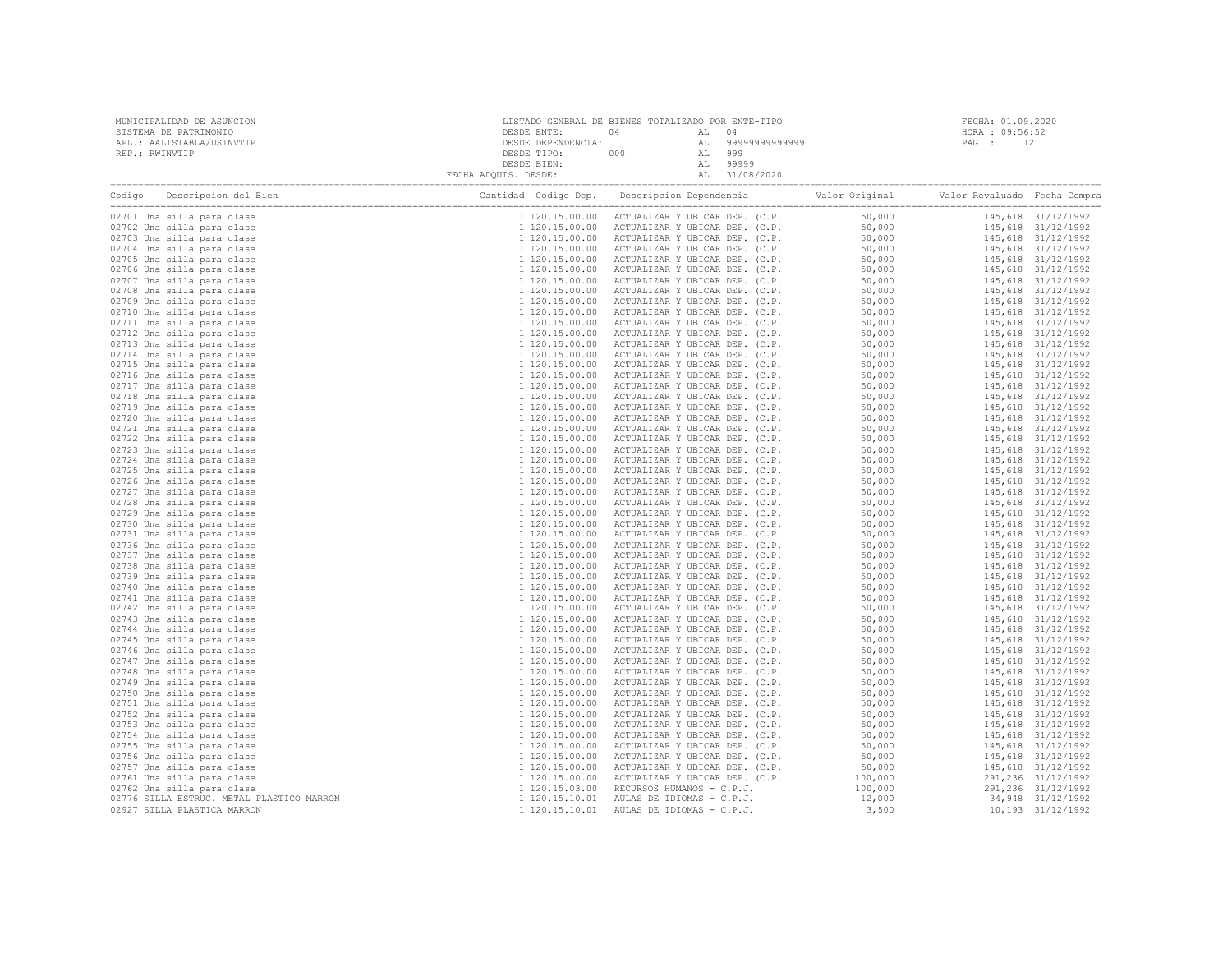| MUNICIPALIDAD DE ASUNCION<br>SISTEMA DE PATRIMONIO |                                                                                                                                                                                                                                | $\begin{tabular}{c c c c} \multicolumn{1}{c}{\textbf{ESDE} & \multicolumn{1}{c}{\textbf{D}} & \multicolumn{1}{c}{\textbf{D}} & \multicolumn{1}{c}{\textbf{D}} & \multicolumn{1}{c}{\textbf{D}} & \multicolumn{1}{c}{\textbf{D}} & \multicolumn{1}{c}{\textbf{D}} & \multicolumn{1}{c}{\textbf{D}} & \multicolumn{1}{c}{\textbf{D}} & \multicolumn{1}{c}{\textbf{D}} & \multicolumn{1}{c}{\textbf{D}} & \multicolumn{1}{c}{\textbf{D}} & \multicolumn{1}{c}{\textbf{$ |  |                                                                                                                                                                                                                                                                                                                                                                                                                                     | FECHA: 01.09.2020<br>HORA : 09:56:52 |  |  |  |
|----------------------------------------------------|--------------------------------------------------------------------------------------------------------------------------------------------------------------------------------------------------------------------------------|----------------------------------------------------------------------------------------------------------------------------------------------------------------------------------------------------------------------------------------------------------------------------------------------------------------------------------------------------------------------------------------------------------------------------------------------------------------------|--|-------------------------------------------------------------------------------------------------------------------------------------------------------------------------------------------------------------------------------------------------------------------------------------------------------------------------------------------------------------------------------------------------------------------------------------|--------------------------------------|--|--|--|
|                                                    | APL.: AALISTABLA/USINVTIP                                                                                                                                                                                                      |                                                                                                                                                                                                                                                                                                                                                                                                                                                                      |  |                                                                                                                                                                                                                                                                                                                                                                                                                                     | PAG.: 12                             |  |  |  |
| REP.: RWINVTIP                                     |                                                                                                                                                                                                                                |                                                                                                                                                                                                                                                                                                                                                                                                                                                                      |  |                                                                                                                                                                                                                                                                                                                                                                                                                                     |                                      |  |  |  |
|                                                    |                                                                                                                                                                                                                                |                                                                                                                                                                                                                                                                                                                                                                                                                                                                      |  |                                                                                                                                                                                                                                                                                                                                                                                                                                     |                                      |  |  |  |
|                                                    |                                                                                                                                                                                                                                |                                                                                                                                                                                                                                                                                                                                                                                                                                                                      |  |                                                                                                                                                                                                                                                                                                                                                                                                                                     |                                      |  |  |  |
|                                                    | Codigo Descripcion del Bien (Compra Cantidad Codigo Dep. Descripcion Dependencia Valor Original Valor Revaluado Fecha Compra Cantidad Codigo Dep. Descripcion Dependencia Valor Original Valor Revaluado Fecha Compra Cantidad |                                                                                                                                                                                                                                                                                                                                                                                                                                                                      |  | $\begin{tabular}{  c   c   c   c   c  } \hline \textbf{1} & \textbf{1} & \textbf{1} & \textbf{1} & \textbf{1} & \textbf{1} & \textbf{1} & \textbf{1} & \textbf{1} & \textbf{1} & \textbf{1} & \textbf{1} & \textbf{1} & \textbf{1} & \textbf{1} & \textbf{1} & \textbf{1} & \textbf{1} & \textbf{1} & \textbf{1} & \textbf{1} & \textbf{1} & \textbf{1} & \textbf{1} & \textbf{1} & \textbf{1} & \textbf{1} & \textbf{1} & \textbf$ |                                      |  |  |  |
|                                                    | 02701 Una silla para clase                                                                                                                                                                                                     |                                                                                                                                                                                                                                                                                                                                                                                                                                                                      |  |                                                                                                                                                                                                                                                                                                                                                                                                                                     |                                      |  |  |  |
|                                                    | 02702 Una silla para clase                                                                                                                                                                                                     |                                                                                                                                                                                                                                                                                                                                                                                                                                                                      |  |                                                                                                                                                                                                                                                                                                                                                                                                                                     |                                      |  |  |  |
|                                                    | 02703 Una silla para clase                                                                                                                                                                                                     |                                                                                                                                                                                                                                                                                                                                                                                                                                                                      |  |                                                                                                                                                                                                                                                                                                                                                                                                                                     |                                      |  |  |  |
|                                                    | 02704 Una silla para clase<br>02705 Una silla para clase                                                                                                                                                                       |                                                                                                                                                                                                                                                                                                                                                                                                                                                                      |  |                                                                                                                                                                                                                                                                                                                                                                                                                                     |                                      |  |  |  |
|                                                    | 02706 Una silla para clase                                                                                                                                                                                                     |                                                                                                                                                                                                                                                                                                                                                                                                                                                                      |  |                                                                                                                                                                                                                                                                                                                                                                                                                                     |                                      |  |  |  |
|                                                    | 02707 Una silla para clase                                                                                                                                                                                                     |                                                                                                                                                                                                                                                                                                                                                                                                                                                                      |  |                                                                                                                                                                                                                                                                                                                                                                                                                                     |                                      |  |  |  |
|                                                    | 02708 Una silla para clase                                                                                                                                                                                                     |                                                                                                                                                                                                                                                                                                                                                                                                                                                                      |  |                                                                                                                                                                                                                                                                                                                                                                                                                                     |                                      |  |  |  |
|                                                    | 02709 Una silla para clase                                                                                                                                                                                                     |                                                                                                                                                                                                                                                                                                                                                                                                                                                                      |  |                                                                                                                                                                                                                                                                                                                                                                                                                                     |                                      |  |  |  |
|                                                    | 02710 Una silla para clase                                                                                                                                                                                                     |                                                                                                                                                                                                                                                                                                                                                                                                                                                                      |  |                                                                                                                                                                                                                                                                                                                                                                                                                                     |                                      |  |  |  |
|                                                    | 02711 Una silla para clase                                                                                                                                                                                                     |                                                                                                                                                                                                                                                                                                                                                                                                                                                                      |  |                                                                                                                                                                                                                                                                                                                                                                                                                                     |                                      |  |  |  |
|                                                    | 02712 Una silla para clase                                                                                                                                                                                                     |                                                                                                                                                                                                                                                                                                                                                                                                                                                                      |  |                                                                                                                                                                                                                                                                                                                                                                                                                                     |                                      |  |  |  |
|                                                    | 02713 Una silla para clase                                                                                                                                                                                                     |                                                                                                                                                                                                                                                                                                                                                                                                                                                                      |  |                                                                                                                                                                                                                                                                                                                                                                                                                                     |                                      |  |  |  |
|                                                    | 02714 Una silla para clase                                                                                                                                                                                                     |                                                                                                                                                                                                                                                                                                                                                                                                                                                                      |  |                                                                                                                                                                                                                                                                                                                                                                                                                                     |                                      |  |  |  |
|                                                    | 02715 Una silla para clase                                                                                                                                                                                                     |                                                                                                                                                                                                                                                                                                                                                                                                                                                                      |  |                                                                                                                                                                                                                                                                                                                                                                                                                                     |                                      |  |  |  |
|                                                    | 02716 Una silla para clase<br>02717 Una silla para clase                                                                                                                                                                       |                                                                                                                                                                                                                                                                                                                                                                                                                                                                      |  |                                                                                                                                                                                                                                                                                                                                                                                                                                     |                                      |  |  |  |
|                                                    | 02718 Una silla para clase                                                                                                                                                                                                     |                                                                                                                                                                                                                                                                                                                                                                                                                                                                      |  |                                                                                                                                                                                                                                                                                                                                                                                                                                     |                                      |  |  |  |
|                                                    | 02719 Una silla para clase                                                                                                                                                                                                     |                                                                                                                                                                                                                                                                                                                                                                                                                                                                      |  |                                                                                                                                                                                                                                                                                                                                                                                                                                     |                                      |  |  |  |
|                                                    | 02720 Una silla para clase                                                                                                                                                                                                     |                                                                                                                                                                                                                                                                                                                                                                                                                                                                      |  |                                                                                                                                                                                                                                                                                                                                                                                                                                     |                                      |  |  |  |
|                                                    | 02721 Una silla para clase                                                                                                                                                                                                     |                                                                                                                                                                                                                                                                                                                                                                                                                                                                      |  |                                                                                                                                                                                                                                                                                                                                                                                                                                     |                                      |  |  |  |
|                                                    | 02722 Una silla para clase                                                                                                                                                                                                     |                                                                                                                                                                                                                                                                                                                                                                                                                                                                      |  |                                                                                                                                                                                                                                                                                                                                                                                                                                     |                                      |  |  |  |
|                                                    | 02723 Una silla para clase                                                                                                                                                                                                     |                                                                                                                                                                                                                                                                                                                                                                                                                                                                      |  |                                                                                                                                                                                                                                                                                                                                                                                                                                     |                                      |  |  |  |
|                                                    | 02724 Una silla para clase                                                                                                                                                                                                     |                                                                                                                                                                                                                                                                                                                                                                                                                                                                      |  |                                                                                                                                                                                                                                                                                                                                                                                                                                     |                                      |  |  |  |
|                                                    | 02725 Una silla para clase                                                                                                                                                                                                     |                                                                                                                                                                                                                                                                                                                                                                                                                                                                      |  |                                                                                                                                                                                                                                                                                                                                                                                                                                     |                                      |  |  |  |
|                                                    | 02726 Una silla para clase                                                                                                                                                                                                     |                                                                                                                                                                                                                                                                                                                                                                                                                                                                      |  |                                                                                                                                                                                                                                                                                                                                                                                                                                     |                                      |  |  |  |
|                                                    | 02727 Una silla para clase                                                                                                                                                                                                     |                                                                                                                                                                                                                                                                                                                                                                                                                                                                      |  |                                                                                                                                                                                                                                                                                                                                                                                                                                     |                                      |  |  |  |
|                                                    | 02728 Una silla para clase                                                                                                                                                                                                     |                                                                                                                                                                                                                                                                                                                                                                                                                                                                      |  |                                                                                                                                                                                                                                                                                                                                                                                                                                     |                                      |  |  |  |
|                                                    | 02729 Una silla para clase                                                                                                                                                                                                     |                                                                                                                                                                                                                                                                                                                                                                                                                                                                      |  |                                                                                                                                                                                                                                                                                                                                                                                                                                     |                                      |  |  |  |
|                                                    | 02730 Una silla para clase<br>02731 Una silla para clase                                                                                                                                                                       |                                                                                                                                                                                                                                                                                                                                                                                                                                                                      |  |                                                                                                                                                                                                                                                                                                                                                                                                                                     |                                      |  |  |  |
|                                                    | 02736 Una silla para clase                                                                                                                                                                                                     |                                                                                                                                                                                                                                                                                                                                                                                                                                                                      |  |                                                                                                                                                                                                                                                                                                                                                                                                                                     |                                      |  |  |  |
|                                                    | 02737 Una silla para clase                                                                                                                                                                                                     |                                                                                                                                                                                                                                                                                                                                                                                                                                                                      |  |                                                                                                                                                                                                                                                                                                                                                                                                                                     |                                      |  |  |  |
|                                                    | 02738 Una silla para clase                                                                                                                                                                                                     |                                                                                                                                                                                                                                                                                                                                                                                                                                                                      |  |                                                                                                                                                                                                                                                                                                                                                                                                                                     |                                      |  |  |  |
|                                                    | 02739 Una silla para clase                                                                                                                                                                                                     |                                                                                                                                                                                                                                                                                                                                                                                                                                                                      |  |                                                                                                                                                                                                                                                                                                                                                                                                                                     |                                      |  |  |  |
|                                                    | 02740 Una silla para clase                                                                                                                                                                                                     |                                                                                                                                                                                                                                                                                                                                                                                                                                                                      |  |                                                                                                                                                                                                                                                                                                                                                                                                                                     |                                      |  |  |  |
|                                                    | 02741 Una silla para clase                                                                                                                                                                                                     |                                                                                                                                                                                                                                                                                                                                                                                                                                                                      |  |                                                                                                                                                                                                                                                                                                                                                                                                                                     |                                      |  |  |  |
|                                                    | 02742 Una silla para clase                                                                                                                                                                                                     |                                                                                                                                                                                                                                                                                                                                                                                                                                                                      |  |                                                                                                                                                                                                                                                                                                                                                                                                                                     |                                      |  |  |  |
|                                                    | 02743 Una silla para clase                                                                                                                                                                                                     |                                                                                                                                                                                                                                                                                                                                                                                                                                                                      |  |                                                                                                                                                                                                                                                                                                                                                                                                                                     |                                      |  |  |  |
|                                                    | 02744 Una silla para clase                                                                                                                                                                                                     |                                                                                                                                                                                                                                                                                                                                                                                                                                                                      |  |                                                                                                                                                                                                                                                                                                                                                                                                                                     |                                      |  |  |  |
|                                                    | 02745 Una silla para clase                                                                                                                                                                                                     |                                                                                                                                                                                                                                                                                                                                                                                                                                                                      |  |                                                                                                                                                                                                                                                                                                                                                                                                                                     |                                      |  |  |  |
|                                                    | 02746 Una silla para clase                                                                                                                                                                                                     |                                                                                                                                                                                                                                                                                                                                                                                                                                                                      |  |                                                                                                                                                                                                                                                                                                                                                                                                                                     |                                      |  |  |  |
|                                                    | 02747 Una silla para clase                                                                                                                                                                                                     |                                                                                                                                                                                                                                                                                                                                                                                                                                                                      |  |                                                                                                                                                                                                                                                                                                                                                                                                                                     |                                      |  |  |  |
|                                                    | 02748 Una silla para clase                                                                                                                                                                                                     |                                                                                                                                                                                                                                                                                                                                                                                                                                                                      |  |                                                                                                                                                                                                                                                                                                                                                                                                                                     |                                      |  |  |  |
|                                                    | 02749 Una silla para clase<br>02750 Una silla para clase                                                                                                                                                                       |                                                                                                                                                                                                                                                                                                                                                                                                                                                                      |  |                                                                                                                                                                                                                                                                                                                                                                                                                                     |                                      |  |  |  |
|                                                    | 02751 Una silla para clase                                                                                                                                                                                                     |                                                                                                                                                                                                                                                                                                                                                                                                                                                                      |  |                                                                                                                                                                                                                                                                                                                                                                                                                                     |                                      |  |  |  |
|                                                    | 02752 Una silla para clase                                                                                                                                                                                                     |                                                                                                                                                                                                                                                                                                                                                                                                                                                                      |  |                                                                                                                                                                                                                                                                                                                                                                                                                                     |                                      |  |  |  |
|                                                    | 02753 Una silla para clase                                                                                                                                                                                                     |                                                                                                                                                                                                                                                                                                                                                                                                                                                                      |  |                                                                                                                                                                                                                                                                                                                                                                                                                                     |                                      |  |  |  |
|                                                    | 02754 Una silla para clase                                                                                                                                                                                                     |                                                                                                                                                                                                                                                                                                                                                                                                                                                                      |  |                                                                                                                                                                                                                                                                                                                                                                                                                                     |                                      |  |  |  |
|                                                    | 02755 Una silla para clase                                                                                                                                                                                                     |                                                                                                                                                                                                                                                                                                                                                                                                                                                                      |  |                                                                                                                                                                                                                                                                                                                                                                                                                                     |                                      |  |  |  |
|                                                    | 02756 Una silla para clase                                                                                                                                                                                                     |                                                                                                                                                                                                                                                                                                                                                                                                                                                                      |  |                                                                                                                                                                                                                                                                                                                                                                                                                                     |                                      |  |  |  |
|                                                    | 02757 Una silla para clase                                                                                                                                                                                                     |                                                                                                                                                                                                                                                                                                                                                                                                                                                                      |  |                                                                                                                                                                                                                                                                                                                                                                                                                                     |                                      |  |  |  |
|                                                    | 02761 Una silla para clase                                                                                                                                                                                                     |                                                                                                                                                                                                                                                                                                                                                                                                                                                                      |  |                                                                                                                                                                                                                                                                                                                                                                                                                                     |                                      |  |  |  |
|                                                    | 02762 Una silla para clase                                                                                                                                                                                                     |                                                                                                                                                                                                                                                                                                                                                                                                                                                                      |  |                                                                                                                                                                                                                                                                                                                                                                                                                                     |                                      |  |  |  |
|                                                    | 02776 SILLA ESTRUC. METAL PLASTICO MARRON                                                                                                                                                                                      |                                                                                                                                                                                                                                                                                                                                                                                                                                                                      |  |                                                                                                                                                                                                                                                                                                                                                                                                                                     |                                      |  |  |  |
|                                                    | 02927 SILLA PLASTICA MARRON                                                                                                                                                                                                    |                                                                                                                                                                                                                                                                                                                                                                                                                                                                      |  |                                                                                                                                                                                                                                                                                                                                                                                                                                     |                                      |  |  |  |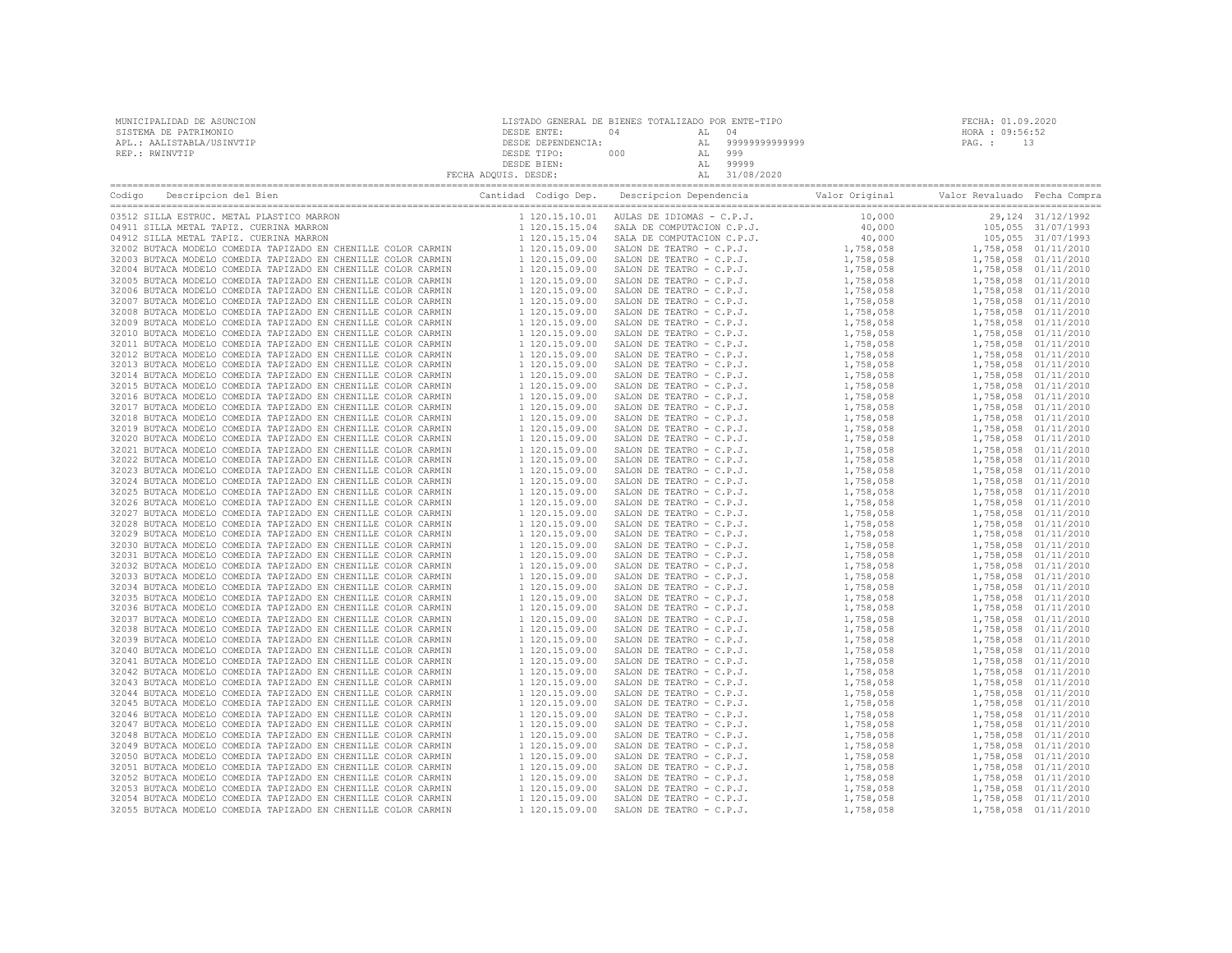| MUNICIPALIDAD DE ASUNCION<br>SISTEMA DE PATRIMONIO<br>APL.: AALISTABLA/USINVTIP<br>REP.: RWINVTIP                                   | LISTADO GENERAL DE BIENES TOTALIZADO POR ENTE-TIPO<br>${\small \begin{tabular}{c} \bf \texttt{DESDE ENTER:}} \\ \bf \texttt{DESDE ENTER:}} \\ \bf \texttt{DESDE} \\ \bf \texttt{DESDE THE:}} \\ \bf \texttt{DESDE THE:}} \\ \bf \texttt{PESDE THE:}} \\ \bf \texttt{FECHA ADQUIS. DESDE} \\ \bf \texttt{DESDE} \\ \bf \texttt{FECHA ADQUIS.} \\ \bf \texttt{DESDE} \\ \bf \texttt{NCES} \\ \bf \texttt{DESDE} \\ \bf \texttt{NCES} \\ \bf \texttt{NCES} \\ \bf \texttt{NCES} \\ \bf \texttt{NCES} \\ \bf \texttt{NCES} \\ \bf \texttt{NCES$ | FECHA: 01.09.2020<br>HORA : 09:56:52<br>PAG.: 13 |
|-------------------------------------------------------------------------------------------------------------------------------------|---------------------------------------------------------------------------------------------------------------------------------------------------------------------------------------------------------------------------------------------------------------------------------------------------------------------------------------------------------------------------------------------------------------------------------------------------------------------------------------------------------------------------------------------|--------------------------------------------------|
| Codigo Descripcion del Bien de Marco de Cantidad Codigo Dep. Descripcion Dependencia de Valor Original Valor Revaluado Fecha Compra |                                                                                                                                                                                                                                                                                                                                                                                                                                                                                                                                             |                                                  |
|                                                                                                                                     |                                                                                                                                                                                                                                                                                                                                                                                                                                                                                                                                             | 29,124 31/12/1992                                |
|                                                                                                                                     |                                                                                                                                                                                                                                                                                                                                                                                                                                                                                                                                             | 105,055 31/07/1993                               |
|                                                                                                                                     |                                                                                                                                                                                                                                                                                                                                                                                                                                                                                                                                             | 105,055 31/07/1993                               |
|                                                                                                                                     |                                                                                                                                                                                                                                                                                                                                                                                                                                                                                                                                             | 1,758,058 01/11/2010                             |
|                                                                                                                                     |                                                                                                                                                                                                                                                                                                                                                                                                                                                                                                                                             | 1,758,058 01/11/2010                             |
|                                                                                                                                     |                                                                                                                                                                                                                                                                                                                                                                                                                                                                                                                                             | 1,758,058 01/11/2010<br>1,758,058 01/11/2010     |
|                                                                                                                                     |                                                                                                                                                                                                                                                                                                                                                                                                                                                                                                                                             | 1,758,058 01/11/2010                             |
|                                                                                                                                     |                                                                                                                                                                                                                                                                                                                                                                                                                                                                                                                                             | 1,758,058 01/11/2010                             |
|                                                                                                                                     |                                                                                                                                                                                                                                                                                                                                                                                                                                                                                                                                             | 1,758,058 01/11/2010                             |
|                                                                                                                                     |                                                                                                                                                                                                                                                                                                                                                                                                                                                                                                                                             | 1,758,058 01/11/2010                             |
|                                                                                                                                     |                                                                                                                                                                                                                                                                                                                                                                                                                                                                                                                                             | 1,758,058 01/11/2010                             |
|                                                                                                                                     |                                                                                                                                                                                                                                                                                                                                                                                                                                                                                                                                             | 1,758,058 01/11/2010                             |
|                                                                                                                                     |                                                                                                                                                                                                                                                                                                                                                                                                                                                                                                                                             | 1,758,058 01/11/2010                             |
|                                                                                                                                     |                                                                                                                                                                                                                                                                                                                                                                                                                                                                                                                                             | 1,758,058 01/11/2010                             |
|                                                                                                                                     |                                                                                                                                                                                                                                                                                                                                                                                                                                                                                                                                             | 1,758,058 01/11/2010<br>1,758,058 01/11/2010     |
|                                                                                                                                     |                                                                                                                                                                                                                                                                                                                                                                                                                                                                                                                                             | 1,758,058 01/11/2010                             |
|                                                                                                                                     |                                                                                                                                                                                                                                                                                                                                                                                                                                                                                                                                             | 1,758,058 01/11/2010                             |
|                                                                                                                                     |                                                                                                                                                                                                                                                                                                                                                                                                                                                                                                                                             | 1,758,058 01/11/2010                             |
|                                                                                                                                     |                                                                                                                                                                                                                                                                                                                                                                                                                                                                                                                                             | 1,758,058 01/11/2010                             |
|                                                                                                                                     |                                                                                                                                                                                                                                                                                                                                                                                                                                                                                                                                             | 1,758,058 01/11/2010                             |
|                                                                                                                                     |                                                                                                                                                                                                                                                                                                                                                                                                                                                                                                                                             | 1,758,058 01/11/2010                             |
|                                                                                                                                     |                                                                                                                                                                                                                                                                                                                                                                                                                                                                                                                                             | 1,758,058 01/11/2010                             |
|                                                                                                                                     |                                                                                                                                                                                                                                                                                                                                                                                                                                                                                                                                             | 1,758,058 01/11/2010                             |
|                                                                                                                                     |                                                                                                                                                                                                                                                                                                                                                                                                                                                                                                                                             | 1,758,058 01/11/2010<br>1,758,058 01/11/2010     |
|                                                                                                                                     |                                                                                                                                                                                                                                                                                                                                                                                                                                                                                                                                             | 1,758,058 01/11/2010                             |
|                                                                                                                                     |                                                                                                                                                                                                                                                                                                                                                                                                                                                                                                                                             | 1,758,058 01/11/2010                             |
|                                                                                                                                     |                                                                                                                                                                                                                                                                                                                                                                                                                                                                                                                                             | 1,758,058 01/11/2010                             |
|                                                                                                                                     |                                                                                                                                                                                                                                                                                                                                                                                                                                                                                                                                             | 1,758,058 01/11/2010                             |
|                                                                                                                                     |                                                                                                                                                                                                                                                                                                                                                                                                                                                                                                                                             | 1,758,058 01/11/2010                             |
|                                                                                                                                     |                                                                                                                                                                                                                                                                                                                                                                                                                                                                                                                                             | 1,758,058 01/11/2010                             |
|                                                                                                                                     |                                                                                                                                                                                                                                                                                                                                                                                                                                                                                                                                             | 1,758,058 01/11/2010                             |
|                                                                                                                                     |                                                                                                                                                                                                                                                                                                                                                                                                                                                                                                                                             | 1,758,058 01/11/2010<br>1,758,058 01/11/2010     |
|                                                                                                                                     |                                                                                                                                                                                                                                                                                                                                                                                                                                                                                                                                             | 1,758,058 01/11/2010                             |
|                                                                                                                                     |                                                                                                                                                                                                                                                                                                                                                                                                                                                                                                                                             | 1,758,058 01/11/2010                             |
|                                                                                                                                     |                                                                                                                                                                                                                                                                                                                                                                                                                                                                                                                                             | 1,758,058 01/11/2010                             |
|                                                                                                                                     |                                                                                                                                                                                                                                                                                                                                                                                                                                                                                                                                             | 1,758,058 01/11/2010                             |
|                                                                                                                                     |                                                                                                                                                                                                                                                                                                                                                                                                                                                                                                                                             | 1,758,058 01/11/2010                             |
|                                                                                                                                     |                                                                                                                                                                                                                                                                                                                                                                                                                                                                                                                                             | 1,758,058 01/11/2010                             |
|                                                                                                                                     |                                                                                                                                                                                                                                                                                                                                                                                                                                                                                                                                             | 1,758,058 01/11/2010                             |
|                                                                                                                                     |                                                                                                                                                                                                                                                                                                                                                                                                                                                                                                                                             | 1,758,058 01/11/2010                             |
|                                                                                                                                     |                                                                                                                                                                                                                                                                                                                                                                                                                                                                                                                                             | 1,758,058 01/11/2010<br>1,758,058 01/11/2010     |
|                                                                                                                                     |                                                                                                                                                                                                                                                                                                                                                                                                                                                                                                                                             | 1,758,058 01/11/2010                             |
|                                                                                                                                     |                                                                                                                                                                                                                                                                                                                                                                                                                                                                                                                                             | 1,758,058 01/11/2010                             |
|                                                                                                                                     |                                                                                                                                                                                                                                                                                                                                                                                                                                                                                                                                             | 1,758,058 01/11/2010                             |
|                                                                                                                                     |                                                                                                                                                                                                                                                                                                                                                                                                                                                                                                                                             | 1,758,058 01/11/2010                             |
|                                                                                                                                     |                                                                                                                                                                                                                                                                                                                                                                                                                                                                                                                                             | 1,758,058 01/11/2010                             |
|                                                                                                                                     |                                                                                                                                                                                                                                                                                                                                                                                                                                                                                                                                             | 1,758,058 01/11/2010                             |
|                                                                                                                                     |                                                                                                                                                                                                                                                                                                                                                                                                                                                                                                                                             | 1,758,058 01/11/2010                             |
|                                                                                                                                     |                                                                                                                                                                                                                                                                                                                                                                                                                                                                                                                                             | 1,758,058 01/11/2010<br>1,758,058 01/11/2010     |
|                                                                                                                                     |                                                                                                                                                                                                                                                                                                                                                                                                                                                                                                                                             | 1,758,058 01/11/2010                             |
|                                                                                                                                     |                                                                                                                                                                                                                                                                                                                                                                                                                                                                                                                                             | 1,758,058 01/11/2010                             |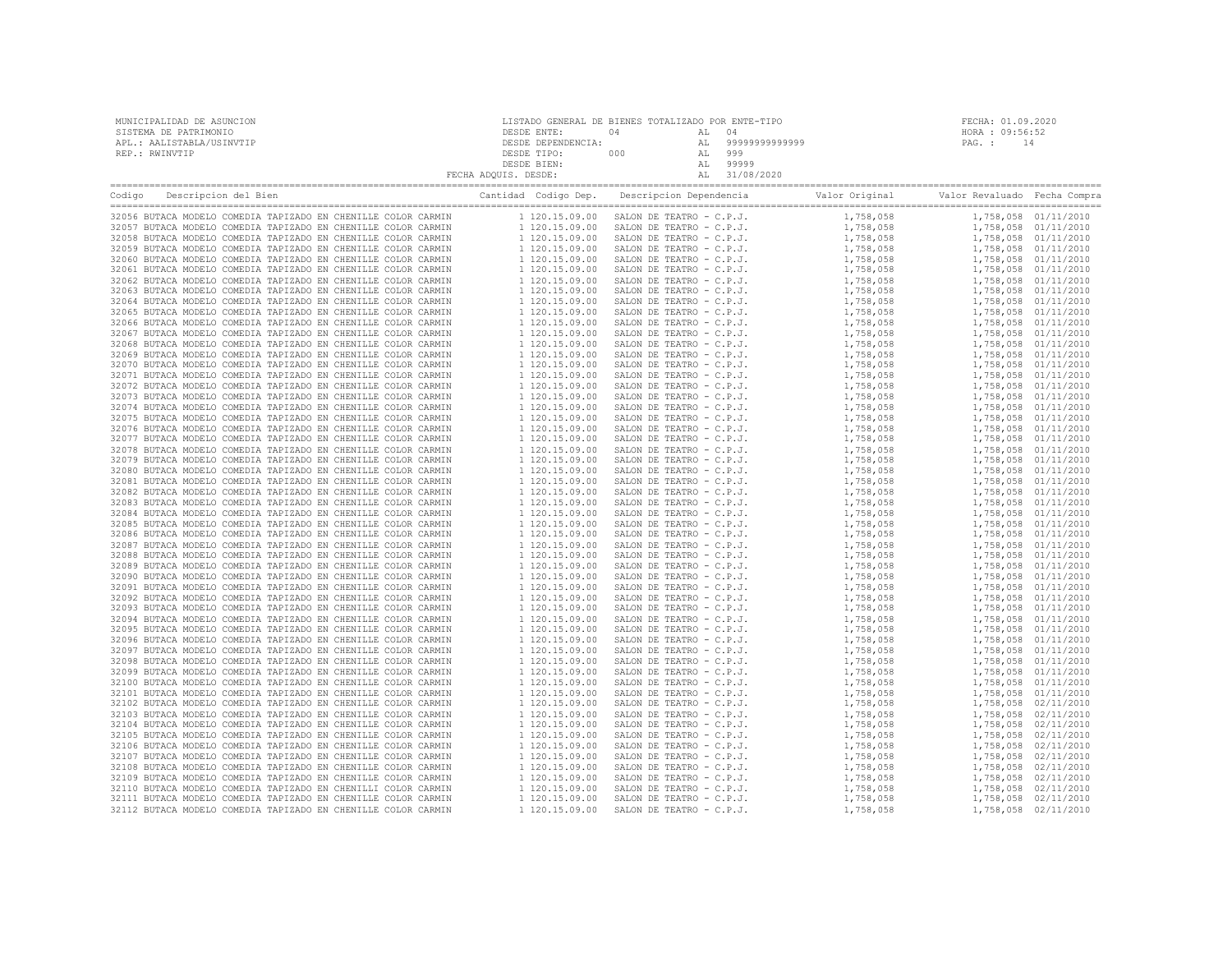| MUNICIPALIDAD DE ASUNCION | LISTADO GENERAL DE BIENES TOTALIZADO POR ENTE-TIPO |     |    |                |                 | FECHA: 01.09.2020 |
|---------------------------|----------------------------------------------------|-----|----|----------------|-----------------|-------------------|
| SISTEMA DE PATRIMONIO     | DESDE ENTE:                                        | N 4 |    | 04             | HORA : 09:56:52 |                   |
| APL.: AALISTABLA/USINVTIP | DESDE DEPENDENCIA:                                 |     |    | 99999999999999 | PAG. :          | 14                |
| REP.: RWINVTIP            | DESDE TIPO:                                        | 000 | AL | 999            |                 |                   |
|                           | DESDE BIEN:                                        |     |    | 99999          |                 |                   |
|                           | FECHA ADQUIS. DESDE:                               |     |    | 31/08/2020     |                 |                   |
|                           |                                                    |     |    |                |                 |                   |

| Codigo | Descripcion del Bien                                                                                                           | Cantidad Codigo Dep.             | Descripcion Dependencia                              | Valor Original         | Valor Revaluado Fecha Compra |                                              |
|--------|--------------------------------------------------------------------------------------------------------------------------------|----------------------------------|------------------------------------------------------|------------------------|------------------------------|----------------------------------------------|
|        | 32056 BUTACA MODELO COMEDIA TAPIZADO EN CHENILLE COLOR CARMIN                                                                  | 1 120.15.09.00                   | SALON DE TEATRO - C.P.J.                             | 1,758,058              |                              | 1,758,058 01/11/2010                         |
|        | 32057 BUTACA MODELO COMEDIA TAPIZADO EN CHENILLE COLOR CARMIN                                                                  | 1 120.15.09.00                   | SALON DE TEATRO - C.P.J.                             | 1,758,058              |                              | 1,758,058 01/11/2010                         |
|        | 32058 BUTACA MODELO COMEDIA TAPIZADO EN CHENILLE COLOR CARMIN                                                                  | 1 120.15.09.00                   | SALON DE TEATRO - C.P.J.                             | 1,758,058              |                              | 1,758,058 01/11/2010                         |
|        | 32059 BUTACA MODELO COMEDIA TAPIZADO EN CHENILLE COLOR CARMIN                                                                  | 1 120.15.09.00                   | SALON DE TEATRO - C.P.J.                             | 1,758,058              |                              | 1,758,058 01/11/2010                         |
|        | 32060 BUTACA MODELO COMEDIA TAPIZADO EN CHENILLE COLOR CARMIN                                                                  | 1 120.15.09.00                   | SALON DE TEATRO - C.P.J.                             | 1,758,058              |                              | 1,758,058 01/11/2010                         |
|        | 32061 BUTACA MODELO COMEDIA TAPIZADO EN CHENILLE COLOR CARMIN                                                                  | 1 120.15.09.00                   | SALON DE TEATRO - C.P.J.                             | 1,758,058              |                              | 1,758,058 01/11/2010                         |
|        | 32062 BUTACA MODELO COMEDIA TAPIZADO EN CHENILLE COLOR CARMIN                                                                  | 1 120.15.09.00                   | SALON DE TEATRO - C.P.J.                             | 1,758,058              |                              | 1,758,058 01/11/2010                         |
|        | 32063 BUTACA MODELO COMEDIA TAPIZADO EN CHENILLE COLOR CARMIN                                                                  | 1 120.15.09.00                   | SALON DE TEATRO - C.P.J.                             | 1,758,058              |                              | 1,758,058 01/11/2010                         |
|        | 32064 BUTACA MODELO COMEDIA TAPIZADO EN CHENILLE COLOR CARMIN                                                                  | 1 120.15.09.00                   | SALON DE TEATRO - C.P.J.                             | 1,758,058              |                              | 1,758,058 01/11/2010                         |
|        | 32065 BUTACA MODELO COMEDIA TAPIZADO EN CHENILLE COLOR CARMIN                                                                  | 1 120.15.09.00                   | SALON DE TEATRO - C.P.J.                             | 1,758,058              |                              | 1,758,058 01/11/2010                         |
|        | 32066 BUTACA MODELO COMEDIA TAPIZADO EN CHENILLE COLOR CARMIN                                                                  | 1 120.15.09.00                   | SALON DE TEATRO - C.P.J.                             | 1,758,058              |                              | 1,758,058 01/11/2010                         |
|        | 32067 BUTACA MODELO COMEDIA TAPIZADO EN CHENILLE COLOR CARMIN                                                                  | 1 120.15.09.00                   | SALON DE TEATRO - C.P.J.                             | 1,758,058              |                              | 1,758,058 01/11/2010                         |
|        | 32068 BUTACA MODELO COMEDIA TAPIZADO EN CHENILLE COLOR CARMIN                                                                  | 1 120.15.09.00                   | SALON DE TEATRO - C.P.J.                             | 1,758,058              |                              | 1,758,058 01/11/2010                         |
|        | 32069 BUTACA MODELO COMEDIA TAPIZADO EN CHENILLE COLOR CARMIN<br>32070 BUTACA MODELO COMEDIA TAPIZADO EN CHENILLE COLOR CARMIN | 1 120.15.09.00<br>1 120.15.09.00 | SALON DE TEATRO - C.P.J.<br>SALON DE TEATRO - C.P.J. | 1,758,058              |                              | 1,758,058 01/11/2010<br>1,758,058 01/11/2010 |
|        | 32071 BUTACA MODELO COMEDIA TAPIZADO EN CHENILLE COLOR CARMIN                                                                  | 1 120.15.09.00                   | SALON DE TEATRO - C.P.J.                             | 1,758,058<br>1,758,058 |                              | 1,758,058 01/11/2010                         |
|        | 32072 BUTACA MODELO COMEDIA TAPIZADO EN CHENILLE COLOR CARMIN                                                                  | 1 120.15.09.00                   | SALON DE TEATRO - C.P.J.                             | 1,758,058              |                              | 1,758,058 01/11/2010                         |
|        | 32073 BUTACA MODELO COMEDIA TAPIZADO EN CHENILLE COLOR CARMIN                                                                  | 1 120.15.09.00                   | SALON DE TEATRO - C.P.J.                             | 1,758,058              |                              | 1,758,058 01/11/2010                         |
|        | 32074 BUTACA MODELO COMEDIA TAPIZADO EN CHENILLE COLOR CARMIN                                                                  | 1 120.15.09.00                   | SALON DE TEATRO - C.P.J.                             | 1,758,058              |                              | 1,758,058 01/11/2010                         |
|        | 32075 BUTACA MODELO COMEDIA TAPIZADO EN CHENILLE COLOR CARMIN                                                                  | 1 120.15.09.00                   | SALON DE TEATRO - C.P.J.                             | 1,758,058              |                              | 1,758,058 01/11/2010                         |
|        | 32076 BUTACA MODELO COMEDIA TAPIZADO EN CHENILLE COLOR CARMIN                                                                  | 1 120.15.09.00                   | SALON DE TEATRO - C.P.J.                             | 1,758,058              |                              | 1,758,058 01/11/2010                         |
|        | 32077 BUTACA MODELO COMEDIA TAPIZADO EN CHENILLE COLOR CARMIN                                                                  | 1 120.15.09.00                   | SALON DE TEATRO - C.P.J.                             | 1,758,058              |                              | 1,758,058 01/11/2010                         |
|        | 32078 BUTACA MODELO COMEDIA TAPIZADO EN CHENILLE COLOR CARMIN                                                                  | 1 120.15.09.00                   | SALON DE TEATRO - C.P.J.                             | 1,758,058              |                              | 1,758,058 01/11/2010                         |
|        | 32079 BUTACA MODELO COMEDIA TAPIZADO EN CHENILLE COLOR CARMIN                                                                  | 1 120.15.09.00                   | SALON DE TEATRO - C.P.J.                             | 1,758,058              |                              | 1,758,058 01/11/2010                         |
|        | 32080 BUTACA MODELO COMEDIA TAPIZADO EN CHENILLE COLOR CARMIN                                                                  | 1 120.15.09.00                   | SALON DE TEATRO - C.P.J.                             | 1,758,058              |                              | 1,758,058 01/11/2010                         |
|        | 32081 BUTACA MODELO COMEDIA TAPIZADO EN CHENILLE COLOR CARMIN                                                                  | 1 120.15.09.00                   | SALON DE TEATRO - C.P.J.                             | 1,758,058              |                              | 1,758,058 01/11/2010                         |
|        | 32082 BUTACA MODELO COMEDIA TAPIZADO EN CHENILLE COLOR CARMIN                                                                  | 1 120.15.09.00                   | SALON DE TEATRO - C.P.J.                             | 1,758,058              |                              | 1,758,058 01/11/2010                         |
|        | 32083 BUTACA MODELO COMEDIA TAPIZADO EN CHENILLE COLOR CARMIN                                                                  | 1 120.15.09.00                   | SALON DE TEATRO - C.P.J.                             | 1,758,058              |                              | 1,758,058 01/11/2010                         |
|        | 32084 BUTACA MODELO COMEDIA TAPIZADO EN CHENILLE COLOR CARMIN                                                                  | 1 120.15.09.00                   | SALON DE TEATRO - C.P.J.                             | 1,758,058              |                              | 1,758,058 01/11/2010                         |
|        | 32085 BUTACA MODELO COMEDIA TAPIZADO EN CHENILLE COLOR CARMIN                                                                  | 1 120.15.09.00                   | SALON DE TEATRO - C.P.J.                             | 1,758,058              |                              | 1,758,058 01/11/2010                         |
|        | 32086 BUTACA MODELO COMEDIA TAPIZADO EN CHENILLE COLOR CARMIN                                                                  | 1 120.15.09.00                   | SALON DE TEATRO - C.P.J.                             | 1,758,058              |                              | 1,758,058 01/11/2010                         |
|        | 32087 BUTACA MODELO COMEDIA TAPIZADO EN CHENILLE COLOR CARMIN                                                                  | 1 120.15.09.00                   | SALON DE TEATRO - C.P.J.                             | 1,758,058              |                              | 1,758,058 01/11/2010                         |
|        | 32088 BUTACA MODELO COMEDIA TAPIZADO EN CHENILLE COLOR CARMIN                                                                  | 1 120.15.09.00                   | SALON DE TEATRO - C.P.J.                             | 1,758,058              |                              | 1,758,058 01/11/2010                         |
|        | 32089 BUTACA MODELO COMEDIA TAPIZADO EN CHENILLE COLOR CARMIN                                                                  | 1 120.15.09.00                   | SALON DE TEATRO - C.P.J.                             | 1,758,058              |                              | 1,758,058 01/11/2010                         |
|        | 32090 BUTACA MODELO COMEDIA TAPIZADO EN CHENILLE COLOR CARMIN                                                                  | 1 120.15.09.00                   | SALON DE TEATRO - C.P.J.                             | 1,758,058              |                              | 1,758,058 01/11/2010                         |
|        | 32091 BUTACA MODELO COMEDIA TAPIZADO EN CHENILLE COLOR CARMIN                                                                  | 1 120.15.09.00                   | SALON DE TEATRO - C.P.J.                             | 1,758,058              |                              | 1,758,058 01/11/2010                         |
|        | 32092 BUTACA MODELO COMEDIA TAPIZADO EN CHENILLE COLOR CARMIN                                                                  | 1 120.15.09.00                   | SALON DE TEATRO - C.P.J.                             | 1,758,058              |                              | 1,758,058 01/11/2010                         |
|        | 32093 BUTACA MODELO COMEDIA TAPIZADO EN CHENILLE COLOR CARMIN                                                                  | 1 120.15.09.00                   | SALON DE TEATRO - C.P.J.                             | 1,758,058              |                              | 1,758,058 01/11/2010                         |
|        | 32094 BUTACA MODELO COMEDIA TAPIZADO EN CHENILLE COLOR CARMIN                                                                  | 1 120.15.09.00                   | SALON DE TEATRO - C.P.J.                             | 1,758,058              |                              | 1,758,058 01/11/2010                         |
|        | 32095 BUTACA MODELO COMEDIA TAPIZADO EN CHENILLE COLOR CARMIN                                                                  | 1 120.15.09.00                   | SALON DE TEATRO - C.P.J.                             | 1,758,058              |                              | 1,758,058 01/11/2010                         |
|        | 32096 BUTACA MODELO COMEDIA TAPIZADO EN CHENILLE COLOR CARMIN                                                                  | 1 120.15.09.00                   | SALON DE TEATRO - C.P.J.                             | 1,758,058              |                              | 1,758,058 01/11/2010                         |
|        | 32097 BUTACA MODELO COMEDIA TAPIZADO EN CHENILLE COLOR CARMIN                                                                  | 1 120.15.09.00                   | SALON DE TEATRO - C.P.J.                             | 1,758,058              |                              | 1,758,058 01/11/2010                         |
|        | 32098 BUTACA MODELO COMEDIA TAPIZADO EN CHENILLE COLOR CARMIN                                                                  | 1 120.15.09.00                   | SALON DE TEATRO - C.P.J.                             | 1,758,058              |                              | 1,758,058 01/11/2010                         |
|        | 32099 BUTACA MODELO COMEDIA TAPIZADO EN CHENILLE COLOR CARMIN                                                                  | 1 120.15.09.00                   | SALON DE TEATRO - C.P.J.                             | 1,758,058              |                              | 1,758,058 01/11/2010                         |
|        | 32100 BUTACA MODELO COMEDIA TAPIZADO EN CHENILLE COLOR CARMIN                                                                  | 1 120.15.09.00                   | SALON DE TEATRO - C.P.J.                             | 1,758,058              |                              | 1,758,058 01/11/2010                         |
|        | 32101 BUTACA MODELO COMEDIA TAPIZADO EN CHENILLE COLOR CARMIN                                                                  | 1 120.15.09.00                   | SALON DE TEATRO - C.P.J.                             | 1,758,058              |                              | 1,758,058 01/11/2010                         |
|        | 32102 BUTACA MODELO COMEDIA TAPIZADO EN CHENILLE COLOR CARMIN                                                                  | 1 120.15.09.00                   | SALON DE TEATRO - C.P.J.                             | 1,758,058              |                              | 1,758,058 02/11/2010                         |
|        | 32103 BUTACA MODELO COMEDIA TAPIZADO EN CHENILLE COLOR CARMIN                                                                  | 1 120.15.09.00                   | SALON DE TEATRO - C.P.J.                             | 1,758,058              |                              | 1,758,058 02/11/2010                         |
|        | 32104 BUTACA MODELO COMEDIA TAPIZADO EN CHENILLE COLOR CARMIN                                                                  | 1 120.15.09.00                   | SALON DE TEATRO - C.P.J.                             | 1,758,058              |                              | 1,758,058 02/11/2010                         |
|        | 32105 BUTACA MODELO COMEDIA TAPIZADO EN CHENILLE COLOR CARMIN                                                                  | 1 120.15.09.00                   | SALON DE TEATRO - C.P.J.                             | 1,758,058              |                              | 1,758,058 02/11/2010                         |
|        | 32106 BUTACA MODELO COMEDIA TAPIZADO EN CHENILLE COLOR CARMIN<br>32107 BUTACA MODELO COMEDIA TAPIZADO EN CHENILLE COLOR CARMIN | 1 120.15.09.00<br>1 120.15.09.00 | SALON DE TEATRO - C.P.J.                             | 1,758,058<br>1,758,058 |                              | 1,758,058 02/11/2010                         |
|        | 32108 BUTACA MODELO COMEDIA TAPIZADO EN CHENILLE COLOR CARMIN                                                                  | 1 120.15.09.00                   | SALON DE TEATRO - C.P.J.<br>SALON DE TEATRO - C.P.J. | 1,758,058              |                              | 1,758,058 02/11/2010<br>1,758,058 02/11/2010 |
|        | 32109 BUTACA MODELO COMEDIA TAPIZADO EN CHENILLE COLOR CARMIN                                                                  | 1 120.15.09.00                   | SALON DE TEATRO - C.P.J.                             | 1,758,058              |                              | 1,758,058 02/11/2010                         |
|        | 32110 BUTACA MODELO COMEDIA TAPIZADO EN CHENILLI COLOR CARMIN                                                                  | 1 120.15.09.00                   | SALON DE TEATRO - C.P.J.                             | 1,758,058              |                              | 1,758,058 02/11/2010                         |
|        | 32111 BUTACA MODELO COMEDIA TAPIZADO EN CHENILLE COLOR CARMIN                                                                  | 1 120.15.09.00                   | SALON DE TEATRO - C.P.J.                             | 1,758,058              |                              | 1,758,058 02/11/2010                         |
|        | 32112 BUTACA MODELO COMEDIA TAPIZADO EN CHENILLE COLOR CARMIN                                                                  | 1 120.15.09.00                   | SALON DE TEATRO - C.P.J.                             | 1,758,058              |                              | 1,758,058 02/11/2010                         |
|        |                                                                                                                                |                                  |                                                      |                        |                              |                                              |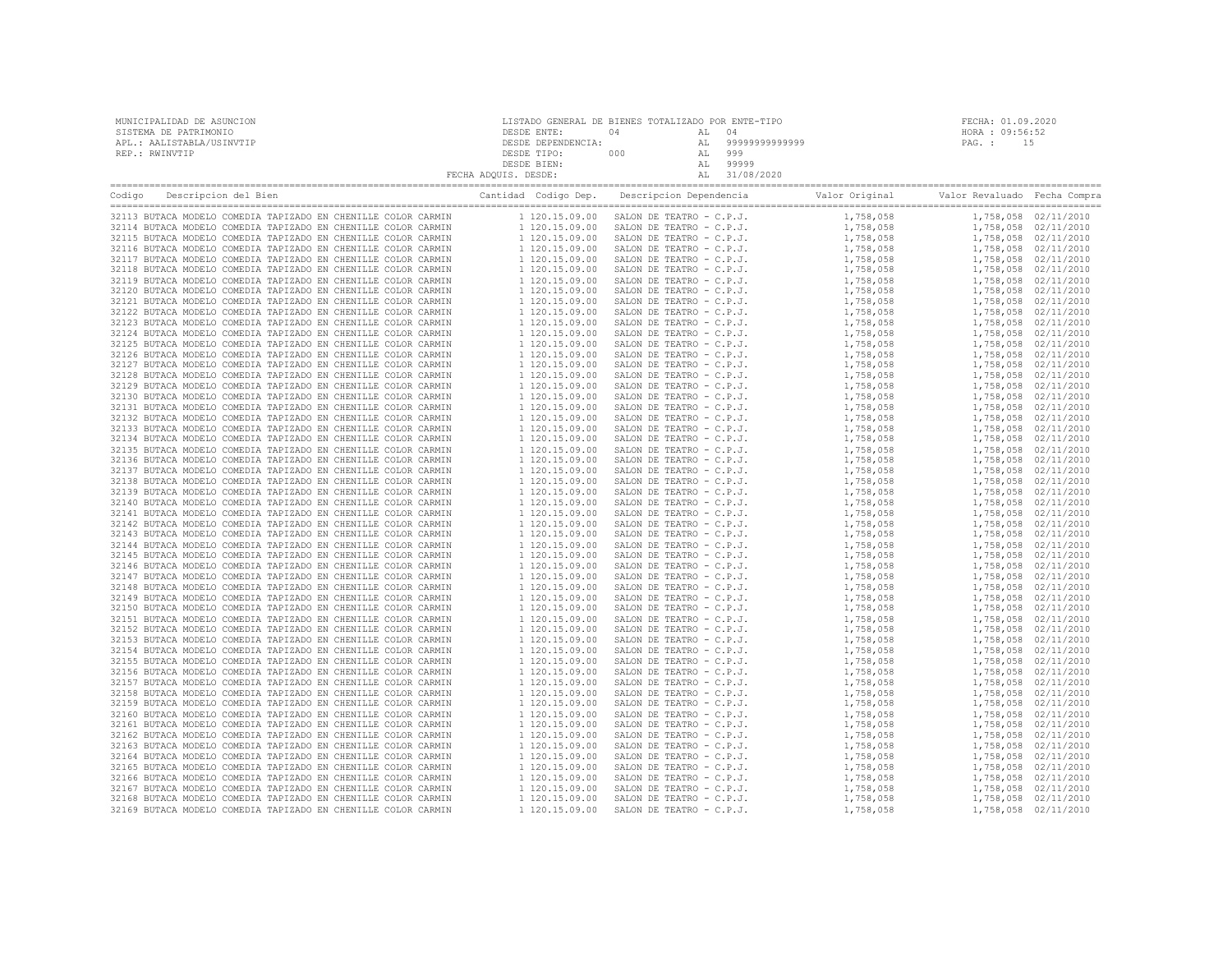| MUNICIPALIDAD DE ASUNCION | LISTADO GENERAL DE BIENES TOTALIZADO POR ENTE-TIPO |      |    |               |                 | FECHA: 01.09.2020 |  |
|---------------------------|----------------------------------------------------|------|----|---------------|-----------------|-------------------|--|
| SISTEMA DE PATRIMONIO     | DESDE ENTE:                                        | (14) |    |               | HORA : 09:56:52 |                   |  |
| APL.: AALISTABLA/USINVTIP | DESDE DEPENDENCIA:                                 |      | AL | 9999999999999 | PAG. :          |                   |  |
| REP.: RWINVTIP            | DESDE TIPO:                                        | 000  |    | 999           |                 |                   |  |
|                           | DESDE BIEN:                                        |      | AL | 99999         |                 |                   |  |
|                           | FECHA ADQUIS. DESDE:                               |      |    | 31/08/2020    |                 |                   |  |

| Codigo | Descripcion del Bien                                          | Cantidad Codigo Dep. | Descripcion Dependencia  | Valor Original Valor Revaluado Fecha Compra |                      |
|--------|---------------------------------------------------------------|----------------------|--------------------------|---------------------------------------------|----------------------|
|        |                                                               |                      |                          |                                             |                      |
|        | 32113 BUTACA MODELO COMEDIA TAPIZADO EN CHENILLE COLOR CARMIN | 1 120.15.09.00       | SALON DE TEATRO - C.P.J. | 1,758,058                                   | 1,758,058 02/11/2010 |
|        | 32114 BUTACA MODELO COMEDIA TAPIZADO EN CHENILLE COLOR CARMIN | 1 120.15.09.00       | SALON DE TEATRO - C.P.J. | 1,758,058                                   | 1,758,058 02/11/2010 |
|        | 32115 BUTACA MODELO COMEDIA TAPIZADO EN CHENILLE COLOR CARMIN | 1 120.15.09.00       | SALON DE TEATRO - C.P.J. | 1,758,058                                   | 1,758,058 02/11/2010 |
|        | 32116 BUTACA MODELO COMEDIA TAPIZADO EN CHENILLE COLOR CARMIN | 1 120.15.09.00       | SALON DE TEATRO - C.P.J. | 1,758,058                                   | 1,758,058 02/11/2010 |
|        | 32117 BUTACA MODELO COMEDIA TAPIZADO EN CHENILLE COLOR CARMIN | 1 120.15.09.00       | SALON DE TEATRO - C.P.J. | 1,758,058                                   | 1,758,058 02/11/2010 |
|        | 32118 BUTACA MODELO COMEDIA TAPIZADO EN CHENILLE COLOR CARMIN | 1 120.15.09.00       | SALON DE TEATRO - C.P.J. | 1,758,058                                   | 1,758,058 02/11/2010 |
|        | 32119 BUTACA MODELO COMEDIA TAPIZADO EN CHENILLE COLOR CARMIN | 1 120.15.09.00       | SALON DE TEATRO - C.P.J. | 1,758,058                                   | 1,758,058 02/11/2010 |
|        | 32120 BUTACA MODELO COMEDIA TAPIZADO EN CHENILLE COLOR CARMIN | 1 120.15.09.00       | SALON DE TEATRO - C.P.J. | 1,758,058                                   | 1,758,058 02/11/2010 |
|        | 32121 BUTACA MODELO COMEDIA TAPIZADO EN CHENILLE COLOR CARMIN | 1 120.15.09.00       | SALON DE TEATRO - C.P.J. | 1,758,058                                   | 1,758,058 02/11/2010 |
|        | 32122 BUTACA MODELO COMEDIA TAPIZADO EN CHENILLE COLOR CARMIN | 1 120.15.09.00       | SALON DE TEATRO - C.P.J. | 1,758,058                                   | 1,758,058 02/11/2010 |
|        | 32123 BUTACA MODELO COMEDIA TAPIZADO EN CHENILLE COLOR CARMIN | 1 120.15.09.00       | SALON DE TEATRO - C.P.J. | 1,758,058                                   | 1,758,058 02/11/2010 |
|        | 32124 BUTACA MODELO COMEDIA TAPIZADO EN CHENILLE COLOR CARMIN | 1 120.15.09.00       | SALON DE TEATRO - C.P.J. | 1,758,058                                   | 1,758,058 02/11/2010 |
|        | 32125 BUTACA MODELO COMEDIA TAPIZADO EN CHENILLE COLOR CARMIN | 1 120.15.09.00       | SALON DE TEATRO - C.P.J. | 1,758,058                                   | 1,758,058 02/11/2010 |
|        | 32126 BUTACA MODELO COMEDIA TAPIZADO EN CHENILLE COLOR CARMIN | 1 120.15.09.00       | SALON DE TEATRO - C.P.J. | 1,758,058                                   | 1,758,058 02/11/2010 |
|        |                                                               |                      |                          |                                             |                      |
|        | 32127 BUTACA MODELO COMEDIA TAPIZADO EN CHENILLE COLOR CARMIN | 1 120.15.09.00       | SALON DE TEATRO - C.P.J. | 1,758,058                                   | 1,758,058 02/11/2010 |
|        | 32128 BUTACA MODELO COMEDIA TAPIZADO EN CHENILLE COLOR CARMIN | 1 120.15.09.00       | SALON DE TEATRO - C.P.J. | 1,758,058                                   | 1,758,058 02/11/2010 |
|        | 32129 BUTACA MODELO COMEDIA TAPIZADO EN CHENILLE COLOR CARMIN | 1 120.15.09.00       | SALON DE TEATRO - C.P.J. | 1,758,058                                   | 1,758,058 02/11/2010 |
|        | 32130 BUTACA MODELO COMEDIA TAPIZADO EN CHENILLE COLOR CARMIN | 1 120.15.09.00       | SALON DE TEATRO - C.P.J. | 1,758,058                                   | 1,758,058 02/11/2010 |
|        | 32131 BUTACA MODELO COMEDIA TAPIZADO EN CHENILLE COLOR CARMIN | 1 120.15.09.00       | SALON DE TEATRO - C.P.J. | 1,758,058                                   | 1,758,058 02/11/2010 |
|        | 32132 BUTACA MODELO COMEDIA TAPIZADO EN CHENILLE COLOR CARMIN | 1 120.15.09.00       | SALON DE TEATRO - C.P.J. | 1,758,058                                   | 1,758,058 02/11/2010 |
|        | 32133 BUTACA MODELO COMEDIA TAPIZADO EN CHENILLE COLOR CARMIN | 1 120.15.09.00       | SALON DE TEATRO - C.P.J. | 1,758,058                                   | 1,758,058 02/11/2010 |
|        | 32134 BUTACA MODELO COMEDIA TAPIZADO EN CHENILLE COLOR CARMIN | 1 120.15.09.00       | SALON DE TEATRO - C.P.J. | 1,758,058                                   | 1,758,058 02/11/2010 |
|        | 32135 BUTACA MODELO COMEDIA TAPIZADO EN CHENILLE COLOR CARMIN | 1 120.15.09.00       | SALON DE TEATRO - C.P.J. | 1,758,058                                   | 1,758,058 02/11/2010 |
|        | 32136 BUTACA MODELO COMEDIA TAPIZADO EN CHENILLE COLOR CARMIN | 1 120.15.09.00       | SALON DE TEATRO - C.P.J. | 1,758,058                                   | 1,758,058 02/11/2010 |
|        | 32137 BUTACA MODELO COMEDIA TAPIZADO EN CHENILLE COLOR CARMIN | 1 120.15.09.00       | SALON DE TEATRO - C.P.J. | 1,758,058                                   | 1,758,058 02/11/2010 |
|        | 32138 BUTACA MODELO COMEDIA TAPIZADO EN CHENILLE COLOR CARMIN | 1 120.15.09.00       | SALON DE TEATRO - C.P.J. | 1,758,058                                   | 1,758,058 02/11/2010 |
|        | 32139 BUTACA MODELO COMEDIA TAPIZADO EN CHENILLE COLOR CARMIN | 1 120.15.09.00       | SALON DE TEATRO - C.P.J. | 1,758,058                                   | 1,758,058 02/11/2010 |
|        | 32140 BUTACA MODELO COMEDIA TAPIZADO EN CHENILLE COLOR CARMIN | 1 120.15.09.00       | SALON DE TEATRO - C.P.J. | 1,758,058                                   | 1,758,058 02/11/2010 |
|        | 32141 BUTACA MODELO COMEDIA TAPIZADO EN CHENILLE COLOR CARMIN | 1 120.15.09.00       | SALON DE TEATRO - C.P.J. | 1,758,058                                   | 1,758,058 02/11/2010 |
|        | 32142 BUTACA MODELO COMEDIA TAPIZADO EN CHENILLE COLOR CARMIN | 1 120.15.09.00       | SALON DE TEATRO - C.P.J. | 1,758,058                                   | 1,758,058 02/11/2010 |
|        | 32143 BUTACA MODELO COMEDIA TAPIZADO EN CHENILLE COLOR CARMIN | 1 120.15.09.00       | SALON DE TEATRO - C.P.J. | 1,758,058                                   | 1,758,058 02/11/2010 |
|        | 32144 BUTACA MODELO COMEDIA TAPIZADO EN CHENILLE COLOR CARMIN | 1 120.15.09.00       | SALON DE TEATRO - C.P.J. | 1,758,058                                   | 1,758,058 02/11/2010 |
|        | 32145 BUTACA MODELO COMEDIA TAPIZADO EN CHENILLE COLOR CARMIN | 1 120.15.09.00       | SALON DE TEATRO - C.P.J. | 1,758,058                                   | 1,758,058 02/11/2010 |
|        |                                                               |                      |                          |                                             |                      |
|        | 32146 BUTACA MODELO COMEDIA TAPIZADO EN CHENILLE COLOR CARMIN | 1 120.15.09.00       | SALON DE TEATRO - C.P.J. | 1,758,058                                   | 1,758,058 02/11/2010 |
|        | 32147 BUTACA MODELO COMEDIA TAPIZADO EN CHENILLE COLOR CARMIN | 1 120.15.09.00       | SALON DE TEATRO - C.P.J. | 1,758,058                                   | 1,758,058 02/11/2010 |
|        | 32148 BUTACA MODELO COMEDIA TAPIZADO EN CHENILLE COLOR CARMIN | 1 120.15.09.00       | SALON DE TEATRO - C.P.J. | 1,758,058                                   | 1,758,058 02/11/2010 |
|        | 32149 BUTACA MODELO COMEDIA TAPIZADO EN CHENILLE COLOR CARMIN | 1 120.15.09.00       | SALON DE TEATRO - C.P.J. | 1,758,058                                   | 1,758,058 02/11/2010 |
|        | 32150 BUTACA MODELO COMEDIA TAPIZADO EN CHENILLE COLOR CARMIN | 1 120.15.09.00       | SALON DE TEATRO - C.P.J. | 1,758,058                                   | 1,758,058 02/11/2010 |
|        | 32151 BUTACA MODELO COMEDIA TAPIZADO EN CHENILLE COLOR CARMIN | 1 120.15.09.00       | SALON DE TEATRO - C.P.J. | 1,758,058                                   | 1,758,058 02/11/2010 |
|        | 32152 BUTACA MODELO COMEDIA TAPIZADO EN CHENILLE COLOR CARMIN | 1 120.15.09.00       | SALON DE TEATRO - C.P.J. | 1,758,058                                   | 1,758,058 02/11/2010 |
|        | 32153 BUTACA MODELO COMEDIA TAPIZADO EN CHENILLE COLOR CARMIN | 1 120.15.09.00       | SALON DE TEATRO - C.P.J. | 1,758,058                                   | 1,758,058 02/11/2010 |
|        | 32154 BUTACA MODELO COMEDIA TAPIZADO EN CHENILLE COLOR CARMIN | 1 120.15.09.00       | SALON DE TEATRO - C.P.J. | 1,758,058                                   | 1,758,058 02/11/2010 |
|        | 32155 BUTACA MODELO COMEDIA TAPIZADO EN CHENILLE COLOR CARMIN | 1 120.15.09.00       | SALON DE TEATRO - C.P.J. | 1,758,058                                   | 1,758,058 02/11/2010 |
|        | 32156 BUTACA MODELO COMEDIA TAPIZADO EN CHENILLE COLOR CARMIN | 1 120.15.09.00       | SALON DE TEATRO - C.P.J. | 1,758,058                                   | 1,758,058 02/11/2010 |
|        | 32157 BUTACA MODELO COMEDIA TAPIZADO EN CHENILLE COLOR CARMIN | 1 120.15.09.00       | SALON DE TEATRO - C.P.J. | 1,758,058                                   | 1,758,058 02/11/2010 |
|        | 32158 BUTACA MODELO COMEDIA TAPIZADO EN CHENILLE COLOR CARMIN | 1 120.15.09.00       | SALON DE TEATRO - C.P.J. | 1,758,058                                   | 1,758,058 02/11/2010 |
|        | 32159 BUTACA MODELO COMEDIA TAPIZADO EN CHENILLE COLOR CARMIN | 1 120.15.09.00       | SALON DE TEATRO - C.P.J. | 1,758,058                                   | 1,758,058 02/11/2010 |
|        | 32160 BUTACA MODELO COMEDIA TAPIZADO EN CHENILLE COLOR CARMIN | 1 120.15.09.00       | SALON DE TEATRO - C.P.J. | 1,758,058                                   | 1,758,058 02/11/2010 |
|        | 32161 BUTACA MODELO COMEDIA TAPIZADO EN CHENILLE COLOR CARMIN | 1 120.15.09.00       | SALON DE TEATRO - C.P.J. | 1,758,058                                   | 1,758,058 02/11/2010 |
|        | 32162 BUTACA MODELO COMEDIA TAPIZADO EN CHENILLE COLOR CARMIN | 1 120.15.09.00       | SALON DE TEATRO - C.P.J. | 1,758,058                                   | 1,758,058 02/11/2010 |
|        | 32163 BUTACA MODELO COMEDIA TAPIZADO EN CHENILLE COLOR CARMIN | 1 120.15.09.00       | SALON DE TEATRO - C.P.J. | 1,758,058                                   | 1,758,058 02/11/2010 |
|        |                                                               |                      |                          |                                             |                      |
|        | 32164 BUTACA MODELO COMEDIA TAPIZADO EN CHENILLE COLOR CARMIN | 1 120.15.09.00       | SALON DE TEATRO - C.P.J. | 1,758,058                                   | 1,758,058 02/11/2010 |
|        | 32165 BUTACA MODELO COMEDIA TAPIZADO EN CHENILLE COLOR CARMIN | 1 120.15.09.00       | SALON DE TEATRO - C.P.J. | 1,758,058                                   | 1,758,058 02/11/2010 |
|        | 32166 BUTACA MODELO COMEDIA TAPIZADO EN CHENILLE COLOR CARMIN | 1 120.15.09.00       | SALON DE TEATRO - C.P.J. | 1,758,058                                   | 1,758,058 02/11/2010 |
|        | 32167 BUTACA MODELO COMEDIA TAPIZADO EN CHENILLE COLOR CARMIN | 1 120.15.09.00       | SALON DE TEATRO - C.P.J. | 1,758,058                                   | 1,758,058 02/11/2010 |
|        | 32168 BUTACA MODELO COMEDIA TAPIZADO EN CHENILLE COLOR CARMIN | 1 120.15.09.00       | SALON DE TEATRO - C.P.J. | 1,758,058                                   | 1,758,058 02/11/2010 |
|        | 32169 BUTACA MODELO COMEDIA TAPIZADO EN CHENILLE COLOR CARMIN | 1 120.15.09.00       | SALON DE TEATRO - C.P.J. | 1,758,058                                   | 1,758,058 02/11/2010 |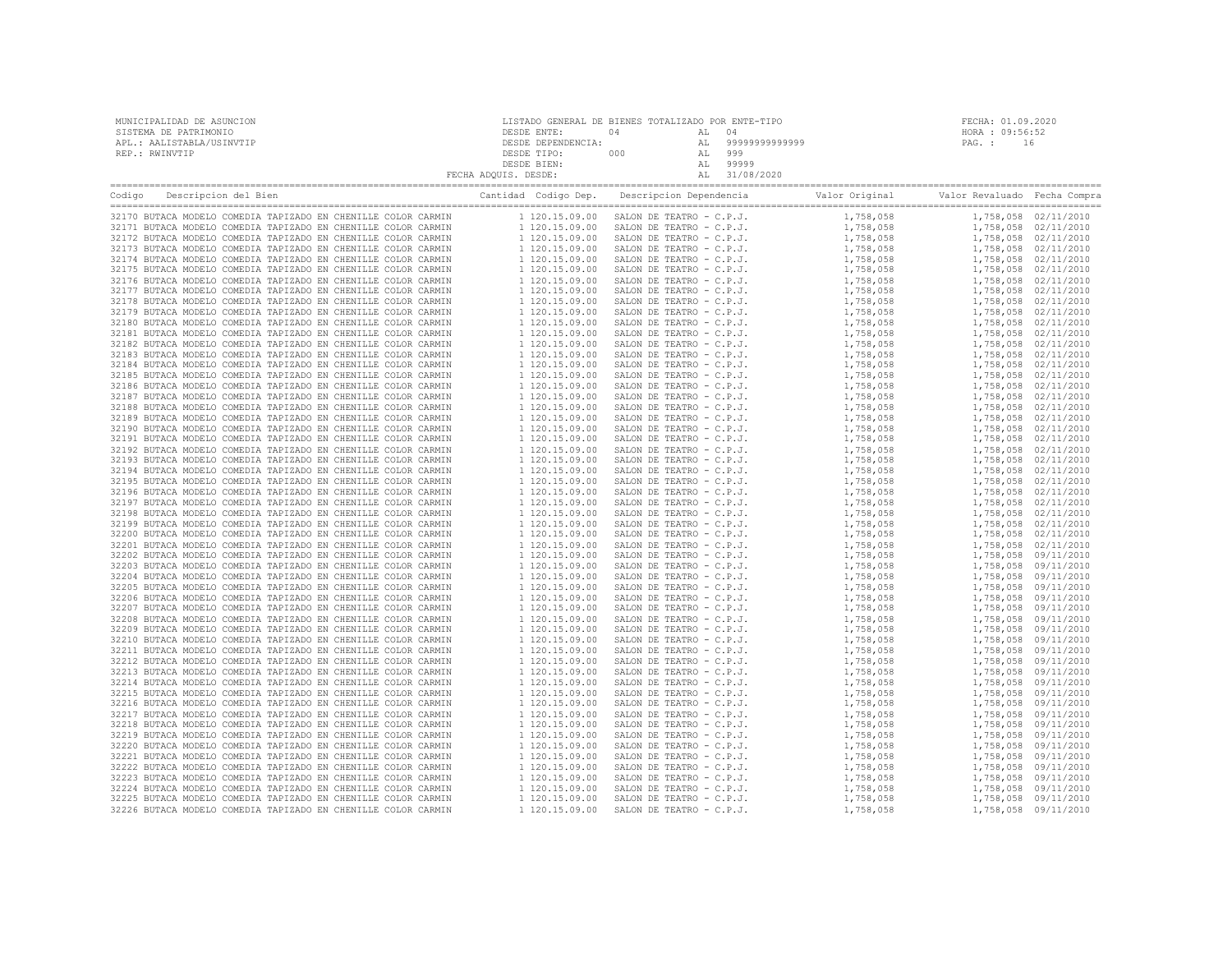| MUNICIPALIDAD DE ASUNCION | LISTADO GENERAL DE BIENES TOTALIZADO POR ENTE-TIPO |     |       |                   | FECHA: 01.09.2020 |
|---------------------------|----------------------------------------------------|-----|-------|-------------------|-------------------|
| SISTEMA DE PATRIMONIO     | DESDE ENTE:                                        |     | AL 04 |                   | HORA : 09:56:52   |
| APL.: AALISTABLA/USINVTIP | DESDE DEPENDENCIA:                                 |     |       | AL 99999999999999 | PAG.: 16          |
| REP.: RWINVTIP            | DESDE TIPO:                                        | 000 |       | 999               |                   |
|                           | DESDE BIEN:                                        |     |       | 99999             |                   |
|                           | FECHA ADOUIS. DESDE:                               |     |       | 31/08/2020        |                   |

| Descripcion del Bien<br>Codigo                                | Cantidad Codigo Dep. | Descripcion Dependencia  | Valor Original Valor Revaluado Fecha Compra |                      |
|---------------------------------------------------------------|----------------------|--------------------------|---------------------------------------------|----------------------|
| 32170 BUTACA MODELO COMEDIA TAPIZADO EN CHENILLE COLOR CARMIN | 1 120.15.09.00       | SALON DE TEATRO - C.P.J. | 1,758,058                                   | 1,758,058 02/11/2010 |
| 32171 BUTACA MODELO COMEDIA TAPIZADO EN CHENILLE COLOR CARMIN | 1 120.15.09.00       | SALON DE TEATRO - C.P.J. | 1,758,058                                   | 1,758,058 02/11/2010 |
| 32172 BUTACA MODELO COMEDIA TAPIZADO EN CHENILLE COLOR CARMIN | 1 120.15.09.00       | SALON DE TEATRO - C.P.J. | 1,758,058                                   | 1,758,058 02/11/2010 |
| 32173 BUTACA MODELO COMEDIA TAPIZADO EN CHENILLE COLOR CARMIN | 1 120.15.09.00       | SALON DE TEATRO - C.P.J. | 1,758,058                                   | 1,758,058 02/11/2010 |
| 32174 BUTACA MODELO COMEDIA TAPIZADO EN CHENILLE COLOR CARMIN | 1 120.15.09.00       | SALON DE TEATRO - C.P.J. | 1,758,058                                   | 1,758,058 02/11/2010 |
| 32175 BUTACA MODELO COMEDIA TAPIZADO EN CHENILLE COLOR CARMIN |                      |                          |                                             |                      |
|                                                               | 1 120.15.09.00       | SALON DE TEATRO - C.P.J. | 1,758,058                                   | 1,758,058 02/11/2010 |
| 32176 BUTACA MODELO COMEDIA TAPIZADO EN CHENILLE COLOR CARMIN | 1 120.15.09.00       | SALON DE TEATRO - C.P.J. | 1,758,058                                   | 1,758,058 02/11/2010 |
| 32177 BUTACA MODELO COMEDIA TAPIZADO EN CHENILLE COLOR CARMIN | 1 120.15.09.00       | SALON DE TEATRO - C.P.J. | 1,758,058                                   | 1,758,058 02/11/2010 |
| 32178 BUTACA MODELO COMEDIA TAPIZADO EN CHENILLE COLOR CARMIN | 1 120.15.09.00       | SALON DE TEATRO - C.P.J. | 1,758,058                                   | 1,758,058 02/11/2010 |
| 32179 BUTACA MODELO COMEDIA TAPIZADO EN CHENILLE COLOR CARMIN | 1 120.15.09.00       | SALON DE TEATRO - C.P.J. | 1,758,058                                   | 1,758,058 02/11/2010 |
| 32180 BUTACA MODELO COMEDIA TAPIZADO EN CHENILLE COLOR CARMIN | 1 120.15.09.00       | SALON DE TEATRO - C.P.J. | 1,758,058                                   | 1,758,058 02/11/2010 |
| 32181 BUTACA MODELO COMEDIA TAPIZADO EN CHENILLE COLOR CARMIN | 1 120.15.09.00       | SALON DE TEATRO - C.P.J. | 1,758,058                                   | 1,758,058 02/11/2010 |
| 32182 BUTACA MODELO COMEDIA TAPIZADO EN CHENILLE COLOR CARMIN | 1 120.15.09.00       | SALON DE TEATRO - C.P.J. | 1,758,058                                   | 1,758,058 02/11/2010 |
| 32183 BUTACA MODELO COMEDIA TAPIZADO EN CHENILLE COLOR CARMIN | 1 120.15.09.00       | SALON DE TEATRO - C.P.J. | 1,758,058                                   | 1,758,058 02/11/2010 |
| 32184 BUTACA MODELO COMEDIA TAPIZADO EN CHENILLE COLOR CARMIN | 1 120.15.09.00       | SALON DE TEATRO - C.P.J. | 1,758,058                                   | 1,758,058 02/11/2010 |
| 32185 BUTACA MODELO COMEDIA TAPIZADO EN CHENILLE COLOR CARMIN | 1 120.15.09.00       | SALON DE TEATRO - C.P.J. | 1,758,058                                   | 1,758,058 02/11/2010 |
| 32186 BUTACA MODELO COMEDIA TAPIZADO EN CHENILLE COLOR CARMIN | 1 120.15.09.00       | SALON DE TEATRO - C.P.J. | 1,758,058                                   | 1,758,058 02/11/2010 |
| 32187 BUTACA MODELO COMEDIA TAPIZADO EN CHENILLE COLOR CARMIN | 1 120.15.09.00       | SALON DE TEATRO - C.P.J. | 1,758,058                                   | 1,758,058 02/11/2010 |
| 32188 BUTACA MODELO COMEDIA TAPIZADO EN CHENILLE COLOR CARMIN | 1 120.15.09.00       | SALON DE TEATRO - C.P.J. | 1,758,058                                   | 1,758,058 02/11/2010 |
| 32189 BUTACA MODELO COMEDIA TAPIZADO EN CHENILLE COLOR CARMIN | 1 120.15.09.00       | SALON DE TEATRO - C.P.J. | 1,758,058                                   | 1,758,058 02/11/2010 |
| 32190 BUTACA MODELO COMEDIA TAPIZADO EN CHENILLE COLOR CARMIN | 1 120.15.09.00       | SALON DE TEATRO - C.P.J. | 1,758,058                                   | 1,758,058 02/11/2010 |
| 32191 BUTACA MODELO COMEDIA TAPIZADO EN CHENILLE COLOR CARMIN | 1 120.15.09.00       | SALON DE TEATRO - C.P.J. | 1,758,058                                   | 1,758,058 02/11/2010 |
| 32192 BUTACA MODELO COMEDIA TAPIZADO EN CHENILLE COLOR CARMIN | 1 120.15.09.00       | SALON DE TEATRO - C.P.J. | 1,758,058                                   | 1,758,058 02/11/2010 |
| 32193 BUTACA MODELO COMEDIA TAPIZADO EN CHENILLE COLOR CARMIN | 1 120.15.09.00       | SALON DE TEATRO - C.P.J. | 1,758,058                                   | 1,758,058 02/11/2010 |
| 32194 BUTACA MODELO COMEDIA TAPIZADO EN CHENILLE COLOR CARMIN | 1 120.15.09.00       | SALON DE TEATRO - C.P.J. | 1,758,058                                   |                      |
| 32195 BUTACA MODELO COMEDIA TAPIZADO EN CHENILLE COLOR CARMIN | 1 120.15.09.00       |                          |                                             | 1,758,058 02/11/2010 |
|                                                               |                      | SALON DE TEATRO - C.P.J. | 1,758,058                                   | 1,758,058 02/11/2010 |
| 32196 BUTACA MODELO COMEDIA TAPIZADO EN CHENILLE COLOR CARMIN | 1 120.15.09.00       | SALON DE TEATRO - C.P.J. | 1,758,058                                   | 1,758,058 02/11/2010 |
| 32197 BUTACA MODELO COMEDIA TAPIZADO EN CHENILLE COLOR CARMIN | 1 120.15.09.00       | SALON DE TEATRO - C.P.J. | 1,758,058                                   | 1,758,058 02/11/2010 |
| 32198 BUTACA MODELO COMEDIA TAPIZADO EN CHENILLE COLOR CARMIN | 1 120.15.09.00       | SALON DE TEATRO - C.P.J. | 1,758,058                                   | 1,758,058 02/11/2010 |
| 32199 BUTACA MODELO COMEDIA TAPIZADO EN CHENILLE COLOR CARMIN | 1 120.15.09.00       | SALON DE TEATRO - C.P.J. | 1,758,058                                   | 1,758,058 02/11/2010 |
| 32200 BUTACA MODELO COMEDIA TAPIZADO EN CHENILLE COLOR CARMIN | 1 120.15.09.00       | SALON DE TEATRO - C.P.J. | 1,758,058                                   | 1,758,058 02/11/2010 |
| 32201 BUTACA MODELO COMEDIA TAPIZADO EN CHENILLE COLOR CARMIN | 1 120.15.09.00       | SALON DE TEATRO - C.P.J. | 1,758,058                                   | 1,758,058 02/11/2010 |
| 32202 BUTACA MODELO COMEDIA TAPIZADO EN CHENILLE COLOR CARMIN | 1 120.15.09.00       | SALON DE TEATRO - C.P.J. | 1,758,058                                   | 1,758,058 09/11/2010 |
| 32203 BUTACA MODELO COMEDIA TAPIZADO EN CHENILLE COLOR CARMIN | 1 120.15.09.00       | SALON DE TEATRO - C.P.J. | 1,758,058                                   | 1,758,058 09/11/2010 |
| 32204 BUTACA MODELO COMEDIA TAPIZADO EN CHENILLE COLOR CARMIN | 1 120.15.09.00       | SALON DE TEATRO - C.P.J. | 1,758,058                                   | 1,758,058 09/11/2010 |
| 32205 BUTACA MODELO COMEDIA TAPIZADO EN CHENILLE COLOR CARMIN | 1 120.15.09.00       | SALON DE TEATRO - C.P.J. | 1,758,058                                   | 1,758,058 09/11/2010 |
| 32206 BUTACA MODELO COMEDIA TAPIZADO EN CHENILLE COLOR CARMIN | 1 120.15.09.00       | SALON DE TEATRO - C.P.J. | 1,758,058                                   | 1,758,058 09/11/2010 |
| 32207 BUTACA MODELO COMEDIA TAPIZADO EN CHENILLE COLOR CARMIN | 1 120.15.09.00       | SALON DE TEATRO - C.P.J. | 1,758,058                                   | 1,758,058 09/11/2010 |
| 32208 BUTACA MODELO COMEDIA TAPIZADO EN CHENILLE COLOR CARMIN | 1 120.15.09.00       | SALON DE TEATRO - C.P.J. | 1,758,058                                   | 1,758,058 09/11/2010 |
| 32209 BUTACA MODELO COMEDIA TAPIZADO EN CHENILLE COLOR CARMIN | 1 120.15.09.00       | SALON DE TEATRO - C.P.J. | 1,758,058                                   | 1,758,058 09/11/2010 |
| 32210 BUTACA MODELO COMEDIA TAPIZADO EN CHENILLE COLOR CARMIN | 1 120.15.09.00       | SALON DE TEATRO - C.P.J. | 1,758,058                                   | 1,758,058 09/11/2010 |
| 32211 BUTACA MODELO COMEDIA TAPIZADO EN CHENILLE COLOR CARMIN | 1 120.15.09.00       | SALON DE TEATRO - C.P.J. | 1,758,058                                   | 1,758,058 09/11/2010 |
| 32212 BUTACA MODELO COMEDIA TAPIZADO EN CHENILLE COLOR CARMIN | 1 120.15.09.00       | SALON DE TEATRO - C.P.J. | 1,758,058                                   | 1,758,058 09/11/2010 |
| 32213 BUTACA MODELO COMEDIA TAPIZADO EN CHENILLE COLOR CARMIN | 1 120.15.09.00       | SALON DE TEATRO - C.P.J. | 1,758,058                                   | 1,758,058 09/11/2010 |
| 32214 BUTACA MODELO COMEDIA TAPIZADO EN CHENILLE COLOR CARMIN | 1 120.15.09.00       | SALON DE TEATRO - C.P.J. | 1,758,058                                   | 1,758,058 09/11/2010 |
| 32215 BUTACA MODELO COMEDIA TAPIZADO EN CHENILLE COLOR CARMIN | 1 120.15.09.00       | SALON DE TEATRO - C.P.J. | 1,758,058                                   | 1,758,058 09/11/2010 |
| 32216 BUTACA MODELO COMEDIA TAPIZADO EN CHENILLE COLOR CARMIN | 1 120.15.09.00       | SALON DE TEATRO - C.P.J. | 1,758,058                                   | 1,758,058 09/11/2010 |
|                                                               |                      |                          |                                             |                      |
| 32217 BUTACA MODELO COMEDIA TAPIZADO EN CHENILLE COLOR CARMIN | 1 120.15.09.00       | SALON DE TEATRO - C.P.J. | 1,758,058                                   | 1,758,058 09/11/2010 |
| 32218 BUTACA MODELO COMEDIA TAPIZADO EN CHENILLE COLOR CARMIN | 1 120.15.09.00       | SALON DE TEATRO - C.P.J. | 1,758,058                                   | 1,758,058 09/11/2010 |
| 32219 BUTACA MODELO COMEDIA TAPIZADO EN CHENILLE COLOR CARMIN | 1 120.15.09.00       | SALON DE TEATRO - C.P.J. | 1,758,058                                   | 1,758,058 09/11/2010 |
| 32220 BUTACA MODELO COMEDIA TAPIZADO EN CHENILLE COLOR CARMIN | 1 120.15.09.00       | SALON DE TEATRO - C.P.J. | 1,758,058                                   | 1,758,058 09/11/2010 |
| 32221 BUTACA MODELO COMEDIA TAPIZADO EN CHENILLE COLOR CARMIN | 1 120.15.09.00       | SALON DE TEATRO - C.P.J. | 1,758,058                                   | 1,758,058 09/11/2010 |
| 32222 BUTACA MODELO COMEDIA TAPIZADO EN CHENILLE COLOR CARMIN | 1 120.15.09.00       | SALON DE TEATRO - C.P.J. | 1,758,058                                   | 1,758,058 09/11/2010 |
| 32223 BUTACA MODELO COMEDIA TAPIZADO EN CHENILLE COLOR CARMIN | 1 120.15.09.00       | SALON DE TEATRO - C.P.J. | 1,758,058                                   | 1,758,058 09/11/2010 |
| 32224 BUTACA MODELO COMEDIA TAPIZADO EN CHENILLE COLOR CARMIN | 1 120.15.09.00       | SALON DE TEATRO - C.P.J. | 1,758,058                                   | 1,758,058 09/11/2010 |
| 32225 BUTACA MODELO COMEDIA TAPIZADO EN CHENILLE COLOR CARMIN | 1 120.15.09.00       | SALON DE TEATRO - C.P.J. | 1,758,058                                   | 1,758,058 09/11/2010 |
| 32226 BUTACA MODELO COMEDIA TAPIZADO EN CHENILLE COLOR CARMIN | 1 120.15.09.00       | SALON DE TEATRO - C.P.J. | 1,758,058                                   | 1,758,058 09/11/2010 |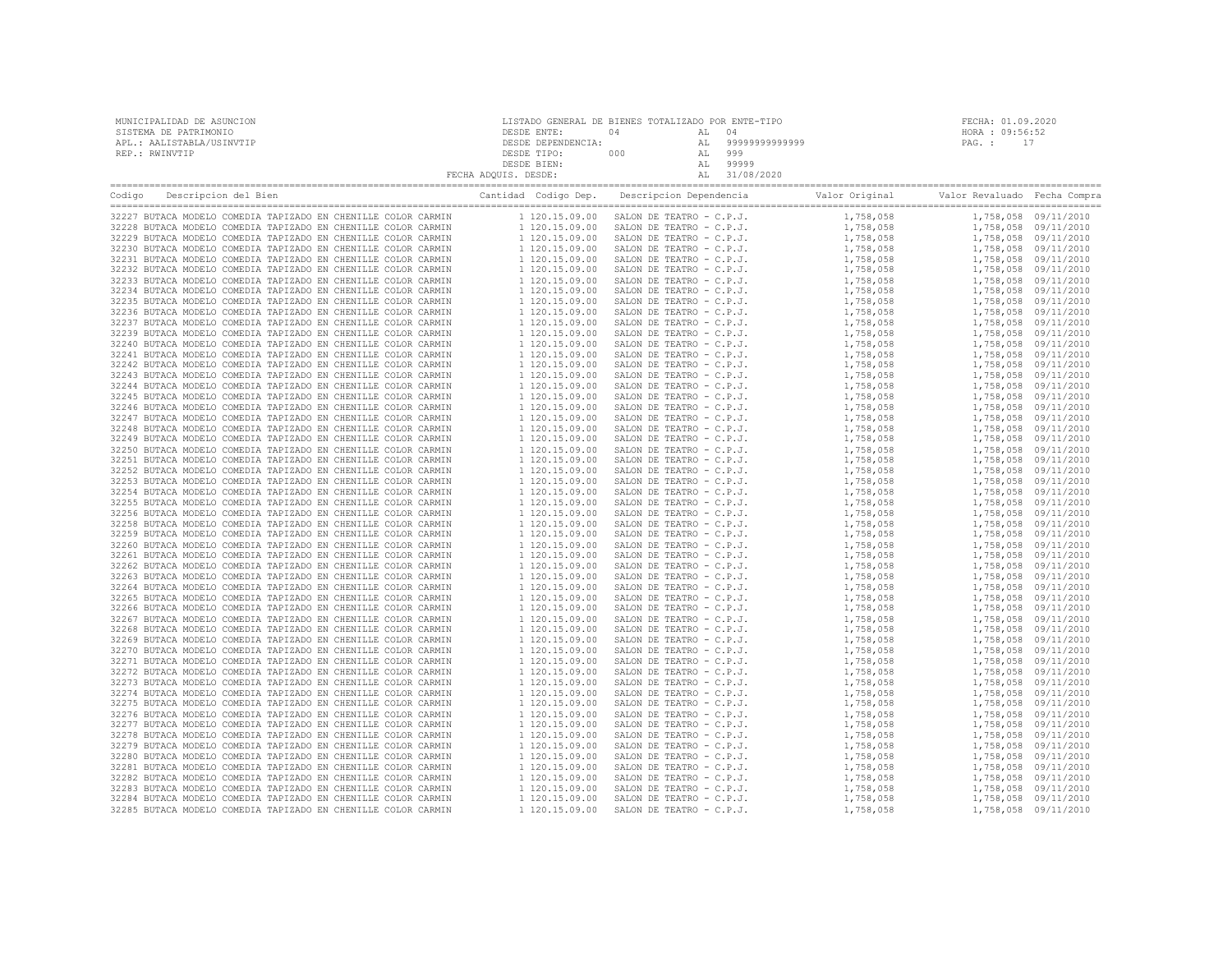| MUNICIPALIDAD DE ASUNCION | LISTADO GENERAL DE BIENES TOTALIZADO POR ENTE-TIPO |     |               | FECHA: 01.09.2020 |
|---------------------------|----------------------------------------------------|-----|---------------|-------------------|
| SISTEMA DE PATRIMONIO     | DESDE ENTE:                                        | ٦4  |               | HORA : 09:56:52   |
| APL.: AALISTABLA/USINVTIP | DESDE DEPENDENCIA:                                 |     | 9999999999999 | PAG. :            |
| REP.: RWINVTIP            | DESDE TIPO:                                        | 000 | 999           |                   |
|                           | DESDE BIEN:                                        |     | 99999         |                   |
|                           | FECHA ADQUIS. DESDE:                               |     | 31/08/2020    |                   |
|                           |                                                    |     |               |                   |

| Descripcion del Bien<br>Codigo                                                                                                 | Cantidad Codigo Dep.             | Descripcion Dependencia                              | Valor Original         | Valor Revaluado Fecha Compra |                                              |
|--------------------------------------------------------------------------------------------------------------------------------|----------------------------------|------------------------------------------------------|------------------------|------------------------------|----------------------------------------------|
| 32227 BUTACA MODELO COMEDIA TAPIZADO EN CHENILLE COLOR CARMIN                                                                  | 1 120.15.09.00                   | SALON DE TEATRO - C.P.J.                             | 1,758,058              |                              | 1,758,058 09/11/2010                         |
| 32228 BUTACA MODELO COMEDIA TAPIZADO EN CHENILLE COLOR CARMIN                                                                  | 1 120.15.09.00                   | SALON DE TEATRO - C.P.J.                             | 1,758,058              |                              | 1,758,058 09/11/2010                         |
| 32229 BUTACA MODELO COMEDIA TAPIZADO EN CHENILLE COLOR CARMIN                                                                  | 1 120.15.09.00                   | SALON DE TEATRO - C.P.J.                             | 1,758,058              |                              | 1,758,058 09/11/2010                         |
| 32230 BUTACA MODELO COMEDIA TAPIZADO EN CHENILLE COLOR CARMIN                                                                  | 1 120.15.09.00                   | SALON DE TEATRO - C.P.J.                             | 1,758,058              |                              | 1,758,058 09/11/2010                         |
| 32231 BUTACA MODELO COMEDIA TAPIZADO EN CHENILLE COLOR CARMIN                                                                  | 1 120.15.09.00                   | SALON DE TEATRO - C.P.J.                             | 1,758,058              |                              | 1,758,058 09/11/2010                         |
| 32232 BUTACA MODELO COMEDIA TAPIZADO EN CHENILLE COLOR CARMIN                                                                  | 1 120.15.09.00                   | SALON DE TEATRO - C.P.J.                             | 1,758,058              |                              | 1,758,058 09/11/2010                         |
| 32233 BUTACA MODELO COMEDIA TAPIZADO EN CHENILLE COLOR CARMIN                                                                  | 1 120.15.09.00                   | SALON DE TEATRO - C.P.J.                             | 1,758,058              |                              | 1,758,058 09/11/2010                         |
| 32234 BUTACA MODELO COMEDIA TAPIZADO EN CHENILLE COLOR CARMIN                                                                  | 1 120.15.09.00                   | SALON DE TEATRO - C.P.J.                             | 1,758,058              |                              | 1,758,058 09/11/2010                         |
| 32235 BUTACA MODELO COMEDIA TAPIZADO EN CHENILLE COLOR CARMIN                                                                  | 1 120.15.09.00                   | SALON DE TEATRO - C.P.J.                             | 1,758,058              |                              | 1,758,058 09/11/2010                         |
| 32236 BUTACA MODELO COMEDIA TAPIZADO EN CHENILLE COLOR CARMIN                                                                  | 1 120.15.09.00                   | SALON DE TEATRO - C.P.J.                             | 1,758,058              |                              | 1,758,058 09/11/2010                         |
| 32237 BUTACA MODELO COMEDIA TAPIZADO EN CHENILLE COLOR CARMIN                                                                  | 1 120.15.09.00                   | SALON DE TEATRO - C.P.J.                             | 1,758,058              |                              | 1,758,058 09/11/2010                         |
| 32239 BUTACA MODELO COMEDIA TAPIZADO EN CHENILLE COLOR CARMIN                                                                  | 1 120.15.09.00                   | SALON DE TEATRO - C.P.J.                             | 1,758,058              |                              | 1,758,058 09/11/2010                         |
| 32240 BUTACA MODELO COMEDIA TAPIZADO EN CHENILLE COLOR CARMIN                                                                  | 1 120.15.09.00                   | SALON DE TEATRO - C.P.J.                             | 1,758,058              |                              | 1,758,058 09/11/2010                         |
| 32241 BUTACA MODELO COMEDIA TAPIZADO EN CHENILLE COLOR CARMIN<br>32242 BUTACA MODELO COMEDIA TAPIZADO EN CHENILLE COLOR CARMIN | 1 120.15.09.00<br>1 120.15.09.00 | SALON DE TEATRO - C.P.J.<br>SALON DE TEATRO - C.P.J. | 1,758,058              |                              | 1,758,058 09/11/2010<br>1,758,058 09/11/2010 |
| 32243 BUTACA MODELO COMEDIA TAPIZADO EN CHENILLE COLOR CARMIN                                                                  | 1 120.15.09.00                   | SALON DE TEATRO - C.P.J.                             | 1,758,058<br>1,758,058 |                              | 1,758,058 09/11/2010                         |
| 32244 BUTACA MODELO COMEDIA TAPIZADO EN CHENILLE COLOR CARMIN                                                                  | 1 120.15.09.00                   | SALON DE TEATRO - C.P.J.                             | 1,758,058              |                              | 1,758,058 09/11/2010                         |
| 32245 BUTACA MODELO COMEDIA TAPIZADO EN CHENILLE COLOR CARMIN                                                                  | 1 120.15.09.00                   | SALON DE TEATRO - C.P.J.                             | 1,758,058              |                              | 1,758,058 09/11/2010                         |
| 32246 BUTACA MODELO COMEDIA TAPIZADO EN CHENILLE COLOR CARMIN                                                                  | 1 120.15.09.00                   | SALON DE TEATRO - C.P.J.                             | 1,758,058              |                              | 1,758,058 09/11/2010                         |
| 32247 BUTACA MODELO COMEDIA TAPIZADO EN CHENILLE COLOR CARMIN                                                                  | 1 120.15.09.00                   | SALON DE TEATRO - C.P.J.                             | 1,758,058              |                              | 1,758,058 09/11/2010                         |
| 32248 BUTACA MODELO COMEDIA TAPIZADO EN CHENILLE COLOR CARMIN                                                                  | 1 120.15.09.00                   | SALON DE TEATRO - C.P.J.                             | 1,758,058              |                              | 1,758,058 09/11/2010                         |
| 32249 BUTACA MODELO COMEDIA TAPIZADO EN CHENILLE COLOR CARMIN                                                                  | 1 120.15.09.00                   | SALON DE TEATRO - C.P.J.                             | 1,758,058              |                              | 1,758,058 09/11/2010                         |
| 32250 BUTACA MODELO COMEDIA TAPIZADO EN CHENILLE COLOR CARMIN                                                                  | 1 120.15.09.00                   | SALON DE TEATRO - C.P.J.                             | 1,758,058              |                              | 1,758,058 09/11/2010                         |
| 32251 BUTACA MODELO COMEDIA TAPIZADO EN CHENILLE COLOR CARMIN                                                                  | 1 120.15.09.00                   | SALON DE TEATRO - C.P.J.                             | 1,758,058              |                              | 1,758,058 09/11/2010                         |
| 32252 BUTACA MODELO COMEDIA TAPIZADO EN CHENILLE COLOR CARMIN                                                                  | 1 120.15.09.00                   | SALON DE TEATRO - C.P.J.                             | 1,758,058              |                              | 1,758,058 09/11/2010                         |
| 32253 BUTACA MODELO COMEDIA TAPIZADO EN CHENILLE COLOR CARMIN                                                                  | 1 120.15.09.00                   | SALON DE TEATRO - C.P.J.                             | 1,758,058              |                              | 1,758,058 09/11/2010                         |
| 32254 BUTACA MODELO COMEDIA TAPIZADO EN CHENILLE COLOR CARMIN                                                                  | 1 120.15.09.00                   | SALON DE TEATRO - C.P.J.                             | 1,758,058              |                              | 1,758,058 09/11/2010                         |
| 32255 BUTACA MODELO COMEDIA TAPIZADO EN CHENILLE COLOR CARMIN                                                                  | 1 120.15.09.00                   | SALON DE TEATRO - C.P.J.                             | 1,758,058              |                              | 1,758,058 09/11/2010                         |
| 32256 BUTACA MODELO COMEDIA TAPIZADO EN CHENILLE COLOR CARMIN                                                                  | 1 120.15.09.00                   | SALON DE TEATRO - C.P.J.                             | 1,758,058              |                              | 1,758,058 09/11/2010                         |
| 32258 BUTACA MODELO COMEDIA TAPIZADO EN CHENILLE COLOR CARMIN                                                                  | 1 120.15.09.00                   | SALON DE TEATRO - C.P.J.                             | 1,758,058              |                              | 1,758,058 09/11/2010                         |
| 32259 BUTACA MODELO COMEDIA TAPIZADO EN CHENILLE COLOR CARMIN                                                                  | 1 120.15.09.00                   | SALON DE TEATRO - C.P.J.                             | 1,758,058              |                              | 1,758,058 09/11/2010                         |
| 32260 BUTACA MODELO COMEDIA TAPIZADO EN CHENILLE COLOR CARMIN                                                                  | 1 120.15.09.00                   | SALON DE TEATRO - C.P.J.                             | 1,758,058              |                              | 1,758,058 09/11/2010                         |
| 32261 BUTACA MODELO COMEDIA TAPIZADO EN CHENILLE COLOR CARMIN                                                                  | 1 120.15.09.00                   | SALON DE TEATRO - C.P.J.                             | 1,758,058              |                              | 1,758,058 09/11/2010                         |
| 32262 BUTACA MODELO COMEDIA TAPIZADO EN CHENILLE COLOR CARMIN                                                                  | 1 120.15.09.00                   | SALON DE TEATRO - C.P.J.                             | 1,758,058              |                              | 1,758,058 09/11/2010                         |
| 32263 BUTACA MODELO COMEDIA TAPIZADO EN CHENILLE COLOR CARMIN                                                                  | 1 120.15.09.00                   | SALON DE TEATRO - C.P.J.                             | 1,758,058              |                              | 1,758,058 09/11/2010                         |
| 32264 BUTACA MODELO COMEDIA TAPIZADO EN CHENILLE COLOR CARMIN                                                                  | 1 120.15.09.00                   | SALON DE TEATRO - C.P.J.                             | 1,758,058              |                              | 1,758,058 09/11/2010                         |
| 32265 BUTACA MODELO COMEDIA TAPIZADO EN CHENILLE COLOR CARMIN                                                                  | 1 120.15.09.00                   | SALON DE TEATRO - C.P.J.                             | 1,758,058              |                              | 1,758,058 09/11/2010                         |
| 32266 BUTACA MODELO COMEDIA TAPIZADO EN CHENILLE COLOR CARMIN                                                                  | 1 120.15.09.00                   | SALON DE TEATRO - C.P.J.                             | 1,758,058              |                              | 1,758,058 09/11/2010                         |
| 32267 BUTACA MODELO COMEDIA TAPIZADO EN CHENILLE COLOR CARMIN                                                                  | 1 120.15.09.00                   | SALON DE TEATRO - C.P.J.                             | 1,758,058              |                              | 1,758,058 09/11/2010                         |
| 32268 BUTACA MODELO COMEDIA TAPIZADO EN CHENILLE COLOR CARMIN                                                                  | 1 120.15.09.00                   | SALON DE TEATRO - C.P.J.                             | 1,758,058              |                              | 1,758,058 09/11/2010                         |
| 32269 BUTACA MODELO COMEDIA TAPIZADO EN CHENILLE COLOR CARMIN                                                                  | 1 120.15.09.00                   | SALON DE TEATRO - C.P.J.                             | 1,758,058              |                              | 1,758,058 09/11/2010                         |
| 32270 BUTACA MODELO COMEDIA TAPIZADO EN CHENILLE COLOR CARMIN                                                                  | 1 120.15.09.00                   | SALON DE TEATRO - C.P.J.                             | 1,758,058              |                              | 1,758,058 09/11/2010                         |
| 32271 BUTACA MODELO COMEDIA TAPIZADO EN CHENILLE COLOR CARMIN                                                                  | 1 120.15.09.00                   | SALON DE TEATRO - C.P.J.                             | 1,758,058              |                              | 1,758,058 09/11/2010                         |
| 32272 BUTACA MODELO COMEDIA TAPIZADO EN CHENILLE COLOR CARMIN                                                                  | 1 120.15.09.00                   | SALON DE TEATRO - C.P.J.                             | 1,758,058              |                              | 1,758,058 09/11/2010                         |
| 32273 BUTACA MODELO COMEDIA TAPIZADO EN CHENILLE COLOR CARMIN                                                                  | 1 120.15.09.00                   | SALON DE TEATRO - C.P.J.                             | 1,758,058              |                              | 1,758,058 09/11/2010                         |
| 32274 BUTACA MODELO COMEDIA TAPIZADO EN CHENILLE COLOR CARMIN                                                                  | 1 120.15.09.00                   | SALON DE TEATRO - C.P.J.                             | 1,758,058              |                              | 1,758,058 09/11/2010                         |
| 32275 BUTACA MODELO COMEDIA TAPIZADO EN CHENILLE COLOR CARMIN                                                                  | 1 120.15.09.00                   | SALON DE TEATRO - C.P.J.                             | 1,758,058              |                              | 1,758,058 09/11/2010                         |
| 32276 BUTACA MODELO COMEDIA TAPIZADO EN CHENILLE COLOR CARMIN                                                                  | 1 120.15.09.00                   | SALON DE TEATRO - C.P.J.                             | 1,758,058              |                              | 1,758,058 09/11/2010                         |
| 32277 BUTACA MODELO COMEDIA TAPIZADO EN CHENILLE COLOR CARMIN                                                                  | 1 120.15.09.00                   | SALON DE TEATRO - C.P.J.                             | 1,758,058              |                              | 1,758,058 09/11/2010                         |
| 32278 BUTACA MODELO COMEDIA TAPIZADO EN CHENILLE COLOR CARMIN                                                                  | 1 120.15.09.00                   | SALON DE TEATRO - C.P.J.                             | 1,758,058              |                              | 1,758,058 09/11/2010                         |
| 32279 BUTACA MODELO COMEDIA TAPIZADO EN CHENILLE COLOR CARMIN                                                                  | 1 120.15.09.00                   | SALON DE TEATRO - C.P.J.                             | 1,758,058              |                              | 1,758,058 09/11/2010                         |
| 32280 BUTACA MODELO COMEDIA TAPIZADO EN CHENILLE COLOR CARMIN                                                                  | 1 120.15.09.00                   | SALON DE TEATRO - C.P.J.                             | 1,758,058              |                              | 1,758,058 09/11/2010                         |
| 32281 BUTACA MODELO COMEDIA TAPIZADO EN CHENILLE COLOR CARMIN                                                                  | 1 120.15.09.00                   | SALON DE TEATRO - C.P.J.                             | 1,758,058              |                              | 1,758,058 09/11/2010                         |
| 32282 BUTACA MODELO COMEDIA TAPIZADO EN CHENILLE COLOR CARMIN                                                                  | 1 120.15.09.00                   | SALON DE TEATRO - C.P.J.                             | 1,758,058              |                              | 1,758,058 09/11/2010                         |
| 32283 BUTACA MODELO COMEDIA TAPIZADO EN CHENILLE COLOR CARMIN                                                                  | 1 120.15.09.00                   | SALON DE TEATRO - C.P.J.                             | 1,758,058              |                              | 1,758,058 09/11/2010                         |
| 32284 BUTACA MODELO COMEDIA TAPIZADO EN CHENILLE COLOR CARMIN<br>32285 BUTACA MODELO COMEDIA TAPIZADO EN CHENILLE COLOR CARMIN | 1 120.15.09.00<br>1 120.15.09.00 | SALON DE TEATRO - C.P.J.<br>SALON DE TEATRO - C.P.J. | 1,758,058<br>1,758,058 |                              | 1,758,058 09/11/2010<br>1,758,058 09/11/2010 |
|                                                                                                                                |                                  |                                                      |                        |                              |                                              |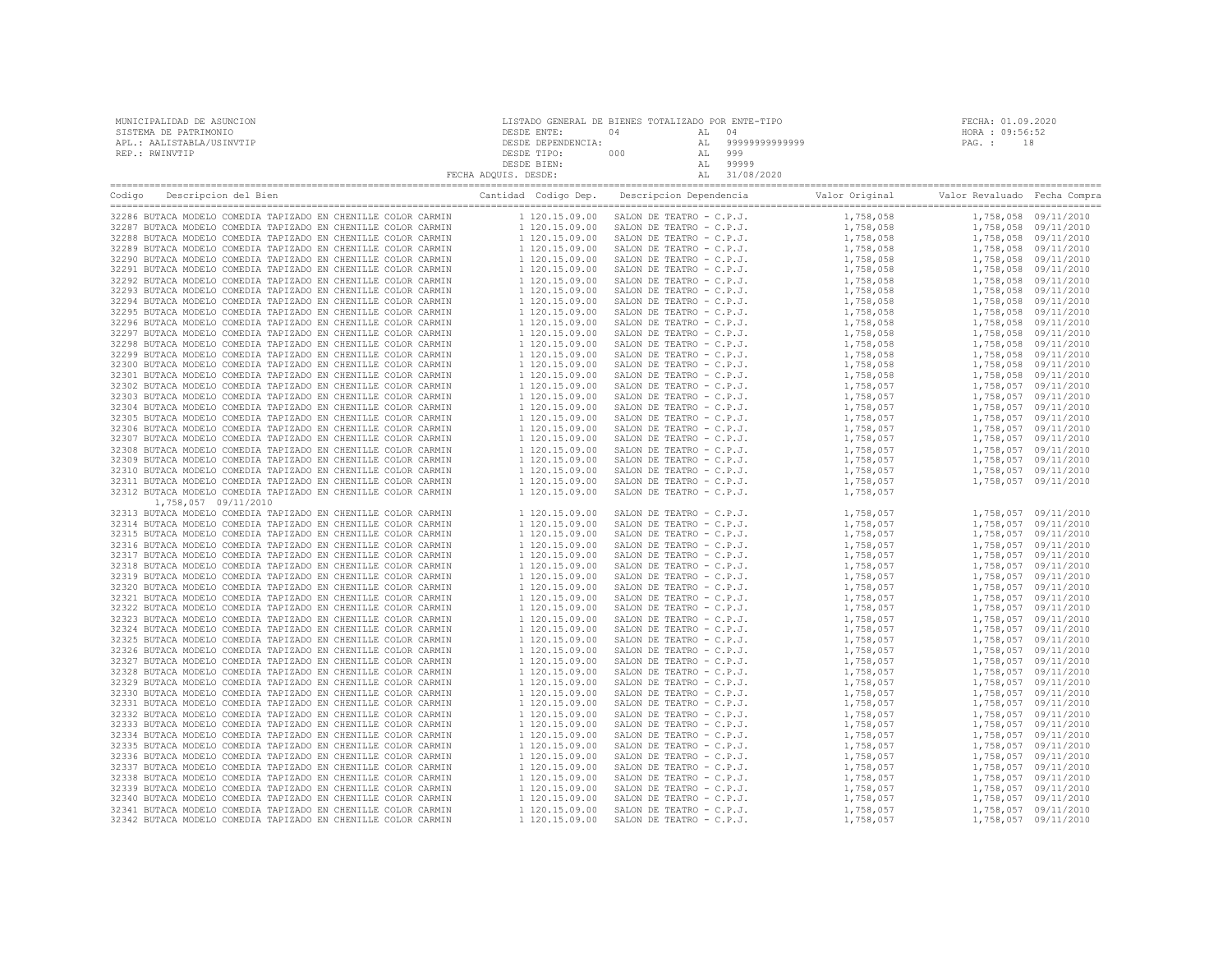| MUNICIPALIDAD DE ASUNCION | LISTADO GENERAL DE BIENES TOTALIZADO POR ENTE-TIPO |     |  |                |                 | FECHA: 01.09.2020 |
|---------------------------|----------------------------------------------------|-----|--|----------------|-----------------|-------------------|
| SISTEMA DE PATRIMONIO     | DESDE ENTE:                                        | 04  |  |                | HORA : 09:56:52 |                   |
| APL.: AALISTABLA/USINVTIP | DESDE DEPENDENCIA:                                 |     |  | 99999999999999 | PAG. :          |                   |
| REP.: RWINVTIP            | DESDE TIPO:                                        | 000 |  | 999            |                 |                   |
|                           | DESDE BIEN:                                        |     |  | 99999          |                 |                   |
|                           | FECHA ADQUIS. DESDE:                               |     |  | 31/08/2020     |                 |                   |
|                           |                                                    |     |  |                |                 |                   |

| Codigo | Descripcion del Bien                                                                                                           | Cantidad Codigo Dep.                                                                                  | Descripcion Dependencia Valor Original                                                                                                                                                                                                                 |                                                                                  | Valor Revaluado Fecha Compra |                      |
|--------|--------------------------------------------------------------------------------------------------------------------------------|-------------------------------------------------------------------------------------------------------|--------------------------------------------------------------------------------------------------------------------------------------------------------------------------------------------------------------------------------------------------------|----------------------------------------------------------------------------------|------------------------------|----------------------|
|        | 32286 BUTACA MODELO COMEDIA TAPIZADO EN CHENILLE COLOR CARMIN                                                                  | 1 120.15.09.00                                                                                        |                                                                                                                                                                                                                                                        |                                                                                  |                              | 1,758,058 09/11/2010 |
|        | 32287 BUTACA MODELO COMEDIA TAPIZADO EN CHENILLE COLOR CARMIN                                                                  | 1 120.15.09.00                                                                                        |                                                                                                                                                                                                                                                        |                                                                                  | 1,758,058 09/11/2010         |                      |
|        | 32288 BUTACA MODELO COMEDIA TAPIZADO EN CHENILLE COLOR CARMIN                                                                  | 1 120.15.09.00                                                                                        |                                                                                                                                                                                                                                                        |                                                                                  | 1,758,058 09/11/2010         |                      |
|        | 32289 BUTACA MODELO COMEDIA TAPIZADO EN CHENILLE COLOR CARMIN                                                                  | 1 120.15.09.00<br>1 120.15.09.00<br>1 120.15.09.00                                                    |                                                                                                                                                                                                                                                        | $1,758,058\n1,758,058\n1,758,058\n1,758,058\n$                                   | 1,758,058 09/11/2010         |                      |
|        | 32290 BUTACA MODELO COMEDIA TAPIZADO EN CHENILLE COLOR CARMIN                                                                  |                                                                                                       |                                                                                                                                                                                                                                                        | $1,758,050$<br>$1,758,058$<br>$1,758,058$<br>$1,758,058$<br>$58,058$<br>$-8,058$ | 1,758,058 09/11/2010         |                      |
|        | 32291 BUTACA MODELO COMEDIA TAPIZADO EN CHENILLE COLOR CARMIN                                                                  |                                                                                                       |                                                                                                                                                                                                                                                        |                                                                                  | 1,758,058 09/11/2010         |                      |
|        | 32292 BUTACA MODELO COMEDIA TAPIZADO EN CHENILLE COLOR CARMIN                                                                  | 1 120.15.09.00                                                                                        |                                                                                                                                                                                                                                                        |                                                                                  | 1,758,058 09/11/2010         |                      |
|        | 32293 BUTACA MODELO COMEDIA TAPIZADO EN CHENILLE COLOR CARMIN                                                                  | 1 120.15.09.00                                                                                        |                                                                                                                                                                                                                                                        |                                                                                  | 1,758,058 09/11/2010         |                      |
|        | 32294 BUTACA MODELO COMEDIA TAPIZADO EN CHENILLE COLOR CARMIN                                                                  | 1 120.15.09.00                                                                                        |                                                                                                                                                                                                                                                        |                                                                                  | 1,758,058 09/11/2010         |                      |
|        | 32295 BUTACA MODELO COMEDIA TAPIZADO EN CHENILLE COLOR CARMIN                                                                  | 1 120.15.09.00                                                                                        |                                                                                                                                                                                                                                                        |                                                                                  | 1,758,058 09/11/2010         |                      |
|        | 32296 BUTACA MODELO COMEDIA TAPIZADO EN CHENILLE COLOR CARMIN                                                                  | 1 120.15.09.00                                                                                        |                                                                                                                                                                                                                                                        |                                                                                  | 1,758,058 09/11/2010         |                      |
|        | 32297 BUTACA MODELO COMEDIA TAPIZADO EN CHENILLE COLOR CARMIN                                                                  | 1 120.15.09.00                                                                                        |                                                                                                                                                                                                                                                        |                                                                                  | 1,758,058 09/11/2010         |                      |
|        | 32298 BUTACA MODELO COMEDIA TAPIZADO EN CHENILLE COLOR CARMIN                                                                  | 1 120.15.09.00                                                                                        |                                                                                                                                                                                                                                                        |                                                                                  | 1,758,058 09/11/2010         |                      |
|        | 32299 BUTACA MODELO COMEDIA TAPIZADO EN CHENILLE COLOR CARMIN                                                                  | 1 120.15.09.00                                                                                        |                                                                                                                                                                                                                                                        |                                                                                  | 1,758,058 09/11/2010         |                      |
|        | 32300 BUTACA MODELO COMEDIA TAPIZADO EN CHENILLE COLOR CARMIN                                                                  | 1 120.15.09.00                                                                                        |                                                                                                                                                                                                                                                        |                                                                                  | 1,758,058 09/11/2010         |                      |
|        | 32301 BUTACA MODELO COMEDIA TAPIZADO EN CHENILLE COLOR CARMIN                                                                  | 1 120.15.09.00                                                                                        |                                                                                                                                                                                                                                                        |                                                                                  |                              | 1,758,058 09/11/2010 |
|        | 32302 BUTACA MODELO COMEDIA TAPIZADO EN CHENILLE COLOR CARMIN                                                                  | 1 120.15.09.00                                                                                        |                                                                                                                                                                                                                                                        |                                                                                  | 1,758,057 09/11/2010         |                      |
|        | 32303 BUTACA MODELO COMEDIA TAPIZADO EN CHENILLE COLOR CARMIN                                                                  | 1 120.15.09.00                                                                                        |                                                                                                                                                                                                                                                        |                                                                                  | 1,758,057 09/11/2010         |                      |
|        | 32304 BUTACA MODELO COMEDIA TAPIZADO EN CHENILLE COLOR CARMIN                                                                  | 1 120.15.09.00                                                                                        |                                                                                                                                                                                                                                                        | 1,758,057                                                                        | 1,758,057 09/11/2010         |                      |
|        |                                                                                                                                |                                                                                                       |                                                                                                                                                                                                                                                        |                                                                                  |                              |                      |
|        | 32305 BUTACA MODELO COMEDIA TAPIZADO EN CHENILLE COLOR CARMIN                                                                  | 1 120.15.09.00                                                                                        |                                                                                                                                                                                                                                                        |                                                                                  | 1,758,057 09/11/2010         |                      |
|        | 32306 BUTACA MODELO COMEDIA TAPIZADO EN CHENILLE COLOR CARMIN                                                                  | 1 120.15.09.00                                                                                        |                                                                                                                                                                                                                                                        |                                                                                  | 1,758,057 09/11/2010         |                      |
|        | 32307 BUTACA MODELO COMEDIA TAPIZADO EN CHENILLE COLOR CARMIN                                                                  | 1 120.15.09.00                                                                                        |                                                                                                                                                                                                                                                        |                                                                                  |                              | 1,758,057 09/11/2010 |
|        | 32308 BUTACA MODELO COMEDIA TAPIZADO EN CHENILLE COLOR CARMIN                                                                  | 1 120.15.09.00                                                                                        |                                                                                                                                                                                                                                                        |                                                                                  | 1,758,057 09/11/2010         |                      |
|        | 32309 BUTACA MODELO COMEDIA TAPIZADO EN CHENILLE COLOR CARMIN                                                                  | 1 120.15.09.00                                                                                        |                                                                                                                                                                                                                                                        | $1,758,057$<br>1.758.057                                                         | 1,758,057 09/11/2010         |                      |
|        | 32310 BUTACA MODELO COMEDIA TAPIZADO EN CHENILLE COLOR CARMIN                                                                  | 1 120.15.09.00                                                                                        |                                                                                                                                                                                                                                                        |                                                                                  | 1,758,057 09/11/2010         |                      |
|        | 32311 BUTACA MODELO COMEDIA TAPIZADO EN CHENILLE COLOR CARMIN                                                                  | 1 120.15.09.00                                                                                        |                                                                                                                                                                                                                                                        |                                                                                  |                              | 1,758,057 09/11/2010 |
|        | 32312 BUTACA MODELO COMEDIA TAPIZADO EN CHENILLE COLOR CARMIN                                                                  | 1 120.15.09.00                                                                                        |                                                                                                                                                                                                                                                        |                                                                                  |                              |                      |
|        | 1,758,057 09/11/2010                                                                                                           |                                                                                                       |                                                                                                                                                                                                                                                        |                                                                                  |                              |                      |
|        | 32313 BUTACA MODELO COMEDIA TAPIZADO EN CHENILLE COLOR CARMIN                                                                  | 1 120.15.09.00                                                                                        |                                                                                                                                                                                                                                                        | 1,758,057                                                                        |                              | 1,758,057 09/11/2010 |
|        | 32314 BUTACA MODELO COMEDIA TAPIZADO EN CHENILLE COLOR CARMIN                                                                  | 1 120.15.09.00                                                                                        |                                                                                                                                                                                                                                                        | 1,758,057                                                                        |                              | 1,758,057 09/11/2010 |
|        | 32315 BUTACA MODELO COMEDIA TAPIZADO EN CHENILLE COLOR CARMIN                                                                  | 1 120.15.09.00                                                                                        |                                                                                                                                                                                                                                                        | 1,758,057                                                                        |                              | 1,758,057 09/11/2010 |
|        | 32316 BUTACA MODELO COMEDIA TAPIZADO EN CHENILLE COLOR CARMIN                                                                  | 1 120.15.09.00                                                                                        |                                                                                                                                                                                                                                                        | 1,758,057                                                                        |                              | 1,758,057 09/11/2010 |
|        | 32317 BUTACA MODELO COMEDIA TAPIZADO EN CHENILLE COLOR CARMIN                                                                  | 1 120.15.09.00                                                                                        |                                                                                                                                                                                                                                                        | 1,758,057                                                                        |                              | 1,758,057 09/11/2010 |
|        | 32318 BUTACA MODELO COMEDIA TAPIZADO EN CHENILLE COLOR CARMIN                                                                  | 1 120.15.09.00                                                                                        |                                                                                                                                                                                                                                                        | 1,758,057                                                                        |                              | 1,758,057 09/11/2010 |
|        | 32319 BUTACA MODELO COMEDIA TAPIZADO EN CHENILLE COLOR CARMIN                                                                  | 1 120.15.09.00                                                                                        |                                                                                                                                                                                                                                                        | 1,758,057                                                                        |                              | 1,758,057 09/11/2010 |
|        | 32320 BUTACA MODELO COMEDIA TAPIZADO EN CHENILLE COLOR CARMIN                                                                  | 1 120.15.09.00                                                                                        |                                                                                                                                                                                                                                                        | 1,758,057                                                                        |                              | 1,758,057 09/11/2010 |
|        | 32321 BUTACA MODELO COMEDIA TAPIZADO EN CHENILLE COLOR CARMIN                                                                  | 1 120.15.09.00                                                                                        |                                                                                                                                                                                                                                                        | 1,758,057                                                                        |                              | 1,758,057 09/11/2010 |
|        | 32322 BUTACA MODELO COMEDIA TAPIZADO EN CHENILLE COLOR CARMIN                                                                  | 1 120.15.09.00                                                                                        |                                                                                                                                                                                                                                                        | 1,758,057                                                                        |                              | 1,758,057 09/11/2010 |
|        | 32323 BUTACA MODELO COMEDIA TAPIZADO EN CHENILLE COLOR CARMIN                                                                  | 1 120.15.09.00                                                                                        |                                                                                                                                                                                                                                                        | 1,758,057                                                                        | 1,758,057 09/11/2010         |                      |
|        | 32324 BUTACA MODELO COMEDIA TAPIZADO EN CHENILLE COLOR CARMIN                                                                  | 1 120.15.09.00                                                                                        |                                                                                                                                                                                                                                                        | 1,758,057                                                                        |                              | 1,758,057 09/11/2010 |
|        | 32325 BUTACA MODELO COMEDIA TAPIZADO EN CHENILLE COLOR CARMIN                                                                  | 1 120.15.09.00                                                                                        |                                                                                                                                                                                                                                                        | 1,758,057                                                                        |                              | 1,758,057 09/11/2010 |
|        | 32326 BUTACA MODELO COMEDIA TAPIZADO EN CHENILLE COLOR CARMIN                                                                  | 1 120.15.09.00                                                                                        |                                                                                                                                                                                                                                                        | 1,758,057                                                                        | 1,758,057 09/11/2010         |                      |
|        | 32327 BUTACA MODELO COMEDIA TAPIZADO EN CHENILLE COLOR CARMIN                                                                  | 1 120.15.09.00                                                                                        |                                                                                                                                                                                                                                                        | 1,758,057                                                                        | 1,758,057 09/11/2010         |                      |
|        | 32328 BUTACA MODELO COMEDIA TAPIZADO EN CHENILLE COLOR CARMIN                                                                  | 1 120.15.09.00                                                                                        |                                                                                                                                                                                                                                                        | 1,758,057                                                                        | 1,758,057 09/11/2010         |                      |
|        | 32329 BUTACA MODELO COMEDIA TAPIZADO EN CHENILLE COLOR CARMIN                                                                  | 1 120.15.09.00                                                                                        |                                                                                                                                                                                                                                                        | 1,758,057                                                                        |                              | 1,758,057 09/11/2010 |
|        | 32330 BUTACA MODELO COMEDIA TAPIZADO EN CHENILLE COLOR CARMIN                                                                  | 1 120.15.09.00                                                                                        |                                                                                                                                                                                                                                                        | 1,758,057                                                                        | 1,758,057 09/11/2010         |                      |
|        | 32331 BUTACA MODELO COMEDIA TAPIZADO EN CHENILLE COLOR CARMIN                                                                  | 1 120.15.09.00                                                                                        |                                                                                                                                                                                                                                                        | 1,758,057                                                                        | 1,758,057 09/11/2010         |                      |
|        | 32332 BUTACA MODELO COMEDIA TAPIZADO EN CHENILLE COLOR CARMIN                                                                  | 1 120.15.09.00                                                                                        |                                                                                                                                                                                                                                                        | 1,758,057                                                                        | 1,758,057 09/11/2010         |                      |
|        | 32333 BUTACA MODELO COMEDIA TAPIZADO EN CHENILLE COLOR CARMIN                                                                  | 1 120.15.09.00                                                                                        |                                                                                                                                                                                                                                                        | 1,758,057                                                                        |                              | 1,758,057 09/11/2010 |
|        | 32334 BUTACA MODELO COMEDIA TAPIZADO EN CHENILLE COLOR CARMIN                                                                  | 1 120.15.09.00                                                                                        |                                                                                                                                                                                                                                                        | 1,758,057                                                                        | 1,758,057 09/11/2010         |                      |
|        | 32335 BUTACA MODELO COMEDIA TAPIZADO EN CHENILLE COLOR CARMIN                                                                  | 1 120.15.09.00                                                                                        | SALON DE TEATRO - C.P.J.<br>SALON DE TEATRO - C.P.J.<br>SALON DE TEATRO - C.P.J.<br>SALON DE TEATRO - C.P.J.<br>SALON DE TEATRO - C.P.J.<br>SALON DE TEATRO - C.P.J.<br>SALON DE TEATRO - C.P.J.<br>SALON DE TEATRO - C.P.J.<br>SALON DE TEATRO - C.P. | 1,758,057                                                                        | 1,758,057 09/11/2010         |                      |
|        | 32336 BUTACA MODELO COMEDIA TAPIZADO EN CHENILLE COLOR CARMIN                                                                  | 1 120.15.09.00                                                                                        |                                                                                                                                                                                                                                                        | 1,758,057                                                                        | 1,758,057 09/11/2010         |                      |
|        | 32337 BUTACA MODELO COMEDIA TAPIZADO EN CHENILLE COLOR CARMIN                                                                  | 1 120.15.09.00                                                                                        |                                                                                                                                                                                                                                                        | 1,758,057                                                                        |                              | 1,758,057 09/11/2010 |
|        |                                                                                                                                |                                                                                                       |                                                                                                                                                                                                                                                        |                                                                                  |                              |                      |
|        | 32338 BUTACA MODELO COMEDIA TAPIZADO EN CHENILLE COLOR CARMIN<br>32339 BUTACA MODELO COMEDIA TAPIZADO EN CHENILLE COLOR CARMIN |                                                                                                       |                                                                                                                                                                                                                                                        | 1,758,057<br>1,758,057                                                           | 1,758,057 09/11/2010         |                      |
|        |                                                                                                                                |                                                                                                       |                                                                                                                                                                                                                                                        |                                                                                  | 1,758,057 09/11/2010         |                      |
|        | 32340 BUTACA MODELO COMEDIA TAPIZADO EN CHENILLE COLOR CARMIN                                                                  | $1\ 120.15.09.00$<br>$1\ 120.15.09.00$<br>$1\ 120.15.09.00$<br>$1\ 120.15.09.00$<br>$1\ 120.15.09.00$ |                                                                                                                                                                                                                                                        | $1,758,057$<br>$1,758,057$<br>$1.758,057$                                        | 1,758,057 09/11/2010         |                      |
|        | 32341 BUTACA MODELO COMEDIA TAPIZADO EN CHENILLE COLOR CARMIN                                                                  |                                                                                                       |                                                                                                                                                                                                                                                        |                                                                                  | 1,758,057 09/11/2010         |                      |
|        | 32342 BUTACA MODELO COMEDIA TAPIZADO EN CHENILLE COLOR CARMIN                                                                  | 1 120.15.09.00                                                                                        |                                                                                                                                                                                                                                                        | 1,758,057                                                                        | 1,758,057 09/11/2010         |                      |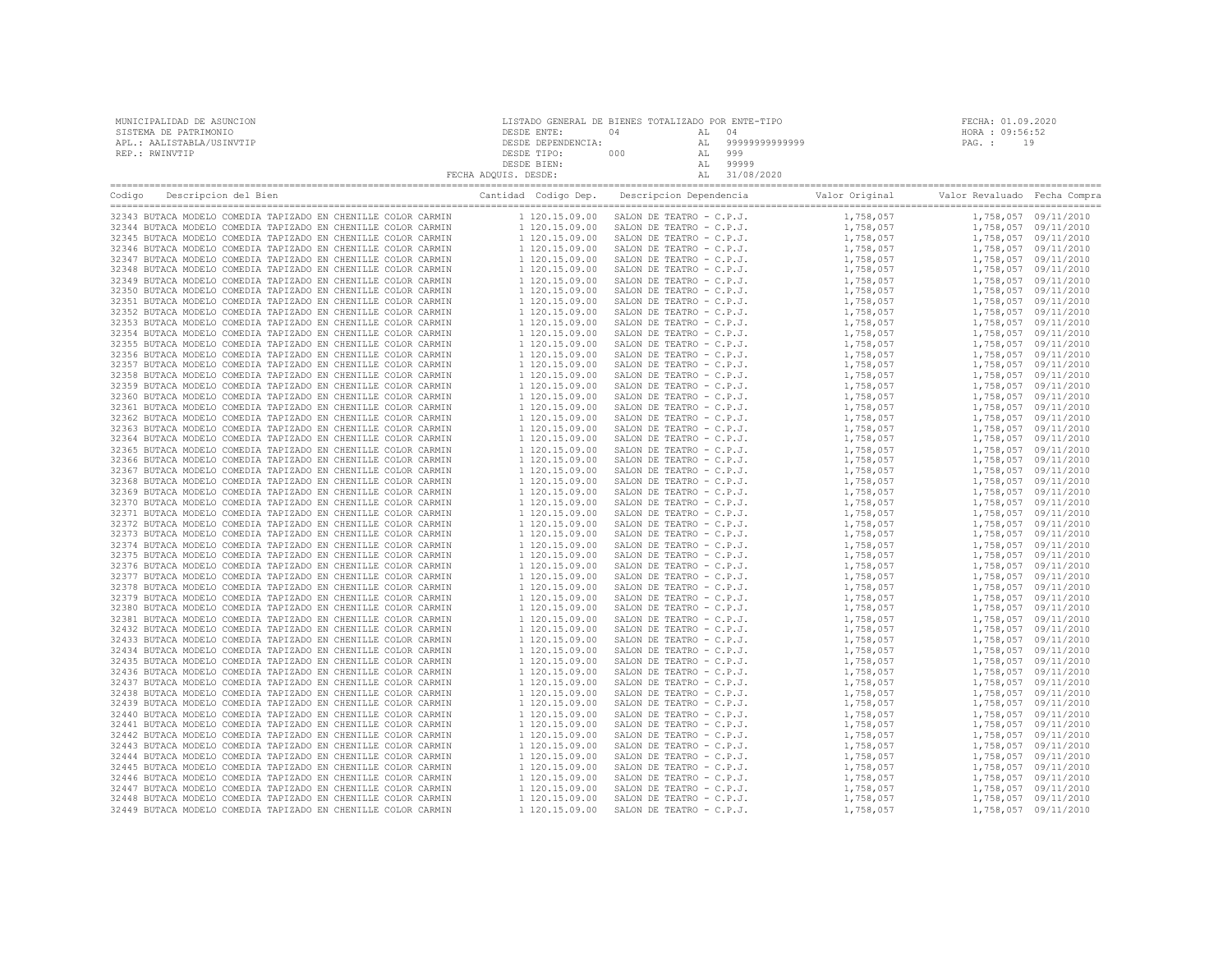| MUNICIPALIDAD DE ASUNCION | LISTADO GENERAL DE BIENES TOTALIZADO POR ENTE-TIPO |     |               | FECHA: 01.09.2020 |
|---------------------------|----------------------------------------------------|-----|---------------|-------------------|
| SISTEMA DE PATRIMONIO     | DESDE ENTE:                                        | ገ 4 |               | HORA : 09:56:52   |
| APL.: AALISTABLA/USINVTIP | DESDE DEPENDENCIA:                                 |     | 9999999999999 | 19<br>PAG. :      |
| REP.: RWINVTIP            | DESDE TIPO:                                        | 000 | 999           |                   |
|                           | DESDE BIEN:                                        |     | 99999         |                   |
|                           | FECHA ADQUIS. DESDE:                               |     | 31/08/2020    |                   |
|                           |                                                    |     |               |                   |

| Codigo | Descripcion del Bien                                          | Cantidad Codigo Dep. | Descripcion Dependencia  | Valor Original | Valor Revaluado Fecha Compra |                      |
|--------|---------------------------------------------------------------|----------------------|--------------------------|----------------|------------------------------|----------------------|
|        | 32343 BUTACA MODELO COMEDIA TAPIZADO EN CHENILLE COLOR CARMIN | 1 120.15.09.00       | SALON DE TEATRO - C.P.J. | 1,758,057      |                              | 1,758,057 09/11/2010 |
|        | 32344 BUTACA MODELO COMEDIA TAPIZADO EN CHENILLE COLOR CARMIN | 1 120.15.09.00       | SALON DE TEATRO - C.P.J. | 1,758,057      |                              | 1,758,057 09/11/2010 |
|        | 32345 BUTACA MODELO COMEDIA TAPIZADO EN CHENILLE COLOR CARMIN | 1 120.15.09.00       | SALON DE TEATRO - C.P.J. | 1,758,057      |                              | 1,758,057 09/11/2010 |
|        | 32346 BUTACA MODELO COMEDIA TAPIZADO EN CHENILLE COLOR CARMIN | 1 120.15.09.00       | SALON DE TEATRO - C.P.J. | 1,758,057      |                              | 1,758,057 09/11/2010 |
|        | 32347 BUTACA MODELO COMEDIA TAPIZADO EN CHENILLE COLOR CARMIN | 1 120.15.09.00       | SALON DE TEATRO - C.P.J. | 1,758,057      |                              | 1,758,057 09/11/2010 |
|        | 32348 BUTACA MODELO COMEDIA TAPIZADO EN CHENILLE COLOR CARMIN | 1 120.15.09.00       | SALON DE TEATRO - C.P.J. | 1,758,057      |                              | 1,758,057 09/11/2010 |
|        | 32349 BUTACA MODELO COMEDIA TAPIZADO EN CHENILLE COLOR CARMIN | 1 120.15.09.00       | SALON DE TEATRO - C.P.J. | 1,758,057      |                              | 1,758,057 09/11/2010 |
|        | 32350 BUTACA MODELO COMEDIA TAPIZADO EN CHENILLE COLOR CARMIN | 1 120.15.09.00       | SALON DE TEATRO - C.P.J. | 1,758,057      |                              | 1,758,057 09/11/2010 |
|        | 32351 BUTACA MODELO COMEDIA TAPIZADO EN CHENILLE COLOR CARMIN | 1 120.15.09.00       | SALON DE TEATRO - C.P.J. | 1,758,057      |                              | 1,758,057 09/11/2010 |
|        | 32352 BUTACA MODELO COMEDIA TAPIZADO EN CHENILLE COLOR CARMIN | 1 120.15.09.00       | SALON DE TEATRO - C.P.J. | 1,758,057      |                              | 1,758,057 09/11/2010 |
|        | 32353 BUTACA MODELO COMEDIA TAPIZADO EN CHENILLE COLOR CARMIN | 1 120.15.09.00       | SALON DE TEATRO - C.P.J. | 1,758,057      |                              | 1,758,057 09/11/2010 |
|        | 32354 BUTACA MODELO COMEDIA TAPIZADO EN CHENILLE COLOR CARMIN | 1 120.15.09.00       | SALON DE TEATRO - C.P.J. | 1,758,057      |                              | 1,758,057 09/11/2010 |
|        | 32355 BUTACA MODELO COMEDIA TAPIZADO EN CHENILLE COLOR CARMIN | 1 120.15.09.00       | SALON DE TEATRO - C.P.J. | 1,758,057      |                              | 1,758,057 09/11/2010 |
|        | 32356 BUTACA MODELO COMEDIA TAPIZADO EN CHENILLE COLOR CARMIN | 1 120.15.09.00       | SALON DE TEATRO - C.P.J. | 1,758,057      |                              | 1,758,057 09/11/2010 |
|        | 32357 BUTACA MODELO COMEDIA TAPIZADO EN CHENILLE COLOR CARMIN | 1 120.15.09.00       | SALON DE TEATRO - C.P.J. | 1,758,057      |                              | 1,758,057 09/11/2010 |
|        | 32358 BUTACA MODELO COMEDIA TAPIZADO EN CHENILLE COLOR CARMIN | 1 120.15.09.00       | SALON DE TEATRO - C.P.J. | 1,758,057      |                              | 1,758,057 09/11/2010 |
|        | 32359 BUTACA MODELO COMEDIA TAPIZADO EN CHENILLE COLOR CARMIN | 1 120.15.09.00       | SALON DE TEATRO - C.P.J. | 1,758,057      |                              | 1,758,057 09/11/2010 |
|        | 32360 BUTACA MODELO COMEDIA TAPIZADO EN CHENILLE COLOR CARMIN | 1 120.15.09.00       | SALON DE TEATRO - C.P.J. | 1,758,057      |                              | 1,758,057 09/11/2010 |
|        | 32361 BUTACA MODELO COMEDIA TAPIZADO EN CHENILLE COLOR CARMIN | 1 120.15.09.00       | SALON DE TEATRO - C.P.J. | 1,758,057      |                              | 1,758,057 09/11/2010 |
|        | 32362 BUTACA MODELO COMEDIA TAPIZADO EN CHENILLE COLOR CARMIN | 1 120.15.09.00       | SALON DE TEATRO - C.P.J. | 1,758,057      |                              | 1,758,057 09/11/2010 |
|        | 32363 BUTACA MODELO COMEDIA TAPIZADO EN CHENILLE COLOR CARMIN | 1 120.15.09.00       | SALON DE TEATRO - C.P.J. | 1,758,057      |                              | 1,758,057 09/11/2010 |
|        | 32364 BUTACA MODELO COMEDIA TAPIZADO EN CHENILLE COLOR CARMIN | 1 120.15.09.00       | SALON DE TEATRO - C.P.J. | 1,758,057      |                              | 1,758,057 09/11/2010 |
|        | 32365 BUTACA MODELO COMEDIA TAPIZADO EN CHENILLE COLOR CARMIN | 1 120.15.09.00       | SALON DE TEATRO - C.P.J. | 1,758,057      |                              | 1,758,057 09/11/2010 |
|        | 32366 BUTACA MODELO COMEDIA TAPIZADO EN CHENILLE COLOR CARMIN | 1 120.15.09.00       | SALON DE TEATRO - C.P.J. | 1,758,057      |                              | 1,758,057 09/11/2010 |
|        | 32367 BUTACA MODELO COMEDIA TAPIZADO EN CHENILLE COLOR CARMIN | 1 120.15.09.00       | SALON DE TEATRO - C.P.J. | 1,758,057      |                              | 1,758,057 09/11/2010 |
|        | 32368 BUTACA MODELO COMEDIA TAPIZADO EN CHENILLE COLOR CARMIN | 1 120.15.09.00       | SALON DE TEATRO - C.P.J. | 1,758,057      |                              | 1,758,057 09/11/2010 |
|        | 32369 BUTACA MODELO COMEDIA TAPIZADO EN CHENILLE COLOR CARMIN | 1 120.15.09.00       | SALON DE TEATRO - C.P.J. |                |                              | 1,758,057 09/11/2010 |
|        |                                                               |                      |                          | 1,758,057      |                              |                      |
|        | 32370 BUTACA MODELO COMEDIA TAPIZADO EN CHENILLE COLOR CARMIN | 1 120.15.09.00       | SALON DE TEATRO - C.P.J. | 1,758,057      |                              | 1,758,057 09/11/2010 |
|        | 32371 BUTACA MODELO COMEDIA TAPIZADO EN CHENILLE COLOR CARMIN | 1 120.15.09.00       | SALON DE TEATRO - C.P.J. | 1,758,057      |                              | 1,758,057 09/11/2010 |
|        | 32372 BUTACA MODELO COMEDIA TAPIZADO EN CHENILLE COLOR CARMIN | 1 120.15.09.00       | SALON DE TEATRO - C.P.J. | 1,758,057      |                              | 1,758,057 09/11/2010 |
|        | 32373 BUTACA MODELO COMEDIA TAPIZADO EN CHENILLE COLOR CARMIN | 1 120.15.09.00       | SALON DE TEATRO - C.P.J. | 1,758,057      |                              | 1,758,057 09/11/2010 |
|        | 32374 BUTACA MODELO COMEDIA TAPIZADO EN CHENILLE COLOR CARMIN | 1 120.15.09.00       | SALON DE TEATRO - C.P.J. | 1,758,057      |                              | 1,758,057 09/11/2010 |
|        | 32375 BUTACA MODELO COMEDIA TAPIZADO EN CHENILLE COLOR CARMIN | 1 120.15.09.00       | SALON DE TEATRO - C.P.J. | 1,758,057      |                              | 1,758,057 09/11/2010 |
|        | 32376 BUTACA MODELO COMEDIA TAPIZADO EN CHENILLE COLOR CARMIN | 1 120.15.09.00       | SALON DE TEATRO - C.P.J. | 1,758,057      |                              | 1,758,057 09/11/2010 |
|        | 32377 BUTACA MODELO COMEDIA TAPIZADO EN CHENILLE COLOR CARMIN | 1 120.15.09.00       | SALON DE TEATRO - C.P.J. | 1,758,057      |                              | 1,758,057 09/11/2010 |
|        | 32378 BUTACA MODELO COMEDIA TAPIZADO EN CHENILLE COLOR CARMIN | 1 120.15.09.00       | SALON DE TEATRO - C.P.J. | 1,758,057      |                              | 1,758,057 09/11/2010 |
|        | 32379 BUTACA MODELO COMEDIA TAPIZADO EN CHENILLE COLOR CARMIN | 1 120.15.09.00       | SALON DE TEATRO - C.P.J. | 1,758,057      |                              | 1,758,057 09/11/2010 |
|        | 32380 BUTACA MODELO COMEDIA TAPIZADO EN CHENILLE COLOR CARMIN | 1 120.15.09.00       | SALON DE TEATRO - C.P.J. | 1,758,057      |                              | 1,758,057 09/11/2010 |
|        | 32381 BUTACA MODELO COMEDIA TAPIZADO EN CHENILLE COLOR CARMIN | 1 120.15.09.00       | SALON DE TEATRO - C.P.J. | 1,758,057      |                              | 1,758,057 09/11/2010 |
|        | 32432 BUTACA MODELO COMEDIA TAPIZADO EN CHENILLE COLOR CARMIN | 1 120.15.09.00       | SALON DE TEATRO - C.P.J. | 1,758,057      |                              | 1,758,057 09/11/2010 |
|        | 32433 BUTACA MODELO COMEDIA TAPIZADO EN CHENILLE COLOR CARMIN | 1 120.15.09.00       | SALON DE TEATRO - C.P.J. | 1,758,057      |                              | 1,758,057 09/11/2010 |
|        | 32434 BUTACA MODELO COMEDIA TAPIZADO EN CHENILLE COLOR CARMIN | 1 120.15.09.00       | SALON DE TEATRO - C.P.J. | 1,758,057      |                              | 1,758,057 09/11/2010 |
|        | 32435 BUTACA MODELO COMEDIA TAPIZADO EN CHENILLE COLOR CARMIN | 1 120.15.09.00       | SALON DE TEATRO - C.P.J. | 1,758,057      |                              | 1,758,057 09/11/2010 |
|        | 32436 BUTACA MODELO COMEDIA TAPIZADO EN CHENILLE COLOR CARMIN | 1 120.15.09.00       | SALON DE TEATRO - C.P.J. | 1,758,057      |                              | 1,758,057 09/11/2010 |
|        | 32437 BUTACA MODELO COMEDIA TAPIZADO EN CHENILLE COLOR CARMIN | 1 120.15.09.00       | SALON DE TEATRO - C.P.J. | 1,758,057      |                              | 1,758,057 09/11/2010 |
|        | 32438 BUTACA MODELO COMEDIA TAPIZADO EN CHENILLE COLOR CARMIN | 1 120.15.09.00       | SALON DE TEATRO - C.P.J. | 1,758,057      |                              | 1,758,057 09/11/2010 |
|        | 32439 BUTACA MODELO COMEDIA TAPIZADO EN CHENILLE COLOR CARMIN | 1 120.15.09.00       | SALON DE TEATRO - C.P.J. | 1,758,057      |                              | 1,758,057 09/11/2010 |
|        | 32440 BUTACA MODELO COMEDIA TAPIZADO EN CHENILLE COLOR CARMIN | 1 120.15.09.00       | SALON DE TEATRO - C.P.J. | 1,758,057      |                              | 1,758,057 09/11/2010 |
|        | 32441 BUTACA MODELO COMEDIA TAPIZADO EN CHENILLE COLOR CARMIN | 1 120.15.09.00       | SALON DE TEATRO - C.P.J. | 1,758,057      |                              | 1,758,057 09/11/2010 |
|        | 32442 BUTACA MODELO COMEDIA TAPIZADO EN CHENILLE COLOR CARMIN | 1 120.15.09.00       | SALON DE TEATRO - C.P.J. | 1,758,057      |                              | 1,758,057 09/11/2010 |
|        | 32443 BUTACA MODELO COMEDIA TAPIZADO EN CHENILLE COLOR CARMIN | 1 120.15.09.00       | SALON DE TEATRO - C.P.J. | 1,758,057      |                              | 1,758,057 09/11/2010 |
|        | 32444 BUTACA MODELO COMEDIA TAPIZADO EN CHENILLE COLOR CARMIN | 1 120.15.09.00       | SALON DE TEATRO - C.P.J. | 1,758,057      |                              | 1,758,057 09/11/2010 |
|        | 32445 BUTACA MODELO COMEDIA TAPIZADO EN CHENILLE COLOR CARMIN | 1 120.15.09.00       | SALON DE TEATRO - C.P.J. | 1,758,057      |                              | 1,758,057 09/11/2010 |
|        | 32446 BUTACA MODELO COMEDIA TAPIZADO EN CHENILLE COLOR CARMIN | 1 120.15.09.00       | SALON DE TEATRO - C.P.J. | 1,758,057      |                              | 1,758,057 09/11/2010 |
|        | 32447 BUTACA MODELO COMEDIA TAPIZADO EN CHENILLE COLOR CARMIN | 1 120.15.09.00       | SALON DE TEATRO - C.P.J. | 1,758,057      |                              | 1,758,057 09/11/2010 |
|        | 32448 BUTACA MODELO COMEDIA TAPIZADO EN CHENILLE COLOR CARMIN | 1 120.15.09.00       | SALON DE TEATRO - C.P.J. | 1,758,057      |                              | 1,758,057 09/11/2010 |
|        | 32449 BUTACA MODELO COMEDIA TAPIZADO EN CHENILLE COLOR CARMIN | 1 120.15.09.00       | SALON DE TEATRO - C.P.J. | 1,758,057      |                              | 1,758,057 09/11/2010 |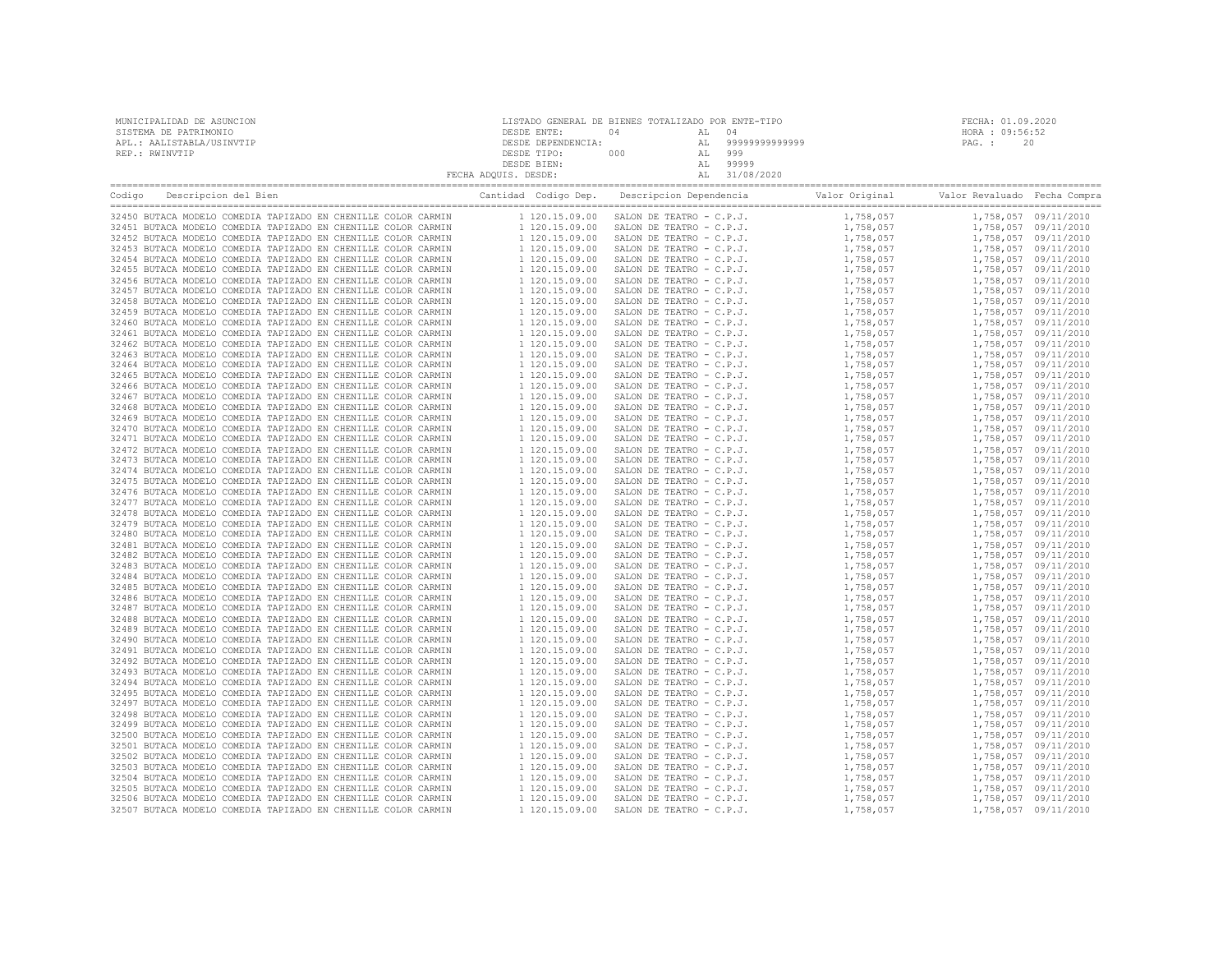| MUNICIPALIDAD DE ASUNCION | LISTADO GENERAL DE BIENES TOTALIZADO POR ENTE-TIPO |     |    |                |                 | FECHA: 01.09.2020 |
|---------------------------|----------------------------------------------------|-----|----|----------------|-----------------|-------------------|
| SISTEMA DE PATRIMONIO     | DESDE ENTE:                                        | 04  |    |                | HORA : 09:56:52 |                   |
| APL.: AALISTABLA/USINVTIP | DESDE DEPENDENCIA:                                 |     |    | 99999999999999 | PAG. :          | 20                |
| REP.: RWINVTIP            | DESDE TIPO:                                        | 000 | AL | 999            |                 |                   |
|                           | DESDE BIEN:                                        |     |    | 99999          |                 |                   |
|                           | FECHA ADQUIS. DESDE:                               |     |    | 31/08/2020     |                 |                   |
|                           |                                                    |     |    |                |                 |                   |

| Descripcion del Bien<br>Codigo                                | Cantidad Codigo Dep. | Descripcion Dependencia                 | Valor Original | Valor Revaluado Fecha Compra |                      |
|---------------------------------------------------------------|----------------------|-----------------------------------------|----------------|------------------------------|----------------------|
| 32450 BUTACA MODELO COMEDIA TAPIZADO EN CHENILLE COLOR CARMIN |                      | 1 120.15.09.00 SALON DE TEATRO - C.P.J. | 1,758,057      |                              | 1,758,057 09/11/2010 |
| 32451 BUTACA MODELO COMEDIA TAPIZADO EN CHENILLE COLOR CARMIN | 1 120.15.09.00       | SALON DE TEATRO - C.P.J.                | 1,758,057      |                              | 1,758,057 09/11/2010 |
| 32452 BUTACA MODELO COMEDIA TAPIZADO EN CHENILLE COLOR CARMIN | 1 120.15.09.00       | SALON DE TEATRO - C.P.J.                | 1,758,057      |                              | 1,758,057 09/11/2010 |
| 32453 BUTACA MODELO COMEDIA TAPIZADO EN CHENILLE COLOR CARMIN | 1 120.15.09.00       | SALON DE TEATRO - C.P.J.                | 1,758,057      |                              | 1,758,057 09/11/2010 |
| 32454 BUTACA MODELO COMEDIA TAPIZADO EN CHENILLE COLOR CARMIN | 1 120.15.09.00       | SALON DE TEATRO - C.P.J.                | 1,758,057      |                              | 1,758,057 09/11/2010 |
| 32455 BUTACA MODELO COMEDIA TAPIZADO EN CHENILLE COLOR CARMIN | 1 120.15.09.00       | SALON DE TEATRO - C.P.J.                | 1,758,057      |                              | 1,758,057 09/11/2010 |
| 32456 BUTACA MODELO COMEDIA TAPIZADO EN CHENILLE COLOR CARMIN | 1 120.15.09.00       | SALON DE TEATRO - C.P.J.                | 1,758,057      |                              | 1,758,057 09/11/2010 |
| 32457 BUTACA MODELO COMEDIA TAPIZADO EN CHENILLE COLOR CARMIN | 1 120.15.09.00       | SALON DE TEATRO - C.P.J.                | 1,758,057      |                              | 1,758,057 09/11/2010 |
| 32458 BUTACA MODELO COMEDIA TAPIZADO EN CHENILLE COLOR CARMIN | 1 120.15.09.00       | SALON DE TEATRO - C.P.J.                | 1,758,057      |                              | 1,758,057 09/11/2010 |
| 32459 BUTACA MODELO COMEDIA TAPIZADO EN CHENILLE COLOR CARMIN | 1 120.15.09.00       | SALON DE TEATRO - C.P.J.                | 1,758,057      |                              | 1,758,057 09/11/2010 |
| 32460 BUTACA MODELO COMEDIA TAPIZADO EN CHENILLE COLOR CARMIN | 1 120.15.09.00       | SALON DE TEATRO - C.P.J.                | 1,758,057      |                              | 1,758,057 09/11/2010 |
| 32461 BUTACA MODELO COMEDIA TAPIZADO EN CHENILLE COLOR CARMIN | 1 120.15.09.00       | SALON DE TEATRO - C.P.J.                | 1,758,057      |                              | 1,758,057 09/11/2010 |
| 32462 BUTACA MODELO COMEDIA TAPIZADO EN CHENILLE COLOR CARMIN | 1 120.15.09.00       | SALON DE TEATRO - C.P.J.                | 1,758,057      |                              | 1,758,057 09/11/2010 |
| 32463 BUTACA MODELO COMEDIA TAPIZADO EN CHENILLE COLOR CARMIN | 1 120.15.09.00       | SALON DE TEATRO - C.P.J.                | 1,758,057      |                              | 1,758,057 09/11/2010 |
| 32464 BUTACA MODELO COMEDIA TAPIZADO EN CHENILLE COLOR CARMIN | 1 120.15.09.00       | SALON DE TEATRO - C.P.J.                | 1,758,057      |                              | 1,758,057 09/11/2010 |
| 32465 BUTACA MODELO COMEDIA TAPIZADO EN CHENILLE COLOR CARMIN | 1 120.15.09.00       | SALON DE TEATRO - C.P.J.                | 1,758,057      |                              | 1,758,057 09/11/2010 |
| 32466 BUTACA MODELO COMEDIA TAPIZADO EN CHENILLE COLOR CARMIN | 1 120.15.09.00       | SALON DE TEATRO - C.P.J.                | 1,758,057      |                              | 1,758,057 09/11/2010 |
| 32467 BUTACA MODELO COMEDIA TAPIZADO EN CHENILLE COLOR CARMIN | 1 120.15.09.00       | SALON DE TEATRO - C.P.J.                | 1,758,057      |                              | 1,758,057 09/11/2010 |
| 32468 BUTACA MODELO COMEDIA TAPIZADO EN CHENILLE COLOR CARMIN | 1 120.15.09.00       | SALON DE TEATRO - C.P.J.                | 1,758,057      |                              | 1,758,057 09/11/2010 |
| 32469 BUTACA MODELO COMEDIA TAPIZADO EN CHENILLE COLOR CARMIN | 1 120.15.09.00       | SALON DE TEATRO - C.P.J.                | 1,758,057      |                              | 1,758,057 09/11/2010 |
| 32470 BUTACA MODELO COMEDIA TAPIZADO EN CHENILLE COLOR CARMIN | 1 120.15.09.00       | SALON DE TEATRO - C.P.J.                | 1,758,057      |                              | 1,758,057 09/11/2010 |
| 32471 BUTACA MODELO COMEDIA TAPIZADO EN CHENILLE COLOR CARMIN | 1 120.15.09.00       | SALON DE TEATRO - C.P.J.                | 1,758,057      |                              | 1,758,057 09/11/2010 |
| 32472 BUTACA MODELO COMEDIA TAPIZADO EN CHENILLE COLOR CARMIN | 1 120.15.09.00       | SALON DE TEATRO - C.P.J.                | 1,758,057      |                              | 1,758,057 09/11/2010 |
| 32473 BUTACA MODELO COMEDIA TAPIZADO EN CHENILLE COLOR CARMIN | 1 120.15.09.00       | SALON DE TEATRO - C.P.J.                | 1,758,057      |                              | 1,758,057 09/11/2010 |
| 32474 BUTACA MODELO COMEDIA TAPIZADO EN CHENILLE COLOR CARMIN | 1 120.15.09.00       | SALON DE TEATRO - C.P.J.                | 1,758,057      |                              | 1,758,057 09/11/2010 |
| 32475 BUTACA MODELO COMEDIA TAPIZADO EN CHENILLE COLOR CARMIN | 1 120.15.09.00       | SALON DE TEATRO - C.P.J.                | 1,758,057      |                              | 1,758,057 09/11/2010 |
| 32476 BUTACA MODELO COMEDIA TAPIZADO EN CHENILLE COLOR CARMIN | 1 120.15.09.00       | SALON DE TEATRO - C.P.J.                | 1,758,057      |                              | 1,758,057 09/11/2010 |
| 32477 BUTACA MODELO COMEDIA TAPIZADO EN CHENILLE COLOR CARMIN | 1 120.15.09.00       | SALON DE TEATRO - C.P.J.                | 1,758,057      |                              | 1,758,057 09/11/2010 |
| 32478 BUTACA MODELO COMEDIA TAPIZADO EN CHENILLE COLOR CARMIN | 1 120.15.09.00       | SALON DE TEATRO - C.P.J.                | 1,758,057      |                              | 1,758,057 09/11/2010 |
| 32479 BUTACA MODELO COMEDIA TAPIZADO EN CHENILLE COLOR CARMIN | 1 120.15.09.00       | SALON DE TEATRO - C.P.J.                | 1,758,057      |                              | 1,758,057 09/11/2010 |
| 32480 BUTACA MODELO COMEDIA TAPIZADO EN CHENILLE COLOR CARMIN | 1 120.15.09.00       | SALON DE TEATRO - C.P.J.                | 1,758,057      |                              | 1,758,057 09/11/2010 |
| 32481 BUTACA MODELO COMEDIA TAPIZADO EN CHENILLE COLOR CARMIN | 1 120.15.09.00       | SALON DE TEATRO - C.P.J.                | 1,758,057      |                              | 1,758,057 09/11/2010 |
| 32482 BUTACA MODELO COMEDIA TAPIZADO EN CHENILLE COLOR CARMIN | 1 120.15.09.00       | SALON DE TEATRO - C.P.J.                | 1,758,057      |                              | 1,758,057 09/11/2010 |
| 32483 BUTACA MODELO COMEDIA TAPIZADO EN CHENILLE COLOR CARMIN | 1 120.15.09.00       | SALON DE TEATRO - C.P.J.                | 1,758,057      |                              | 1,758,057 09/11/2010 |
| 32484 BUTACA MODELO COMEDIA TAPIZADO EN CHENILLE COLOR CARMIN | 1 120.15.09.00       | SALON DE TEATRO - C.P.J.                | 1,758,057      |                              | 1,758,057 09/11/2010 |
| 32485 BUTACA MODELO COMEDIA TAPIZADO EN CHENILLE COLOR CARMIN | 1 120.15.09.00       | SALON DE TEATRO - C.P.J.                | 1,758,057      |                              | 1,758,057 09/11/2010 |
| 32486 BUTACA MODELO COMEDIA TAPIZADO EN CHENILLE COLOR CARMIN | 1 120.15.09.00       | SALON DE TEATRO - C.P.J.                | 1,758,057      |                              | 1,758,057 09/11/2010 |
| 32487 BUTACA MODELO COMEDIA TAPIZADO EN CHENILLE COLOR CARMIN | 1 120.15.09.00       | SALON DE TEATRO - C.P.J.                | 1,758,057      |                              | 1,758,057 09/11/2010 |
| 32488 BUTACA MODELO COMEDIA TAPIZADO EN CHENILLE COLOR CARMIN | 1 120.15.09.00       | SALON DE TEATRO - C.P.J.                | 1,758,057      |                              | 1,758,057 09/11/2010 |
| 32489 BUTACA MODELO COMEDIA TAPIZADO EN CHENILLE COLOR CARMIN | 1 120.15.09.00       | SALON DE TEATRO - C.P.J.                | 1,758,057      |                              | 1,758,057 09/11/2010 |
| 32490 BUTACA MODELO COMEDIA TAPIZADO EN CHENILLE COLOR CARMIN | 1 120.15.09.00       | SALON DE TEATRO - C.P.J.                | 1,758,057      |                              | 1,758,057 09/11/2010 |
| 32491 BUTACA MODELO COMEDIA TAPIZADO EN CHENILLE COLOR CARMIN | 1 120.15.09.00       | SALON DE TEATRO - C.P.J.                | 1,758,057      |                              | 1,758,057 09/11/2010 |
| 32492 BUTACA MODELO COMEDIA TAPIZADO EN CHENILLE COLOR CARMIN | 1 120.15.09.00       | SALON DE TEATRO - C.P.J.                | 1,758,057      |                              | 1,758,057 09/11/2010 |
| 32493 BUTACA MODELO COMEDIA TAPIZADO EN CHENILLE COLOR CARMIN | 1 120.15.09.00       | SALON DE TEATRO - C.P.J.                | 1,758,057      |                              | 1,758,057 09/11/2010 |
| 32494 BUTACA MODELO COMEDIA TAPIZADO EN CHENILLE COLOR CARMIN | 1 120.15.09.00       | SALON DE TEATRO - C.P.J.                | 1,758,057      |                              | 1,758,057 09/11/2010 |
| 32495 BUTACA MODELO COMEDIA TAPIZADO EN CHENILLE COLOR CARMIN | 1 120.15.09.00       | SALON DE TEATRO - C.P.J.                | 1,758,057      |                              | 1,758,057 09/11/2010 |
| 32497 BUTACA MODELO COMEDIA TAPIZADO EN CHENILLE COLOR CARMIN | 1 120.15.09.00       | SALON DE TEATRO - C.P.J.                | 1,758,057      |                              | 1,758,057 09/11/2010 |
| 32498 BUTACA MODELO COMEDIA TAPIZADO EN CHENILLE COLOR CARMIN | 1 120.15.09.00       | SALON DE TEATRO - C.P.J.                | 1,758,057      |                              | 1,758,057 09/11/2010 |
| 32499 BUTACA MODELO COMEDIA TAPIZADO EN CHENILLE COLOR CARMIN | 1 120.15.09.00       | SALON DE TEATRO - C.P.J.                | 1,758,057      |                              | 1,758,057 09/11/2010 |
| 32500 BUTACA MODELO COMEDIA TAPIZADO EN CHENILLE COLOR CARMIN | 1 120.15.09.00       | SALON DE TEATRO - C.P.J.                | 1,758,057      |                              | 1,758,057 09/11/2010 |
| 32501 BUTACA MODELO COMEDIA TAPIZADO EN CHENILLE COLOR CARMIN | 1 120.15.09.00       | SALON DE TEATRO - C.P.J.                | 1,758,057      |                              | 1,758,057 09/11/2010 |
| 32502 BUTACA MODELO COMEDIA TAPIZADO EN CHENILLE COLOR CARMIN | 1 120.15.09.00       | SALON DE TEATRO - C.P.J.                | 1,758,057      |                              | 1,758,057 09/11/2010 |
| 32503 BUTACA MODELO COMEDIA TAPIZADO EN CHENILLE COLOR CARMIN | 1 120.15.09.00       | SALON DE TEATRO - C.P.J.                | 1,758,057      |                              | 1,758,057 09/11/2010 |
| 32504 BUTACA MODELO COMEDIA TAPIZADO EN CHENILLE COLOR CARMIN | 1 120.15.09.00       | SALON DE TEATRO - C.P.J.                | 1,758,057      |                              | 1,758,057 09/11/2010 |
| 32505 BUTACA MODELO COMEDIA TAPIZADO EN CHENILLE COLOR CARMIN | 1 120.15.09.00       | SALON DE TEATRO - C.P.J.                | 1,758,057      |                              | 1,758,057 09/11/2010 |
| 32506 BUTACA MODELO COMEDIA TAPIZADO EN CHENILLE COLOR CARMIN | 1 120.15.09.00       | SALON DE TEATRO - C.P.J.                | 1,758,057      |                              | 1,758,057 09/11/2010 |
| 32507 BUTACA MODELO COMEDIA TAPIZADO EN CHENILLE COLOR CARMIN | 1 120.15.09.00       | SALON DE TEATRO - C.P.J.                | 1,758,057      |                              | 1,758,057 09/11/2010 |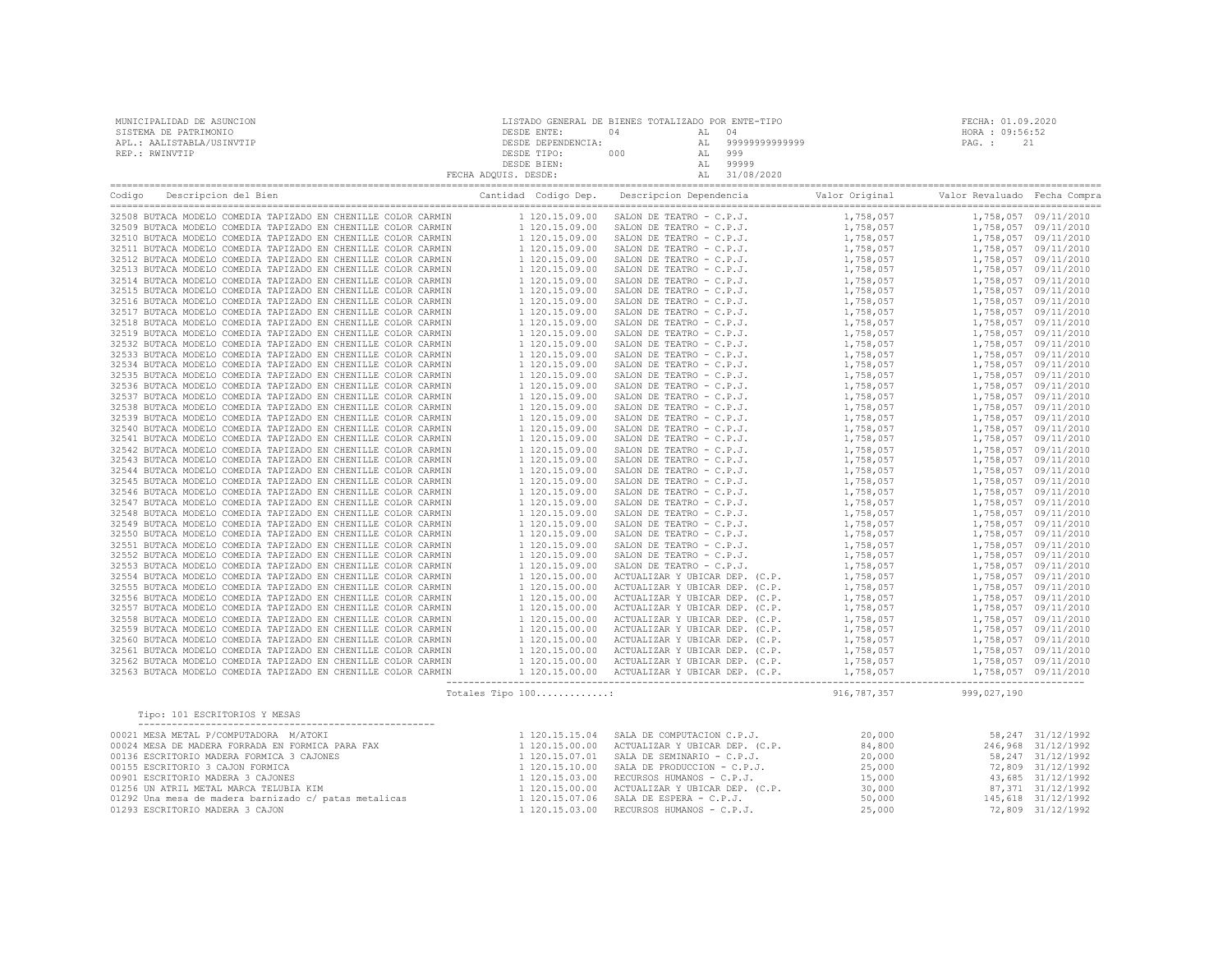| MUNICIPALIDAD DE ASUNCION | LISTADO GENERAL DE BIENES TOTALIZADO POR ENTE-TIPO |     |       |               | FECHA: 01.09.2020 |    |
|---------------------------|----------------------------------------------------|-----|-------|---------------|-------------------|----|
| SISTEMA DE PATRIMONIO     | DESDE ENTE:                                        | 04  | AL 04 |               | HORA : 09:56:52   |    |
| APL.: AALISTABLA/USINVTIP | DESDE DEPENDENCIA:                                 |     | AL    | 9999999999999 | PAG. :            | 21 |
| REP.: RWINVTIP            | DESDE TIPO:                                        | 000 | AL    | 999           |                   |    |
|                           | DESDE BIEN:                                        |     |       | 99999         |                   |    |
|                           | FECHA ADQUIS. DESDE:                               |     |       | 31/08/2020    |                   |    |
|                           |                                                    |     |       |               |                   |    |

| Codiao | Descripcion del Bien                                          | Cantidad Codigo Dep. | Descripcion Dependencia        | Valor Original | Valor Revaluado Fecha Compra |                      |
|--------|---------------------------------------------------------------|----------------------|--------------------------------|----------------|------------------------------|----------------------|
|        | 32508 BUTACA MODELO COMEDIA TAPIZADO EN CHENILLE COLOR CARMIN | 1 120.15.09.00       | SALON DE TEATRO - C.P.J.       | 1,758,057      |                              | 1,758,057 09/11/2010 |
| 32509  | BUTACA MODELO COMEDIA TAPIZADO EN CHENILLE COLOR CARMIN       | 1 120.15.09.00       | SALON DE TEATRO - C.P.J.       | 1,758,057      |                              | 1,758,057 09/11/2010 |
|        | 32510 BUTACA MODELO COMEDIA TAPIZADO EN CHENILLE COLOR CARMIN | 1 120.15.09.00       | SALON DE TEATRO - C.P.J.       | 1,758,057      |                              | 1,758,057 09/11/2010 |
| 32511  | BUTACA MODELO COMEDIA TAPIZADO EN CHENILLE COLOR CARMIN       | 1 120.15.09.00       | SALON DE TEATRO - C.P.J.       | 1,758,057      |                              | 1,758,057 09/11/2010 |
|        | 32512 BUTACA MODELO COMEDIA TAPIZADO EN CHENILLE COLOR CARMIN | 1 120.15.09.00       | SALON DE TEATRO - C.P.J.       | 1,758,057      |                              | 1,758,057 09/11/2010 |
|        | 32513 BUTACA MODELO COMEDIA TAPIZADO EN CHENILLE COLOR CARMIN | 1 120.15.09.00       | SALON DE TEATRO - C.P.J.       | 1,758,057      |                              | 1,758,057 09/11/2010 |
|        | 32514 BUTACA MODELO COMEDIA TAPIZADO EN CHENILLE COLOR CARMIN | 1 120.15.09.00       | SALON DE TEATRO - C.P.J.       | 1,758,057      |                              | 1,758,057 09/11/2010 |
|        | 32515 BUTACA MODELO COMEDIA TAPIZADO EN CHENILLE COLOR CARMIN | 1 120.15.09.00       | SALON DE TEATRO - C.P.J.       | 1,758,057      |                              | 1,758,057 09/11/2010 |
|        | 32516 BUTACA MODELO COMEDIA TAPIZADO EN CHENILLE COLOR CARMIN | 1 120.15.09.00       | SALON DE TEATRO - C.P.J.       | 1,758,057      |                              | 1,758,057 09/11/2010 |
|        | 32517 BUTACA MODELO COMEDIA TAPIZADO EN CHENILLE COLOR CARMIN | 1 120.15.09.00       | SALON DE TEATRO - C.P.J.       | 1,758,057      |                              | 1,758,057 09/11/2010 |
|        | 32518 BUTACA MODELO COMEDIA TAPIZADO EN CHENILLE COLOR CARMIN | 1 120.15.09.00       | SALON DE TEATRO - C.P.J.       | 1,758,057      |                              | 1,758,057 09/11/2010 |
|        | 32519 BUTACA MODELO COMEDIA TAPIZADO EN CHENILLE COLOR CARMIN | 1 120.15.09.00       | SALON DE TEATRO - C.P.J.       | 1,758,057      |                              | 1,758,057 09/11/2010 |
|        | 32532 BUTACA MODELO COMEDIA TAPIZADO EN CHENILLE COLOR CARMIN | 1 120.15.09.00       | SALON DE TEATRO - C.P.J.       | 1,758,057      |                              | 1,758,057 09/11/2010 |
|        | 32533 BUTACA MODELO COMEDIA TAPIZADO EN CHENILLE COLOR CARMIN | 1 120.15.09.00       | SALON DE TEATRO - C.P.J.       | 1,758,057      |                              | 1,758,057 09/11/2010 |
| 32534  | BUTACA MODELO COMEDIA TAPIZADO EN CHENILLE COLOR CARMIN       | 1 120.15.09.00       | SALON DE TEATRO - C.P.J.       | 1,758,057      |                              | 1,758,057 09/11/2010 |
|        | 32535 BUTACA MODELO COMEDIA TAPIZADO EN CHENILLE COLOR CARMIN | 1 120.15.09.00       | SALON DE TEATRO - C.P.J.       | 1,758,057      |                              | 1,758,057 09/11/2010 |
|        | 32536 BUTACA MODELO COMEDIA TAPIZADO EN CHENILLE COLOR CARMIN | 1 120.15.09.00       | SALON DE TEATRO - C.P.J.       | 1,758,057      |                              | 1,758,057 09/11/2010 |
|        | 32537 BUTACA MODELO COMEDIA TAPIZADO EN CHENILLE COLOR CARMIN | 1 120.15.09.00       | SALON DE TEATRO - C.P.J.       | 1,758,057      |                              | 1,758,057 09/11/2010 |
|        | 32538 BUTACA MODELO COMEDIA TAPIZADO EN CHENILLE COLOR CARMIN | 1 120.15.09.00       | SALON DE TEATRO - C.P.J.       | 1,758,057      |                              | 1,758,057 09/11/2010 |
|        | 32539 BUTACA MODELO COMEDIA TAPIZADO EN CHENILLE COLOR CARMIN | 1 120.15.09.00       | SALON DE TEATRO - C.P.J.       | 1,758,057      |                              | 1,758,057 09/11/2010 |
| 32540  | BUTACA MODELO COMEDIA TAPIZADO EN CHENILLE COLOR CARMIN       | 1 120.15.09.00       | SALON DE TEATRO - C.P.J.       | 1,758,057      |                              | 1,758,057 09/11/2010 |
|        | 32541 BUTACA MODELO COMEDIA TAPIZADO EN CHENILLE COLOR CARMIN | 1 120.15.09.00       | SALON DE TEATRO - C.P.J.       | 1,758,057      |                              | 1,758,057 09/11/2010 |
| 32542  | BUTACA MODELO COMEDIA TAPIZADO EN CHENILLE COLOR CARMIN       | 1 120.15.09.00       | SALON DE TEATRO - C.P.J.       | 1,758,057      |                              | 1,758,057 09/11/2010 |
|        | 32543 BUTACA MODELO COMEDIA TAPIZADO EN CHENILLE COLOR CARMIN | 1 120.15.09.00       | SALON DE TEATRO - C.P.J.       | 1,758,057      |                              | 1,758,057 09/11/2010 |
| 32544  | BUTACA MODELO COMEDIA TAPIZADO EN CHENILLE COLOR CARMIN       | 1 120.15.09.00       | SALON DE TEATRO - C.P.J.       | 1,758,057      |                              | 1,758,057 09/11/2010 |
|        | 32545 BUTACA MODELO COMEDIA TAPIZADO EN CHENILLE COLOR CARMIN | 1 120.15.09.00       | SALON DE TEATRO - C.P.J.       | 1,758,057      |                              | 1,758,057 09/11/2010 |
| 32546  | BUTACA MODELO COMEDIA TAPIZADO EN CHENILLE COLOR CARMIN       | 1 120.15.09.00       | SALON DE TEATRO - C.P.J.       | 1,758,057      |                              | 1,758,057 09/11/2010 |
|        | 32547 BUTACA MODELO COMEDIA TAPIZADO EN CHENILLE COLOR CARMIN | 1 120.15.09.00       | SALON DE TEATRO - C.P.J.       | 1,758,057      |                              | 1,758,057 09/11/2010 |
|        | 32548 BUTACA MODELO COMEDIA TAPIZADO EN CHENILLE COLOR CARMIN | 1 120.15.09.00       | SALON DE TEATRO - C.P.J.       | 1,758,057      |                              | 1,758,057 09/11/2010 |
|        | 32549 BUTACA MODELO COMEDIA TAPIZADO EN CHENILLE COLOR CARMIN | 1 120.15.09.00       | SALON DE TEATRO - C.P.J.       | 1,758,057      |                              | 1,758,057 09/11/2010 |
|        | 32550 BUTACA MODELO COMEDIA TAPIZADO EN CHENILLE COLOR CARMIN | 1 120.15.09.00       | SALON DE TEATRO - C.P.J.       | 1,758,057      |                              | 1,758,057 09/11/2010 |
|        | 32551 BUTACA MODELO COMEDIA TAPIZADO EN CHENILLE COLOR CARMIN | 1 120.15.09.00       | SALON DE TEATRO - C.P.J.       | 1,758,057      |                              | 1,758,057 09/11/2010 |
|        | 32552 BUTACA MODELO COMEDIA TAPIZADO EN CHENILLE COLOR CARMIN | 1 120.15.09.00       | SALON DE TEATRO - C.P.J.       | 1,758,057      |                              | 1,758,057 09/11/2010 |
|        | 32553 BUTACA MODELO COMEDIA TAPIZADO EN CHENILLE COLOR CARMIN | 1 120.15.09.00       | SALON DE TEATRO - C.P.J.       | 1,758,057      |                              | 1,758,057 09/11/2010 |
|        | 32554 BUTACA MODELO COMEDIA TAPIZADO EN CHENILLE COLOR CARMIN | 1 120.15.00.00       | ACTUALIZAR Y UBICAR DEP. (C.P. | 1,758,057      |                              | 1,758,057 09/11/2010 |
| 32555  | BUTACA MODELO COMEDIA TAPIZADO EN CHENILLE COLOR CARMIN       | 1 120.15.00.00       | ACTUALIZAR Y UBICAR DEP. (C.P. | 1,758,057      |                              | 1,758,057 09/11/2010 |
|        | 32556 BUTACA MODELO COMEDIA TAPIZADO EN CHENILLE COLOR CARMIN | 1 120.15.00.00       | ACTUALIZAR Y UBICAR DEP. (C.P. | 1,758,057      |                              | 1,758,057 09/11/2010 |
|        | 32557 BUTACA MODELO COMEDIA TAPIZADO EN CHENILLE COLOR CARMIN | 1 120.15.00.00       | ACTUALIZAR Y UBICAR DEP. (C.P. | 1,758,057      |                              | 1,758,057 09/11/2010 |
| 32558  | BUTACA MODELO COMEDIA TAPIZADO EN CHENILLE COLOR CARMIN       | 1 120.15.00.00       | ACTUALIZAR Y UBICAR DEP. (C.P. | 1,758,057      |                              | 1,758,057 09/11/2010 |
| 32559  | BUTACA MODELO COMEDIA TAPIZADO EN CHENILLE COLOR CARMIN       | 1 120.15.00.00       | ACTUALIZAR Y UBICAR DEP. (C.P. | 1,758,057      |                              | 1,758,057 09/11/2010 |
|        | 32560 BUTACA MODELO COMEDIA TAPIZADO EN CHENILLE COLOR CARMIN | 1 120.15.00.00       | ACTUALIZAR Y UBICAR DEP. (C.P. | 1,758,057      |                              | 1,758,057 09/11/2010 |
| 32561  | BUTACA MODELO COMEDIA TAPIZADO EN CHENILLE COLOR CARMIN       | 1 120.15.00.00       | ACTUALIZAR Y UBICAR DEP. (C.P. | 1,758,057      |                              | 1,758,057 09/11/2010 |
|        | 32562 BUTACA MODELO COMEDIA TAPIZADO EN CHENILLE COLOR CARMIN | 1 120.15.00.00       | ACTUALIZAR Y UBICAR DEP. (C.P. | 1,758,057      |                              | 1,758,057 09/11/2010 |
|        | 32563 BUTACA MODELO COMEDIA TAPIZADO EN CHENILLE COLOR CARMIN | 1 120.15.00.00       | ACTUALIZAR Y UBICAR DEP. (C.P. | 1,758,057      |                              | 1,758,057 09/11/2010 |
|        |                                                               | Totales Tipo 100:    |                                | 916,787,357    | 999,027,190                  |                      |

| Tipo: 101 ESCRITORIOS Y MESAS                         |                |                                               |        |                    |
|-------------------------------------------------------|----------------|-----------------------------------------------|--------|--------------------|
| 00021 MESA METAL P/COMPUTADORA M/ATOKI                | 1 120.15.15.04 | SALA DE COMPUTACION C.P.J.                    | 20,000 | 58, 247 31/12/1992 |
| 00024 MESA DE MADERA FORRADA EN FORMICA PARA FAX      |                | 1 120.15.00.00 ACTUALIZAR Y UBICAR DEP. (C.P. | 84,800 | 246,968 31/12/1992 |
| 00136 ESCRITORIO MADERA FORMICA 3 CAJONES             |                | 1 120.15.07.01 SALA DE SEMINARIO - C.P.J.     | 20,000 | 58, 247 31/12/1992 |
| 00155 ESCRITORIO 3 CAJON FORMICA                      |                | $1$ 120.15.10.00 SALA DE PRODUCCION - C.P.J.  | 25,000 | 72,809 31/12/1992  |
| 00901 ESCRITORIO MADERA 3 CAJONES                     |                | 1 120.15.03.00 RECURSOS HUMANOS - C.P.J.      | 15,000 | 43,685 31/12/1992  |
| 01256 UN ATRIL METAL MARCA TELUBIA KIM                |                | 1 120.15.00.00 ACTUALIZAR Y UBICAR DEP. (C.P. | 30,000 | 87,371 31/12/1992  |
| 01292 Una mesa de madera barnizado c/ patas metalicas |                | 1 120.15.07.06 SALA DE ESPERA - C.P.J.        | 50,000 | 145,618 31/12/1992 |
| 01293 ESCRITORIO MADERA 3 CAJON                       |                | 1 120.15.03.00 RECURSOS HUMANOS - C.P.J.      | 25,000 | 72,809 31/12/1992  |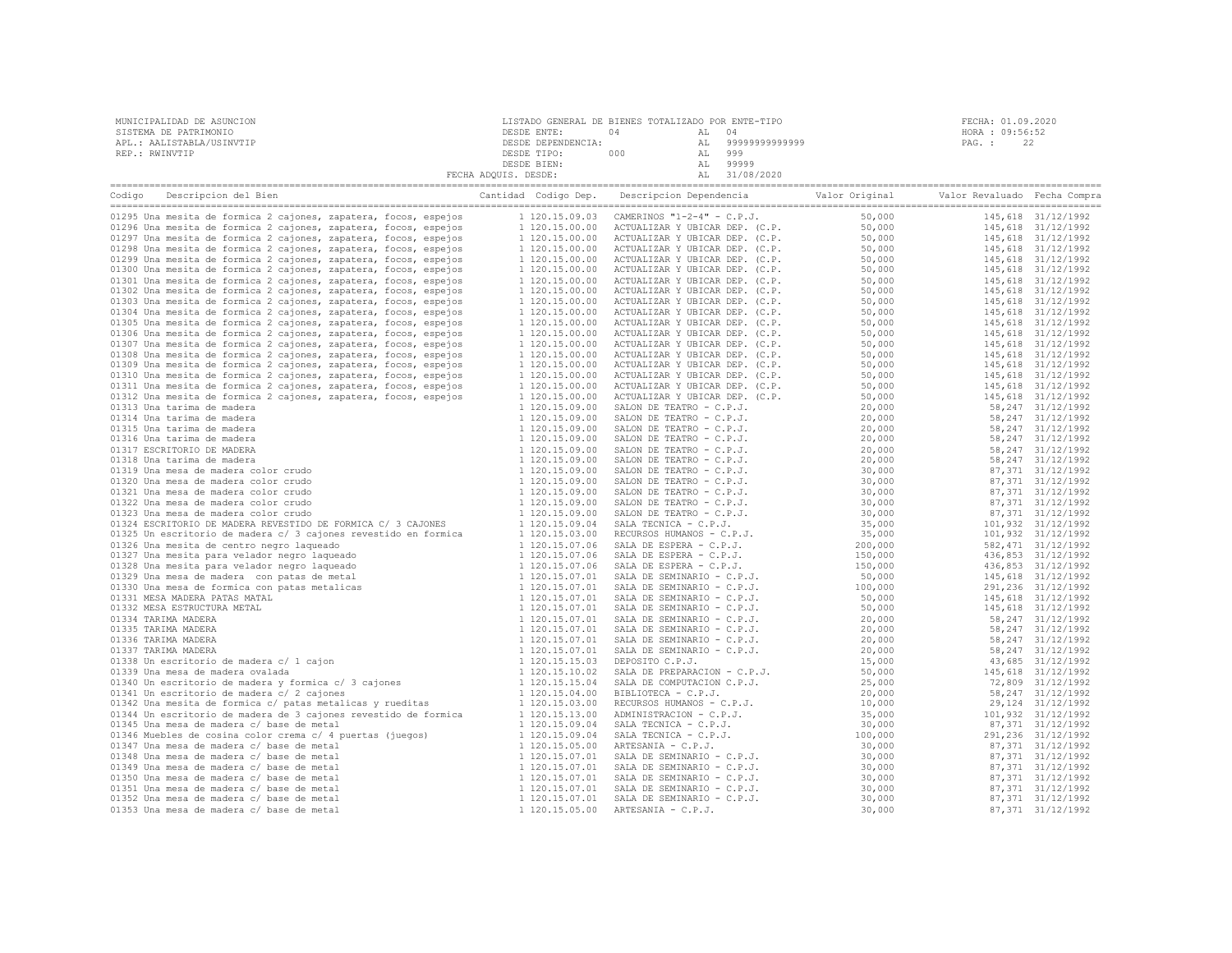| MUNICIPALIDAD DE ASUNCION<br>SISTEMA DE PATRIMONIO<br>APL.: AALISTABLA/USINVTIP<br>REP.: RWINVTIP                                   | LISTADO GENERAL DE BIENES TOTALIZADO POR ENTE-TIPO<br>DESDE ENTE: 04 AL 04<br>DESDE ENTE: 04 AL 999999999999999<br>DESDE TIPO: 000 AL 999999999999999<br>DESDE TIPO: 000 AL 9999<br>DESDE ETEN: AL 99999<br>PECHA ADQUIS. DESDE: AL 31/08/2020 | FECHA: 01.09.2020<br>HORA : 09:56:52<br>PAG. :<br>22 |
|-------------------------------------------------------------------------------------------------------------------------------------|------------------------------------------------------------------------------------------------------------------------------------------------------------------------------------------------------------------------------------------------|------------------------------------------------------|
| Codigo Descripcion del Bien de Marco de Cantidad Codigo Dep. Descripcion Dependencia de Valor Original Valor Revaluado Fecha Compra |                                                                                                                                                                                                                                                |                                                      |
|                                                                                                                                     |                                                                                                                                                                                                                                                |                                                      |
|                                                                                                                                     |                                                                                                                                                                                                                                                |                                                      |
|                                                                                                                                     |                                                                                                                                                                                                                                                |                                                      |
|                                                                                                                                     |                                                                                                                                                                                                                                                |                                                      |
|                                                                                                                                     |                                                                                                                                                                                                                                                |                                                      |
|                                                                                                                                     |                                                                                                                                                                                                                                                |                                                      |
|                                                                                                                                     |                                                                                                                                                                                                                                                |                                                      |
|                                                                                                                                     |                                                                                                                                                                                                                                                |                                                      |
|                                                                                                                                     |                                                                                                                                                                                                                                                |                                                      |
|                                                                                                                                     |                                                                                                                                                                                                                                                |                                                      |
|                                                                                                                                     |                                                                                                                                                                                                                                                |                                                      |
|                                                                                                                                     |                                                                                                                                                                                                                                                |                                                      |
|                                                                                                                                     |                                                                                                                                                                                                                                                |                                                      |
|                                                                                                                                     |                                                                                                                                                                                                                                                |                                                      |
|                                                                                                                                     |                                                                                                                                                                                                                                                |                                                      |
|                                                                                                                                     |                                                                                                                                                                                                                                                |                                                      |
|                                                                                                                                     |                                                                                                                                                                                                                                                |                                                      |
|                                                                                                                                     |                                                                                                                                                                                                                                                |                                                      |
|                                                                                                                                     |                                                                                                                                                                                                                                                |                                                      |
|                                                                                                                                     |                                                                                                                                                                                                                                                |                                                      |
|                                                                                                                                     |                                                                                                                                                                                                                                                |                                                      |
|                                                                                                                                     |                                                                                                                                                                                                                                                |                                                      |
|                                                                                                                                     |                                                                                                                                                                                                                                                |                                                      |
|                                                                                                                                     |                                                                                                                                                                                                                                                |                                                      |
|                                                                                                                                     |                                                                                                                                                                                                                                                |                                                      |
|                                                                                                                                     |                                                                                                                                                                                                                                                |                                                      |
|                                                                                                                                     |                                                                                                                                                                                                                                                |                                                      |
|                                                                                                                                     |                                                                                                                                                                                                                                                |                                                      |
|                                                                                                                                     |                                                                                                                                                                                                                                                |                                                      |
|                                                                                                                                     |                                                                                                                                                                                                                                                |                                                      |
|                                                                                                                                     |                                                                                                                                                                                                                                                |                                                      |
|                                                                                                                                     |                                                                                                                                                                                                                                                |                                                      |
|                                                                                                                                     |                                                                                                                                                                                                                                                |                                                      |
|                                                                                                                                     |                                                                                                                                                                                                                                                |                                                      |
|                                                                                                                                     |                                                                                                                                                                                                                                                |                                                      |
|                                                                                                                                     |                                                                                                                                                                                                                                                |                                                      |
|                                                                                                                                     |                                                                                                                                                                                                                                                |                                                      |
|                                                                                                                                     |                                                                                                                                                                                                                                                |                                                      |
|                                                                                                                                     |                                                                                                                                                                                                                                                |                                                      |
|                                                                                                                                     |                                                                                                                                                                                                                                                |                                                      |
|                                                                                                                                     |                                                                                                                                                                                                                                                |                                                      |
|                                                                                                                                     |                                                                                                                                                                                                                                                |                                                      |
|                                                                                                                                     |                                                                                                                                                                                                                                                |                                                      |
|                                                                                                                                     |                                                                                                                                                                                                                                                |                                                      |
|                                                                                                                                     |                                                                                                                                                                                                                                                |                                                      |
|                                                                                                                                     |                                                                                                                                                                                                                                                |                                                      |
|                                                                                                                                     |                                                                                                                                                                                                                                                |                                                      |
|                                                                                                                                     |                                                                                                                                                                                                                                                |                                                      |
|                                                                                                                                     |                                                                                                                                                                                                                                                |                                                      |
|                                                                                                                                     |                                                                                                                                                                                                                                                |                                                      |
|                                                                                                                                     |                                                                                                                                                                                                                                                |                                                      |
|                                                                                                                                     |                                                                                                                                                                                                                                                |                                                      |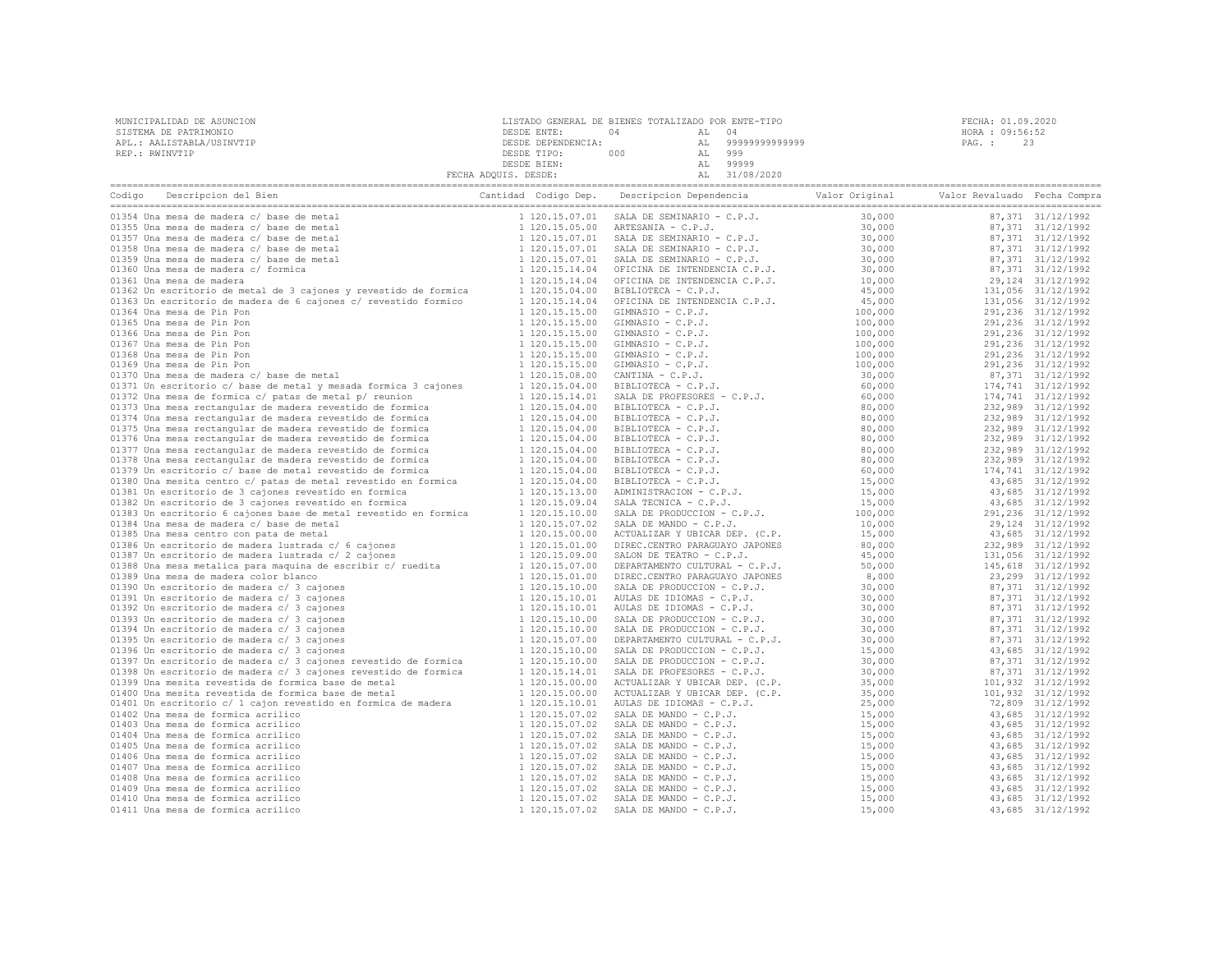| MUNICIPALIDAD DE ASUNCION | LISTADO GENERAL DE BIENES TOTALIZADO POR ENTE-TIPO |     |    |               | FECHA: 01.09.2020 |  |  |
|---------------------------|----------------------------------------------------|-----|----|---------------|-------------------|--|--|
| SISTEMA DE PATRIMONIO     | DESDE ENTE:                                        |     |    |               | HORA : 09:56:52   |  |  |
| APL.: AALISTABLA/USINVTIP | DESDE DEPENDENCIA:                                 |     | AL | 9999999999999 | PAG. :            |  |  |
| REP.: RWINVTIP            | DESDE TIPO:                                        | 000 |    | 999           |                   |  |  |
|                           | DESDE BIEN:                                        |     |    | 99999         |                   |  |  |
|                           | FECHA ADOUIS. DESDE:                               |     | AL | 31/08/2020    |                   |  |  |

| Descripcion del Bien<br>Codigo                                   | Cantidad Codigo Dep. | Descripcion Dependencia Valor Original                                                                                                                                                                                                                                                                                                                                                          |                                                        | Valor Revaluado Fecha Compra |                     |
|------------------------------------------------------------------|----------------------|-------------------------------------------------------------------------------------------------------------------------------------------------------------------------------------------------------------------------------------------------------------------------------------------------------------------------------------------------------------------------------------------------|--------------------------------------------------------|------------------------------|---------------------|
| 01354 Una mesa de madera c/ base de metal                        | 1 120.15.07.01       | SALA DE SEMINARIO - C.P.J.                                                                                                                                                                                                                                                                                                                                                                      | 30,000                                                 |                              | 87,371 31/12/1992   |
| 01355 Una mesa de madera c/ base de metal                        | 1 120.15.05.00       | SALA DE SEMINANIO<br>SALA DE SEMINARIO - C.P.J.<br>SALA DE SEMINARIO - C.P.J.<br>SALA DE SEMINARIO - C.P.J.<br>SALA DE SEMINARIO - C.P.J.<br>OFICINA DE INTENDENCIA C.P.J.<br>- INTENDENCIA C.P.J.                                                                                                                                                                                              | 30,000                                                 |                              | 87,371 31/12/1992   |
| 01357 Una mesa de madera c/ base de metal                        | 1 120.15.07.01       |                                                                                                                                                                                                                                                                                                                                                                                                 | 30,000                                                 |                              | 87,371 31/12/1992   |
| 01358 Una mesa de madera c/ base de metal                        | 1 120.15.07.01       |                                                                                                                                                                                                                                                                                                                                                                                                 | $30,000$<br>$30,000$<br>$30,000$<br>$10,000$<br>$45$ c |                              | 87,371 31/12/1992   |
| 01359 Una mesa de madera c/ base de metal                        | 1 120.15.07.01       |                                                                                                                                                                                                                                                                                                                                                                                                 |                                                        |                              | 87,371 31/12/1992   |
| 01360 Una mesa de madera c/ formica                              | 1 120.15.14.04       | OFICINA DE INTENDENCIA C.P.J.<br>DEINIDEN DE INTENDENCIA C.P.J.<br>BIBLIOTECA - C.P.J.<br>GIMNASIO - C.P.J.<br>GIMNASIO - C.P.J.<br>GIMNASIO - C.P.J.<br>GIMNASIO - C.P.J.<br>GIMNASIO - C.P.J.<br>GIMNASIO - C.P.J.<br>GIMNASIO - C.P.J.<br>GIMNASIO - C.P.                                                                                                                                    |                                                        |                              | 87,371 31/12/1992   |
| 01361 Una mesa de madera                                         | 1 120.15.14.04       |                                                                                                                                                                                                                                                                                                                                                                                                 |                                                        |                              | 29, 124 31/12/1992  |
| 01362 Un escritorio de metal de 3 cajones y revestido de formica | 1 120.15.04.00       |                                                                                                                                                                                                                                                                                                                                                                                                 | 45,000                                                 |                              | 131,056 31/12/1992  |
| 01363 Un escritorio de madera de 6 cajones c/ revestido formico  | 1 120.15.14.04       |                                                                                                                                                                                                                                                                                                                                                                                                 | 45,000                                                 |                              | 131,056 31/12/1992  |
| 01364 Una mesa de Pin Pon                                        | 1 120.15.15.00       |                                                                                                                                                                                                                                                                                                                                                                                                 | 100,000                                                |                              | 291,236 31/12/1992  |
| 01365 Una mesa de Pin Pon                                        | 1 120.15.15.00       |                                                                                                                                                                                                                                                                                                                                                                                                 | 100,000                                                |                              | 291, 236 31/12/1992 |
| 01366 Una mesa de Pin Pon                                        | 1 120.15.15.00       |                                                                                                                                                                                                                                                                                                                                                                                                 | 100,000                                                |                              | 291,236 31/12/1992  |
| 01367 Una mesa de Pin Pon                                        | 1 120.15.15.00       |                                                                                                                                                                                                                                                                                                                                                                                                 | 100,000                                                |                              | 291,236 31/12/1992  |
| 01368 Una mesa de Pin Pon                                        | 1 120.15.15.00       |                                                                                                                                                                                                                                                                                                                                                                                                 | 100,000                                                |                              | 291,236 31/12/1992  |
| 01369 Una mesa de Pin Pon                                        | 1 120.15.15.00       |                                                                                                                                                                                                                                                                                                                                                                                                 | 100,000                                                |                              | 291,236 31/12/1992  |
| 01370 Una mesa de madera c/ base de metal                        | 1 120.15.08.00       |                                                                                                                                                                                                                                                                                                                                                                                                 | 30,000                                                 |                              | 87,371 31/12/1992   |
| 01371 Un escritorio c/ base de metal y mesada formica 3 cajones  | 1 120.15.04.00       |                                                                                                                                                                                                                                                                                                                                                                                                 | 60,000                                                 |                              | 174,741 31/12/1992  |
| 01372 Una mesa de formica c/ patas de metal p/ reunion           | 1 120.15.14.01       |                                                                                                                                                                                                                                                                                                                                                                                                 | 60,000                                                 |                              | 174,741 31/12/1992  |
| 01373 Una mesa rectangular de madera revestido de formica        | 1 120.15.04.00       |                                                                                                                                                                                                                                                                                                                                                                                                 | 80,000                                                 |                              | 232,989 31/12/1992  |
| 01374 Una mesa rectangular de madera revestido de formica        | 1 120.15.04.00       |                                                                                                                                                                                                                                                                                                                                                                                                 | 80,000                                                 |                              | 232,989 31/12/1992  |
| 01375 Una mesa rectangular de madera revestido de formica        | 1 120.15.04.00       |                                                                                                                                                                                                                                                                                                                                                                                                 | 80,000                                                 |                              | 232,989 31/12/1992  |
| 01376 Una mesa rectangular de madera revestido de formica        | 1 120.15.04.00       |                                                                                                                                                                                                                                                                                                                                                                                                 | 80,000                                                 |                              | 232,989 31/12/1992  |
| 01377 Una mesa rectangular de madera revestido de formica        | 1 120.15.04.00       | BIBLIOTECA - C.P.J.<br>BIBLIOTECA - C.P.J.<br>BIBLIOTECA - C.P.J.<br>BIBLIOTECA - C.P.J.<br>BIBLIOTECA - C.P.J.<br>ADMINISTRACION - C.P.J.<br>ADMINISTRACION - C.P.J.                                                                                                                                                                                                                           | 80,000                                                 |                              | 232,989 31/12/1992  |
| 01378 Una mesa rectangular de madera revestido de formica        | 1 120.15.04.00       |                                                                                                                                                                                                                                                                                                                                                                                                 | 80,000                                                 |                              | 232,989 31/12/1992  |
| 01379 Un escritorio c/ base de metal revestido de formica        | 1 120.15.04.00       |                                                                                                                                                                                                                                                                                                                                                                                                 | 60,000                                                 |                              | 174,741 31/12/1992  |
| 01380 Una mesita centro c/ patas de metal revestido en formica   | 1 120.15.04.00       |                                                                                                                                                                                                                                                                                                                                                                                                 | 15,000                                                 |                              | 43,685 31/12/1992   |
| 01381 Un escritorio de 3 cajones revestido en formica            | 1 120.15.13.00       |                                                                                                                                                                                                                                                                                                                                                                                                 | 15,000                                                 |                              | 43,685 31/12/1992   |
| 01382 Un escritorio de 3 cajones revestido en formica            | 1 120.15.09.04       |                                                                                                                                                                                                                                                                                                                                                                                                 | 15,000                                                 |                              | 43,685 31/12/1992   |
| 01383 Un escritorio 6 cajones base de metal revestido en formica | 1 120.15.10.00       | SALA DE PRODUCCION - C.P.J.<br>SALA DE MANDO - C.P.J.<br>SALA DE PRODUCCO.<br>SALA DE MANDO - C.P.J.<br>ACTUALIZAR Y UBICAR DEP. (C.P.<br>DIREC.CENTRO PARAGUAYO JAPONES<br>TON DE TEATRO - C.P.J.<br>TON DE TEATRO - C.P.J.                                                                                                                                                                    | 100,000                                                |                              | 291, 236 31/12/1992 |
| 01384 Una mesa de madera c/ base de metal                        | 1 120.15.07.02       |                                                                                                                                                                                                                                                                                                                                                                                                 | 10,000                                                 |                              | 29, 124 31/12/1992  |
| 01385 Una mesa centro con pata de metal                          | 1 120.15.00.00       |                                                                                                                                                                                                                                                                                                                                                                                                 | 15,000                                                 |                              | 43,685 31/12/1992   |
| 01386 Un escritorio de madera lustrada c/ 6 cajones              | 1 120.15.01.00       |                                                                                                                                                                                                                                                                                                                                                                                                 | 80,000                                                 |                              | 232,989 31/12/1992  |
| 01387 Un escritorio de madera lustrada c/ 2 cajones              | 1 120.15.09.00       |                                                                                                                                                                                                                                                                                                                                                                                                 | 45,000                                                 |                              | 131,056 31/12/1992  |
| 01388 Una mesa metalica para maquina de escribir c/ ruedita      | 1 120.15.07.00       |                                                                                                                                                                                                                                                                                                                                                                                                 | 50,000                                                 |                              | 145,618 31/12/1992  |
| 01389 Una mesa de madera color blanco                            | 1 120.15.01.00       | DIREC.CENTRO PARAGUAYO JAPONES                                                                                                                                                                                                                                                                                                                                                                  | 8,000                                                  |                              | 23,299 31/12/1992   |
| 01390 Un escritorio de madera c/ 3 cajones                       | 1 120.15.10.00       | SALA DE PRODUCCION - C.P.J.                                                                                                                                                                                                                                                                                                                                                                     | 30,000                                                 |                              | 87,371 31/12/1992   |
| 01391 Un escritorio de madera c/ 3 cajones                       | 1 120.15.10.01       | AULAS DE IDIOMAS - C.P.J.                                                                                                                                                                                                                                                                                                                                                                       | 30,000                                                 |                              | 87,371 31/12/1992   |
| 01392 Un escritorio de madera c/ 3 cajones                       | 1 120.15.10.01       | AULAS DE IDIOMAS - C.P.J.                                                                                                                                                                                                                                                                                                                                                                       | 30,000                                                 |                              | 87,371 31/12/1992   |
| 01393 Un escritorio de madera c/ 3 cajones                       | 1 120.15.10.00       | SALA DE PRODUCCION - C.P.J.                                                                                                                                                                                                                                                                                                                                                                     | 30,000                                                 |                              | 87,371 31/12/1992   |
| 01394 Un escritorio de madera c/ 3 cajones                       | 1 120.15.10.00       | SALA DE PRODUCCION - C.P.J.                                                                                                                                                                                                                                                                                                                                                                     | 30,000                                                 |                              | 87,371 31/12/1992   |
| 01395 Un escritorio de madera c/ 3 cajones                       | 1 120.15.07.00       | DEPARTAMENTO CULTURAL - C.P.J.                                                                                                                                                                                                                                                                                                                                                                  | 30,000                                                 |                              | 87,371 31/12/1992   |
| 01396 Un escritorio de madera c/ 3 cajones                       | 1 120.15.10.00       | SALA DE PRODUCCION - C.P.J.                                                                                                                                                                                                                                                                                                                                                                     | 15,000                                                 |                              | 43,685 31/12/1992   |
| 01397 Un escritorio de madera c/ 3 cajones revestido de formica  | 1 120.15.10.00       | SALA DE PRODUCCION - C.P.J.                                                                                                                                                                                                                                                                                                                                                                     | 30,000                                                 |                              | 87,371 31/12/1992   |
| 01398 Un escritorio de madera c/ 3 cajones revestido de formica  | 1 120.15.14.01       | SALA DE PROFESORES - C.P.J.                                                                                                                                                                                                                                                                                                                                                                     | 30,000                                                 |                              | 87,371 31/12/1992   |
| 01399 Una mesita revestida de formica base de metal              | 1 120.15.00.00       | ACTUALIZAR Y UBICAR DEP. (C.P.                                                                                                                                                                                                                                                                                                                                                                  | 35,000                                                 |                              | 101,932 31/12/1992  |
| 01400 Una mesita revestida de formica base de metal              | 1 120.15.00.00       | ACTUALIZAR Y UBICAR DEP. (C.P.                                                                                                                                                                                                                                                                                                                                                                  | 35,000                                                 |                              | 101,932 31/12/1992  |
| 01401 Un escritorio c/ 1 cajon revestido en formica de madera    | 1 120.15.10.01       | AULAS DE IDIOMAS - C.P.J.                                                                                                                                                                                                                                                                                                                                                                       | 25,000                                                 |                              | 72,809 31/12/1992   |
| 01402 Una mesa de formica acrilico                               | 1 120.15.07.02       |                                                                                                                                                                                                                                                                                                                                                                                                 | 15,000                                                 |                              | 43,685 31/12/1992   |
| 01403 Una mesa de formica acrilico                               | 1 120.15.07.02       |                                                                                                                                                                                                                                                                                                                                                                                                 | 15,000                                                 |                              | 43,685 31/12/1992   |
| 01404 Una mesa de formica acrilico                               | 1 120.15.07.02       | $\begin{array}{ll} \multicolumn{2}{l}{{\bf{S.}}}{\bf{S.}} & \multicolumn{2}{l}{{\bf{S.}}}{\bf{S.}} & \multicolumn{2}{l}{{\bf{S.}}}{\bf{S.}} & \multicolumn{2}{l}{{\bf{S.}}}{\bf{S.}} & \multicolumn{2}{l}{{\bf{S.}}}{\bf{S.}} & \multicolumn{2}{l}{{\bf{S.}}}{\bf{S.}} & \multicolumn{2}{l}{{\bf{S.}}}{\bf{S.}} & \multicolumn{2}{l}{{\bf{S.}}}{\bf{S.}} & \multicolumn{2}{l}{{\bf{S.}}}{\bf{S$ | 15,000                                                 |                              | 43,685 31/12/1992   |
| 01405 Una mesa de formica acrilico                               | 1 120.15.07.02       |                                                                                                                                                                                                                                                                                                                                                                                                 | 15,000                                                 |                              | 43,685 31/12/1992   |
| 01406 Una mesa de formica acrilico                               | 1 120.15.07.02       |                                                                                                                                                                                                                                                                                                                                                                                                 | 15,000                                                 |                              | 43,685 31/12/1992   |
| 01407 Una mesa de formica acrilico                               | 1 120.15.07.02       |                                                                                                                                                                                                                                                                                                                                                                                                 | 15,000                                                 |                              | 43,685 31/12/1992   |
| 01408 Una mesa de formica acrilico                               | 1 120.15.07.02       |                                                                                                                                                                                                                                                                                                                                                                                                 | 15,000                                                 |                              | 43,685 31/12/1992   |
| 01409 Una mesa de formica acrilico                               | 1 120.15.07.02       |                                                                                                                                                                                                                                                                                                                                                                                                 | 15,000                                                 |                              | 43,685 31/12/1992   |
| 01410 Una mesa de formica acrilico                               | 1 120.15.07.02       |                                                                                                                                                                                                                                                                                                                                                                                                 | 15,000                                                 |                              | 43,685 31/12/1992   |
| 01411 Una mesa de formica acrilico                               | 1 120.15.07.02       |                                                                                                                                                                                                                                                                                                                                                                                                 | 15,000                                                 |                              | 43,685 31/12/1992   |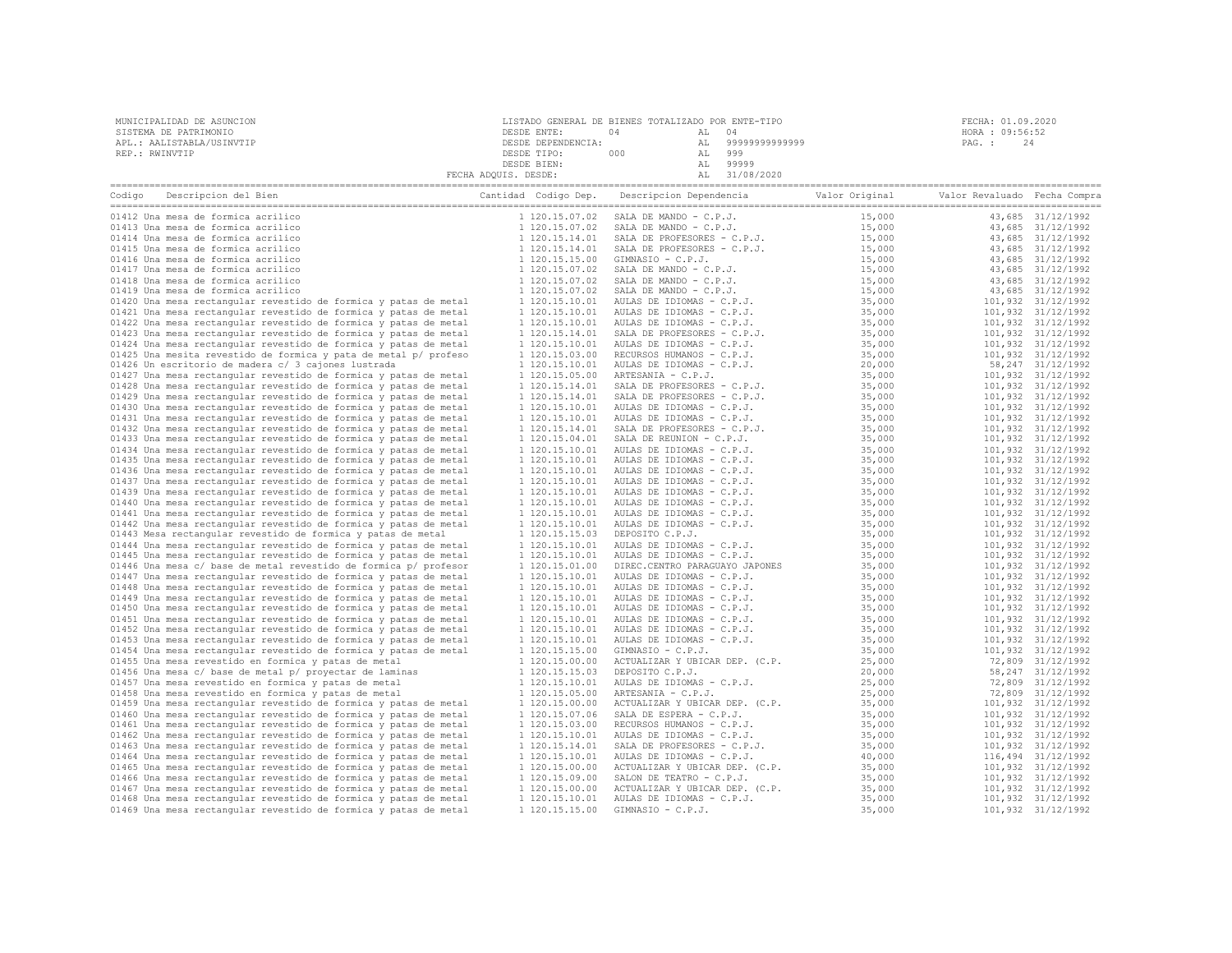| MUNICIPALIDAD DE ASUNCION | LISTADO GENERAL DE BIENES TOTALIZADO POR ENTE-TIPO |     |    |                | FECHA: 01.09.2020 |
|---------------------------|----------------------------------------------------|-----|----|----------------|-------------------|
| SISTEMA DE PATRIMONIO     | DESDE ENTE:                                        |     |    | 04             | HORA : 09:56:52   |
| APL.: AALISTABLA/USINVTIP | DESDE DEPENDENCIA:                                 |     | AL | 99999999999999 | PAG. :            |
| REP.: RWINVTIP            | DESDE TIPO:                                        | 000 |    | 999            |                   |
|                           | DESDE BIEN:                                        |     |    | 99999          |                   |
|                           | FECHA ADQUIS. DESDE:                               |     |    | 31/08/2020     |                   |

| Codigo | Descripcion del Bien                                             | Cantidad Codigo Dep. |                | Descripcion Dependencia                                    | Valor Original | Valor Revaluado Fecha Compra |                    |
|--------|------------------------------------------------------------------|----------------------|----------------|------------------------------------------------------------|----------------|------------------------------|--------------------|
|        | 01412 Una mesa de formica acrilico                               |                      | 1 120.15.07.02 | SALA DE MANDO - C.P.J.                                     | 15,000         |                              | 43,685 31/12/1992  |
|        | 01413 Una mesa de formica acrilico                               |                      | 1 120.15.07.02 | SALA DE MANDO - C.P.J.                                     | 15,000         |                              | 43,685 31/12/1992  |
|        | 01414 Una mesa de formica acrilico                               |                      | 1 120.15.14.01 |                                                            | 15,000         |                              | 43,685 31/12/1992  |
|        | 01415 Una mesa de formica acrilico                               |                      | 1 120.15.14.01 | SALA DE PROFESORES - C.P.J.<br>SALA DE PROFESORES - C.P.J. | 15,000         |                              | 43,685 31/12/1992  |
|        | 01416 Una mesa de formica acrilico                               |                      | 1 120.15.15.00 | GIMNASIO - C.P.J.                                          | 15,000         |                              | 43,685 31/12/1992  |
|        | 01417 Una mesa de formica acrilico                               |                      | 1 120.15.07.02 | SALA DE MANDO - C.P.J.                                     | 15,000         |                              | 43,685 31/12/1992  |
|        | 01418 Una mesa de formica acrilico                               |                      | 1 120.15.07.02 | SALA DE MANDO - C.P.J.                                     | 15,000         |                              | 43,685 31/12/1992  |
|        | 01419 Una mesa de formica acrilico                               |                      | 1 120.15.07.02 | SALA DE MANDO - C.P.J.                                     | 15,000         |                              | 43,685 31/12/1992  |
|        | 01420 Una mesa rectangular revestido de formica y patas de metal |                      | 1 120.15.10.01 | AULAS DE IDIOMAS - C.P.J.                                  | 35,000         |                              | 101,932 31/12/1992 |
|        | 01421 Una mesa rectangular revestido de formica y patas de metal |                      | 1 120.15.10.01 | AULAS DE IDIOMAS - C.P.J.                                  | 35,000         |                              | 101,932 31/12/1992 |
|        | 01422 Una mesa rectangular revestido de formica y patas de metal |                      | 1 120.15.10.01 | AULAS DE IDIOMAS - C.P.J.                                  | 35,000         |                              | 101,932 31/12/1992 |
|        | 01423 Una mesa rectangular revestido de formica y patas de metal |                      | 1 120.15.14.01 | SALA DE PROFESORES - C.P.J.                                | 35,000         |                              | 101,932 31/12/1992 |
|        | 01424 Una mesa rectangular revestido de formica y patas de metal |                      | 1 120.15.10.01 | AULAS DE IDIOMAS - C.P.J.                                  | 35,000         |                              | 101,932 31/12/1992 |
|        | 01425 Una mesita revestido de formica y pata de metal p/ profeso |                      | 1 120.15.03.00 | RECURSOS HUMANOS - C.P.J.                                  | 35,000         |                              | 101,932 31/12/1992 |
|        | 01426 Un escritorio de madera c/ 3 cajones lustrada              |                      | 1 120.15.10.01 | AULAS DE IDIOMAS - C.P.J.                                  | 20,000         |                              | 58, 247 31/12/1992 |
|        | 01427 Una mesa rectangular revestido de formica y patas de metal |                      | 1 120.15.05.00 | ARTESANIA - C.P.J.                                         | 35,000         |                              | 101,932 31/12/1992 |
|        | 01428 Una mesa rectangular revestido de formica y patas de metal |                      | 1 120.15.14.01 | SALA DE PROFESORES - C.P.J.                                | 35,000         |                              | 101,932 31/12/1992 |
|        | 01429 Una mesa rectangular revestido de formica y patas de metal |                      | 1 120.15.14.01 | SALA DE PROFESORES - C.P.J.                                | 35,000         |                              | 101,932 31/12/1992 |
|        | 01430 Una mesa rectangular revestido de formica y patas de metal |                      | 1 120.15.10.01 | AULAS DE IDIOMAS - C.P.J.                                  | 35,000         |                              | 101,932 31/12/1992 |
|        | 01431 Una mesa rectangular revestido de formica y patas de metal |                      | 1 120.15.10.01 | AULAS DE IDIOMAS - C.P.J.                                  | 35,000         |                              | 101,932 31/12/1992 |
|        | 01432 Una mesa rectangular revestido de formica y patas de metal |                      | 1 120.15.14.01 | SALA DE PROFESORES - C.P.J.                                | 35,000         |                              | 101,932 31/12/1992 |
|        | 01433 Una mesa rectangular revestido de formica y patas de metal |                      | 1 120.15.04.01 | SALA DE REUNION - C.P.J.                                   | 35,000         |                              | 101,932 31/12/1992 |
|        | 01434 Una mesa rectangular revestido de formica y patas de metal |                      | 1 120.15.10.01 | AULAS DE IDIOMAS - C.P.J.                                  | 35,000         |                              | 101,932 31/12/1992 |
|        | 01435 Una mesa rectangular revestido de formica y patas de metal |                      | 1 120.15.10.01 | AULAS DE IDIOMAS - C.P.J.                                  | 35,000         |                              | 101,932 31/12/1992 |
|        | 01436 Una mesa rectangular revestido de formica y patas de metal |                      | 1 120.15.10.01 | AULAS DE IDIOMAS - C.P.J.                                  | 35,000         |                              | 101,932 31/12/1992 |
|        | 01437 Una mesa rectangular revestido de formica y patas de metal |                      | 1 120.15.10.01 | AULAS DE IDIOMAS - C.P.J.                                  | 35,000         |                              | 101,932 31/12/1992 |
|        | 01439 Una mesa rectangular revestido de formica y patas de metal |                      | 1 120.15.10.01 | AULAS DE IDIOMAS - C.P.J.                                  | 35,000         |                              | 101,932 31/12/1992 |
|        | 01440 Una mesa rectangular revestido de formica y patas de metal |                      | 1 120.15.10.01 | AULAS DE IDIOMAS - C.P.J.                                  | 35,000         |                              | 101,932 31/12/1992 |
|        | 01441 Una mesa rectangular revestido de formica y patas de metal |                      | 1 120.15.10.01 | AULAS DE IDIOMAS - C.P.J.                                  | 35,000         |                              | 101,932 31/12/1992 |
|        | 01442 Una mesa rectangular revestido de formica y patas de metal |                      | 1 120.15.10.01 | AULAS DE IDIOMAS - C.P.J.                                  | 35,000         |                              | 101,932 31/12/1992 |
|        | 01443 Mesa rectangular revestido de formica y patas de metal     |                      | 1 120.15.15.03 | DEPOSITO C.P.J.                                            | 35,000         |                              | 101,932 31/12/1992 |
|        | 01444 Una mesa rectangular revestido de formica y patas de metal |                      | 1 120.15.10.01 | AULAS DE IDIOMAS - C.P.J.                                  | 35,000         |                              | 101,932 31/12/1992 |
|        | 01445 Una mesa rectangular revestido de formica y patas de metal |                      | 1 120.15.10.01 | AULAS DE IDIOMAS - C.P.J.                                  | 35,000         |                              | 101,932 31/12/1992 |
|        | 01446 Una mesa c/ base de metal revestido de formica p/ profesor |                      | 1 120.15.01.00 | DIREC. CENTRO PARAGUAYO JAPONES                            | 35,000         |                              | 101,932 31/12/1992 |
|        | 01447 Una mesa rectangular revestido de formica y patas de metal |                      | 1 120.15.10.01 | AULAS DE IDIOMAS - C.P.J.                                  | 35,000         |                              | 101,932 31/12/1992 |
|        | 01448 Una mesa rectangular revestido de formica y patas de metal |                      | 1 120.15.10.01 | AULAS DE IDIOMAS - C.P.J.                                  | 35,000         |                              | 101,932 31/12/1992 |
|        | 01449 Una mesa rectangular revestido de formica y patas de metal |                      | 1 120.15.10.01 | AULAS DE IDIOMAS - C.P.J.                                  | 35,000         |                              | 101,932 31/12/1992 |
|        | 01450 Una mesa rectangular revestido de formica y patas de metal |                      | 1 120.15.10.01 | AULAS DE IDIOMAS - C.P.J.                                  | 35,000         |                              | 101,932 31/12/1992 |
|        | 01451 Una mesa rectangular revestido de formica y patas de metal |                      | 1 120.15.10.01 | AULAS DE IDIOMAS - C.P.J.                                  | 35,000         |                              | 101,932 31/12/1992 |
|        | 01452 Una mesa rectangular revestido de formica y patas de metal |                      | 1 120.15.10.01 | AULAS DE IDIOMAS - C.P.J.                                  | 35,000         |                              | 101,932 31/12/1992 |
|        | 01453 Una mesa rectangular revestido de formica y patas de metal |                      | 1 120.15.10.01 | AULAS DE IDIOMAS - C.P.J.                                  | 35,000         |                              | 101,932 31/12/1992 |
|        | 01454 Una mesa rectangular revestido de formica y patas de metal |                      | 1 120.15.15.00 | GIMNASIO - C.P.J.                                          | 35,000         |                              | 101,932 31/12/1992 |
|        | 01455 Una mesa revestido en formica y patas de metal             |                      | 1 120.15.00.00 | ACTUALIZAR Y UBICAR DEP. (C.P.                             | 25,000         |                              | 72,809 31/12/1992  |
|        | 01456 Una mesa c/ base de metal p/ provectar de laminas          |                      | 1 120.15.15.03 | DEPOSITO C.P.J.                                            | 20,000         |                              | 58, 247 31/12/1992 |
|        | 01457 Una mesa revestido en formica y patas de metal             |                      | 1 120.15.10.01 | AULAS DE IDIOMAS - C.P.J.                                  | 25,000         |                              | 72,809 31/12/1992  |
|        | 01458 Una mesa revestido en formica y patas de metal             |                      | 1 120.15.05.00 | ARTESANIA - C.P.J.                                         | 25,000         |                              | 72,809 31/12/1992  |
|        | 01459 Una mesa rectangular revestido de formica y patas de metal |                      | 1 120.15.00.00 | ACTUALIZAR Y UBICAR DEP. (C.P.                             | 35,000         |                              | 101,932 31/12/1992 |
|        | 01460 Una mesa rectangular revestido de formica y patas de metal |                      | 1 120.15.07.06 | SALA DE ESPERA - C.P.J.                                    | 35,000         |                              | 101,932 31/12/1992 |
|        | 01461 Una mesa rectangular revestido de formica y patas de metal |                      | 1 120.15.03.00 | RECURSOS HUMANOS - C.P.J.                                  | 35,000         |                              | 101,932 31/12/1992 |
|        | 01462 Una mesa rectangular revestido de formica y patas de metal |                      | 1 120.15.10.01 | AULAS DE IDIOMAS - C.P.J.                                  | 35,000         |                              | 101,932 31/12/1992 |
|        | 01463 Una mesa rectangular revestido de formica y patas de metal |                      | 1 120.15.14.01 | SALA DE PROFESORES - C.P.J.                                | 35,000         |                              | 101,932 31/12/1992 |
|        | 01464 Una mesa rectangular revestido de formica y patas de metal |                      | 1 120.15.10.01 | AULAS DE IDIOMAS - C.P.J.                                  | 40,000         |                              | 116,494 31/12/1992 |
|        | 01465 Una mesa rectangular revestido de formica y patas de metal |                      | 1 120.15.00.00 | ACTUALIZAR Y UBICAR DEP. (C.P.                             | 35,000         |                              | 101,932 31/12/1992 |
|        | 01466 Una mesa rectangular revestido de formica y patas de metal |                      | 1 120.15.09.00 | SALON DE TEATRO - C.P.J.                                   | 35,000         |                              | 101,932 31/12/1992 |
|        | 01467 Una mesa rectangular revestido de formica y patas de metal |                      | 1 120.15.00.00 | ACTUALIZAR Y UBICAR DEP. (C.P.                             | 35,000         |                              | 101,932 31/12/1992 |
|        | 01468 Una mesa rectangular revestido de formica y patas de metal |                      | 1 120.15.10.01 | AULAS DE IDIOMAS - C.P.J.                                  | 35,000         |                              | 101,932 31/12/1992 |
|        | 01469 Una mesa rectangular revestido de formica y patas de metal |                      | 1 120.15.15.00 | GIMNASIO - C.P.J.                                          | 35,000         |                              | 101,932 31/12/1992 |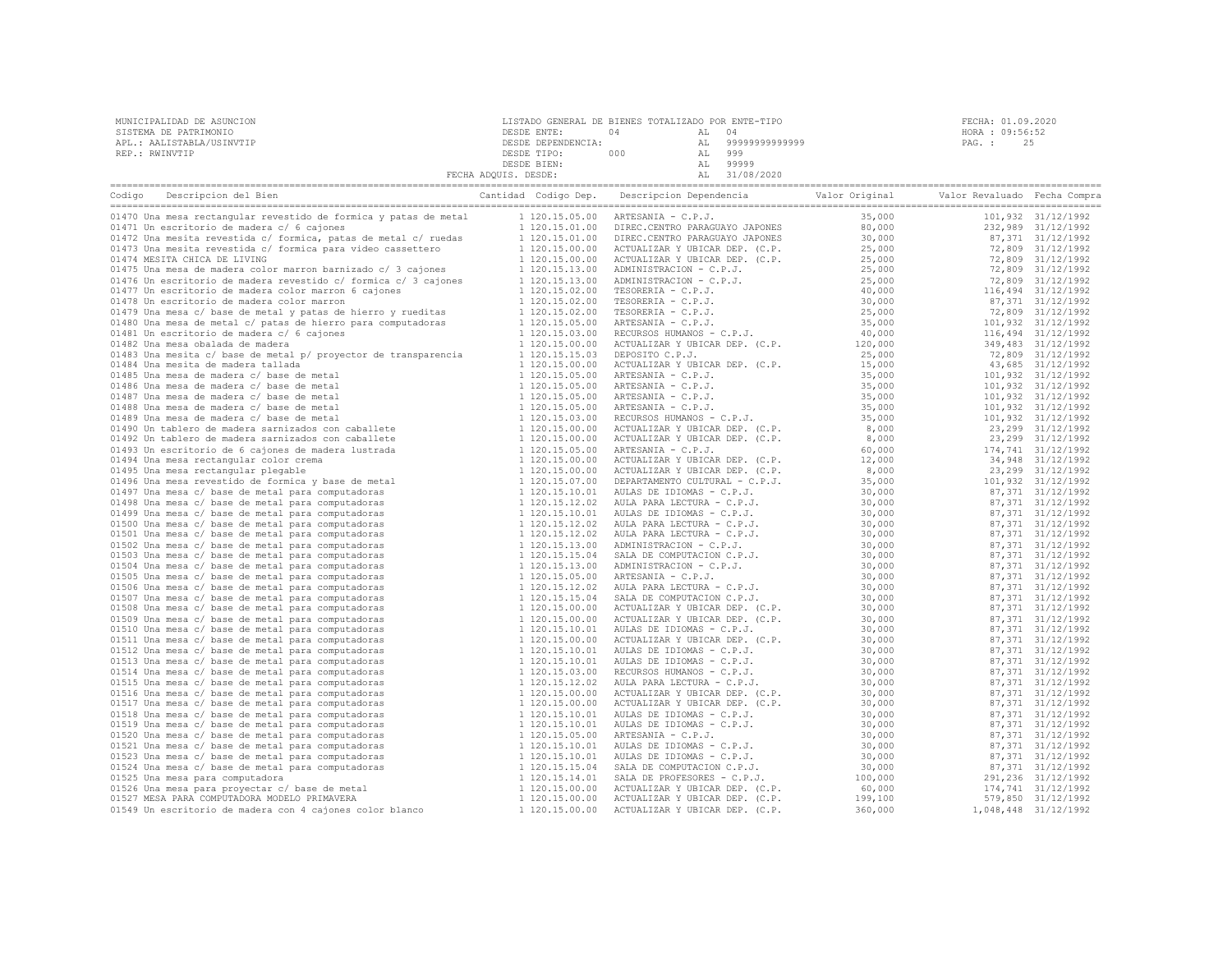| MUNICIPALIDAD DE ASUNCION | LISTADO GENERAL DE BIENES TOTALIZADO POR ENTE-TIPO |     |       |                   |        | FECHA: 01.09.2020 |  |
|---------------------------|----------------------------------------------------|-----|-------|-------------------|--------|-------------------|--|
| SISTEMA DE PATRIMONIO     | DESDE ENTE:                                        | 04  | AL 04 |                   |        | HORA : 09:56:52   |  |
| APL.: AALISTABLA/USINVTIP | DESDE DEPENDENCIA:                                 |     |       | AL 99999999999999 | PAG. : | 25                |  |
| REP.: RWINVTIP            | DESDE TIPO:                                        | 000 | AL    | 999               |        |                   |  |
|                           | DESDE BIEN:                                        |     | AT.   | 99999             |        |                   |  |
|                           | FECHA ADQUIS. DESDE:                               |     |       | 31/08/2020        |        |                   |  |

| Descripcion del Bien<br>Codigo                                   | Cantidad Codigo Dep. | Descripcion Dependencia Valor Original                                                                                                                                                                 |         | Valor Revaluado Fecha Compra |                      |
|------------------------------------------------------------------|----------------------|--------------------------------------------------------------------------------------------------------------------------------------------------------------------------------------------------------|---------|------------------------------|----------------------|
| 01470 Una mesa rectangular revestido de formica y patas de metal | 1 120.15.05.00       | ARTESANIA - C.P.J.                                                                                                                                                                                     | 35,000  |                              | 101,932 31/12/1992   |
| 01471 Un escritorio de madera c/ 6 cajones                       | 1 120.15.01.00       |                                                                                                                                                                                                        | 80,000  |                              | 232,989 31/12/1992   |
| 01472 Una mesita revestida c/ formica, patas de metal c/ ruedas  | 1 120.15.01.00       | DIREC.CENTRO PARAGUAYO JAPONES<br>DIREC.CENTRO PARAGUAYO JAPONES<br>ACTUALIZAR Y UBICAR DEP. (C.P.<br>ACTUALIZAR Y UBICAR DEP. (C.P.<br>ADMINISTRACION - C.P.J.<br>DMINISTRACION - C.P.J.              | 30,000  |                              | 87,371 31/12/1992    |
| 01473 Una mesita revestida c/ formica para video cassettero      | 1 120.15.00.00       |                                                                                                                                                                                                        | 25,000  |                              | 72,809 31/12/1992    |
| 01474 MESITA CHICA DE LIVING                                     | 1 120.15.00.00       |                                                                                                                                                                                                        | 25,000  |                              | 72,809 31/12/1992    |
| 01475 Una mesa de madera color marron barnizado c/ 3 cajones     | 1 120.15.13.00       |                                                                                                                                                                                                        | 25,000  |                              | 72,809 31/12/1992    |
| 01476 Un escritorio de madera revestido c/ formica c/ 3 cajones  | 1 120.15.13.00       | ADMINISTRACION - C.P.J.<br>TESORERIA - C.P.J.<br>TESORERIA - C.P.J.<br>TESORERIA - C.P.J.<br>ARTESANIA - C.P.J.<br>RECURSOS HUMANOS - C.P.J.<br>RECURSOS HUMANOS - C.P.J.                              | 25,000  |                              | 72,809 31/12/1992    |
| 01477 Un escritorio de madera color marron 6 cajones             | 1 120.15.02.00       |                                                                                                                                                                                                        | 40,000  |                              | 116,494 31/12/1992   |
| 01478 Un escritorio de madera color marron                       | 1 120.15.02.00       |                                                                                                                                                                                                        | 30,000  |                              | 87,371 31/12/1992    |
| 01479 Una mesa c/ base de metal y patas de hierro y rueditas     | 1 120.15.02.00       |                                                                                                                                                                                                        | 25,000  |                              | 72,809 31/12/1992    |
| 01480 Una mesa de metal c/ patas de hierro para computadoras     | 1 120.15.05.00       |                                                                                                                                                                                                        | 35,000  |                              | 101,932 31/12/1992   |
| 01481 Un escritorio de madera c/ 6 cajones                       | 1 120.15.03.00       |                                                                                                                                                                                                        | 40,000  |                              | 116,494 31/12/1992   |
| 01482 Una mesa obalada de madera                                 | 1 120.15.00.00       | ACTUALIZAR Y UBICAR DEP. (C.P.                                                                                                                                                                         | 120,000 |                              | 349,483 31/12/1992   |
| 01483 Una mesita c/ base de metal p/ proyector de transparencia  | 1 120.15.15.03       | DEPOSITO C.P.J.                                                                                                                                                                                        | 25,000  |                              | 72,809 31/12/1992    |
| 01484 Una mesita de madera tallada                               | 1 120.15.00.00       |                                                                                                                                                                                                        | 15,000  |                              | 43,685 31/12/1992    |
| 01485 Una mesa de madera c/ base de metal                        | 1 120.15.05.00       |                                                                                                                                                                                                        | 35,000  |                              | 101,932 31/12/1992   |
| 01486 Una mesa de madera c/ base de metal                        | 1 120.15.05.00       | DEPOSITO C.P.J.<br>ACTUALIZAR Y UBICAR DEP. (C.P.<br>ARTESANIA - C.P.J.<br>ARTESANIA - 2 P.T.                                                                                                          | 35,000  |                              | 101,932 31/12/1992   |
| 01487 Una mesa de madera c/ base de metal                        | 1 120.15.05.00       |                                                                                                                                                                                                        | 35,000  |                              | 101,932 31/12/1992   |
| 01488 Una mesa de madera c/ base de metal                        | 1 120.15.05.00       |                                                                                                                                                                                                        | 35,000  |                              | 101,932 31/12/1992   |
| 01489 Una mesa de madera c/ base de metal                        | 1 120.15.03.00       | ARTESANIA - C.P.J.<br>ARTESANIA - C.P.J.<br>ARTESANIA - C.P.J.<br>ARTESANIA - C.P.J.<br>RECURSOS HUMANOS - C.P.J.<br>ACTUALIZAR Y UBICAR DEP. (C.P.<br>ACTUALIZAR Y UBICAR DEP. (C.P.                  | 35,000  |                              | 101,932 31/12/1992   |
| 01490 Un tablero de madera sarnizados con caballete              | 1 120.15.00.00       |                                                                                                                                                                                                        | 8,000   |                              | 23,299 31/12/1992    |
| 01492 Un tablero de madera sarnizados con caballete              | 1 120.15.00.00       |                                                                                                                                                                                                        | 8,000   |                              | 23, 299 31/12/1992   |
| 01493 Un escritorio de 6 cajones de madera lustrada              | 1 120.15.05.00       | ARTESANIA - C.P.J.                                                                                                                                                                                     | 60,000  |                              | 174,741 31/12/1992   |
| 01494 Una mesa rectangular color crema                           | 1 120.15.00.00       | ACTUALIZAR Y UBICAR DEP. (C.P.                                                                                                                                                                         | 12,000  |                              | 34,948 31/12/1992    |
| 01495 Una mesa rectangular plegable                              | 1 120.15.00.00       | ACTUALIZAR Y UBICAR DEP. (C.P.                                                                                                                                                                         | 8,000   |                              | 23,299 31/12/1992    |
| 01496 Una mesa revestido de formica y base de metal              | 1 120.15.07.00       | DEPARTAMENTO CULTURAL - C.P.J.                                                                                                                                                                         | 35,000  |                              | 101,932 31/12/1992   |
| 01497 Una mesa c/ base de metal para computadoras                | 1 120.15.10.01       |                                                                                                                                                                                                        | 30,000  |                              | 87,371 31/12/1992    |
| 01498 Una mesa c/ base de metal para computadoras                | 1 120.15.12.02       | AULAS DE IDIOMAS - C.P.J.<br>AULA PARA LECTURA - C.P.J.<br>AULAS DE IDIOMAS - C.P.J.<br>AULA PARA LECTURA - C.P.J.<br>AULA PARA LECTURA - C.P.J.<br>ADMINISTRACION - C.P.J.<br>ADMINISTRACION - C.P.J. | 30,000  |                              | 87,371 31/12/1992    |
| 01499 Una mesa c/ base de metal para computadoras                | 1 120.15.10.01       |                                                                                                                                                                                                        | 30,000  |                              | 87,371 31/12/1992    |
| 01500 Una mesa c/ base de metal para computadoras                | 1 120.15.12.02       |                                                                                                                                                                                                        | 30,000  |                              | 87,371 31/12/1992    |
| 01501 Una mesa c/ base de metal para computadoras                | 1 120.15.12.02       |                                                                                                                                                                                                        | 30,000  |                              | 87,371 31/12/1992    |
| 01502 Una mesa c/ base de metal para computadoras                | 1 120.15.13.00       |                                                                                                                                                                                                        | 30,000  |                              | 87,371 31/12/1992    |
| 01503 Una mesa c/ base de metal para computadoras                | 1 120.15.15.04       | SALA DE COMPUTACION C.P.J.                                                                                                                                                                             | 30,000  |                              | 87,371 31/12/1992    |
| 01504 Una mesa c/ base de metal para computadoras                | 1 120.15.13.00       | ADMINISTRACION - C.P.J.                                                                                                                                                                                | 30,000  |                              | 87,371 31/12/1992    |
| 01505 Una mesa c/ base de metal para computadoras                | 1 120.15.05.00       | ARTESANIA - C.P.J.                                                                                                                                                                                     | 30,000  |                              | 87,371 31/12/1992    |
| 01506 Una mesa c/ base de metal para computadoras                | 1 120.15.12.02       | AULA PARA LECTURA - C.P.J.                                                                                                                                                                             | 30,000  |                              | 87,371 31/12/1992    |
| 01507 Una mesa c/ base de metal para computadoras                | 1 120.15.15.04       | SALA DE COMPUTACION C.P.J.                                                                                                                                                                             | 30,000  |                              | 87,371 31/12/1992    |
| 01508 Una mesa c/ base de metal para computadoras                | 1 120.15.00.00       | ACTUALIZAR Y UBICAR DEP. (C.P.                                                                                                                                                                         | 30,000  |                              | 87,371 31/12/1992    |
| 01509 Una mesa c/ base de metal para computadoras                | 1 120.15.00.00       |                                                                                                                                                                                                        | 30,000  |                              | 87,371 31/12/1992    |
| 01510 Una mesa c/ base de metal para computadoras                | 1 120.15.10.01       |                                                                                                                                                                                                        | 30,000  |                              | 87,371 31/12/1992    |
| 01511 Una mesa c/ base de metal para computadoras                | 1 120.15.00.00       | ACTUALIZAR Y UBICAR DEP. (C.P.<br>AULAS DE IDIOMAS - C.P.J.<br>ACTUALIZAR Y UBICAR DEP. (C.P.<br>AULAS DE IDIOMAS - C.P.J.                                                                             | 30,000  |                              | 87,371 31/12/1992    |
| 01512 Una mesa c/ base de metal para computadoras                | 1 120.15.10.01       |                                                                                                                                                                                                        | 30,000  |                              | 87,371 31/12/1992    |
| 01513 Una mesa c/ base de metal para computadoras                | 1 120.15.10.01       | AULAS DE IDIOMAS - C.P.J.                                                                                                                                                                              | 30,000  |                              | 87,371 31/12/1992    |
| 01514 Una mesa c/ base de metal para computadoras                | 1 120.15.03.00       | RECURSOS HUMANOS - C.P.J.                                                                                                                                                                              | 30,000  |                              | 87,371 31/12/1992    |
| 01515 Una mesa c/ base de metal para computadoras                | 1 120.15.12.02       | AULA PARA LECTURA - C.P.J.                                                                                                                                                                             | 30,000  |                              | 87,371 31/12/1992    |
| 01516 Una mesa c/ base de metal para computadoras                | 1 120.15.00.00       | ACTUALIZAR Y UBICAR DEP. (C.P.                                                                                                                                                                         | 30,000  |                              | 87,371 31/12/1992    |
| 01517 Una mesa c/ base de metal para computadoras                | 1 120.15.00.00       | ACTUALIZAR Y UBICAR DEP. (C.P.<br>AULAS DE IDIOMAS - C.P.J.<br>AULAS DE IDIOMAS - C.P.J.<br>APTESANTA - C.P.J.                                                                                         | 30,000  |                              | 87,371 31/12/1992    |
| 01518 Una mesa c/ base de metal para computadoras                | 1 120.15.10.01       |                                                                                                                                                                                                        | 30,000  |                              | 87,371 31/12/1992    |
| 01519 Una mesa c/ base de metal para computadoras                | 1 120.15.10.01       |                                                                                                                                                                                                        | 30,000  |                              | 87,371 31/12/1992    |
| 01520 Una mesa c/ base de metal para computadoras                | 1 120.15.05.00       | ARTESANIA - C.P.J.                                                                                                                                                                                     | 30,000  |                              | 87,371 31/12/1992    |
| 01521 Una mesa c/ base de metal para computadoras                | 1 120.15.10.01       | AULAS DE IDIOMAS - C.P.J.                                                                                                                                                                              | 30,000  |                              | 87,371 31/12/1992    |
| 01523 Una mesa c/ base de metal para computadoras                | 1 120.15.10.01       | AULAS DE IDIOMAS - C.P.J.                                                                                                                                                                              | 30,000  |                              | 87,371 31/12/1992    |
| 01524 Una mesa c/ base de metal para computadoras                | 1 120.15.15.04       | SALA DE COMPUTACION C.P.J.                                                                                                                                                                             | 30,000  |                              | 87,371 31/12/1992    |
| 01525 Una mesa para computadora                                  | 1 120.15.14.01       | SALA DE PROFESORES - C.P.J.                                                                                                                                                                            | 100,000 |                              | 291,236 31/12/1992   |
| 01526 Una mesa para proyectar c/ base de metal                   | 1 120.15.00.00       | ACTUALIZAR Y UBICAR DEP. (C.P.                                                                                                                                                                         | 60,000  |                              | 174,741 31/12/1992   |
| 01527 MESA PARA COMPUTADORA MODELO PRIMAVERA                     | 1 120.15.00.00       | ACTUALIZAR Y UBICAR DEP. (C.P.                                                                                                                                                                         | 199,100 |                              | 579,850 31/12/1992   |
| 01549 Un escritorio de madera con 4 cajones color blanco         | 1 120.15.00.00       | ACTUALIZAR Y UBICAR DEP. (C.P.                                                                                                                                                                         | 360,000 |                              | 1,048,448 31/12/1992 |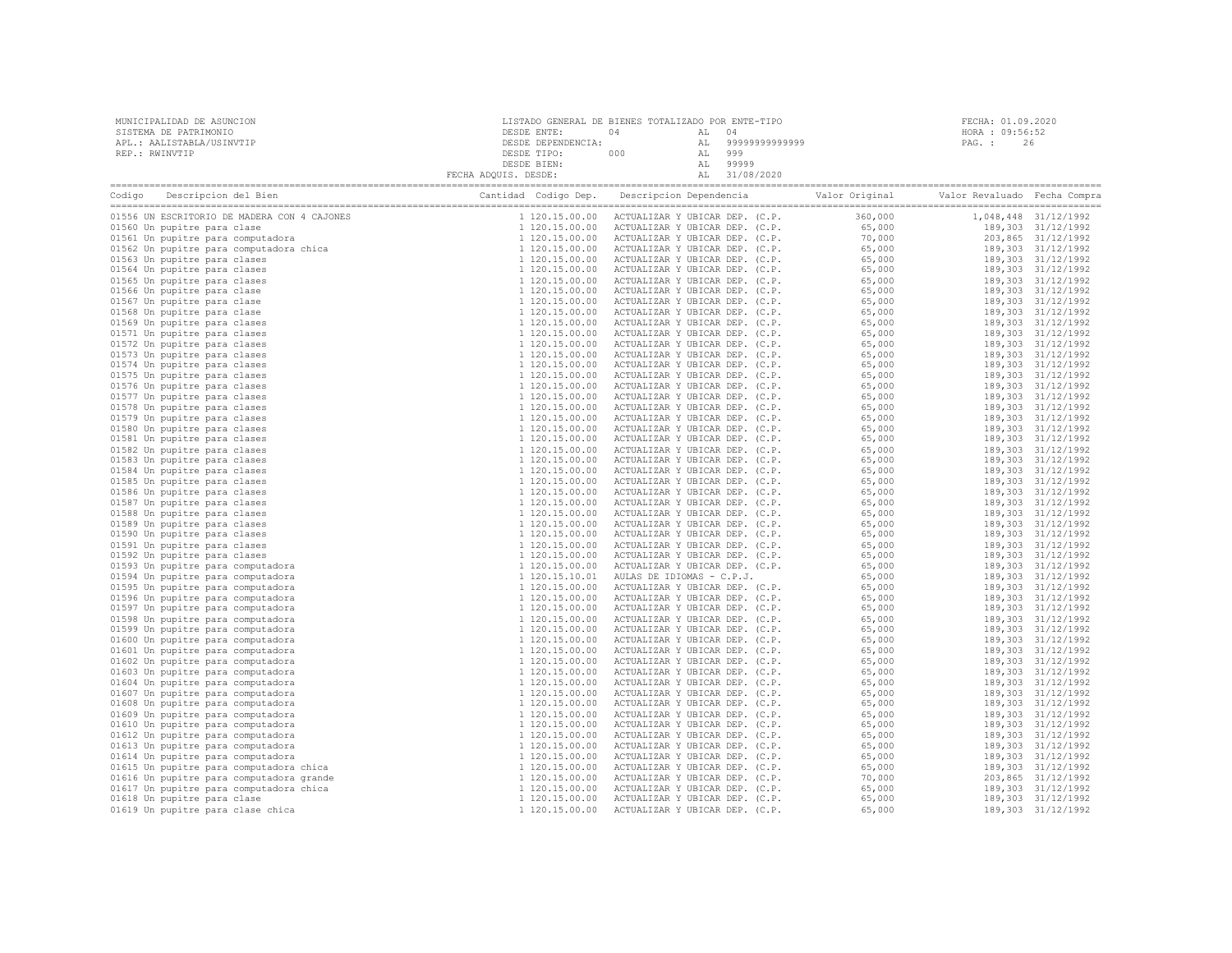| MUNICIPALIDAD DE ASUNCION | LISTADO GENERAL DE BIENES TOTALIZADO POR ENTE-TIPO |     |       |                | FECHA: 01.09.2020 |
|---------------------------|----------------------------------------------------|-----|-------|----------------|-------------------|
| SISTEMA DE PATRIMONIO     | DESDE ENTE:                                        |     | AL 04 |                | HORA : 09:56:52   |
| APL.: AALISTABLA/USINVTIP | DESDE DEPENDENCIA:                                 |     | AT.   | 99999999999999 | 26<br>PAG. :      |
| REP.: RWINVTIP            | DESDE TIPO:                                        | 000 | AL    | 999            |                   |
|                           | DESDE BIEN:                                        |     |       | AL 99999       |                   |
|                           | FECHA ADQUIS. DESDE:                               |     |       | AL 31/08/2020  |                   |

| Codigo Descripcion del Bien<br>Coding a Decoripcion del Sien<br>Class Conservation del Sien<br>Olisso Un septitte para class<br>Olisso Un spective para class<br>Olisso Un spective para class<br>Olisso Un propitte para computadora chea<br>Olisso Un propitte para cla |                | $\begin{tabular}{@{}llllll} \textbf{Add Coid} & \textbf{Dep} & \textbf{Delectric} & \textbf{Web} & \textbf{Pole} \\ \hline \textbf{1 120, 15, 00, 00} & \textbf{ACTUALIAER BE}, 00, 00 \\ 1 & 120, 15, 00, 00 \\ 1 & 120, 15, 00, 00 \\ 1 & 120, 15, 00, 00 \\ 1 & 120, 15, 00, 00 \\ 1 & 120, 15, 00, 00 \\ 1 & 120, 15, 00, 00 \\ 1 & $ |                                                                                                                                                                                                                                  |                    |                      |
|---------------------------------------------------------------------------------------------------------------------------------------------------------------------------------------------------------------------------------------------------------------------------|----------------|-------------------------------------------------------------------------------------------------------------------------------------------------------------------------------------------------------------------------------------------------------------------------------------------------------------------------------------------|----------------------------------------------------------------------------------------------------------------------------------------------------------------------------------------------------------------------------------|--------------------|----------------------|
|                                                                                                                                                                                                                                                                           |                |                                                                                                                                                                                                                                                                                                                                           |                                                                                                                                                                                                                                  |                    | 1,048,448 31/12/1992 |
|                                                                                                                                                                                                                                                                           |                |                                                                                                                                                                                                                                                                                                                                           |                                                                                                                                                                                                                                  | 189,303 31/12/1992 |                      |
|                                                                                                                                                                                                                                                                           |                |                                                                                                                                                                                                                                                                                                                                           |                                                                                                                                                                                                                                  |                    | 203,865 31/12/1992   |
|                                                                                                                                                                                                                                                                           |                |                                                                                                                                                                                                                                                                                                                                           |                                                                                                                                                                                                                                  |                    | 189,303 31/12/1992   |
|                                                                                                                                                                                                                                                                           |                |                                                                                                                                                                                                                                                                                                                                           |                                                                                                                                                                                                                                  |                    | 189,303 31/12/1992   |
|                                                                                                                                                                                                                                                                           |                |                                                                                                                                                                                                                                                                                                                                           |                                                                                                                                                                                                                                  |                    | 189,303 31/12/1992   |
|                                                                                                                                                                                                                                                                           |                |                                                                                                                                                                                                                                                                                                                                           |                                                                                                                                                                                                                                  |                    | 189,303 31/12/1992   |
|                                                                                                                                                                                                                                                                           |                |                                                                                                                                                                                                                                                                                                                                           |                                                                                                                                                                                                                                  |                    | 189,303 31/12/1992   |
|                                                                                                                                                                                                                                                                           |                |                                                                                                                                                                                                                                                                                                                                           |                                                                                                                                                                                                                                  |                    | 189,303 31/12/1992   |
|                                                                                                                                                                                                                                                                           |                |                                                                                                                                                                                                                                                                                                                                           |                                                                                                                                                                                                                                  |                    | 189,303 31/12/1992   |
|                                                                                                                                                                                                                                                                           |                |                                                                                                                                                                                                                                                                                                                                           |                                                                                                                                                                                                                                  |                    | 189,303 31/12/1992   |
|                                                                                                                                                                                                                                                                           |                |                                                                                                                                                                                                                                                                                                                                           |                                                                                                                                                                                                                                  |                    | 189,303 31/12/1992   |
|                                                                                                                                                                                                                                                                           |                |                                                                                                                                                                                                                                                                                                                                           |                                                                                                                                                                                                                                  |                    | 189,303 31/12/1992   |
|                                                                                                                                                                                                                                                                           |                |                                                                                                                                                                                                                                                                                                                                           |                                                                                                                                                                                                                                  |                    | 189,303 31/12/1992   |
|                                                                                                                                                                                                                                                                           |                |                                                                                                                                                                                                                                                                                                                                           |                                                                                                                                                                                                                                  |                    |                      |
|                                                                                                                                                                                                                                                                           |                |                                                                                                                                                                                                                                                                                                                                           |                                                                                                                                                                                                                                  |                    | 189,303 31/12/1992   |
|                                                                                                                                                                                                                                                                           |                |                                                                                                                                                                                                                                                                                                                                           |                                                                                                                                                                                                                                  |                    | 189,303 31/12/1992   |
|                                                                                                                                                                                                                                                                           |                |                                                                                                                                                                                                                                                                                                                                           |                                                                                                                                                                                                                                  |                    | 189,303 31/12/1992   |
|                                                                                                                                                                                                                                                                           |                |                                                                                                                                                                                                                                                                                                                                           |                                                                                                                                                                                                                                  |                    | 189,303 31/12/1992   |
|                                                                                                                                                                                                                                                                           |                |                                                                                                                                                                                                                                                                                                                                           |                                                                                                                                                                                                                                  |                    | 189,303 31/12/1992   |
|                                                                                                                                                                                                                                                                           |                |                                                                                                                                                                                                                                                                                                                                           |                                                                                                                                                                                                                                  |                    | 189,303 31/12/1992   |
|                                                                                                                                                                                                                                                                           |                |                                                                                                                                                                                                                                                                                                                                           |                                                                                                                                                                                                                                  |                    | 189,303 31/12/1992   |
|                                                                                                                                                                                                                                                                           |                |                                                                                                                                                                                                                                                                                                                                           |                                                                                                                                                                                                                                  |                    | 189,303 31/12/1992   |
|                                                                                                                                                                                                                                                                           |                |                                                                                                                                                                                                                                                                                                                                           |                                                                                                                                                                                                                                  |                    | 189,303 31/12/1992   |
|                                                                                                                                                                                                                                                                           |                |                                                                                                                                                                                                                                                                                                                                           |                                                                                                                                                                                                                                  |                    | 189,303 31/12/1992   |
|                                                                                                                                                                                                                                                                           |                |                                                                                                                                                                                                                                                                                                                                           |                                                                                                                                                                                                                                  |                    | 189,303 31/12/1992   |
|                                                                                                                                                                                                                                                                           |                |                                                                                                                                                                                                                                                                                                                                           |                                                                                                                                                                                                                                  |                    | 189,303 31/12/1992   |
|                                                                                                                                                                                                                                                                           |                |                                                                                                                                                                                                                                                                                                                                           |                                                                                                                                                                                                                                  |                    | 189,303 31/12/1992   |
|                                                                                                                                                                                                                                                                           |                |                                                                                                                                                                                                                                                                                                                                           |                                                                                                                                                                                                                                  |                    | 189,303 31/12/1992   |
|                                                                                                                                                                                                                                                                           |                |                                                                                                                                                                                                                                                                                                                                           |                                                                                                                                                                                                                                  |                    | 189,303 31/12/1992   |
|                                                                                                                                                                                                                                                                           |                |                                                                                                                                                                                                                                                                                                                                           |                                                                                                                                                                                                                                  |                    | 189,303 31/12/1992   |
|                                                                                                                                                                                                                                                                           |                |                                                                                                                                                                                                                                                                                                                                           |                                                                                                                                                                                                                                  |                    | 189,303 31/12/1992   |
|                                                                                                                                                                                                                                                                           |                |                                                                                                                                                                                                                                                                                                                                           |                                                                                                                                                                                                                                  |                    | 189,303 31/12/1992   |
|                                                                                                                                                                                                                                                                           |                |                                                                                                                                                                                                                                                                                                                                           |                                                                                                                                                                                                                                  |                    | 189,303 31/12/1992   |
|                                                                                                                                                                                                                                                                           |                |                                                                                                                                                                                                                                                                                                                                           |                                                                                                                                                                                                                                  |                    | 189,303 31/12/1992   |
|                                                                                                                                                                                                                                                                           |                |                                                                                                                                                                                                                                                                                                                                           |                                                                                                                                                                                                                                  |                    | 189,303 31/12/1992   |
|                                                                                                                                                                                                                                                                           |                |                                                                                                                                                                                                                                                                                                                                           |                                                                                                                                                                                                                                  |                    | 189,303 31/12/1992   |
|                                                                                                                                                                                                                                                                           |                |                                                                                                                                                                                                                                                                                                                                           |                                                                                                                                                                                                                                  |                    | 189,303 31/12/1992   |
|                                                                                                                                                                                                                                                                           |                |                                                                                                                                                                                                                                                                                                                                           |                                                                                                                                                                                                                                  |                    | 189,303 31/12/1992   |
|                                                                                                                                                                                                                                                                           | 1 120.15.00.00 | ACTUALIZAR Y UBICAR DEP. (C.P.                                                                                                                                                                                                                                                                                                            |                                                                                                                                                                                                                                  |                    | 189,303 31/12/1992   |
|                                                                                                                                                                                                                                                                           | 1 120.15.00.00 | ACTUALIZAR Y UBICAR DEP. (C.P.                                                                                                                                                                                                                                                                                                            |                                                                                                                                                                                                                                  |                    | 189,303 31/12/1992   |
|                                                                                                                                                                                                                                                                           | 1 120.15.00.00 | ACTUALIZAR Y UBICAR DEP. (C.P.                                                                                                                                                                                                                                                                                                            |                                                                                                                                                                                                                                  |                    | 189,303 31/12/1992   |
|                                                                                                                                                                                                                                                                           | 1 120.15.00.00 | ACTUALIZAR Y UBICAR DEP. (C.P.                                                                                                                                                                                                                                                                                                            |                                                                                                                                                                                                                                  |                    | 189,303 31/12/1992   |
|                                                                                                                                                                                                                                                                           | 1 120.15.00.00 | ACTUALIZAR Y UBICAR DEP. (C.P.                                                                                                                                                                                                                                                                                                            |                                                                                                                                                                                                                                  |                    | 189,303 31/12/1992   |
|                                                                                                                                                                                                                                                                           | 1 120.15.00.00 | ACTUALIZAR Y UBICAR DEP. (C.P.                                                                                                                                                                                                                                                                                                            |                                                                                                                                                                                                                                  |                    | 189,303 31/12/1992   |
|                                                                                                                                                                                                                                                                           | 1 120.15.00.00 | ACTUALIZAR Y UBICAR DEP. (C.P.                                                                                                                                                                                                                                                                                                            |                                                                                                                                                                                                                                  |                    | 189,303 31/12/1992   |
|                                                                                                                                                                                                                                                                           | 1 120.15.00.00 | ACTUALIZAR Y UBICAR DEP. (C.P.                                                                                                                                                                                                                                                                                                            |                                                                                                                                                                                                                                  |                    | 189,303 31/12/1992   |
|                                                                                                                                                                                                                                                                           | 1 120.15.00.00 | ACTUALIZAR Y UBICAR DEP. (C.P.                                                                                                                                                                                                                                                                                                            |                                                                                                                                                                                                                                  |                    | 189,303 31/12/1992   |
|                                                                                                                                                                                                                                                                           | 1 120.15.00.00 | ACTUALIZAR Y UBICAR DEP. (C.P.                                                                                                                                                                                                                                                                                                            |                                                                                                                                                                                                                                  |                    | 189,303 31/12/1992   |
|                                                                                                                                                                                                                                                                           | 1 120.15.00.00 | ACTUALIZAR Y UBICAR DEP. (C.P.                                                                                                                                                                                                                                                                                                            |                                                                                                                                                                                                                                  |                    | 189,303 31/12/1992   |
|                                                                                                                                                                                                                                                                           | 1 120.15.00.00 | ACTUALIZAR Y UBICAR DEP. (C.P.                                                                                                                                                                                                                                                                                                            | $65,000$<br>$65,000$<br>$65,000$<br>$65,000$<br>$65,000$<br>$65,000$<br>$65,000$<br>$65,000$<br>$65,000$<br>$65,000$<br>$65,000$<br>$65,000$<br>$65,000$<br>$65,000$<br>$65,000$<br>$65,000$<br>$65,000$<br>$65,000$<br>$65,000$ |                    | 189,303 31/12/1992   |
|                                                                                                                                                                                                                                                                           | 1 120.15.00.00 | ACTUALIZAR Y UBICAR DEP. (C.P.                                                                                                                                                                                                                                                                                                            |                                                                                                                                                                                                                                  |                    | 189,303 31/12/1992   |
|                                                                                                                                                                                                                                                                           | 1 120.15.00.00 | ACTUALIZAR Y UBICAR DEP. (C.P.                                                                                                                                                                                                                                                                                                            |                                                                                                                                                                                                                                  |                    | 189,303 31/12/1992   |
|                                                                                                                                                                                                                                                                           | 1 120.15.00.00 | ACTUALIZAR Y UBICAR DEP. (C.P.                                                                                                                                                                                                                                                                                                            |                                                                                                                                                                                                                                  |                    | 189,303 31/12/1992   |
|                                                                                                                                                                                                                                                                           | 1 120.15.00.00 | ACTUALIZAR Y UBICAR DEP. (C.P.                                                                                                                                                                                                                                                                                                            |                                                                                                                                                                                                                                  |                    | 203,865 31/12/1992   |
|                                                                                                                                                                                                                                                                           | 1 120.15.00.00 | ACTUALIZAR Y UBICAR DEP. (C.P.                                                                                                                                                                                                                                                                                                            | 65,000                                                                                                                                                                                                                           |                    | 189,303 31/12/1992   |
|                                                                                                                                                                                                                                                                           | 1 120.15.00.00 | ACTUALIZAR Y UBICAR DEP. (C.P.                                                                                                                                                                                                                                                                                                            | 65,000                                                                                                                                                                                                                           |                    | 189,303 31/12/1992   |
|                                                                                                                                                                                                                                                                           |                |                                                                                                                                                                                                                                                                                                                                           |                                                                                                                                                                                                                                  |                    |                      |
|                                                                                                                                                                                                                                                                           | 1 120.15.00.00 | ACTUALIZAR Y UBICAR DEP. (C.P.                                                                                                                                                                                                                                                                                                            | 65,000                                                                                                                                                                                                                           |                    | 189,303 31/12/1992   |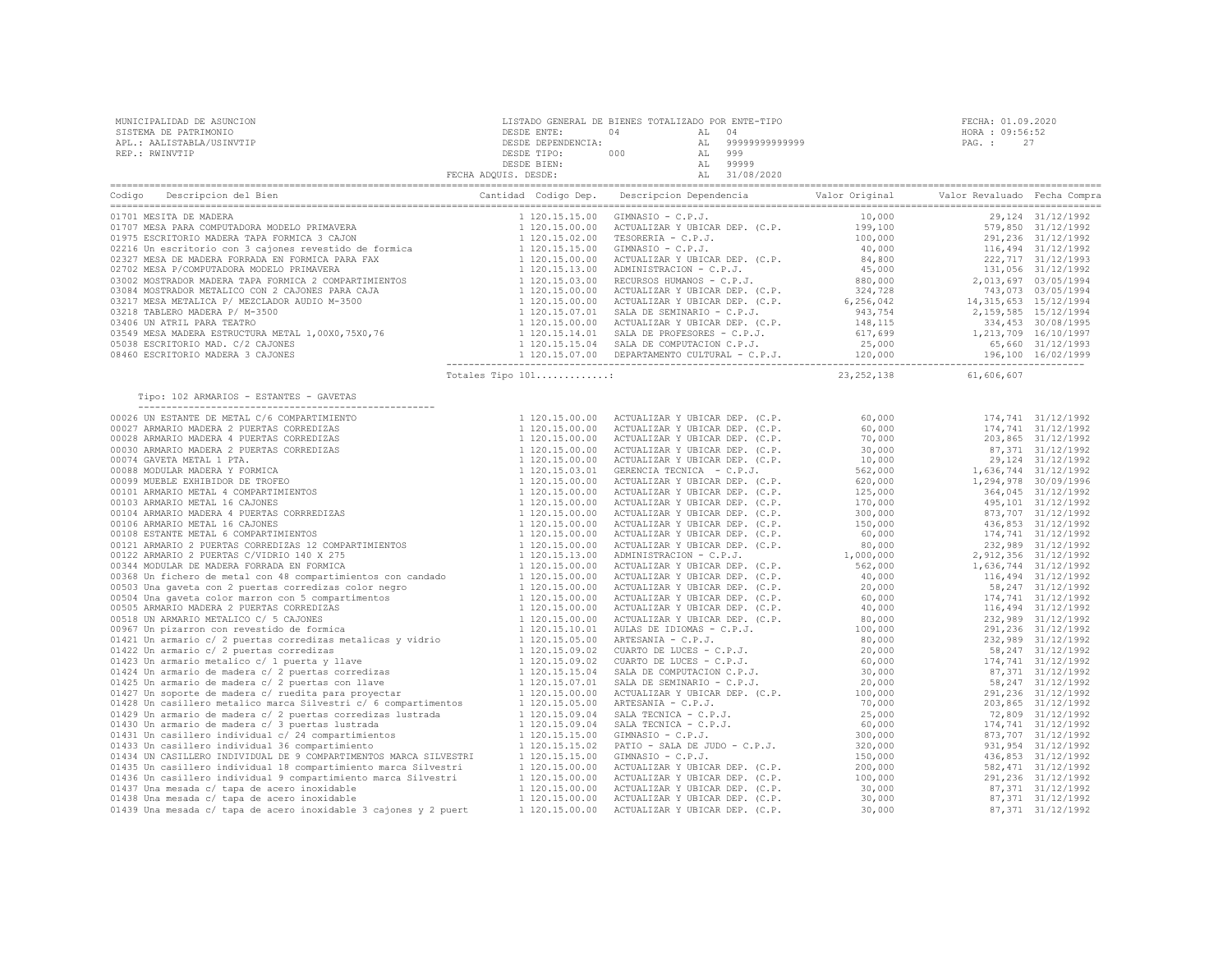| 120.15.00.00 ACTUALIZAR Y USLAR DEFINITELY (1.2.15.15.00 ATTAILIZAR Y USLAR DEFINITELY (1.2.15.15.00 ATTAILIZAR V USLAR DEFINITELY (1.2.15.15.00 ATTAILIZAR V USLAR DEFINITELY (1.2.15.15.00 ATTAILIZAR V USLAR DEFINITELY (1. |  |  |
|--------------------------------------------------------------------------------------------------------------------------------------------------------------------------------------------------------------------------------|--|--|
| Tipo: 102 ARMARIOS - ESTANTES - GAVETAS                                                                                                                                                                                        |  |  |
|                                                                                                                                                                                                                                |  |  |
|                                                                                                                                                                                                                                |  |  |
|                                                                                                                                                                                                                                |  |  |
|                                                                                                                                                                                                                                |  |  |
|                                                                                                                                                                                                                                |  |  |
|                                                                                                                                                                                                                                |  |  |
|                                                                                                                                                                                                                                |  |  |
|                                                                                                                                                                                                                                |  |  |
|                                                                                                                                                                                                                                |  |  |
|                                                                                                                                                                                                                                |  |  |
|                                                                                                                                                                                                                                |  |  |
|                                                                                                                                                                                                                                |  |  |
|                                                                                                                                                                                                                                |  |  |
|                                                                                                                                                                                                                                |  |  |
|                                                                                                                                                                                                                                |  |  |
|                                                                                                                                                                                                                                |  |  |
|                                                                                                                                                                                                                                |  |  |
|                                                                                                                                                                                                                                |  |  |
|                                                                                                                                                                                                                                |  |  |
|                                                                                                                                                                                                                                |  |  |
|                                                                                                                                                                                                                                |  |  |
|                                                                                                                                                                                                                                |  |  |
|                                                                                                                                                                                                                                |  |  |
|                                                                                                                                                                                                                                |  |  |
|                                                                                                                                                                                                                                |  |  |
|                                                                                                                                                                                                                                |  |  |
|                                                                                                                                                                                                                                |  |  |
|                                                                                                                                                                                                                                |  |  |
|                                                                                                                                                                                                                                |  |  |
|                                                                                                                                                                                                                                |  |  |
|                                                                                                                                                                                                                                |  |  |
|                                                                                                                                                                                                                                |  |  |
|                                                                                                                                                                                                                                |  |  |
|                                                                                                                                                                                                                                |  |  |
|                                                                                                                                                                                                                                |  |  |
|                                                                                                                                                                                                                                |  |  |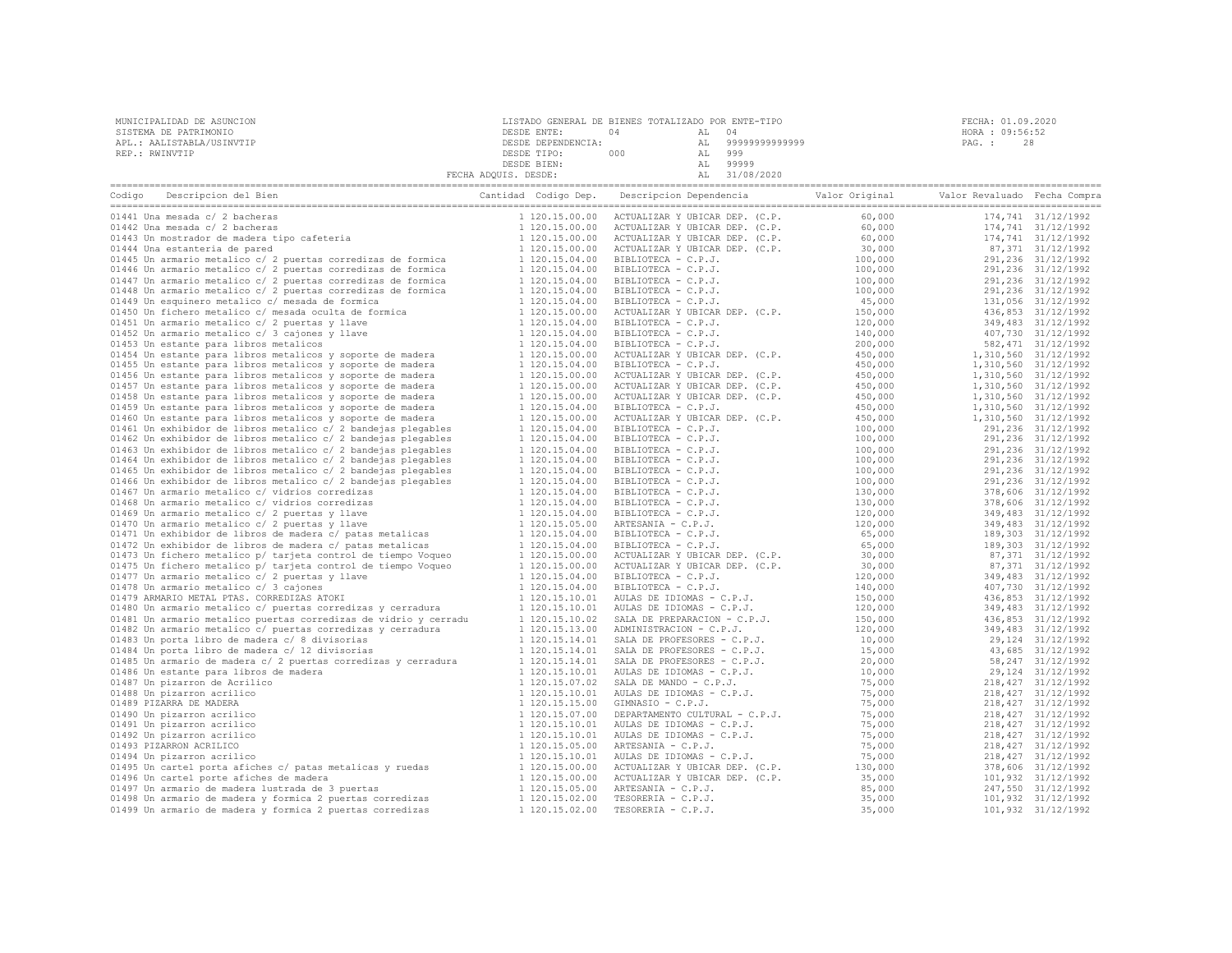| MUNICIPALIDAD DE ASUNCION | LISTADO GENERAL DE BIENES TOTALIZADO POR ENTE-TIPO |     |                | FECHA: 01.09.2020 |  |
|---------------------------|----------------------------------------------------|-----|----------------|-------------------|--|
| SISTEMA DE PATRIMONIO     | DESDE ENTE:                                        |     |                | HORA : 09:56:52   |  |
| APL.: AALISTABLA/USINVTIP | DESDE DEPENDENCIA:                                 |     | 99999999999999 | PAG. :            |  |
| REP.: RWINVTIP            | DESDE TIPO:                                        | 000 | 999            |                   |  |
|                           | DESDE BIEN:                                        |     | 99999          |                   |  |
|                           | FECHA ADOUIS. DESDE:                               |     | 31/08/2020     |                   |  |

| Descripcion del Bien<br>Codigo                                   | Cantidad Codigo Dep. |                | Descripcion Dependencia                                                                                                                                                                                                                                      | Valor Original | Valor Revaluado Fecha Compra |                      |
|------------------------------------------------------------------|----------------------|----------------|--------------------------------------------------------------------------------------------------------------------------------------------------------------------------------------------------------------------------------------------------------------|----------------|------------------------------|----------------------|
| 01441 Una mesada c/ 2 bacheras                                   |                      | 1 120.15.00.00 | ACTUALIZAR Y UBICAR DEP. (C.P.                                                                                                                                                                                                                               | 60,000         |                              | 174,741 31/12/1992   |
| 01442 Una mesada c/ 2 bacheras                                   |                      | 1 120.15.00.00 |                                                                                                                                                                                                                                                              | 60,000         |                              | 174,741 31/12/1992   |
| 01443 Un mostrador de madera tipo cafeteria                      |                      | 1 120.15.00.00 |                                                                                                                                                                                                                                                              | 60,000         |                              | 174,741 31/12/1992   |
| 01444 Una estanteria de pared                                    |                      | 1 120.15.00.00 | ACTUALIZAR Y UBICAR DEP. (C.P.<br>ACTUALIZAR Y UBICAR DEP. (C.P.<br>BIBLIOTECA - C.P.J.<br>BIBLIOTECA - C.P.J.<br>BIBLIOTECA - C.P.J.<br>BIBLIOTECA - C.P.J.<br>MIBLIOTECA - C.P.J.<br>TUALIZAR Y UBICAR DEP. (C.P.<br>TUALIZAR Y UBICAR DEP. (C.P.<br>BL    | 30,000         |                              | 87,371 31/12/1992    |
| 01445 Un armario metalico c/ 2 puertas corredizas de formica     |                      | 1 120.15.04.00 |                                                                                                                                                                                                                                                              | 100,000        |                              | 291,236 31/12/1992   |
| 01446 Un armario metalico c/ 2 puertas corredizas de formica     |                      | 1 120.15.04.00 |                                                                                                                                                                                                                                                              | 100,000        |                              | 291,236 31/12/1992   |
| 01447 Un armario metalico c/ 2 puertas corredizas de formica     |                      | 1 120.15.04.00 |                                                                                                                                                                                                                                                              | 100,000        |                              | 291,236 31/12/1992   |
| 01448 Un armario metalico c/ 2 puertas corredizas de formica     |                      |                |                                                                                                                                                                                                                                                              |                |                              |                      |
|                                                                  |                      | 1 120.15.04.00 |                                                                                                                                                                                                                                                              | 100,000        |                              | 291,236 31/12/1992   |
| 01449 Un esquinero metalico c/ mesada de formica                 |                      | 1 120.15.04.00 |                                                                                                                                                                                                                                                              | 45,000         |                              | 131,056 31/12/1992   |
| 01450 Un fichero metalico c/ mesada oculta de formica            |                      | 1 120.15.00.00 |                                                                                                                                                                                                                                                              | 150,000        |                              | 436,853 31/12/1992   |
| 01451 Un armario metalico c/ 2 puertas y llave                   |                      | 1 120.15.04.00 | BIBLIOTECA - C.P.J.                                                                                                                                                                                                                                          | 120,000        |                              | 349,483 31/12/1992   |
| 01452 Un armario metalico c/ 3 cajones y llave                   |                      | 1 120.15.04.00 | BIBLIOTECA - C.P.J.                                                                                                                                                                                                                                          | 140,000        |                              | 407,730 31/12/1992   |
| 01453 Un estante para libros metalicos                           |                      | 1 120.15.04.00 | BIBLIOTECA - C.P.J.                                                                                                                                                                                                                                          | 200,000        |                              | 582, 471 31/12/1992  |
| 01454 Un estante para libros metalicos y soporte de madera       |                      | 1 120.15.00.00 | ACTUALIZAR Y UBICAR DEP. (C.P.                                                                                                                                                                                                                               | 450,000        |                              | 1,310,560 31/12/1992 |
| 01455 Un estante para libros metalicos y soporte de madera       |                      | 1 120.15.04.00 | BIBLIOTECA - C.P.J.                                                                                                                                                                                                                                          | 450,000        |                              | 1,310,560 31/12/1992 |
| 01456 Un estante para libros metalicos y soporte de madera       |                      | 1 120.15.00.00 | ACTUALIZAR Y UBICAR DEP. (C.P.                                                                                                                                                                                                                               | 450,000        |                              | 1,310,560 31/12/1992 |
| 01457 Un estante para libros metalicos y soporte de madera       |                      | 1 120.15.00.00 | ACTUALIZAR Y UBICAR DEP. (C.P.                                                                                                                                                                                                                               | 450,000        |                              | 1,310,560 31/12/1992 |
| 01458 Un estante para libros metalicos y soporte de madera       |                      | 1 120.15.00.00 | ACTUALIZAR Y UBICAR DEP. (C.P.                                                                                                                                                                                                                               | 450,000        |                              | 1,310,560 31/12/1992 |
| 01459 Un estante para libros metalicos y soporte de madera       |                      | 1 120.15.04.00 | BIBLIOTECA - C.P.J.                                                                                                                                                                                                                                          | 450,000        |                              | 1,310,560 31/12/1992 |
| 01460 Un estante para libros metalicos y soporte de madera       |                      | 1 120.15.00.00 | ACTUALIZAR Y UBICAR DEP. (C.P.                                                                                                                                                                                                                               | 450,000        |                              | 1,310,560 31/12/1992 |
| 01461 Un exhibidor de libros metalico c/ 2 bandejas plegables    |                      | 1 120.15.04.00 |                                                                                                                                                                                                                                                              | 100,000        |                              | 291,236 31/12/1992   |
| 01462 Un exhibidor de libros metalico c/ 2 bandejas plegables    |                      | 1 120.15.04.00 |                                                                                                                                                                                                                                                              | 100,000        |                              | 291, 236 31/12/1992  |
| 01463 Un exhibidor de libros metalico c/ 2 bandejas plegables    |                      | 1 120.15.04.00 | MUNDANA I BELGA DEP. (C.P.<br>BIBLIOTECA - C.P.J.<br>BIBLIOTECA - C.P.J.<br>BIBLIOTECA - C.P.J.<br>BIBLIOTECA - C.P.J.<br>BIBLIOTECA - C.P.J.<br>BIBLIOTECA - C.P.J.<br>BIBLIOTECA - C.P.J.<br>BIBLIOTECA - C.P.J.<br>ARTESANIA - C.P.J.<br>ARTESANIA - C.P. | 100,000        |                              | 291,236 31/12/1992   |
| 01464 Un exhibidor de libros metalico c/ 2 bandejas plegables    |                      | 1 120.15.04.00 |                                                                                                                                                                                                                                                              | 100,000        |                              | 291,236 31/12/1992   |
| 01465 Un exhibidor de libros metalico c/ 2 bandejas plegables    |                      | 1 120.15.04.00 |                                                                                                                                                                                                                                                              | 100,000        |                              | 291,236 31/12/1992   |
|                                                                  |                      | 1 120.15.04.00 |                                                                                                                                                                                                                                                              |                |                              |                      |
| 01466 Un exhibidor de libros metalico c/ 2 bandejas plegables    |                      |                |                                                                                                                                                                                                                                                              | 100,000        |                              | 291,236 31/12/1992   |
| 01467 Un armario metalico c/ vidrios corredizas                  |                      | 1 120.15.04.00 |                                                                                                                                                                                                                                                              | 130,000        |                              | 378,606 31/12/1992   |
| 01468 Un armario metalico c/ vidrios corredizas                  |                      | 1 120.15.04.00 |                                                                                                                                                                                                                                                              | 130,000        |                              | 378,606 31/12/1992   |
| 01469 Un armario metalico c/ 2 puertas y llave                   |                      | 1 120.15.04.00 |                                                                                                                                                                                                                                                              | 120,000        |                              | 349,483 31/12/1992   |
| 01470 Un armario metalico c/ 2 puertas y llave                   |                      | 1 120.15.05.00 |                                                                                                                                                                                                                                                              | 120,000        |                              | 349,483 31/12/1992   |
| 01471 Un exhibidor de libros de madera c/ patas metalicas        |                      | 1 120.15.04.00 | BIBLIOTECA - C.P.J.                                                                                                                                                                                                                                          | 65,000         |                              | 189,303 31/12/1992   |
| 01472 Un exhibidor de libros de madera c/ patas metalicas        |                      | 1 120.15.04.00 | BIBLIOTECA - C.P.J.                                                                                                                                                                                                                                          | 65,000         |                              | 189,303 31/12/1992   |
| 01473 Un fichero metalico p/ tarjeta control de tiempo Voqueo    |                      | 1 120.15.00.00 | ACTUALIZAR Y UBICAR DEP. (C.P.                                                                                                                                                                                                                               | 30,000         |                              | 87,371 31/12/1992    |
| 01475 Un fichero metalico p/ tarjeta control de tiempo Voqueo    |                      | 1 120.15.00.00 | ACTUALIZAR Y UBICAR DEP. (C.P.                                                                                                                                                                                                                               | 30,000         |                              | 87,371 31/12/1992    |
| 01477 Un armario metalico c/ 2 puertas y llave                   |                      | 1 120.15.04.00 | BIBLIOTECA - C.P.J.                                                                                                                                                                                                                                          | 120,000        |                              | 349,483 31/12/1992   |
| 01478 Un armario metalico c/ 3 cajones                           |                      | 1 120.15.04.00 | BIBLIOTECA - C.P.J.                                                                                                                                                                                                                                          | 140,000        |                              | 407,730 31/12/1992   |
| 01479 ARMARIO METAL PTAS. CORREDIZAS ATOKI                       |                      | 1 120.15.10.01 | AULAS DE IDIOMAS - C.P.J.                                                                                                                                                                                                                                    | 150,000        |                              | 436,853 31/12/1992   |
| 01480 Un armario metalico c/ puertas corredizas y cerradura      |                      | 1 120.15.10.01 | AULAS DE IDIOMAS - C.P.J.                                                                                                                                                                                                                                    | 120,000        |                              | 349,483 31/12/1992   |
| 01481 Un armario metalico puertas corredizas de vidrio y cerradu |                      | 1 120.15.10.02 | AULAS DE PREPARACION - C.P.J.<br>SALA DE PREPARACION - C.P.J.                                                                                                                                                                                                | 150,000        |                              | 436,853 31/12/1992   |
| 01482 Un armario metalico c/ puertas corredizas y cerradura      |                      | 1 120.15.13.00 |                                                                                                                                                                                                                                                              | 120,000        |                              | 349,483 31/12/1992   |
| 01483 Un porta libro de madera c/ 8 divisorias                   |                      | 1 120.15.14.01 | SALA DE PROFESORES - C.P.J.                                                                                                                                                                                                                                  | 10,000         |                              | 29, 124 31/12/1992   |
| 01484 Un porta libro de madera c/ 12 divisorias                  |                      | 1 120.15.14.01 | SALA DE PROFESORES - C.P.J.                                                                                                                                                                                                                                  | 15,000         |                              | 43,685 31/12/1992    |
| 01485 Un armario de madera c/ 2 puertas corredizas y cerradura   |                      | 1 120.15.14.01 | SALA DE PROFESORES - C.P.J.                                                                                                                                                                                                                                  | 20,000         |                              | 58, 247 31/12/1992   |
| 01486 Un estante para libros de madera                           |                      | 1 120.15.10.01 | AULAS DE IDIOMAS - C.P.J.                                                                                                                                                                                                                                    | 10,000         |                              | 29, 124 31/12/1992   |
|                                                                  |                      |                |                                                                                                                                                                                                                                                              |                |                              |                      |
| 01487 Un pizarron de Acrilico                                    |                      | 1 120.15.07.02 | SALA DE MANDO - C.P.J.                                                                                                                                                                                                                                       | 75,000         |                              | 218, 427 31/12/1992  |
| 01488 Un pizarron acrilico                                       |                      | 1 120.15.10.01 | AULAS DE IDIOMAS - C.P.J.                                                                                                                                                                                                                                    | 75,000         |                              | 218, 427 31/12/1992  |
| 01489 PIZARRA DE MADERA                                          |                      | 1 120.15.15.00 | GIMNASIO - C.P.J.                                                                                                                                                                                                                                            | 75,000         |                              | 218, 427 31/12/1992  |
| 01490 Un pizarron acrilico                                       |                      | 1 120.15.07.00 |                                                                                                                                                                                                                                                              | 75,000         |                              | 218, 427 31/12/1992  |
| 01491 Un pizarron acrilico                                       |                      | 1 120.15.10.01 | DEPARTAMENTO CULTURAL - C.P.J.<br>AULAS DE IDIOMAS - C.P.J.<br>AULAS DE IDIOMAS - C.P.J.                                                                                                                                                                     | 75,000         |                              | 218, 427 31/12/1992  |
| 01492 Un pizarron acrilico                                       |                      | 1 120.15.10.01 |                                                                                                                                                                                                                                                              | 75,000         |                              | 218, 427 31/12/1992  |
| 01493 PIZARRON ACRILICO                                          |                      | 1 120.15.05.00 | ARTESANIA - C.P.J.                                                                                                                                                                                                                                           | 75,000         |                              | 218, 427 31/12/1992  |
| 01494 Un pizarron acrilico                                       |                      | 1 120.15.10.01 | AULAS DE IDIOMAS - C.P.J.                                                                                                                                                                                                                                    | 75,000         |                              | 218, 427 31/12/1992  |
| 01495 Un cartel porta afiches c/ patas metalicas y ruedas        |                      | 1 120.15.00.00 | ACTUALIZAR Y UBICAR DEP. (C.P.                                                                                                                                                                                                                               | 130,000        |                              | 378,606 31/12/1992   |
| 01496 Un cartel porte afiches de madera                          |                      | 1 120.15.00.00 | ACTUALIZAR Y UBICAR DEP. (C.P.<br>ARTESANIA - C.P.J.<br>TESORERIA - C.P.J.<br>TESORERIA - C.P.J.                                                                                                                                                             | 35,000         |                              | 101,932 31/12/1992   |
| 01497 Un armario de madera lustrada de 3 puertas                 |                      | 1 120.15.05.00 |                                                                                                                                                                                                                                                              | 85,000         |                              | 247,550 31/12/1992   |
| 01498 Un armario de madera y formica 2 puertas corredizas        |                      | 1 120.15.02.00 |                                                                                                                                                                                                                                                              | 35,000         |                              | 101,932 31/12/1992   |
| 01499 Un armario de madera y formica 2 puertas corredizas        |                      | 1 120.15.02.00 | TESORERIA - C.P.J.                                                                                                                                                                                                                                           | 35,000         |                              | 101,932 31/12/1992   |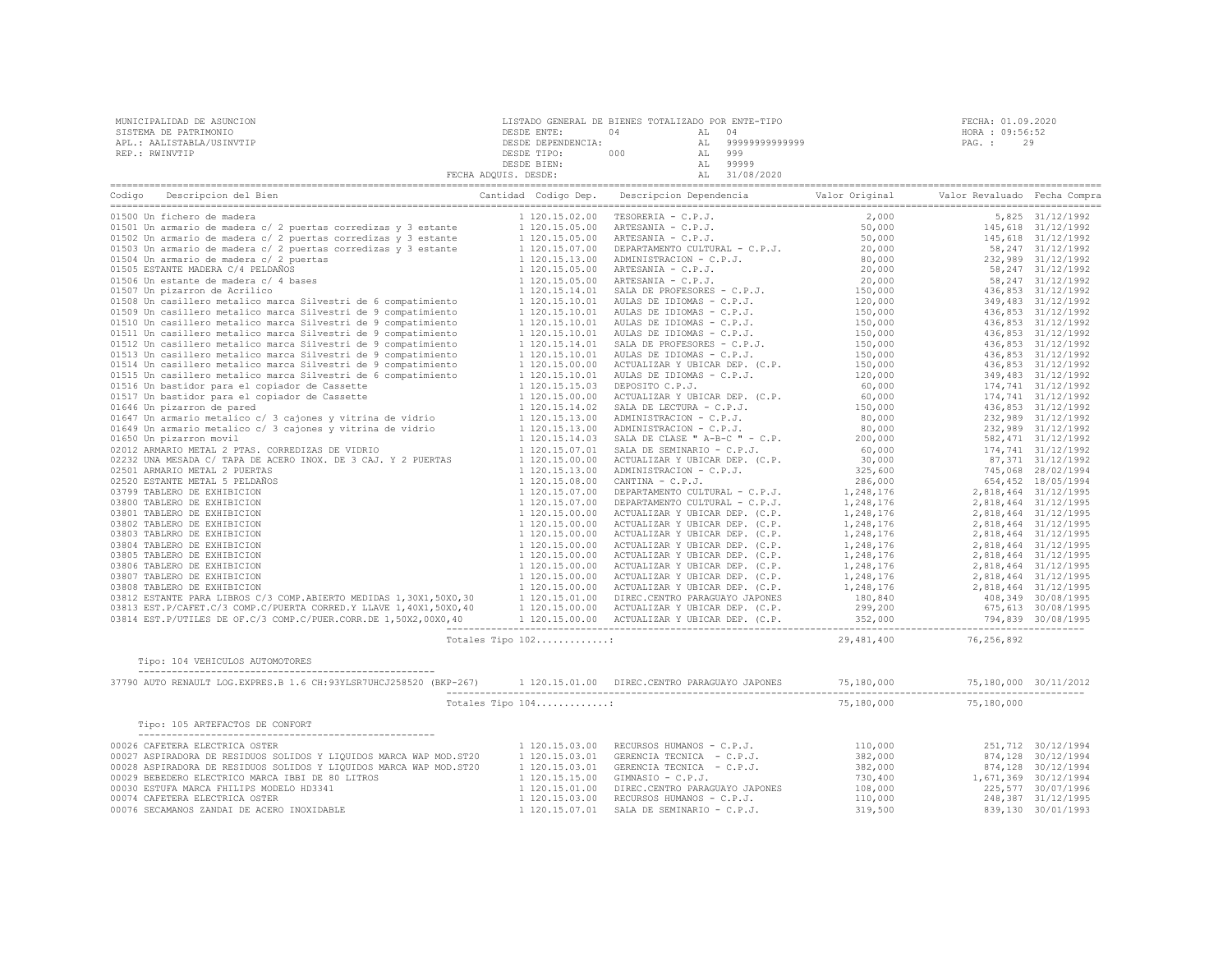| MUNICIPALIDAD DE ASUNCION<br>SISTEMA DE PATRIMONIO<br>APL.: AALISTABLA/USINVTIP<br>REP.: RWINVTIP                                                                                                                                                                                                                                                                         |                   | LISTADO GENERAL DE BIENES TOTALIZADO POR ENTE-TIPO<br>DESDE ENTE: 04 AL 04<br>DESDE DEPENDENCIA: AL 999999999999999<br>DESDE DEPENDENCIA: AL 999999999999999<br>DESDE TIPO: 000 AL 9999<br>DESDE BIEN: AL 99999<br>PECHA ADQUIS. DESDE: AL | FECHA: 01.09.2<br>HORA : 09:56:<br>PAG. : 29<br>FECHA: 01.09.2020<br>HORA : 09:56:52 |  |
|---------------------------------------------------------------------------------------------------------------------------------------------------------------------------------------------------------------------------------------------------------------------------------------------------------------------------------------------------------------------------|-------------------|--------------------------------------------------------------------------------------------------------------------------------------------------------------------------------------------------------------------------------------------|--------------------------------------------------------------------------------------|--|
| Codigo Descripcion del Bien de Marco de Marco Cantidad Codigo Dep. Descripcion Dependencia de Valor Original Valor Revaluado Fecha Compra                                                                                                                                                                                                                                 |                   |                                                                                                                                                                                                                                            |                                                                                      |  |
|                                                                                                                                                                                                                                                                                                                                                                           |                   |                                                                                                                                                                                                                                            |                                                                                      |  |
|                                                                                                                                                                                                                                                                                                                                                                           |                   |                                                                                                                                                                                                                                            |                                                                                      |  |
|                                                                                                                                                                                                                                                                                                                                                                           |                   |                                                                                                                                                                                                                                            |                                                                                      |  |
|                                                                                                                                                                                                                                                                                                                                                                           |                   |                                                                                                                                                                                                                                            |                                                                                      |  |
|                                                                                                                                                                                                                                                                                                                                                                           |                   |                                                                                                                                                                                                                                            |                                                                                      |  |
|                                                                                                                                                                                                                                                                                                                                                                           |                   |                                                                                                                                                                                                                                            |                                                                                      |  |
|                                                                                                                                                                                                                                                                                                                                                                           |                   |                                                                                                                                                                                                                                            |                                                                                      |  |
|                                                                                                                                                                                                                                                                                                                                                                           |                   |                                                                                                                                                                                                                                            |                                                                                      |  |
|                                                                                                                                                                                                                                                                                                                                                                           |                   |                                                                                                                                                                                                                                            |                                                                                      |  |
|                                                                                                                                                                                                                                                                                                                                                                           |                   |                                                                                                                                                                                                                                            |                                                                                      |  |
|                                                                                                                                                                                                                                                                                                                                                                           |                   |                                                                                                                                                                                                                                            |                                                                                      |  |
|                                                                                                                                                                                                                                                                                                                                                                           |                   |                                                                                                                                                                                                                                            |                                                                                      |  |
|                                                                                                                                                                                                                                                                                                                                                                           |                   |                                                                                                                                                                                                                                            |                                                                                      |  |
|                                                                                                                                                                                                                                                                                                                                                                           |                   |                                                                                                                                                                                                                                            |                                                                                      |  |
|                                                                                                                                                                                                                                                                                                                                                                           |                   |                                                                                                                                                                                                                                            |                                                                                      |  |
|                                                                                                                                                                                                                                                                                                                                                                           |                   |                                                                                                                                                                                                                                            |                                                                                      |  |
|                                                                                                                                                                                                                                                                                                                                                                           |                   |                                                                                                                                                                                                                                            |                                                                                      |  |
|                                                                                                                                                                                                                                                                                                                                                                           |                   |                                                                                                                                                                                                                                            |                                                                                      |  |
|                                                                                                                                                                                                                                                                                                                                                                           |                   |                                                                                                                                                                                                                                            |                                                                                      |  |
|                                                                                                                                                                                                                                                                                                                                                                           |                   |                                                                                                                                                                                                                                            |                                                                                      |  |
|                                                                                                                                                                                                                                                                                                                                                                           |                   |                                                                                                                                                                                                                                            |                                                                                      |  |
|                                                                                                                                                                                                                                                                                                                                                                           |                   |                                                                                                                                                                                                                                            |                                                                                      |  |
|                                                                                                                                                                                                                                                                                                                                                                           |                   |                                                                                                                                                                                                                                            |                                                                                      |  |
|                                                                                                                                                                                                                                                                                                                                                                           |                   |                                                                                                                                                                                                                                            |                                                                                      |  |
|                                                                                                                                                                                                                                                                                                                                                                           |                   |                                                                                                                                                                                                                                            |                                                                                      |  |
|                                                                                                                                                                                                                                                                                                                                                                           |                   |                                                                                                                                                                                                                                            |                                                                                      |  |
|                                                                                                                                                                                                                                                                                                                                                                           |                   |                                                                                                                                                                                                                                            |                                                                                      |  |
|                                                                                                                                                                                                                                                                                                                                                                           |                   |                                                                                                                                                                                                                                            |                                                                                      |  |
|                                                                                                                                                                                                                                                                                                                                                                           |                   |                                                                                                                                                                                                                                            |                                                                                      |  |
|                                                                                                                                                                                                                                                                                                                                                                           |                   |                                                                                                                                                                                                                                            |                                                                                      |  |
|                                                                                                                                                                                                                                                                                                                                                                           |                   |                                                                                                                                                                                                                                            |                                                                                      |  |
|                                                                                                                                                                                                                                                                                                                                                                           |                   |                                                                                                                                                                                                                                            |                                                                                      |  |
|                                                                                                                                                                                                                                                                                                                                                                           |                   |                                                                                                                                                                                                                                            |                                                                                      |  |
|                                                                                                                                                                                                                                                                                                                                                                           |                   |                                                                                                                                                                                                                                            |                                                                                      |  |
|                                                                                                                                                                                                                                                                                                                                                                           |                   |                                                                                                                                                                                                                                            |                                                                                      |  |
|                                                                                                                                                                                                                                                                                                                                                                           |                   |                                                                                                                                                                                                                                            |                                                                                      |  |
|                                                                                                                                                                                                                                                                                                                                                                           |                   |                                                                                                                                                                                                                                            |                                                                                      |  |
|                                                                                                                                                                                                                                                                                                                                                                           | Totales Tipo 102: | 29, 481, 400 76, 256, 892                                                                                                                                                                                                                  |                                                                                      |  |
| Tipo: 104 VEHICULOS AUTOMOTORES                                                                                                                                                                                                                                                                                                                                           |                   |                                                                                                                                                                                                                                            |                                                                                      |  |
| $\texttt{37790 AUTO RENAULT LOG.EXPRES.B 1.6 CH:93YLSR7UHCJ258520 (BKP-267) }\\ \texttt{1120.15.01.00 DIREC.CENTRO PARGUAYO JAPONES} \\ \texttt{120.15.01.00 DIREC. CENTRO PARGUAYO JAPONES} \\ \texttt{130.15.01.01 DIREC. CENTRO PARGUAYO JAPONES} \\ \texttt{140.15.01.02 DIREC. CENTRO PARGUAYO JAPONES} \\ \texttt{150.15.03.035} \\ \texttt{160.15.04.04} \\ \text$ |                   |                                                                                                                                                                                                                                            |                                                                                      |  |
|                                                                                                                                                                                                                                                                                                                                                                           | Totales Tipo 104: |                                                                                                                                                                                                                                            | 75,180,000 75,180,000                                                                |  |
| Tipo: 105 ARTEFACTOS DE CONFORT                                                                                                                                                                                                                                                                                                                                           |                   |                                                                                                                                                                                                                                            |                                                                                      |  |
| $\begin{tabular}{cccccccc} \texttt{100026} \texttt{CAPTEER} \texttt{EECTRICA} \texttt{SDEER} & 120.15.03.00 & \texttt{RECURSOS HUMANOS} - C.P.J. & 110,000 & 251,712 & 30/12/1994 & 251,712 & 30/12/1994 & 251,712 & 30/12/1994 & 251,712 & 30/12/1994 & 251,712 & 30/12/1994 & 251,712 & 30/12/1994 & 251$                                                               |                   |                                                                                                                                                                                                                                            |                                                                                      |  |
|                                                                                                                                                                                                                                                                                                                                                                           |                   |                                                                                                                                                                                                                                            |                                                                                      |  |
|                                                                                                                                                                                                                                                                                                                                                                           |                   |                                                                                                                                                                                                                                            |                                                                                      |  |
|                                                                                                                                                                                                                                                                                                                                                                           |                   |                                                                                                                                                                                                                                            |                                                                                      |  |
|                                                                                                                                                                                                                                                                                                                                                                           |                   |                                                                                                                                                                                                                                            |                                                                                      |  |
|                                                                                                                                                                                                                                                                                                                                                                           |                   |                                                                                                                                                                                                                                            |                                                                                      |  |
|                                                                                                                                                                                                                                                                                                                                                                           |                   |                                                                                                                                                                                                                                            |                                                                                      |  |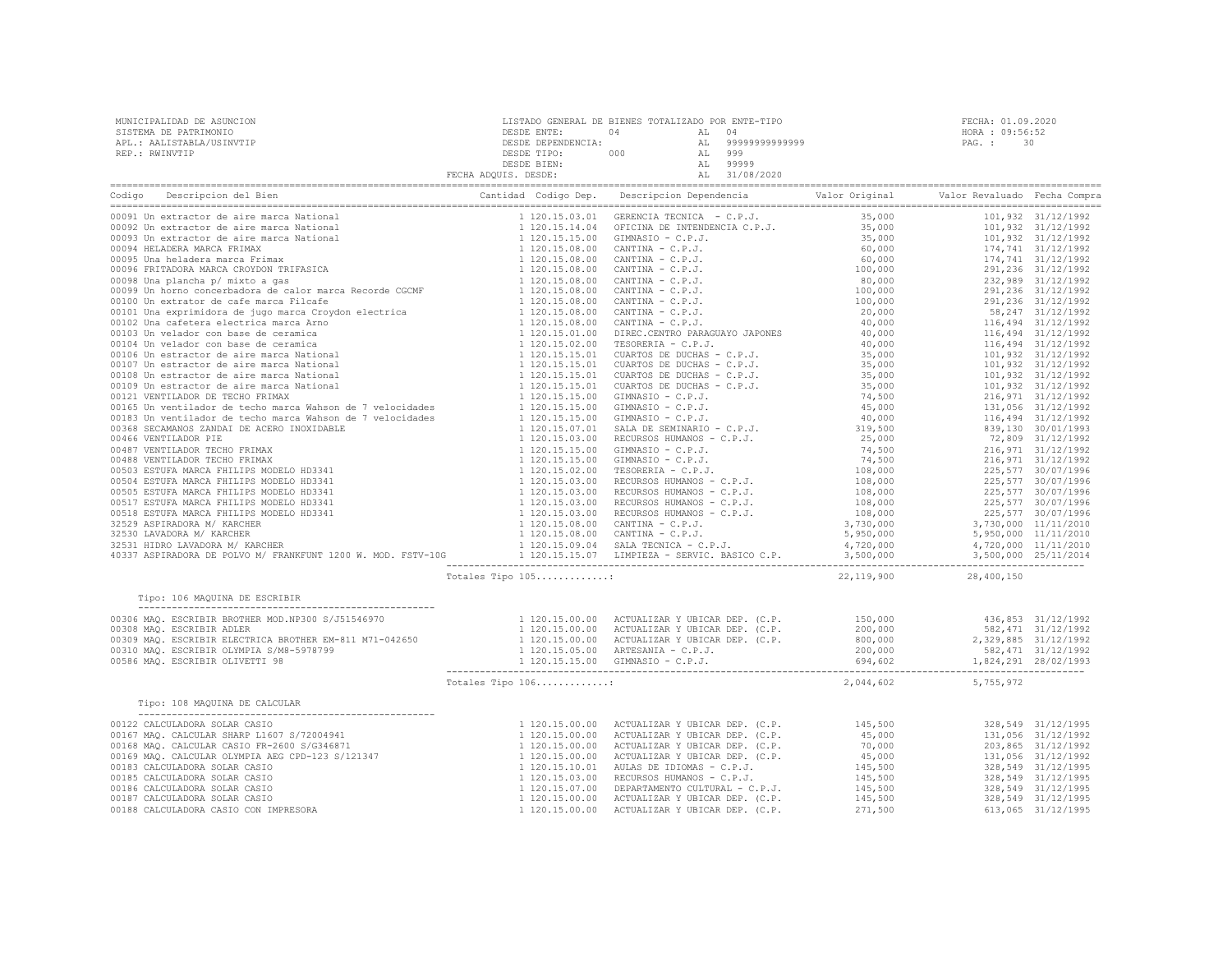| MUNICIPALIDAD DE ASUNCION | LISTADO GENERAL DE BIENES TOTALIZADO POR ENTE-TIPO |     |    |                | FECHA: 01.09.2020 |    |
|---------------------------|----------------------------------------------------|-----|----|----------------|-------------------|----|
| SISTEMA DE PATRIMONIO     | DESDE ENTE:                                        | 04  |    | 04             | HORA : 09:56:52   |    |
| APL.: AALISTABLA/USINVTIP | DESDE DEPENDENCIA:                                 |     |    | 99999999999999 | PAG. :            | 30 |
| REP.: RWINVTIP            | DESDE TIPO:                                        | 000 | AL | 999            |                   |    |
|                           | DESDE BIEN:                                        |     |    | 99999          |                   |    |
|                           | FECHA ADQUIS. DESDE:                               |     |    | 31/08/2020     |                   |    |
|                           |                                                    |     |    |                |                   |    |

| 22, 119, 900 28, 400, 150<br>Totales Tipo 105:<br>Tipo: 106 MAQUINA DE ESCRIBIR<br>2,044,602 5,755,972<br>Totales Tipo 106:<br>Tipo: 108 MAQUINA DE CALCULAR<br>$\begin{tabular}{c cccc} {\bf Type: 108 MAQUINA DE CALCULAR} & {\bf Type: AIG.} & {\bf Type: 108 MAQUINA DE CALCULAR} & {\bf Type: 1120.15.00.00} & {\bf ACTUALIZAR Y UBLCAR DBP.} & ({\it C.P.} & {\it D145.0000} & {\it D15.0000} & {\it D15.0000} & {\it D168 MAQ. CALCULAR GABAR CASIO} \\ 00168 MAQ. CALCULAR GABAR CASIO & {\it D168 MAQ. CALCULAR OLYIA BER T. WBLCAR BEP. & ({\it C.P.} & {\it D16.0000} & {\it D$ | Codigo<br>Descripcion del Bien | Cantidad Codigo Dep. Descripcion Dependencia and Valor Original Valor Revaluado Fecha Compra |  |  |
|--------------------------------------------------------------------------------------------------------------------------------------------------------------------------------------------------------------------------------------------------------------------------------------------------------------------------------------------------------------------------------------------------------------------------------------------------------------------------------------------------------------------------------------------------------------------------------------------|--------------------------------|----------------------------------------------------------------------------------------------|--|--|
|                                                                                                                                                                                                                                                                                                                                                                                                                                                                                                                                                                                            |                                |                                                                                              |  |  |
|                                                                                                                                                                                                                                                                                                                                                                                                                                                                                                                                                                                            |                                |                                                                                              |  |  |
|                                                                                                                                                                                                                                                                                                                                                                                                                                                                                                                                                                                            |                                |                                                                                              |  |  |
|                                                                                                                                                                                                                                                                                                                                                                                                                                                                                                                                                                                            |                                |                                                                                              |  |  |
|                                                                                                                                                                                                                                                                                                                                                                                                                                                                                                                                                                                            |                                |                                                                                              |  |  |
|                                                                                                                                                                                                                                                                                                                                                                                                                                                                                                                                                                                            |                                |                                                                                              |  |  |
|                                                                                                                                                                                                                                                                                                                                                                                                                                                                                                                                                                                            |                                |                                                                                              |  |  |
|                                                                                                                                                                                                                                                                                                                                                                                                                                                                                                                                                                                            |                                |                                                                                              |  |  |
|                                                                                                                                                                                                                                                                                                                                                                                                                                                                                                                                                                                            |                                |                                                                                              |  |  |
|                                                                                                                                                                                                                                                                                                                                                                                                                                                                                                                                                                                            |                                |                                                                                              |  |  |
|                                                                                                                                                                                                                                                                                                                                                                                                                                                                                                                                                                                            |                                |                                                                                              |  |  |
|                                                                                                                                                                                                                                                                                                                                                                                                                                                                                                                                                                                            |                                |                                                                                              |  |  |
|                                                                                                                                                                                                                                                                                                                                                                                                                                                                                                                                                                                            |                                |                                                                                              |  |  |
|                                                                                                                                                                                                                                                                                                                                                                                                                                                                                                                                                                                            |                                |                                                                                              |  |  |
|                                                                                                                                                                                                                                                                                                                                                                                                                                                                                                                                                                                            |                                |                                                                                              |  |  |
|                                                                                                                                                                                                                                                                                                                                                                                                                                                                                                                                                                                            |                                |                                                                                              |  |  |
|                                                                                                                                                                                                                                                                                                                                                                                                                                                                                                                                                                                            |                                |                                                                                              |  |  |
|                                                                                                                                                                                                                                                                                                                                                                                                                                                                                                                                                                                            |                                |                                                                                              |  |  |
|                                                                                                                                                                                                                                                                                                                                                                                                                                                                                                                                                                                            |                                |                                                                                              |  |  |
|                                                                                                                                                                                                                                                                                                                                                                                                                                                                                                                                                                                            |                                |                                                                                              |  |  |
|                                                                                                                                                                                                                                                                                                                                                                                                                                                                                                                                                                                            |                                |                                                                                              |  |  |
|                                                                                                                                                                                                                                                                                                                                                                                                                                                                                                                                                                                            |                                |                                                                                              |  |  |
|                                                                                                                                                                                                                                                                                                                                                                                                                                                                                                                                                                                            |                                |                                                                                              |  |  |
|                                                                                                                                                                                                                                                                                                                                                                                                                                                                                                                                                                                            |                                |                                                                                              |  |  |
|                                                                                                                                                                                                                                                                                                                                                                                                                                                                                                                                                                                            |                                |                                                                                              |  |  |
|                                                                                                                                                                                                                                                                                                                                                                                                                                                                                                                                                                                            |                                |                                                                                              |  |  |
|                                                                                                                                                                                                                                                                                                                                                                                                                                                                                                                                                                                            |                                |                                                                                              |  |  |
|                                                                                                                                                                                                                                                                                                                                                                                                                                                                                                                                                                                            |                                |                                                                                              |  |  |
|                                                                                                                                                                                                                                                                                                                                                                                                                                                                                                                                                                                            |                                |                                                                                              |  |  |
|                                                                                                                                                                                                                                                                                                                                                                                                                                                                                                                                                                                            |                                |                                                                                              |  |  |
|                                                                                                                                                                                                                                                                                                                                                                                                                                                                                                                                                                                            |                                |                                                                                              |  |  |
|                                                                                                                                                                                                                                                                                                                                                                                                                                                                                                                                                                                            |                                |                                                                                              |  |  |
|                                                                                                                                                                                                                                                                                                                                                                                                                                                                                                                                                                                            |                                |                                                                                              |  |  |
|                                                                                                                                                                                                                                                                                                                                                                                                                                                                                                                                                                                            |                                |                                                                                              |  |  |
|                                                                                                                                                                                                                                                                                                                                                                                                                                                                                                                                                                                            |                                |                                                                                              |  |  |
|                                                                                                                                                                                                                                                                                                                                                                                                                                                                                                                                                                                            |                                |                                                                                              |  |  |
|                                                                                                                                                                                                                                                                                                                                                                                                                                                                                                                                                                                            |                                |                                                                                              |  |  |
|                                                                                                                                                                                                                                                                                                                                                                                                                                                                                                                                                                                            |                                |                                                                                              |  |  |
|                                                                                                                                                                                                                                                                                                                                                                                                                                                                                                                                                                                            |                                |                                                                                              |  |  |
|                                                                                                                                                                                                                                                                                                                                                                                                                                                                                                                                                                                            |                                |                                                                                              |  |  |
|                                                                                                                                                                                                                                                                                                                                                                                                                                                                                                                                                                                            |                                |                                                                                              |  |  |
|                                                                                                                                                                                                                                                                                                                                                                                                                                                                                                                                                                                            |                                |                                                                                              |  |  |
|                                                                                                                                                                                                                                                                                                                                                                                                                                                                                                                                                                                            |                                |                                                                                              |  |  |
|                                                                                                                                                                                                                                                                                                                                                                                                                                                                                                                                                                                            |                                |                                                                                              |  |  |
|                                                                                                                                                                                                                                                                                                                                                                                                                                                                                                                                                                                            |                                |                                                                                              |  |  |
|                                                                                                                                                                                                                                                                                                                                                                                                                                                                                                                                                                                            |                                |                                                                                              |  |  |
|                                                                                                                                                                                                                                                                                                                                                                                                                                                                                                                                                                                            |                                |                                                                                              |  |  |
|                                                                                                                                                                                                                                                                                                                                                                                                                                                                                                                                                                                            |                                |                                                                                              |  |  |
|                                                                                                                                                                                                                                                                                                                                                                                                                                                                                                                                                                                            |                                |                                                                                              |  |  |
|                                                                                                                                                                                                                                                                                                                                                                                                                                                                                                                                                                                            |                                |                                                                                              |  |  |
|                                                                                                                                                                                                                                                                                                                                                                                                                                                                                                                                                                                            |                                |                                                                                              |  |  |
|                                                                                                                                                                                                                                                                                                                                                                                                                                                                                                                                                                                            |                                |                                                                                              |  |  |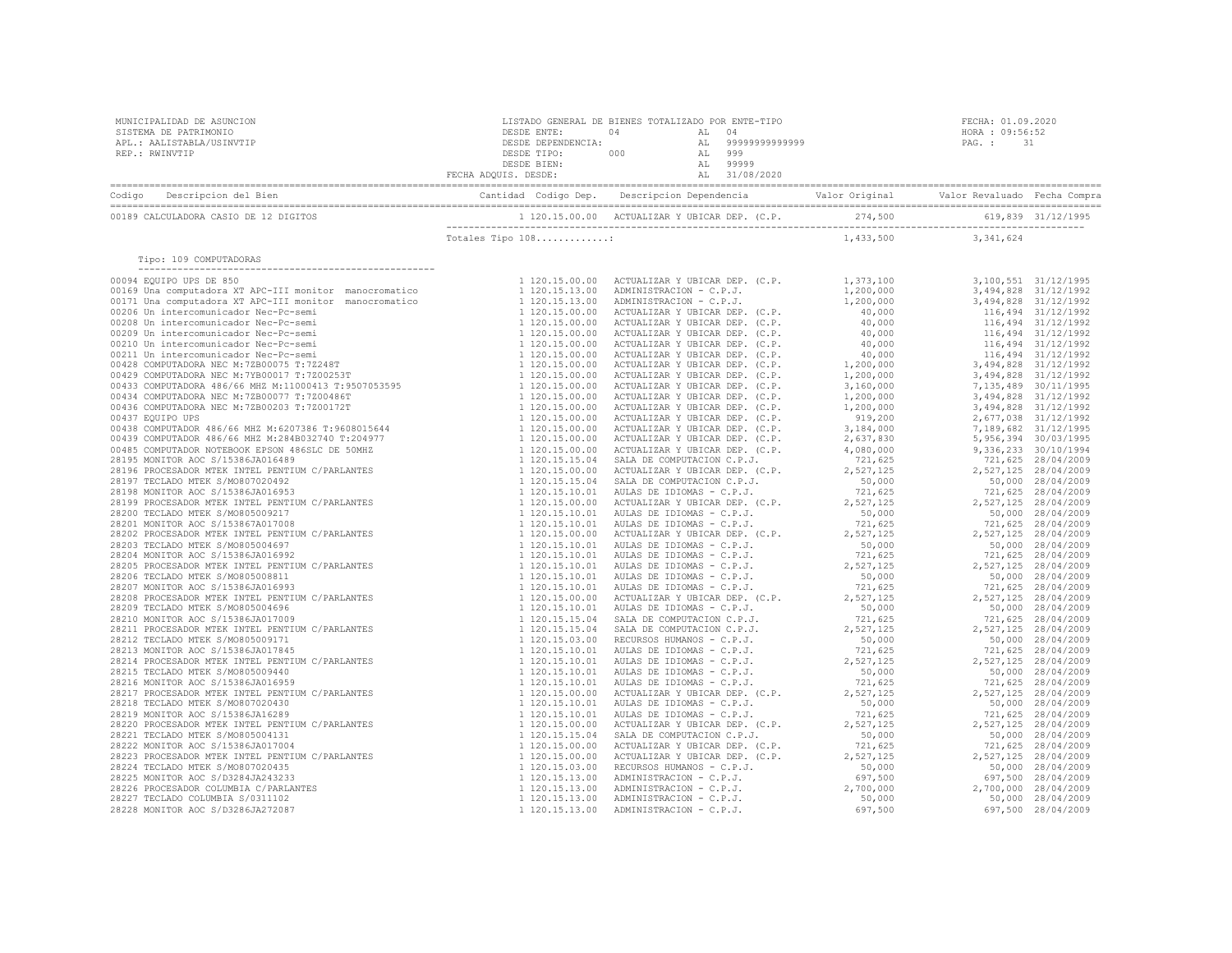| Tipo: 109 COMPUTADORAS |  |  |  |
|------------------------|--|--|--|
|                        |  |  |  |
|                        |  |  |  |
|                        |  |  |  |
|                        |  |  |  |
|                        |  |  |  |
|                        |  |  |  |
|                        |  |  |  |
|                        |  |  |  |
|                        |  |  |  |
|                        |  |  |  |
|                        |  |  |  |
|                        |  |  |  |
|                        |  |  |  |
|                        |  |  |  |
|                        |  |  |  |
|                        |  |  |  |
|                        |  |  |  |
|                        |  |  |  |
|                        |  |  |  |
|                        |  |  |  |
|                        |  |  |  |
|                        |  |  |  |
|                        |  |  |  |
|                        |  |  |  |
|                        |  |  |  |
|                        |  |  |  |
|                        |  |  |  |
|                        |  |  |  |
|                        |  |  |  |
|                        |  |  |  |
|                        |  |  |  |
|                        |  |  |  |
|                        |  |  |  |
|                        |  |  |  |
|                        |  |  |  |
|                        |  |  |  |
|                        |  |  |  |
|                        |  |  |  |
|                        |  |  |  |
|                        |  |  |  |
|                        |  |  |  |
|                        |  |  |  |
|                        |  |  |  |
|                        |  |  |  |
|                        |  |  |  |
|                        |  |  |  |
|                        |  |  |  |
|                        |  |  |  |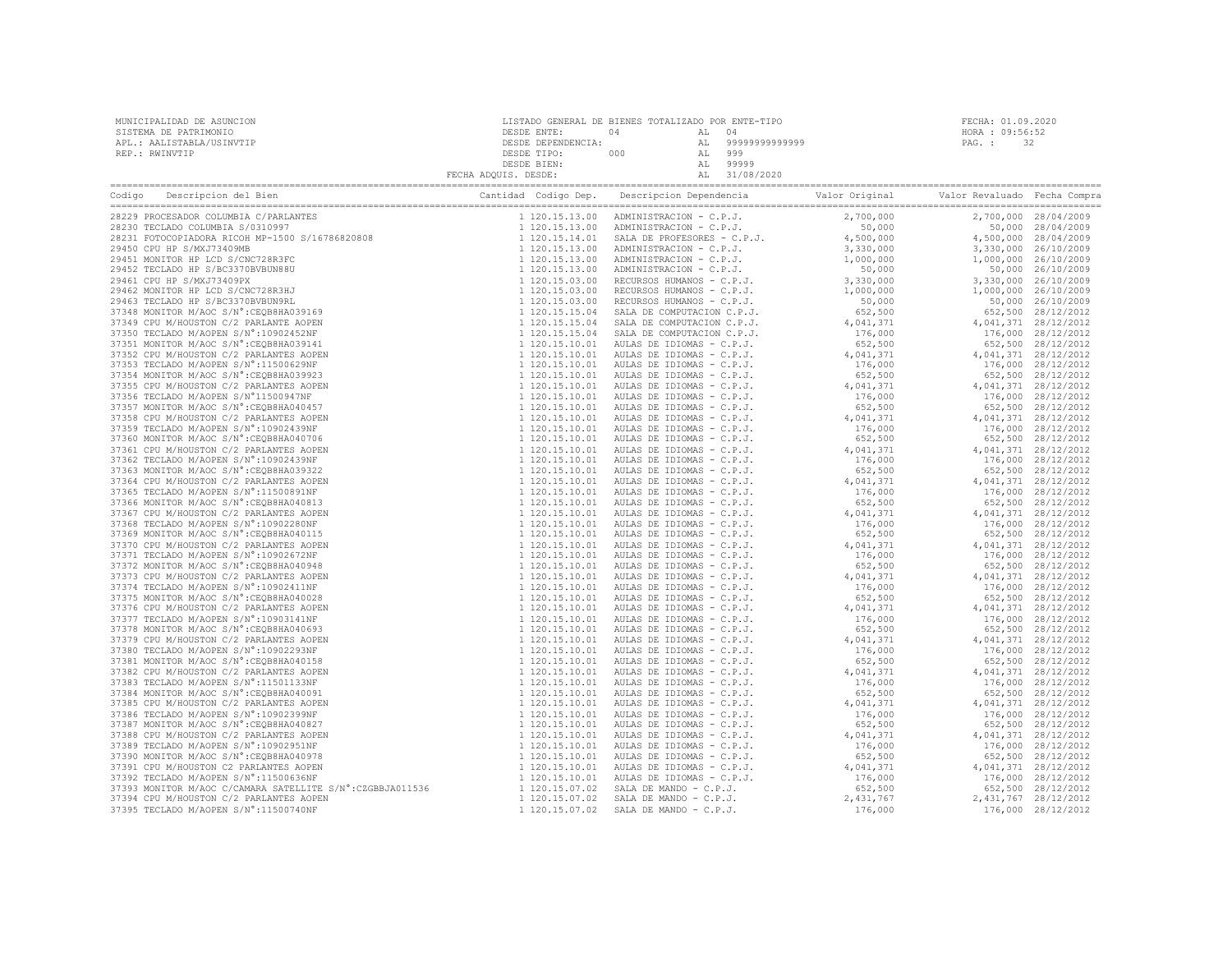|                                                                                                                                                                                                                                                                                                       | FECHA ADQUIS. DESDE: | DESDE BIEN:    | AL 99999<br>AL 31/08/2020                                                                    |                                                                                                                                                                                                                                                                                                                                                                                                                                                       |                        |
|-------------------------------------------------------------------------------------------------------------------------------------------------------------------------------------------------------------------------------------------------------------------------------------------------------|----------------------|----------------|----------------------------------------------------------------------------------------------|-------------------------------------------------------------------------------------------------------------------------------------------------------------------------------------------------------------------------------------------------------------------------------------------------------------------------------------------------------------------------------------------------------------------------------------------------------|------------------------|
| Descripcion del Bien<br>Codigo                                                                                                                                                                                                                                                                        |                      |                | Cantidad Codigo Dep. Descripcion Dependencia and Valor Original Valor Revaluado Fecha Compra | $\begin{tabular}{l cccc} \hline \textbf{Description} & \textbf{Deconifpolencia} & \textbf{Value} & \textbf{Value} & \textbf{Value} & \textbf{Value} \\ \hline \textbf{Deconifpolencia} & \textbf{Value} & \textbf{Value} & \textbf{Value} \\ \hline \textbf{AAIA} & \textbf{REDFSE} & \textbf{G.P.3} & 2, 700, 000 \\ \textbf{AMANISTRAIC10N} = C.P.3. & 4, 500, 000 \\ \textbf{AMMINISTRAIC10N} = C.P.3. & 1, 000, 000 \\ \textbf{AMMNISTRAIC10N} =$ |                        |
|                                                                                                                                                                                                                                                                                                       |                      | 1 120.15.13.00 |                                                                                              |                                                                                                                                                                                                                                                                                                                                                                                                                                                       | 2,700,000 28/04/2009   |
|                                                                                                                                                                                                                                                                                                       |                      | 1 120.15.13.00 |                                                                                              |                                                                                                                                                                                                                                                                                                                                                                                                                                                       | 50,000 28/04/2009      |
|                                                                                                                                                                                                                                                                                                       |                      | 1 120.15.14.01 |                                                                                              |                                                                                                                                                                                                                                                                                                                                                                                                                                                       | 4,500,000 28/04/2009   |
|                                                                                                                                                                                                                                                                                                       |                      | 1 120.15.13.00 |                                                                                              |                                                                                                                                                                                                                                                                                                                                                                                                                                                       | 3,330,000 26/10/2009   |
|                                                                                                                                                                                                                                                                                                       |                      | 1 120.15.13.00 |                                                                                              |                                                                                                                                                                                                                                                                                                                                                                                                                                                       | 1,000,000 26/10/2009   |
|                                                                                                                                                                                                                                                                                                       |                      | 1 120.15.13.00 |                                                                                              |                                                                                                                                                                                                                                                                                                                                                                                                                                                       | 50,000 26/10/2009      |
|                                                                                                                                                                                                                                                                                                       |                      | 1 120.15.03.00 |                                                                                              |                                                                                                                                                                                                                                                                                                                                                                                                                                                       | 3,330,000 26/10/2009   |
|                                                                                                                                                                                                                                                                                                       |                      | 1 120.15.03.00 |                                                                                              |                                                                                                                                                                                                                                                                                                                                                                                                                                                       | 1,000,000 26/10/2009   |
|                                                                                                                                                                                                                                                                                                       |                      | 1 120.15.03.00 |                                                                                              |                                                                                                                                                                                                                                                                                                                                                                                                                                                       | 50,000 26/10/2009      |
|                                                                                                                                                                                                                                                                                                       |                      | 1 120.15.15.04 |                                                                                              |                                                                                                                                                                                                                                                                                                                                                                                                                                                       | 652,500 28/12/2012     |
|                                                                                                                                                                                                                                                                                                       |                      | 1 120.15.15.04 |                                                                                              |                                                                                                                                                                                                                                                                                                                                                                                                                                                       | 4,041,371 28/12/2012   |
|                                                                                                                                                                                                                                                                                                       |                      | 1 120.15.15.04 |                                                                                              |                                                                                                                                                                                                                                                                                                                                                                                                                                                       | 176,000 28/12/2012     |
|                                                                                                                                                                                                                                                                                                       |                      | 1 120.15.10.01 |                                                                                              |                                                                                                                                                                                                                                                                                                                                                                                                                                                       | 652,500 28/12/2012     |
|                                                                                                                                                                                                                                                                                                       |                      | 1 120.15.10.01 |                                                                                              |                                                                                                                                                                                                                                                                                                                                                                                                                                                       | 4,041,371 28/12/2012   |
|                                                                                                                                                                                                                                                                                                       |                      | 1 120.15.10.01 |                                                                                              |                                                                                                                                                                                                                                                                                                                                                                                                                                                       | 176,000 28/12/2012     |
|                                                                                                                                                                                                                                                                                                       |                      | 1 120.15.10.01 |                                                                                              |                                                                                                                                                                                                                                                                                                                                                                                                                                                       | 652,500 28/12/2012     |
|                                                                                                                                                                                                                                                                                                       |                      | 1 120.15.10.01 |                                                                                              |                                                                                                                                                                                                                                                                                                                                                                                                                                                       | 4,041,371 28/12/2012   |
|                                                                                                                                                                                                                                                                                                       |                      | 1 120.15.10.01 |                                                                                              |                                                                                                                                                                                                                                                                                                                                                                                                                                                       | 176,000 28/12/2012     |
|                                                                                                                                                                                                                                                                                                       |                      | 1 120.15.10.01 |                                                                                              |                                                                                                                                                                                                                                                                                                                                                                                                                                                       | 652,500 28/12/2012     |
|                                                                                                                                                                                                                                                                                                       |                      | 1 120.15.10.01 |                                                                                              |                                                                                                                                                                                                                                                                                                                                                                                                                                                       | 4,041,371 28/12/2012   |
|                                                                                                                                                                                                                                                                                                       |                      | 1 120.15.10.01 |                                                                                              |                                                                                                                                                                                                                                                                                                                                                                                                                                                       | 176,000 28/12/2012     |
|                                                                                                                                                                                                                                                                                                       |                      | 1 120.15.10.01 |                                                                                              |                                                                                                                                                                                                                                                                                                                                                                                                                                                       | 652,500 28/12/2012     |
|                                                                                                                                                                                                                                                                                                       |                      | 1 120.15.10.01 |                                                                                              |                                                                                                                                                                                                                                                                                                                                                                                                                                                       | 4,041,371 28/12/2012   |
|                                                                                                                                                                                                                                                                                                       |                      | 1 120.15.10.01 |                                                                                              |                                                                                                                                                                                                                                                                                                                                                                                                                                                       | 176,000 28/12/2012     |
|                                                                                                                                                                                                                                                                                                       |                      | 1 120.15.10.01 |                                                                                              |                                                                                                                                                                                                                                                                                                                                                                                                                                                       | 652,500 28/12/2012     |
|                                                                                                                                                                                                                                                                                                       |                      | 1 120.15.10.01 |                                                                                              |                                                                                                                                                                                                                                                                                                                                                                                                                                                       | 4,041,371 28/12/2012   |
|                                                                                                                                                                                                                                                                                                       |                      | 1 120.15.10.01 |                                                                                              |                                                                                                                                                                                                                                                                                                                                                                                                                                                       | 176,000 28/12/2012     |
|                                                                                                                                                                                                                                                                                                       |                      | 1 120.15.10.01 |                                                                                              |                                                                                                                                                                                                                                                                                                                                                                                                                                                       | 652,500 28/12/2012     |
|                                                                                                                                                                                                                                                                                                       |                      | 1 120.15.10.01 |                                                                                              |                                                                                                                                                                                                                                                                                                                                                                                                                                                       | 4,041,371 28/12/2012   |
|                                                                                                                                                                                                                                                                                                       |                      | 1 120.15.10.01 |                                                                                              |                                                                                                                                                                                                                                                                                                                                                                                                                                                       | 176,000 28/12/2012     |
|                                                                                                                                                                                                                                                                                                       |                      | 1 120.15.10.01 |                                                                                              |                                                                                                                                                                                                                                                                                                                                                                                                                                                       | 652,500 28/12/2012     |
|                                                                                                                                                                                                                                                                                                       |                      | 1 120.15.10.01 |                                                                                              |                                                                                                                                                                                                                                                                                                                                                                                                                                                       | 4,041,371 28/12/2012   |
|                                                                                                                                                                                                                                                                                                       |                      | 1 120.15.10.01 |                                                                                              |                                                                                                                                                                                                                                                                                                                                                                                                                                                       | 176,000 28/12/2012     |
|                                                                                                                                                                                                                                                                                                       |                      | 1 120.15.10.01 |                                                                                              |                                                                                                                                                                                                                                                                                                                                                                                                                                                       | 652,500 28/12/2012     |
|                                                                                                                                                                                                                                                                                                       |                      | 1 120.15.10.01 |                                                                                              |                                                                                                                                                                                                                                                                                                                                                                                                                                                       | 4,041,371 28/12/2012   |
|                                                                                                                                                                                                                                                                                                       |                      | 1 120.15.10.01 |                                                                                              |                                                                                                                                                                                                                                                                                                                                                                                                                                                       | 176,000 28/12/2012     |
|                                                                                                                                                                                                                                                                                                       |                      | 1 120.15.10.01 |                                                                                              |                                                                                                                                                                                                                                                                                                                                                                                                                                                       | 652,500 28/12/2012     |
|                                                                                                                                                                                                                                                                                                       |                      | 1 120.15.10.01 |                                                                                              |                                                                                                                                                                                                                                                                                                                                                                                                                                                       | 4,041,371 28/12/2012   |
|                                                                                                                                                                                                                                                                                                       |                      | 1 120.15.10.01 |                                                                                              |                                                                                                                                                                                                                                                                                                                                                                                                                                                       | 176,000 28/12/2012     |
|                                                                                                                                                                                                                                                                                                       |                      | 1 120.15.10.01 |                                                                                              | $\begin{array}{r} 652,500\\ 4,041,371\\ 176,000\\ 652,500\\ 4,041,371\\ 176,000\\ 652,500\\ 4,041,371\\ 176,000\\ 652,500\\ 4,041,371\\ 176,000\\ 652,500\\ 4,041,371\\ 176,000\\ 652,500\\ 4,041,371\\ 176,000\\ 652,500\\ \end{array}$                                                                                                                                                                                                              | 652,500 28/12/2012     |
|                                                                                                                                                                                                                                                                                                       |                      | 1 120.15.10.01 |                                                                                              |                                                                                                                                                                                                                                                                                                                                                                                                                                                       | 4,041,371 28/12/2012   |
|                                                                                                                                                                                                                                                                                                       |                      | 1 120.15.10.01 |                                                                                              |                                                                                                                                                                                                                                                                                                                                                                                                                                                       | 176,000 28/12/2012     |
|                                                                                                                                                                                                                                                                                                       |                      | 1 120.15.10.01 |                                                                                              |                                                                                                                                                                                                                                                                                                                                                                                                                                                       | 652,500 28/12/2012     |
|                                                                                                                                                                                                                                                                                                       |                      | 1 120.15.10.01 |                                                                                              |                                                                                                                                                                                                                                                                                                                                                                                                                                                       | 4, 041, 371 28/12/2012 |
| 37383 TECLADO M/AOPEN S/N°:11501133NF                                                                                                                                                                                                                                                                 |                      |                | AULAS DE IDIOMAS - C.P.J.                                                                    | 176,000                                                                                                                                                                                                                                                                                                                                                                                                                                               | 176,000 28/12/2012     |
| 37384 MONITOR M/AOC S/N° : CEOB8HA040091                                                                                                                                                                                                                                                              |                      |                | AULAS DE IDIOMAS - C.P.J.                                                                    | 652,500                                                                                                                                                                                                                                                                                                                                                                                                                                               | 652,500 28/12/2012     |
| 37385 CPU M/HOUSTON C/2 PARLANTES AOPEN                                                                                                                                                                                                                                                               |                      |                | AULAS DE IDIOMAS - C.P.J.                                                                    | 4,041,371                                                                                                                                                                                                                                                                                                                                                                                                                                             | 4,041,371 28/12/2012   |
| 37386 TECLADO M/AOPEN S/N°:10902399NF                                                                                                                                                                                                                                                                 |                      |                | AULAS DE IDIOMAS - C.P.J.                                                                    | 176,000                                                                                                                                                                                                                                                                                                                                                                                                                                               | 176,000 28/12/2012     |
| 37387 MONITOR M/AOC S/N° : CEOB8HA040827                                                                                                                                                                                                                                                              |                      |                | AULAS DE IDIOMAS - C.P.J.                                                                    | 652,500                                                                                                                                                                                                                                                                                                                                                                                                                                               | 652,500 28/12/2012     |
| $\begin{array}{r} 1 \ 120.15.10.01 \\ 1 \ 120.15.10.01 \\ 1 \ 120.15.10.01 \\ 1 \ 120.15.10.01 \\ 1 \ 120.15.10.01 \\ 1 \ 120.15.10.01 \\ 1 \ 120.15.10.01 \\ 1 \ 120.15.10.01 \\ 1 \ 120.15.10.01 \\ 1 \ 120.15.10.01 \\ 1 \ 120.15.10.01 \\ \end{array}$<br>37388 CPU M/HOUSTON C/2 PARLANTES AOPEN |                      |                | AULAS DE IDIOMAS - C.P.J.                                                                    |                                                                                                                                                                                                                                                                                                                                                                                                                                                       | 4,041,371 28/12/2012   |
| 37389 TECLADO M/AOPEN S/N°:10902951NF                                                                                                                                                                                                                                                                 |                      |                | AULAS DE IDIOMAS - C.P.J.                                                                    |                                                                                                                                                                                                                                                                                                                                                                                                                                                       | 176,000 28/12/2012     |
| 37390 MONITOR M/AOC S/N°: CEOB8HA040978                                                                                                                                                                                                                                                               |                      |                | AULAS DE IDIOMAS - C.P.J.                                                                    |                                                                                                                                                                                                                                                                                                                                                                                                                                                       | 652,500 28/12/2012     |
| 37391 CPU M/HOUSTON C2 PARLANTES AOPEN                                                                                                                                                                                                                                                                |                      |                | AULAS DE IDIOMAS - C.P.J.                                                                    |                                                                                                                                                                                                                                                                                                                                                                                                                                                       | 4,041,371 28/12/2012   |
| 37392 TECLADO M/AOPEN S/N°:11500636NF                                                                                                                                                                                                                                                                 |                      |                | AULAS DE IDIOMAS - C.P.J.                                                                    |                                                                                                                                                                                                                                                                                                                                                                                                                                                       | 176,000 28/12/2012     |
|                                                                                                                                                                                                                                                                                                       |                      |                | SALA DE MANDO - C.P.J.                                                                       |                                                                                                                                                                                                                                                                                                                                                                                                                                                       | 652,500 28/12/2012     |
| 37393 MONITOR M/AOC C/CAMARA SATELLITE S/N°:CZGBBJA011536<br>37394 CPU M/HOUSTON C/2 PARLANTES AOPEN<br>37394 CPU M/HOUSTON C/2 PARLANTES AOPEN                                                                                                                                                       |                      | 1 120.15.07.02 | SALA DE MANDO - C.P.J.                                                                       | 2,431,767                                                                                                                                                                                                                                                                                                                                                                                                                                             | 2,431,767 28/12/2012   |
| 37395 TECLADO M/AOPEN S/N°:11500740NF                                                                                                                                                                                                                                                                 |                      | 1 120.15.07.02 | SALA DE MANDO - C.P.J.                                                                       | 176,000                                                                                                                                                                                                                                                                                                                                                                                                                                               | 176,000 28/12/2012     |
|                                                                                                                                                                                                                                                                                                       |                      |                |                                                                                              |                                                                                                                                                                                                                                                                                                                                                                                                                                                       |                        |

| MUNICIPALIDAD DE ASUNCION | LISTADO GENERAL DE BIENES TOTALIZADO POR ENTE-TIPO |     |    |                |                 | FECHA: 01.09.2020 |
|---------------------------|----------------------------------------------------|-----|----|----------------|-----------------|-------------------|
| SISTEMA DE PATRIMONIO     | DESDE ENTE:                                        | 04  |    |                | HORA : 09:56:52 |                   |
| APL.: AALISTABLA/USINVTIP | DESDE DEPENDENCIA:                                 |     | AL | 99999999999999 | PAG. :          | 32                |
| REP.: RWINVTIP            | DESDE TIPO:                                        | 000 | AL | 999            |                 |                   |
|                           | DESDE BIEN:                                        |     |    | 99999          |                 |                   |
|                           | FECHA ADQUIS. DESDE:                               |     |    | 31/08/2020     |                 |                   |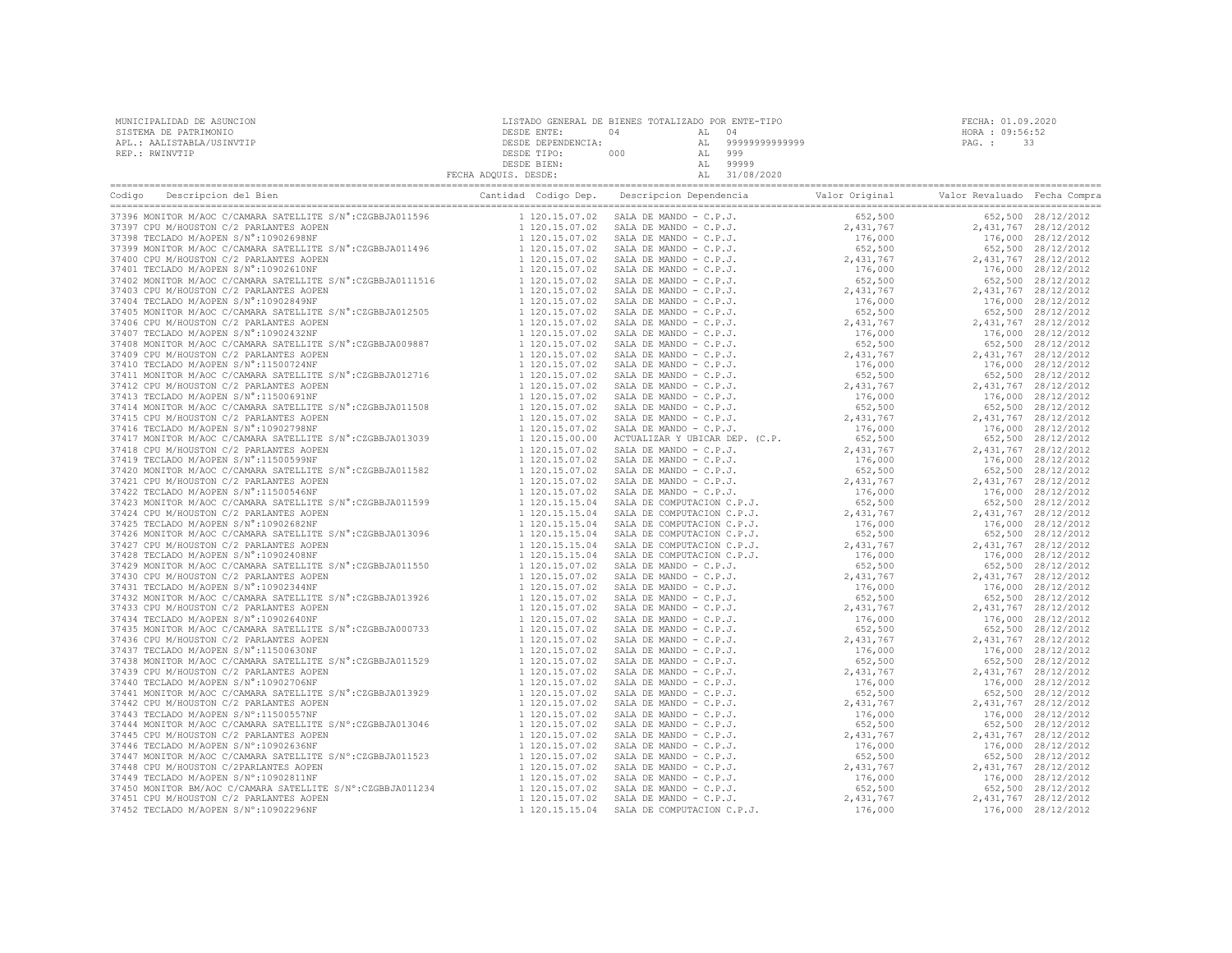|                                                                                                                                                                                         | FECHA ADQUIS. DESDE:             | AL 31/08/2020                                                                                                                                                                                                                                          |                        |                                          |
|-----------------------------------------------------------------------------------------------------------------------------------------------------------------------------------------|----------------------------------|--------------------------------------------------------------------------------------------------------------------------------------------------------------------------------------------------------------------------------------------------------|------------------------|------------------------------------------|
|                                                                                                                                                                                         |                                  |                                                                                                                                                                                                                                                        |                        |                                          |
|                                                                                                                                                                                         |                                  |                                                                                                                                                                                                                                                        |                        | 652,500 28/12/2012                       |
|                                                                                                                                                                                         |                                  |                                                                                                                                                                                                                                                        |                        | 2,431,767 28/12/2012                     |
|                                                                                                                                                                                         |                                  |                                                                                                                                                                                                                                                        |                        | 176,000 28/12/2012                       |
|                                                                                                                                                                                         |                                  |                                                                                                                                                                                                                                                        |                        | 652,500 28/12/2012                       |
|                                                                                                                                                                                         |                                  |                                                                                                                                                                                                                                                        |                        | 2,431,767 28/12/2012                     |
|                                                                                                                                                                                         |                                  |                                                                                                                                                                                                                                                        |                        | 176,000 28/12/2012                       |
|                                                                                                                                                                                         |                                  |                                                                                                                                                                                                                                                        |                        | 652,500 28/12/2012                       |
|                                                                                                                                                                                         |                                  |                                                                                                                                                                                                                                                        |                        | 2,431,767 28/12/2012                     |
|                                                                                                                                                                                         |                                  |                                                                                                                                                                                                                                                        |                        | 176,000 28/12/2012                       |
|                                                                                                                                                                                         |                                  |                                                                                                                                                                                                                                                        |                        | 652,500 28/12/2012                       |
|                                                                                                                                                                                         |                                  |                                                                                                                                                                                                                                                        |                        | 2,431,767 28/12/2012                     |
|                                                                                                                                                                                         |                                  |                                                                                                                                                                                                                                                        |                        | 176,000 28/12/2012                       |
|                                                                                                                                                                                         |                                  |                                                                                                                                                                                                                                                        |                        | 652,500 28/12/2012                       |
|                                                                                                                                                                                         |                                  |                                                                                                                                                                                                                                                        |                        | 2,431,767 28/12/2012                     |
|                                                                                                                                                                                         |                                  |                                                                                                                                                                                                                                                        |                        | 176,000 28/12/2012                       |
|                                                                                                                                                                                         |                                  |                                                                                                                                                                                                                                                        |                        | 652,500 28/12/2012                       |
|                                                                                                                                                                                         |                                  |                                                                                                                                                                                                                                                        |                        | 2,431,767 28/12/2012                     |
|                                                                                                                                                                                         |                                  |                                                                                                                                                                                                                                                        |                        | 176,000 28/12/2012                       |
|                                                                                                                                                                                         |                                  |                                                                                                                                                                                                                                                        |                        | 652,500 28/12/2012                       |
| 37415 CPU M/HOUSTON C/2 PARLANTES AOPEN                                                                                                                                                 | 1 120.15.07.02                   |                                                                                                                                                                                                                                                        | 2,431,767              | 2,431,767 28/12/2012                     |
| 37416 TECLADO M/AOPEN S/N°:10902798NF                                                                                                                                                   | 1 120.15.07.02                   |                                                                                                                                                                                                                                                        |                        | 176,000 28/12/2012                       |
| 37410 THEORY M/ACC C/CAMARA SATELLITE S/N°:CZGBBJA013039<br>37410 CDI M/HOLC C/CAMARA SATELLITE S/N°:CZGBBJA013039                                                                      | 1 120.15.00.00                   | SALA DE MANDO - C.P.J.<br>SALA DE MANDO - C.P.J.<br>ACTUALIZAR Y UBICAR DEP. (C.P.                                                                                                                                                                     | $176,000$<br>652,500   | 652,500 28/12/2012                       |
| 37418 CPU M/HOUSTON C/2 PARLANTES AOPEN                                                                                                                                                 | 1 120.15.07.02                   | ACTUALIZAR Y UMICAR DEF. (C.P.<br>SALA DE MANDO - C.P.J.<br>SALA DE MANDO - C.P.J.<br>SALA DE MANDO - C.P.J.<br>SALA DE MANDO - C.P.J.<br>SALA DE MANDO - C.P.J.<br>SALA DE COMPUTACION C.P.J.<br>SALA DE COMPUTACION C.P.J.<br>SALA DE COMPUTACION C. | 2,431,767              | 2,431,767 28/12/2012                     |
| 37419 TECLADO M/AOPEN S/N°:11500599NF                                                                                                                                                   | 1 120.15.07.02                   |                                                                                                                                                                                                                                                        | 176,000                | 176,000 28/12/2012                       |
|                                                                                                                                                                                         | 1 120.15.07.02                   |                                                                                                                                                                                                                                                        | 652,500                | 652,500 28/12/2012                       |
| 37420 MONITOR M/AOC C/CAMARA SATELLITE S/N°:CZGBBJA011582<br>37421 CPU M/HOUSTON C/2 PARLANTES AOPEN<br>37422 TECLADO M/AOPEN S/N°:11500546NF                                           | 1 120.15.07.02                   |                                                                                                                                                                                                                                                        | 2,431,767              | 2,431,767 28/12/2012                     |
|                                                                                                                                                                                         | 1 120.15.07.02                   |                                                                                                                                                                                                                                                        | 176,000                | 176,000 28/12/2012                       |
| 37423 MONITOR M/AOC C/CAMARA SATELLITE S/N°:CZGBBJA011599                                                                                                                               | 1 120.15.15.04                   |                                                                                                                                                                                                                                                        | 652,500                | 652,500 28/12/2012                       |
| 37424 CPU M/HOUSTON C/2 PARLANTES AOPEN                                                                                                                                                 | 1 120.15.15.04                   |                                                                                                                                                                                                                                                        | 2,431,767              | 2,431,767 28/12/2012                     |
| 37425 TECLADO M/AOPEN S/N°:10902682NF                                                                                                                                                   | 1 120.15.15.04                   |                                                                                                                                                                                                                                                        |                        |                                          |
|                                                                                                                                                                                         | 1 120.15.15.04                   |                                                                                                                                                                                                                                                        | 176,000                | 176,000 28/12/2012<br>652,500 28/12/2012 |
| 37426 MONITOR M/AOC C/CAMARA SATELLITE S/N°:CZGBBJA013096<br>37426 ADMITOR M/AOC C/CAMARA SATELLITE S/N°:CZGBBJA013096                                                                  |                                  |                                                                                                                                                                                                                                                        | 652,500                |                                          |
| 37427 CPU M/HOUSTON C/2 PARLANTES AOPEN                                                                                                                                                 | 1 120.15.15.04                   |                                                                                                                                                                                                                                                        | 2,431,767              | 2,431,767 28/12/2012                     |
| 37428 TECLADO M/AOPEN S/N°:10902408NF                                                                                                                                                   | 1 120.15.15.04<br>1 120.15.07.02 | SALA DE COMPUTACION C.P.J.                                                                                                                                                                                                                             | 176,000                | 176,000 28/12/2012                       |
| 37429 MONITOR M/AOC C/CAMARA SATELLITE S/N°: CZGBBJA011550                                                                                                                              |                                  | SALA DE MANDO - $C.P.J.$                                                                                                                                                                                                                               | 652,500                | 652,500 28/12/2012                       |
| 37430 CPU M/HOUSTON C/2 PARLANTES AOPEN                                                                                                                                                 | 1 120.15.07.02                   |                                                                                                                                                                                                                                                        | $2,431,767$<br>176,000 | 2,431,767 28/12/2012                     |
| 37431 TECLADO M/AOEEN S/N°:10902344NF<br>37431 TECLADO M/AOEEN S/N°:10902344NF<br>37432 MONITOR M/AOC C/CAMARA SATELLITE S/N°:CZGBBJA013926                                             | 1 120.15.07.02                   |                                                                                                                                                                                                                                                        |                        | 176,000 28/12/2012                       |
|                                                                                                                                                                                         | 1 120.15.07.02                   |                                                                                                                                                                                                                                                        | 652,500                | 652,500 28/12/2012                       |
| 37433 CPU M/HOUSTON C/2 PARLANTES AOPEN                                                                                                                                                 | 1 120.15.07.02                   |                                                                                                                                                                                                                                                        | 2,431,767<br>176,000   | 2,431,767 28/12/2012                     |
| 37434 TECLADO M/AOPEN S/N°:10902640NF                                                                                                                                                   | 1 120.15.07.02                   |                                                                                                                                                                                                                                                        | 176,000                | 176,000 28/12/2012                       |
| 37435 MONITOR M/AOC C/CAMARA SATELLITE S/N°:CZGBBJA000733                                                                                                                               | 1 120.15.07.02                   |                                                                                                                                                                                                                                                        | 652,500                | 652,500 28/12/2012                       |
| 37436 CPU M/HOUSTON C/2 PARLANTES AOPEN                                                                                                                                                 | 1 120.15.07.02                   |                                                                                                                                                                                                                                                        | 2,431,767              | 2,431,767 28/12/2012                     |
| 37437 TECLADO M/AOPEN S/N°:11500630NF                                                                                                                                                   | 1 120.15.07.02                   |                                                                                                                                                                                                                                                        | 176,000                | 176,000 28/12/2012                       |
|                                                                                                                                                                                         | 1 120.15.07.02                   |                                                                                                                                                                                                                                                        | 652,500                | 652,500 28/12/2012                       |
| 37439 CPU M/HOUSTON C/2 PARLANTES AOPEN                                                                                                                                                 | 1 120.15.07.02                   |                                                                                                                                                                                                                                                        | 2,431,767              | 2,431,767 28/12/2012                     |
| 37440 TECLADO M/AOPEN S/N°:10902706NF                                                                                                                                                   | 1 120.15.07.02                   |                                                                                                                                                                                                                                                        | 176,000                | 176,000 28/12/2012                       |
| 37441 MONITOR M/AOC C/CAMARA SATELLITE S/N°:CZGBBJA013929<br>37442 CPU M/HOUSTON C/2 PARLANTES AOPEN<br>37443 TECLADO M/AOPEN S/N°:11500557NF                                           | 1 120.15.07.02                   |                                                                                                                                                                                                                                                        | 652,500                | 652,500 28/12/2012                       |
|                                                                                                                                                                                         | 1 120.15.07.02                   |                                                                                                                                                                                                                                                        | 2,431,767              | 2,431,767 28/12/2012                     |
|                                                                                                                                                                                         | 1 120.15.07.02                   |                                                                                                                                                                                                                                                        | 176,000                | 176,000 28/12/2012                       |
| 37444 MONITOR M/AOC C/CAMARA SATELLITE S/N°:CZGBBJA013046<br>37445 CPU M/HOUSTON C/2 PARLANTES AOPEN<br>37446 TECLADO M/AOEEN S/N°:10902636NF<br>37447 MONITOR M/AOE G/AN':10 31-411-42 | 1 120.15.07.02                   | 02 SALA DE MANDO - C.P.J.<br>02 SALA DE MANDO - C.P.J.<br>SALA DE MANDO - C.P.J.<br>23 SALA DE MANDO - C.P.J.<br>23 SALA DE MANDO - C.P.J.<br>23 SALA DE MANDO - C.P.J.<br>23 SALA DE MANDO - C.P.J.<br>23 SALA DE MANDO - C.P.J.<br>23 SALA D         | 652,500                | 652,500 28/12/2012                       |
|                                                                                                                                                                                         | 1 120.15.07.02                   |                                                                                                                                                                                                                                                        | 2,431,767              | 2,431,767 28/12/2012                     |
|                                                                                                                                                                                         | 1 120.15.07.02                   |                                                                                                                                                                                                                                                        | 176,000                | 176,000 28/12/2012                       |
|                                                                                                                                                                                         | 1 120.15.07.02                   |                                                                                                                                                                                                                                                        | $652,500$<br>2,431,767 | 652,500 28/12/2012                       |
|                                                                                                                                                                                         | 1 120.15.07.02                   |                                                                                                                                                                                                                                                        |                        | 2,431,767 28/12/2012                     |
| 37447 MONITOR M/AOC C/CAMARA SATELLITE S/N°:CZGBBJA011523<br>37448 CPU M/HOUSTON C/2PARLANTES AOPEN<br>37449 TECLADO M/AOPEN S/N°:10902811NF                                            | 1 120.15.07.02                   |                                                                                                                                                                                                                                                        | 176,000                | 176,000 28/12/2012                       |
|                                                                                                                                                                                         | 1 120.15.07.02                   |                                                                                                                                                                                                                                                        | 652,500                | 652,500 28/12/2012                       |
| 37450 MONITOR BM/AOC C/CAMARA SATELLITE S/N°:CZGBBJA011234<br>37451 CPU M/HOUSTON C/2 PARLANTES AOPEN<br>37452 TECLADO M/AOPEN S/N°:10902296NF                                          | 1 120.15.07.02                   |                                                                                                                                                                                                                                                        | 2,431,767              | 2,431,767 28/12/2012                     |
| 37452 TECLADO M/AOPEN S/N°:10902296NF                                                                                                                                                   | 1 120.15.15.04                   |                                                                                                                                                                                                                                                        | 176,000                | 176,000 28/12/2012                       |

| MUNICIPALIDAD DE ASUNCION | LISTADO GENERAL DE BIENES TOTALIZADO POR ENTE-TIPO |     |        |                |        | FECHA: 01.09.2020 |
|---------------------------|----------------------------------------------------|-----|--------|----------------|--------|-------------------|
| SISTEMA DE PATRIMONIO     | DESDE ENTE:                                        | N 4 | AL 04  |                |        | HORA : 09:56:52   |
| APL.: AALISTABLA/USINVTIP | DESDE DEPENDENCIA:                                 |     | AL     | 99999999999999 | PAG. : |                   |
| REP.: RWINVTIP            | DESDE TIPO:                                        | 000 | AL 999 |                |        |                   |
|                           | DESDE BIEN:                                        |     | AT.    | 99999          |        |                   |
|                           | FECHA ADQUIS. DESDE:                               |     |        | 31/08/2020     |        |                   |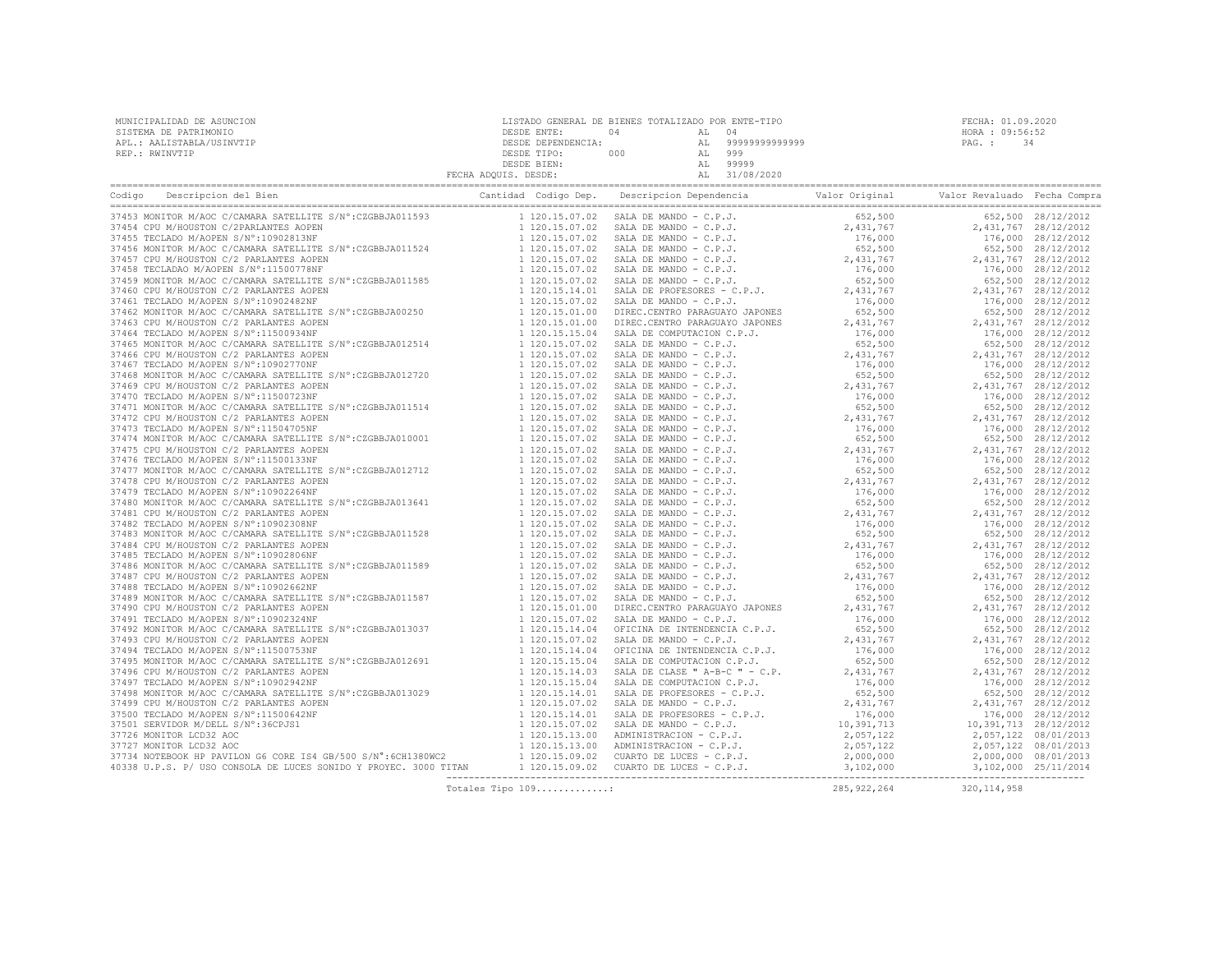|  | Totales Tipo 109: 285,922,264 320,114,958 |  |  |
|--|-------------------------------------------|--|--|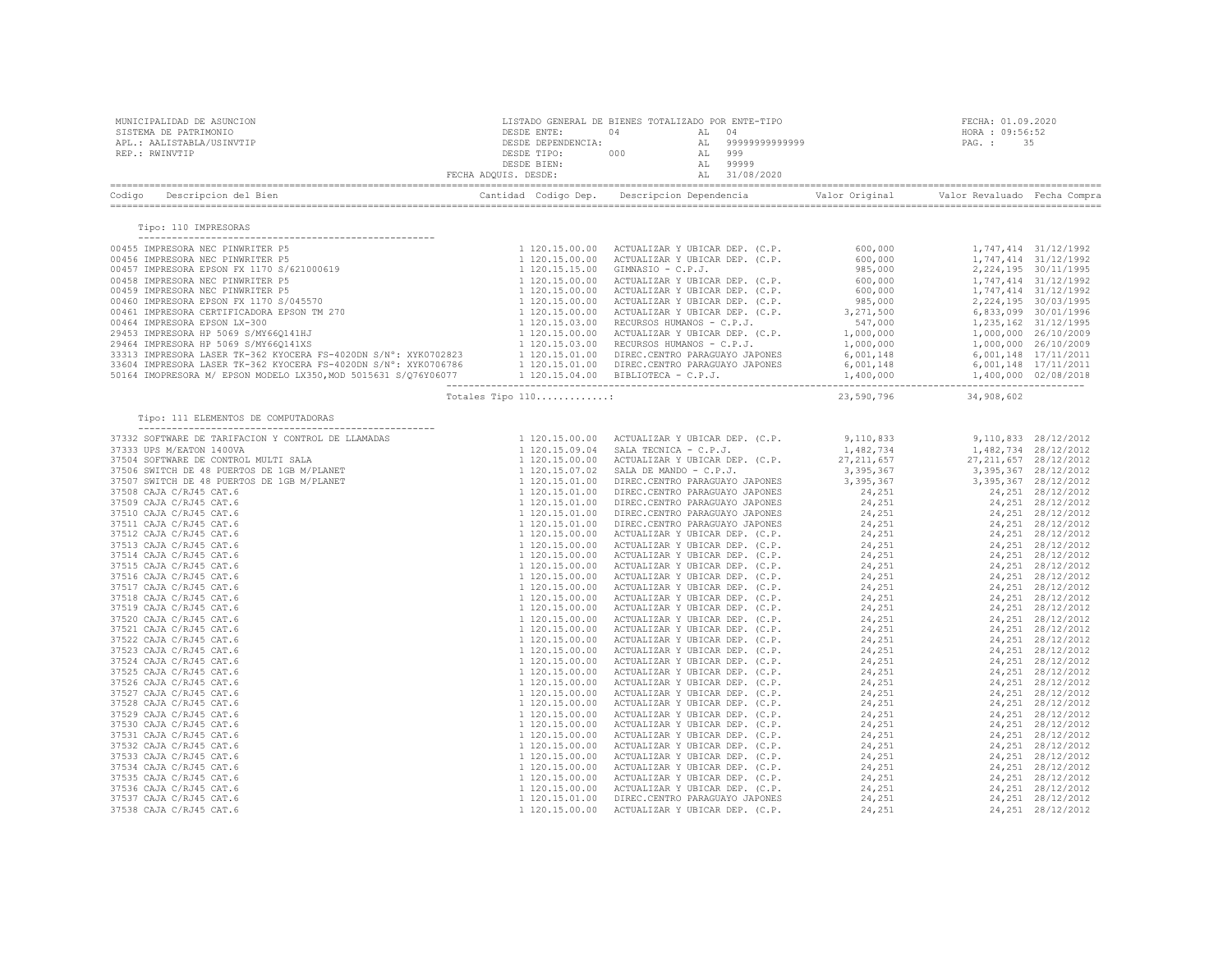| MUNICIPALIDAD DE ASUNCION<br>SISTEMA DE PATRIMONIO<br>APL.: AALISTABLA/USINVTIP<br>REP.: RWINVTIP                                                                                                                                                                                                                                                                                            |                   | $\begin{tabular}{cccccc} \multicolumn{4}{c}{\begin{tabular}{c} \multicolumn{4}{c}{\begin{tabular}{c} \multicolumn{4}{c}{\begin{tabular}{c} \multicolumn{4}{c}{\begin{tabular}{c} \multicolumn{4}{c}{\begin{tabular}{c} \multicolumn{4}{c}{\begin{tabular}{c} \multicolumn{4}{c}{\begin{tabular}{c} \multicolumn{4}{c}{\begin{tabular}{c} \multicolumn{4}{c}{\begin{tabular}{c} \multicolumn{4}{c}{\begin{tabular}{c} \multicolumn{4}{c}{\begin{tabular}{c} \multicolumn{4}{c}{\begin{tabular}{c} \multicolumn{4}{$ | FECHA: 01.09.2020     |
|----------------------------------------------------------------------------------------------------------------------------------------------------------------------------------------------------------------------------------------------------------------------------------------------------------------------------------------------------------------------------------------------|-------------------|--------------------------------------------------------------------------------------------------------------------------------------------------------------------------------------------------------------------------------------------------------------------------------------------------------------------------------------------------------------------------------------------------------------------------------------------------------------------------------------------------------------------|-----------------------|
|                                                                                                                                                                                                                                                                                                                                                                                              |                   |                                                                                                                                                                                                                                                                                                                                                                                                                                                                                                                    |                       |
| Tipo: 110 IMPRESORAS                                                                                                                                                                                                                                                                                                                                                                         |                   |                                                                                                                                                                                                                                                                                                                                                                                                                                                                                                                    |                       |
| $\begin{tabular}{cccccccc} {\bf 1} & {\bf 1} & {\bf 1} & {\bf 1} & {\bf 1} & {\bf 1} & {\bf 1} & {\bf 1} & {\bf 1} & {\bf 1} & {\bf 1} & {\bf 1} & {\bf 1} & {\bf 1} & {\bf 1} & {\bf 1} & {\bf 1} & {\bf 1} & {\bf 1} & {\bf 1} & {\bf 1} & {\bf 1} & {\bf 1} & {\bf 1} & {\bf 1} & {\bf 1} & {\bf 1} & {\bf 1} & {\bf 1} & {\bf 1} & {\bf 1} & {\bf 1} & {\bf 1} & {\bf 1} & {\bf 1} & {\$ |                   |                                                                                                                                                                                                                                                                                                                                                                                                                                                                                                                    |                       |
|                                                                                                                                                                                                                                                                                                                                                                                              |                   |                                                                                                                                                                                                                                                                                                                                                                                                                                                                                                                    |                       |
|                                                                                                                                                                                                                                                                                                                                                                                              | Totales Tipo 110: |                                                                                                                                                                                                                                                                                                                                                                                                                                                                                                                    | 23,590,796 34,908,602 |
| Tipo: 111 ELEMENTOS DE COMPUTADORAS                                                                                                                                                                                                                                                                                                                                                          |                   |                                                                                                                                                                                                                                                                                                                                                                                                                                                                                                                    |                       |
|                                                                                                                                                                                                                                                                                                                                                                                              |                   |                                                                                                                                                                                                                                                                                                                                                                                                                                                                                                                    |                       |
|                                                                                                                                                                                                                                                                                                                                                                                              |                   |                                                                                                                                                                                                                                                                                                                                                                                                                                                                                                                    |                       |
|                                                                                                                                                                                                                                                                                                                                                                                              |                   |                                                                                                                                                                                                                                                                                                                                                                                                                                                                                                                    |                       |
|                                                                                                                                                                                                                                                                                                                                                                                              |                   |                                                                                                                                                                                                                                                                                                                                                                                                                                                                                                                    |                       |
|                                                                                                                                                                                                                                                                                                                                                                                              |                   |                                                                                                                                                                                                                                                                                                                                                                                                                                                                                                                    |                       |
|                                                                                                                                                                                                                                                                                                                                                                                              |                   |                                                                                                                                                                                                                                                                                                                                                                                                                                                                                                                    |                       |
|                                                                                                                                                                                                                                                                                                                                                                                              |                   |                                                                                                                                                                                                                                                                                                                                                                                                                                                                                                                    |                       |
|                                                                                                                                                                                                                                                                                                                                                                                              |                   |                                                                                                                                                                                                                                                                                                                                                                                                                                                                                                                    |                       |
|                                                                                                                                                                                                                                                                                                                                                                                              |                   |                                                                                                                                                                                                                                                                                                                                                                                                                                                                                                                    |                       |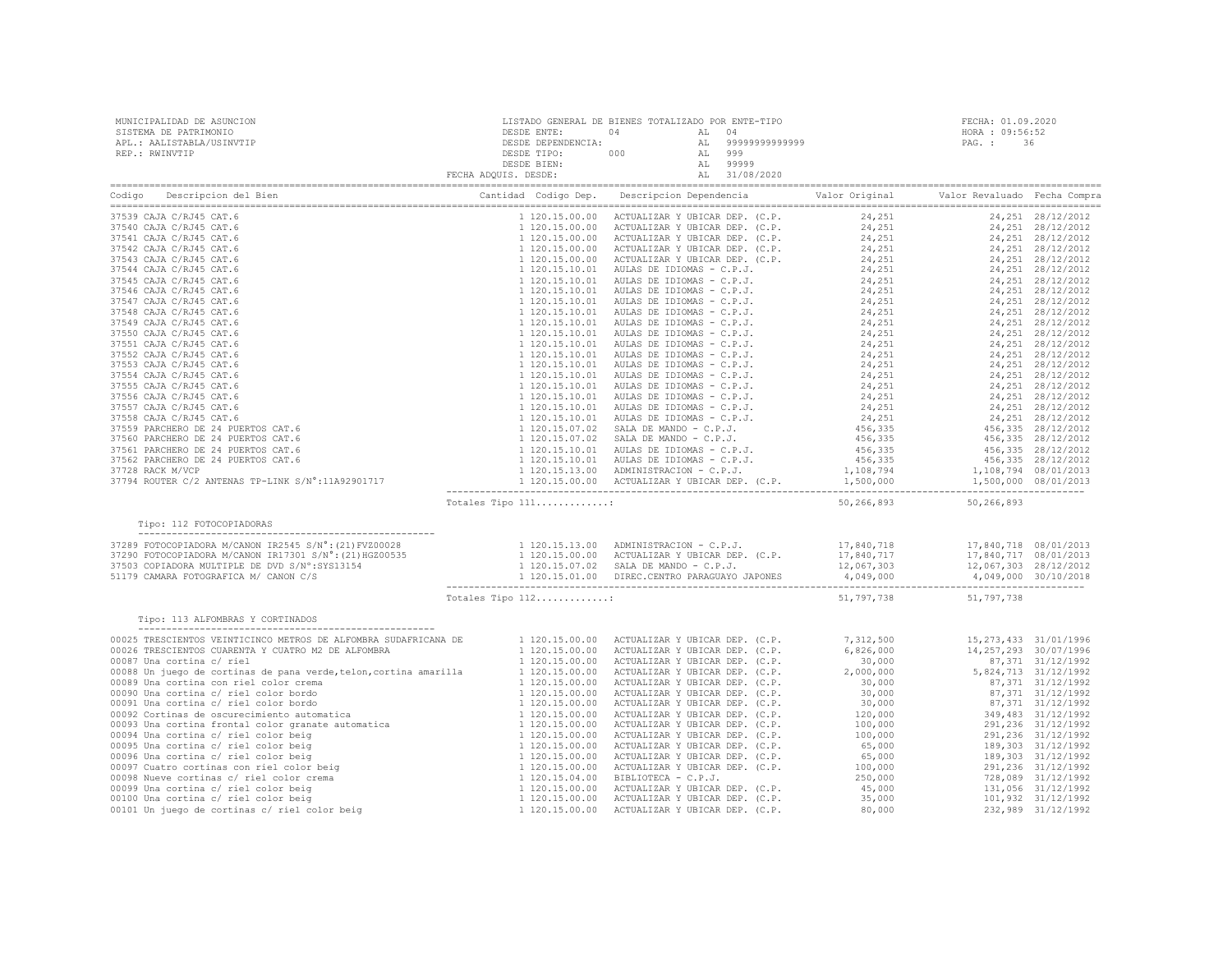| Could Decret provide the control of the control of the proposition of the control of the control of the control of the control of the control of the control of the control of the control of the control of the control of t                                          |  |  |  |
|------------------------------------------------------------------------------------------------------------------------------------------------------------------------------------------------------------------------------------------------------------------------|--|--|--|
| Tipo: 112 FOTOCOPIADORAS                                                                                                                                                                                                                                               |  |  |  |
|                                                                                                                                                                                                                                                                        |  |  |  |
|                                                                                                                                                                                                                                                                        |  |  |  |
|                                                                                                                                                                                                                                                                        |  |  |  |
|                                                                                                                                                                                                                                                                        |  |  |  |
|                                                                                                                                                                                                                                                                        |  |  |  |
| Tipo: 113 ALFOMBRAS Y CORTINADOS<br>(1120.15.00.00 ACTUALIZAR Y UBICAR DEP. (C.P. 5,26,000 113,273,433 31/01/1996<br>20025 TRESCIENTOS UENFUNITAN CUNTRO NZ DE ALFONERA BE<br>2003 TRESCIENTOS CUARBURA Y UBICAR DEP. (C.P. 5,26,000 114,257,293 30/07/1996<br>20099 U |  |  |  |
|                                                                                                                                                                                                                                                                        |  |  |  |
|                                                                                                                                                                                                                                                                        |  |  |  |
|                                                                                                                                                                                                                                                                        |  |  |  |
|                                                                                                                                                                                                                                                                        |  |  |  |
|                                                                                                                                                                                                                                                                        |  |  |  |
|                                                                                                                                                                                                                                                                        |  |  |  |
|                                                                                                                                                                                                                                                                        |  |  |  |
|                                                                                                                                                                                                                                                                        |  |  |  |
|                                                                                                                                                                                                                                                                        |  |  |  |
|                                                                                                                                                                                                                                                                        |  |  |  |
|                                                                                                                                                                                                                                                                        |  |  |  |
|                                                                                                                                                                                                                                                                        |  |  |  |
|                                                                                                                                                                                                                                                                        |  |  |  |
|                                                                                                                                                                                                                                                                        |  |  |  |
|                                                                                                                                                                                                                                                                        |  |  |  |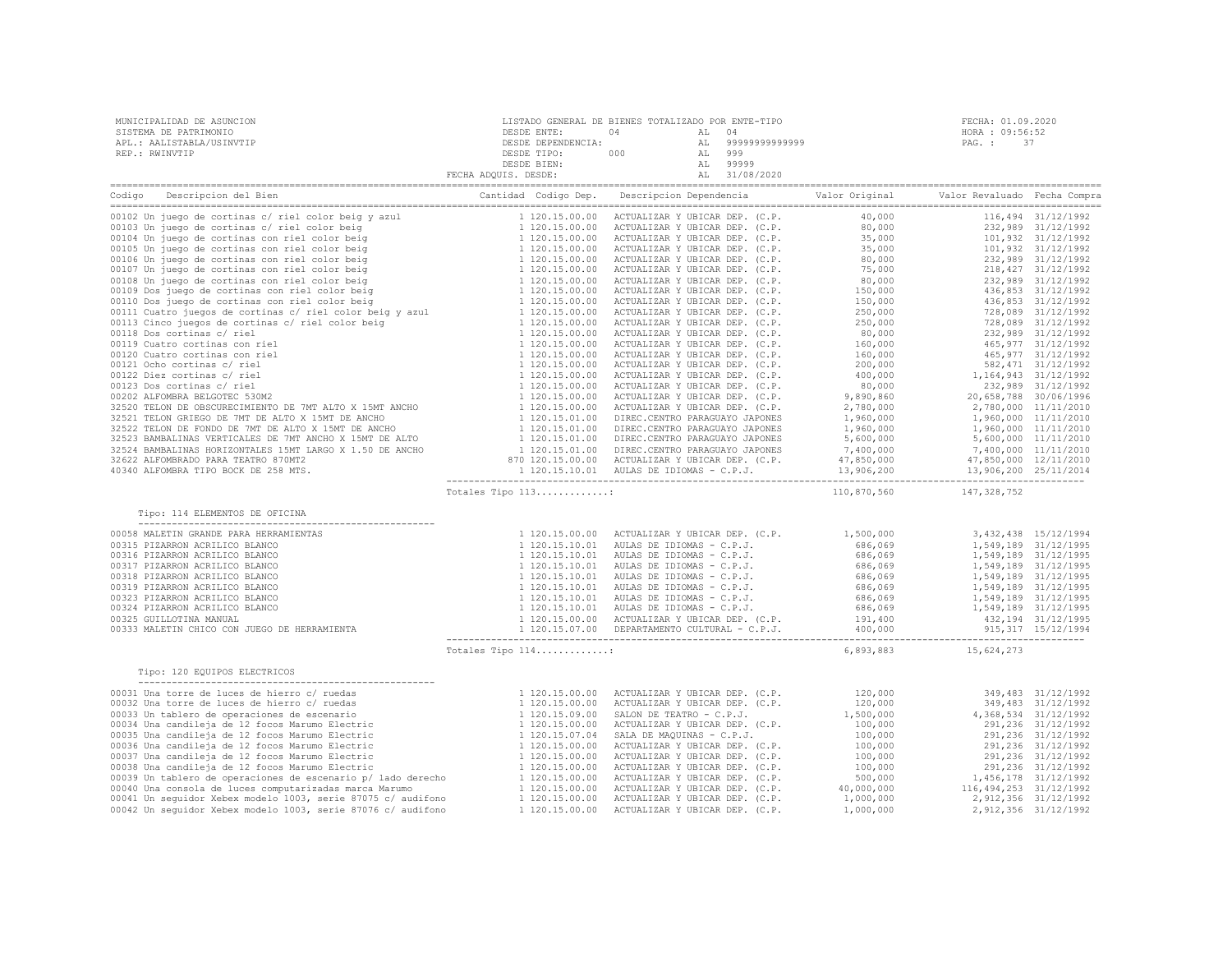| MUNICIPALIDAD DE ASUNCION | LISTADO GENERAL DE BIENES TOTALIZADO POR ENTE-TIPO |            |                   | FECHA: 01.09.2020 |
|---------------------------|----------------------------------------------------|------------|-------------------|-------------------|
| SISTEMA DE PATRIMONIO     | DESDE ENTE:                                        |            | AL 04             | HORA : 09:56:52   |
| APL.: AALISTABLA/USINVTIP | DESDE DEPENDENCIA:                                 |            | AL 99999999999999 | PAG.: 37          |
| REP.: RWINVTIP            | DESDE TIPO:                                        | 000<br>AT. | 999               |                   |
|                           | DESDE BIEN:                                        | AT.        | 99999             |                   |
|                           | FECHA ADOUIS. DESDE:                               |            | 31/08/2020        |                   |

| Contribute of this computer of the contribute of the contribute of the contribute of the contribute of the contribute of the contribute of the contribute of the contribute of the contribute of the contribute of the contri                                                                                                                                                                                    | Totales Tipo 113: |                                                                                                                                                                                                                                                                                                                                                                           | 110,870,560 | 147, 328, 752        |  |
|------------------------------------------------------------------------------------------------------------------------------------------------------------------------------------------------------------------------------------------------------------------------------------------------------------------------------------------------------------------------------------------------------------------|-------------------|---------------------------------------------------------------------------------------------------------------------------------------------------------------------------------------------------------------------------------------------------------------------------------------------------------------------------------------------------------------------------|-------------|----------------------|--|
|                                                                                                                                                                                                                                                                                                                                                                                                                  |                   |                                                                                                                                                                                                                                                                                                                                                                           |             |                      |  |
| $\begin{tabular}{cccccccc} \textbf{1} & \textbf{1} & \textbf{20} & \textbf{3} & \textbf{3} & \textbf{43} & \textbf{5} & \textbf{64} & \textbf{65} & \textbf{66} & \textbf{67} & \textbf{68} & \textbf{68} & \textbf{69} & \textbf{68} & \textbf{69} & \textbf{68} & \textbf{69} & \textbf{68} & \textbf{69} & \textbf{69} & \textbf{68} & \textbf{69} & \textbf{69} & \textbf{69} & \textbf{69} & \textbf{69} &$ |                   |                                                                                                                                                                                                                                                                                                                                                                           |             |                      |  |
|                                                                                                                                                                                                                                                                                                                                                                                                                  |                   |                                                                                                                                                                                                                                                                                                                                                                           |             |                      |  |
|                                                                                                                                                                                                                                                                                                                                                                                                                  |                   |                                                                                                                                                                                                                                                                                                                                                                           |             |                      |  |
|                                                                                                                                                                                                                                                                                                                                                                                                                  |                   |                                                                                                                                                                                                                                                                                                                                                                           |             |                      |  |
|                                                                                                                                                                                                                                                                                                                                                                                                                  |                   |                                                                                                                                                                                                                                                                                                                                                                           |             |                      |  |
|                                                                                                                                                                                                                                                                                                                                                                                                                  |                   |                                                                                                                                                                                                                                                                                                                                                                           |             |                      |  |
|                                                                                                                                                                                                                                                                                                                                                                                                                  |                   |                                                                                                                                                                                                                                                                                                                                                                           |             |                      |  |
|                                                                                                                                                                                                                                                                                                                                                                                                                  |                   |                                                                                                                                                                                                                                                                                                                                                                           |             |                      |  |
|                                                                                                                                                                                                                                                                                                                                                                                                                  |                   |                                                                                                                                                                                                                                                                                                                                                                           |             |                      |  |
|                                                                                                                                                                                                                                                                                                                                                                                                                  |                   |                                                                                                                                                                                                                                                                                                                                                                           |             |                      |  |
|                                                                                                                                                                                                                                                                                                                                                                                                                  |                   |                                                                                                                                                                                                                                                                                                                                                                           |             |                      |  |
|                                                                                                                                                                                                                                                                                                                                                                                                                  |                   |                                                                                                                                                                                                                                                                                                                                                                           |             |                      |  |
|                                                                                                                                                                                                                                                                                                                                                                                                                  | Totales Tipo 114: |                                                                                                                                                                                                                                                                                                                                                                           |             | 6,893,883 15,624,273 |  |
| Tipo: 120 EQUIPOS ELECTRICOS                                                                                                                                                                                                                                                                                                                                                                                     |                   |                                                                                                                                                                                                                                                                                                                                                                           |             |                      |  |
| $120.15.00.00$ Tipo 120 EQUIPOS ELECTRICOS<br>1120.15.00.00<br>00031 Una torre de luces de hierro c/ ruedas<br>00033 Una torre de luces de hierro c/ ruedas<br>00033 Una tablero de operaciones de escenario<br>00034 Una candileja de                                                                                                                                                                           |                   | $\begin{tabular}{l c c c c} \texttt{ACTUALIZATION}&Y UBLCAR DEP. &C.P. &120,000 &349,483&31/12/1992\\ \texttt{ACTUALIZATION}&Y UBLCAR DEP. &C.P. &120,000 &349,483&31/12/1992\\ \texttt{ACTUALIZATION}&Y UBLCAR DEP. &C.P. &100,000 &291,236&31/12/1992\\ \texttt{ACTUALIZATION}&Y UBLCAR DEP. &C.P. &100,000 &291,236&31/12/1992\\ \texttt{ACTUALIZATION}&Y UBLCAR DEP.$ |             |                      |  |
|                                                                                                                                                                                                                                                                                                                                                                                                                  |                   |                                                                                                                                                                                                                                                                                                                                                                           |             |                      |  |
|                                                                                                                                                                                                                                                                                                                                                                                                                  |                   |                                                                                                                                                                                                                                                                                                                                                                           |             |                      |  |
|                                                                                                                                                                                                                                                                                                                                                                                                                  |                   |                                                                                                                                                                                                                                                                                                                                                                           |             |                      |  |
|                                                                                                                                                                                                                                                                                                                                                                                                                  |                   |                                                                                                                                                                                                                                                                                                                                                                           |             |                      |  |
|                                                                                                                                                                                                                                                                                                                                                                                                                  |                   |                                                                                                                                                                                                                                                                                                                                                                           |             |                      |  |
|                                                                                                                                                                                                                                                                                                                                                                                                                  |                   |                                                                                                                                                                                                                                                                                                                                                                           |             |                      |  |
|                                                                                                                                                                                                                                                                                                                                                                                                                  |                   |                                                                                                                                                                                                                                                                                                                                                                           |             |                      |  |
|                                                                                                                                                                                                                                                                                                                                                                                                                  |                   |                                                                                                                                                                                                                                                                                                                                                                           |             |                      |  |
|                                                                                                                                                                                                                                                                                                                                                                                                                  |                   |                                                                                                                                                                                                                                                                                                                                                                           |             |                      |  |
|                                                                                                                                                                                                                                                                                                                                                                                                                  |                   |                                                                                                                                                                                                                                                                                                                                                                           |             |                      |  |
|                                                                                                                                                                                                                                                                                                                                                                                                                  |                   |                                                                                                                                                                                                                                                                                                                                                                           |             |                      |  |
|                                                                                                                                                                                                                                                                                                                                                                                                                  |                   |                                                                                                                                                                                                                                                                                                                                                                           |             |                      |  |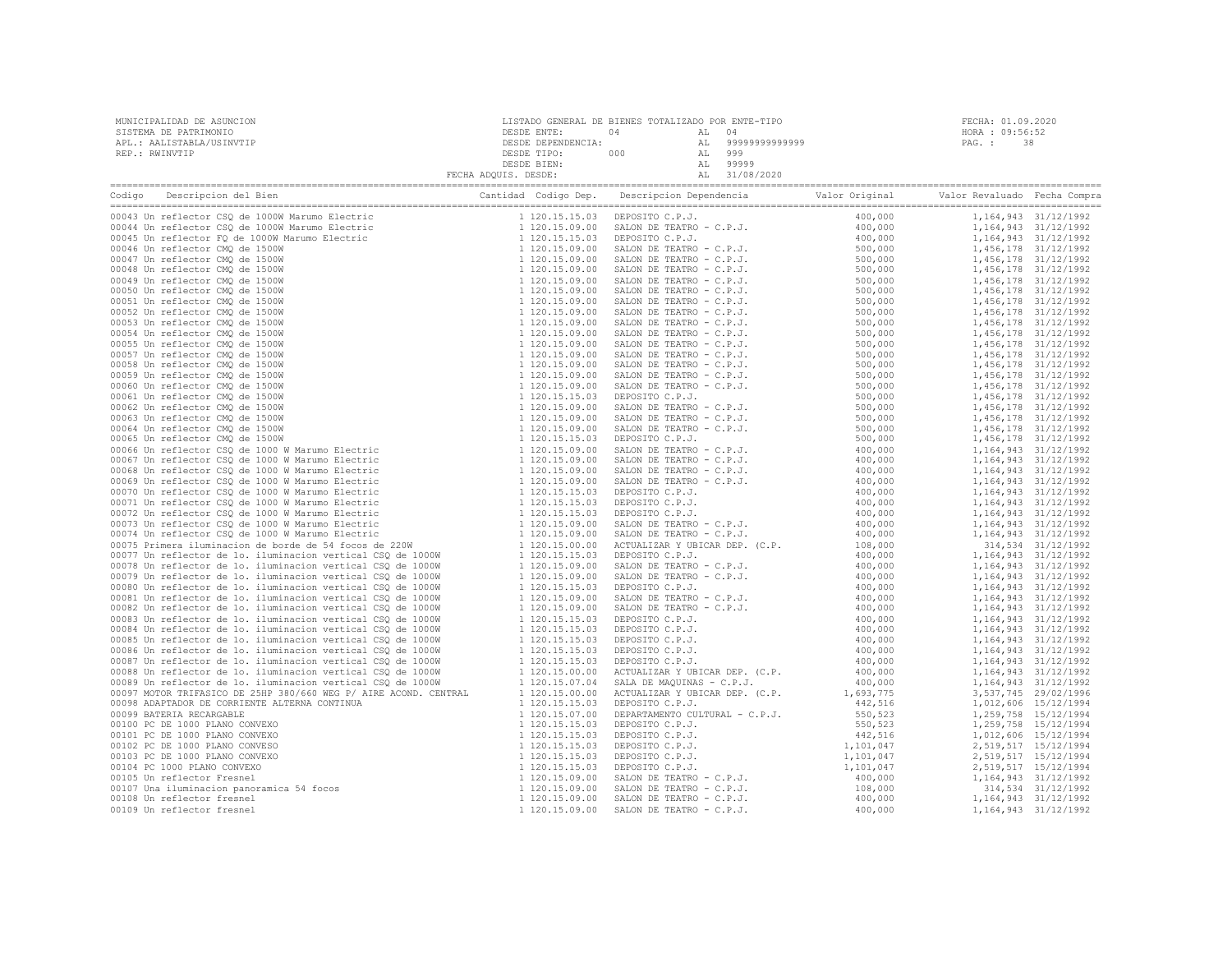| MUNICIPALIDAD DE ASUNCION<br>SISTEMA DE PATRIMONIO<br>APL.: AALISTABLA/USINVTIP<br>REP.: RWINVTIP                                                                                                                              | DESDE ENTE: | LISTADO GENERAL DE BIENES TOTALIZADO POR ENTE-TIPO<br>04 AL 04<br>DESDE ENTE: 04 AL 04<br>DESDE DEPENDENCIA: AL 99999999999999999<br>DESDE TIPO: 000 AL 999<br>DESDE TIEN: 000 AL 9999<br>DESDE BIEN: AL 999999<br>FECHA ADQUIS. DESDE: AL 31/08/2020 | FECHA: 01.09.2020<br>HORA : 09:56:52<br>PAG. :<br>-38 |
|--------------------------------------------------------------------------------------------------------------------------------------------------------------------------------------------------------------------------------|-------------|-------------------------------------------------------------------------------------------------------------------------------------------------------------------------------------------------------------------------------------------------------|-------------------------------------------------------|
| Codigo Descripcion del Bien (Compra Cantidad Codigo Dep. Descripcion Dependencia Valor Original Valor Revaluado Fecha Compra Cantidad Codigo Dep. Descripcion Dependencia Valor Original Valor Revaluado Fecha Compra Cantidad |             |                                                                                                                                                                                                                                                       |                                                       |
|                                                                                                                                                                                                                                |             |                                                                                                                                                                                                                                                       |                                                       |
|                                                                                                                                                                                                                                |             |                                                                                                                                                                                                                                                       |                                                       |
|                                                                                                                                                                                                                                |             |                                                                                                                                                                                                                                                       |                                                       |
|                                                                                                                                                                                                                                |             |                                                                                                                                                                                                                                                       |                                                       |
|                                                                                                                                                                                                                                |             |                                                                                                                                                                                                                                                       |                                                       |
|                                                                                                                                                                                                                                |             |                                                                                                                                                                                                                                                       |                                                       |
|                                                                                                                                                                                                                                |             |                                                                                                                                                                                                                                                       |                                                       |
|                                                                                                                                                                                                                                |             |                                                                                                                                                                                                                                                       |                                                       |
|                                                                                                                                                                                                                                |             |                                                                                                                                                                                                                                                       |                                                       |
|                                                                                                                                                                                                                                |             |                                                                                                                                                                                                                                                       |                                                       |
|                                                                                                                                                                                                                                |             |                                                                                                                                                                                                                                                       |                                                       |
|                                                                                                                                                                                                                                |             |                                                                                                                                                                                                                                                       |                                                       |
|                                                                                                                                                                                                                                |             |                                                                                                                                                                                                                                                       |                                                       |
|                                                                                                                                                                                                                                |             |                                                                                                                                                                                                                                                       |                                                       |
|                                                                                                                                                                                                                                |             |                                                                                                                                                                                                                                                       |                                                       |
|                                                                                                                                                                                                                                |             |                                                                                                                                                                                                                                                       |                                                       |
|                                                                                                                                                                                                                                |             |                                                                                                                                                                                                                                                       |                                                       |
|                                                                                                                                                                                                                                |             |                                                                                                                                                                                                                                                       |                                                       |
|                                                                                                                                                                                                                                |             |                                                                                                                                                                                                                                                       |                                                       |
|                                                                                                                                                                                                                                |             |                                                                                                                                                                                                                                                       |                                                       |
|                                                                                                                                                                                                                                |             |                                                                                                                                                                                                                                                       |                                                       |
|                                                                                                                                                                                                                                |             |                                                                                                                                                                                                                                                       |                                                       |
|                                                                                                                                                                                                                                |             |                                                                                                                                                                                                                                                       |                                                       |
|                                                                                                                                                                                                                                |             |                                                                                                                                                                                                                                                       |                                                       |
|                                                                                                                                                                                                                                |             |                                                                                                                                                                                                                                                       |                                                       |
|                                                                                                                                                                                                                                |             |                                                                                                                                                                                                                                                       |                                                       |
|                                                                                                                                                                                                                                |             |                                                                                                                                                                                                                                                       |                                                       |
|                                                                                                                                                                                                                                |             |                                                                                                                                                                                                                                                       |                                                       |
|                                                                                                                                                                                                                                |             |                                                                                                                                                                                                                                                       |                                                       |
|                                                                                                                                                                                                                                |             |                                                                                                                                                                                                                                                       |                                                       |
|                                                                                                                                                                                                                                |             |                                                                                                                                                                                                                                                       |                                                       |
|                                                                                                                                                                                                                                |             |                                                                                                                                                                                                                                                       |                                                       |
|                                                                                                                                                                                                                                |             |                                                                                                                                                                                                                                                       |                                                       |
|                                                                                                                                                                                                                                |             |                                                                                                                                                                                                                                                       |                                                       |
|                                                                                                                                                                                                                                |             |                                                                                                                                                                                                                                                       |                                                       |
|                                                                                                                                                                                                                                |             |                                                                                                                                                                                                                                                       |                                                       |
|                                                                                                                                                                                                                                |             |                                                                                                                                                                                                                                                       |                                                       |
|                                                                                                                                                                                                                                |             |                                                                                                                                                                                                                                                       |                                                       |
|                                                                                                                                                                                                                                |             |                                                                                                                                                                                                                                                       |                                                       |
|                                                                                                                                                                                                                                |             |                                                                                                                                                                                                                                                       |                                                       |
|                                                                                                                                                                                                                                |             |                                                                                                                                                                                                                                                       |                                                       |
|                                                                                                                                                                                                                                |             |                                                                                                                                                                                                                                                       |                                                       |
|                                                                                                                                                                                                                                |             |                                                                                                                                                                                                                                                       |                                                       |
|                                                                                                                                                                                                                                |             |                                                                                                                                                                                                                                                       |                                                       |
|                                                                                                                                                                                                                                |             |                                                                                                                                                                                                                                                       |                                                       |
|                                                                                                                                                                                                                                |             |                                                                                                                                                                                                                                                       |                                                       |
|                                                                                                                                                                                                                                |             |                                                                                                                                                                                                                                                       |                                                       |
|                                                                                                                                                                                                                                |             |                                                                                                                                                                                                                                                       |                                                       |
|                                                                                                                                                                                                                                |             |                                                                                                                                                                                                                                                       |                                                       |
|                                                                                                                                                                                                                                |             |                                                                                                                                                                                                                                                       |                                                       |
|                                                                                                                                                                                                                                |             |                                                                                                                                                                                                                                                       |                                                       |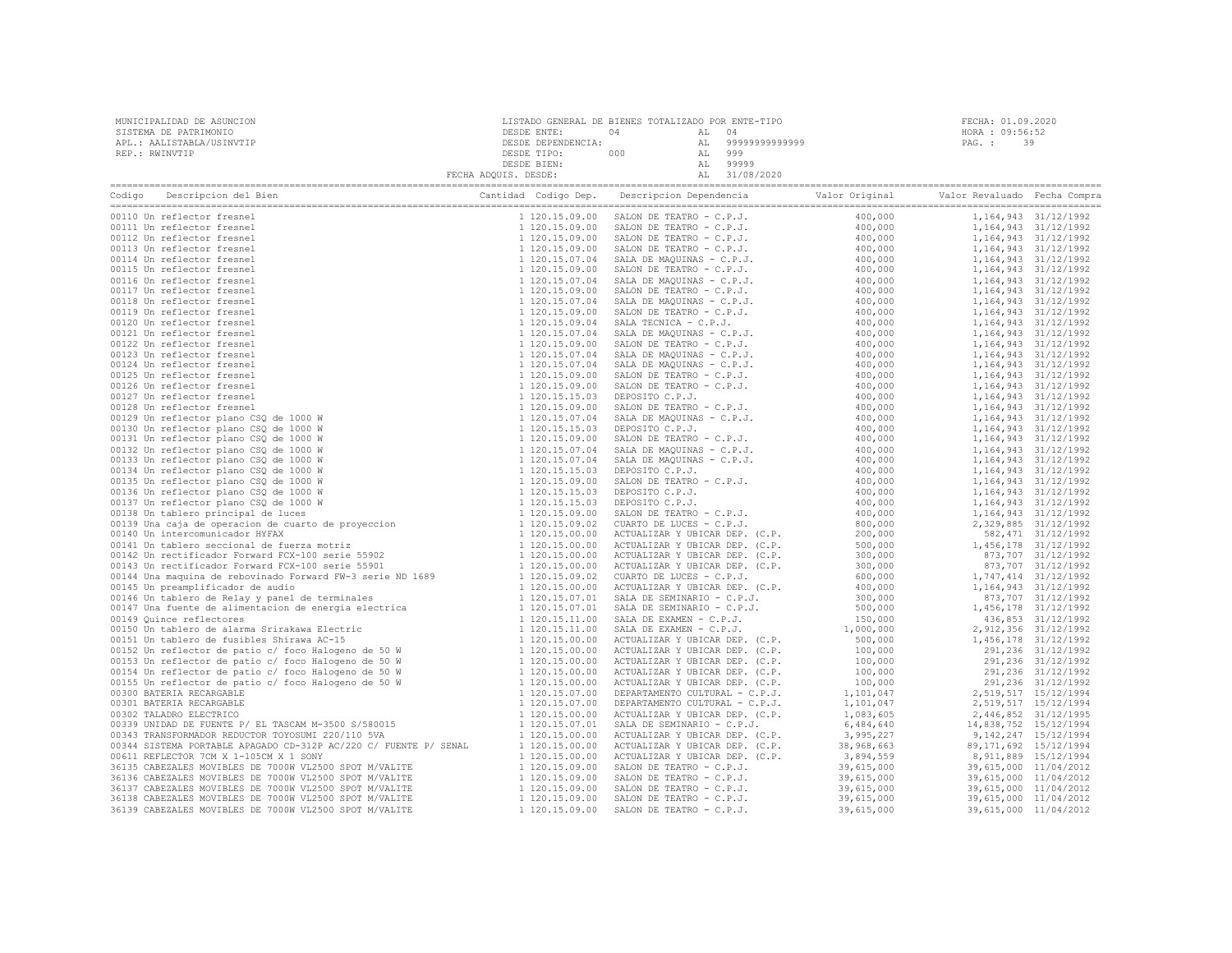| MUNICIPALIDAD DE ASUNCION<br>SISTEMA DE PATRIMONIO<br>APL.: AALISTABLA/USINVTIP<br>REP.: RWINVTIP |                                                                                                                                                                                                                                | $\begin{tabular}{c c c c c} \multicolumn{1}{c }{\texttt{DESDE}} & \multicolumn{1}{c }{\texttt{DESDE}} & \multicolumn{1}{c }{\texttt{DESDE}} & \multicolumn{1}{c }{\texttt{DESDE}} & \multicolumn{1}{c }{\texttt{DESDE}} & \multicolumn{1}{c }{\texttt{DESDE}} & \multicolumn{1}{c }{\texttt{DESDE}} & \multicolumn{1}{c }{\texttt{DESDE}} & \multicolumn{1}{c }{\texttt{DESDE}} & \multicolumn{1}{c }{\texttt{DESDE}} & \multicolumn{1}{c }{\texttt{DES$ | FECHA: 01.09.2020<br>HORA : 09:56:52<br>PAG.: 39 |  |
|---------------------------------------------------------------------------------------------------|--------------------------------------------------------------------------------------------------------------------------------------------------------------------------------------------------------------------------------|----------------------------------------------------------------------------------------------------------------------------------------------------------------------------------------------------------------------------------------------------------------------------------------------------------------------------------------------------------------------------------------------------------------------------------------------------------|--------------------------------------------------|--|
|                                                                                                   | Codigo Descripcion del Bien (Compra Cantidad Codigo Dep. Descripcion Dependencia Valor Original Valor Revaluado Fecha Compra Cantidad Codigo Dep. Descripcion Dependencia Valor Original Valor Revaluado Fecha Compra Cantidad |                                                                                                                                                                                                                                                                                                                                                                                                                                                          |                                                  |  |
|                                                                                                   |                                                                                                                                                                                                                                |                                                                                                                                                                                                                                                                                                                                                                                                                                                          |                                                  |  |
|                                                                                                   |                                                                                                                                                                                                                                |                                                                                                                                                                                                                                                                                                                                                                                                                                                          |                                                  |  |
|                                                                                                   |                                                                                                                                                                                                                                |                                                                                                                                                                                                                                                                                                                                                                                                                                                          |                                                  |  |
|                                                                                                   |                                                                                                                                                                                                                                |                                                                                                                                                                                                                                                                                                                                                                                                                                                          |                                                  |  |
|                                                                                                   |                                                                                                                                                                                                                                |                                                                                                                                                                                                                                                                                                                                                                                                                                                          |                                                  |  |
|                                                                                                   |                                                                                                                                                                                                                                |                                                                                                                                                                                                                                                                                                                                                                                                                                                          |                                                  |  |
|                                                                                                   |                                                                                                                                                                                                                                |                                                                                                                                                                                                                                                                                                                                                                                                                                                          |                                                  |  |
|                                                                                                   |                                                                                                                                                                                                                                |                                                                                                                                                                                                                                                                                                                                                                                                                                                          |                                                  |  |
|                                                                                                   |                                                                                                                                                                                                                                |                                                                                                                                                                                                                                                                                                                                                                                                                                                          |                                                  |  |
|                                                                                                   |                                                                                                                                                                                                                                |                                                                                                                                                                                                                                                                                                                                                                                                                                                          |                                                  |  |
|                                                                                                   |                                                                                                                                                                                                                                |                                                                                                                                                                                                                                                                                                                                                                                                                                                          |                                                  |  |
|                                                                                                   |                                                                                                                                                                                                                                |                                                                                                                                                                                                                                                                                                                                                                                                                                                          |                                                  |  |
|                                                                                                   |                                                                                                                                                                                                                                |                                                                                                                                                                                                                                                                                                                                                                                                                                                          |                                                  |  |
|                                                                                                   |                                                                                                                                                                                                                                |                                                                                                                                                                                                                                                                                                                                                                                                                                                          |                                                  |  |
|                                                                                                   |                                                                                                                                                                                                                                |                                                                                                                                                                                                                                                                                                                                                                                                                                                          |                                                  |  |
|                                                                                                   |                                                                                                                                                                                                                                |                                                                                                                                                                                                                                                                                                                                                                                                                                                          |                                                  |  |
|                                                                                                   |                                                                                                                                                                                                                                |                                                                                                                                                                                                                                                                                                                                                                                                                                                          |                                                  |  |
|                                                                                                   |                                                                                                                                                                                                                                |                                                                                                                                                                                                                                                                                                                                                                                                                                                          |                                                  |  |
|                                                                                                   |                                                                                                                                                                                                                                |                                                                                                                                                                                                                                                                                                                                                                                                                                                          |                                                  |  |
|                                                                                                   |                                                                                                                                                                                                                                |                                                                                                                                                                                                                                                                                                                                                                                                                                                          |                                                  |  |
|                                                                                                   |                                                                                                                                                                                                                                |                                                                                                                                                                                                                                                                                                                                                                                                                                                          |                                                  |  |
|                                                                                                   |                                                                                                                                                                                                                                |                                                                                                                                                                                                                                                                                                                                                                                                                                                          |                                                  |  |
|                                                                                                   |                                                                                                                                                                                                                                |                                                                                                                                                                                                                                                                                                                                                                                                                                                          |                                                  |  |
|                                                                                                   |                                                                                                                                                                                                                                |                                                                                                                                                                                                                                                                                                                                                                                                                                                          |                                                  |  |
|                                                                                                   |                                                                                                                                                                                                                                |                                                                                                                                                                                                                                                                                                                                                                                                                                                          |                                                  |  |
|                                                                                                   |                                                                                                                                                                                                                                |                                                                                                                                                                                                                                                                                                                                                                                                                                                          |                                                  |  |
|                                                                                                   |                                                                                                                                                                                                                                |                                                                                                                                                                                                                                                                                                                                                                                                                                                          |                                                  |  |
|                                                                                                   |                                                                                                                                                                                                                                |                                                                                                                                                                                                                                                                                                                                                                                                                                                          |                                                  |  |
|                                                                                                   |                                                                                                                                                                                                                                |                                                                                                                                                                                                                                                                                                                                                                                                                                                          |                                                  |  |
|                                                                                                   |                                                                                                                                                                                                                                |                                                                                                                                                                                                                                                                                                                                                                                                                                                          |                                                  |  |
|                                                                                                   |                                                                                                                                                                                                                                |                                                                                                                                                                                                                                                                                                                                                                                                                                                          |                                                  |  |
|                                                                                                   |                                                                                                                                                                                                                                |                                                                                                                                                                                                                                                                                                                                                                                                                                                          |                                                  |  |
|                                                                                                   |                                                                                                                                                                                                                                |                                                                                                                                                                                                                                                                                                                                                                                                                                                          |                                                  |  |
|                                                                                                   |                                                                                                                                                                                                                                |                                                                                                                                                                                                                                                                                                                                                                                                                                                          |                                                  |  |
|                                                                                                   |                                                                                                                                                                                                                                |                                                                                                                                                                                                                                                                                                                                                                                                                                                          |                                                  |  |
|                                                                                                   |                                                                                                                                                                                                                                |                                                                                                                                                                                                                                                                                                                                                                                                                                                          |                                                  |  |
|                                                                                                   |                                                                                                                                                                                                                                |                                                                                                                                                                                                                                                                                                                                                                                                                                                          |                                                  |  |
|                                                                                                   |                                                                                                                                                                                                                                |                                                                                                                                                                                                                                                                                                                                                                                                                                                          |                                                  |  |
|                                                                                                   |                                                                                                                                                                                                                                |                                                                                                                                                                                                                                                                                                                                                                                                                                                          |                                                  |  |
|                                                                                                   |                                                                                                                                                                                                                                |                                                                                                                                                                                                                                                                                                                                                                                                                                                          |                                                  |  |
|                                                                                                   |                                                                                                                                                                                                                                |                                                                                                                                                                                                                                                                                                                                                                                                                                                          |                                                  |  |
|                                                                                                   |                                                                                                                                                                                                                                |                                                                                                                                                                                                                                                                                                                                                                                                                                                          |                                                  |  |
|                                                                                                   |                                                                                                                                                                                                                                |                                                                                                                                                                                                                                                                                                                                                                                                                                                          |                                                  |  |
|                                                                                                   |                                                                                                                                                                                                                                |                                                                                                                                                                                                                                                                                                                                                                                                                                                          |                                                  |  |
|                                                                                                   |                                                                                                                                                                                                                                |                                                                                                                                                                                                                                                                                                                                                                                                                                                          |                                                  |  |
|                                                                                                   |                                                                                                                                                                                                                                |                                                                                                                                                                                                                                                                                                                                                                                                                                                          |                                                  |  |
|                                                                                                   |                                                                                                                                                                                                                                |                                                                                                                                                                                                                                                                                                                                                                                                                                                          |                                                  |  |
|                                                                                                   |                                                                                                                                                                                                                                |                                                                                                                                                                                                                                                                                                                                                                                                                                                          |                                                  |  |
|                                                                                                   |                                                                                                                                                                                                                                |                                                                                                                                                                                                                                                                                                                                                                                                                                                          |                                                  |  |
|                                                                                                   |                                                                                                                                                                                                                                |                                                                                                                                                                                                                                                                                                                                                                                                                                                          |                                                  |  |
|                                                                                                   |                                                                                                                                                                                                                                |                                                                                                                                                                                                                                                                                                                                                                                                                                                          |                                                  |  |
|                                                                                                   |                                                                                                                                                                                                                                |                                                                                                                                                                                                                                                                                                                                                                                                                                                          |                                                  |  |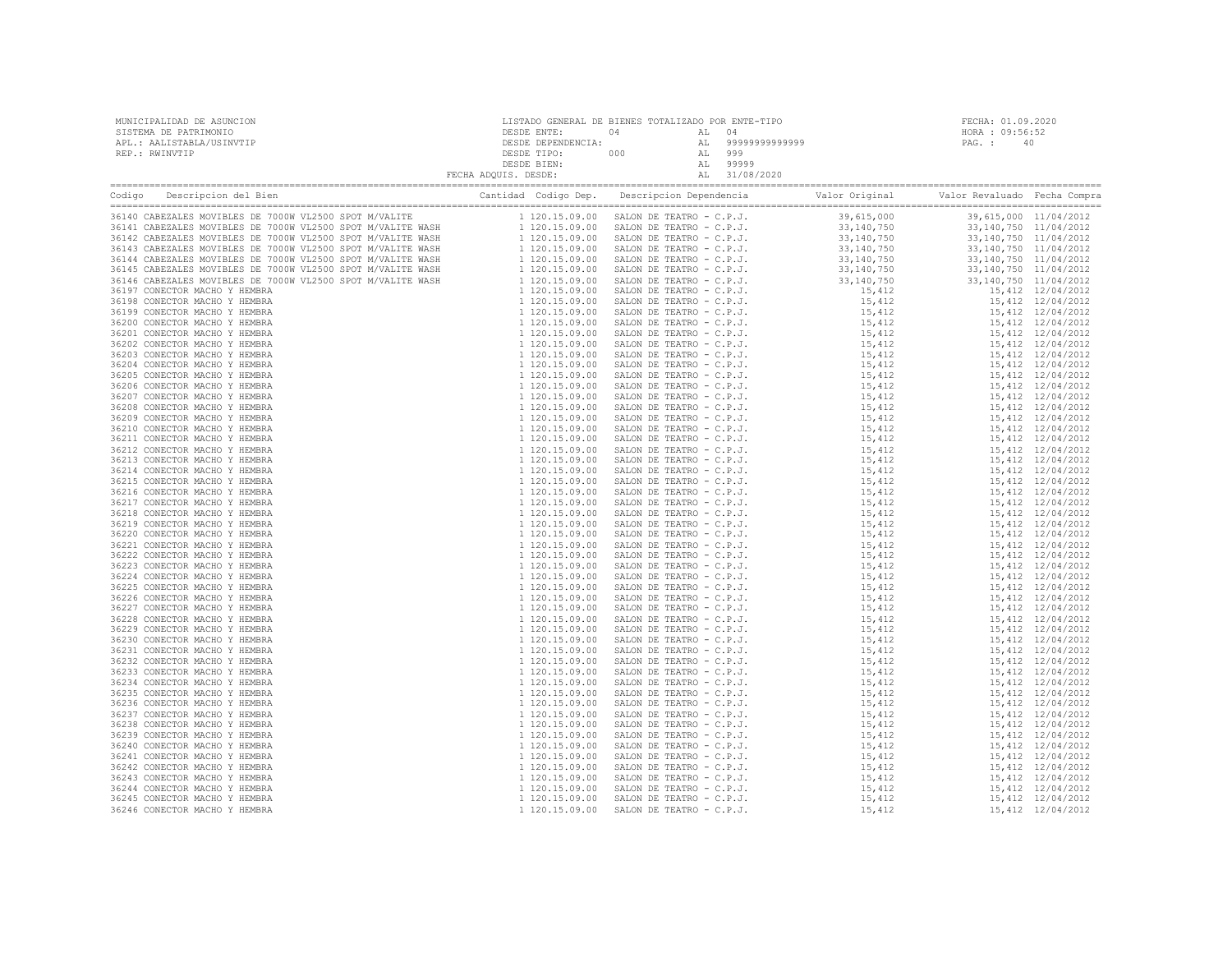| MUNICIPALIDAD DE ASUNCION<br>SISTEMA DE PATRIMONIO<br>APL.: AALISTABLA/USINVTIP<br>REP.: RWINVTIP                                                                                                                              | $\begin{tabular}{c c c c} \multicolumn{2}{c}{\textbf{DESDE}} & \multicolumn{2}{c}{\textbf{DESDE}} & \multicolumn{2}{c}{\textbf{DESDE}} & \multicolumn{2}{c}{\textbf{DESDE}} & \multicolumn{2}{c}{\textbf{DESDE}} & \multicolumn{2}{c}{\textbf{DESDE}} & \multicolumn{2}{c}{\textbf{DESDE}} & \multicolumn{2}{c}{\textbf{DESDE}} & \multicolumn{2}{c}{\textbf{DESDE}} & \multicolumn{2}{c}{\textbf{DESDE}} & \multicolumn{2}{c}{\textbf{DESDE}} & \multicolumn{2}{c}{$ | FECHA: 01.09.2020<br>HORA : 09:56:52<br>PAG.: 40 |  |
|--------------------------------------------------------------------------------------------------------------------------------------------------------------------------------------------------------------------------------|-----------------------------------------------------------------------------------------------------------------------------------------------------------------------------------------------------------------------------------------------------------------------------------------------------------------------------------------------------------------------------------------------------------------------------------------------------------------------|--------------------------------------------------|--|
| Codigo Descripcion del Bien (Compra Cantidad Codigo Dep. Descripcion Dependencia Valor Original Valor Revaluado Fecha Compra Cantidad Codigo Dep. Descripcion Dependencia Valor Original Valor Revaluado Fecha Compra Cantidad |                                                                                                                                                                                                                                                                                                                                                                                                                                                                       |                                                  |  |
|                                                                                                                                                                                                                                |                                                                                                                                                                                                                                                                                                                                                                                                                                                                       |                                                  |  |
|                                                                                                                                                                                                                                |                                                                                                                                                                                                                                                                                                                                                                                                                                                                       |                                                  |  |
|                                                                                                                                                                                                                                |                                                                                                                                                                                                                                                                                                                                                                                                                                                                       |                                                  |  |
|                                                                                                                                                                                                                                |                                                                                                                                                                                                                                                                                                                                                                                                                                                                       |                                                  |  |
|                                                                                                                                                                                                                                |                                                                                                                                                                                                                                                                                                                                                                                                                                                                       |                                                  |  |
|                                                                                                                                                                                                                                |                                                                                                                                                                                                                                                                                                                                                                                                                                                                       |                                                  |  |
|                                                                                                                                                                                                                                |                                                                                                                                                                                                                                                                                                                                                                                                                                                                       |                                                  |  |
|                                                                                                                                                                                                                                |                                                                                                                                                                                                                                                                                                                                                                                                                                                                       |                                                  |  |
|                                                                                                                                                                                                                                |                                                                                                                                                                                                                                                                                                                                                                                                                                                                       |                                                  |  |
|                                                                                                                                                                                                                                |                                                                                                                                                                                                                                                                                                                                                                                                                                                                       |                                                  |  |
|                                                                                                                                                                                                                                |                                                                                                                                                                                                                                                                                                                                                                                                                                                                       |                                                  |  |
|                                                                                                                                                                                                                                |                                                                                                                                                                                                                                                                                                                                                                                                                                                                       |                                                  |  |
|                                                                                                                                                                                                                                |                                                                                                                                                                                                                                                                                                                                                                                                                                                                       |                                                  |  |
|                                                                                                                                                                                                                                |                                                                                                                                                                                                                                                                                                                                                                                                                                                                       |                                                  |  |
|                                                                                                                                                                                                                                |                                                                                                                                                                                                                                                                                                                                                                                                                                                                       |                                                  |  |
|                                                                                                                                                                                                                                |                                                                                                                                                                                                                                                                                                                                                                                                                                                                       |                                                  |  |
|                                                                                                                                                                                                                                |                                                                                                                                                                                                                                                                                                                                                                                                                                                                       |                                                  |  |
|                                                                                                                                                                                                                                |                                                                                                                                                                                                                                                                                                                                                                                                                                                                       |                                                  |  |
|                                                                                                                                                                                                                                |                                                                                                                                                                                                                                                                                                                                                                                                                                                                       |                                                  |  |
|                                                                                                                                                                                                                                |                                                                                                                                                                                                                                                                                                                                                                                                                                                                       |                                                  |  |
|                                                                                                                                                                                                                                |                                                                                                                                                                                                                                                                                                                                                                                                                                                                       |                                                  |  |
|                                                                                                                                                                                                                                |                                                                                                                                                                                                                                                                                                                                                                                                                                                                       |                                                  |  |
|                                                                                                                                                                                                                                |                                                                                                                                                                                                                                                                                                                                                                                                                                                                       |                                                  |  |
|                                                                                                                                                                                                                                |                                                                                                                                                                                                                                                                                                                                                                                                                                                                       |                                                  |  |
|                                                                                                                                                                                                                                |                                                                                                                                                                                                                                                                                                                                                                                                                                                                       |                                                  |  |
|                                                                                                                                                                                                                                |                                                                                                                                                                                                                                                                                                                                                                                                                                                                       |                                                  |  |
|                                                                                                                                                                                                                                |                                                                                                                                                                                                                                                                                                                                                                                                                                                                       |                                                  |  |
|                                                                                                                                                                                                                                |                                                                                                                                                                                                                                                                                                                                                                                                                                                                       |                                                  |  |
|                                                                                                                                                                                                                                |                                                                                                                                                                                                                                                                                                                                                                                                                                                                       |                                                  |  |
|                                                                                                                                                                                                                                |                                                                                                                                                                                                                                                                                                                                                                                                                                                                       |                                                  |  |
|                                                                                                                                                                                                                                |                                                                                                                                                                                                                                                                                                                                                                                                                                                                       |                                                  |  |
|                                                                                                                                                                                                                                |                                                                                                                                                                                                                                                                                                                                                                                                                                                                       |                                                  |  |
|                                                                                                                                                                                                                                |                                                                                                                                                                                                                                                                                                                                                                                                                                                                       |                                                  |  |
|                                                                                                                                                                                                                                |                                                                                                                                                                                                                                                                                                                                                                                                                                                                       |                                                  |  |
|                                                                                                                                                                                                                                |                                                                                                                                                                                                                                                                                                                                                                                                                                                                       |                                                  |  |
|                                                                                                                                                                                                                                |                                                                                                                                                                                                                                                                                                                                                                                                                                                                       |                                                  |  |
|                                                                                                                                                                                                                                |                                                                                                                                                                                                                                                                                                                                                                                                                                                                       |                                                  |  |
|                                                                                                                                                                                                                                |                                                                                                                                                                                                                                                                                                                                                                                                                                                                       |                                                  |  |
|                                                                                                                                                                                                                                |                                                                                                                                                                                                                                                                                                                                                                                                                                                                       |                                                  |  |
|                                                                                                                                                                                                                                |                                                                                                                                                                                                                                                                                                                                                                                                                                                                       |                                                  |  |
|                                                                                                                                                                                                                                |                                                                                                                                                                                                                                                                                                                                                                                                                                                                       |                                                  |  |
|                                                                                                                                                                                                                                |                                                                                                                                                                                                                                                                                                                                                                                                                                                                       |                                                  |  |
|                                                                                                                                                                                                                                |                                                                                                                                                                                                                                                                                                                                                                                                                                                                       |                                                  |  |
|                                                                                                                                                                                                                                |                                                                                                                                                                                                                                                                                                                                                                                                                                                                       |                                                  |  |
|                                                                                                                                                                                                                                |                                                                                                                                                                                                                                                                                                                                                                                                                                                                       |                                                  |  |
|                                                                                                                                                                                                                                |                                                                                                                                                                                                                                                                                                                                                                                                                                                                       |                                                  |  |
|                                                                                                                                                                                                                                |                                                                                                                                                                                                                                                                                                                                                                                                                                                                       |                                                  |  |
|                                                                                                                                                                                                                                |                                                                                                                                                                                                                                                                                                                                                                                                                                                                       |                                                  |  |
|                                                                                                                                                                                                                                |                                                                                                                                                                                                                                                                                                                                                                                                                                                                       |                                                  |  |
|                                                                                                                                                                                                                                |                                                                                                                                                                                                                                                                                                                                                                                                                                                                       |                                                  |  |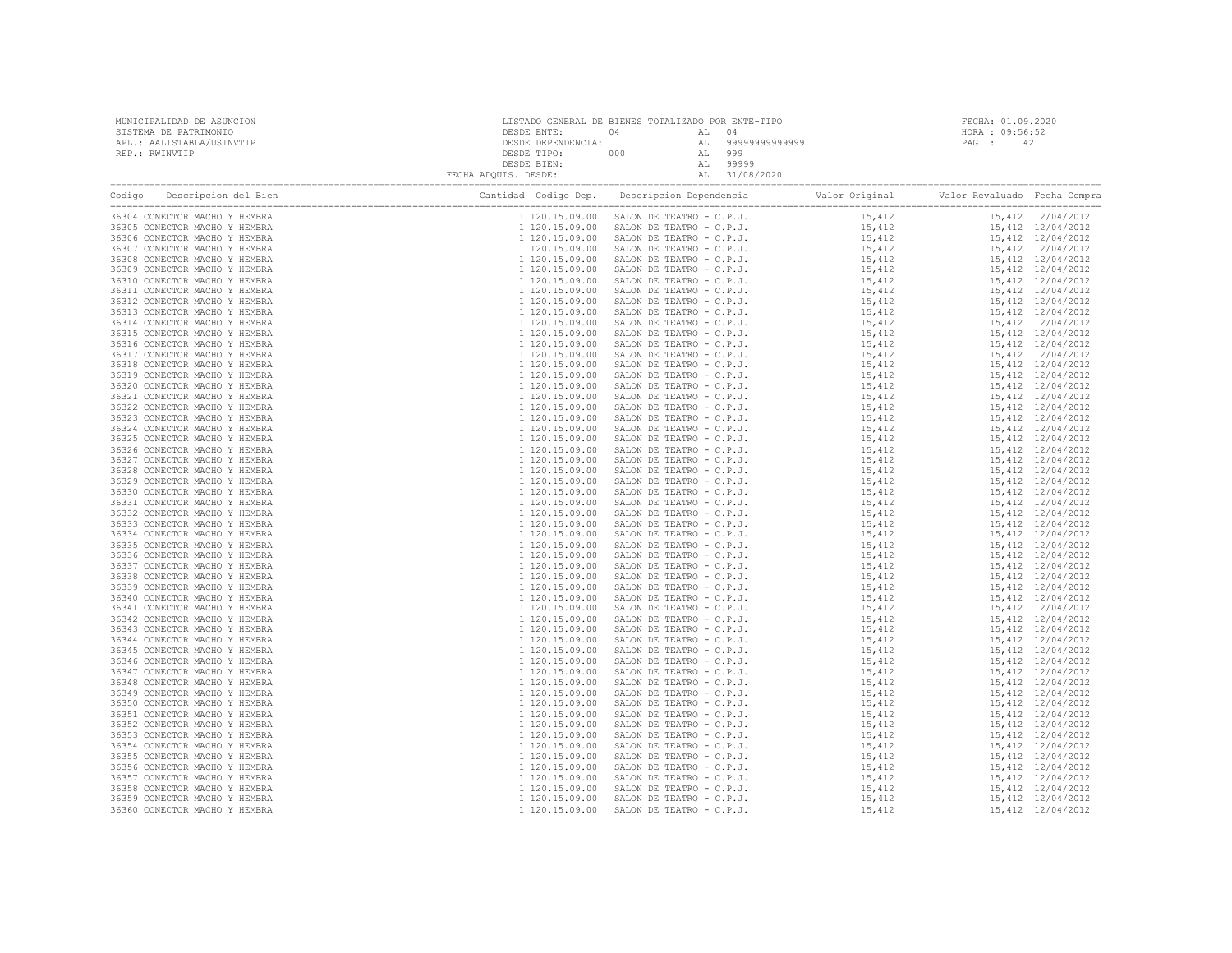| 36304 CONECTOR MACHO Y HEMBRA                                  |  |  |  |  |  |  |
|----------------------------------------------------------------|--|--|--|--|--|--|
| 36305 CONECTOR MACHO Y HEMBRA                                  |  |  |  |  |  |  |
| 36306 CONECTOR MACHO Y HEMBRA<br>36307 CONECTOR MACHO Y HEMBRA |  |  |  |  |  |  |
| 36308 CONECTOR MACHO Y HEMBRA                                  |  |  |  |  |  |  |
| 36309 CONECTOR MACHO Y HEMBRA                                  |  |  |  |  |  |  |
| 36310 CONECTOR MACHO Y HEMBRA                                  |  |  |  |  |  |  |
| 36311 CONECTOR MACHO Y HEMBRA                                  |  |  |  |  |  |  |
| 36312 CONECTOR MACHO Y HEMBRA                                  |  |  |  |  |  |  |
| 36313 CONECTOR MACHO Y HEMBRA                                  |  |  |  |  |  |  |
| 36314 CONECTOR MACHO Y HEMBRA<br>36315 CONECTOR MACHO Y HEMBRA |  |  |  |  |  |  |
| 36316 CONECTOR MACHO Y HEMBRA                                  |  |  |  |  |  |  |
| 36317 CONECTOR MACHO Y HEMBRA                                  |  |  |  |  |  |  |
| 36318 CONECTOR MACHO Y HEMBRA                                  |  |  |  |  |  |  |
| 36319 CONECTOR MACHO Y HEMBRA                                  |  |  |  |  |  |  |
| 36320 CONECTOR MACHO Y HEMBRA                                  |  |  |  |  |  |  |
| 36321 CONECTOR MACHO Y HEMBRA                                  |  |  |  |  |  |  |
| 36322 CONECTOR MACHO Y HEMBRA                                  |  |  |  |  |  |  |
| 36323 CONECTOR MACHO Y HEMBRA<br>36324 CONECTOR MACHO Y HEMBRA |  |  |  |  |  |  |
| 36325 CONECTOR MACHO Y HEMBRA                                  |  |  |  |  |  |  |
| 36326 CONECTOR MACHO Y HEMBRA                                  |  |  |  |  |  |  |
| 36327 CONECTOR MACHO Y HEMBRA                                  |  |  |  |  |  |  |
| 36328 CONECTOR MACHO Y HEMBRA                                  |  |  |  |  |  |  |
| 36329 CONECTOR MACHO Y HEMBRA                                  |  |  |  |  |  |  |
| 36330 CONECTOR MACHO Y HEMBRA                                  |  |  |  |  |  |  |
| 36331 CONECTOR MACHO Y HEMBRA<br>36332 CONECTOR MACHO Y HEMBRA |  |  |  |  |  |  |
| 36333 CONECTOR MACHO Y HEMBRA                                  |  |  |  |  |  |  |
| 36334 CONECTOR MACHO Y HEMBRA                                  |  |  |  |  |  |  |
| 36335 CONECTOR MACHO Y HEMBRA                                  |  |  |  |  |  |  |
| 36336 CONECTOR MACHO Y HEMBRA                                  |  |  |  |  |  |  |
| 36337 CONECTOR MACHO Y HEMBRA                                  |  |  |  |  |  |  |
| 36338 CONECTOR MACHO Y HEMBRA                                  |  |  |  |  |  |  |
| 36339 CONECTOR MACHO Y HEMBRA                                  |  |  |  |  |  |  |
| 36340 CONECTOR MACHO Y HEMBRA<br>36341 CONECTOR MACHO Y HEMBRA |  |  |  |  |  |  |
| 36342 CONECTOR MACHO Y HEMBRA                                  |  |  |  |  |  |  |
| 36343 CONECTOR MACHO Y HEMBRA                                  |  |  |  |  |  |  |
| 36344 CONECTOR MACHO Y HEMBRA                                  |  |  |  |  |  |  |
| 36345 CONECTOR MACHO Y HEMBRA                                  |  |  |  |  |  |  |
| 36346 CONECTOR MACHO Y HEMBRA                                  |  |  |  |  |  |  |
| 36347 CONECTOR MACHO Y HEMBRA                                  |  |  |  |  |  |  |
| 36348 CONECTOR MACHO Y HEMBRA                                  |  |  |  |  |  |  |
| 36349 CONECTOR MACHO Y HEMBRA<br>36350 CONECTOR MACHO Y HEMBRA |  |  |  |  |  |  |
| 36351 CONECTOR MACHO Y HEMBRA                                  |  |  |  |  |  |  |
| 36352 CONECTOR MACHO Y HEMBRA                                  |  |  |  |  |  |  |
| 36353 CONECTOR MACHO Y HEMBRA                                  |  |  |  |  |  |  |
| 36354 CONECTOR MACHO Y HEMBRA                                  |  |  |  |  |  |  |
| 36355 CONECTOR MACHO Y HEMBRA                                  |  |  |  |  |  |  |
| 36356 CONECTOR MACHO Y HEMBRA                                  |  |  |  |  |  |  |
| 36357 CONECTOR MACHO Y HEMBRA                                  |  |  |  |  |  |  |
| 36358 CONECTOR MACHO Y HEMBRA<br>36359 CONECTOR MACHO Y HEMBRA |  |  |  |  |  |  |
| 36360 CONECTOR MACHO Y HEMBRA                                  |  |  |  |  |  |  |
|                                                                |  |  |  |  |  |  |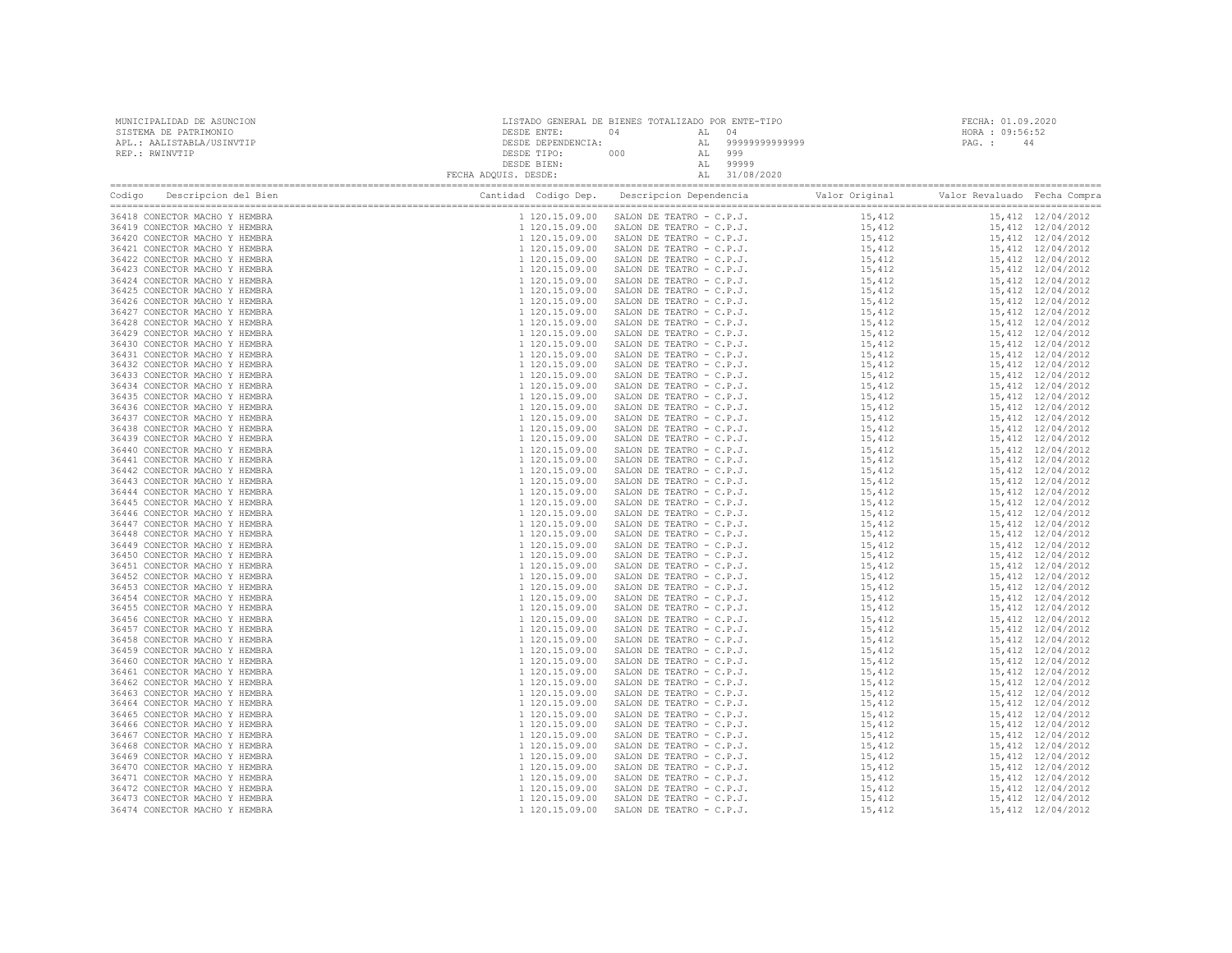| 36418 CONECTOR MACHO Y HEMBRA                                  |  |  |  |  |  |  |
|----------------------------------------------------------------|--|--|--|--|--|--|
| 36419 CONECTOR MACHO Y HEMBRA                                  |  |  |  |  |  |  |
| 36420 CONECTOR MACHO Y HEMBRA<br>36421 CONECTOR MACHO Y HEMBRA |  |  |  |  |  |  |
| 36422 CONECTOR MACHO Y HEMBRA                                  |  |  |  |  |  |  |
| 36423 CONECTOR MACHO Y HEMBRA                                  |  |  |  |  |  |  |
| 36424 CONECTOR MACHO Y HEMBRA                                  |  |  |  |  |  |  |
| 36425 CONECTOR MACHO Y HEMBRA                                  |  |  |  |  |  |  |
| 36426 CONECTOR MACHO Y HEMBRA                                  |  |  |  |  |  |  |
| 36427 CONECTOR MACHO Y HEMBRA                                  |  |  |  |  |  |  |
| 36428 CONECTOR MACHO Y HEMBRA<br>36429 CONECTOR MACHO Y HEMBRA |  |  |  |  |  |  |
| 36430 CONECTOR MACHO Y HEMBRA                                  |  |  |  |  |  |  |
| 36431 CONECTOR MACHO Y HEMBRA                                  |  |  |  |  |  |  |
| 36432 CONECTOR MACHO Y HEMBRA                                  |  |  |  |  |  |  |
| 36433 CONECTOR MACHO Y HEMBRA                                  |  |  |  |  |  |  |
| 36434 CONECTOR MACHO Y HEMBRA                                  |  |  |  |  |  |  |
| 36435 CONECTOR MACHO Y HEMBRA                                  |  |  |  |  |  |  |
| 36436 CONECTOR MACHO Y HEMBRA                                  |  |  |  |  |  |  |
| 36437 CONECTOR MACHO Y HEMBRA<br>36438 CONECTOR MACHO Y HEMBRA |  |  |  |  |  |  |
| 36439 CONECTOR MACHO Y HEMBRA                                  |  |  |  |  |  |  |
| 36440 CONECTOR MACHO Y HEMBRA                                  |  |  |  |  |  |  |
| 36441 CONECTOR MACHO Y HEMBRA                                  |  |  |  |  |  |  |
| 36442 CONECTOR MACHO Y HEMBRA                                  |  |  |  |  |  |  |
| 36443 CONECTOR MACHO Y HEMBRA                                  |  |  |  |  |  |  |
| 36444 CONECTOR MACHO Y HEMBRA                                  |  |  |  |  |  |  |
| 36445 CONECTOR MACHO Y HEMBRA<br>36446 CONECTOR MACHO Y HEMBRA |  |  |  |  |  |  |
| 36447 CONECTOR MACHO Y HEMBRA                                  |  |  |  |  |  |  |
| 36448 CONECTOR MACHO Y HEMBRA                                  |  |  |  |  |  |  |
| 36449 CONECTOR MACHO Y HEMBRA                                  |  |  |  |  |  |  |
| 36450 CONECTOR MACHO Y HEMBRA                                  |  |  |  |  |  |  |
| 36451 CONECTOR MACHO Y HEMBRA                                  |  |  |  |  |  |  |
| 36452 CONECTOR MACHO Y HEMBRA                                  |  |  |  |  |  |  |
| 36453 CONECTOR MACHO Y HEMBRA                                  |  |  |  |  |  |  |
| 36454 CONECTOR MACHO Y HEMBRA<br>36455 CONECTOR MACHO Y HEMBRA |  |  |  |  |  |  |
| 36456 CONECTOR MACHO Y HEMBRA                                  |  |  |  |  |  |  |
| 36457 CONECTOR MACHO Y HEMBRA                                  |  |  |  |  |  |  |
| 36458 CONECTOR MACHO Y HEMBRA                                  |  |  |  |  |  |  |
| 36459 CONECTOR MACHO Y HEMBRA                                  |  |  |  |  |  |  |
| 36460 CONECTOR MACHO Y HEMBRA                                  |  |  |  |  |  |  |
| 36461 CONECTOR MACHO Y HEMBRA                                  |  |  |  |  |  |  |
| 36462 CONECTOR MACHO Y HEMBRA                                  |  |  |  |  |  |  |
| 36463 CONECTOR MACHO Y HEMBRA<br>36464 CONECTOR MACHO Y HEMBRA |  |  |  |  |  |  |
| 36465 CONECTOR MACHO Y HEMBRA                                  |  |  |  |  |  |  |
| 36466 CONECTOR MACHO Y HEMBRA                                  |  |  |  |  |  |  |
| 36467 CONECTOR MACHO Y HEMBRA                                  |  |  |  |  |  |  |
| 36468 CONECTOR MACHO Y HEMBRA                                  |  |  |  |  |  |  |
| 36469 CONECTOR MACHO Y HEMBRA                                  |  |  |  |  |  |  |
| 36470 CONECTOR MACHO Y HEMBRA                                  |  |  |  |  |  |  |
| 36471 CONECTOR MACHO Y HEMBRA                                  |  |  |  |  |  |  |
| 36472 CONECTOR MACHO Y HEMBRA<br>36473 CONECTOR MACHO Y HEMBRA |  |  |  |  |  |  |
| 36474 CONECTOR MACHO Y HEMBRA                                  |  |  |  |  |  |  |
|                                                                |  |  |  |  |  |  |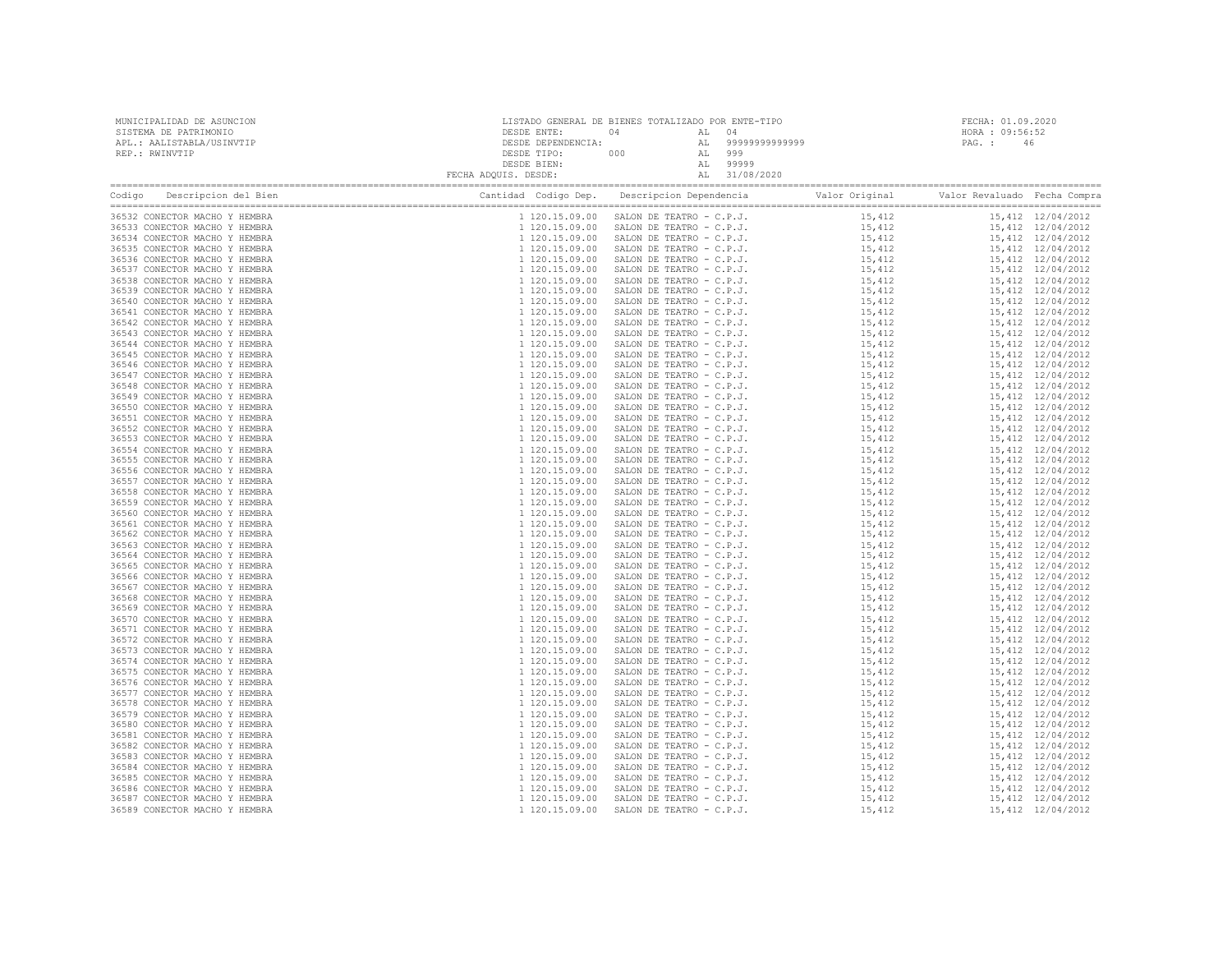| MUNICIPALIDAD DE ASUNCION<br>SISTEMA DE PATRIMONIO<br>APL.: AALISTABLA/USINVTIP<br>REP.: RWINVTIP |  |  |  | FECHA: 01.09.2020<br>HORA : 09:56:52<br>PAG.: 46 |  |  |
|---------------------------------------------------------------------------------------------------|--|--|--|--------------------------------------------------|--|--|
|                                                                                                   |  |  |  |                                                  |  |  |
|                                                                                                   |  |  |  |                                                  |  |  |
|                                                                                                   |  |  |  |                                                  |  |  |
|                                                                                                   |  |  |  |                                                  |  |  |
|                                                                                                   |  |  |  |                                                  |  |  |
|                                                                                                   |  |  |  |                                                  |  |  |
|                                                                                                   |  |  |  |                                                  |  |  |
|                                                                                                   |  |  |  |                                                  |  |  |
|                                                                                                   |  |  |  |                                                  |  |  |
|                                                                                                   |  |  |  |                                                  |  |  |
|                                                                                                   |  |  |  |                                                  |  |  |
|                                                                                                   |  |  |  |                                                  |  |  |
|                                                                                                   |  |  |  |                                                  |  |  |
|                                                                                                   |  |  |  |                                                  |  |  |
|                                                                                                   |  |  |  |                                                  |  |  |
|                                                                                                   |  |  |  |                                                  |  |  |
|                                                                                                   |  |  |  |                                                  |  |  |
|                                                                                                   |  |  |  |                                                  |  |  |
|                                                                                                   |  |  |  |                                                  |  |  |
|                                                                                                   |  |  |  |                                                  |  |  |
|                                                                                                   |  |  |  |                                                  |  |  |
|                                                                                                   |  |  |  |                                                  |  |  |
|                                                                                                   |  |  |  |                                                  |  |  |
|                                                                                                   |  |  |  |                                                  |  |  |
|                                                                                                   |  |  |  |                                                  |  |  |
|                                                                                                   |  |  |  |                                                  |  |  |
|                                                                                                   |  |  |  |                                                  |  |  |
|                                                                                                   |  |  |  |                                                  |  |  |
|                                                                                                   |  |  |  |                                                  |  |  |
|                                                                                                   |  |  |  |                                                  |  |  |
|                                                                                                   |  |  |  |                                                  |  |  |
|                                                                                                   |  |  |  |                                                  |  |  |
|                                                                                                   |  |  |  |                                                  |  |  |
|                                                                                                   |  |  |  |                                                  |  |  |
|                                                                                                   |  |  |  |                                                  |  |  |
|                                                                                                   |  |  |  |                                                  |  |  |
|                                                                                                   |  |  |  |                                                  |  |  |
|                                                                                                   |  |  |  |                                                  |  |  |
|                                                                                                   |  |  |  |                                                  |  |  |
|                                                                                                   |  |  |  |                                                  |  |  |
|                                                                                                   |  |  |  |                                                  |  |  |
|                                                                                                   |  |  |  |                                                  |  |  |
|                                                                                                   |  |  |  |                                                  |  |  |
|                                                                                                   |  |  |  |                                                  |  |  |
|                                                                                                   |  |  |  |                                                  |  |  |
|                                                                                                   |  |  |  |                                                  |  |  |
|                                                                                                   |  |  |  |                                                  |  |  |
|                                                                                                   |  |  |  |                                                  |  |  |
|                                                                                                   |  |  |  |                                                  |  |  |
|                                                                                                   |  |  |  |                                                  |  |  |
|                                                                                                   |  |  |  |                                                  |  |  |
|                                                                                                   |  |  |  |                                                  |  |  |
|                                                                                                   |  |  |  |                                                  |  |  |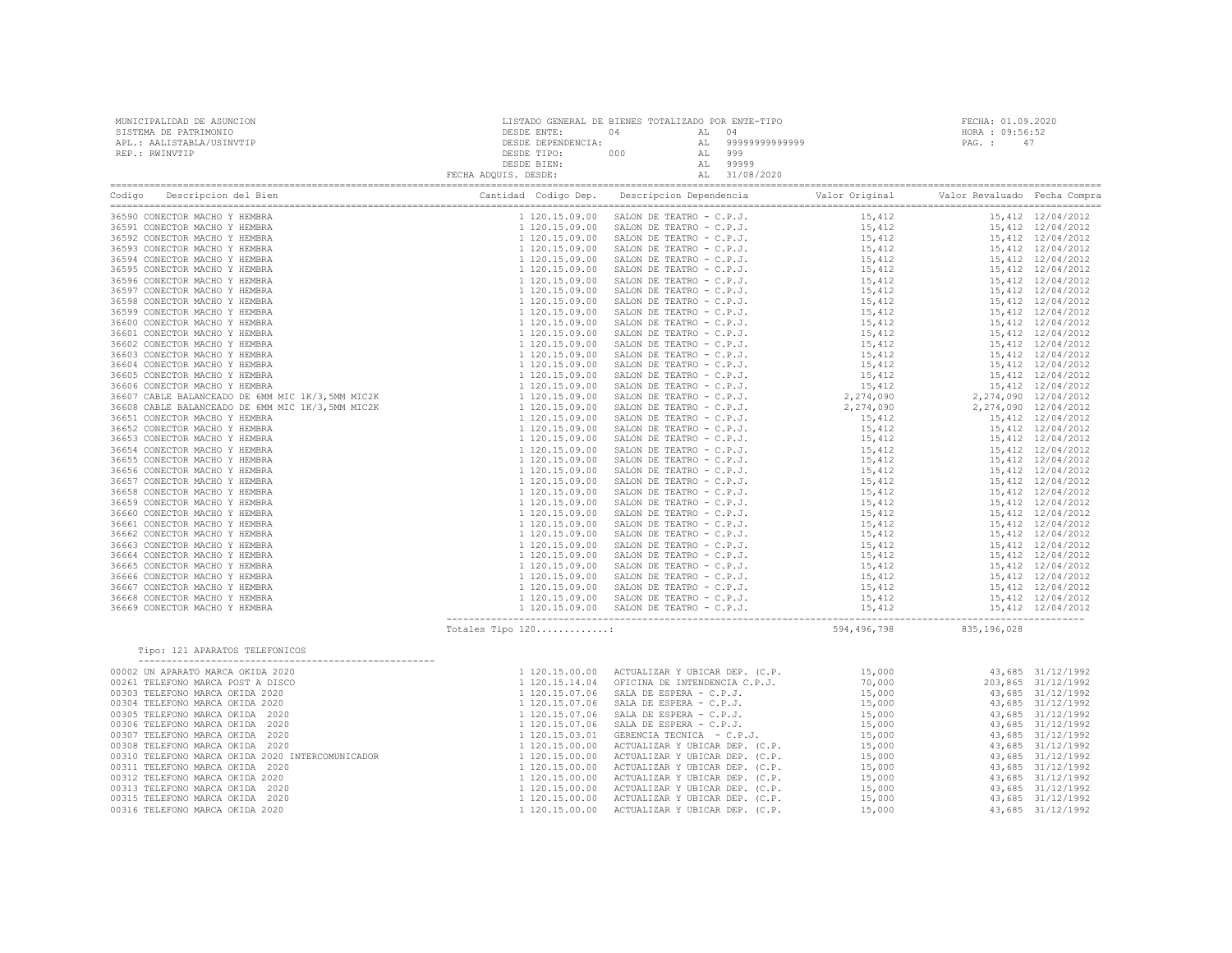| MUNICIPALIDAD DE ASUNCION<br>SISTEMA DE PATRIMONIO<br>APL.: AALISTABLA/USINVTIP<br>REP.: RWINVTIP                                                                                                                                                                                                                                                                                                                                                                                                                                            | DESDE ENTE:<br>DESDE DEPENDENCIA:<br>DESDE TIPO:<br>DESDE BIEN:<br>FECHA ADQUIS. DESDE:                                                                                                                                                                                                      | LISTADO GENERAL DE BIENES TOTALIZADO POR ENTE-TIPO<br>04<br>04<br>AL<br>99999999999999<br>AL<br>000<br>999<br>AL<br>AL<br>99999<br>31/08/2020<br>AL                                                                                                                                                                                                                                                                                                          |                                                                                                                                                              | FECHA: 01.09.2020<br>HORA : 09:56:52<br>PAG. :<br>47                                                                                                                                                                                                                                                                                         |
|----------------------------------------------------------------------------------------------------------------------------------------------------------------------------------------------------------------------------------------------------------------------------------------------------------------------------------------------------------------------------------------------------------------------------------------------------------------------------------------------------------------------------------------------|----------------------------------------------------------------------------------------------------------------------------------------------------------------------------------------------------------------------------------------------------------------------------------------------|--------------------------------------------------------------------------------------------------------------------------------------------------------------------------------------------------------------------------------------------------------------------------------------------------------------------------------------------------------------------------------------------------------------------------------------------------------------|--------------------------------------------------------------------------------------------------------------------------------------------------------------|----------------------------------------------------------------------------------------------------------------------------------------------------------------------------------------------------------------------------------------------------------------------------------------------------------------------------------------------|
| Descripcion del Bien<br>Codigo                                                                                                                                                                                                                                                                                                                                                                                                                                                                                                               | Cantidad Codigo Dep.                                                                                                                                                                                                                                                                         | Descripcion Dependencia                                                                                                                                                                                                                                                                                                                                                                                                                                      | Valor Original                                                                                                                                               | Valor Revaluado Fecha Compra                                                                                                                                                                                                                                                                                                                 |
| 36590 CONECTOR MACHO Y HEMBRA<br>36591 CONECTOR MACHO Y HEMBRA<br>36592 CONECTOR MACHO Y HEMBRA<br>36593 CONECTOR MACHO Y HEMBRA<br>36594 CONECTOR MACHO Y HEMBRA<br>36595 CONECTOR MACHO Y HEMBRA<br>36596 CONECTOR MACHO Y HEMBRA<br>36597 CONECTOR MACHO Y HEMBRA<br>36598 CONECTOR MACHO Y HEMBRA<br>36599 CONECTOR MACHO Y HEMBRA<br>36600 CONECTOR MACHO Y HEMBRA<br>36601 CONECTOR MACHO Y HEMBRA<br>36602 CONECTOR MACHO Y HEMBRA<br>36603 CONECTOR MACHO Y HEMBRA<br>36604 CONECTOR MACHO Y HEMBRA<br>36605 CONECTOR MACHO Y HEMBRA | 1 120.15.09.00<br>1 120.15.09.00<br>1 120.15.09.00<br>1 120.15.09.00<br>1 120.15.09.00<br>1 120.15.09.00<br>1 120.15.09.00<br>1 120.15.09.00<br>1 120.15.09.00<br>1 120.15.09.00<br>1 120.15.09.00<br>1 120.15.09.00<br>1 120.15.09.00<br>1 120.15.09.00<br>1 120.15.09.00<br>1 120.15.09.00 | SALON DE TEATRO - C.P.J.<br>SALON DE TEATRO - C.P.J.<br>SALON DE TEATRO - C.P.J.<br>SALON DE TEATRO - C.P.J.<br>SALON DE TEATRO - C.P.J.<br>SALON DE TEATRO - C.P.J.<br>SALON DE TEATRO - C.P.J.<br>SALON DE TEATRO - C.P.J.<br>SALON DE TEATRO - C.P.J.<br>SALON DE TEATRO - C.P.J.<br>SALON DE TEATRO - C.P.J.<br>SALON DE TEATRO - C.P.J.<br>SALON DE TEATRO - C.P.J.<br>SALON DE TEATRO - C.P.J.<br>SALON DE TEATRO - C.P.J.<br>SALON DE TEATRO - C.P.J. | 15,412<br>15,412<br>15,412<br>15,412<br>15,412<br>15,412<br>15,412<br>15,412<br>15,412<br>15,412<br>15,412<br>15,412<br>15,412<br>15,412<br>15,412<br>15,412 | 15,412 12/04/2012<br>15,412 12/04/2012<br>15,412 12/04/2012<br>15,412 12/04/2012<br>15,412 12/04/2012<br>15,412 12/04/2012<br>15,412 12/04/2012<br>15,412 12/04/2012<br>15,412 12/04/2012<br>15,412 12/04/2012<br>15,412 12/04/2012<br>15,412 12/04/2012<br>15,412 12/04/2012<br>15,412 12/04/2012<br>15,412 12/04/2012<br>15,412 12/04/2012 |
| 36606 CONECTOR MACHO Y HEMBRA<br>36607 CABLE BALANCEADO DE 6MM MIC 1K/3,5MM MIC2K<br>36608 CABLE BALANCEADO DE 6MM MIC 1K/3,5MM MIC2K<br>36651 CONECTOR MACHO Y HEMBRA<br>36652 CONECTOR MACHO Y HEMBRA                                                                                                                                                                                                                                                                                                                                      | 1 120.15.09.00<br>1 120.15.09.00<br>1 120.15.09.00<br>1 120.15.09.00<br>1 120.15.09.00                                                                                                                                                                                                       | SALON DE TEATRO - C.P.J.<br>SALON DE TEATRO - C.P.J.<br>SALON DE TEATRO - C.P.J.<br>SALON DE TEATRO - C.P.J.<br>SALON DE TEATRO - C.P.J.                                                                                                                                                                                                                                                                                                                     | 15,412<br>2,274,090<br>2,274,090<br>15,412<br>15,412                                                                                                         | 15,412 12/04/2012<br>2,274,090 12/04/2012<br>2,274,090 12/04/2012<br>15,412 12/04/2012<br>15,412 12/04/2012                                                                                                                                                                                                                                  |

|                                                                                                                                                                                                                                                                                                                                                                                                                                                          |                                                                                                                                              |                                                                                                                                                                                                                                                                                                                      | 15,412      |                                                                | 15,412 12/04/2012 |
|----------------------------------------------------------------------------------------------------------------------------------------------------------------------------------------------------------------------------------------------------------------------------------------------------------------------------------------------------------------------------------------------------------------------------------------------------------|----------------------------------------------------------------------------------------------------------------------------------------------|----------------------------------------------------------------------------------------------------------------------------------------------------------------------------------------------------------------------------------------------------------------------------------------------------------------------|-------------|----------------------------------------------------------------|-------------------|
|                                                                                                                                                                                                                                                                                                                                                                                                                                                          |                                                                                                                                              | SALON DE TEATRO - C.P.J.<br>SALON DE TEATRO - C.P.J.<br>31.01 DE TEATRO - C.P.J.<br>31.01 DE TEATRO - C.P.J.<br>31.01 DE TEATRO - C.P.J.                                                                                                                                                                             |             | 15,412  12/04/2012<br>15,412  12/04/2012                       |                   |
|                                                                                                                                                                                                                                                                                                                                                                                                                                                          |                                                                                                                                              |                                                                                                                                                                                                                                                                                                                      |             |                                                                |                   |
|                                                                                                                                                                                                                                                                                                                                                                                                                                                          |                                                                                                                                              |                                                                                                                                                                                                                                                                                                                      |             | 15,412 12/04/2012                                              |                   |
|                                                                                                                                                                                                                                                                                                                                                                                                                                                          |                                                                                                                                              |                                                                                                                                                                                                                                                                                                                      |             |                                                                |                   |
|                                                                                                                                                                                                                                                                                                                                                                                                                                                          |                                                                                                                                              |                                                                                                                                                                                                                                                                                                                      |             |                                                                |                   |
|                                                                                                                                                                                                                                                                                                                                                                                                                                                          |                                                                                                                                              | $\begin{tabular}{lllllllllll} \multicolumn{4}{c}{\textbf{SALON DE TEATRO}}&-&C.P.J. &&&15,412\\ \multicolumn{4}{c}{\textbf{SALON DE TEATRO}}&-&C.P.J. &&&15,412\\ \multicolumn{4}{c}{\textbf{SALON DE TEATRO}}&-&C.P.J. &&&15,412\\ \multicolumn{4}{c}{\textbf{SALON DE TEATRO}}&-&C.P.J. &&&15,412\\ \end{tabular}$ |             | 15,412  12/04/2012<br>15,412  12/04/2012<br>15,412  12/04/2012 |                   |
|                                                                                                                                                                                                                                                                                                                                                                                                                                                          |                                                                                                                                              |                                                                                                                                                                                                                                                                                                                      |             |                                                                |                   |
|                                                                                                                                                                                                                                                                                                                                                                                                                                                          |                                                                                                                                              |                                                                                                                                                                                                                                                                                                                      |             |                                                                |                   |
|                                                                                                                                                                                                                                                                                                                                                                                                                                                          |                                                                                                                                              |                                                                                                                                                                                                                                                                                                                      |             |                                                                |                   |
|                                                                                                                                                                                                                                                                                                                                                                                                                                                          |                                                                                                                                              |                                                                                                                                                                                                                                                                                                                      |             |                                                                |                   |
|                                                                                                                                                                                                                                                                                                                                                                                                                                                          |                                                                                                                                              |                                                                                                                                                                                                                                                                                                                      |             |                                                                |                   |
|                                                                                                                                                                                                                                                                                                                                                                                                                                                          |                                                                                                                                              |                                                                                                                                                                                                                                                                                                                      |             |                                                                |                   |
|                                                                                                                                                                                                                                                                                                                                                                                                                                                          |                                                                                                                                              |                                                                                                                                                                                                                                                                                                                      |             |                                                                |                   |
|                                                                                                                                                                                                                                                                                                                                                                                                                                                          |                                                                                                                                              |                                                                                                                                                                                                                                                                                                                      |             |                                                                |                   |
|                                                                                                                                                                                                                                                                                                                                                                                                                                                          |                                                                                                                                              |                                                                                                                                                                                                                                                                                                                      |             |                                                                |                   |
|                                                                                                                                                                                                                                                                                                                                                                                                                                                          |                                                                                                                                              |                                                                                                                                                                                                                                                                                                                      |             |                                                                |                   |
|                                                                                                                                                                                                                                                                                                                                                                                                                                                          |                                                                                                                                              |                                                                                                                                                                                                                                                                                                                      |             |                                                                |                   |
|                                                                                                                                                                                                                                                                                                                                                                                                                                                          |                                                                                                                                              |                                                                                                                                                                                                                                                                                                                      |             |                                                                |                   |
|                                                                                                                                                                                                                                                                                                                                                                                                                                                          |                                                                                                                                              |                                                                                                                                                                                                                                                                                                                      |             |                                                                |                   |
|                                                                                                                                                                                                                                                                                                                                                                                                                                                          |                                                                                                                                              |                                                                                                                                                                                                                                                                                                                      |             |                                                                |                   |
|                                                                                                                                                                                                                                                                                                                                                                                                                                                          |                                                                                                                                              |                                                                                                                                                                                                                                                                                                                      |             |                                                                |                   |
|                                                                                                                                                                                                                                                                                                                                                                                                                                                          |                                                                                                                                              |                                                                                                                                                                                                                                                                                                                      |             |                                                                |                   |
|                                                                                                                                                                                                                                                                                                                                                                                                                                                          |                                                                                                                                              |                                                                                                                                                                                                                                                                                                                      |             |                                                                |                   |
|                                                                                                                                                                                                                                                                                                                                                                                                                                                          |                                                                                                                                              |                                                                                                                                                                                                                                                                                                                      |             |                                                                |                   |
|                                                                                                                                                                                                                                                                                                                                                                                                                                                          |                                                                                                                                              |                                                                                                                                                                                                                                                                                                                      |             |                                                                |                   |
|                                                                                                                                                                                                                                                                                                                                                                                                                                                          |                                                                                                                                              |                                                                                                                                                                                                                                                                                                                      |             |                                                                |                   |
|                                                                                                                                                                                                                                                                                                                                                                                                                                                          |                                                                                                                                              |                                                                                                                                                                                                                                                                                                                      |             |                                                                |                   |
|                                                                                                                                                                                                                                                                                                                                                                                                                                                          |                                                                                                                                              |                                                                                                                                                                                                                                                                                                                      |             |                                                                |                   |
|                                                                                                                                                                                                                                                                                                                                                                                                                                                          |                                                                                                                                              |                                                                                                                                                                                                                                                                                                                      |             |                                                                |                   |
|                                                                                                                                                                                                                                                                                                                                                                                                                                                          |                                                                                                                                              |                                                                                                                                                                                                                                                                                                                      |             |                                                                |                   |
|                                                                                                                                                                                                                                                                                                                                                                                                                                                          |                                                                                                                                              | 1 120.15.09.00 SALON DE TEATRO – C.P.J.<br>1 120.15.09.00 SALON DE TEATRO – C.P.J.<br>1 120.15.09.00 SALON DE TEATRO – C.P.J.<br>1 120.15.09.00 SALON DE TEATRO – C.P.J.<br>1 120.15.09.00 SALON DE TEATRO – C.P.J.<br>1 120.15.09.00 S                                                                              |             |                                                                |                   |
|                                                                                                                                                                                                                                                                                                                                                                                                                                                          |                                                                                                                                              |                                                                                                                                                                                                                                                                                                                      | 594,496,798 | 835,196,028                                                    |                   |
| $\begin{tabular}{cccccccc} \multicolumn{4}{c}{\textbf{0.1}} \multicolumn{4}{c}{\textbf{0.1}} \multicolumn{4}{c}{\textbf{0.1}} \multicolumn{4}{c}{\textbf{0.1}} \multicolumn{4}{c}{\textbf{0.1}} \multicolumn{4}{c}{\textbf{0.1}} \multicolumn{4}{c}{\textbf{0.1}} \multicolumn{4}{c}{\textbf{0.1}} \multicolumn{4}{c}{\textbf{0.1}} \multicolumn{4}{c}{\textbf{0.1}} \multicolumn{4}{c}{\textbf{0.1}} \multicolumn{4}{c}{\textbf{0.1}} \multicolumn{4}{$ |                                                                                                                                              |                                                                                                                                                                                                                                                                                                                      |             |                                                                |                   |
| 00002 UN APARATO MARCA OKIDA 2020                                                                                                                                                                                                                                                                                                                                                                                                                        | 1 120.15.00.00<br>1 120.15.14.04<br>1 120.15.14.04<br>1 120.15.07.06<br>1 120.15.07.06<br>1 120.15.07.06<br>1 120.15.07.06<br>1 120.15.00.00 | 1 120.15.00.00 ACTUALIZAR Y UBICAR DEP. (C.P. 15,000 43,685 31/12/1992                                                                                                                                                                                                                                               |             |                                                                |                   |
| 00261 TELEFONO MARCA POST A DISCO                                                                                                                                                                                                                                                                                                                                                                                                                        |                                                                                                                                              | OFICINA DE INTENDENCIA C.P.J. 70,000                                                                                                                                                                                                                                                                                 |             | 203,865 31/12/1992                                             |                   |
| 00303 TELEFONO MARCA OKIDA 2020                                                                                                                                                                                                                                                                                                                                                                                                                          |                                                                                                                                              | SALA DE ESPERA - C.P.J.                                                                                                                                                                                                                                                                                              | 15,000      | 43,685 31/12/1992                                              |                   |
| 00304 TELEFONO MARCA OKIDA 2020                                                                                                                                                                                                                                                                                                                                                                                                                          |                                                                                                                                              |                                                                                                                                                                                                                                                                                                                      |             |                                                                |                   |
| 00305 TELEFONO MARCA OKIDA 2020                                                                                                                                                                                                                                                                                                                                                                                                                          |                                                                                                                                              | SALA DE ESPERA - C.P.J. (15,000 SALA DE ESPERA - C.P.J. (15,000 )                                                                                                                                                                                                                                                    |             | 43,685 31/12/1992<br>43,685 31/12/1992                         |                   |
| 00306 TELEFONO MARCA OKIDA 2020                                                                                                                                                                                                                                                                                                                                                                                                                          |                                                                                                                                              | SALA DE ESPERA - C.P.J.                                                                                                                                                                                                                                                                                              | 15,000      | 43,685 31/12/1992                                              |                   |
| 00307 TELEFONO MARCA OKIDA 2020                                                                                                                                                                                                                                                                                                                                                                                                                          |                                                                                                                                              | GERENCIA TECNICA - C.P.J.                                                                                                                                                                                                                                                                                            | 15,000      |                                                                | 43,685 31/12/1992 |
| 00308 TRIROMO MARCA OKIDA 2020                                                                                                                                                                                                                                                                                                                                                                                                                           |                                                                                                                                              |                                                                                                                                                                                                                                                                                                                      |             |                                                                |                   |

| 00307 TELEFONO MARCA OKIDA 2020                  | 1 120.15.03.01 | GERENCIA TECNICA - C.P.J.                     | 15,000 | 43,685 31/12/1992 |
|--------------------------------------------------|----------------|-----------------------------------------------|--------|-------------------|
| 00308 TELEFONO MARCA OKIDA 2020                  | 1 120.15.00.00 | ACTUALIZAR Y UBICAR DEP. (C.P.                | 15,000 | 43,685 31/12/1992 |
| 00310 TELEFONO MARCA OKIDA 2020 INTERCOMUNICADOR |                | 1 120.15.00.00 ACTUALIZAR Y UBICAR DEP. (C.P. | 15,000 | 43,685 31/12/1992 |
| 00311 TELEFONO MARCA OKIDA 2020                  |                | 1 120.15.00.00 ACTUALIZAR Y UBICAR DEP. (C.P. | 15,000 | 43,685 31/12/1992 |
| 00312 TELEFONO MARCA OKIDA 2020                  |                | 1 120.15.00.00 ACTUALIZAR Y UBICAR DEP. (C.P. | 15,000 | 43,685 31/12/1992 |
| 00313 TELEFONO MARCA OKIDA 2020                  |                | 1 120.15.00.00 ACTUALIZAR Y UBICAR DEP. (C.P. | 15,000 | 43,685 31/12/1992 |
| 00315 TELEFONO MARCA OKIDA 2020                  |                | 1 120.15.00.00 ACTUALIZAR Y UBICAR DEP. (C.P. | 15,000 | 43,685 31/12/1992 |
| 00316 TELEFONO MARCA OKIDA 2020                  |                | 1 120.15.00.00 ACTUALIZAR Y UBICAR DEP. (C.P. | 15,000 | 43,685 31/12/1992 |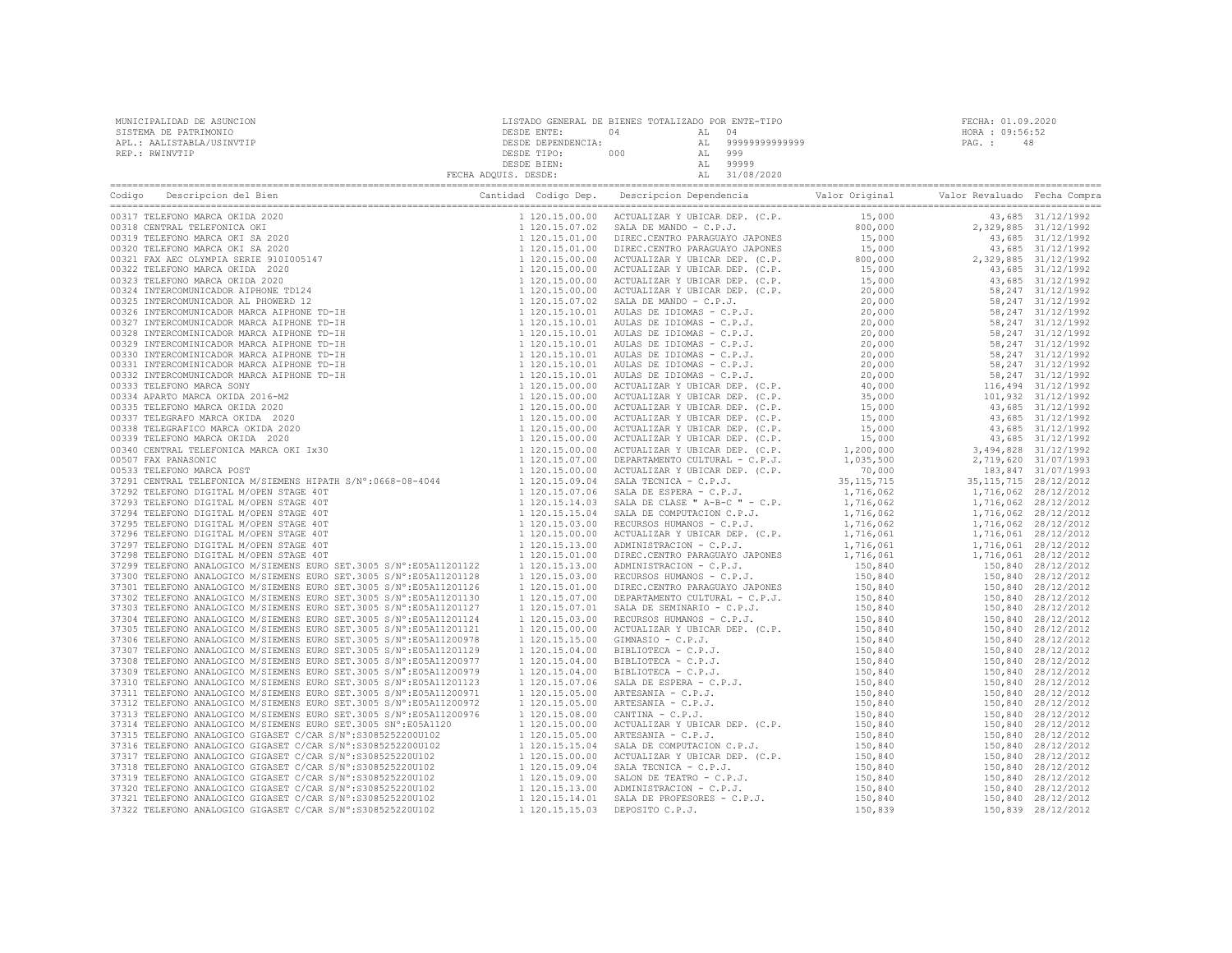| MUNICIPALIDAD DE ASUNCION | LISTADO GENERAL DE BIENES TOTALIZADO POR ENTE-TIPO |     |        |                   |                 | FECHA: 01.09.2020 |
|---------------------------|----------------------------------------------------|-----|--------|-------------------|-----------------|-------------------|
| SISTEMA DE PATRIMONIO     | DESDE ENTE:                                        | 04  | AT. 04 |                   | HORA : 09:56:52 |                   |
| APL.: AALISTABLA/USINVTIP | DESDE DEPENDENCIA:                                 |     |        | AL 99999999999999 | PAG. :          | 48                |
| REP.: RWINVTIP            | DESDE TIPO:                                        | 000 | AL     | 999               |                 |                   |
|                           | DESDE BIEN:                                        |     | AL     | 99999             |                 |                   |
|                           | FECHA ADOUIS. DESDE:                               |     |        | 31/08/2020        |                 |                   |

| $\begin{tabular}{ c c c c c c } \hline \multicolumn{1}{ c c c c } \hline \multicolumn{1}{ c c c } \hline \multicolumn{1}{ c c c } \hline \multicolumn{1}{ c c c } \hline \multicolumn{1}{ c c c } \hline \multicolumn{1}{ c c c } \hline \multicolumn{1}{ c c c } \hline \multicolumn{1}{ c c c } \hline \multicolumn{1}{ c c c } \hline \multicolumn{1}{ c c } \hline \multicolumn{1}{ c c } \hline \$ |                |  |  |
|---------------------------------------------------------------------------------------------------------------------------------------------------------------------------------------------------------------------------------------------------------------------------------------------------------------------------------------------------------------------------------------------------------|----------------|--|--|
|                                                                                                                                                                                                                                                                                                                                                                                                         |                |  |  |
|                                                                                                                                                                                                                                                                                                                                                                                                         |                |  |  |
|                                                                                                                                                                                                                                                                                                                                                                                                         |                |  |  |
|                                                                                                                                                                                                                                                                                                                                                                                                         |                |  |  |
|                                                                                                                                                                                                                                                                                                                                                                                                         |                |  |  |
|                                                                                                                                                                                                                                                                                                                                                                                                         |                |  |  |
|                                                                                                                                                                                                                                                                                                                                                                                                         |                |  |  |
|                                                                                                                                                                                                                                                                                                                                                                                                         |                |  |  |
|                                                                                                                                                                                                                                                                                                                                                                                                         |                |  |  |
|                                                                                                                                                                                                                                                                                                                                                                                                         |                |  |  |
|                                                                                                                                                                                                                                                                                                                                                                                                         |                |  |  |
|                                                                                                                                                                                                                                                                                                                                                                                                         |                |  |  |
|                                                                                                                                                                                                                                                                                                                                                                                                         |                |  |  |
|                                                                                                                                                                                                                                                                                                                                                                                                         |                |  |  |
|                                                                                                                                                                                                                                                                                                                                                                                                         |                |  |  |
|                                                                                                                                                                                                                                                                                                                                                                                                         |                |  |  |
|                                                                                                                                                                                                                                                                                                                                                                                                         |                |  |  |
|                                                                                                                                                                                                                                                                                                                                                                                                         |                |  |  |
|                                                                                                                                                                                                                                                                                                                                                                                                         |                |  |  |
|                                                                                                                                                                                                                                                                                                                                                                                                         |                |  |  |
|                                                                                                                                                                                                                                                                                                                                                                                                         |                |  |  |
|                                                                                                                                                                                                                                                                                                                                                                                                         |                |  |  |
|                                                                                                                                                                                                                                                                                                                                                                                                         |                |  |  |
|                                                                                                                                                                                                                                                                                                                                                                                                         |                |  |  |
|                                                                                                                                                                                                                                                                                                                                                                                                         |                |  |  |
|                                                                                                                                                                                                                                                                                                                                                                                                         |                |  |  |
|                                                                                                                                                                                                                                                                                                                                                                                                         |                |  |  |
|                                                                                                                                                                                                                                                                                                                                                                                                         |                |  |  |
|                                                                                                                                                                                                                                                                                                                                                                                                         |                |  |  |
|                                                                                                                                                                                                                                                                                                                                                                                                         |                |  |  |
|                                                                                                                                                                                                                                                                                                                                                                                                         |                |  |  |
|                                                                                                                                                                                                                                                                                                                                                                                                         |                |  |  |
|                                                                                                                                                                                                                                                                                                                                                                                                         |                |  |  |
| 37299 TELEFONO ANALOGICO M/SIEMENS EURO SET.3005 S/N°:E05A11201122 1 120.15.13.00                                                                                                                                                                                                                                                                                                                       |                |  |  |
| 37300 TELEFONO ANALOGICO M/SIEMENS EURO SET.3005 S/N°:E05A11201128 120.15.03.00                                                                                                                                                                                                                                                                                                                         |                |  |  |
| 37301 TELEFONO ANALOGICO M/SIEMENS EURO SET.3005 S/N°:E05A11201126                                                                                                                                                                                                                                                                                                                                      | 1 120.15.01.00 |  |  |
| 37302 TELEFONO ANALOGICO M/SIEMENS EURO SET.3005 S/N°:E05A11201130                                                                                                                                                                                                                                                                                                                                      | 1 120.15.07.00 |  |  |
| 37303 TELEFONO ANALOGICO M/SIEMENS EURO SET.3005 S/N°:E05A11201127                                                                                                                                                                                                                                                                                                                                      |                |  |  |
| 37304 TELEFONO ANALOGICO M/SIEMENS EURO SET.3005 S/N°:E05A11201124                                                                                                                                                                                                                                                                                                                                      |                |  |  |
| 37305 TELEFONO ANALOGICO M/SIEMENS EURO SET.3005 S/N°:E05A11201121                                                                                                                                                                                                                                                                                                                                      |                |  |  |
| 37306 TELEFONO ANALOGICO M/SIEMENS EURO SET.3005 S/N°:E05A11200978                                                                                                                                                                                                                                                                                                                                      |                |  |  |
| 37307 TELEFONO ANALOGICO M/SIEMENS EURO SET.3005 S/N°:E05A11201129                                                                                                                                                                                                                                                                                                                                      |                |  |  |
| 37308 TELEFONO ANALOGICO M/SIEMENS EURO SET.3005 S/N°:E05A11200977                                                                                                                                                                                                                                                                                                                                      |                |  |  |
| 37309 TELEFONO ANALOGICO M/SIEMENS EURO SET.3005 S/N°:E05A11200979                                                                                                                                                                                                                                                                                                                                      |                |  |  |
| 37310 TELEFONO ANALOGICO M/SIEMENS EURO SET.3005 S/N°:E05A11201123                                                                                                                                                                                                                                                                                                                                      |                |  |  |
| 37311 TELEFONO ANALOGICO M/SIEMENS EURO SET.3005 S/N°:E05A11200971                                                                                                                                                                                                                                                                                                                                      |                |  |  |
| 37312 TELEFONO ANALOGICO M/SIEMENS EURO SET.3005 S/N°:E05A11200972                                                                                                                                                                                                                                                                                                                                      |                |  |  |
| 37313 TELEFONO ANALOGICO M/SIEMENS EURO SET.3005 S/N°:E05A11200976                                                                                                                                                                                                                                                                                                                                      | 1 120.15.08.00 |  |  |
| 37314 TELEFONO ANALOGICO M/SIEMENS EURO SET.3005 SN°:E05A1120 120.15.00.00                                                                                                                                                                                                                                                                                                                              |                |  |  |
|                                                                                                                                                                                                                                                                                                                                                                                                         |                |  |  |
|                                                                                                                                                                                                                                                                                                                                                                                                         |                |  |  |
|                                                                                                                                                                                                                                                                                                                                                                                                         |                |  |  |
|                                                                                                                                                                                                                                                                                                                                                                                                         |                |  |  |
|                                                                                                                                                                                                                                                                                                                                                                                                         |                |  |  |
|                                                                                                                                                                                                                                                                                                                                                                                                         |                |  |  |
|                                                                                                                                                                                                                                                                                                                                                                                                         |                |  |  |
|                                                                                                                                                                                                                                                                                                                                                                                                         |                |  |  |
|                                                                                                                                                                                                                                                                                                                                                                                                         |                |  |  |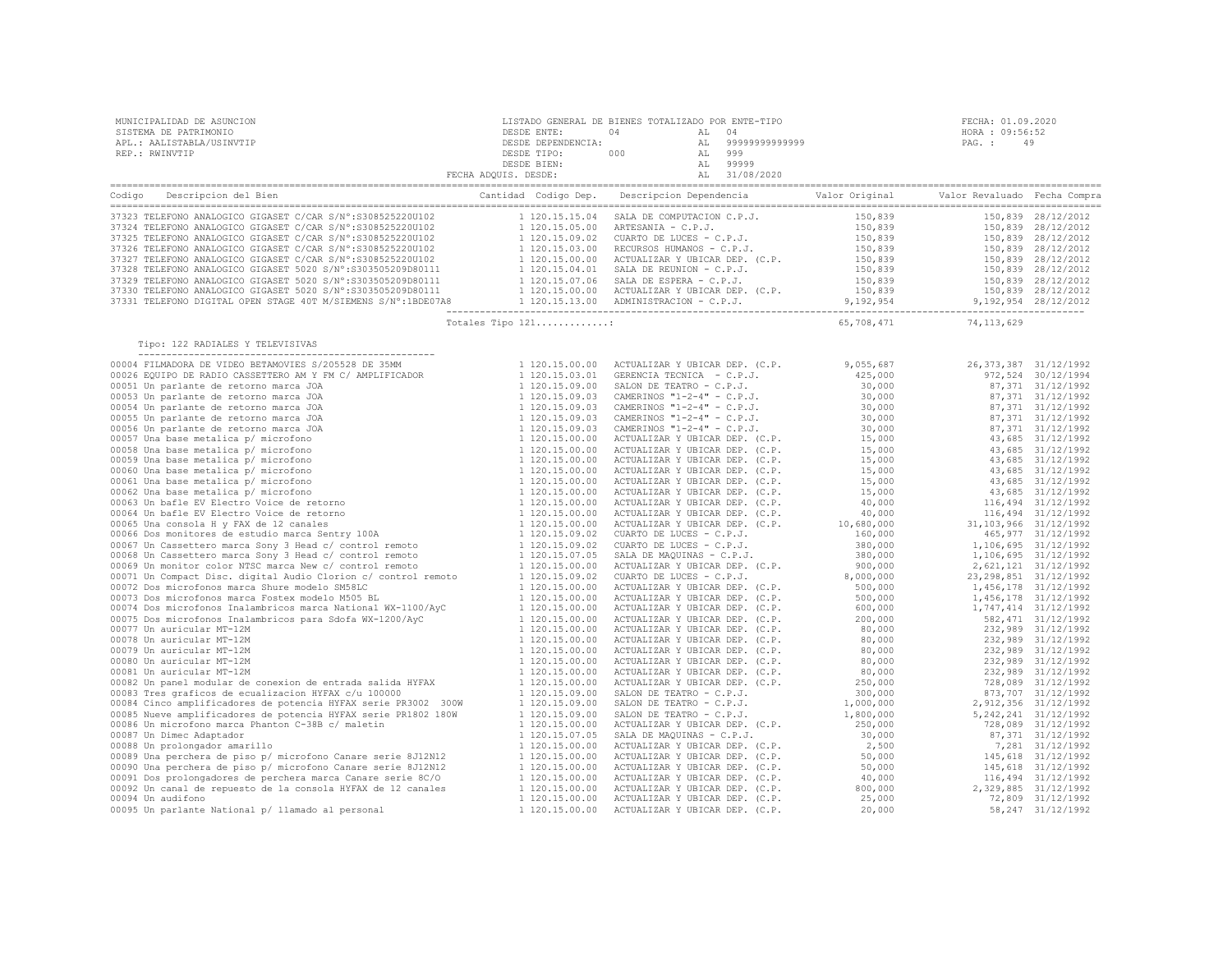| MUNICIPALIDAD DE ASUNCION<br>SISTEMA DE PATRIMONIO<br>APL.: AALISTABLA/USINVTIP<br>REP.: RWINVTIP                                                                                                                               |                   |                           | FECHA: 01.09.2020<br>HORA : 09:56:52<br>PAG.: 49 |
|---------------------------------------------------------------------------------------------------------------------------------------------------------------------------------------------------------------------------------|-------------------|---------------------------|--------------------------------------------------|
|                                                                                                                                                                                                                                 |                   |                           |                                                  |
|                                                                                                                                                                                                                                 |                   |                           |                                                  |
|                                                                                                                                                                                                                                 |                   |                           |                                                  |
|                                                                                                                                                                                                                                 |                   |                           |                                                  |
|                                                                                                                                                                                                                                 |                   |                           |                                                  |
|                                                                                                                                                                                                                                 |                   |                           |                                                  |
|                                                                                                                                                                                                                                 |                   |                           |                                                  |
|                                                                                                                                                                                                                                 |                   |                           |                                                  |
|                                                                                                                                                                                                                                 |                   |                           |                                                  |
| 93232 TELEFONO ANALOGICO GIGASET C/CAR S/N°:S308525220U102 1 120.15.15.04 SALA DE COMPUTACION C.P.J. 150,839 150,839 28/12/2012<br>19324 TELEFONO ANALOGICO GIGASET C/CAR S/N°:S308525220U102 1 120.15.05.00 ARTESANIA – C.P.J. |                   |                           |                                                  |
|                                                                                                                                                                                                                                 | Totales Tipo 121: | 65, 708, 471 74, 113, 629 |                                                  |
| Tipo: 122 RADIALES Y TELEVISIVAS                                                                                                                                                                                                |                   |                           |                                                  |
|                                                                                                                                                                                                                                 |                   |                           |                                                  |
|                                                                                                                                                                                                                                 |                   |                           |                                                  |
|                                                                                                                                                                                                                                 |                   |                           |                                                  |
|                                                                                                                                                                                                                                 |                   |                           |                                                  |
|                                                                                                                                                                                                                                 |                   |                           |                                                  |
|                                                                                                                                                                                                                                 |                   |                           |                                                  |
|                                                                                                                                                                                                                                 |                   |                           |                                                  |
|                                                                                                                                                                                                                                 |                   |                           |                                                  |
|                                                                                                                                                                                                                                 |                   |                           |                                                  |
|                                                                                                                                                                                                                                 |                   |                           |                                                  |
|                                                                                                                                                                                                                                 |                   |                           |                                                  |
|                                                                                                                                                                                                                                 |                   |                           |                                                  |
|                                                                                                                                                                                                                                 |                   |                           |                                                  |
|                                                                                                                                                                                                                                 |                   |                           |                                                  |
|                                                                                                                                                                                                                                 |                   |                           |                                                  |
|                                                                                                                                                                                                                                 |                   |                           |                                                  |
|                                                                                                                                                                                                                                 |                   |                           |                                                  |
|                                                                                                                                                                                                                                 |                   |                           |                                                  |
|                                                                                                                                                                                                                                 |                   |                           |                                                  |
|                                                                                                                                                                                                                                 |                   |                           |                                                  |
|                                                                                                                                                                                                                                 |                   |                           |                                                  |
|                                                                                                                                                                                                                                 |                   |                           |                                                  |
|                                                                                                                                                                                                                                 |                   |                           |                                                  |
|                                                                                                                                                                                                                                 |                   |                           |                                                  |
|                                                                                                                                                                                                                                 |                   |                           |                                                  |
|                                                                                                                                                                                                                                 |                   |                           |                                                  |
|                                                                                                                                                                                                                                 |                   |                           |                                                  |
|                                                                                                                                                                                                                                 |                   |                           |                                                  |
|                                                                                                                                                                                                                                 |                   |                           |                                                  |
|                                                                                                                                                                                                                                 |                   |                           |                                                  |
|                                                                                                                                                                                                                                 |                   |                           |                                                  |
|                                                                                                                                                                                                                                 |                   |                           |                                                  |
|                                                                                                                                                                                                                                 |                   |                           |                                                  |
|                                                                                                                                                                                                                                 |                   |                           |                                                  |
|                                                                                                                                                                                                                                 |                   |                           |                                                  |
|                                                                                                                                                                                                                                 |                   |                           |                                                  |
|                                                                                                                                                                                                                                 |                   |                           |                                                  |
|                                                                                                                                                                                                                                 |                   |                           |                                                  |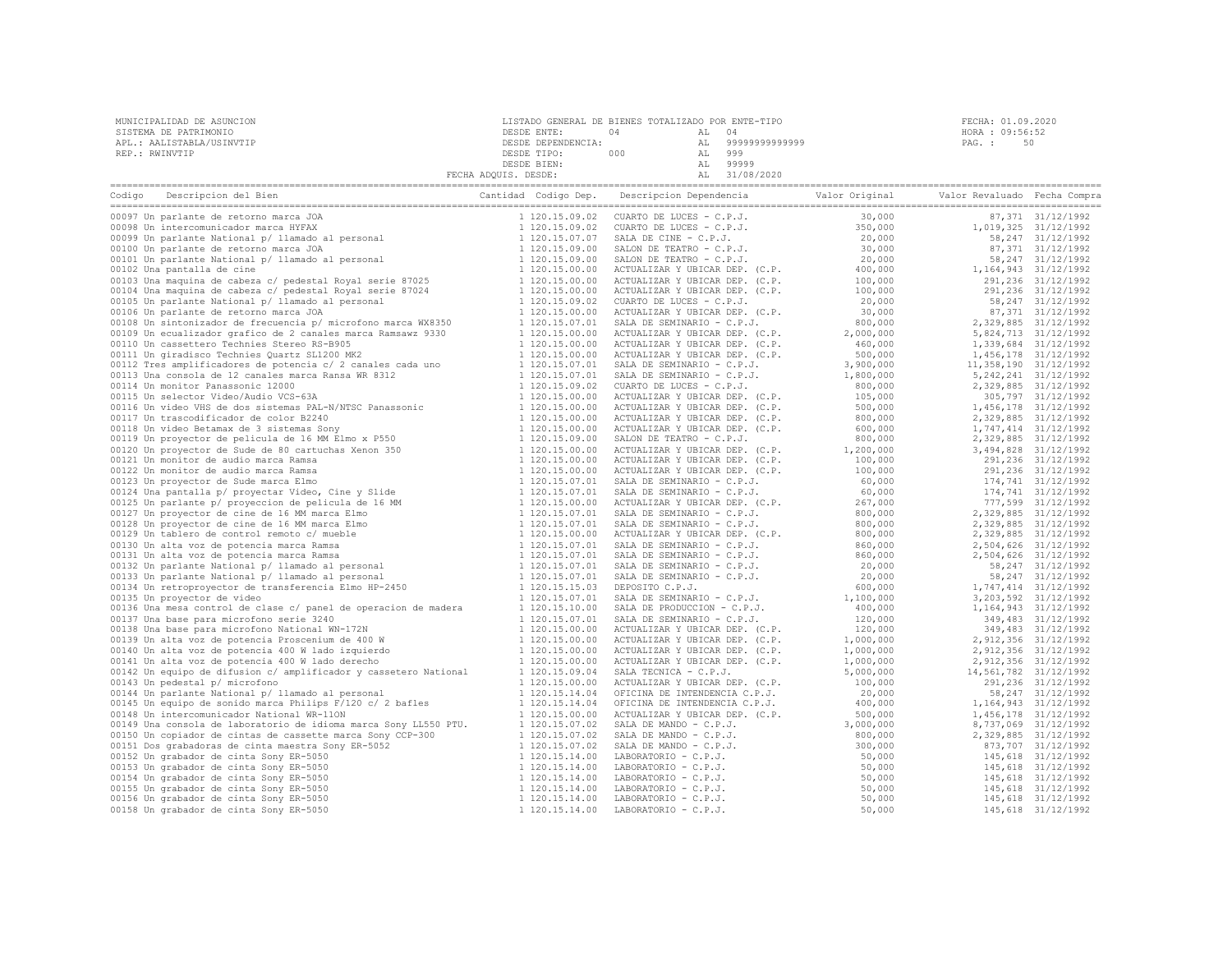| MUNICIPALIDAD DE ASUNCION | LISTADO GENERAL DE BIENES TOTALIZADO POR ENTE-TIPO |     |    |                | FECHA: 01.09.2020 |    |
|---------------------------|----------------------------------------------------|-----|----|----------------|-------------------|----|
| SISTEMA DE PATRIMONIO     | DESDE ENTE:                                        |     |    | 04             | HORA : 09:56:52   |    |
| APL.: AALISTABLA/USINVTIP | DESDE DEPENDENCIA:                                 |     | AL | 99999999999999 | PAG. :            | 50 |
| REP.: RWINVTIP            | DESDE TIPO:                                        | 000 |    | 999            |                   |    |
|                           | DESDE BIEN:                                        |     |    | 99999          |                   |    |
|                           | FECHA ADQUIS. DESDE:                               |     |    | 31/08/2020     |                   |    |

| Codigo Descripcion del Bien                                                                                                                                                                                                                   | Cantidad Codigo Dep. | Descripcion Dependencia Valor Original                                                                                                                                                                                                                                               |                          | Valor Revaluado Fecha Compra |                        |
|-----------------------------------------------------------------------------------------------------------------------------------------------------------------------------------------------------------------------------------------------|----------------------|--------------------------------------------------------------------------------------------------------------------------------------------------------------------------------------------------------------------------------------------------------------------------------------|--------------------------|------------------------------|------------------------|
| 00097 Un parlante de retorno marca JOA<br>00097 Un parlante de retorno marca JOA<br>00098 Un intercomunicador marca HYFAX<br>00099 Un parlante National p/ llamado al personal<br>00100 Un parlante de retorno marca JOA<br>00101 Un parlante | 1 120.15.09.02       | ====----<br>CUARTO DE LUCES - C.P.J.<br>CUARTO DE LUCES - C.P.J.<br>SALA DE CINE - C.P.J.<br>SALON DE TEATRO - C.P.J.<br>TAMPO - C.P.J.                                                                                                                                              | 30,000                   |                              | 87,371 31/12/1992      |
|                                                                                                                                                                                                                                               | 1 120.15.09.02       |                                                                                                                                                                                                                                                                                      | 350,000                  |                              | 1,019,325 31/12/1992   |
|                                                                                                                                                                                                                                               | 1 120.15.07.07       |                                                                                                                                                                                                                                                                                      | 20,000                   |                              | 58, 247 31/12/1992     |
|                                                                                                                                                                                                                                               | 1 120.15.09.00       |                                                                                                                                                                                                                                                                                      | 30,000                   |                              | 87,371 31/12/1992      |
|                                                                                                                                                                                                                                               | 1 120.15.09.00       |                                                                                                                                                                                                                                                                                      | 20,000                   |                              | 58, 247 31/12/1992     |
| 00102 Una pantalla de cine                                                                                                                                                                                                                    | 1 120.15.00.00       |                                                                                                                                                                                                                                                                                      | 400,000                  |                              | 1, 164, 943 31/12/1992 |
| 00103 Una maquina de cabeza c/ pedestal Royal serie 87025                                                                                                                                                                                     | 1 120.15.00.00       | ACTUALIZAR Y UBICAR DEP. (C.P.<br>ACTUALIZAR Y UBICAR DEP. (C.P.<br>ACTUALIZAR Y UBICAR DEP. (C.P.                                                                                                                                                                                   | 100,000                  |                              | 291,236 31/12/1992     |
| 00104 Una maquina de cabeza c/ pedestal Royal serie 87024                                                                                                                                                                                     | 1 120.15.00.00       |                                                                                                                                                                                                                                                                                      | 100,000                  |                              | 291,236 31/12/1992     |
| 00105 Un parlante National p/ llamado al personal                                                                                                                                                                                             | 1 120.15.09.02       | CUARTO DE LUCES - C.P.J.                                                                                                                                                                                                                                                             | 20,000                   |                              | 58, 247 31/12/1992     |
| 00106 Un parlante de retorno marca JOA                                                                                                                                                                                                        | 1 120.15.00.00       | ACTUALIZAR Y UBICAR DEP. (C.P.                                                                                                                                                                                                                                                       | 30,000                   |                              | 87,371 31/12/1992      |
| 00108 Un sintonizador de frecuencia p/ microfono marca WX8350                                                                                                                                                                                 | 1 120.15.07.01       | SALA DE SEMINARIO - C.P.J.                                                                                                                                                                                                                                                           | 800,000                  |                              | 2,329,885 31/12/1992   |
| 00109 Un ecualizador grafico de 2 canales marca Ramsawz 9330                                                                                                                                                                                  | 1 120.15.00.00       | ACTUALIZAR Y UBICAR DEP. (C.P.<br>ACTUALIZAR Y UBICAR DEP. (C.P.<br>ACTUALIZAR Y URICAR DEP. (C.P.                                                                                                                                                                                   | 2,000,000                |                              | 5,824,713 31/12/1992   |
| 00110 Un cassettero Technies Stereo RS-B905                                                                                                                                                                                                   | 1 120.15.00.00       |                                                                                                                                                                                                                                                                                      | 460,000                  |                              | 1,339,684 31/12/1992   |
| 00111 Un giradisco Technies Quartz SL1200 MK2                                                                                                                                                                                                 | 1 120.15.00.00       |                                                                                                                                                                                                                                                                                      | 500,000                  |                              | 1,456,178 31/12/1992   |
| 00112 Tres amplificadores de potencia c/ 2 canales cada uno                                                                                                                                                                                   | 1 120.15.07.01       | SALA DE SEMINARIO - C.P.J.                                                                                                                                                                                                                                                           | 3,900,000                |                              | 11,358,190 31/12/1992  |
| 00113 Una consola de 12 canales marca Ransa WR 8312                                                                                                                                                                                           | 1 120.15.07.01       | SALA DE SEMINARIO - C.P.J.                                                                                                                                                                                                                                                           | 1,800,000                |                              | 5, 242, 241 31/12/1992 |
| 00114 Un monitor Panassonic 12000                                                                                                                                                                                                             | 1 120.15.09.02       | CUARTO DE LUCES - C.P.J.                                                                                                                                                                                                                                                             | 800,000                  |                              | 2,329,885 31/12/1992   |
| 00115 Un selector Video/Audio VCS-63A                                                                                                                                                                                                         | 1 120.15.00.00       |                                                                                                                                                                                                                                                                                      | 105,000                  |                              | 305,797 31/12/1992     |
|                                                                                                                                                                                                                                               |                      | ACTUALIZAR Y UBICAR DEP. (C.P.<br>ACTUALIZAR Y UBICAR DEP. (C.P.<br>ACTUALIZAR Y UBICAR DEP. (C.P.                                                                                                                                                                                   |                          |                              |                        |
|                                                                                                                                                                                                                                               | 1 120.15.00.00       |                                                                                                                                                                                                                                                                                      | 500,000                  |                              | 1,456,178 31/12/1992   |
|                                                                                                                                                                                                                                               | 1 120.15.00.00       |                                                                                                                                                                                                                                                                                      | 800,000                  |                              | 2,329,885 31/12/1992   |
|                                                                                                                                                                                                                                               | 1 120.15.00.00       | ACTUALIZAR Y UBICAR DEP. (C.P.                                                                                                                                                                                                                                                       | 600,000                  |                              | 1,747,414 31/12/1992   |
|                                                                                                                                                                                                                                               | 1 120.15.09.00       | SALON DE TEATRO - C.P.J.                                                                                                                                                                                                                                                             | 800,000                  |                              | 2,329,885 31/12/1992   |
|                                                                                                                                                                                                                                               | 1 120.15.00.00       | ACTUALIZAR Y UBICAR DEP. (C.P.                                                                                                                                                                                                                                                       | $1,200,000$<br>$100.000$ |                              | 3,494,828 31/12/1992   |
|                                                                                                                                                                                                                                               | 1 120.15.00.00       | ACTUALIZAR Y UBICAR DEP. (C.P.                                                                                                                                                                                                                                                       |                          |                              | 291,236 31/12/1992     |
|                                                                                                                                                                                                                                               | 1 120.15.00.00       | ACTUALIZAR Y UBICAR DEP. (C.P.                                                                                                                                                                                                                                                       | 100,000                  |                              | 291,236 31/12/1992     |
|                                                                                                                                                                                                                                               | 1 120.15.07.01       | SALA DE SEMINARIO - C.P.J.                                                                                                                                                                                                                                                           | 60,000                   |                              | 174,741 31/12/1992     |
|                                                                                                                                                                                                                                               | 1 120.15.07.01       | SALA DE SEMINARIO - C.P.J.                                                                                                                                                                                                                                                           | 60,000                   |                              | 174,741 31/12/1992     |
| 00115 Un selector Video/Audio VCS-63A<br>00115 Un selector Video/Audio VCS-63A<br>00116 Un video VBS de dos sistemas PAL-N/NTSC Panassonic<br>00117 Un trascodificador de color B2240<br>00118 Un video Betamax de 3 sistemas Sony<br>00119 U | 1 120.15.00.00       | ACTUALIZAR Y UBICAR DEP. (C.P.                                                                                                                                                                                                                                                       | 267,000                  |                              | 777,599 31/12/1992     |
|                                                                                                                                                                                                                                               | 1 120.15.07.01       | SALA DE SEMINARIO - C.P.J.                                                                                                                                                                                                                                                           | 800,000                  |                              | 2,329,885 31/12/1992   |
|                                                                                                                                                                                                                                               | 1 120.15.07.01       | SALA DE SEMINARIO - C.P.J.                                                                                                                                                                                                                                                           | 800,000                  |                              | 2,329,885 31/12/1992   |
|                                                                                                                                                                                                                                               | 1 120.15.00.00       | ACTUALIZAR Y UBICAR DEP. (C.P.                                                                                                                                                                                                                                                       | 800,000                  |                              | 2,329,885 31/12/1992   |
|                                                                                                                                                                                                                                               | 1 120.15.07.01       | SALA DE SEMINARIO - C.P.J.                                                                                                                                                                                                                                                           | 860,000                  |                              | 2,504,626 31/12/1992   |
|                                                                                                                                                                                                                                               | 1 120.15.07.01       |                                                                                                                                                                                                                                                                                      | 860,000                  |                              | 2,504,626 31/12/1992   |
|                                                                                                                                                                                                                                               | 1 120.15.07.01       | SALA DE SEMINARIO - C.P.J.<br>SALA DE SEMINARIO - C.P.J.<br>SALA DE SEMINARIO - C.P.J.<br>DEPOSITO C.P.J.                                                                                                                                                                            | 20,000                   |                              | 58, 247 31/12/1992     |
|                                                                                                                                                                                                                                               | 1 120.15.07.01       |                                                                                                                                                                                                                                                                                      | 20,000                   |                              | 58, 247 31/12/1992     |
|                                                                                                                                                                                                                                               | 1 120.15.15.03       |                                                                                                                                                                                                                                                                                      | 600,000                  |                              | 1,747,414 31/12/1992   |
| 00135 Un proyector de video                                                                                                                                                                                                                   | 1 120.15.07.01       | SALA DE SEMINARIO - C.P.J.                                                                                                                                                                                                                                                           | 1,100,000                |                              | 3, 203, 592 31/12/1992 |
| 00136 Una mesa control de clase c/ panel de operacion de madera                                                                                                                                                                               | 1 120.15.10.00       | SALA DE PRODUCCION - C.P.J.                                                                                                                                                                                                                                                          | 400,000                  |                              | 1, 164, 943 31/12/1992 |
| 00137 Una base para microfono serie 3240                                                                                                                                                                                                      | 1 120.15.07.01       | SALA DE SEMINARIO - C.P.J.                                                                                                                                                                                                                                                           | 120,000                  |                              | 349,483 31/12/1992     |
| 00138 Una base para microfono National WN-172N<br>00139 Un alta voz de potencia Proscenium de 400 W<br>00140 Un alta voz de potencia 400 W lado izquierdo<br>00141 Un alta voz de potencia 400 W lado derecho                                 | 1 120.15.00.00       | ACTUALIZAR Y UBICAR DEP. (C.P.                                                                                                                                                                                                                                                       | 120,000                  |                              | 349,483 31/12/1992     |
|                                                                                                                                                                                                                                               | 1 120.15.00.00       | ACTUALIZAR Y UBICAR DEP. (C.P.                                                                                                                                                                                                                                                       | 1,000,000                |                              | 2,912,356 31/12/1992   |
|                                                                                                                                                                                                                                               | 1 120.15.00.00       | ACTUALIZAR Y UBICAR DEP. (C.P.                                                                                                                                                                                                                                                       | 1,000,000                |                              | 2,912,356 31/12/1992   |
|                                                                                                                                                                                                                                               | 1 120.15.00.00       | ACTUALIZAR Y UBICAR DEP. (C.P.                                                                                                                                                                                                                                                       | 1,000,000                |                              | 2,912,356 31/12/1992   |
| 00142 Un equipo de difusion c/ amplificador y cassetero National                                                                                                                                                                              | 1 120.15.09.04       | SALA TECNICA - C.P.J.                                                                                                                                                                                                                                                                | 5,000,000                | 14,561,782 31/12/1992        |                        |
| 00143 Un pedestal p/ microfono                                                                                                                                                                                                                | 1 120.15.00.00       | ACTUALIZAR Y UBICAR DEP. (C.P.                                                                                                                                                                                                                                                       | 100,000                  |                              | 291,236 31/12/1992     |
| 00144 Un parlante National p/ llamado al personal                                                                                                                                                                                             | 1 120.15.14.04       | OFICINA DE INTENDENCIA C.P.J.                                                                                                                                                                                                                                                        | 20,000                   |                              | 58, 247 31/12/1992     |
| 00145 Un equipo de sonido marca Philips F/120 c/ 2 bafles                                                                                                                                                                                     | 1 120.15.14.04       | OFICINA DE INTENDENCIA C.P.J.                                                                                                                                                                                                                                                        | 400,000                  |                              | 1, 164, 943 31/12/1992 |
| 00148 Un intercomunicador National WR-11ON                                                                                                                                                                                                    | 1 120.15.00.00       | ACTUALIZAR Y UBICAR DEP. (C.P.                                                                                                                                                                                                                                                       | 500,000                  |                              | 1,456,178 31/12/1992   |
| 00149 Una consola de laboratorio de idioma marca Sony LL550 PTU.                                                                                                                                                                              | 1 120.15.07.02       |                                                                                                                                                                                                                                                                                      | 3,000,000                |                              | 8,737,069 31/12/1992   |
| 00150 Un copiador de cintas de cassette marca Sony CCP-300                                                                                                                                                                                    | 1 120.15.07.02       |                                                                                                                                                                                                                                                                                      | 800,000                  |                              | 2,329,885 31/12/1992   |
| 00151 Dos grabadoras de cinta maestra Sony ER-5052                                                                                                                                                                                            | 1 120.15.07.02       |                                                                                                                                                                                                                                                                                      | 300,000                  |                              | 873,707 31/12/1992     |
| 00152 Un grabador de cinta Sony ER-5050                                                                                                                                                                                                       | 1 120.15.14.00       |                                                                                                                                                                                                                                                                                      | 50,000                   |                              | 145,618 31/12/1992     |
| 00153 Un grabador de cinta Sony ER-5050                                                                                                                                                                                                       | 1 120.15.14.00       |                                                                                                                                                                                                                                                                                      | 50,000                   |                              | 145,618 31/12/1992     |
| 00154 Un grabador de cinta Sony ER-5050                                                                                                                                                                                                       | 1 120.15.14.00       |                                                                                                                                                                                                                                                                                      | 50,000                   |                              | 145,618 31/12/1992     |
| 00155 Un grabador de cinta Sony ER-5050                                                                                                                                                                                                       | 1 120.15.14.00       |                                                                                                                                                                                                                                                                                      | 50,000                   |                              | 145,618 31/12/1992     |
| 00156 Un grabador de cinta Sony ER-5050                                                                                                                                                                                                       | 1 120.15.14.00       |                                                                                                                                                                                                                                                                                      | 50,000                   |                              | 145,618 31/12/1992     |
| 00158 Un grabador de cinta Sony ER-5050                                                                                                                                                                                                       | 1 120.15.14.00       | RUDDELLAR IUSCHER DER (C.F.<br>SALA DE MANDO - C.P.J.<br>SALA DE MANDO - C.P.J.<br>LABORATORIO - C.P.J.<br>LABORATORIO - C.P.J.<br>LABORATORIO - C.P.J.<br>LABORATORIO - C.P.J.<br>LABORATORIO - C.P.J.<br>LABORATORIO - C.P.J.<br>LABORATORIO - C.P.J.<br>L<br>LABORATORIO - C.P.J. | 50,000                   |                              | 145,618 31/12/1992     |
|                                                                                                                                                                                                                                               |                      |                                                                                                                                                                                                                                                                                      |                          |                              |                        |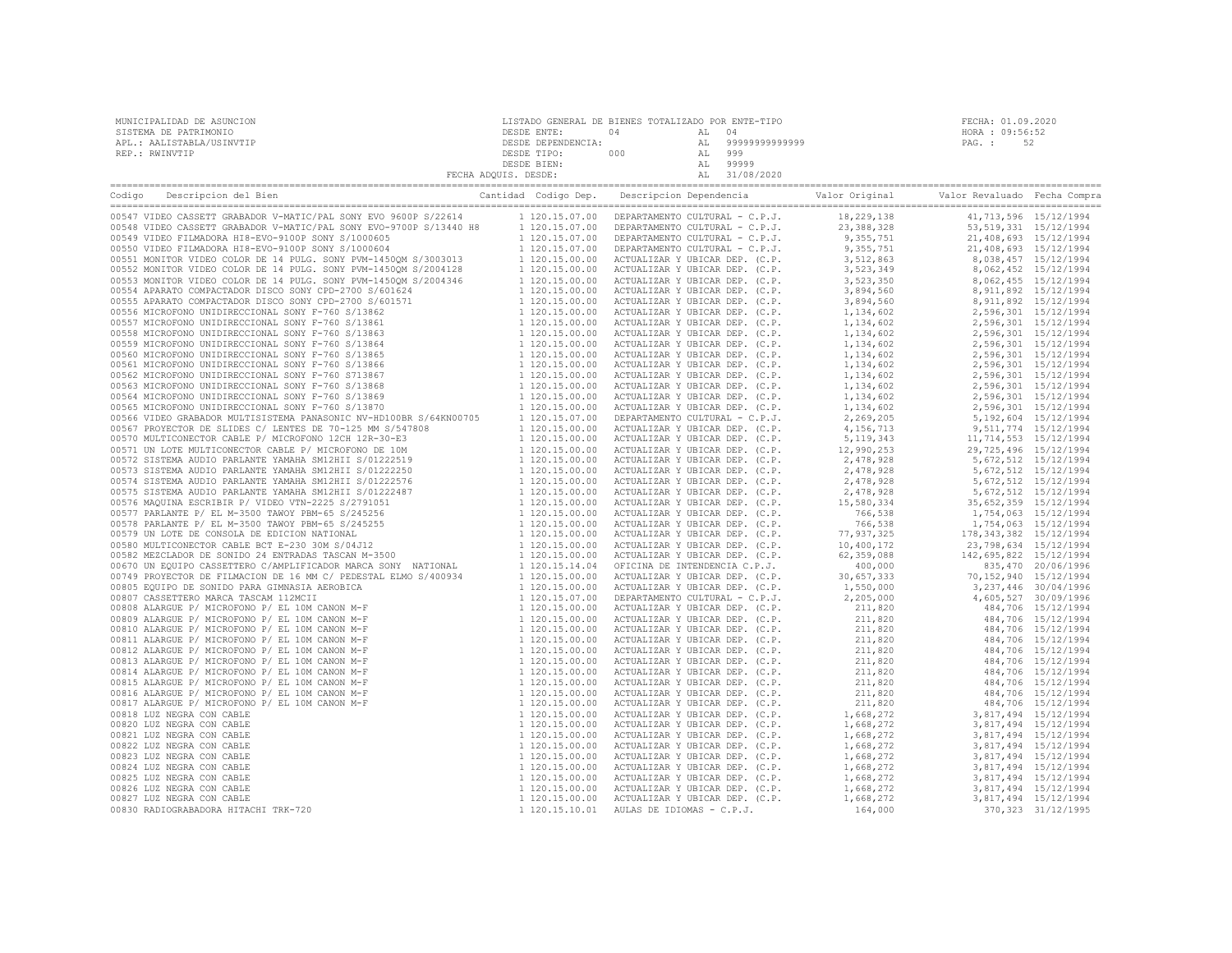| MUNICIPALIDAD DE ASUNCION<br>SISTEMA DE PATRIMONIO<br>APL.: AALISTABLA/USINVTIP<br>REP.: RWINVTIP                                         | $\begin{tabular}{cccc} \multicolumn{4}{c}{\textbf{5.3.1}} \multicolumn{4}{c}{\textbf{5.4.1}} \multicolumn{4}{c}{\textbf{5.5.1}} \multicolumn{4}{c}{\textbf{5.6.1}} \multicolumn{4}{c}{\textbf{5.6.1}} \multicolumn{4}{c}{\textbf{5.6.1}} \multicolumn{4}{c}{\textbf{5.6.1}} \multicolumn{4}{c}{\textbf{5.6.1}} \multicolumn{4}{c}{\textbf{5.6.1}} \multicolumn{4}{c}{\textbf{5.6.1}} \multicolumn{4}{c}{\textbf{5.6.1}} \multic$ | FECHA: 01.09.2020<br>HORA : 09:56:52<br>PAG.: 52 |  |
|-------------------------------------------------------------------------------------------------------------------------------------------|----------------------------------------------------------------------------------------------------------------------------------------------------------------------------------------------------------------------------------------------------------------------------------------------------------------------------------------------------------------------------------------------------------------------------------|--------------------------------------------------|--|
|                                                                                                                                           |                                                                                                                                                                                                                                                                                                                                                                                                                                  |                                                  |  |
| Codigo Descripcion del Bien de Marco de Marco Cantidad Codigo Dep. Descripcion Dependencia de Valor Original Valor Revaluado Fecha Compra |                                                                                                                                                                                                                                                                                                                                                                                                                                  |                                                  |  |
|                                                                                                                                           |                                                                                                                                                                                                                                                                                                                                                                                                                                  |                                                  |  |
|                                                                                                                                           |                                                                                                                                                                                                                                                                                                                                                                                                                                  |                                                  |  |
|                                                                                                                                           |                                                                                                                                                                                                                                                                                                                                                                                                                                  |                                                  |  |
|                                                                                                                                           |                                                                                                                                                                                                                                                                                                                                                                                                                                  |                                                  |  |
|                                                                                                                                           |                                                                                                                                                                                                                                                                                                                                                                                                                                  |                                                  |  |
|                                                                                                                                           |                                                                                                                                                                                                                                                                                                                                                                                                                                  |                                                  |  |
|                                                                                                                                           |                                                                                                                                                                                                                                                                                                                                                                                                                                  |                                                  |  |
|                                                                                                                                           |                                                                                                                                                                                                                                                                                                                                                                                                                                  |                                                  |  |
|                                                                                                                                           |                                                                                                                                                                                                                                                                                                                                                                                                                                  |                                                  |  |
|                                                                                                                                           |                                                                                                                                                                                                                                                                                                                                                                                                                                  |                                                  |  |
|                                                                                                                                           |                                                                                                                                                                                                                                                                                                                                                                                                                                  |                                                  |  |
|                                                                                                                                           |                                                                                                                                                                                                                                                                                                                                                                                                                                  |                                                  |  |
|                                                                                                                                           |                                                                                                                                                                                                                                                                                                                                                                                                                                  |                                                  |  |
|                                                                                                                                           |                                                                                                                                                                                                                                                                                                                                                                                                                                  |                                                  |  |
|                                                                                                                                           |                                                                                                                                                                                                                                                                                                                                                                                                                                  |                                                  |  |
|                                                                                                                                           |                                                                                                                                                                                                                                                                                                                                                                                                                                  |                                                  |  |
|                                                                                                                                           |                                                                                                                                                                                                                                                                                                                                                                                                                                  |                                                  |  |
|                                                                                                                                           |                                                                                                                                                                                                                                                                                                                                                                                                                                  |                                                  |  |
|                                                                                                                                           |                                                                                                                                                                                                                                                                                                                                                                                                                                  |                                                  |  |
|                                                                                                                                           |                                                                                                                                                                                                                                                                                                                                                                                                                                  |                                                  |  |
|                                                                                                                                           |                                                                                                                                                                                                                                                                                                                                                                                                                                  |                                                  |  |
|                                                                                                                                           |                                                                                                                                                                                                                                                                                                                                                                                                                                  |                                                  |  |
|                                                                                                                                           |                                                                                                                                                                                                                                                                                                                                                                                                                                  |                                                  |  |
|                                                                                                                                           |                                                                                                                                                                                                                                                                                                                                                                                                                                  |                                                  |  |
|                                                                                                                                           |                                                                                                                                                                                                                                                                                                                                                                                                                                  |                                                  |  |
|                                                                                                                                           |                                                                                                                                                                                                                                                                                                                                                                                                                                  |                                                  |  |
|                                                                                                                                           |                                                                                                                                                                                                                                                                                                                                                                                                                                  |                                                  |  |
|                                                                                                                                           |                                                                                                                                                                                                                                                                                                                                                                                                                                  |                                                  |  |
|                                                                                                                                           |                                                                                                                                                                                                                                                                                                                                                                                                                                  |                                                  |  |
|                                                                                                                                           |                                                                                                                                                                                                                                                                                                                                                                                                                                  |                                                  |  |
|                                                                                                                                           |                                                                                                                                                                                                                                                                                                                                                                                                                                  |                                                  |  |
|                                                                                                                                           |                                                                                                                                                                                                                                                                                                                                                                                                                                  |                                                  |  |
|                                                                                                                                           |                                                                                                                                                                                                                                                                                                                                                                                                                                  |                                                  |  |
|                                                                                                                                           |                                                                                                                                                                                                                                                                                                                                                                                                                                  |                                                  |  |
|                                                                                                                                           |                                                                                                                                                                                                                                                                                                                                                                                                                                  |                                                  |  |
|                                                                                                                                           |                                                                                                                                                                                                                                                                                                                                                                                                                                  |                                                  |  |
|                                                                                                                                           |                                                                                                                                                                                                                                                                                                                                                                                                                                  |                                                  |  |
|                                                                                                                                           |                                                                                                                                                                                                                                                                                                                                                                                                                                  |                                                  |  |
|                                                                                                                                           |                                                                                                                                                                                                                                                                                                                                                                                                                                  |                                                  |  |
|                                                                                                                                           |                                                                                                                                                                                                                                                                                                                                                                                                                                  |                                                  |  |
|                                                                                                                                           |                                                                                                                                                                                                                                                                                                                                                                                                                                  |                                                  |  |
|                                                                                                                                           |                                                                                                                                                                                                                                                                                                                                                                                                                                  |                                                  |  |
|                                                                                                                                           |                                                                                                                                                                                                                                                                                                                                                                                                                                  |                                                  |  |
|                                                                                                                                           |                                                                                                                                                                                                                                                                                                                                                                                                                                  |                                                  |  |
|                                                                                                                                           |                                                                                                                                                                                                                                                                                                                                                                                                                                  |                                                  |  |
|                                                                                                                                           |                                                                                                                                                                                                                                                                                                                                                                                                                                  |                                                  |  |
|                                                                                                                                           |                                                                                                                                                                                                                                                                                                                                                                                                                                  |                                                  |  |
|                                                                                                                                           |                                                                                                                                                                                                                                                                                                                                                                                                                                  |                                                  |  |
|                                                                                                                                           |                                                                                                                                                                                                                                                                                                                                                                                                                                  |                                                  |  |
|                                                                                                                                           |                                                                                                                                                                                                                                                                                                                                                                                                                                  |                                                  |  |
|                                                                                                                                           |                                                                                                                                                                                                                                                                                                                                                                                                                                  |                                                  |  |
|                                                                                                                                           |                                                                                                                                                                                                                                                                                                                                                                                                                                  |                                                  |  |
|                                                                                                                                           |                                                                                                                                                                                                                                                                                                                                                                                                                                  |                                                  |  |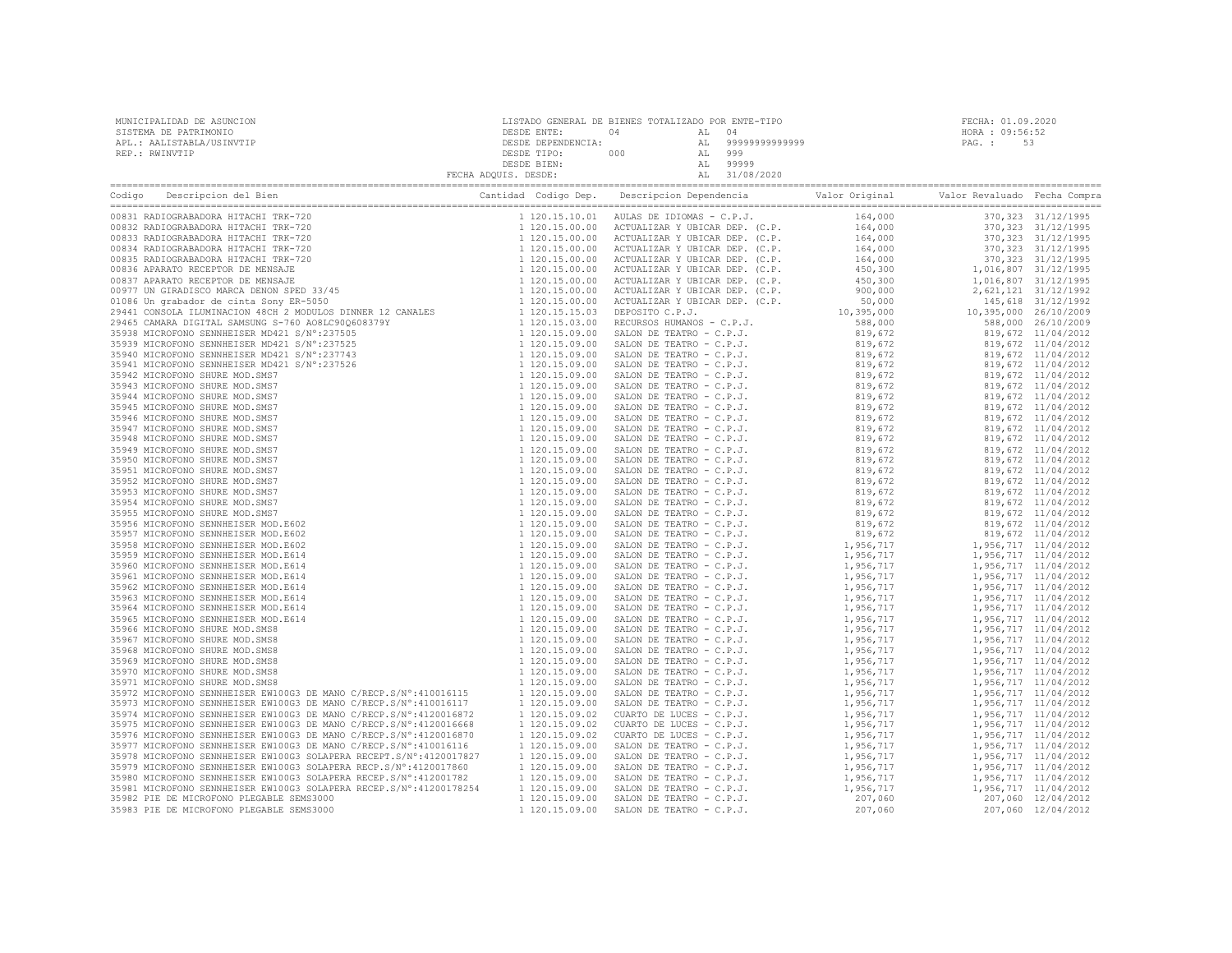| MUNICIPALIDAD DE ASUNCION<br>SISTEMA DE PATRIMONIO<br>APL.: AALISTABLA/USINVTIP<br>REP.: RWINVTIP | $\begin{tabular}{c c c c c} \multicolumn{1}{c}{\texttt{DESDE}} & \multicolumn{1}{c}{\texttt{DESDE}} & \multicolumn{1}{c}{\texttt{DESDE}} & \multicolumn{1}{c}{\texttt{DESDE}} & \multicolumn{1}{c}{\texttt{DESDE}} & \multicolumn{1}{c}{\texttt{DESDE}} & \multicolumn{1}{c}{\texttt{DESDE}} & \multicolumn{1}{c}{\texttt{DESDE}} & \multicolumn{1}{c}{\texttt{DESDE}} & \multicolumn{1}{c}{\texttt{DESDE}} & \multicolumn{1}{c}{\texttt{DESDE}} & \multicolumn{1}{c$ | FECHA: 01.09.2020<br>HORA : 09:56:52<br>PAG.: 53 |
|---------------------------------------------------------------------------------------------------|-----------------------------------------------------------------------------------------------------------------------------------------------------------------------------------------------------------------------------------------------------------------------------------------------------------------------------------------------------------------------------------------------------------------------------------------------------------------------|--------------------------------------------------|
|                                                                                                   |                                                                                                                                                                                                                                                                                                                                                                                                                                                                       |                                                  |
|                                                                                                   |                                                                                                                                                                                                                                                                                                                                                                                                                                                                       |                                                  |
|                                                                                                   |                                                                                                                                                                                                                                                                                                                                                                                                                                                                       |                                                  |
|                                                                                                   |                                                                                                                                                                                                                                                                                                                                                                                                                                                                       |                                                  |
|                                                                                                   |                                                                                                                                                                                                                                                                                                                                                                                                                                                                       |                                                  |
|                                                                                                   |                                                                                                                                                                                                                                                                                                                                                                                                                                                                       |                                                  |
|                                                                                                   |                                                                                                                                                                                                                                                                                                                                                                                                                                                                       |                                                  |
|                                                                                                   |                                                                                                                                                                                                                                                                                                                                                                                                                                                                       |                                                  |
|                                                                                                   |                                                                                                                                                                                                                                                                                                                                                                                                                                                                       |                                                  |
|                                                                                                   |                                                                                                                                                                                                                                                                                                                                                                                                                                                                       |                                                  |
|                                                                                                   |                                                                                                                                                                                                                                                                                                                                                                                                                                                                       |                                                  |
|                                                                                                   |                                                                                                                                                                                                                                                                                                                                                                                                                                                                       |                                                  |
|                                                                                                   |                                                                                                                                                                                                                                                                                                                                                                                                                                                                       |                                                  |
|                                                                                                   |                                                                                                                                                                                                                                                                                                                                                                                                                                                                       |                                                  |
|                                                                                                   |                                                                                                                                                                                                                                                                                                                                                                                                                                                                       |                                                  |
|                                                                                                   |                                                                                                                                                                                                                                                                                                                                                                                                                                                                       |                                                  |
|                                                                                                   |                                                                                                                                                                                                                                                                                                                                                                                                                                                                       |                                                  |
|                                                                                                   |                                                                                                                                                                                                                                                                                                                                                                                                                                                                       |                                                  |
|                                                                                                   |                                                                                                                                                                                                                                                                                                                                                                                                                                                                       |                                                  |
|                                                                                                   |                                                                                                                                                                                                                                                                                                                                                                                                                                                                       |                                                  |
|                                                                                                   |                                                                                                                                                                                                                                                                                                                                                                                                                                                                       |                                                  |
|                                                                                                   |                                                                                                                                                                                                                                                                                                                                                                                                                                                                       |                                                  |
|                                                                                                   |                                                                                                                                                                                                                                                                                                                                                                                                                                                                       |                                                  |
|                                                                                                   |                                                                                                                                                                                                                                                                                                                                                                                                                                                                       |                                                  |
|                                                                                                   |                                                                                                                                                                                                                                                                                                                                                                                                                                                                       |                                                  |
|                                                                                                   |                                                                                                                                                                                                                                                                                                                                                                                                                                                                       |                                                  |
|                                                                                                   |                                                                                                                                                                                                                                                                                                                                                                                                                                                                       |                                                  |
|                                                                                                   |                                                                                                                                                                                                                                                                                                                                                                                                                                                                       |                                                  |
|                                                                                                   |                                                                                                                                                                                                                                                                                                                                                                                                                                                                       |                                                  |
|                                                                                                   |                                                                                                                                                                                                                                                                                                                                                                                                                                                                       |                                                  |
|                                                                                                   |                                                                                                                                                                                                                                                                                                                                                                                                                                                                       |                                                  |
|                                                                                                   |                                                                                                                                                                                                                                                                                                                                                                                                                                                                       |                                                  |
|                                                                                                   |                                                                                                                                                                                                                                                                                                                                                                                                                                                                       |                                                  |
|                                                                                                   |                                                                                                                                                                                                                                                                                                                                                                                                                                                                       |                                                  |
|                                                                                                   |                                                                                                                                                                                                                                                                                                                                                                                                                                                                       |                                                  |
|                                                                                                   |                                                                                                                                                                                                                                                                                                                                                                                                                                                                       |                                                  |
|                                                                                                   |                                                                                                                                                                                                                                                                                                                                                                                                                                                                       |                                                  |
|                                                                                                   |                                                                                                                                                                                                                                                                                                                                                                                                                                                                       |                                                  |
|                                                                                                   |                                                                                                                                                                                                                                                                                                                                                                                                                                                                       |                                                  |
|                                                                                                   |                                                                                                                                                                                                                                                                                                                                                                                                                                                                       |                                                  |
|                                                                                                   |                                                                                                                                                                                                                                                                                                                                                                                                                                                                       |                                                  |
|                                                                                                   |                                                                                                                                                                                                                                                                                                                                                                                                                                                                       |                                                  |
|                                                                                                   |                                                                                                                                                                                                                                                                                                                                                                                                                                                                       |                                                  |
|                                                                                                   |                                                                                                                                                                                                                                                                                                                                                                                                                                                                       |                                                  |
|                                                                                                   |                                                                                                                                                                                                                                                                                                                                                                                                                                                                       |                                                  |
|                                                                                                   |                                                                                                                                                                                                                                                                                                                                                                                                                                                                       |                                                  |
|                                                                                                   |                                                                                                                                                                                                                                                                                                                                                                                                                                                                       |                                                  |
|                                                                                                   |                                                                                                                                                                                                                                                                                                                                                                                                                                                                       |                                                  |
|                                                                                                   |                                                                                                                                                                                                                                                                                                                                                                                                                                                                       |                                                  |
|                                                                                                   |                                                                                                                                                                                                                                                                                                                                                                                                                                                                       |                                                  |
|                                                                                                   |                                                                                                                                                                                                                                                                                                                                                                                                                                                                       |                                                  |
|                                                                                                   |                                                                                                                                                                                                                                                                                                                                                                                                                                                                       |                                                  |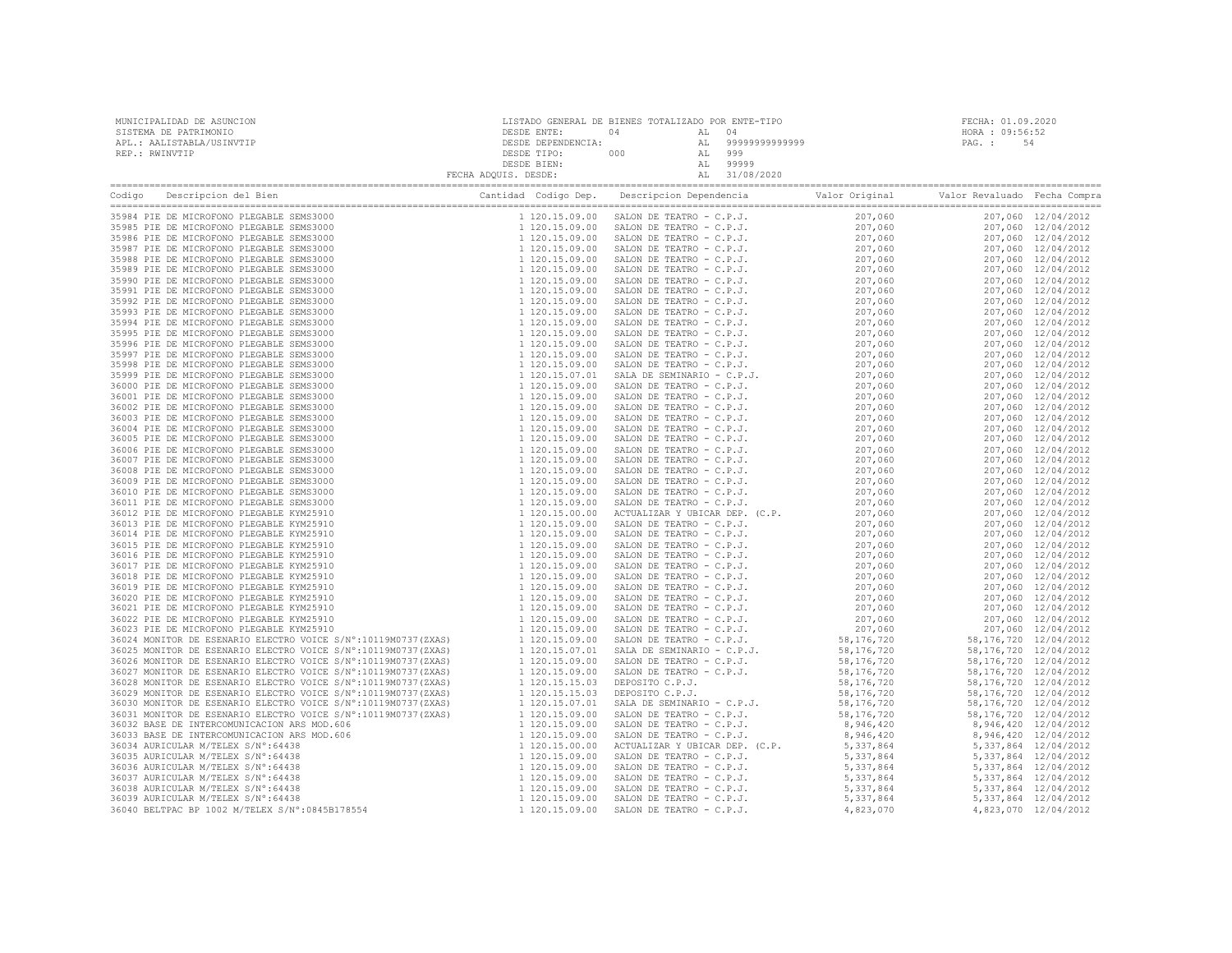| MUNICIPALIDAD DE ASUNCION<br>SISTEMA DE PATRIMONIO |  | FECHA: 01.09.2020<br>HORA : 09:56:52 |  |
|----------------------------------------------------|--|--------------------------------------|--|
| APL.: AALISTABLA/USINVTIP                          |  | PAG. :<br>54                         |  |
| REP.: RWINVTIP                                     |  |                                      |  |
|                                                    |  |                                      |  |
|                                                    |  |                                      |  |
|                                                    |  |                                      |  |
|                                                    |  |                                      |  |
|                                                    |  |                                      |  |
|                                                    |  |                                      |  |
|                                                    |  |                                      |  |
|                                                    |  |                                      |  |
|                                                    |  |                                      |  |
|                                                    |  |                                      |  |
|                                                    |  |                                      |  |
|                                                    |  |                                      |  |
|                                                    |  |                                      |  |
|                                                    |  |                                      |  |
|                                                    |  |                                      |  |
|                                                    |  |                                      |  |
|                                                    |  |                                      |  |
|                                                    |  |                                      |  |
|                                                    |  |                                      |  |
|                                                    |  |                                      |  |
|                                                    |  |                                      |  |
|                                                    |  |                                      |  |
|                                                    |  |                                      |  |
|                                                    |  |                                      |  |
|                                                    |  |                                      |  |
|                                                    |  |                                      |  |
|                                                    |  |                                      |  |
|                                                    |  |                                      |  |
|                                                    |  |                                      |  |
|                                                    |  |                                      |  |
|                                                    |  |                                      |  |
|                                                    |  |                                      |  |
|                                                    |  |                                      |  |
|                                                    |  |                                      |  |
|                                                    |  |                                      |  |
|                                                    |  |                                      |  |
|                                                    |  |                                      |  |
|                                                    |  |                                      |  |
|                                                    |  |                                      |  |
|                                                    |  |                                      |  |
|                                                    |  |                                      |  |
|                                                    |  |                                      |  |
|                                                    |  |                                      |  |
|                                                    |  |                                      |  |
|                                                    |  |                                      |  |
|                                                    |  |                                      |  |
|                                                    |  |                                      |  |
|                                                    |  |                                      |  |
|                                                    |  |                                      |  |
|                                                    |  |                                      |  |
|                                                    |  |                                      |  |
|                                                    |  |                                      |  |
|                                                    |  |                                      |  |
|                                                    |  |                                      |  |
|                                                    |  |                                      |  |
|                                                    |  |                                      |  |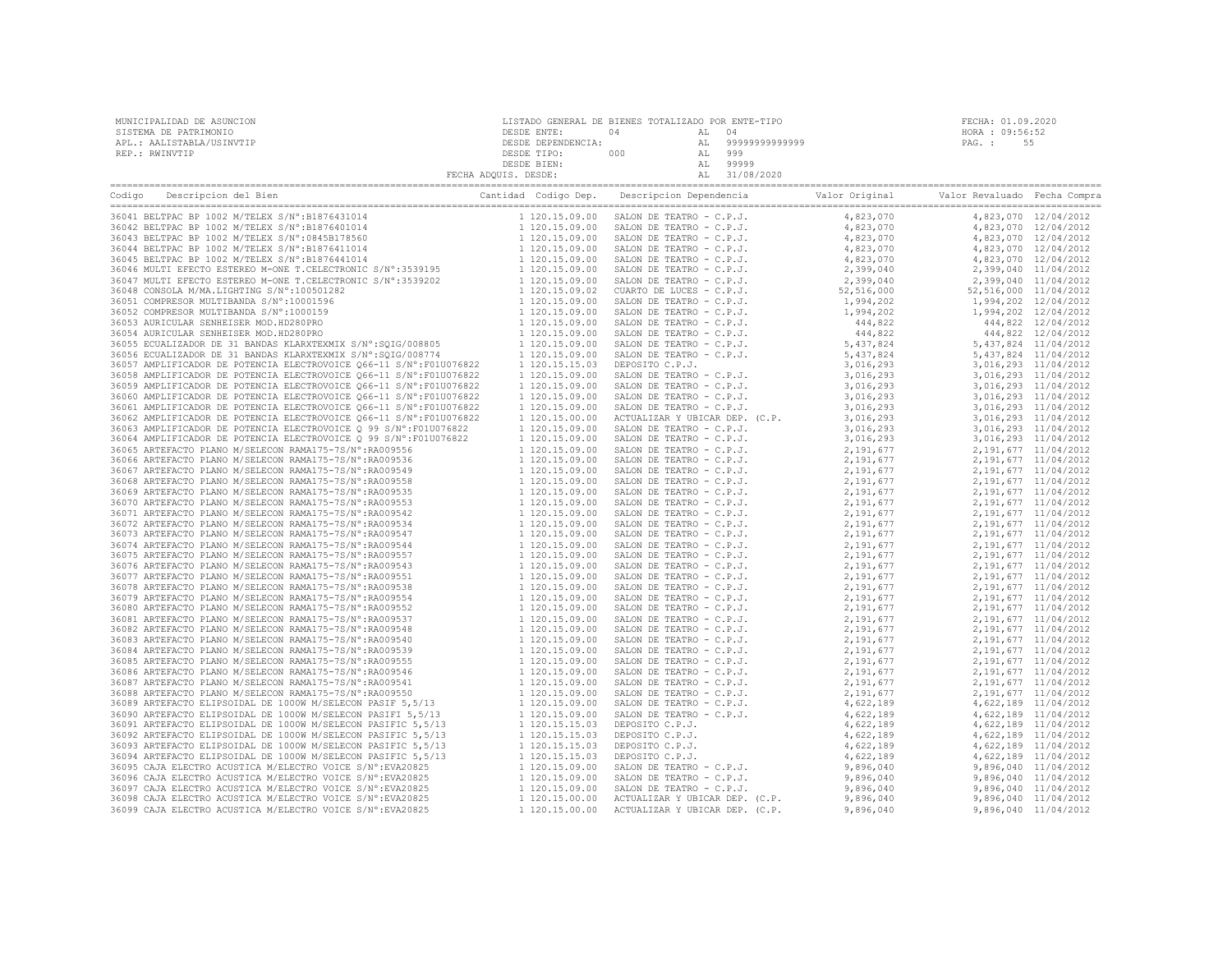| MUNICIPALIDAD DE ASUNCION | LISTADO GENERAL DE BIENES TOTALIZADO POR ENTE-TIPO |     |     |                | FECHA: 01.09.2020 |  |
|---------------------------|----------------------------------------------------|-----|-----|----------------|-------------------|--|
| SISTEMA DE PATRIMONIO     | DESDE ENTE:                                        |     |     |                | HORA : 09:56:52   |  |
| APL.: AALISTABLA/USINVTIP | DESDE DEPENDENCIA:                                 |     | AT. | 99999999999999 | PAG. :            |  |
| REP.: RWINVTIP            | DESDE TIPO:                                        | 000 | AL  | 999            |                   |  |
|                           | DESDE BIEN:                                        |     |     | 99999          |                   |  |
|                           | FECHA ADQUIS. DESDE:                               |     |     | 31/08/2020     |                   |  |

| Descripcion del Bien<br>Codigo                                                                                                                                                                                    |                                  |                                                      |                        |                       |                                                  |
|-------------------------------------------------------------------------------------------------------------------------------------------------------------------------------------------------------------------|----------------------------------|------------------------------------------------------|------------------------|-----------------------|--------------------------------------------------|
| 36041 BELTPAC BP 1002 M/TELEX S/N°:B1876431014                                                                                                                                                                    | 1 120.15.09.00                   | SALON DE TEATRO - C.P.J.                             | 4,823,070              |                       | 4,823,070 12/04/2012                             |
| 36042 BELTPAC BP 1002 M/TELEX S/N°:B1876401014                                                                                                                                                                    | 1 120.15.09.00                   | SALON DE TEATRO - C.P.J.                             | 4,823,070              |                       | 4,823,070 12/04/2012                             |
| 36043 BELTPAC BP 1002 M/TELEX S/N°:0845B178560                                                                                                                                                                    | 1 120.15.09.00                   | SALON DE TEATRO - C.P.J.                             | 4,823,070              |                       | 4,823,070 12/04/2012                             |
| 36044 BELTPAC BP 1002 M/TELEX S/N°:B1876411014                                                                                                                                                                    | 1 120.15.09.00                   | SALON DE TEATRO - C.P.J.                             | 4,823,070              |                       | 4,823,070 12/04/2012                             |
| 36045 BELTPAC BP 1002 M/TELEX S/N°:B1876441014                                                                                                                                                                    | 1 120.15.09.00                   | SALON DE TEATRO - C.P.J.                             | 4,823,070              |                       | 4,823,070 12/04/2012                             |
| 36046 MULTI EFECTO ESTEREO M-ONE T.CELECTRONIC S/Nº:3539195<br>36047 MULTI EFECTO ESTEREO M-ONE T.CELECTRONIC S/Nº:3539202<br>36048 CONSOLA M/MA.LIGHTING S/Nº:100501282<br>26051 CONDIDGO MULTING S/Nº:100501282 | 1 120.15.09.00                   | SALON DE TEATRO - C.P.J.                             | 2,399,040              |                       | 2,399,040 11/04/2012                             |
|                                                                                                                                                                                                                   | 1 120.15.09.00                   | SALON DE TEATRO - C.P.J.                             | 2,399,040              |                       | 2,399,040 11/04/2012                             |
|                                                                                                                                                                                                                   | 1 120.15.09.02                   | CUARTO DE LUCES - C.P.J.                             | 52,516,000             | 52,516,000 11/04/2012 |                                                  |
| 36051 COMPRESOR MULTIBANDA S/N°:10001596                                                                                                                                                                          | 1 120.15.09.00                   | SALON DE TEATRO - C.P.J.                             | 1,994,202              |                       | 1,994,202 12/04/2012                             |
| 36052 COMPRESOR MULTIBANDA S/N°:1000159                                                                                                                                                                           | 1 120.15.09.00                   | SALON DE TEATRO - C.P.J.                             | 1,994,202              |                       | 1,994,202 12/04/2012                             |
| 36053 AURICULAR SENHEISER MOD.HD280PRO                                                                                                                                                                            | 1 120.15.09.00                   | SALON DE TEATRO - C.P.J.                             | 444,822                |                       | 444,822 12/04/2012                               |
| 36054 AURICULAR SENHEISER MOD.HD280PRO                                                                                                                                                                            | 1 120.15.09.00                   | SALON DE TEATRO - C.P.J.                             | 444,822                |                       | 444,822 12/04/2012                               |
| 36055 ECUALIZADOR DE 31 BANDAS KLARXTEXMIX S/N°:SQIG/008805                                                                                                                                                       | 1 120.15.09.00                   | SALON DE TEATRO - C.P.J.                             | 5,437,824              |                       | 5,437,824 11/04/2012                             |
| 36056 ECUALIZADOR DE 31 BANDAS KLARXTEXMIX S/N°:SOIG/008774                                                                                                                                                       | 1 120.15.09.00                   | SALON DE TEATRO - C.P.J.                             | 5,437,824              |                       | 5,437,824 11/04/2012                             |
| 36057 AMPLIFICADOR DE POTENCIA ELECTROVOICE Q66-11 S/N°:F01U076822                                                                                                                                                | 1 120.15.15.03                   | DEPOSITO C.P.J.                                      | 3,016,293              |                       | 3,016,293 11/04/2012                             |
| 36058 AMPLIFICADOR DE POTENCIA ELECTROVOICE 066-11 S/N°:F01U076822                                                                                                                                                | 1 120.15.09.00                   | SALON DE TEATRO - C.P.J.                             | 3,016,293              |                       | 3,016,293 11/04/2012                             |
| 36059 AMPLIFICADOR DE POTENCIA ELECTROVOICE Q66-11 S/N°:F01U076822                                                                                                                                                | 1 120.15.09.00                   | SALON DE TEATRO - C.P.J.                             | 3,016,293              |                       | 3,016,293 11/04/2012                             |
| 36060 AMPLIFICADOR DE POTENCIA ELECTROVOICE Q66-11 S/N°:F01U076822                                                                                                                                                | 1 120.15.09.00                   | SALON DE TEATRO - C.P.J.                             | 3,016,293              |                       | 3,016,293 11/04/2012                             |
| 36061 AMPLIFICADOR DE POTENCIA ELECTROVOICE 066-11 S/N°:F01U076822                                                                                                                                                | 1 120.15.09.00                   | SALON DE TEATRO - C.P.J.                             | 3,016,293              |                       | 3,016,293 11/04/2012                             |
| 36062 AMPLIFICADOR DE POTENCIA ELECTROVOICE Q66-11 S/N°:F01U076822                                                                                                                                                | 1 120.15.00.00                   | ACTUALIZAR Y UBICAR DEP. (C.P.                       | 3,016,293              |                       | 3,016,293 11/04/2012                             |
| 36063 AMPLIFICADOR DE POTENCIA ELECTROVOICE Q 99 S/N°: F01U076822                                                                                                                                                 | 1 120.15.09.00                   | SALON DE TEATRO - C.P.J.                             | 3,016,293              |                       | 3,016,293 11/04/2012                             |
| 36064 AMPLIFICADOR DE POTENCIA ELECTROVOICE O 99 S/N°:F01U076822                                                                                                                                                  | 1 120.15.09.00                   | SALON DE TEATRO - C.P.J.                             | 3,016,293              |                       | 3,016,293 11/04/2012                             |
| 36065 ARTEFACTO PLANO M/SELECON RAMA175-7S/N°:RA009556                                                                                                                                                            | 1 120.15.09.00                   | SALON DE TEATRO - C.P.J.                             | 2,191,677              |                       | 2, 191, 677 11/04/2012                           |
| 36066 ARTEFACTO PLANO M/SELECON RAMA175-7S/N°:RA009536                                                                                                                                                            | 1 120.15.09.00                   | SALON DE TEATRO - C.P.J.                             | 2,191,677              |                       | 2, 191, 677 11/04/2012                           |
| 36067 ARTEFACTO PLANO M/SELECON RAMA175-7S/N°:RA009549                                                                                                                                                            | 1 120.15.09.00                   | SALON DE TEATRO - C.P.J.                             | 2,191,677              |                       | 2, 191, 677 11/04/2012                           |
| 36068 ARTEFACTO PLANO M/SELECON RAMA175-7S/N°:RA009558                                                                                                                                                            | 1 120.15.09.00                   | SALON DE TEATRO - C.P.J.                             | 2,191,677              |                       | 2, 191, 677 11/04/2012                           |
| 36069 ARTEFACTO PLANO M/SELECON RAMA175-7S/N°:RA009535                                                                                                                                                            | 1 120.15.09.00                   | SALON DE TEATRO - C.P.J.                             | 2,191,677              |                       | 2, 191, 677 11/04/2012                           |
| 36070 ARTEFACTO PLANO M/SELECON RAMA175-7S/N°:RA009553                                                                                                                                                            | 1 120.15.09.00                   | SALON DE TEATRO - C.P.J.                             | 2,191,677              |                       | 2, 191, 677 11/04/2012                           |
| 36071 ARTEFACTO PLANO M/SELECON RAMA175-7S/N°:RA009542                                                                                                                                                            | 1 120.15.09.00                   | SALON DE TEATRO - C.P.J.                             | 2,191,677              |                       | 2, 191, 677 11/04/2012                           |
| 36072 ARTEFACTO PLANO M/SELECON RAMA175-7S/N°:RA009534<br>36073 ARTEFACTO PLANO M/SELECON RAMA175-7S/N°:RA009547                                                                                                  | 1 120.15.09.00                   | SALON DE TEATRO - C.P.J.<br>SALON DE TEATRO - C.P.J. | 2,191,677              |                       | 2, 191, 677 11/04/2012                           |
| 36074 ARTEFACTO PLANO M/SELECON RAMA175-7S/N°:RA009544                                                                                                                                                            | 1 120.15.09.00<br>1 120.15.09.00 | SALON DE TEATRO - C.P.J.                             | 2,191,677<br>2,191,677 |                       | 2, 191, 677 11/04/2012<br>2, 191, 677 11/04/2012 |
| 36075 ARTEFACTO PLANO M/SELECON RAMA175-7S/N°:RA009557                                                                                                                                                            | 1 120.15.09.00                   | SALON DE TEATRO - C.P.J.                             | 2,191,677              |                       | 2, 191, 677 11/04/2012                           |
| 36076 ARTEFACTO PLANO M/SELECON RAMA175-7S/N°:RA009543                                                                                                                                                            | 1 120.15.09.00                   | SALON DE TEATRO - C.P.J.                             | 2,191,677              |                       | 2, 191, 677 11/04/2012                           |
| 36077 ARTEFACTO PLANO M/SELECON RAMA175-7S/N°:RA009551                                                                                                                                                            | 1 120.15.09.00                   | SALON DE TEATRO - C.P.J.                             | 2,191,677              |                       | 2, 191, 677 11/04/2012                           |
| 36078 ARTEFACTO PLANO M/SELECON RAMA175-7S/N°:RA009538                                                                                                                                                            | 1 120.15.09.00                   | SALON DE TEATRO - C.P.J.                             | 2,191,677              |                       | 2, 191, 677 11/04/2012                           |
| 36079 ARTEFACTO PLANO M/SELECON RAMA175-7S/N°:RA009554                                                                                                                                                            | 1 120.15.09.00                   | SALON DE TEATRO - C.P.J.                             | 2,191,677              |                       | 2, 191, 677 11/04/2012                           |
| 36080 ARTEFACTO PLANO M/SELECON RAMA175-7S/N°:RA009552                                                                                                                                                            | 1 120.15.09.00                   | SALON DE TEATRO - C.P.J.                             | 2,191,677              |                       | 2, 191, 677 11/04/2012                           |
| 36081 ARTEFACTO PLANO M/SELECON RAMA175-7S/N°:RA009537                                                                                                                                                            | 1 120.15.09.00                   | SALON DE TEATRO - C.P.J.                             | 2,191,677              |                       | 2, 191, 677 11/04/2012                           |
| 36082 ARTEFACTO PLANO M/SELECON RAMA175-7S/N°:RA009548                                                                                                                                                            | 1 120.15.09.00                   | SALON DE TEATRO - C.P.J.                             | 2,191,677              |                       | 2, 191, 677 11/04/2012                           |
| 36083 ARTEFACTO PLANO M/SELECON RAMA175-7S/N°:RA009540                                                                                                                                                            | 1 120.15.09.00                   | SALON DE TEATRO - C.P.J.                             | 2,191,677              |                       | 2, 191, 677 11/04/2012                           |
| 36084 ARTEFACTO PLANO M/SELECON RAMA175-7S/N°:RA009539                                                                                                                                                            | 1 120.15.09.00                   | SALON DE TEATRO - C.P.J.                             | 2,191,677              |                       | 2, 191, 677 11/04/2012                           |
| 36085 ARTEFACTO PLANO M/SELECON RAMA175-7S/N°:RA009555                                                                                                                                                            | 1 120.15.09.00                   | SALON DE TEATRO - C.P.J.                             | 2,191,677              |                       | 2, 191, 677 11/04/2012                           |
| 36086 ARTEFACTO PLANO M/SELECON RAMA175-7S/N°:RA009546                                                                                                                                                            | 1 120.15.09.00                   | SALON DE TEATRO - C.P.J.                             | 2,191,677              |                       | 2, 191, 677 11/04/2012                           |
| 36087 ARTEFACTO PLANO M/SELECON RAMA175-7S/N°:RA009541                                                                                                                                                            | 1 120.15.09.00                   | SALON DE TEATRO - C.P.J.                             | 2,191,677              |                       | 2, 191, 677 11/04/2012                           |
| 36088 ARTEFACTO PLANO M/SELECON RAMA175-7S/N°:RA009550                                                                                                                                                            | 1 120.15.09.00                   | SALON DE TEATRO - C.P.J.                             | 2,191,677              |                       | 2, 191, 677 11/04/2012                           |
| 36089 ARTEFACTO ELIPSOIDAL DE 1000W M/SELECON PASIF 5,5/13                                                                                                                                                        | 1 120.15.09.00                   | SALON DE TEATRO - C.P.J.                             | 4,622,189              |                       | 4,622,189 11/04/2012                             |
| 36090 ARTEFACTO ELIPSOIDAL DE 1000W M/SELECON PASIFI 5,5/13                                                                                                                                                       | 1 120.15.09.00                   | SALON DE TEATRO - C.P.J.                             | 4,622,189              |                       | 4,622,189 11/04/2012                             |
| 36091 ARTEFACTO ELIPSOIDAL DE 1000W M/SELECON PASIFIC 5,5/13                                                                                                                                                      | 1 120.15.15.03                   | DEPOSITO C.P.J.                                      | 4,622,189              |                       | 4,622,189 11/04/2012                             |
| 36092 ARTEFACTO ELIPSOIDAL DE 1000W M/SELECON PASIFIC 5,5/13                                                                                                                                                      | 1 120.15.15.03                   | DEPOSITO C.P.J.                                      | 4,622,189              |                       | 4,622,189 11/04/2012                             |
| 36093 ARTEFACTO ELIPSOIDAL DE 1000W M/SELECON PASIFIC 5,5/13                                                                                                                                                      | 1 120.15.15.03                   | DEPOSITO C.P.J.                                      | 4,622,189              |                       | 4,622,189 11/04/2012                             |
| 36094 ARTEFACTO ELIPSOIDAL DE 1000W M/SELECON PASIFIC 5,5/13                                                                                                                                                      | 1 120.15.15.03                   | DEPOSITO C.P.J.                                      | 4,622,189              |                       | 4,622,189 11/04/2012                             |
| 36095 CAJA ELECTRO ACUSTICA M/ELECTRO VOICE S/N°: EVA20825                                                                                                                                                        | 1 120.15.09.00                   | SALON DE TEATRO - C.P.J.                             | 9,896,040              |                       | 9,896,040 11/04/2012                             |
| 36096 CAJA ELECTRO ACUSTICA M/ELECTRO VOICE S/N°: EVA20825                                                                                                                                                        | 1 120.15.09.00                   | SALON DE TEATRO - C.P.J.                             | 9,896,040              |                       | 9,896,040 11/04/2012                             |
| 36097 CAJA ELECTRO ACUSTICA M/ELECTRO VOICE S/N°: EVA20825                                                                                                                                                        | 1 120.15.09.00                   | SALON DE TEATRO - C.P.J.                             | 9,896,040              |                       | 9,896,040 11/04/2012                             |
| 36098 CAJA ELECTRO ACUSTICA M/ELECTRO VOICE S/N°: EVA20825                                                                                                                                                        | 1 120.15.00.00                   | ACTUALIZAR Y UBICAR DEP. (C.P.                       | 9,896,040              |                       | 9,896,040 11/04/2012                             |
| 36099 CAJA ELECTRO ACUSTICA M/ELECTRO VOICE S/N°: EVA20825                                                                                                                                                        | 1 120.15.00.00                   | ACTUALIZAR Y UBICAR DEP. (C.P.                       | 9,896,040              |                       | 9,896,040 11/04/2012                             |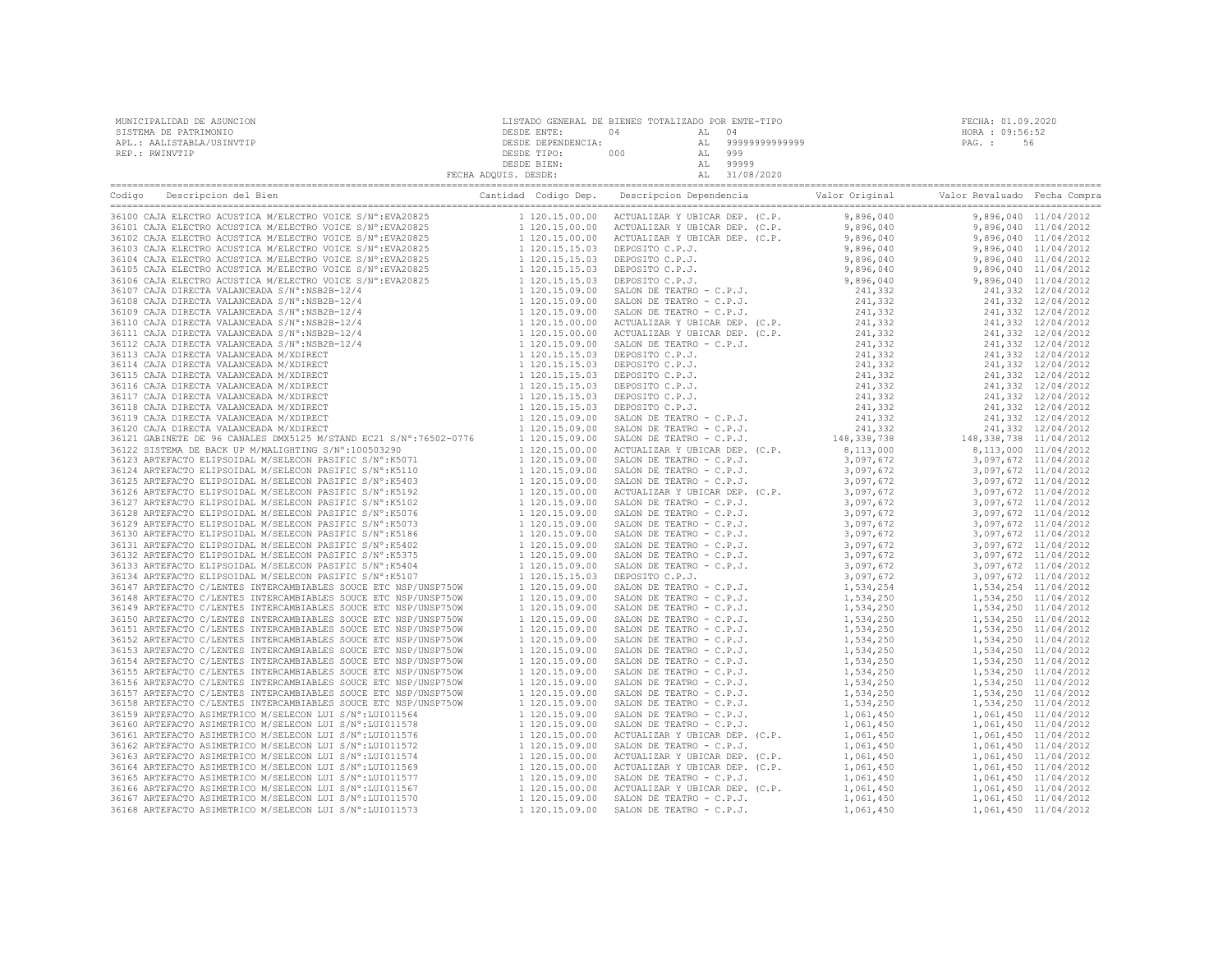| MUNICIPALIDAD DE ASUNCION | LISTADO GENERAL DE BIENES TOTALIZADO POR ENTE-TIPO |     |       |                |                 | FECHA: 01.09.2020 |
|---------------------------|----------------------------------------------------|-----|-------|----------------|-----------------|-------------------|
| SISTEMA DE PATRIMONIO     | DESDE ENTE:                                        | 04  | AL 04 |                | HORA : 09:56:52 |                   |
| APL.: AALISTABLA/USINVTIP | DESDE DEPENDENCIA:                                 |     |       | 99999999999999 | PAG. :          | 56                |
| REP.: RWINVTIP            | DESDE TIPO:                                        | 000 |       | 999            |                 |                   |
|                           | DESDE BIEN:                                        |     |       | 99999          |                 |                   |
|                           | FECHA ADOUIS. DESDE:                               |     |       | AL 31/08/2020  |                 |                   |
|                           |                                                    |     |       |                |                 |                   |

| Cantidad Codigo Dep.<br>Codigo<br>Descripcion del Bien<br>CARL CARRIE (2003)<br>200825 1120.15.00.00 ACTUR<br>200825 1120.15.00.00 ACTUR<br>EVA20825 1120.15.00.00 ACTUR<br>EVA20825 1120.15.00.00 ACT<br>EVA20825 1120.15.15.03 DEF<br>9:EVA20825 1120.15.15.03 DEF<br>9:EVA20825 1120.15.15.03 DEF<br> |                                                                                                                  | Descripcion Dependencia<br>Valor Original                                                                                                                                                                                              |                                                                                                 | Valor Revaluado Fecha Compra |  |
|----------------------------------------------------------------------------------------------------------------------------------------------------------------------------------------------------------------------------------------------------------------------------------------------------------|------------------------------------------------------------------------------------------------------------------|----------------------------------------------------------------------------------------------------------------------------------------------------------------------------------------------------------------------------------------|-------------------------------------------------------------------------------------------------|------------------------------|--|
| 36100 CAJA ELECTRO ACUSTICA M/ELECTRO VOICE S/N°: EVA20825                                                                                                                                                                                                                                               |                                                                                                                  |                                                                                                                                                                                                                                        |                                                                                                 |                              |  |
| 36101 CAJA ELECTRO ACUSTICA M/ELECTRO VOICE S/N°:EVA20825                                                                                                                                                                                                                                                |                                                                                                                  |                                                                                                                                                                                                                                        |                                                                                                 |                              |  |
| 36102 CAJA ELECTRO ACUSTICA M/ELECTRO VOICE S/N°: EVA20825                                                                                                                                                                                                                                               |                                                                                                                  |                                                                                                                                                                                                                                        |                                                                                                 |                              |  |
| 36103 CAJA ELECTRO ACUSTICA M/ELECTRO VOICE S/N°:EVA20825                                                                                                                                                                                                                                                |                                                                                                                  |                                                                                                                                                                                                                                        |                                                                                                 |                              |  |
| 36104 CAJA ELECTRO ACUSTICA M/ELECTRO VOICE S/N°:EVA20825                                                                                                                                                                                                                                                |                                                                                                                  |                                                                                                                                                                                                                                        |                                                                                                 |                              |  |
| 36105 CAJA ELECTRO ACUSTICA M/ELECTRO VOICE S/N°:EVA20825                                                                                                                                                                                                                                                |                                                                                                                  |                                                                                                                                                                                                                                        |                                                                                                 |                              |  |
| 36106 CAJA ELECTRO ACUSTICA M/ELECTRO VOICE S/N°: EVA20825                                                                                                                                                                                                                                               |                                                                                                                  |                                                                                                                                                                                                                                        |                                                                                                 |                              |  |
| 36107 CAJA DIRECTA VALANCEADA S/N°:NSB2B-12/4                                                                                                                                                                                                                                                            |                                                                                                                  |                                                                                                                                                                                                                                        |                                                                                                 |                              |  |
| 36108 CAJA DIRECTA VALANCEADA S/N°:NSB2B-12/4                                                                                                                                                                                                                                                            |                                                                                                                  |                                                                                                                                                                                                                                        |                                                                                                 |                              |  |
| 36109 CAJA DIRECTA VALANCEADA S/N°:NSB2B-12/4                                                                                                                                                                                                                                                            |                                                                                                                  |                                                                                                                                                                                                                                        |                                                                                                 |                              |  |
| 36110 CAJA DIRECTA VALANCEADA S/N°:NSB2B-12/4                                                                                                                                                                                                                                                            |                                                                                                                  |                                                                                                                                                                                                                                        |                                                                                                 |                              |  |
| 36111 CAJA DIRECTA VALANCEADA S/N°:NSB2B-12/4                                                                                                                                                                                                                                                            |                                                                                                                  |                                                                                                                                                                                                                                        |                                                                                                 |                              |  |
| 36112 CAJA DIRECTA VALANCEADA S/N°:NSB2B-12/4                                                                                                                                                                                                                                                            |                                                                                                                  |                                                                                                                                                                                                                                        |                                                                                                 |                              |  |
| 36113 CAJA DIRECTA VALANCEADA M/XDIRECT                                                                                                                                                                                                                                                                  |                                                                                                                  |                                                                                                                                                                                                                                        |                                                                                                 |                              |  |
| 36114 CAJA DIRECTA VALANCEADA M/XDIRECT                                                                                                                                                                                                                                                                  |                                                                                                                  |                                                                                                                                                                                                                                        |                                                                                                 |                              |  |
| 36115 CAJA DIRECTA VALANCEADA M/XDIRECT                                                                                                                                                                                                                                                                  |                                                                                                                  |                                                                                                                                                                                                                                        |                                                                                                 |                              |  |
| 36116 CAJA DIRECTA VALANCEADA M/XDIRECT                                                                                                                                                                                                                                                                  |                                                                                                                  |                                                                                                                                                                                                                                        |                                                                                                 |                              |  |
| 36117 CAJA DIRECTA VALANCEADA M/XDIRECT                                                                                                                                                                                                                                                                  |                                                                                                                  |                                                                                                                                                                                                                                        |                                                                                                 |                              |  |
| 36118 CAJA DIRECTA VALANCEADA M/XDIRECT                                                                                                                                                                                                                                                                  |                                                                                                                  |                                                                                                                                                                                                                                        |                                                                                                 |                              |  |
| 36119 CAJA DIRECTA VALANCEADA M/XDIRECT                                                                                                                                                                                                                                                                  |                                                                                                                  |                                                                                                                                                                                                                                        |                                                                                                 |                              |  |
|                                                                                                                                                                                                                                                                                                          |                                                                                                                  |                                                                                                                                                                                                                                        |                                                                                                 |                              |  |
| 36120 CAJA DIRECTA VALANCEADA M/XDIRECT 1 (120.15.09.00 16121 GABINETE DE 96 CANALES DMX5125 M/STAND EC21 S/N°:76502-0776 1 120.15.09.00                                                                                                                                                                 |                                                                                                                  |                                                                                                                                                                                                                                        |                                                                                                 |                              |  |
|                                                                                                                                                                                                                                                                                                          |                                                                                                                  |                                                                                                                                                                                                                                        |                                                                                                 |                              |  |
|                                                                                                                                                                                                                                                                                                          |                                                                                                                  |                                                                                                                                                                                                                                        |                                                                                                 |                              |  |
|                                                                                                                                                                                                                                                                                                          |                                                                                                                  |                                                                                                                                                                                                                                        |                                                                                                 |                              |  |
|                                                                                                                                                                                                                                                                                                          |                                                                                                                  |                                                                                                                                                                                                                                        |                                                                                                 |                              |  |
|                                                                                                                                                                                                                                                                                                          |                                                                                                                  |                                                                                                                                                                                                                                        |                                                                                                 |                              |  |
|                                                                                                                                                                                                                                                                                                          |                                                                                                                  |                                                                                                                                                                                                                                        |                                                                                                 |                              |  |
|                                                                                                                                                                                                                                                                                                          |                                                                                                                  |                                                                                                                                                                                                                                        |                                                                                                 |                              |  |
|                                                                                                                                                                                                                                                                                                          |                                                                                                                  |                                                                                                                                                                                                                                        |                                                                                                 |                              |  |
|                                                                                                                                                                                                                                                                                                          |                                                                                                                  |                                                                                                                                                                                                                                        |                                                                                                 |                              |  |
|                                                                                                                                                                                                                                                                                                          |                                                                                                                  |                                                                                                                                                                                                                                        |                                                                                                 |                              |  |
| 36131 ARTEFACTO ELIPSOIDAL M/SELECON PASIFIC S/N°:K5402                                                                                                                                                                                                                                                  |                                                                                                                  |                                                                                                                                                                                                                                        |                                                                                                 |                              |  |
| 36132 ARTEFACTO ELIPSOIDAL M/SELECON PASIFIC S/N°: K5375                                                                                                                                                                                                                                                 | $\begin{array}{ccc} 1 & 120.15.09.00 \\ 1 & 120.15.09.00 \\ 1 & 120.15.09.00 \\ 1 & 120.15.15.03 \\ \end{array}$ |                                                                                                                                                                                                                                        |                                                                                                 |                              |  |
| 36133 ARTEFACTO ELIPSOIDAL M/SELECON PASIFIC S/N°:K5404                                                                                                                                                                                                                                                  |                                                                                                                  |                                                                                                                                                                                                                                        |                                                                                                 |                              |  |
| 36134 ARTEFACTO ELIPSOIDAL M/SELECON PASIFIC S/N°:K5107                                                                                                                                                                                                                                                  |                                                                                                                  |                                                                                                                                                                                                                                        |                                                                                                 |                              |  |
| 36147 ARTEFACTO C/LENTES INTERCAMBIABLES SOUCE ETC NSP/UNSP750W                                                                                                                                                                                                                                          | 1 120.15.09.00<br>1 120.15.09 00                                                                                 |                                                                                                                                                                                                                                        |                                                                                                 |                              |  |
| 36148 ARTEFACTO C/LENTES INTERCAMBIABLES SOUCE ETC NSP/UNSP750W                                                                                                                                                                                                                                          |                                                                                                                  |                                                                                                                                                                                                                                        |                                                                                                 |                              |  |
| 36149 ARTEFACTO C/LENTES INTERCAMBIABLES SOUCE ETC NSP/UNSP750W                                                                                                                                                                                                                                          | 1 120.15.09.00                                                                                                   |                                                                                                                                                                                                                                        |                                                                                                 |                              |  |
| 36150 ARTEFACTO C/LENTES INTERCAMBIABLES SOUCE ETC NSP/UNSP750W                                                                                                                                                                                                                                          |                                                                                                                  |                                                                                                                                                                                                                                        |                                                                                                 |                              |  |
| 36151 ARTEFACTO C/LENTES INTERCAMBIABLES SOUCE ETC NSP/UNSP750W                                                                                                                                                                                                                                          |                                                                                                                  |                                                                                                                                                                                                                                        |                                                                                                 |                              |  |
| 36152 ARTEFACTO C/LENTES INTERCAMBIABLES SOUCE ETC NSP/UNSP750W                                                                                                                                                                                                                                          |                                                                                                                  |                                                                                                                                                                                                                                        |                                                                                                 |                              |  |
| 36153 ARTEFACTO C/LENTES INTERCAMBIABLES SOUCE ETC NSP/UNSP750W                                                                                                                                                                                                                                          | 1 120.15.09.00                                                                                                   |                                                                                                                                                                                                                                        |                                                                                                 |                              |  |
| 36154 ARTEFACTO C/LENTES INTERCAMBIABLES SOUCE ETC NSP/UNSP750W                                                                                                                                                                                                                                          |                                                                                                                  |                                                                                                                                                                                                                                        |                                                                                                 |                              |  |
| 36155 ARTEFACTO C/LENTES INTERCAMBIABLES SOUCE ETC NSP/UNSP750W                                                                                                                                                                                                                                          |                                                                                                                  |                                                                                                                                                                                                                                        |                                                                                                 |                              |  |
| 36156 ARTEFACTO C/LENTES INTERCAMBIABLES SOUCE ETC NSP/UNSP750W                                                                                                                                                                                                                                          | 1 120.15.09.00<br>1 120.15.09.00                                                                                 |                                                                                                                                                                                                                                        | 1,534,250<br>1,534,250<br>1,534,250                                                             |                              |  |
| 36157 ARTEFACTO C/LENTES INTERCAMBIABLES SOUCE ETC NSP/UNSP750W                                                                                                                                                                                                                                          |                                                                                                                  |                                                                                                                                                                                                                                        |                                                                                                 |                              |  |
| 36158 ARTEFACTO C/LENTES INTERCAMBIABLES SOUCE ETC NSP/UNSP750W                                                                                                                                                                                                                                          | 1 120.15.09.00                                                                                                   | SALON DE TEATRO - C.P.J.                                                                                                                                                                                                               |                                                                                                 | 1,534,250 11/04/2012         |  |
| 36159 ARTEFACTO ASIMETRICO M/SELECON LUI S/N°:LUI011564                                                                                                                                                                                                                                                  | 1 120.15.09.00                                                                                                   | SALON DE TEATRO - C.P.J.                                                                                                                                                                                                               |                                                                                                 | 1,061,450 11/04/2012         |  |
| 36160 ARTEFACTO ASIMETRICO M/SELECON LUI S/N°:LUI011578                                                                                                                                                                                                                                                  | 1 120.15.09.00                                                                                                   | SALON DE TEATRO - C.P.J.                                                                                                                                                                                                               |                                                                                                 | 1,061,450 11/04/2012         |  |
| 36161 ARTEFACTO ASIMETRICO M/SELECON LUI S/N°:LUI011576                                                                                                                                                                                                                                                  | 1 120.15.00.00                                                                                                   | ACTUALIZAR Y UBICAR DEP. (C.P.                                                                                                                                                                                                         | 1, 534, 250<br>1, 061, 450<br>1, 061, 450<br>2. P.<br>1, 061, 450<br>1, 051, 450<br>1, 051, 450 | 1,061,450 11/04/2012         |  |
| 36162 ARTEFACTO ASIMETRICO M/SELECON LUI S/N°:LUI011572                                                                                                                                                                                                                                                  | 1 120.15.09.00                                                                                                   | SALON DE TEATRO - C.P.J.<br>SALON DE TEATRO - C.P.J.<br>ACTUALIZAR Y UBICAR DEP. (C.P. 1,061,450 1,061,450 11/04/2012<br>ACTUALIZAR Y UBICAR DEP. (C.P. 1,061,450 1,061,450 11/04/2012<br>ACTUALIZAR Y UBICAR DEP. (C.P. 1,061,450 1,0 |                                                                                                 |                              |  |
| 36163 ARTEFACTO ASIMETRICO M/SELECON LUI S/N°: LUI011574                                                                                                                                                                                                                                                 | 1 120.15.00.00                                                                                                   |                                                                                                                                                                                                                                        |                                                                                                 |                              |  |
| 36164 ARTEFACTO ASIMETRICO M/SELECON LUI S/N°:LUI011569                                                                                                                                                                                                                                                  | 1 120.15.00.00                                                                                                   |                                                                                                                                                                                                                                        |                                                                                                 |                              |  |
| 36165 ARTEFACTO ASIMETRICO M/SELECON LUI S/N°: LUI011577                                                                                                                                                                                                                                                 | 1 120.15.09.00                                                                                                   |                                                                                                                                                                                                                                        |                                                                                                 |                              |  |
| 36166 ARTEFACTO ASIMETRICO M/SELECON LUI S/N°:LUI011567                                                                                                                                                                                                                                                  | 1 120.15.00.00                                                                                                   |                                                                                                                                                                                                                                        |                                                                                                 |                              |  |
| 36167 ARTEFACTO ASIMETRICO M/SELECON LUI S/N°:LUI011570                                                                                                                                                                                                                                                  | 1 120.15.09.00                                                                                                   |                                                                                                                                                                                                                                        |                                                                                                 |                              |  |
| 36168 ARTEFACTO ASIMETRICO M/SELECON LUI S/N°: LUI011573                                                                                                                                                                                                                                                 | 1 120.15.09.00                                                                                                   | SALON DE TEATRO - C.P.J.                                                                                                                                                                                                               | 1,061,450                                                                                       | 1,061,450 11/04/2012         |  |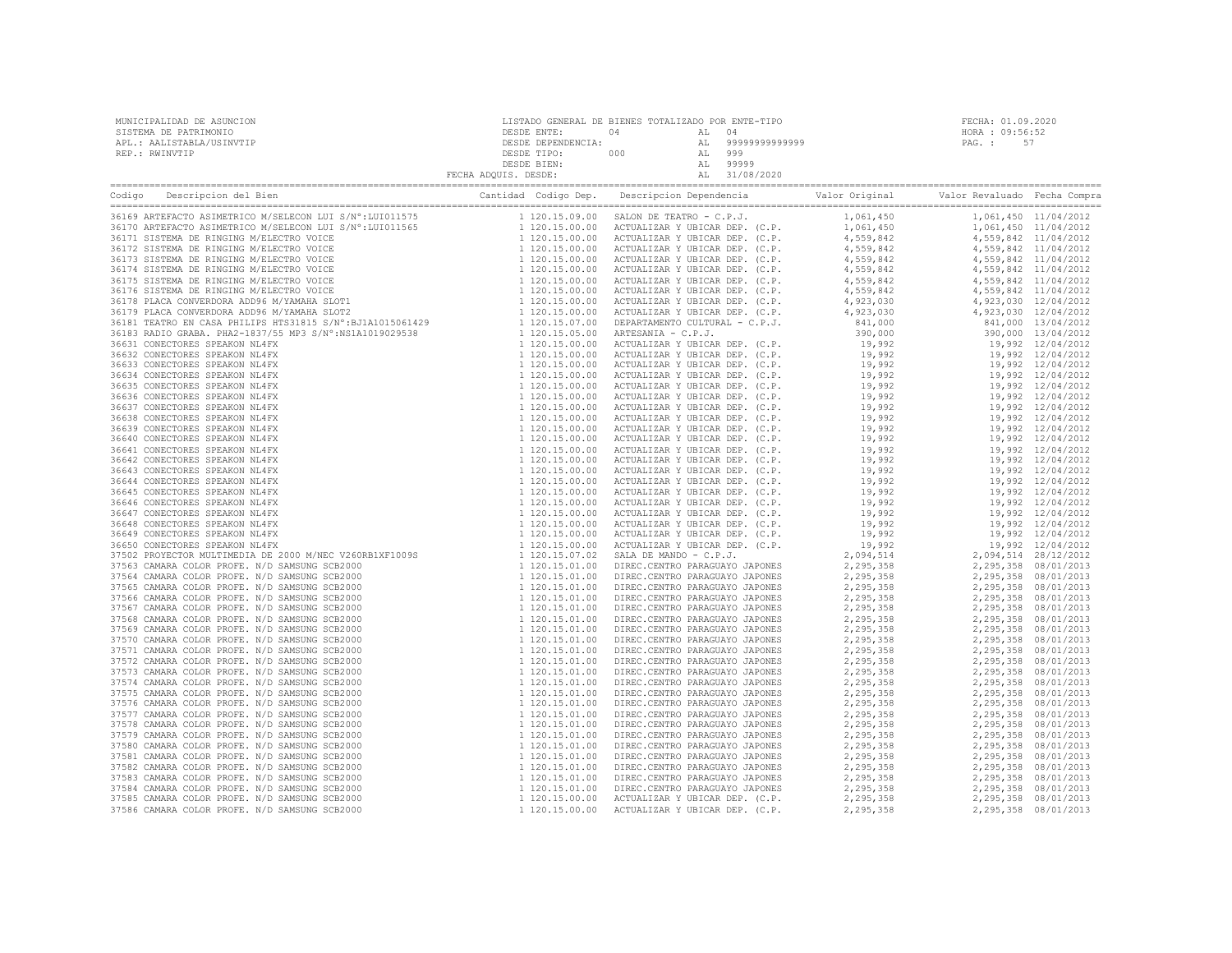| MUNICIPALIDAD DE ASUNCION | LISTADO GENERAL DE BIENES TOTALIZADO POR ENTE-TIPO |     |       |                   | FECHA: 01.09.2020 |  |  |
|---------------------------|----------------------------------------------------|-----|-------|-------------------|-------------------|--|--|
| SISTEMA DE PATRIMONIO     | DESDE ENTE:                                        | 04  | AL 04 |                   | HORA : 09:56:52   |  |  |
| APL.: AALISTABLA/USINVTIP | DESDE DEPENDENCIA:                                 |     |       | AL 99999999999999 | PAG.: 57          |  |  |
| REP.: RWINVTIP            | DESDE TIPO:                                        | 000 | AL    | 999               |                   |  |  |
|                           | DESDE BIEN:                                        |     | AL    | 99999             |                   |  |  |
|                           | FECHA ADOUIS. DESDE:                               |     |       | 31/08/2020        |                   |  |  |

| 37586 CAMARA COLOR PROFE. N/D SAMSUNG SCB2000 |  |  |  |
|-----------------------------------------------|--|--|--|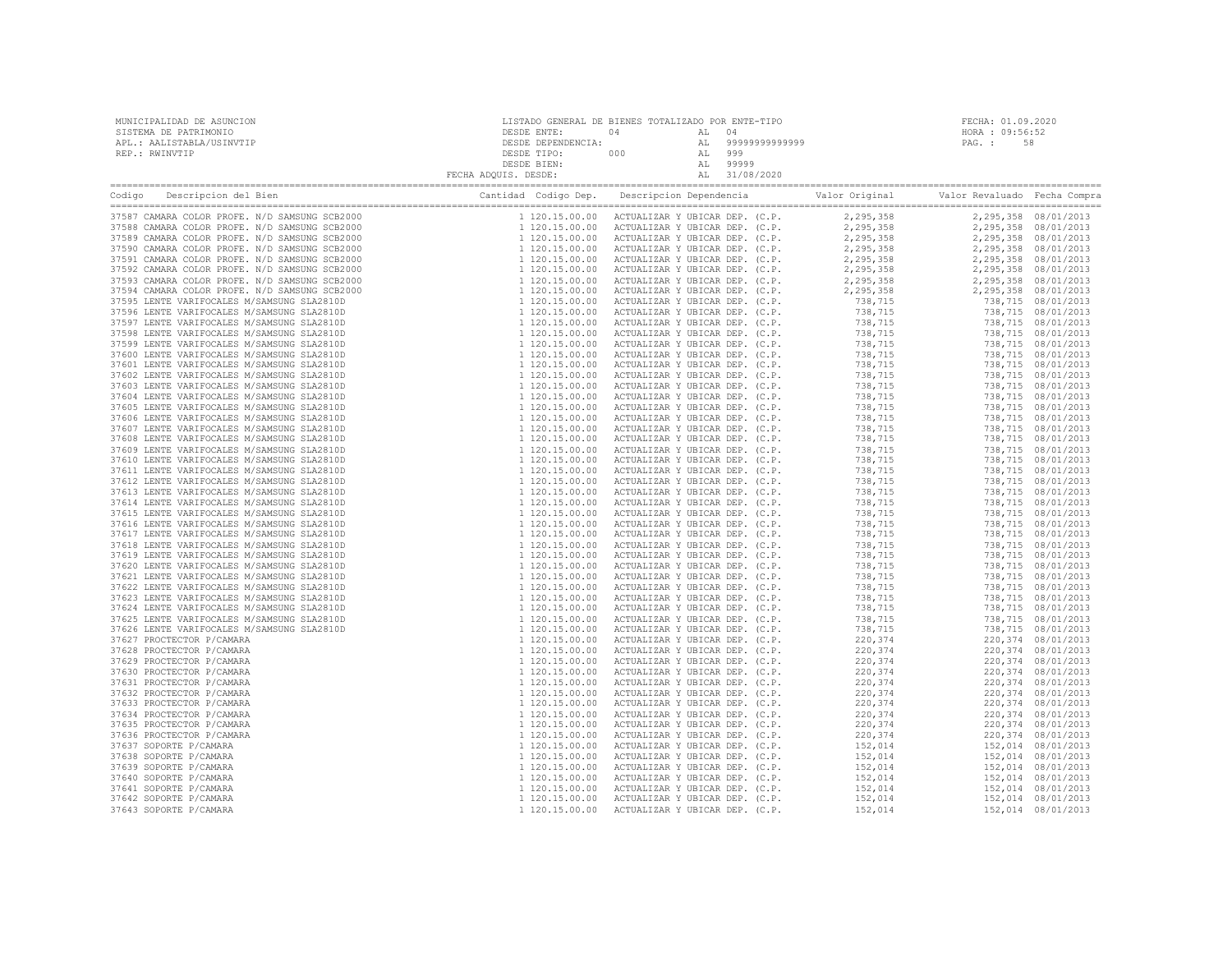| MUNICIPALIDAD DE ASUNCION<br>SISTEMA DE PATRIMONIO<br>APL.: AALISTABLA/USINVTIP |  | FECHA: 01.09.2020<br>HORA : 09:56:52<br>PAG.: 58 |  |  |
|---------------------------------------------------------------------------------|--|--------------------------------------------------|--|--|
| REP.: RWINVTIP                                                                  |  |                                                  |  |  |
|                                                                                 |  |                                                  |  |  |
|                                                                                 |  |                                                  |  |  |
|                                                                                 |  |                                                  |  |  |
|                                                                                 |  |                                                  |  |  |
|                                                                                 |  |                                                  |  |  |
|                                                                                 |  |                                                  |  |  |
|                                                                                 |  |                                                  |  |  |
|                                                                                 |  |                                                  |  |  |
|                                                                                 |  |                                                  |  |  |
|                                                                                 |  |                                                  |  |  |
|                                                                                 |  |                                                  |  |  |
|                                                                                 |  |                                                  |  |  |
|                                                                                 |  |                                                  |  |  |
|                                                                                 |  |                                                  |  |  |
|                                                                                 |  |                                                  |  |  |
|                                                                                 |  |                                                  |  |  |
|                                                                                 |  |                                                  |  |  |
|                                                                                 |  |                                                  |  |  |
|                                                                                 |  |                                                  |  |  |
|                                                                                 |  |                                                  |  |  |
|                                                                                 |  |                                                  |  |  |
|                                                                                 |  |                                                  |  |  |
|                                                                                 |  |                                                  |  |  |
|                                                                                 |  |                                                  |  |  |
|                                                                                 |  |                                                  |  |  |
|                                                                                 |  |                                                  |  |  |
|                                                                                 |  |                                                  |  |  |
|                                                                                 |  |                                                  |  |  |
|                                                                                 |  |                                                  |  |  |
|                                                                                 |  |                                                  |  |  |
|                                                                                 |  |                                                  |  |  |
|                                                                                 |  |                                                  |  |  |
|                                                                                 |  |                                                  |  |  |
|                                                                                 |  |                                                  |  |  |
|                                                                                 |  |                                                  |  |  |
|                                                                                 |  |                                                  |  |  |
|                                                                                 |  |                                                  |  |  |
|                                                                                 |  |                                                  |  |  |
|                                                                                 |  |                                                  |  |  |
|                                                                                 |  |                                                  |  |  |
|                                                                                 |  |                                                  |  |  |
|                                                                                 |  |                                                  |  |  |
|                                                                                 |  |                                                  |  |  |
|                                                                                 |  |                                                  |  |  |
|                                                                                 |  |                                                  |  |  |
|                                                                                 |  |                                                  |  |  |
|                                                                                 |  |                                                  |  |  |
|                                                                                 |  |                                                  |  |  |
|                                                                                 |  |                                                  |  |  |
|                                                                                 |  |                                                  |  |  |
|                                                                                 |  |                                                  |  |  |
|                                                                                 |  |                                                  |  |  |
|                                                                                 |  |                                                  |  |  |
|                                                                                 |  |                                                  |  |  |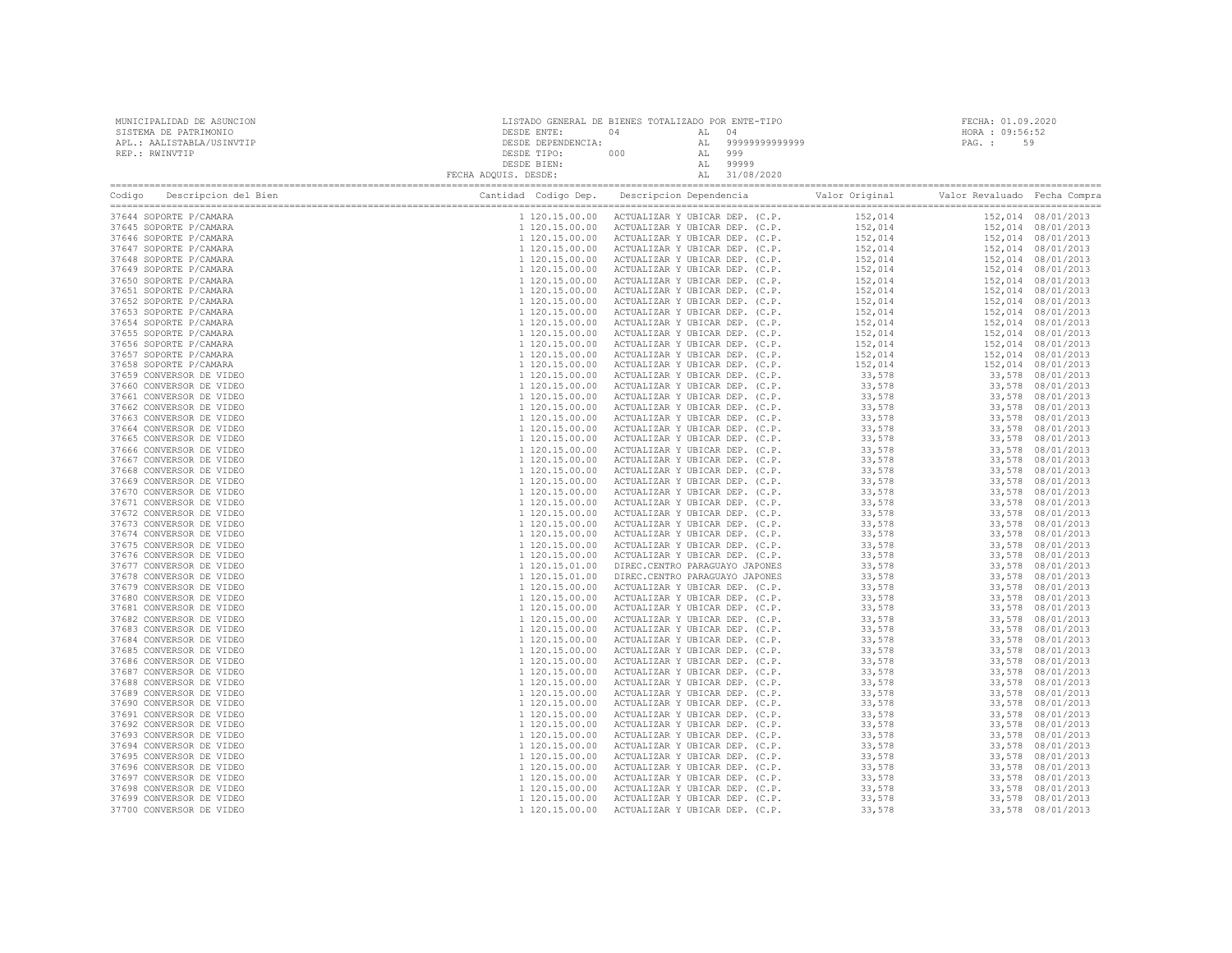| MUNICIPALIDAD DE ASUNCION<br>SISTEMA DE PATRIMONIO<br>APL.: AALISTABLA/USINVTIP<br>REP.: RWINVTIP |  | FECHA: 01.09.2020<br>HORA : 09:56:52<br>PAG.: 59                                                                                                                                                                                                                                                                                                                                                                                    |  |  |  |
|---------------------------------------------------------------------------------------------------|--|-------------------------------------------------------------------------------------------------------------------------------------------------------------------------------------------------------------------------------------------------------------------------------------------------------------------------------------------------------------------------------------------------------------------------------------|--|--|--|
|                                                                                                   |  |                                                                                                                                                                                                                                                                                                                                                                                                                                     |  |  |  |
|                                                                                                   |  | $\begin{tabular}{  c   c   c   c   c  } \hline \textbf{1} & \textbf{1} & \textbf{1} & \textbf{1} & \textbf{1} & \textbf{1} & \textbf{1} & \textbf{1} & \textbf{1} & \textbf{1} & \textbf{1} & \textbf{1} & \textbf{1} & \textbf{1} & \textbf{1} & \textbf{1} & \textbf{1} & \textbf{1} & \textbf{1} & \textbf{1} & \textbf{1} & \textbf{1} & \textbf{1} & \textbf{1} & \textbf{1} & \textbf{1} & \textbf{1} & \textbf{1} & \textbf$ |  |  |  |
| 37644 SOPORTE P/CAMARA                                                                            |  |                                                                                                                                                                                                                                                                                                                                                                                                                                     |  |  |  |
| 37645 SOPORTE P/CAMARA                                                                            |  |                                                                                                                                                                                                                                                                                                                                                                                                                                     |  |  |  |
| 37646 SOPORTE P/CAMARA                                                                            |  |                                                                                                                                                                                                                                                                                                                                                                                                                                     |  |  |  |
| 37647 SOPORTE P/CAMARA                                                                            |  |                                                                                                                                                                                                                                                                                                                                                                                                                                     |  |  |  |
| 37648 SOPORTE P/CAMARA<br>37649 SOPORTE P/CAMARA                                                  |  |                                                                                                                                                                                                                                                                                                                                                                                                                                     |  |  |  |
| 37650 SOPORTE P/CAMARA                                                                            |  |                                                                                                                                                                                                                                                                                                                                                                                                                                     |  |  |  |
| 37651 SOPORTE P/CAMARA                                                                            |  |                                                                                                                                                                                                                                                                                                                                                                                                                                     |  |  |  |
| 37652 SOPORTE P/CAMARA                                                                            |  |                                                                                                                                                                                                                                                                                                                                                                                                                                     |  |  |  |
| 37653 SOPORTE P/CAMARA                                                                            |  |                                                                                                                                                                                                                                                                                                                                                                                                                                     |  |  |  |
| 37654 SOPORTE P/CAMARA                                                                            |  |                                                                                                                                                                                                                                                                                                                                                                                                                                     |  |  |  |
| 37655 SOPORTE P/CAMARA                                                                            |  |                                                                                                                                                                                                                                                                                                                                                                                                                                     |  |  |  |
| 37656 SOPORTE P/CAMARA                                                                            |  |                                                                                                                                                                                                                                                                                                                                                                                                                                     |  |  |  |
| 37657 SOPORTE P/CAMARA                                                                            |  |                                                                                                                                                                                                                                                                                                                                                                                                                                     |  |  |  |
| 37658 SOPORTE P/CAMARA                                                                            |  |                                                                                                                                                                                                                                                                                                                                                                                                                                     |  |  |  |
| 37659 CONVERSOR DE VIDEO                                                                          |  |                                                                                                                                                                                                                                                                                                                                                                                                                                     |  |  |  |
| 37660 CONVERSOR DE VIDEO                                                                          |  |                                                                                                                                                                                                                                                                                                                                                                                                                                     |  |  |  |
| 37661 CONVERSOR DE VIDEO                                                                          |  |                                                                                                                                                                                                                                                                                                                                                                                                                                     |  |  |  |
| 37662 CONVERSOR DE VIDEO                                                                          |  |                                                                                                                                                                                                                                                                                                                                                                                                                                     |  |  |  |
| 37663 CONVERSOR DE VIDEO<br>37664 CONVERSOR DE VIDEO                                              |  |                                                                                                                                                                                                                                                                                                                                                                                                                                     |  |  |  |
| 37665 CONVERSOR DE VIDEO                                                                          |  |                                                                                                                                                                                                                                                                                                                                                                                                                                     |  |  |  |
| 37666 CONVERSOR DE VIDEO                                                                          |  |                                                                                                                                                                                                                                                                                                                                                                                                                                     |  |  |  |
| 37667 CONVERSOR DE VIDEO                                                                          |  |                                                                                                                                                                                                                                                                                                                                                                                                                                     |  |  |  |
| 37668 CONVERSOR DE VIDEO                                                                          |  |                                                                                                                                                                                                                                                                                                                                                                                                                                     |  |  |  |
| 37669 CONVERSOR DE VIDEO                                                                          |  |                                                                                                                                                                                                                                                                                                                                                                                                                                     |  |  |  |
| 37670 CONVERSOR DE VIDEO                                                                          |  |                                                                                                                                                                                                                                                                                                                                                                                                                                     |  |  |  |
| 37671 CONVERSOR DE VIDEO                                                                          |  |                                                                                                                                                                                                                                                                                                                                                                                                                                     |  |  |  |
| 37672 CONVERSOR DE VIDEO                                                                          |  |                                                                                                                                                                                                                                                                                                                                                                                                                                     |  |  |  |
| 37673 CONVERSOR DE VIDEO                                                                          |  |                                                                                                                                                                                                                                                                                                                                                                                                                                     |  |  |  |
| 37674 CONVERSOR DE VIDEO                                                                          |  |                                                                                                                                                                                                                                                                                                                                                                                                                                     |  |  |  |
| 37675 CONVERSOR DE VIDEO                                                                          |  |                                                                                                                                                                                                                                                                                                                                                                                                                                     |  |  |  |
| 37676 CONVERSOR DE VIDEO                                                                          |  |                                                                                                                                                                                                                                                                                                                                                                                                                                     |  |  |  |
| 37677 CONVERSOR DE VIDEO<br>37678 CONVERSOR DE VIDEO                                              |  |                                                                                                                                                                                                                                                                                                                                                                                                                                     |  |  |  |
| 37679 CONVERSOR DE VIDEO                                                                          |  |                                                                                                                                                                                                                                                                                                                                                                                                                                     |  |  |  |
| 37680 CONVERSOR DE VIDEO                                                                          |  |                                                                                                                                                                                                                                                                                                                                                                                                                                     |  |  |  |
| 37681 CONVERSOR DE VIDEO                                                                          |  |                                                                                                                                                                                                                                                                                                                                                                                                                                     |  |  |  |
| 37682 CONVERSOR DE VIDEO                                                                          |  |                                                                                                                                                                                                                                                                                                                                                                                                                                     |  |  |  |
| 37683 CONVERSOR DE VIDEO                                                                          |  |                                                                                                                                                                                                                                                                                                                                                                                                                                     |  |  |  |
| 37684 CONVERSOR DE VIDEO                                                                          |  |                                                                                                                                                                                                                                                                                                                                                                                                                                     |  |  |  |
| 37685 CONVERSOR DE VIDEO                                                                          |  |                                                                                                                                                                                                                                                                                                                                                                                                                                     |  |  |  |
| 37686 CONVERSOR DE VIDEO                                                                          |  |                                                                                                                                                                                                                                                                                                                                                                                                                                     |  |  |  |
| 37687 CONVERSOR DE VIDEO                                                                          |  |                                                                                                                                                                                                                                                                                                                                                                                                                                     |  |  |  |
| 37688 CONVERSOR DE VIDEO                                                                          |  |                                                                                                                                                                                                                                                                                                                                                                                                                                     |  |  |  |
| 37689 CONVERSOR DE VIDEO                                                                          |  |                                                                                                                                                                                                                                                                                                                                                                                                                                     |  |  |  |
| 37690 CONVERSOR DE VIDEO                                                                          |  |                                                                                                                                                                                                                                                                                                                                                                                                                                     |  |  |  |
| 37691 CONVERSOR DE VIDEO                                                                          |  |                                                                                                                                                                                                                                                                                                                                                                                                                                     |  |  |  |
| 37692 CONVERSOR DE VIDEO<br>37693 CONVERSOR DE VIDEO                                              |  |                                                                                                                                                                                                                                                                                                                                                                                                                                     |  |  |  |
| 37694 CONVERSOR DE VIDEO                                                                          |  |                                                                                                                                                                                                                                                                                                                                                                                                                                     |  |  |  |
| 37695 CONVERSOR DE VIDEO                                                                          |  |                                                                                                                                                                                                                                                                                                                                                                                                                                     |  |  |  |
| 37696 CONVERSOR DE VIDEO                                                                          |  |                                                                                                                                                                                                                                                                                                                                                                                                                                     |  |  |  |
| 37697 CONVERSOR DE VIDEO                                                                          |  |                                                                                                                                                                                                                                                                                                                                                                                                                                     |  |  |  |
| 37698 CONVERSOR DE VIDEO                                                                          |  |                                                                                                                                                                                                                                                                                                                                                                                                                                     |  |  |  |
| 37699 CONVERSOR DE VIDEO                                                                          |  |                                                                                                                                                                                                                                                                                                                                                                                                                                     |  |  |  |
| 37700 CONVERSOR DE VIDEO                                                                          |  |                                                                                                                                                                                                                                                                                                                                                                                                                                     |  |  |  |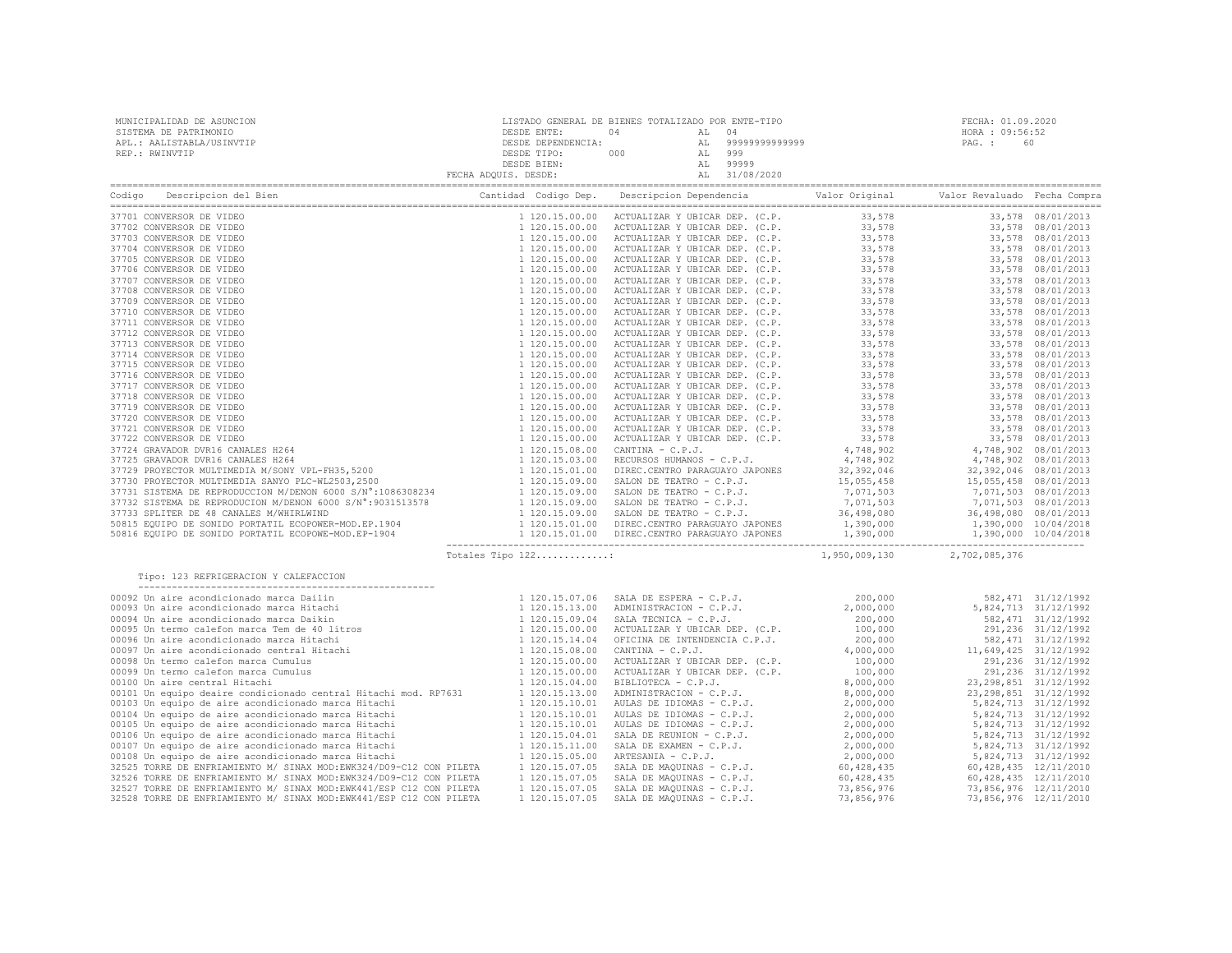| MUNICIPALIDAD DE ASUNCION<br>SISTEMA DE PATRIMONIO<br>APL.: AALISTABLA/USINVTIP<br>REP.: RWINVTIP                                                                                                                                                                                                                                                                                                             |                   |  |                             |  |
|---------------------------------------------------------------------------------------------------------------------------------------------------------------------------------------------------------------------------------------------------------------------------------------------------------------------------------------------------------------------------------------------------------------|-------------------|--|-----------------------------|--|
|                                                                                                                                                                                                                                                                                                                                                                                                               |                   |  |                             |  |
|                                                                                                                                                                                                                                                                                                                                                                                                               |                   |  |                             |  |
|                                                                                                                                                                                                                                                                                                                                                                                                               |                   |  |                             |  |
|                                                                                                                                                                                                                                                                                                                                                                                                               |                   |  |                             |  |
|                                                                                                                                                                                                                                                                                                                                                                                                               |                   |  |                             |  |
|                                                                                                                                                                                                                                                                                                                                                                                                               |                   |  |                             |  |
|                                                                                                                                                                                                                                                                                                                                                                                                               |                   |  |                             |  |
|                                                                                                                                                                                                                                                                                                                                                                                                               |                   |  |                             |  |
|                                                                                                                                                                                                                                                                                                                                                                                                               |                   |  |                             |  |
|                                                                                                                                                                                                                                                                                                                                                                                                               |                   |  |                             |  |
|                                                                                                                                                                                                                                                                                                                                                                                                               |                   |  |                             |  |
|                                                                                                                                                                                                                                                                                                                                                                                                               |                   |  |                             |  |
|                                                                                                                                                                                                                                                                                                                                                                                                               |                   |  |                             |  |
|                                                                                                                                                                                                                                                                                                                                                                                                               |                   |  |                             |  |
|                                                                                                                                                                                                                                                                                                                                                                                                               |                   |  |                             |  |
|                                                                                                                                                                                                                                                                                                                                                                                                               |                   |  |                             |  |
|                                                                                                                                                                                                                                                                                                                                                                                                               |                   |  |                             |  |
|                                                                                                                                                                                                                                                                                                                                                                                                               |                   |  |                             |  |
|                                                                                                                                                                                                                                                                                                                                                                                                               |                   |  |                             |  |
|                                                                                                                                                                                                                                                                                                                                                                                                               |                   |  |                             |  |
|                                                                                                                                                                                                                                                                                                                                                                                                               |                   |  |                             |  |
|                                                                                                                                                                                                                                                                                                                                                                                                               |                   |  |                             |  |
|                                                                                                                                                                                                                                                                                                                                                                                                               |                   |  |                             |  |
|                                                                                                                                                                                                                                                                                                                                                                                                               |                   |  |                             |  |
|                                                                                                                                                                                                                                                                                                                                                                                                               |                   |  |                             |  |
|                                                                                                                                                                                                                                                                                                                                                                                                               |                   |  |                             |  |
|                                                                                                                                                                                                                                                                                                                                                                                                               |                   |  |                             |  |
|                                                                                                                                                                                                                                                                                                                                                                                                               |                   |  |                             |  |
|                                                                                                                                                                                                                                                                                                                                                                                                               |                   |  |                             |  |
|                                                                                                                                                                                                                                                                                                                                                                                                               | Totales Tipo 122: |  | 1,950,009,130 2,702,085,376 |  |
| Tipo: 123 REFRIGERACION Y CALEFACCION<br>$(120,15,07,06 \text{ SRA}, F13 \text{ SRA}, 0000 \text{ SRA}, 0000 \text{ SRA}, 0000 \text{ SRA}, 0000 \text{ SRA}, 0000 \text{ SRA}, 0000 \text{ SRA}, 0000 \text{ SRA}, 0000 \text{ SRA}, 0000 \text{ SRA}, 0000 \text{ SRA}, 0000 \text{ SRA}, 0000 \text{ SRA}, 0000 \text{ SRA}, 0000 \text{ SRA}, 0000 \text{ SRA}, 0000 \text{ SRA}, 0000 \text{ SRA}, 0000$ |                   |  |                             |  |
|                                                                                                                                                                                                                                                                                                                                                                                                               |                   |  |                             |  |
|                                                                                                                                                                                                                                                                                                                                                                                                               |                   |  |                             |  |
|                                                                                                                                                                                                                                                                                                                                                                                                               |                   |  |                             |  |
|                                                                                                                                                                                                                                                                                                                                                                                                               |                   |  |                             |  |
|                                                                                                                                                                                                                                                                                                                                                                                                               |                   |  |                             |  |
|                                                                                                                                                                                                                                                                                                                                                                                                               |                   |  |                             |  |
|                                                                                                                                                                                                                                                                                                                                                                                                               |                   |  |                             |  |
|                                                                                                                                                                                                                                                                                                                                                                                                               |                   |  |                             |  |
|                                                                                                                                                                                                                                                                                                                                                                                                               |                   |  |                             |  |
|                                                                                                                                                                                                                                                                                                                                                                                                               |                   |  |                             |  |
|                                                                                                                                                                                                                                                                                                                                                                                                               |                   |  |                             |  |
|                                                                                                                                                                                                                                                                                                                                                                                                               |                   |  |                             |  |
|                                                                                                                                                                                                                                                                                                                                                                                                               |                   |  |                             |  |
|                                                                                                                                                                                                                                                                                                                                                                                                               |                   |  |                             |  |
|                                                                                                                                                                                                                                                                                                                                                                                                               |                   |  |                             |  |
|                                                                                                                                                                                                                                                                                                                                                                                                               |                   |  |                             |  |
|                                                                                                                                                                                                                                                                                                                                                                                                               |                   |  |                             |  |
|                                                                                                                                                                                                                                                                                                                                                                                                               |                   |  |                             |  |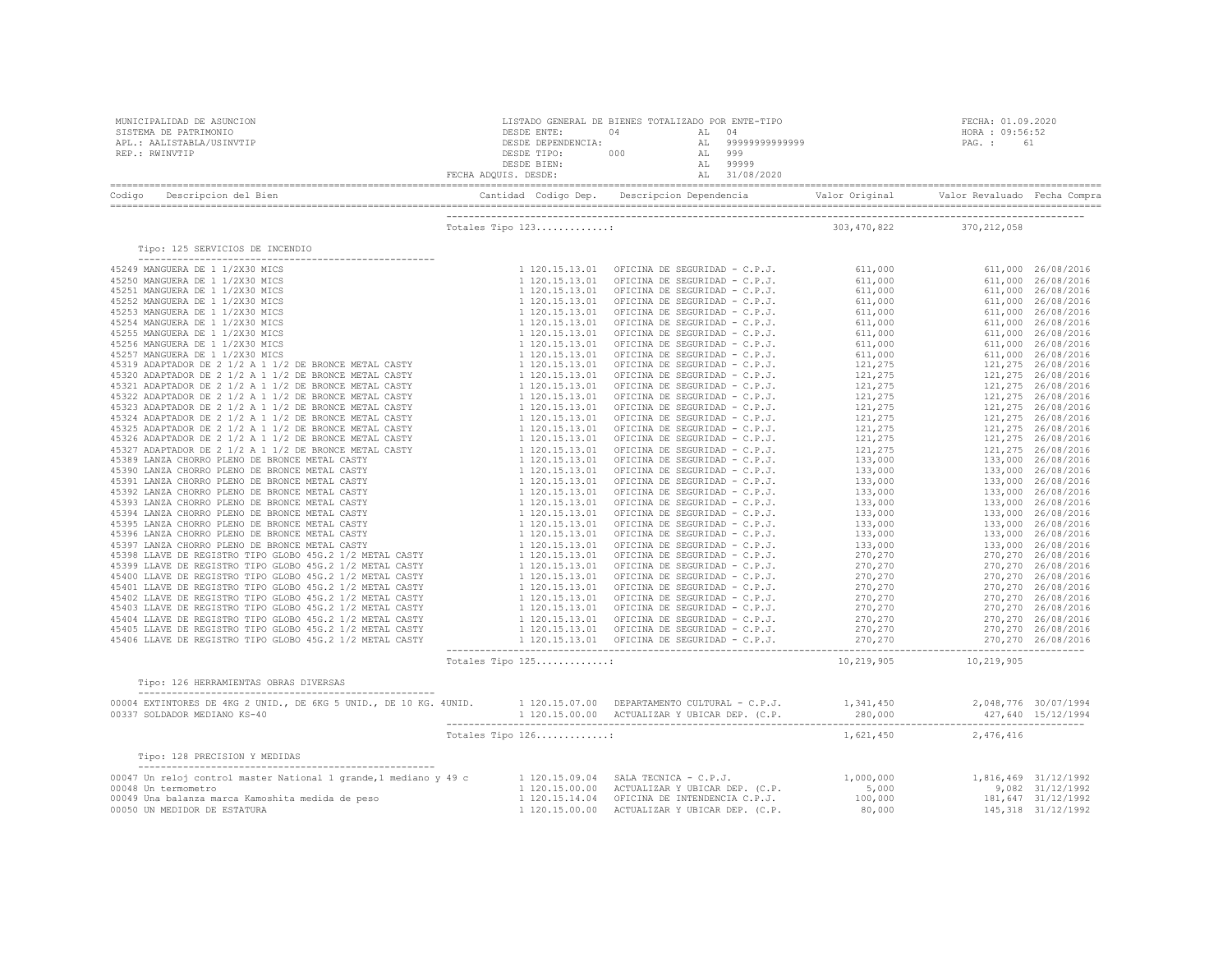| MUNICIPALIDAD DE ASUNCION<br>SISTEMA DE PATRIMONIO<br>APL.: AALISTABLA/USINVTIP<br>REP.: RWINVTIP                                                                                                                                                                                                                                                                                            |                   |  |                             | FECHA: 01.09.2020<br>HORA : 09:56:52 |  |
|----------------------------------------------------------------------------------------------------------------------------------------------------------------------------------------------------------------------------------------------------------------------------------------------------------------------------------------------------------------------------------------------|-------------------|--|-----------------------------|--------------------------------------|--|
| Codigo                                                                                                                                                                                                                                                                                                                                                                                       |                   |  |                             |                                      |  |
|                                                                                                                                                                                                                                                                                                                                                                                              | Totales Tipo 123: |  | 303, 470, 822 370, 212, 058 |                                      |  |
| Tipo: 125 SERVICIOS DE INCENDIO                                                                                                                                                                                                                                                                                                                                                              |                   |  |                             |                                      |  |
|                                                                                                                                                                                                                                                                                                                                                                                              |                   |  |                             |                                      |  |
|                                                                                                                                                                                                                                                                                                                                                                                              |                   |  |                             |                                      |  |
|                                                                                                                                                                                                                                                                                                                                                                                              | Totales Tipo 125: |  | 10,219,905 10,219,905       |                                      |  |
| Tipo: 126 HERRAMIENTAS OBRAS DIVERSAS                                                                                                                                                                                                                                                                                                                                                        |                   |  |                             |                                      |  |
| $\begin{array}{cccccccc} 00004 & \texttt{EXTINTORES} & \texttt{DE} & 4KG & 2 & \texttt{UNID}, & \texttt{DE} & 6KG & 5 & \texttt{UNID}, & \texttt{DE} & 10 & \texttt{KG}. & 40 \texttt{NID}, & 1 & 120.15.07.00 & \texttt{DEPARTAMENTO} & \texttt{CULTURAL} & - C.P. J. & 1, 341, 450 & 2, 048, 776 & 30/07/1994 & 120.15.00.00 & \texttt{ACTUALIZATION} & \texttt{UBLCAR} & \texttt{DE} & 2$ |                   |  |                             |                                      |  |
|                                                                                                                                                                                                                                                                                                                                                                                              | Totales Tipo 126: |  |                             | 1,621,450 2,476,416                  |  |
| Tipo: 128 PRECISION Y MEDIDAS                                                                                                                                                                                                                                                                                                                                                                |                   |  |                             |                                      |  |
| 00047 Unrelevant Control master National 1 grande,1 mediano y 49 c control 1120.15.09.04 SALA TECNICA - C.P.J. (C.P. 1,000,000 1,816,469 31/12/1992<br>00048 Unremometro 90049 Unrelevant Control master National 1 grande,1 medi                                                                                                                                                            |                   |  |                             |                                      |  |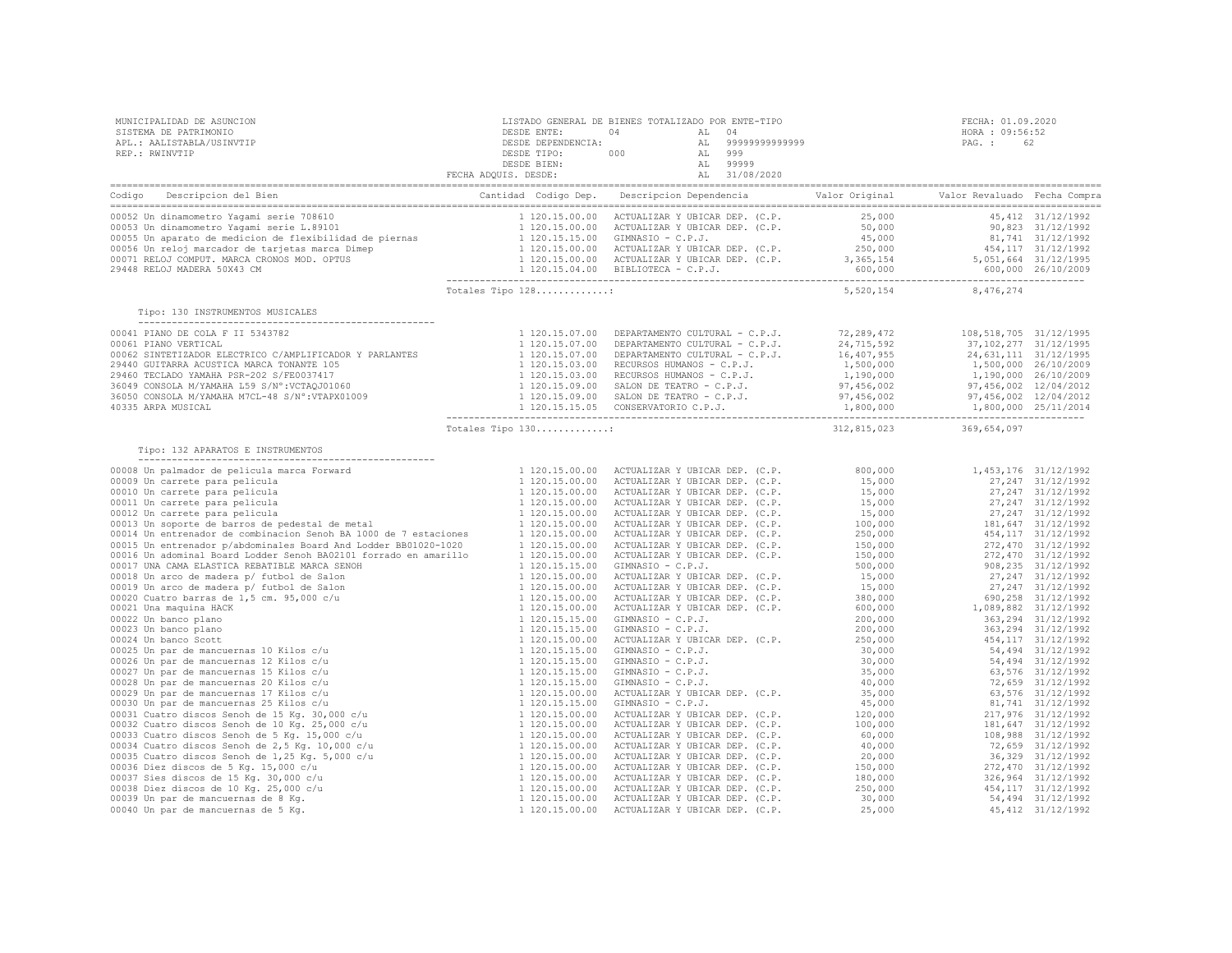| MUNICIPALIDAD DE ASUNCION<br>SISTEMA DE PATRIMONIO<br>APL.: AALISTABLA/USINVTIP<br>REP.: RWINVTIP                                         |                   | LISTADO GENERAL DE BIENES TOTALIZADO POR ENTE-TIPO<br>PESDE ENTE: 04<br>DESDE ENTE: 04<br>DESDE DEPENDENCIA: AL 999999999999999<br>DESDE TIPO: 000<br>DESDE TIPO: 000<br>AL 99999<br>PECHA ADQUIS. DESDE: AL 31/08/2020 | FECHA: 01.09.2<br>HORA : 09:56:5<br>PAG. : 62<br>FECHA: 01.09.2020<br>HORA : 09:56:52 |
|-------------------------------------------------------------------------------------------------------------------------------------------|-------------------|-------------------------------------------------------------------------------------------------------------------------------------------------------------------------------------------------------------------------|---------------------------------------------------------------------------------------|
| Codigo Descripcion del Bien de Marca de Marca Contidad Codigo Dep. Descripcion Dependencia de Valor Original Valor Revaluado Fecha Compra |                   |                                                                                                                                                                                                                         |                                                                                       |
|                                                                                                                                           |                   |                                                                                                                                                                                                                         |                                                                                       |
| Tipo: 130 INSTRUMENTOS MUSICALES                                                                                                          |                   |                                                                                                                                                                                                                         |                                                                                       |
|                                                                                                                                           |                   |                                                                                                                                                                                                                         |                                                                                       |
|                                                                                                                                           | Totales Tipo 130: |                                                                                                                                                                                                                         | 312,815,023 369,654,097                                                               |
| Tipo: 132 APARATOS E INSTRUMENTOS                                                                                                         |                   |                                                                                                                                                                                                                         |                                                                                       |
|                                                                                                                                           |                   |                                                                                                                                                                                                                         |                                                                                       |
|                                                                                                                                           |                   |                                                                                                                                                                                                                         |                                                                                       |
|                                                                                                                                           |                   |                                                                                                                                                                                                                         |                                                                                       |
|                                                                                                                                           |                   |                                                                                                                                                                                                                         |                                                                                       |
|                                                                                                                                           |                   |                                                                                                                                                                                                                         |                                                                                       |
|                                                                                                                                           |                   |                                                                                                                                                                                                                         |                                                                                       |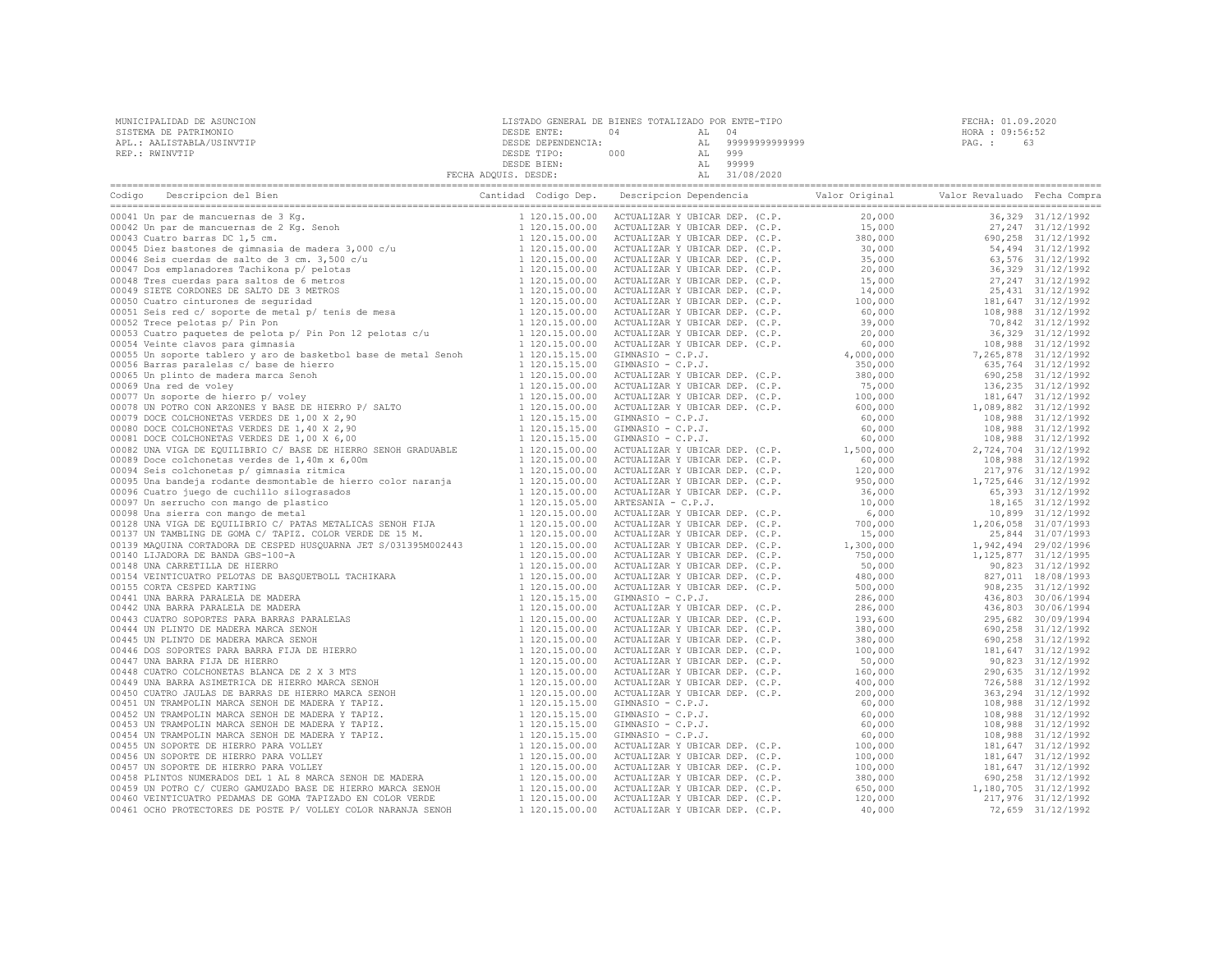| MUNICIPALIDAD DE ASUNCION | LISTADO GENERAL DE BIENES TOTALIZADO POR ENTE-TIPO |     |                | FECHA: 01.09.2020 |  |
|---------------------------|----------------------------------------------------|-----|----------------|-------------------|--|
| SISTEMA DE PATRIMONIO     | DESDE ENTE:                                        |     |                | HORA : 09:56:52   |  |
| APL.: AALISTABLA/USINVTIP | DESDE DEPENDENCIA:                                 |     | 99999999999999 | PAG. :            |  |
| REP.: RWINVTIP            | DESDE TIPO:                                        | 000 | 999            |                   |  |
|                           | DESDE BIEN:                                        |     | 99999          |                   |  |
|                           | FECHA ADOUIS. DESDE:                               |     | 31/08/2020     |                   |  |

|                                                                                                                                                                                                                                            |  | $\begin{tabular}{ c c c c c c c c} \hline \multicolumn{2}{ c c c} \hline \multicolumn{2}{ c c c} \hline \multicolumn{2}{ c c c} \hline \multicolumn{2}{ c c c} \hline \multicolumn{2}{ c c c} \hline \multicolumn{2}{ c c c} \hline \multicolumn{2}{ c c c} \hline \multicolumn{2}{ c c c} \hline \multicolumn{2}{ c c c} \hline \multicolumn{2}{ c c c} \hline \multicolumn{2}{ c c c} \hline \multicolumn{2}{$ |  |  |
|--------------------------------------------------------------------------------------------------------------------------------------------------------------------------------------------------------------------------------------------|--|------------------------------------------------------------------------------------------------------------------------------------------------------------------------------------------------------------------------------------------------------------------------------------------------------------------------------------------------------------------------------------------------------------------|--|--|
| 00041 Un par de mancuerans de 3 Kg.<br>10041 Un par de mancuerans de 3 Kg.<br>10042 Un par de mancuerans de 3 Kg.<br>10042 Un par de mancuerans de 2 Kg.<br>20043 Cuatro barras DC 1,5 cm.<br>10043 Cuatro barras DC 1,5 cm.<br>10043 Cuat |  |                                                                                                                                                                                                                                                                                                                                                                                                                  |  |  |
|                                                                                                                                                                                                                                            |  |                                                                                                                                                                                                                                                                                                                                                                                                                  |  |  |
|                                                                                                                                                                                                                                            |  |                                                                                                                                                                                                                                                                                                                                                                                                                  |  |  |
|                                                                                                                                                                                                                                            |  |                                                                                                                                                                                                                                                                                                                                                                                                                  |  |  |
|                                                                                                                                                                                                                                            |  |                                                                                                                                                                                                                                                                                                                                                                                                                  |  |  |
|                                                                                                                                                                                                                                            |  |                                                                                                                                                                                                                                                                                                                                                                                                                  |  |  |
|                                                                                                                                                                                                                                            |  |                                                                                                                                                                                                                                                                                                                                                                                                                  |  |  |
|                                                                                                                                                                                                                                            |  |                                                                                                                                                                                                                                                                                                                                                                                                                  |  |  |
|                                                                                                                                                                                                                                            |  |                                                                                                                                                                                                                                                                                                                                                                                                                  |  |  |
|                                                                                                                                                                                                                                            |  |                                                                                                                                                                                                                                                                                                                                                                                                                  |  |  |
|                                                                                                                                                                                                                                            |  |                                                                                                                                                                                                                                                                                                                                                                                                                  |  |  |
|                                                                                                                                                                                                                                            |  |                                                                                                                                                                                                                                                                                                                                                                                                                  |  |  |
|                                                                                                                                                                                                                                            |  |                                                                                                                                                                                                                                                                                                                                                                                                                  |  |  |
| 00055 Un soporte tablero y aro de basketbol base de metal Senoh 1 120.15.15.00                                                                                                                                                             |  |                                                                                                                                                                                                                                                                                                                                                                                                                  |  |  |
|                                                                                                                                                                                                                                            |  |                                                                                                                                                                                                                                                                                                                                                                                                                  |  |  |
|                                                                                                                                                                                                                                            |  |                                                                                                                                                                                                                                                                                                                                                                                                                  |  |  |
|                                                                                                                                                                                                                                            |  |                                                                                                                                                                                                                                                                                                                                                                                                                  |  |  |
|                                                                                                                                                                                                                                            |  |                                                                                                                                                                                                                                                                                                                                                                                                                  |  |  |
|                                                                                                                                                                                                                                            |  |                                                                                                                                                                                                                                                                                                                                                                                                                  |  |  |
|                                                                                                                                                                                                                                            |  |                                                                                                                                                                                                                                                                                                                                                                                                                  |  |  |
|                                                                                                                                                                                                                                            |  |                                                                                                                                                                                                                                                                                                                                                                                                                  |  |  |
|                                                                                                                                                                                                                                            |  |                                                                                                                                                                                                                                                                                                                                                                                                                  |  |  |
|                                                                                                                                                                                                                                            |  |                                                                                                                                                                                                                                                                                                                                                                                                                  |  |  |
|                                                                                                                                                                                                                                            |  |                                                                                                                                                                                                                                                                                                                                                                                                                  |  |  |
|                                                                                                                                                                                                                                            |  |                                                                                                                                                                                                                                                                                                                                                                                                                  |  |  |
|                                                                                                                                                                                                                                            |  |                                                                                                                                                                                                                                                                                                                                                                                                                  |  |  |
|                                                                                                                                                                                                                                            |  |                                                                                                                                                                                                                                                                                                                                                                                                                  |  |  |
|                                                                                                                                                                                                                                            |  |                                                                                                                                                                                                                                                                                                                                                                                                                  |  |  |
|                                                                                                                                                                                                                                            |  |                                                                                                                                                                                                                                                                                                                                                                                                                  |  |  |
|                                                                                                                                                                                                                                            |  |                                                                                                                                                                                                                                                                                                                                                                                                                  |  |  |
|                                                                                                                                                                                                                                            |  |                                                                                                                                                                                                                                                                                                                                                                                                                  |  |  |
|                                                                                                                                                                                                                                            |  |                                                                                                                                                                                                                                                                                                                                                                                                                  |  |  |
|                                                                                                                                                                                                                                            |  |                                                                                                                                                                                                                                                                                                                                                                                                                  |  |  |
|                                                                                                                                                                                                                                            |  |                                                                                                                                                                                                                                                                                                                                                                                                                  |  |  |
|                                                                                                                                                                                                                                            |  |                                                                                                                                                                                                                                                                                                                                                                                                                  |  |  |
|                                                                                                                                                                                                                                            |  |                                                                                                                                                                                                                                                                                                                                                                                                                  |  |  |
|                                                                                                                                                                                                                                            |  |                                                                                                                                                                                                                                                                                                                                                                                                                  |  |  |
|                                                                                                                                                                                                                                            |  |                                                                                                                                                                                                                                                                                                                                                                                                                  |  |  |
|                                                                                                                                                                                                                                            |  |                                                                                                                                                                                                                                                                                                                                                                                                                  |  |  |
|                                                                                                                                                                                                                                            |  |                                                                                                                                                                                                                                                                                                                                                                                                                  |  |  |
|                                                                                                                                                                                                                                            |  |                                                                                                                                                                                                                                                                                                                                                                                                                  |  |  |
|                                                                                                                                                                                                                                            |  |                                                                                                                                                                                                                                                                                                                                                                                                                  |  |  |
|                                                                                                                                                                                                                                            |  |                                                                                                                                                                                                                                                                                                                                                                                                                  |  |  |
|                                                                                                                                                                                                                                            |  |                                                                                                                                                                                                                                                                                                                                                                                                                  |  |  |
|                                                                                                                                                                                                                                            |  |                                                                                                                                                                                                                                                                                                                                                                                                                  |  |  |
|                                                                                                                                                                                                                                            |  |                                                                                                                                                                                                                                                                                                                                                                                                                  |  |  |
|                                                                                                                                                                                                                                            |  |                                                                                                                                                                                                                                                                                                                                                                                                                  |  |  |
|                                                                                                                                                                                                                                            |  |                                                                                                                                                                                                                                                                                                                                                                                                                  |  |  |
|                                                                                                                                                                                                                                            |  |                                                                                                                                                                                                                                                                                                                                                                                                                  |  |  |
|                                                                                                                                                                                                                                            |  |                                                                                                                                                                                                                                                                                                                                                                                                                  |  |  |
|                                                                                                                                                                                                                                            |  |                                                                                                                                                                                                                                                                                                                                                                                                                  |  |  |
|                                                                                                                                                                                                                                            |  |                                                                                                                                                                                                                                                                                                                                                                                                                  |  |  |
|                                                                                                                                                                                                                                            |  |                                                                                                                                                                                                                                                                                                                                                                                                                  |  |  |
|                                                                                                                                                                                                                                            |  |                                                                                                                                                                                                                                                                                                                                                                                                                  |  |  |
| 00459 UN POTRO C/ CUERO GAMUZADO BASE DE HIERRO MARCA SENOH<br>00460 VEINTICUATRO PEDAMAS DE GOMA TAPIZADO EN COLOR VERDE                                                                                                                  |  |                                                                                                                                                                                                                                                                                                                                                                                                                  |  |  |
| 00460 VEINTICUATRO PEDAMAS DE GOMA TAPIZADO EN COLOR VERDE                                                                                                                                                                                 |  |                                                                                                                                                                                                                                                                                                                                                                                                                  |  |  |
| 00461 OCHO PROTECTORES DE POSTE P/ VOLLEY COLOR NARANJA SENOH                                                                                                                                                                              |  |                                                                                                                                                                                                                                                                                                                                                                                                                  |  |  |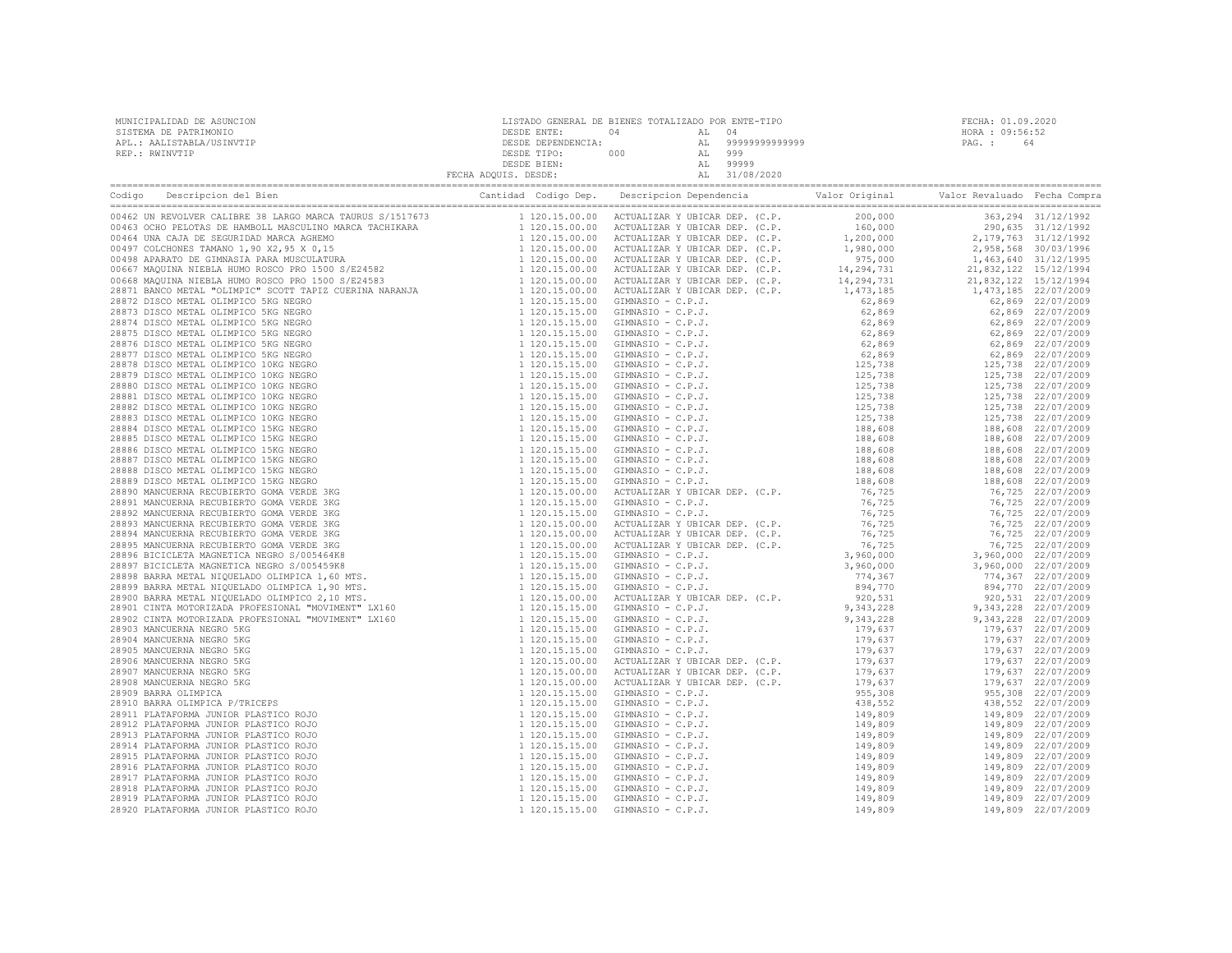| MUNICIPALIDAD DE ASUNCION<br>SISTEMA DE PATRIMONIO<br>APL.: AALISTABLA/USINVTIP<br>REP.: RWINVTIP                                   | LISTADO GENERAL DE BIENES TOTALIZADO POR ENTE-TIPO | FECHA: 01.09.2020<br>HORA : 09:56:52<br>PAG.: 64 |
|-------------------------------------------------------------------------------------------------------------------------------------|----------------------------------------------------|--------------------------------------------------|
| Codigo Descripcion del Bien de Marco de Cantidad Codigo Dep. Descripcion Dependencia de Valor Original Valor Revaluado Fecha Compra |                                                    |                                                  |
|                                                                                                                                     |                                                    |                                                  |
|                                                                                                                                     |                                                    |                                                  |
|                                                                                                                                     |                                                    |                                                  |
|                                                                                                                                     |                                                    |                                                  |
|                                                                                                                                     |                                                    |                                                  |
|                                                                                                                                     |                                                    |                                                  |
|                                                                                                                                     |                                                    |                                                  |
|                                                                                                                                     |                                                    |                                                  |
|                                                                                                                                     |                                                    |                                                  |
|                                                                                                                                     |                                                    |                                                  |
|                                                                                                                                     |                                                    |                                                  |
|                                                                                                                                     |                                                    |                                                  |
|                                                                                                                                     |                                                    |                                                  |
|                                                                                                                                     |                                                    |                                                  |
|                                                                                                                                     |                                                    |                                                  |
|                                                                                                                                     |                                                    |                                                  |
|                                                                                                                                     |                                                    |                                                  |
|                                                                                                                                     |                                                    |                                                  |
|                                                                                                                                     |                                                    |                                                  |
|                                                                                                                                     |                                                    |                                                  |
|                                                                                                                                     |                                                    |                                                  |
|                                                                                                                                     |                                                    |                                                  |
|                                                                                                                                     |                                                    |                                                  |
|                                                                                                                                     |                                                    |                                                  |
|                                                                                                                                     |                                                    |                                                  |
|                                                                                                                                     |                                                    |                                                  |
|                                                                                                                                     |                                                    |                                                  |
|                                                                                                                                     |                                                    |                                                  |
|                                                                                                                                     |                                                    |                                                  |
|                                                                                                                                     |                                                    |                                                  |
|                                                                                                                                     |                                                    |                                                  |
|                                                                                                                                     |                                                    |                                                  |
|                                                                                                                                     |                                                    |                                                  |
|                                                                                                                                     |                                                    |                                                  |
|                                                                                                                                     |                                                    |                                                  |
|                                                                                                                                     |                                                    |                                                  |
|                                                                                                                                     |                                                    |                                                  |
|                                                                                                                                     |                                                    |                                                  |
|                                                                                                                                     |                                                    |                                                  |
|                                                                                                                                     |                                                    |                                                  |
|                                                                                                                                     |                                                    |                                                  |
|                                                                                                                                     |                                                    |                                                  |
|                                                                                                                                     |                                                    |                                                  |
|                                                                                                                                     |                                                    |                                                  |
|                                                                                                                                     |                                                    |                                                  |
|                                                                                                                                     |                                                    |                                                  |
|                                                                                                                                     |                                                    |                                                  |
|                                                                                                                                     |                                                    |                                                  |
|                                                                                                                                     |                                                    |                                                  |
|                                                                                                                                     |                                                    |                                                  |
|                                                                                                                                     |                                                    |                                                  |
|                                                                                                                                     |                                                    |                                                  |
|                                                                                                                                     |                                                    |                                                  |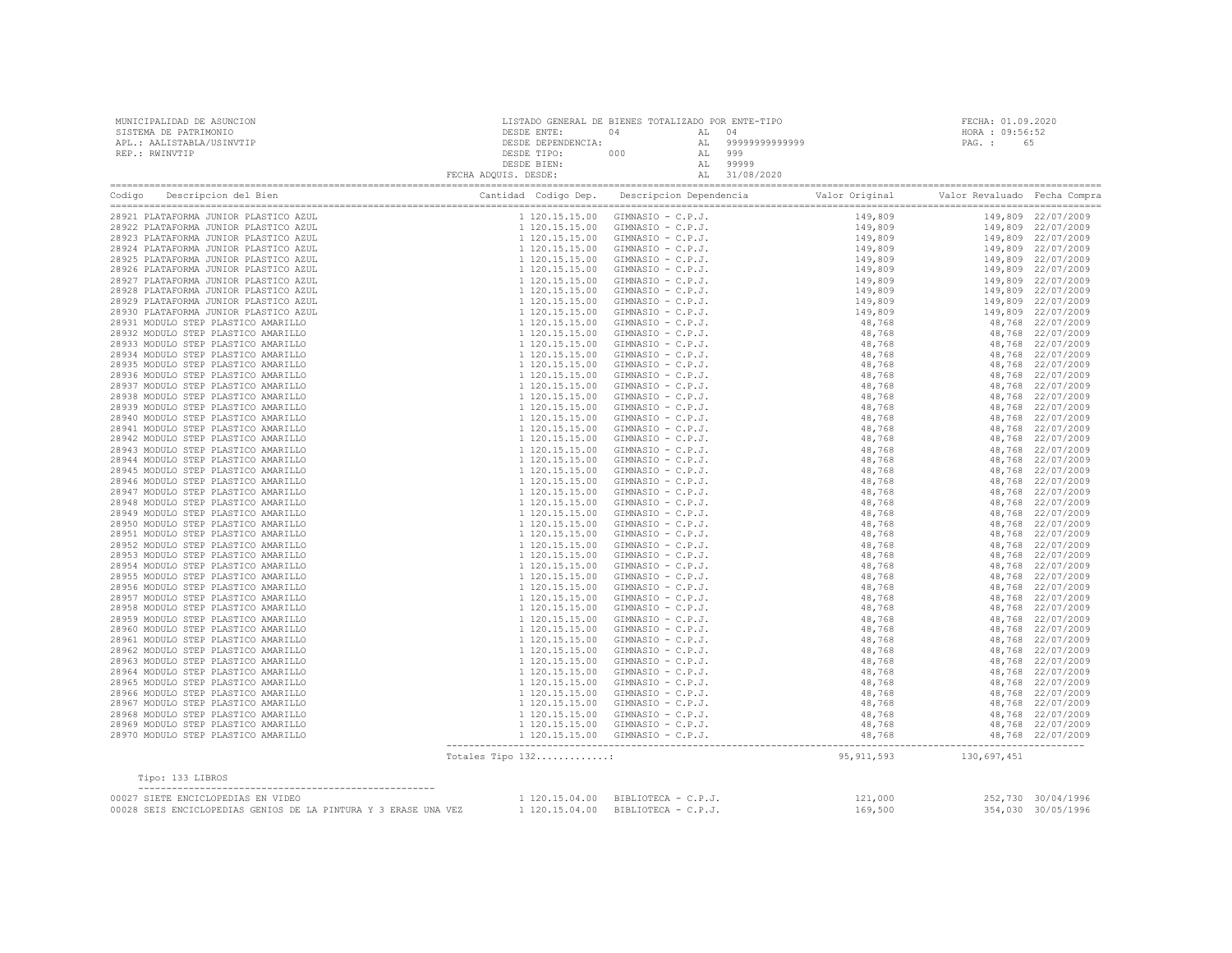| MUNICIPALIDAD DE ASUNCION<br>SISTEMA DE PATRIMONIO<br>APL.: AALISTABLA/USINVTIP                    |                   |                                                                                                                                                                                                                                            |                        | FECHA: 01.09.2020<br>HORA : 09:56:52<br>PAG. : 65 |                    |  |
|----------------------------------------------------------------------------------------------------|-------------------|--------------------------------------------------------------------------------------------------------------------------------------------------------------------------------------------------------------------------------------------|------------------------|---------------------------------------------------|--------------------|--|
| REP.: RWINVTIP                                                                                     |                   | LISTADO GENERAL DE BIENES TOTALIZADO POR ENTE-TIPO<br>DESDE ENTE : 04<br>DESDE DEPENDENCIA: AL 99999999999999999<br>DESDE TIPO: 000 AL 999<br>DESDE BIEN: AL 999999<br>FECHA ADQUIS. DESDE: AL 31/08/2020<br>FECHA ADQUIS. DESDE: AL 31/08 |                        |                                                   |                    |  |
|                                                                                                    |                   |                                                                                                                                                                                                                                            |                        |                                                   |                    |  |
| 28921 PLATAFORMA JUNIOR PLASTICO AZUL                                                              |                   |                                                                                                                                                                                                                                            |                        |                                                   |                    |  |
| 28922 PLATAFORMA JUNIOR PLASTICO AZUL                                                              |                   |                                                                                                                                                                                                                                            |                        |                                                   |                    |  |
| 28923 PLATAFORMA JUNIOR PLASTICO AZUL                                                              |                   |                                                                                                                                                                                                                                            |                        |                                                   |                    |  |
| 28924 PLATAFORMA JUNIOR PLASTICO AZUL                                                              |                   |                                                                                                                                                                                                                                            |                        |                                                   |                    |  |
| 28925 PLATAFORMA JUNIOR PLASTICO AZUL                                                              |                   |                                                                                                                                                                                                                                            |                        |                                                   |                    |  |
| 28926 PLATAFORMA JUNIOR PLASTICO AZUL<br>28927 PLATAFORMA JUNIOR PLASTICO AZUL                     |                   |                                                                                                                                                                                                                                            |                        |                                                   |                    |  |
| 28928 PLATAFORMA JUNIOR PLASTICO AZUL                                                              |                   |                                                                                                                                                                                                                                            |                        |                                                   |                    |  |
| 28929 PLATAFORMA JUNIOR PLASTICO AZUL                                                              |                   |                                                                                                                                                                                                                                            |                        |                                                   |                    |  |
| 28930 PLATAFORMA JUNIOR PLASTICO AZUL                                                              |                   |                                                                                                                                                                                                                                            |                        |                                                   |                    |  |
| 28931 MODULO STEP PLASTICO AMARILLO                                                                |                   |                                                                                                                                                                                                                                            |                        |                                                   |                    |  |
| 28932 MODULO STEP PLASTICO AMARILLO                                                                |                   |                                                                                                                                                                                                                                            |                        |                                                   |                    |  |
| 28933 MODULO STEP PLASTICO AMARILLO                                                                |                   |                                                                                                                                                                                                                                            |                        |                                                   |                    |  |
| 28934 MODULO STEP PLASTICO AMARILLO                                                                |                   |                                                                                                                                                                                                                                            |                        |                                                   |                    |  |
| 28935 MODULO STEP PLASTICO AMARILLO                                                                |                   |                                                                                                                                                                                                                                            |                        |                                                   |                    |  |
| 28936 MODULO STEP PLASTICO AMARILLO                                                                |                   |                                                                                                                                                                                                                                            |                        |                                                   |                    |  |
| 28937 MODULO STEP PLASTICO AMARILLO                                                                |                   |                                                                                                                                                                                                                                            |                        |                                                   |                    |  |
| 28938 MODULO STEP PLASTICO AMARILLO                                                                |                   |                                                                                                                                                                                                                                            |                        |                                                   |                    |  |
| 28939 MODULO STEP PLASTICO AMARILLO                                                                |                   |                                                                                                                                                                                                                                            |                        |                                                   |                    |  |
| 28940 MODULO STEP PLASTICO AMARILLO                                                                |                   |                                                                                                                                                                                                                                            |                        |                                                   |                    |  |
| 28941 MODULO STEP PLASTICO AMARILLO                                                                |                   |                                                                                                                                                                                                                                            |                        |                                                   |                    |  |
| 28942 MODULO STEP PLASTICO AMARILLO                                                                |                   |                                                                                                                                                                                                                                            |                        |                                                   |                    |  |
| 28943 MODULO STEP PLASTICO AMARILLO                                                                |                   |                                                                                                                                                                                                                                            |                        |                                                   |                    |  |
| 28944 MODULO STEP PLASTICO AMARILLO                                                                |                   |                                                                                                                                                                                                                                            |                        |                                                   |                    |  |
| 28945 MODULO STEP PLASTICO AMARILLO                                                                |                   |                                                                                                                                                                                                                                            |                        |                                                   |                    |  |
| 28946 MODULO STEP PLASTICO AMARILLO<br>28947 MODULO STEP PLASTICO AMARILLO                         |                   |                                                                                                                                                                                                                                            |                        |                                                   |                    |  |
| 28948 MODULO STEP PLASTICO AMARILLO                                                                |                   |                                                                                                                                                                                                                                            |                        |                                                   |                    |  |
| 28949 MODULO STEP PLASTICO AMARILLO                                                                |                   |                                                                                                                                                                                                                                            |                        |                                                   |                    |  |
| 28950 MODULO STEP PLASTICO AMARILLO                                                                |                   |                                                                                                                                                                                                                                            |                        |                                                   |                    |  |
| 28951 MODULO STEP PLASTICO AMARILLO                                                                |                   |                                                                                                                                                                                                                                            |                        |                                                   |                    |  |
| 28952 MODULO STEP PLASTICO AMARILLO                                                                |                   |                                                                                                                                                                                                                                            |                        |                                                   |                    |  |
| 28953 MODULO STEP PLASTICO AMARILLO                                                                |                   |                                                                                                                                                                                                                                            |                        |                                                   |                    |  |
| 28954 MODULO STEP PLASTICO AMARILLO                                                                |                   |                                                                                                                                                                                                                                            |                        |                                                   |                    |  |
| 28955 MODULO STEP PLASTICO AMARILLO                                                                |                   |                                                                                                                                                                                                                                            |                        |                                                   |                    |  |
| 28956 MODULO STEP PLASTICO AMARILLO                                                                |                   |                                                                                                                                                                                                                                            |                        |                                                   |                    |  |
| 28957 MODULO STEP PLASTICO AMARILLO                                                                |                   |                                                                                                                                                                                                                                            |                        |                                                   |                    |  |
| 28958 MODULO STEP PLASTICO AMARILLO                                                                |                   |                                                                                                                                                                                                                                            |                        |                                                   |                    |  |
| 28959 MODULO STEP PLASTICO AMARILLO                                                                |                   |                                                                                                                                                                                                                                            |                        |                                                   |                    |  |
| 28960 MODULO STEP PLASTICO AMARILLO                                                                |                   |                                                                                                                                                                                                                                            |                        |                                                   |                    |  |
| 28961 MODULO STEP PLASTICO AMARILLO                                                                |                   |                                                                                                                                                                                                                                            |                        |                                                   |                    |  |
| 28962 MODULO STEP PLASTICO AMARILLO                                                                |                   |                                                                                                                                                                                                                                            |                        |                                                   |                    |  |
| 28963 MODULO STEP PLASTICO AMARILLO<br>28964 MODULO STEP PLASTICO AMARILLO                         |                   |                                                                                                                                                                                                                                            |                        |                                                   |                    |  |
| 28965 MODULO STEP PLASTICO AMARILLO                                                                |                   |                                                                                                                                                                                                                                            |                        |                                                   |                    |  |
| 28966 MODULO STEP PLASTICO AMARILLO                                                                |                   |                                                                                                                                                                                                                                            |                        |                                                   |                    |  |
| 28967 MODULO STEP PLASTICO AMARILLO                                                                |                   |                                                                                                                                                                                                                                            |                        |                                                   |                    |  |
| 28968 MODULO STEP PLASTICO AMARILLO                                                                |                   |                                                                                                                                                                                                                                            |                        |                                                   |                    |  |
| 28969 MODULO STEP PLASTICO AMARILLO                                                                |                   |                                                                                                                                                                                                                                            |                        |                                                   |                    |  |
| 28970 MODULO STEP PLASTICO AMARILLO                                                                |                   |                                                                                                                                                                                                                                            |                        |                                                   |                    |  |
|                                                                                                    | Totales Tipo 132: |                                                                                                                                                                                                                                            | 95, 911, 593           | 130,697,451                                       |                    |  |
| Tipo: 133 LIBROS                                                                                   |                   |                                                                                                                                                                                                                                            |                        |                                                   |                    |  |
| 00027 SIETE ENCICLOPEDIAS EN VIDEO                                                                 |                   | 1 120.15.04.00 BIBLIOTECA - C.P.J.                                                                                                                                                                                                         |                        |                                                   | 252,730 30/04/1996 |  |
| VOUZA SEIS ENCICLOPEDIAS GENIOS DE LA PINTURA Y 3 ERASE UNA VEZ $120.15.04.00$ BIBLIOTECA - C.P.J. |                   |                                                                                                                                                                                                                                            | $121,000$<br>$169,500$ |                                                   | 354,030 30/05/1996 |  |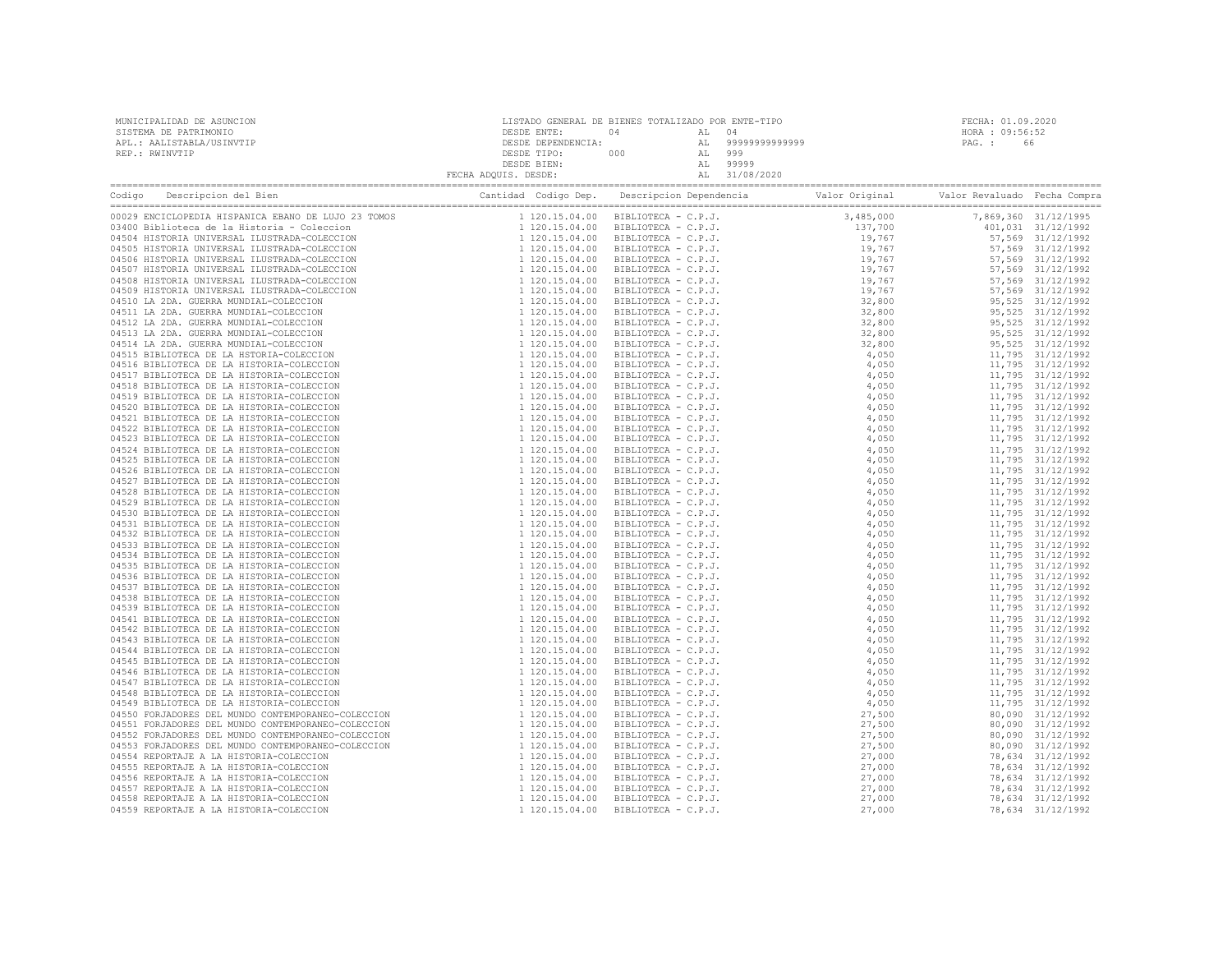| MUNICIPALIDAD DE ASUNCION<br>NERE ENTERNA DE PATRIMONIO<br>NERE : RWINVTIP<br>APL.: AALISTABLA/USINVTIP<br>REP.: RWINVTIP<br>REP.: RWINVTIP<br>REP.: RWINVTIP<br>REP.: RWINVTIP<br>CHE SESDE TIPIC: 000<br>DESDE DEPENDENCIA: (DOSSIDE DEPENDENCIA: 201999999999999999999 | LISTADO GENERAL DE BIENES TOTALIZADO POR ENTE-TIPO | FECHA: 01.09.2020 |  |
|---------------------------------------------------------------------------------------------------------------------------------------------------------------------------------------------------------------------------------------------------------------------------|----------------------------------------------------|-------------------|--|
|                                                                                                                                                                                                                                                                           |                                                    |                   |  |
|                                                                                                                                                                                                                                                                           |                                                    |                   |  |
|                                                                                                                                                                                                                                                                           |                                                    |                   |  |
|                                                                                                                                                                                                                                                                           |                                                    |                   |  |
|                                                                                                                                                                                                                                                                           |                                                    |                   |  |
|                                                                                                                                                                                                                                                                           |                                                    |                   |  |
|                                                                                                                                                                                                                                                                           |                                                    |                   |  |
|                                                                                                                                                                                                                                                                           |                                                    |                   |  |
|                                                                                                                                                                                                                                                                           |                                                    |                   |  |
|                                                                                                                                                                                                                                                                           |                                                    |                   |  |
|                                                                                                                                                                                                                                                                           |                                                    |                   |  |
|                                                                                                                                                                                                                                                                           |                                                    |                   |  |
|                                                                                                                                                                                                                                                                           |                                                    |                   |  |
|                                                                                                                                                                                                                                                                           |                                                    |                   |  |
|                                                                                                                                                                                                                                                                           |                                                    |                   |  |
|                                                                                                                                                                                                                                                                           |                                                    |                   |  |
|                                                                                                                                                                                                                                                                           |                                                    |                   |  |
|                                                                                                                                                                                                                                                                           |                                                    |                   |  |
|                                                                                                                                                                                                                                                                           |                                                    |                   |  |
|                                                                                                                                                                                                                                                                           |                                                    |                   |  |
|                                                                                                                                                                                                                                                                           |                                                    |                   |  |
|                                                                                                                                                                                                                                                                           |                                                    |                   |  |
|                                                                                                                                                                                                                                                                           |                                                    |                   |  |
|                                                                                                                                                                                                                                                                           |                                                    |                   |  |
|                                                                                                                                                                                                                                                                           |                                                    |                   |  |
|                                                                                                                                                                                                                                                                           |                                                    |                   |  |
|                                                                                                                                                                                                                                                                           |                                                    |                   |  |
|                                                                                                                                                                                                                                                                           |                                                    |                   |  |
|                                                                                                                                                                                                                                                                           |                                                    |                   |  |
|                                                                                                                                                                                                                                                                           |                                                    |                   |  |
|                                                                                                                                                                                                                                                                           |                                                    |                   |  |
|                                                                                                                                                                                                                                                                           |                                                    |                   |  |
|                                                                                                                                                                                                                                                                           |                                                    |                   |  |
|                                                                                                                                                                                                                                                                           |                                                    |                   |  |
|                                                                                                                                                                                                                                                                           |                                                    |                   |  |
|                                                                                                                                                                                                                                                                           |                                                    |                   |  |
|                                                                                                                                                                                                                                                                           |                                                    |                   |  |
|                                                                                                                                                                                                                                                                           |                                                    |                   |  |
|                                                                                                                                                                                                                                                                           |                                                    |                   |  |
|                                                                                                                                                                                                                                                                           |                                                    |                   |  |
|                                                                                                                                                                                                                                                                           |                                                    |                   |  |
|                                                                                                                                                                                                                                                                           |                                                    |                   |  |
|                                                                                                                                                                                                                                                                           |                                                    |                   |  |
|                                                                                                                                                                                                                                                                           |                                                    |                   |  |
|                                                                                                                                                                                                                                                                           |                                                    |                   |  |
|                                                                                                                                                                                                                                                                           |                                                    |                   |  |
|                                                                                                                                                                                                                                                                           |                                                    |                   |  |
|                                                                                                                                                                                                                                                                           |                                                    |                   |  |
|                                                                                                                                                                                                                                                                           |                                                    |                   |  |
|                                                                                                                                                                                                                                                                           |                                                    |                   |  |
|                                                                                                                                                                                                                                                                           |                                                    |                   |  |
|                                                                                                                                                                                                                                                                           |                                                    |                   |  |
|                                                                                                                                                                                                                                                                           |                                                    |                   |  |
|                                                                                                                                                                                                                                                                           |                                                    |                   |  |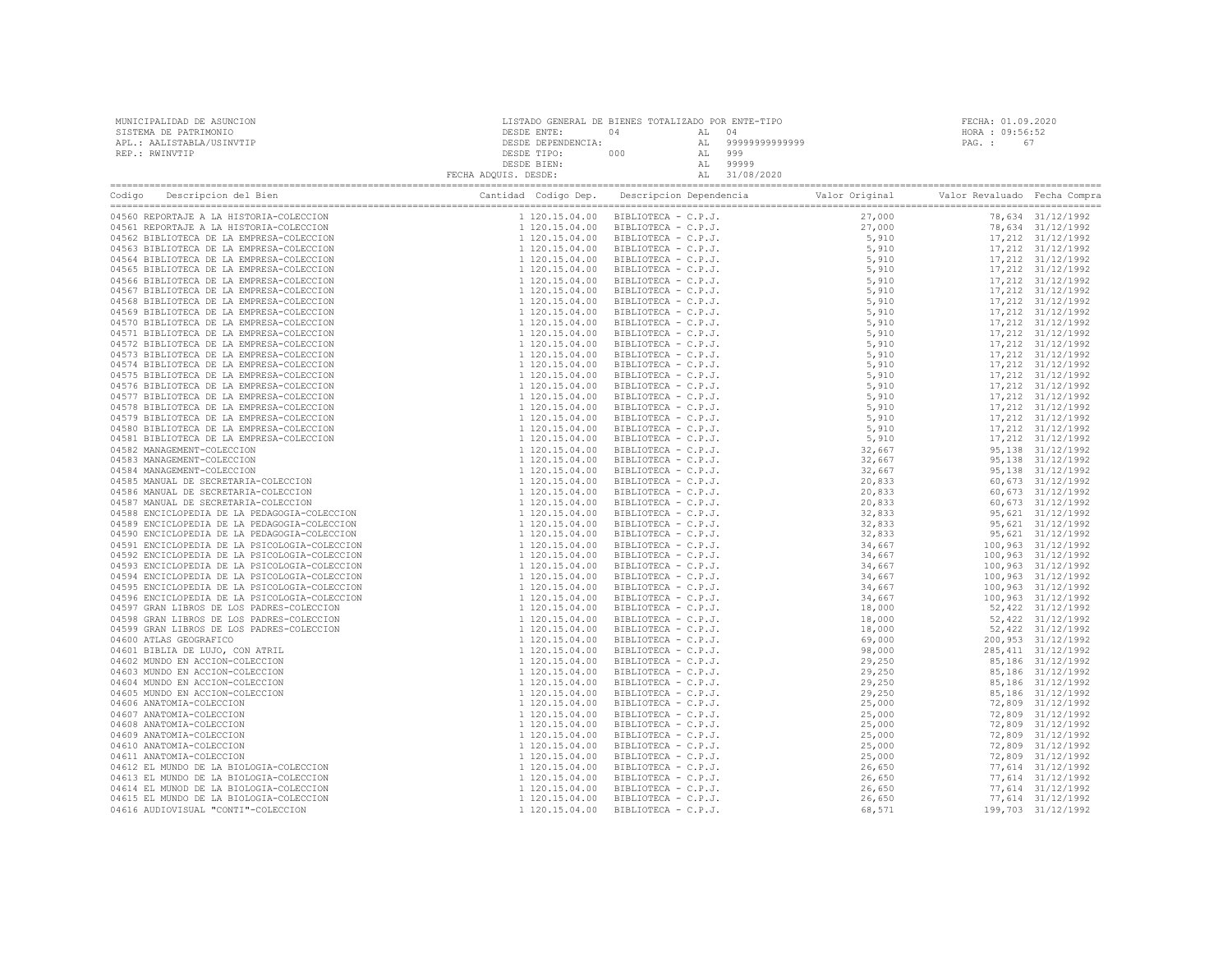| Codigo Descripcion del Bien (Compra Cantidad Codigo Dep. Descripcion Dependencia Valor Original Valor Revaluado Fecha Compra Cantidad Codigo Dep. Descripcion Dependencia Valor Original Valor Revaluado Fecha Compra Cantidad |  |  |  |  |  |  |
|--------------------------------------------------------------------------------------------------------------------------------------------------------------------------------------------------------------------------------|--|--|--|--|--|--|
| 04560 REPORTAJE A LA HISTORIA-COLECCION                                                                                                                                                                                        |  |  |  |  |  |  |
| 04561 REPORTAJE A LA HISTORIA-COLECCION                                                                                                                                                                                        |  |  |  |  |  |  |
| 04562 BIBLIOTECA DE LA EMPRESA-COLECCION                                                                                                                                                                                       |  |  |  |  |  |  |
| 04563 BIBLIOTECA DE LA EMPRESA-COLECCION                                                                                                                                                                                       |  |  |  |  |  |  |
| 04564 BIBLIOTECA DE LA EMPRESA-COLECCION                                                                                                                                                                                       |  |  |  |  |  |  |
| 04565 BIBLIOTECA DE LA EMPRESA-COLECCION<br>04566 BIBLIOTECA DE LA EMPRESA-COLECCION                                                                                                                                           |  |  |  |  |  |  |
| 04567 BIBLIOTECA DE LA EMPRESA-COLECCION                                                                                                                                                                                       |  |  |  |  |  |  |
| 04568 BIBLIOTECA DE LA EMPRESA-COLECCION                                                                                                                                                                                       |  |  |  |  |  |  |
| 04569 BIBLIOTECA DE LA EMPRESA-COLECCION                                                                                                                                                                                       |  |  |  |  |  |  |
| 04570 BIBLIOTECA DE LA EMPRESA-COLECCION                                                                                                                                                                                       |  |  |  |  |  |  |
| 04571 BIBLIOTECA DE LA EMPRESA-COLECCION                                                                                                                                                                                       |  |  |  |  |  |  |
| 04572 BIBLIOTECA DE LA EMPRESA-COLECCION                                                                                                                                                                                       |  |  |  |  |  |  |
| 04573 BIBLIOTECA DE LA EMPRESA-COLECCION                                                                                                                                                                                       |  |  |  |  |  |  |
| 04574 BIBLIOTECA DE LA EMPRESA-COLECCION                                                                                                                                                                                       |  |  |  |  |  |  |
| 04575 BIBLIOTECA DE LA EMPRESA-COLECCION                                                                                                                                                                                       |  |  |  |  |  |  |
| 04576 BIBLIOTECA DE LA EMPRESA-COLECCION                                                                                                                                                                                       |  |  |  |  |  |  |
| 04577 BIBLIOTECA DE LA EMPRESA-COLECCION                                                                                                                                                                                       |  |  |  |  |  |  |
| 04578 BIBLIOTECA DE LA EMPRESA-COLECCION                                                                                                                                                                                       |  |  |  |  |  |  |
| 04579 BIBLIOTECA DE LA EMPRESA-COLECCION                                                                                                                                                                                       |  |  |  |  |  |  |
| 04580 BIBLIOTECA DE LA EMPRESA-COLECCION                                                                                                                                                                                       |  |  |  |  |  |  |
| 04581 BIBLIOTECA DE LA EMPRESA-COLECCION                                                                                                                                                                                       |  |  |  |  |  |  |
| 04582 MANAGEMENT-COLECCION<br>04583 MANAGEMENT-COLECCION                                                                                                                                                                       |  |  |  |  |  |  |
| 04584 MANAGEMENT-COLECCION                                                                                                                                                                                                     |  |  |  |  |  |  |
| 04585 MANUAL DE SECRETARIA-COLECCION                                                                                                                                                                                           |  |  |  |  |  |  |
| 04586 MANUAL DE SECRETARIA-COLECCION                                                                                                                                                                                           |  |  |  |  |  |  |
| 04587 MANUAL DE SECRETARIA-COLECCION                                                                                                                                                                                           |  |  |  |  |  |  |
| 04588 ENCICLOPEDIA DE LA PEDAGOGIA-COLECCION                                                                                                                                                                                   |  |  |  |  |  |  |
| 04589 ENCICLOPEDIA DE LA PEDAGOGIA-COLECCION                                                                                                                                                                                   |  |  |  |  |  |  |
| 04590 ENCICLOPEDIA DE LA PEDAGOGIA-COLECCION                                                                                                                                                                                   |  |  |  |  |  |  |
| 04591 ENCICLOPEDIA DE LA PSICOLOGIA-COLECCION                                                                                                                                                                                  |  |  |  |  |  |  |
| 04592 ENCICLOPEDIA DE LA PSICOLOGIA-COLECCION                                                                                                                                                                                  |  |  |  |  |  |  |
| 04593 ENCICLOPEDIA DE LA PSICOLOGIA-COLECCION                                                                                                                                                                                  |  |  |  |  |  |  |
| 04594 ENCICLOPEDIA DE LA PSICOLOGIA-COLECCION                                                                                                                                                                                  |  |  |  |  |  |  |
| 04595 ENCICLOPEDIA DE LA PSICOLOGIA-COLECCION                                                                                                                                                                                  |  |  |  |  |  |  |
| 04596 ENCICLOPEDIA DE LA PSICOLOGIA-COLECCION                                                                                                                                                                                  |  |  |  |  |  |  |
| 04597 GRAN LIBROS DE LOS PADRES-COLECCION                                                                                                                                                                                      |  |  |  |  |  |  |
| 04598 GRAN LIBROS DE LOS PADRES-COLECCION                                                                                                                                                                                      |  |  |  |  |  |  |
| 04599 GRAN LIBROS DE LOS PADRES-COLECCION<br>04600 ATLAS GEOGRAFICO                                                                                                                                                            |  |  |  |  |  |  |
| 04601 BIBLIA DE LUJO, CON ATRIL                                                                                                                                                                                                |  |  |  |  |  |  |
| 04602 MUNDO EN ACCION-COLECCION                                                                                                                                                                                                |  |  |  |  |  |  |
| 04603 MUNDO EN ACCION-COLECCION                                                                                                                                                                                                |  |  |  |  |  |  |
| 04604 MUNDO EN ACCION-COLECCION                                                                                                                                                                                                |  |  |  |  |  |  |
| 04605 MUNDO EN ACCION-COLECCION                                                                                                                                                                                                |  |  |  |  |  |  |
| 04606 ANATOMIA-COLECCION                                                                                                                                                                                                       |  |  |  |  |  |  |
| 04607 ANATOMIA-COLECCION                                                                                                                                                                                                       |  |  |  |  |  |  |
| 04608 ANATOMIA-COLECCION                                                                                                                                                                                                       |  |  |  |  |  |  |
| 04609 ANATOMIA-COLECCION                                                                                                                                                                                                       |  |  |  |  |  |  |
| 04610 ANATOMIA-COLECCION                                                                                                                                                                                                       |  |  |  |  |  |  |
| 04611 ANATOMIA-COLECCION                                                                                                                                                                                                       |  |  |  |  |  |  |
| 04612 EL MUNDO DE LA BIOLOGIA-COLECCION                                                                                                                                                                                        |  |  |  |  |  |  |
| 04613 EL MUNDO DE LA BIOLOGIA-COLECCION                                                                                                                                                                                        |  |  |  |  |  |  |
| 04614 EL MUNOD DE LA BIOLOGIA-COLECCION                                                                                                                                                                                        |  |  |  |  |  |  |
| 04615 EL MUNDO DE LA BIOLOGIA-COLECCION                                                                                                                                                                                        |  |  |  |  |  |  |
| 04616 AUDIOVISUAL "CONTI"-COLECCION                                                                                                                                                                                            |  |  |  |  |  |  |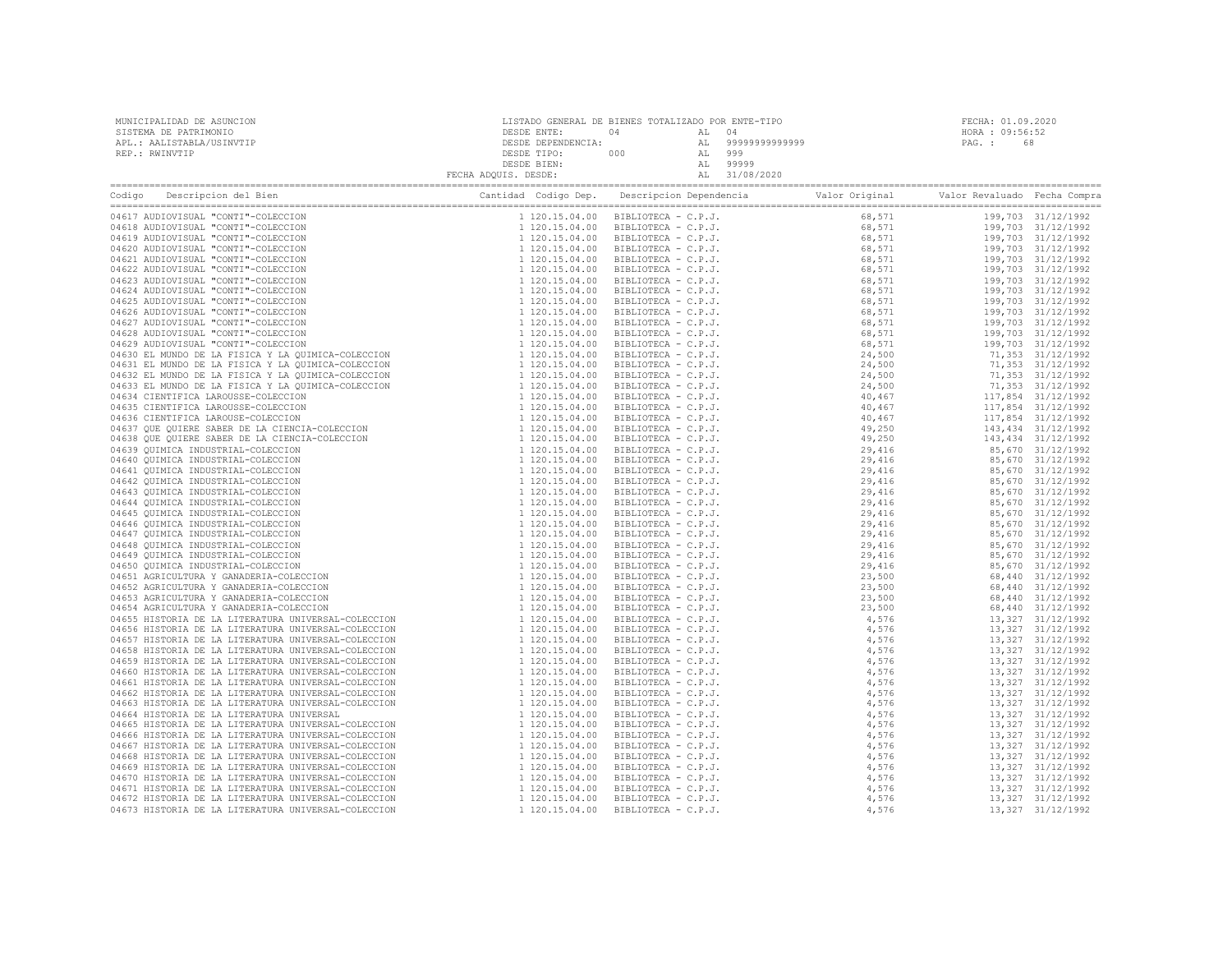| MUNICIPALIDAD DE ASUNCION                                                                                                                                                                                                      | LISTADO GENERAL DE BIENES TOTALIZADO POR ENTE-TIPO |  | $\overline{9}$ | FECHA: 01.09.2020 |  |  |
|--------------------------------------------------------------------------------------------------------------------------------------------------------------------------------------------------------------------------------|----------------------------------------------------|--|----------------|-------------------|--|--|
| Company Cantida Codigo Dep. Descripcion Dependencia Valor Original Valor Revaluado Fecha Compra Cantidad Codigo Dep. Descripcion Dependencia Valor Original Valor Revaluado Fecha Compra Cantidad Codigo Dep. Descripcion Depe |                                                    |  |                |                   |  |  |
|                                                                                                                                                                                                                                |                                                    |  |                |                   |  |  |
|                                                                                                                                                                                                                                |                                                    |  |                |                   |  |  |
|                                                                                                                                                                                                                                |                                                    |  |                |                   |  |  |
|                                                                                                                                                                                                                                |                                                    |  |                |                   |  |  |
|                                                                                                                                                                                                                                |                                                    |  |                |                   |  |  |
|                                                                                                                                                                                                                                |                                                    |  |                |                   |  |  |
|                                                                                                                                                                                                                                |                                                    |  |                |                   |  |  |
|                                                                                                                                                                                                                                |                                                    |  |                |                   |  |  |
|                                                                                                                                                                                                                                |                                                    |  |                |                   |  |  |
|                                                                                                                                                                                                                                |                                                    |  |                |                   |  |  |
|                                                                                                                                                                                                                                |                                                    |  |                |                   |  |  |
|                                                                                                                                                                                                                                |                                                    |  |                |                   |  |  |
|                                                                                                                                                                                                                                |                                                    |  |                |                   |  |  |
|                                                                                                                                                                                                                                |                                                    |  |                |                   |  |  |
|                                                                                                                                                                                                                                |                                                    |  |                |                   |  |  |
|                                                                                                                                                                                                                                |                                                    |  |                |                   |  |  |
|                                                                                                                                                                                                                                |                                                    |  |                |                   |  |  |
|                                                                                                                                                                                                                                |                                                    |  |                |                   |  |  |
|                                                                                                                                                                                                                                |                                                    |  |                |                   |  |  |
|                                                                                                                                                                                                                                |                                                    |  |                |                   |  |  |
|                                                                                                                                                                                                                                |                                                    |  |                |                   |  |  |
|                                                                                                                                                                                                                                |                                                    |  |                |                   |  |  |
|                                                                                                                                                                                                                                |                                                    |  |                |                   |  |  |
|                                                                                                                                                                                                                                |                                                    |  |                |                   |  |  |
|                                                                                                                                                                                                                                |                                                    |  |                |                   |  |  |
|                                                                                                                                                                                                                                |                                                    |  |                |                   |  |  |
|                                                                                                                                                                                                                                |                                                    |  |                |                   |  |  |
|                                                                                                                                                                                                                                |                                                    |  |                |                   |  |  |
|                                                                                                                                                                                                                                |                                                    |  |                |                   |  |  |
|                                                                                                                                                                                                                                |                                                    |  |                |                   |  |  |
|                                                                                                                                                                                                                                |                                                    |  |                |                   |  |  |
|                                                                                                                                                                                                                                |                                                    |  |                |                   |  |  |
|                                                                                                                                                                                                                                |                                                    |  |                |                   |  |  |
|                                                                                                                                                                                                                                |                                                    |  |                |                   |  |  |
|                                                                                                                                                                                                                                |                                                    |  |                |                   |  |  |
|                                                                                                                                                                                                                                |                                                    |  |                |                   |  |  |
|                                                                                                                                                                                                                                |                                                    |  |                |                   |  |  |
|                                                                                                                                                                                                                                |                                                    |  |                |                   |  |  |
|                                                                                                                                                                                                                                |                                                    |  |                |                   |  |  |
|                                                                                                                                                                                                                                |                                                    |  |                |                   |  |  |
|                                                                                                                                                                                                                                |                                                    |  |                |                   |  |  |
|                                                                                                                                                                                                                                |                                                    |  |                |                   |  |  |
|                                                                                                                                                                                                                                |                                                    |  |                |                   |  |  |
|                                                                                                                                                                                                                                |                                                    |  |                |                   |  |  |
|                                                                                                                                                                                                                                |                                                    |  |                |                   |  |  |
|                                                                                                                                                                                                                                |                                                    |  |                |                   |  |  |
|                                                                                                                                                                                                                                |                                                    |  |                |                   |  |  |
|                                                                                                                                                                                                                                |                                                    |  |                |                   |  |  |
|                                                                                                                                                                                                                                |                                                    |  |                |                   |  |  |
|                                                                                                                                                                                                                                |                                                    |  |                |                   |  |  |
|                                                                                                                                                                                                                                |                                                    |  |                |                   |  |  |
|                                                                                                                                                                                                                                |                                                    |  |                |                   |  |  |
|                                                                                                                                                                                                                                |                                                    |  |                |                   |  |  |
|                                                                                                                                                                                                                                |                                                    |  |                |                   |  |  |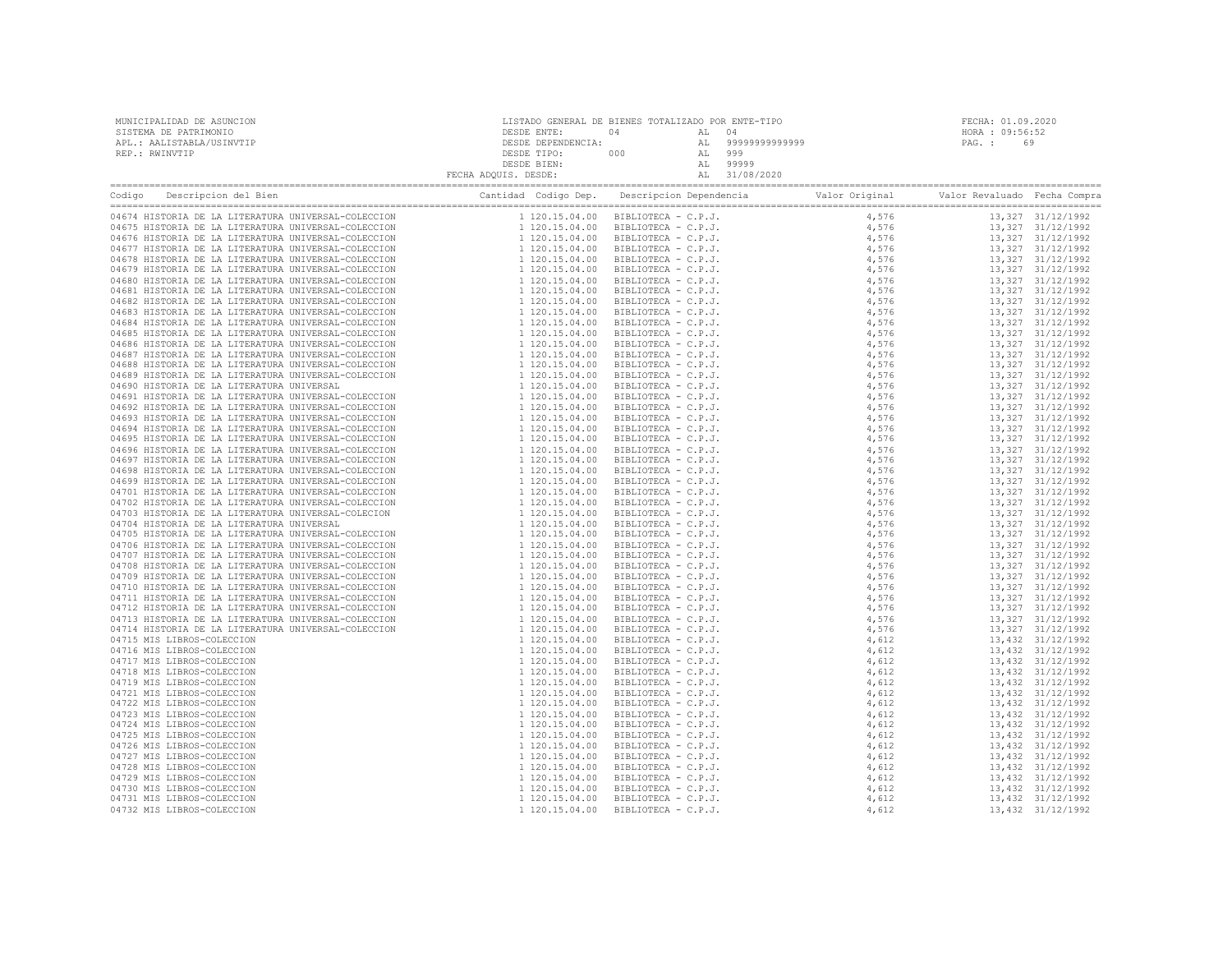| MUNICIPALIDAD DE ASUNCION | LISTADO GENERAL DE BIENES TOTALIZADO POR ENTE-TIPO |     |        |                    | FECHA: 01.09.2020 |    |
|---------------------------|----------------------------------------------------|-----|--------|--------------------|-------------------|----|
| SISTEMA DE PATRIMONIO     | DESDE ENTE:                                        | 04  | AL 04  |                    | HORA : 09:56:52   |    |
| APL.: AALISTABLA/USINVTIP | DESDE DEPENDENCIA:                                 |     |        | AT, 99999999999999 | PAG. :            | 69 |
| REP.: RWINVTIP            | DESDE TIPO:                                        | 000 | AL 999 |                    |                   |    |
|                           | DESDE BIEN:                                        |     |        | 99999              |                   |    |
|                           | FECHA ADQUIS. DESDE:                               |     |        | AL 31/08/2020      |                   |    |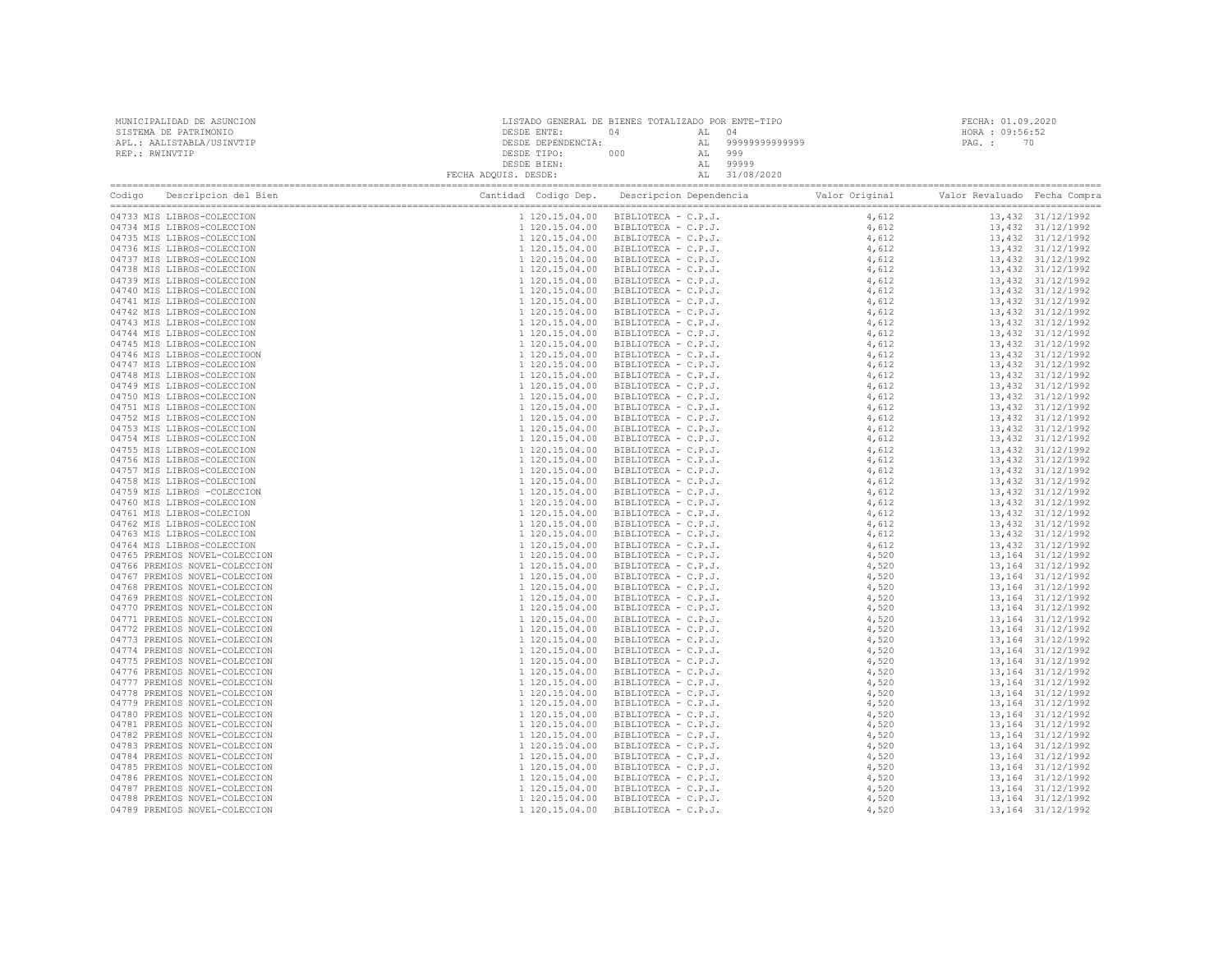| MUNICIPALIDAD DE ASUNCION<br>SISTEMA DE PATRIMONIO<br>APL.: AALISTABLA/USINVTIP                                                                                                                                                |                                                                                                                                                                                                                                                                                                                                                                                                                                                                                                 | FECHA: 01.09.2020<br>HORA : 09:56:52<br>PAG. : 70                                                                                                                                                                            |  |  |                                          |
|--------------------------------------------------------------------------------------------------------------------------------------------------------------------------------------------------------------------------------|-------------------------------------------------------------------------------------------------------------------------------------------------------------------------------------------------------------------------------------------------------------------------------------------------------------------------------------------------------------------------------------------------------------------------------------------------------------------------------------------------|------------------------------------------------------------------------------------------------------------------------------------------------------------------------------------------------------------------------------|--|--|------------------------------------------|
| REP.: RWINVTIP                                                                                                                                                                                                                 | ${\small \begin{tabular}{c} \texttt{DESDE ENTE:} \end{tabular} \begin{tabular}{c} \texttt{DESDE ENTE:} \end{tabular} \begin{tabular}{c} \texttt{04} \end{tabular} \begin{tabular}{c} \texttt{06} \end{tabular} \begin{tabular}{c} \texttt{07} \end{tabular} \begin{tabular}{c} \texttt{08} \end{tabular} \begin{tabular}{c} \texttt{08} \end{tabular} \begin{tabular}{c} \texttt{08} \end{tabular} \begin{tabular}{c} \texttt{09} \end{tabular} \begin{tabular}{c} \texttt{09} \end{tabular} \$ |                                                                                                                                                                                                                              |  |  |                                          |
| Codigo Descripcion del Bien (Compra Cantidad Codigo Dep. Descripcion Dependencia Valor Original Valor Revaluado Fecha Compra Cantidad Codigo Dep. Descripcion Dependencia Valor Original Valor Revaluado Fecha Compra Cantidad |                                                                                                                                                                                                                                                                                                                                                                                                                                                                                                 | 18. 1923 : 1924 : 1924 : 1924 : 1924 : 1924 : 1924 : 1924 : 1924 : 1924 : 1924 : 1924 : 1924 : 1924 : 1924 : 1924 : 1924 : 1924 : 1924 : 1924 : 1924 : 1924 : 1924 : 1924 : 1924 : 1924 : 1924 : 1924 : 1924 : 1924 : 1924 : |  |  |                                          |
| 04733 MIS LIBROS-COLECCION                                                                                                                                                                                                     |                                                                                                                                                                                                                                                                                                                                                                                                                                                                                                 |                                                                                                                                                                                                                              |  |  | 13,432 31/12/1992                        |
| 04734 MIS LIBROS-COLECCION                                                                                                                                                                                                     |                                                                                                                                                                                                                                                                                                                                                                                                                                                                                                 |                                                                                                                                                                                                                              |  |  | 13,432 31/12/1992                        |
| 04735 MIS LIBROS-COLECCION                                                                                                                                                                                                     |                                                                                                                                                                                                                                                                                                                                                                                                                                                                                                 |                                                                                                                                                                                                                              |  |  | 13,432 31/12/1992                        |
| 04736 MIS LIBROS-COLECCION                                                                                                                                                                                                     |                                                                                                                                                                                                                                                                                                                                                                                                                                                                                                 |                                                                                                                                                                                                                              |  |  | 13,432 31/12/1992                        |
| 04737 MIS LIBROS-COLECCION                                                                                                                                                                                                     |                                                                                                                                                                                                                                                                                                                                                                                                                                                                                                 |                                                                                                                                                                                                                              |  |  | 13,432 31/12/1992<br>13,432 31/12/1992   |
| 04738 MIS LIBROS-COLECCION<br>04739 MIS LIBROS-COLECCION                                                                                                                                                                       |                                                                                                                                                                                                                                                                                                                                                                                                                                                                                                 |                                                                                                                                                                                                                              |  |  | 13,432 31/12/1992                        |
| 04740 MIS LIBROS-COLECCION                                                                                                                                                                                                     |                                                                                                                                                                                                                                                                                                                                                                                                                                                                                                 |                                                                                                                                                                                                                              |  |  | 13,432 31/12/1992                        |
| 04741 MIS LIBROS-COLECCION                                                                                                                                                                                                     |                                                                                                                                                                                                                                                                                                                                                                                                                                                                                                 |                                                                                                                                                                                                                              |  |  | 13,432 31/12/1992                        |
| 04742 MIS LIBROS-COLECCION                                                                                                                                                                                                     |                                                                                                                                                                                                                                                                                                                                                                                                                                                                                                 |                                                                                                                                                                                                                              |  |  | 13,432 31/12/1992                        |
| 04743 MIS LIBROS-COLECCION                                                                                                                                                                                                     |                                                                                                                                                                                                                                                                                                                                                                                                                                                                                                 |                                                                                                                                                                                                                              |  |  | 13,432 31/12/1992                        |
| 04744 MIS LIBROS-COLECCION                                                                                                                                                                                                     |                                                                                                                                                                                                                                                                                                                                                                                                                                                                                                 |                                                                                                                                                                                                                              |  |  | 13,432 31/12/1992                        |
| 04745 MIS LIBROS-COLECCION                                                                                                                                                                                                     |                                                                                                                                                                                                                                                                                                                                                                                                                                                                                                 |                                                                                                                                                                                                                              |  |  | 13,432 31/12/1992                        |
| 04746 MIS LIBROS-COLECCIOON                                                                                                                                                                                                    |                                                                                                                                                                                                                                                                                                                                                                                                                                                                                                 |                                                                                                                                                                                                                              |  |  | 13,432 31/12/1992                        |
| 04747 MIS LIBROS-COLECCION                                                                                                                                                                                                     |                                                                                                                                                                                                                                                                                                                                                                                                                                                                                                 |                                                                                                                                                                                                                              |  |  | 13,432 31/12/1992                        |
| 04748 MIS LIBROS-COLECCION                                                                                                                                                                                                     |                                                                                                                                                                                                                                                                                                                                                                                                                                                                                                 |                                                                                                                                                                                                                              |  |  | 13,432 31/12/1992                        |
| 04749 MIS LIBROS-COLECCION                                                                                                                                                                                                     |                                                                                                                                                                                                                                                                                                                                                                                                                                                                                                 |                                                                                                                                                                                                                              |  |  | 13,432 31/12/1992                        |
| 04750 MIS LIBROS-COLECCION                                                                                                                                                                                                     |                                                                                                                                                                                                                                                                                                                                                                                                                                                                                                 |                                                                                                                                                                                                                              |  |  | 13,432 31/12/1992                        |
| 04751 MIS LIBROS-COLECCION                                                                                                                                                                                                     |                                                                                                                                                                                                                                                                                                                                                                                                                                                                                                 |                                                                                                                                                                                                                              |  |  | 13,432 31/12/1992<br>13,432 31/12/1992   |
| 04752 MIS LIBROS-COLECCION<br>04753 MIS LIBROS-COLECCION                                                                                                                                                                       |                                                                                                                                                                                                                                                                                                                                                                                                                                                                                                 |                                                                                                                                                                                                                              |  |  | 13,432 31/12/1992                        |
| 04754 MIS LIBROS-COLECCION                                                                                                                                                                                                     |                                                                                                                                                                                                                                                                                                                                                                                                                                                                                                 |                                                                                                                                                                                                                              |  |  | 13,432 31/12/1992                        |
| 04755 MIS LIBROS-COLECCION                                                                                                                                                                                                     |                                                                                                                                                                                                                                                                                                                                                                                                                                                                                                 |                                                                                                                                                                                                                              |  |  | 13,432 31/12/1992                        |
| 04756 MIS LIBROS-COLECCION                                                                                                                                                                                                     |                                                                                                                                                                                                                                                                                                                                                                                                                                                                                                 |                                                                                                                                                                                                                              |  |  | 13,432 31/12/1992                        |
| 04757 MIS LIBROS-COLECCION                                                                                                                                                                                                     |                                                                                                                                                                                                                                                                                                                                                                                                                                                                                                 |                                                                                                                                                                                                                              |  |  | 13,432 31/12/1992                        |
| 04758 MIS LIBROS-COLECCION                                                                                                                                                                                                     |                                                                                                                                                                                                                                                                                                                                                                                                                                                                                                 |                                                                                                                                                                                                                              |  |  | 13,432 31/12/1992                        |
| 04759 MIS LIBROS -COLECCION                                                                                                                                                                                                    |                                                                                                                                                                                                                                                                                                                                                                                                                                                                                                 |                                                                                                                                                                                                                              |  |  | 13,432 31/12/1992                        |
| 04760 MIS LIBROS-COLECCION                                                                                                                                                                                                     |                                                                                                                                                                                                                                                                                                                                                                                                                                                                                                 |                                                                                                                                                                                                                              |  |  | 13,432 31/12/1992                        |
| 04761 MIS LIBROS-COLECION                                                                                                                                                                                                      |                                                                                                                                                                                                                                                                                                                                                                                                                                                                                                 |                                                                                                                                                                                                                              |  |  | 13,432 31/12/1992                        |
| 04762 MIS LIBROS-COLECCION                                                                                                                                                                                                     |                                                                                                                                                                                                                                                                                                                                                                                                                                                                                                 |                                                                                                                                                                                                                              |  |  | 13,432 31/12/1992                        |
| 04763 MIS LIBROS-COLECCION                                                                                                                                                                                                     |                                                                                                                                                                                                                                                                                                                                                                                                                                                                                                 |                                                                                                                                                                                                                              |  |  | 13,432 31/12/1992                        |
| 04764 MIS LIBROS-COLECCION                                                                                                                                                                                                     |                                                                                                                                                                                                                                                                                                                                                                                                                                                                                                 |                                                                                                                                                                                                                              |  |  | 13,432 31/12/1992                        |
| 04765 PREMIOS NOVEL-COLECCION                                                                                                                                                                                                  |                                                                                                                                                                                                                                                                                                                                                                                                                                                                                                 |                                                                                                                                                                                                                              |  |  | 13,164 31/12/1992                        |
| 04766 PREMIOS NOVEL-COLECCION<br>04767 PREMIOS NOVEL-COLECCION                                                                                                                                                                 |                                                                                                                                                                                                                                                                                                                                                                                                                                                                                                 |                                                                                                                                                                                                                              |  |  | 13,164 31/12/1992<br>13, 164 31/12/1992  |
| 04768 PREMIOS NOVEL-COLECCION                                                                                                                                                                                                  |                                                                                                                                                                                                                                                                                                                                                                                                                                                                                                 |                                                                                                                                                                                                                              |  |  | 13,164 31/12/1992                        |
| 04769 PREMIOS NOVEL-COLECCION                                                                                                                                                                                                  |                                                                                                                                                                                                                                                                                                                                                                                                                                                                                                 |                                                                                                                                                                                                                              |  |  | 13,164 31/12/1992                        |
| 04770 PREMIOS NOVEL-COLECCION                                                                                                                                                                                                  |                                                                                                                                                                                                                                                                                                                                                                                                                                                                                                 |                                                                                                                                                                                                                              |  |  | 13,164 31/12/1992                        |
| 04771 PREMIOS NOVEL-COLECCION                                                                                                                                                                                                  |                                                                                                                                                                                                                                                                                                                                                                                                                                                                                                 |                                                                                                                                                                                                                              |  |  | 13, 164 31/12/1992                       |
| 04772 PREMIOS NOVEL-COLECCION                                                                                                                                                                                                  |                                                                                                                                                                                                                                                                                                                                                                                                                                                                                                 |                                                                                                                                                                                                                              |  |  | 13, 164 31/12/1992                       |
| 04773 PREMIOS NOVEL-COLECCION                                                                                                                                                                                                  |                                                                                                                                                                                                                                                                                                                                                                                                                                                                                                 |                                                                                                                                                                                                                              |  |  | 13,164 31/12/1992                        |
| 04774 PREMIOS NOVEL-COLECCION                                                                                                                                                                                                  |                                                                                                                                                                                                                                                                                                                                                                                                                                                                                                 |                                                                                                                                                                                                                              |  |  | 13, 164 31/12/1992                       |
| 04775 PREMIOS NOVEL-COLECCION                                                                                                                                                                                                  |                                                                                                                                                                                                                                                                                                                                                                                                                                                                                                 |                                                                                                                                                                                                                              |  |  | 13, 164 31/12/1992                       |
| 04776 PREMIOS NOVEL-COLECCION                                                                                                                                                                                                  |                                                                                                                                                                                                                                                                                                                                                                                                                                                                                                 |                                                                                                                                                                                                                              |  |  | 13,164 31/12/1992                        |
| 04777 PREMIOS NOVEL-COLECCION                                                                                                                                                                                                  |                                                                                                                                                                                                                                                                                                                                                                                                                                                                                                 |                                                                                                                                                                                                                              |  |  | 13, 164 31/12/1992                       |
| 04778 PREMIOS NOVEL-COLECCION                                                                                                                                                                                                  |                                                                                                                                                                                                                                                                                                                                                                                                                                                                                                 |                                                                                                                                                                                                                              |  |  | 13, 164 31/12/1992                       |
| 04779 PREMIOS NOVEL-COLECCION<br>04780 PREMIOS NOVEL-COLECCION                                                                                                                                                                 |                                                                                                                                                                                                                                                                                                                                                                                                                                                                                                 |                                                                                                                                                                                                                              |  |  | 13, 164 31/12/1992<br>13, 164 31/12/1992 |
| 04781 PREMIOS NOVEL-COLECCION                                                                                                                                                                                                  |                                                                                                                                                                                                                                                                                                                                                                                                                                                                                                 |                                                                                                                                                                                                                              |  |  | 13,164 31/12/1992                        |
| 04782 PREMIOS NOVEL-COLECCION                                                                                                                                                                                                  |                                                                                                                                                                                                                                                                                                                                                                                                                                                                                                 |                                                                                                                                                                                                                              |  |  | 13, 164 31/12/1992                       |
| 04783 PREMIOS NOVEL-COLECCION                                                                                                                                                                                                  |                                                                                                                                                                                                                                                                                                                                                                                                                                                                                                 |                                                                                                                                                                                                                              |  |  | 13, 164 31/12/1992                       |
| 04784 PREMIOS NOVEL-COLECCION                                                                                                                                                                                                  |                                                                                                                                                                                                                                                                                                                                                                                                                                                                                                 |                                                                                                                                                                                                                              |  |  | 13, 164 31/12/1992                       |
| 04785 PREMIOS NOVEL-COLECCION                                                                                                                                                                                                  |                                                                                                                                                                                                                                                                                                                                                                                                                                                                                                 |                                                                                                                                                                                                                              |  |  | 13, 164 31/12/1992                       |
| 04786 PREMIOS NOVEL-COLECCION                                                                                                                                                                                                  |                                                                                                                                                                                                                                                                                                                                                                                                                                                                                                 |                                                                                                                                                                                                                              |  |  | 13, 164 31/12/1992                       |
| 04787 PREMIOS NOVEL-COLECCION                                                                                                                                                                                                  |                                                                                                                                                                                                                                                                                                                                                                                                                                                                                                 |                                                                                                                                                                                                                              |  |  | 13, 164 31/12/1992                       |
| 04788 PREMIOS NOVEL-COLECCION                                                                                                                                                                                                  |                                                                                                                                                                                                                                                                                                                                                                                                                                                                                                 |                                                                                                                                                                                                                              |  |  | 13,164 31/12/1992                        |
| 04789 PREMIOS NOVEL-COLECCION                                                                                                                                                                                                  |                                                                                                                                                                                                                                                                                                                                                                                                                                                                                                 |                                                                                                                                                                                                                              |  |  | 13,164 31/12/1992                        |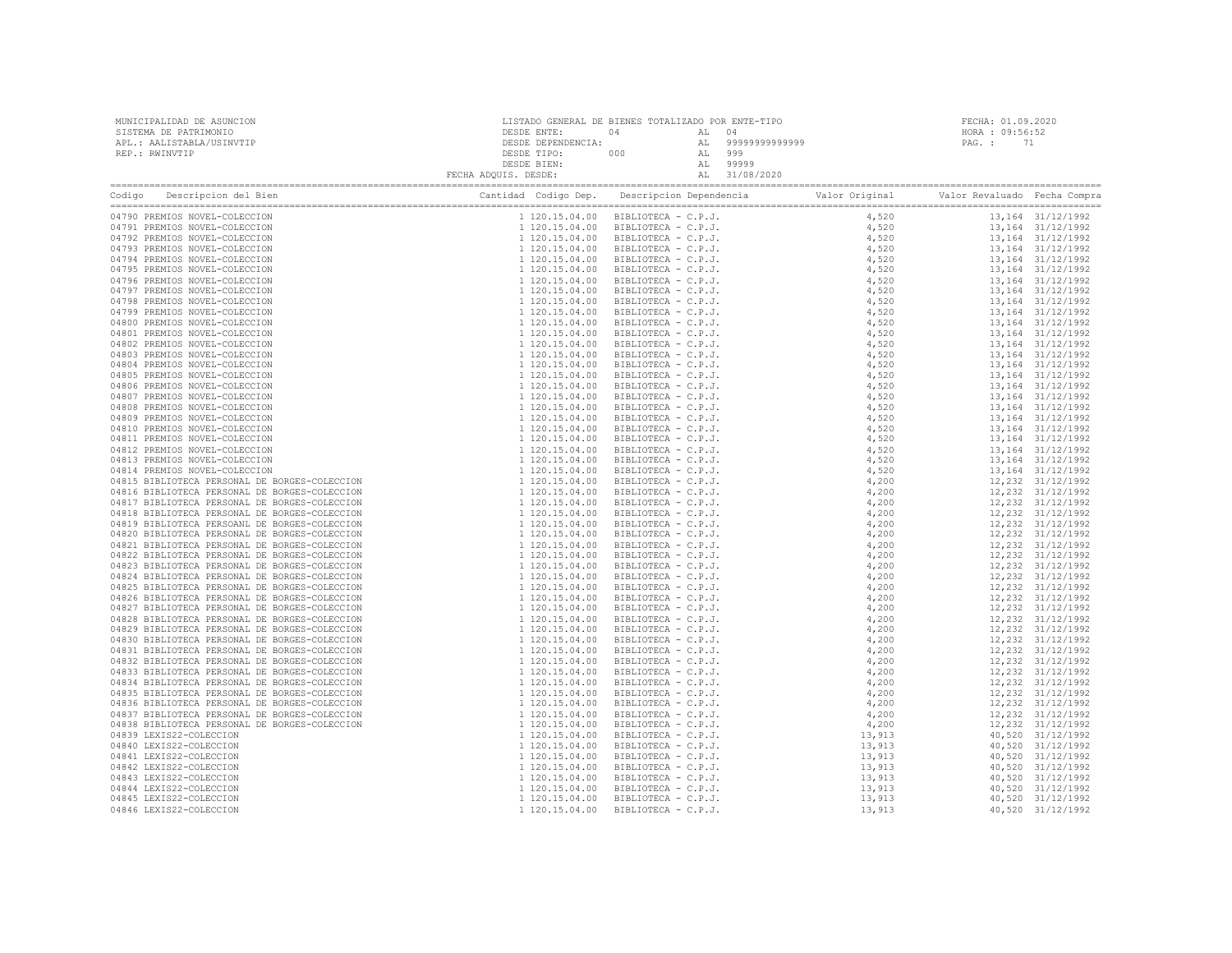| MUNICIPALIDAD DE ASUNCION                                                                                                                 |  | FECHA: 01.09.2020 |                 |  |
|-------------------------------------------------------------------------------------------------------------------------------------------|--|-------------------|-----------------|--|
| SISTEMA DE PATRIMONIO                                                                                                                     |  |                   | HORA : 09:56:52 |  |
| APL.: AALISTABLA/USINVTIP                                                                                                                 |  |                   | PAG.: 71        |  |
| REP.: RWINVTIP                                                                                                                            |  |                   |                 |  |
|                                                                                                                                           |  |                   |                 |  |
| Codigo Descripcion del Bien de Marco de Marco Cantidad Codigo Dep. Descripcion Dependencia de Valor Original Valor Revaluado Fecha Compra |  |                   |                 |  |
|                                                                                                                                           |  |                   |                 |  |
|                                                                                                                                           |  |                   |                 |  |
|                                                                                                                                           |  |                   |                 |  |
|                                                                                                                                           |  |                   |                 |  |
|                                                                                                                                           |  |                   |                 |  |
|                                                                                                                                           |  |                   |                 |  |
|                                                                                                                                           |  |                   |                 |  |
|                                                                                                                                           |  |                   |                 |  |
|                                                                                                                                           |  |                   |                 |  |
|                                                                                                                                           |  |                   |                 |  |
|                                                                                                                                           |  |                   |                 |  |
|                                                                                                                                           |  |                   |                 |  |
|                                                                                                                                           |  |                   |                 |  |
|                                                                                                                                           |  |                   |                 |  |
|                                                                                                                                           |  |                   |                 |  |
|                                                                                                                                           |  |                   |                 |  |
|                                                                                                                                           |  |                   |                 |  |
|                                                                                                                                           |  |                   |                 |  |
|                                                                                                                                           |  |                   |                 |  |
|                                                                                                                                           |  |                   |                 |  |
|                                                                                                                                           |  |                   |                 |  |
|                                                                                                                                           |  |                   |                 |  |
|                                                                                                                                           |  |                   |                 |  |
|                                                                                                                                           |  |                   |                 |  |
|                                                                                                                                           |  |                   |                 |  |
|                                                                                                                                           |  |                   |                 |  |
|                                                                                                                                           |  |                   |                 |  |
|                                                                                                                                           |  |                   |                 |  |
|                                                                                                                                           |  |                   |                 |  |
|                                                                                                                                           |  |                   |                 |  |
|                                                                                                                                           |  |                   |                 |  |
|                                                                                                                                           |  |                   |                 |  |
|                                                                                                                                           |  |                   |                 |  |
|                                                                                                                                           |  |                   |                 |  |
|                                                                                                                                           |  |                   |                 |  |
|                                                                                                                                           |  |                   |                 |  |
|                                                                                                                                           |  |                   |                 |  |
|                                                                                                                                           |  |                   |                 |  |
|                                                                                                                                           |  |                   |                 |  |
|                                                                                                                                           |  |                   |                 |  |
|                                                                                                                                           |  |                   |                 |  |
|                                                                                                                                           |  |                   |                 |  |
|                                                                                                                                           |  |                   |                 |  |
|                                                                                                                                           |  |                   |                 |  |
|                                                                                                                                           |  |                   |                 |  |
|                                                                                                                                           |  |                   |                 |  |
|                                                                                                                                           |  |                   |                 |  |
|                                                                                                                                           |  |                   |                 |  |
|                                                                                                                                           |  |                   |                 |  |
|                                                                                                                                           |  |                   |                 |  |
|                                                                                                                                           |  |                   |                 |  |
|                                                                                                                                           |  |                   |                 |  |
|                                                                                                                                           |  |                   |                 |  |
|                                                                                                                                           |  |                   |                 |  |
|                                                                                                                                           |  |                   |                 |  |
|                                                                                                                                           |  |                   |                 |  |
|                                                                                                                                           |  |                   |                 |  |
|                                                                                                                                           |  |                   |                 |  |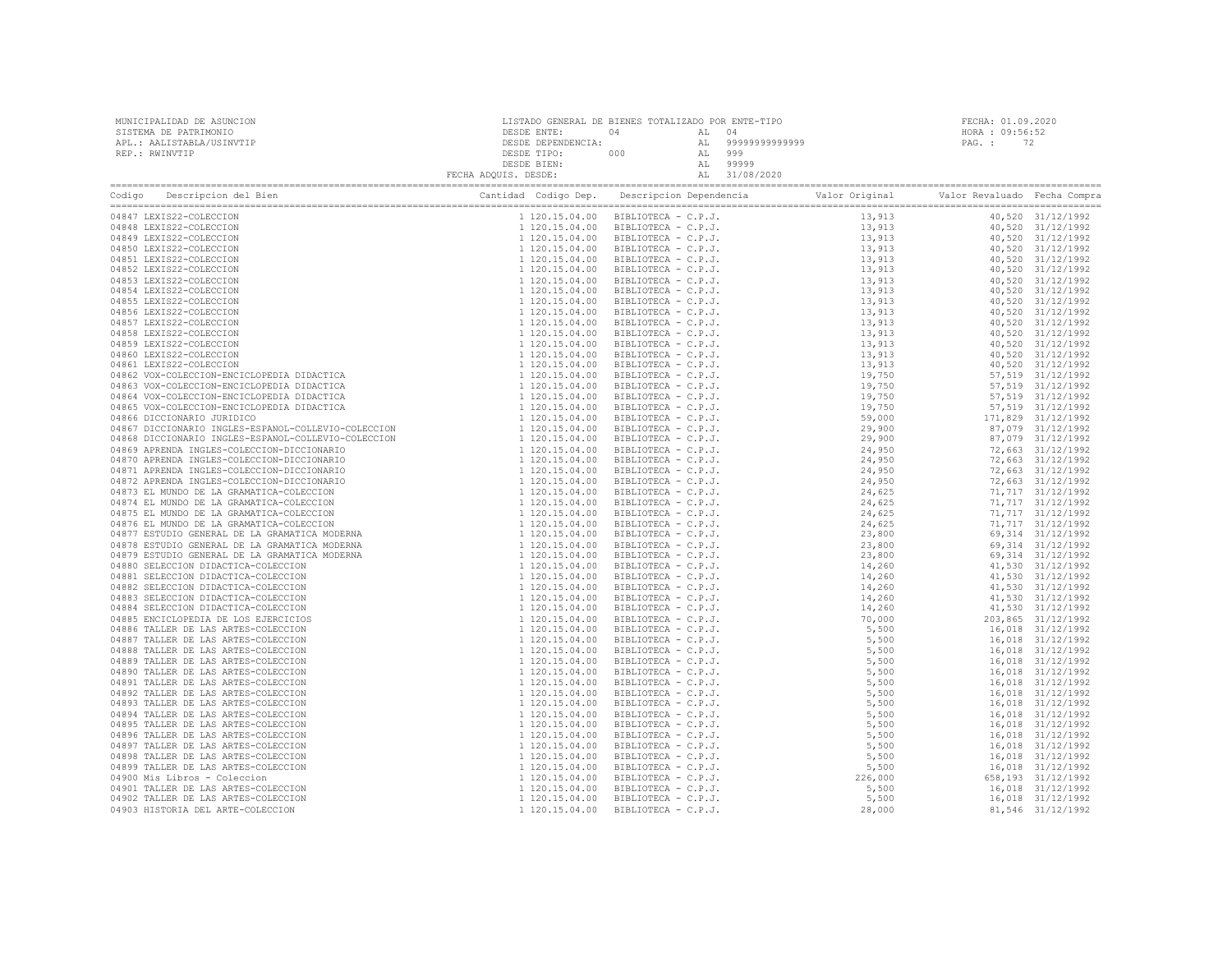| Codigo Descripcion del Bien (Compra Cantidad Codigo Dep. Descripcion Dependencia Valor Original Valor Revaluado Fecha Compra Cantidad Codigo Dep. Descripcion Dependencia Valor Original Valor Revaluado Fecha Compra Cantidad |  |  |  |
|--------------------------------------------------------------------------------------------------------------------------------------------------------------------------------------------------------------------------------|--|--|--|
|                                                                                                                                                                                                                                |  |  |  |
|                                                                                                                                                                                                                                |  |  |  |
|                                                                                                                                                                                                                                |  |  |  |
|                                                                                                                                                                                                                                |  |  |  |
|                                                                                                                                                                                                                                |  |  |  |
|                                                                                                                                                                                                                                |  |  |  |
|                                                                                                                                                                                                                                |  |  |  |
|                                                                                                                                                                                                                                |  |  |  |
|                                                                                                                                                                                                                                |  |  |  |
|                                                                                                                                                                                                                                |  |  |  |
|                                                                                                                                                                                                                                |  |  |  |
|                                                                                                                                                                                                                                |  |  |  |
|                                                                                                                                                                                                                                |  |  |  |
|                                                                                                                                                                                                                                |  |  |  |
|                                                                                                                                                                                                                                |  |  |  |
|                                                                                                                                                                                                                                |  |  |  |
|                                                                                                                                                                                                                                |  |  |  |
|                                                                                                                                                                                                                                |  |  |  |
|                                                                                                                                                                                                                                |  |  |  |
|                                                                                                                                                                                                                                |  |  |  |
|                                                                                                                                                                                                                                |  |  |  |
|                                                                                                                                                                                                                                |  |  |  |
|                                                                                                                                                                                                                                |  |  |  |
|                                                                                                                                                                                                                                |  |  |  |
|                                                                                                                                                                                                                                |  |  |  |
|                                                                                                                                                                                                                                |  |  |  |
|                                                                                                                                                                                                                                |  |  |  |
|                                                                                                                                                                                                                                |  |  |  |
|                                                                                                                                                                                                                                |  |  |  |
|                                                                                                                                                                                                                                |  |  |  |
|                                                                                                                                                                                                                                |  |  |  |
|                                                                                                                                                                                                                                |  |  |  |
|                                                                                                                                                                                                                                |  |  |  |
|                                                                                                                                                                                                                                |  |  |  |
|                                                                                                                                                                                                                                |  |  |  |
|                                                                                                                                                                                                                                |  |  |  |
|                                                                                                                                                                                                                                |  |  |  |
|                                                                                                                                                                                                                                |  |  |  |
|                                                                                                                                                                                                                                |  |  |  |
|                                                                                                                                                                                                                                |  |  |  |
|                                                                                                                                                                                                                                |  |  |  |
|                                                                                                                                                                                                                                |  |  |  |
|                                                                                                                                                                                                                                |  |  |  |
|                                                                                                                                                                                                                                |  |  |  |
|                                                                                                                                                                                                                                |  |  |  |
|                                                                                                                                                                                                                                |  |  |  |
|                                                                                                                                                                                                                                |  |  |  |
|                                                                                                                                                                                                                                |  |  |  |
|                                                                                                                                                                                                                                |  |  |  |
|                                                                                                                                                                                                                                |  |  |  |
|                                                                                                                                                                                                                                |  |  |  |
|                                                                                                                                                                                                                                |  |  |  |
|                                                                                                                                                                                                                                |  |  |  |
|                                                                                                                                                                                                                                |  |  |  |
|                                                                                                                                                                                                                                |  |  |  |
|                                                                                                                                                                                                                                |  |  |  |
|                                                                                                                                                                                                                                |  |  |  |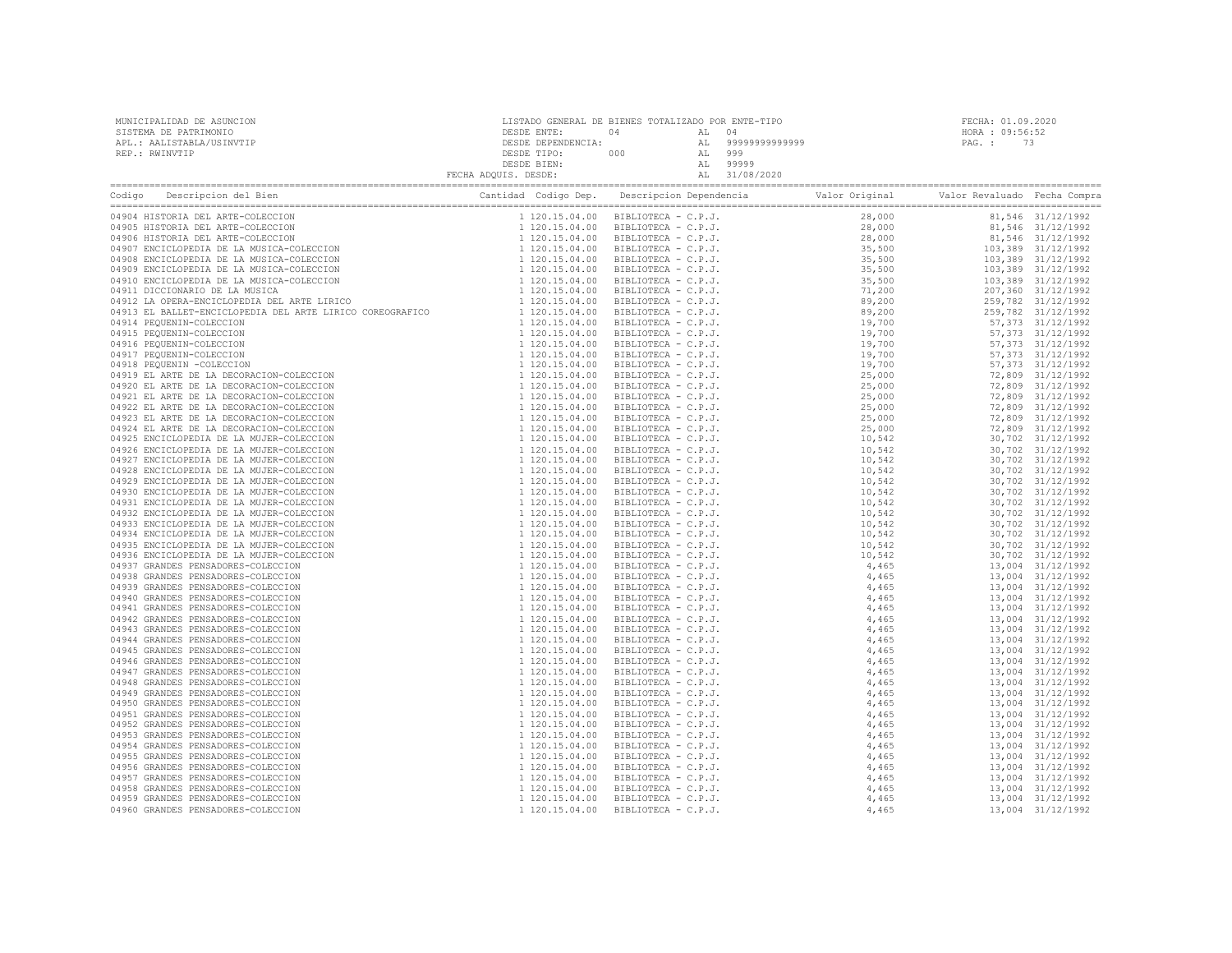| MUNICIPALIDAD DE ASUNCION<br>SISTEMA DE PATRIMONIO<br>APL.: AALISTABLA/USINVTIP<br>REP.: RWINVTIP                                    | DESDE ENTE:<br>DESDE TILL<br>DESDE BIEN:<br>ADQUIS. DESDE:<br>ADQUIS. DESDE: | LISTADO GENERAL DE BIENES TOTALIZADO POR ENTE-TIPO<br>04 AL 04<br>DESDE DEPENDENCIA:<br>DESDE TIPO: 000 AL 999<br>DESDE TIPO: 000 AL 999<br>DESDE BIEN: AL 99999<br>FECHA ADQUIS. DESDE: AL 31/08/2020 | FECHA: 01.09.2020<br>HORA : 09:56:52<br>PAG.: 73 |  |
|--------------------------------------------------------------------------------------------------------------------------------------|------------------------------------------------------------------------------|--------------------------------------------------------------------------------------------------------------------------------------------------------------------------------------------------------|--------------------------------------------------|--|
| Codigo Descripcion del Bien de Compra de Cantidad Codigo Dep. Descripcion Dependencia de Valor Original Valor Revaluado Fecha Compra |                                                                              |                                                                                                                                                                                                        |                                                  |  |
|                                                                                                                                      |                                                                              |                                                                                                                                                                                                        |                                                  |  |
|                                                                                                                                      |                                                                              |                                                                                                                                                                                                        |                                                  |  |
|                                                                                                                                      |                                                                              |                                                                                                                                                                                                        |                                                  |  |
|                                                                                                                                      |                                                                              |                                                                                                                                                                                                        |                                                  |  |
|                                                                                                                                      |                                                                              |                                                                                                                                                                                                        |                                                  |  |
|                                                                                                                                      |                                                                              |                                                                                                                                                                                                        |                                                  |  |
|                                                                                                                                      |                                                                              |                                                                                                                                                                                                        |                                                  |  |
|                                                                                                                                      |                                                                              |                                                                                                                                                                                                        |                                                  |  |
|                                                                                                                                      |                                                                              |                                                                                                                                                                                                        |                                                  |  |
|                                                                                                                                      |                                                                              |                                                                                                                                                                                                        |                                                  |  |
|                                                                                                                                      |                                                                              |                                                                                                                                                                                                        |                                                  |  |
|                                                                                                                                      |                                                                              |                                                                                                                                                                                                        |                                                  |  |
|                                                                                                                                      |                                                                              |                                                                                                                                                                                                        |                                                  |  |
|                                                                                                                                      |                                                                              |                                                                                                                                                                                                        |                                                  |  |
|                                                                                                                                      |                                                                              |                                                                                                                                                                                                        |                                                  |  |
|                                                                                                                                      |                                                                              |                                                                                                                                                                                                        |                                                  |  |
|                                                                                                                                      |                                                                              |                                                                                                                                                                                                        |                                                  |  |
|                                                                                                                                      |                                                                              |                                                                                                                                                                                                        |                                                  |  |
|                                                                                                                                      |                                                                              |                                                                                                                                                                                                        |                                                  |  |
|                                                                                                                                      |                                                                              |                                                                                                                                                                                                        |                                                  |  |
|                                                                                                                                      |                                                                              |                                                                                                                                                                                                        |                                                  |  |
|                                                                                                                                      |                                                                              |                                                                                                                                                                                                        |                                                  |  |
|                                                                                                                                      |                                                                              |                                                                                                                                                                                                        |                                                  |  |
|                                                                                                                                      |                                                                              |                                                                                                                                                                                                        |                                                  |  |
|                                                                                                                                      |                                                                              |                                                                                                                                                                                                        |                                                  |  |
|                                                                                                                                      |                                                                              |                                                                                                                                                                                                        |                                                  |  |
|                                                                                                                                      |                                                                              |                                                                                                                                                                                                        |                                                  |  |
|                                                                                                                                      |                                                                              |                                                                                                                                                                                                        |                                                  |  |
|                                                                                                                                      |                                                                              |                                                                                                                                                                                                        |                                                  |  |
|                                                                                                                                      |                                                                              |                                                                                                                                                                                                        |                                                  |  |
|                                                                                                                                      |                                                                              |                                                                                                                                                                                                        |                                                  |  |
|                                                                                                                                      |                                                                              |                                                                                                                                                                                                        |                                                  |  |
|                                                                                                                                      |                                                                              |                                                                                                                                                                                                        |                                                  |  |
|                                                                                                                                      |                                                                              |                                                                                                                                                                                                        |                                                  |  |
|                                                                                                                                      |                                                                              |                                                                                                                                                                                                        |                                                  |  |
|                                                                                                                                      |                                                                              |                                                                                                                                                                                                        |                                                  |  |
|                                                                                                                                      |                                                                              |                                                                                                                                                                                                        |                                                  |  |
|                                                                                                                                      |                                                                              |                                                                                                                                                                                                        |                                                  |  |
|                                                                                                                                      |                                                                              |                                                                                                                                                                                                        |                                                  |  |
|                                                                                                                                      |                                                                              |                                                                                                                                                                                                        |                                                  |  |
|                                                                                                                                      |                                                                              |                                                                                                                                                                                                        |                                                  |  |
|                                                                                                                                      |                                                                              |                                                                                                                                                                                                        |                                                  |  |
|                                                                                                                                      |                                                                              |                                                                                                                                                                                                        |                                                  |  |
|                                                                                                                                      |                                                                              |                                                                                                                                                                                                        |                                                  |  |
|                                                                                                                                      |                                                                              |                                                                                                                                                                                                        |                                                  |  |
|                                                                                                                                      |                                                                              |                                                                                                                                                                                                        |                                                  |  |
|                                                                                                                                      |                                                                              |                                                                                                                                                                                                        |                                                  |  |
|                                                                                                                                      |                                                                              |                                                                                                                                                                                                        |                                                  |  |
|                                                                                                                                      |                                                                              |                                                                                                                                                                                                        |                                                  |  |
|                                                                                                                                      |                                                                              |                                                                                                                                                                                                        |                                                  |  |
|                                                                                                                                      |                                                                              |                                                                                                                                                                                                        |                                                  |  |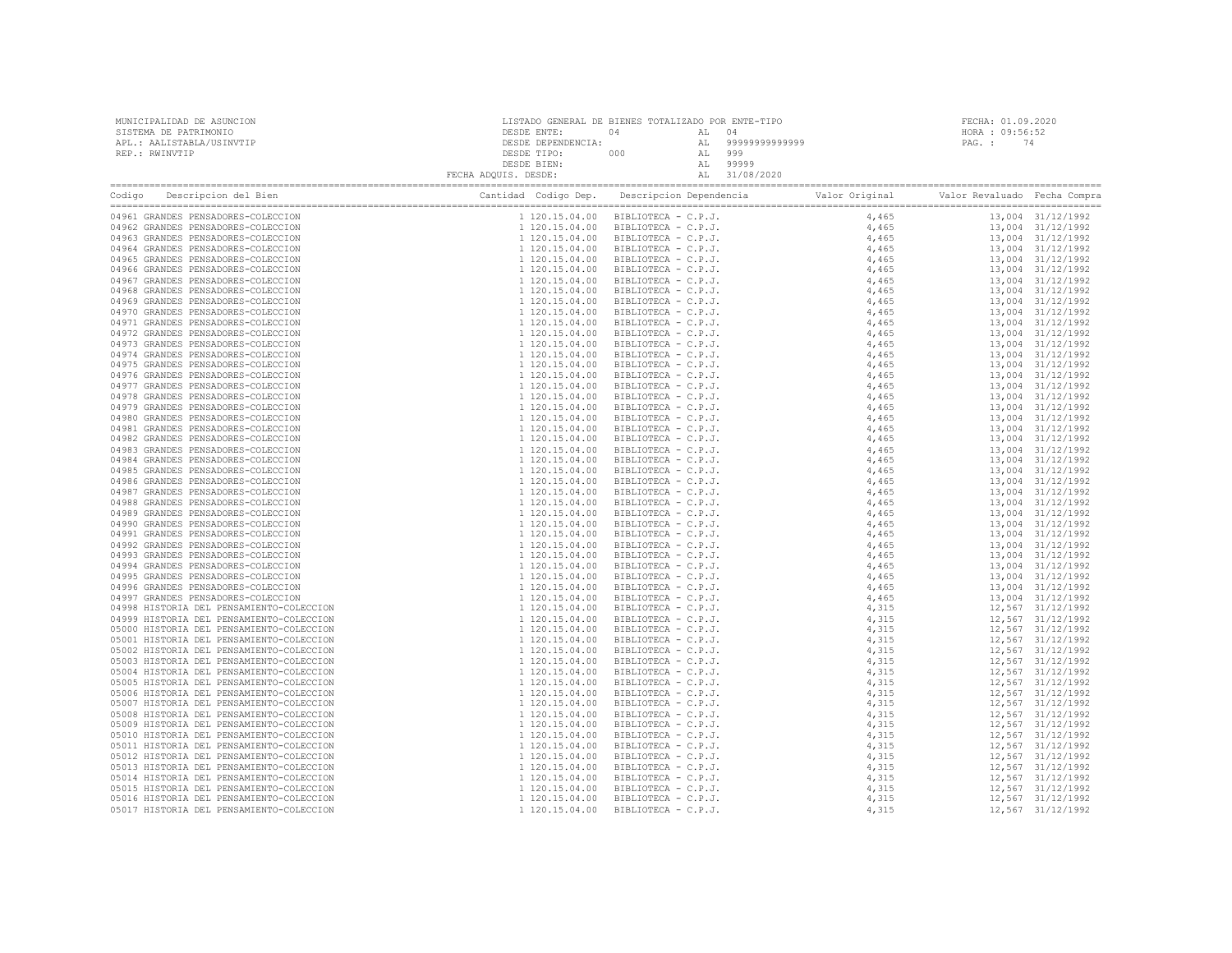| MUNICIPALIDAD DE ASUNCION                                                                                                                                                                                                      |  |  | FECHA: 01.09.2020 |  |
|--------------------------------------------------------------------------------------------------------------------------------------------------------------------------------------------------------------------------------|--|--|-------------------|--|
| SISTEMA DE PATRIMONIO                                                                                                                                                                                                          |  |  | HORA : 09:56:52   |  |
| APL.: AALISTABLA/USINVTIP                                                                                                                                                                                                      |  |  | PAG.: 74          |  |
| REP.: RWINVTIP                                                                                                                                                                                                                 |  |  |                   |  |
|                                                                                                                                                                                                                                |  |  |                   |  |
|                                                                                                                                                                                                                                |  |  |                   |  |
| Codigo Descripcion del Bien (Compra Cantidad Codigo Dep. Descripcion Dependencia Valor Original Valor Revaluado Fecha Compra Cantidad Codigo Dep. Descripcion Dependencia Valor Original Valor Revaluado Fecha Compra Cantidad |  |  |                   |  |
| 04961 GRANDES PENSADORES-COLECCION                                                                                                                                                                                             |  |  |                   |  |
| 04962 GRANDES PENSADORES-COLECCION                                                                                                                                                                                             |  |  |                   |  |
| 04963 GRANDES PENSADORES-COLECCION                                                                                                                                                                                             |  |  |                   |  |
| 04964 GRANDES PENSADORES-COLECCION                                                                                                                                                                                             |  |  |                   |  |
| 04965 GRANDES PENSADORES-COLECCION                                                                                                                                                                                             |  |  |                   |  |
| 04966 GRANDES PENSADORES-COLECCION                                                                                                                                                                                             |  |  |                   |  |
| 04967 GRANDES PENSADORES-COLECCION                                                                                                                                                                                             |  |  |                   |  |
| 04968 GRANDES PENSADORES-COLECCION                                                                                                                                                                                             |  |  |                   |  |
| 04969 GRANDES PENSADORES-COLECCION                                                                                                                                                                                             |  |  |                   |  |
| 04970 GRANDES PENSADORES-COLECCION                                                                                                                                                                                             |  |  |                   |  |
| 04971 GRANDES PENSADORES-COLECCION                                                                                                                                                                                             |  |  |                   |  |
| 04972 GRANDES PENSADORES-COLECCION                                                                                                                                                                                             |  |  |                   |  |
| 04973 GRANDES PENSADORES-COLECCION                                                                                                                                                                                             |  |  |                   |  |
| 04974 GRANDES PENSADORES-COLECCION                                                                                                                                                                                             |  |  |                   |  |
| 04975 GRANDES PENSADORES-COLECCION                                                                                                                                                                                             |  |  |                   |  |
| 04976 GRANDES PENSADORES-COLECCION                                                                                                                                                                                             |  |  |                   |  |
| 04977 GRANDES PENSADORES-COLECCION                                                                                                                                                                                             |  |  |                   |  |
| 04978 GRANDES PENSADORES-COLECCION                                                                                                                                                                                             |  |  |                   |  |
| 04979 GRANDES PENSADORES-COLECCION                                                                                                                                                                                             |  |  |                   |  |
| 04980 GRANDES PENSADORES-COLECCION                                                                                                                                                                                             |  |  |                   |  |
| 04981 GRANDES PENSADORES-COLECCION                                                                                                                                                                                             |  |  |                   |  |
| 04982 GRANDES PENSADORES-COLECCION                                                                                                                                                                                             |  |  |                   |  |
| 04983 GRANDES PENSADORES-COLECCION                                                                                                                                                                                             |  |  |                   |  |
| 04984 GRANDES PENSADORES-COLECCION                                                                                                                                                                                             |  |  |                   |  |
| 04985 GRANDES PENSADORES-COLECCION                                                                                                                                                                                             |  |  |                   |  |
| 04986 GRANDES PENSADORES-COLECCION                                                                                                                                                                                             |  |  |                   |  |
| 04987 GRANDES PENSADORES-COLECCION                                                                                                                                                                                             |  |  |                   |  |
| 04988 GRANDES PENSADORES-COLECCION                                                                                                                                                                                             |  |  |                   |  |
| 04989 GRANDES PENSADORES-COLECCION                                                                                                                                                                                             |  |  |                   |  |
| 04990 GRANDES PENSADORES-COLECCION                                                                                                                                                                                             |  |  |                   |  |
| 04991 GRANDES PENSADORES-COLECCION                                                                                                                                                                                             |  |  |                   |  |
| 04992 GRANDES PENSADORES-COLECCION                                                                                                                                                                                             |  |  |                   |  |
| 04993 GRANDES PENSADORES-COLECCION                                                                                                                                                                                             |  |  |                   |  |
| 04994 GRANDES PENSADORES-COLECCION                                                                                                                                                                                             |  |  |                   |  |
| 04995 GRANDES PENSADORES-COLECCION                                                                                                                                                                                             |  |  |                   |  |
| 04996 GRANDES PENSADORES-COLECCION                                                                                                                                                                                             |  |  |                   |  |
| 04997 GRANDES PENSADORES-COLECCION                                                                                                                                                                                             |  |  |                   |  |
| 04998 HISTORIA DEL PENSAMIENTO-COLECCION                                                                                                                                                                                       |  |  |                   |  |
| 04999 HISTORIA DEL PENSAMIENTO-COLECCION                                                                                                                                                                                       |  |  |                   |  |
| 05000 HISTORIA DEL PENSAMIENTO-COLECCION                                                                                                                                                                                       |  |  |                   |  |
| 05001 HISTORIA DEL PENSAMIENTO-COLECCION                                                                                                                                                                                       |  |  |                   |  |
| 05002 HISTORIA DEL PENSAMIENTO-COLECCION                                                                                                                                                                                       |  |  |                   |  |
| 05003 HISTORIA DEL PENSAMIENTO-COLECCION                                                                                                                                                                                       |  |  |                   |  |
| 05004 HISTORIA DEL PENSAMIENTO-COLECCION                                                                                                                                                                                       |  |  |                   |  |
| 05005 HISTORIA DEL PENSAMIENTO-COLECCION                                                                                                                                                                                       |  |  |                   |  |
| 05006 HISTORIA DEL PENSAMIENTO-COLECCION                                                                                                                                                                                       |  |  |                   |  |
| 05007 HISTORIA DEL PENSAMIENTO-COLECCION                                                                                                                                                                                       |  |  |                   |  |
| 05008 HISTORIA DEL PENSAMIENTO-COLECCION                                                                                                                                                                                       |  |  |                   |  |
| 05009 HISTORIA DEL PENSAMIENTO-COLECCION                                                                                                                                                                                       |  |  |                   |  |
| 05010 HISTORIA DEL PENSAMIENTO-COLECCION                                                                                                                                                                                       |  |  |                   |  |
| 05011 HISTORIA DEL PENSAMIENTO-COLECCION                                                                                                                                                                                       |  |  |                   |  |
| 05012 HISTORIA DEL PENSAMIENTO-COLECCION                                                                                                                                                                                       |  |  |                   |  |
| 05013 HISTORIA DEL PENSAMIENTO-COLECCION                                                                                                                                                                                       |  |  |                   |  |
| 05014 HISTORIA DEL PENSAMIENTO-COLECCION                                                                                                                                                                                       |  |  |                   |  |
| 05015 HISTORIA DEL PENSAMIENTO-COLECCION                                                                                                                                                                                       |  |  |                   |  |
| 05016 HISTORIA DEL PENSAMIENTO-COLECCION                                                                                                                                                                                       |  |  |                   |  |
| 05017 HISTORIA DEL PENSAMIENTO-COLECCION                                                                                                                                                                                       |  |  |                   |  |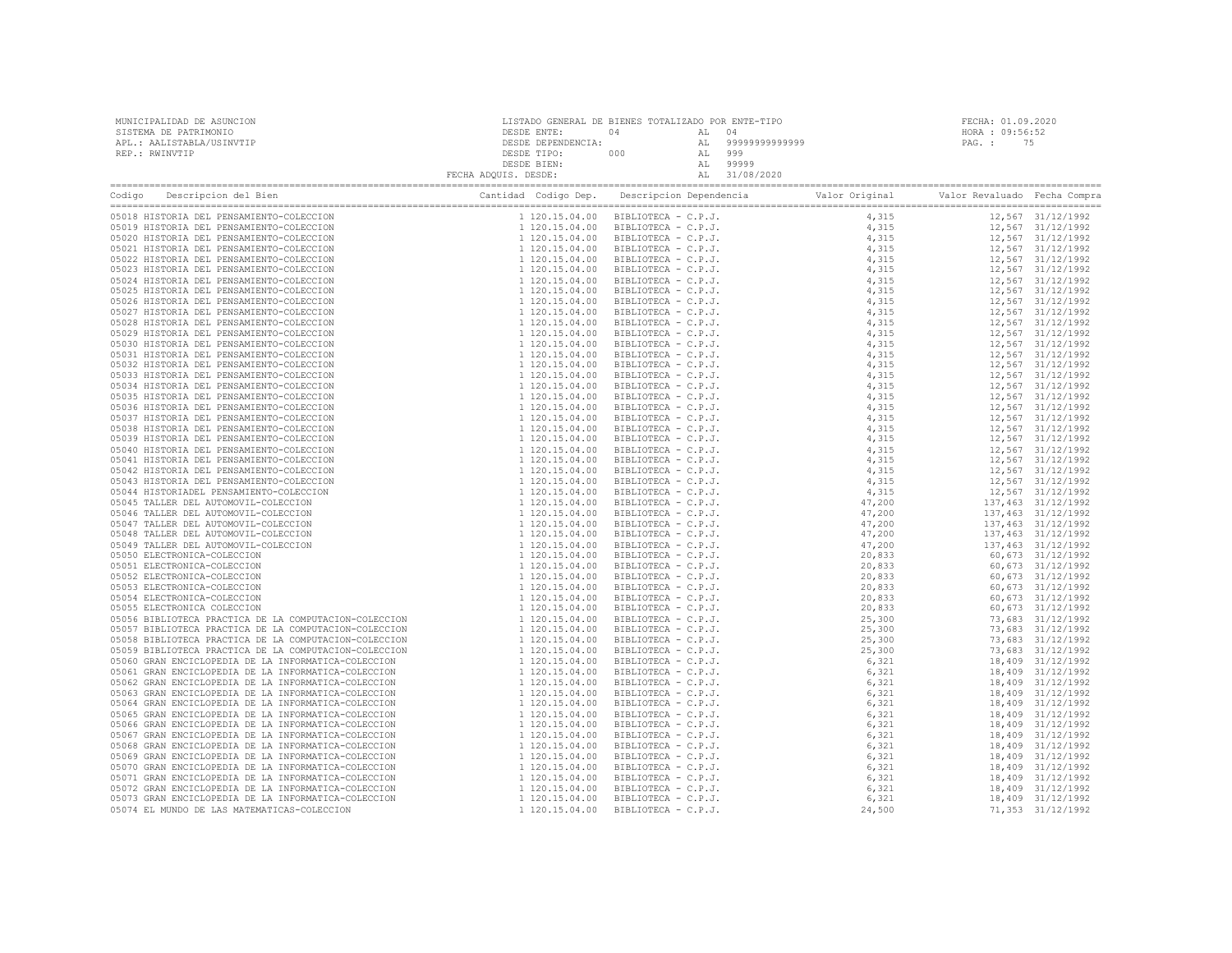| Company Cantida Codigo Dep. Descripcion Dependencia Valor Original Valor Revaluado Fecha Compra Cantidad Codigo Dep. Descripcion Dependencia Valor Original Valor Revaluado Fecha Compra Cantidad Codigo Dep. Descripcion Depe |  |  |  |
|--------------------------------------------------------------------------------------------------------------------------------------------------------------------------------------------------------------------------------|--|--|--|
|                                                                                                                                                                                                                                |  |  |  |
|                                                                                                                                                                                                                                |  |  |  |
|                                                                                                                                                                                                                                |  |  |  |
|                                                                                                                                                                                                                                |  |  |  |
|                                                                                                                                                                                                                                |  |  |  |
|                                                                                                                                                                                                                                |  |  |  |
|                                                                                                                                                                                                                                |  |  |  |
|                                                                                                                                                                                                                                |  |  |  |
|                                                                                                                                                                                                                                |  |  |  |
|                                                                                                                                                                                                                                |  |  |  |
|                                                                                                                                                                                                                                |  |  |  |
|                                                                                                                                                                                                                                |  |  |  |
|                                                                                                                                                                                                                                |  |  |  |
|                                                                                                                                                                                                                                |  |  |  |
|                                                                                                                                                                                                                                |  |  |  |
|                                                                                                                                                                                                                                |  |  |  |
|                                                                                                                                                                                                                                |  |  |  |
|                                                                                                                                                                                                                                |  |  |  |
|                                                                                                                                                                                                                                |  |  |  |
|                                                                                                                                                                                                                                |  |  |  |
|                                                                                                                                                                                                                                |  |  |  |
|                                                                                                                                                                                                                                |  |  |  |
|                                                                                                                                                                                                                                |  |  |  |
|                                                                                                                                                                                                                                |  |  |  |
|                                                                                                                                                                                                                                |  |  |  |
|                                                                                                                                                                                                                                |  |  |  |
|                                                                                                                                                                                                                                |  |  |  |
|                                                                                                                                                                                                                                |  |  |  |
|                                                                                                                                                                                                                                |  |  |  |
|                                                                                                                                                                                                                                |  |  |  |
|                                                                                                                                                                                                                                |  |  |  |
|                                                                                                                                                                                                                                |  |  |  |
|                                                                                                                                                                                                                                |  |  |  |
|                                                                                                                                                                                                                                |  |  |  |
|                                                                                                                                                                                                                                |  |  |  |
|                                                                                                                                                                                                                                |  |  |  |
|                                                                                                                                                                                                                                |  |  |  |
|                                                                                                                                                                                                                                |  |  |  |
|                                                                                                                                                                                                                                |  |  |  |
|                                                                                                                                                                                                                                |  |  |  |
|                                                                                                                                                                                                                                |  |  |  |
|                                                                                                                                                                                                                                |  |  |  |
|                                                                                                                                                                                                                                |  |  |  |
|                                                                                                                                                                                                                                |  |  |  |
|                                                                                                                                                                                                                                |  |  |  |
|                                                                                                                                                                                                                                |  |  |  |
|                                                                                                                                                                                                                                |  |  |  |
|                                                                                                                                                                                                                                |  |  |  |
|                                                                                                                                                                                                                                |  |  |  |
|                                                                                                                                                                                                                                |  |  |  |
|                                                                                                                                                                                                                                |  |  |  |
|                                                                                                                                                                                                                                |  |  |  |
|                                                                                                                                                                                                                                |  |  |  |
|                                                                                                                                                                                                                                |  |  |  |
|                                                                                                                                                                                                                                |  |  |  |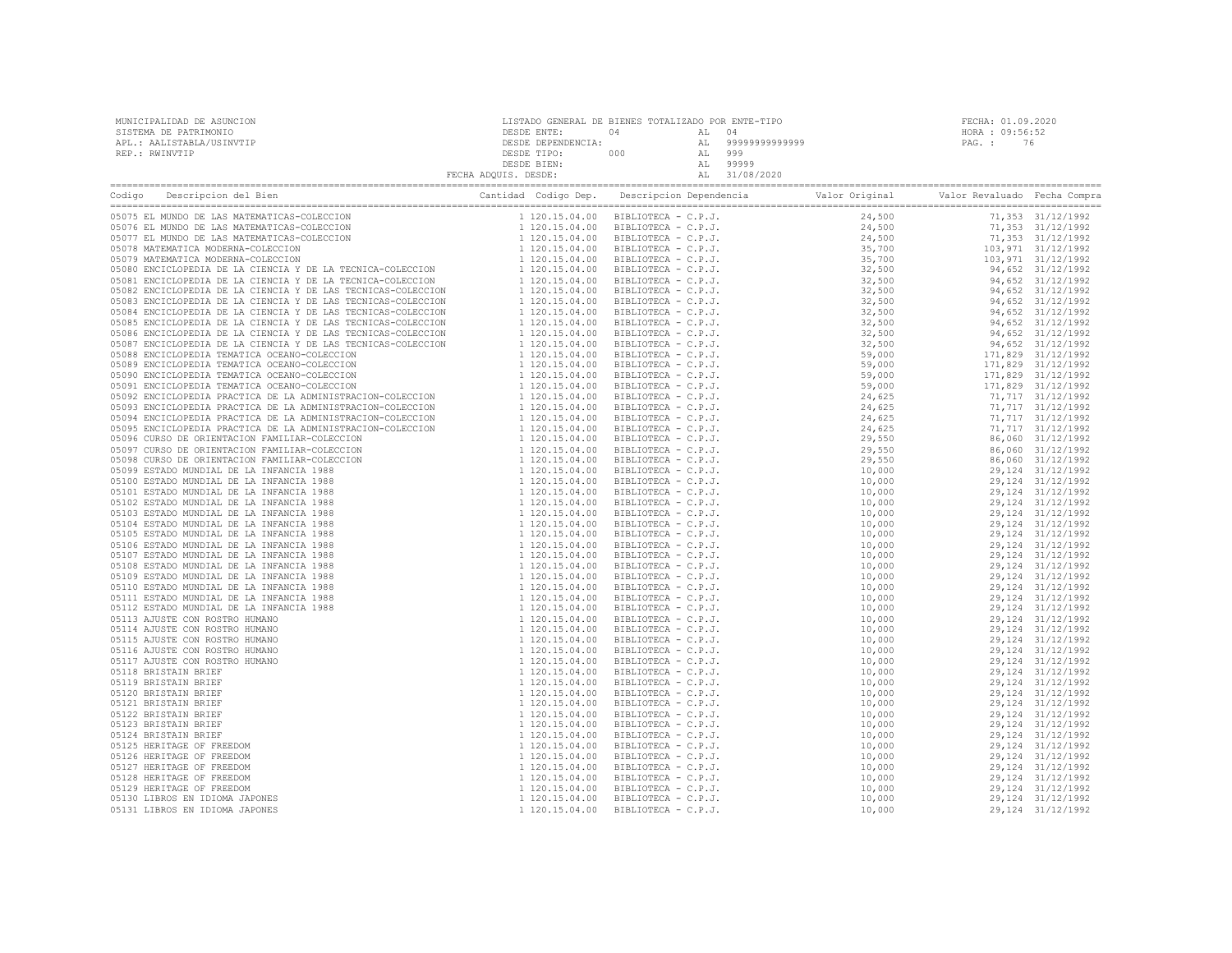| MUNICIPALIDAD DE ASUNCION | LISTADO GENERAL DE BIENES TOTALIZADO POR ENTE-TIPO |     |        |                | FECHA: 01.09.2020 |    |  |
|---------------------------|----------------------------------------------------|-----|--------|----------------|-------------------|----|--|
| SISTEMA DE PATRIMONIO     | DESDE ENTE:                                        | n 4 | AT. 04 |                | HORA : 09:56:52   |    |  |
| APL.: AALISTABLA/USINVTIP | DESDE DEPENDENCIA:                                 |     | AT.    | 99999999999999 | PAG. :            | 76 |  |
| REP.: RWINVTIP            | DESDE TIPO:                                        | 000 | AT.    | 999            |                   |    |  |
|                           | DESDE BIEN:                                        |     | AT.    | 99999          |                   |    |  |
|                           | FECHA ADQUIS. DESDE:                               |     |        | 31/08/2020     |                   |    |  |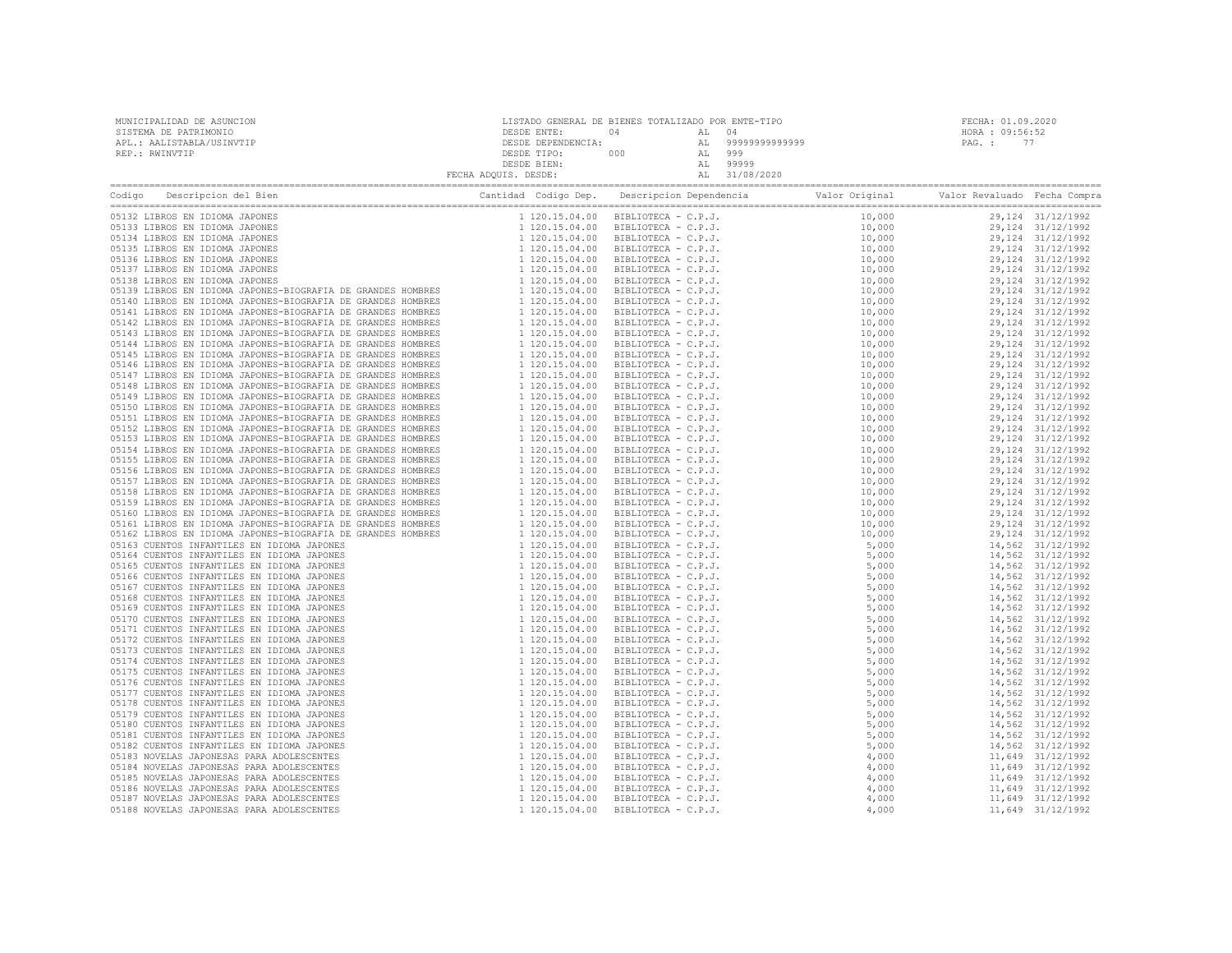| MUNICIPALIDAD DE ASUNCION | LISTADO GENERAL DE BIENES TOTALIZADO POR ENTE-TIPO |     |     |                   |                 | FECHA: 01.09.2020 |
|---------------------------|----------------------------------------------------|-----|-----|-------------------|-----------------|-------------------|
| SISTEMA DE PATRIMONIO     | DESDE ENTE:                                        | 04  |     |                   | HORA : 09:56:52 |                   |
| APL.: AALISTABLA/USINVTIP | DESDE DEPENDENCIA:                                 |     |     | AL 99999999999999 | PAG. :          |                   |
| REP.: RWINVTIP            | DESDE TIPO:                                        | 000 |     | 999               |                 |                   |
|                           | DESDE BIEN:                                        |     | AT. | 99999             |                 |                   |
|                           | FECHA ADQUIS. DESDE:                               |     |     | AL 31/08/2020     |                 |                   |
|                           |                                                    |     |     |                   |                 |                   |

| Codigo | Cantidad Codigo Dep.<br>Descripcion del Bien | Descripcion Dependencia (Valor Original Valor Revaluado Fecha Compra |  |  |
|--------|----------------------------------------------|----------------------------------------------------------------------|--|--|
|        |                                              |                                                                      |  |  |
|        |                                              |                                                                      |  |  |
|        |                                              |                                                                      |  |  |
|        |                                              |                                                                      |  |  |
|        |                                              |                                                                      |  |  |
|        |                                              |                                                                      |  |  |
|        |                                              |                                                                      |  |  |
|        |                                              |                                                                      |  |  |
|        |                                              |                                                                      |  |  |
|        |                                              |                                                                      |  |  |
|        |                                              |                                                                      |  |  |
|        |                                              |                                                                      |  |  |
|        |                                              |                                                                      |  |  |
|        |                                              |                                                                      |  |  |
|        |                                              |                                                                      |  |  |
|        |                                              |                                                                      |  |  |
|        |                                              |                                                                      |  |  |
|        |                                              |                                                                      |  |  |
|        |                                              |                                                                      |  |  |
|        |                                              |                                                                      |  |  |
|        |                                              |                                                                      |  |  |
|        |                                              |                                                                      |  |  |
|        |                                              |                                                                      |  |  |
|        |                                              |                                                                      |  |  |
|        |                                              |                                                                      |  |  |
|        |                                              |                                                                      |  |  |
|        |                                              |                                                                      |  |  |
|        |                                              |                                                                      |  |  |
|        |                                              |                                                                      |  |  |
|        |                                              |                                                                      |  |  |
|        |                                              |                                                                      |  |  |
|        |                                              |                                                                      |  |  |
|        |                                              |                                                                      |  |  |
|        |                                              |                                                                      |  |  |
|        |                                              |                                                                      |  |  |
|        |                                              |                                                                      |  |  |
|        |                                              |                                                                      |  |  |
|        |                                              |                                                                      |  |  |
|        |                                              |                                                                      |  |  |
|        |                                              |                                                                      |  |  |
|        |                                              |                                                                      |  |  |
|        |                                              |                                                                      |  |  |
|        |                                              |                                                                      |  |  |
|        |                                              |                                                                      |  |  |
|        |                                              |                                                                      |  |  |
|        |                                              |                                                                      |  |  |
|        |                                              |                                                                      |  |  |
|        |                                              |                                                                      |  |  |
|        |                                              |                                                                      |  |  |
|        |                                              |                                                                      |  |  |
|        |                                              |                                                                      |  |  |
|        |                                              |                                                                      |  |  |
|        |                                              |                                                                      |  |  |
|        |                                              |                                                                      |  |  |
|        |                                              |                                                                      |  |  |
|        |                                              |                                                                      |  |  |
|        |                                              |                                                                      |  |  |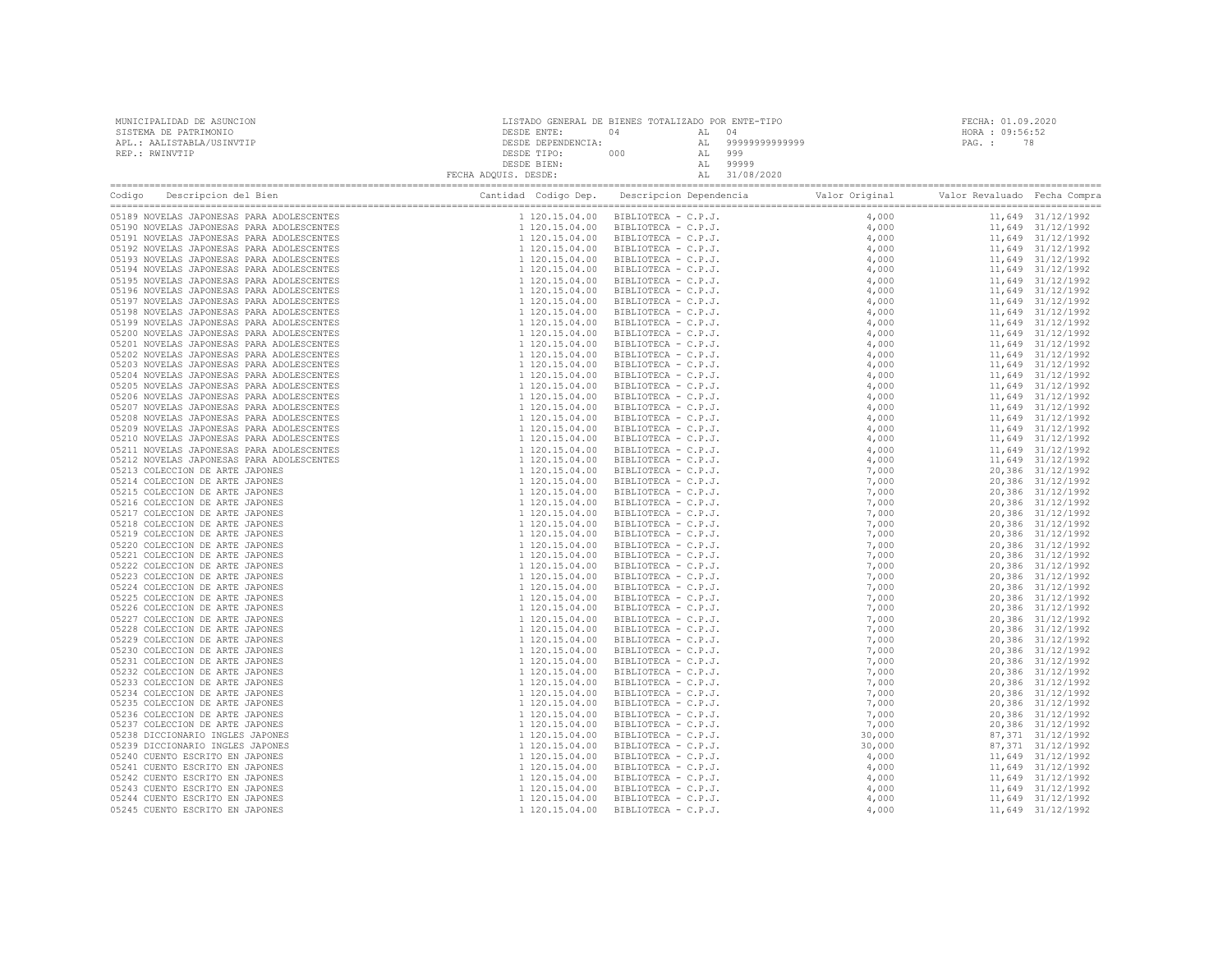| MUNICIPALIDAD DE ASUNCION<br>SISTEMA DE PATRIMONIO<br>APL.: AALISTABLA/USINVTIP<br>REP.: RWINVTIP                                   | LISTADO GENERAL DE BIENES TOTALIZADO POR ENTE-TIPO |  | FECHA: 01.09.2020<br>HORA : 09:56:52<br>PAG.: 78 |  |
|-------------------------------------------------------------------------------------------------------------------------------------|----------------------------------------------------|--|--------------------------------------------------|--|
| Codigo Descripcion del Bien de Marco de Cantidad Codigo Dep. Descripcion Dependencia de Valor Original Valor Revaluado Fecha Compra |                                                    |  |                                                  |  |
|                                                                                                                                     |                                                    |  |                                                  |  |
|                                                                                                                                     |                                                    |  |                                                  |  |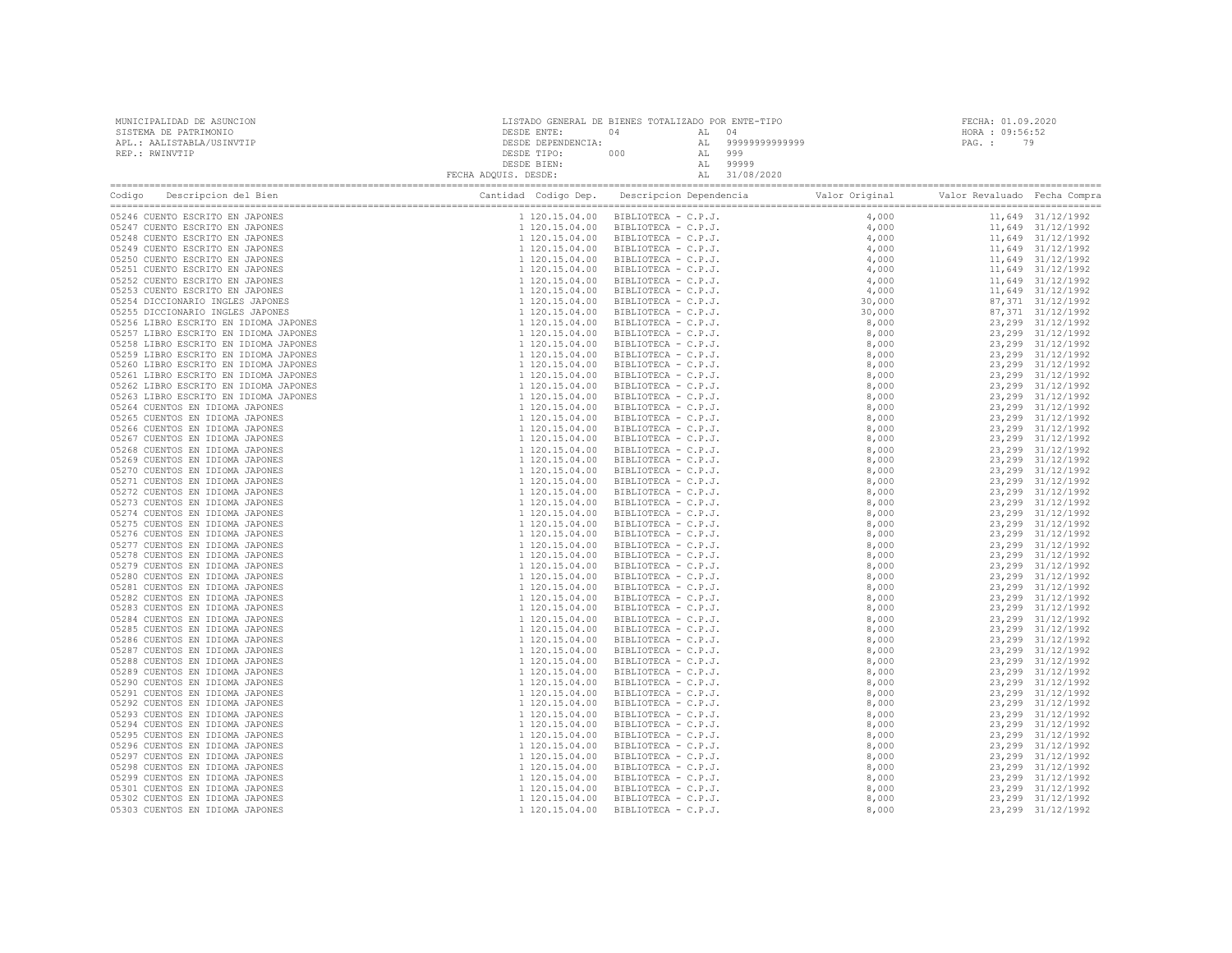| ${\small \begin{tabular}{l c c c c c c c c} \multicolumn{3}{c c c c} \multicolumn{3}{c c c} \multicolumn{3}{c c c} \multicolumn{3}{c c c} \multicolumn{3}{c c c} \multicolumn{3}{c c c} \multicolumn{3}{c c c} \multicolumn{3}{c c c} \multicolumn{3}{c c c} \multicolumn{3}{c c c} \multicolumn{3}{c c c} \multicolumn{3}{c c c} \multicolumn{3}{c c c} \multicolumn{3}{c c c} \multicolumn{3}{c c$ |  |  |  |
|------------------------------------------------------------------------------------------------------------------------------------------------------------------------------------------------------------------------------------------------------------------------------------------------------------------------------------------------------------------------------------------------------|--|--|--|
|                                                                                                                                                                                                                                                                                                                                                                                                      |  |  |  |
|                                                                                                                                                                                                                                                                                                                                                                                                      |  |  |  |
|                                                                                                                                                                                                                                                                                                                                                                                                      |  |  |  |
|                                                                                                                                                                                                                                                                                                                                                                                                      |  |  |  |
|                                                                                                                                                                                                                                                                                                                                                                                                      |  |  |  |
|                                                                                                                                                                                                                                                                                                                                                                                                      |  |  |  |
|                                                                                                                                                                                                                                                                                                                                                                                                      |  |  |  |
|                                                                                                                                                                                                                                                                                                                                                                                                      |  |  |  |
|                                                                                                                                                                                                                                                                                                                                                                                                      |  |  |  |
|                                                                                                                                                                                                                                                                                                                                                                                                      |  |  |  |
|                                                                                                                                                                                                                                                                                                                                                                                                      |  |  |  |
|                                                                                                                                                                                                                                                                                                                                                                                                      |  |  |  |
|                                                                                                                                                                                                                                                                                                                                                                                                      |  |  |  |
|                                                                                                                                                                                                                                                                                                                                                                                                      |  |  |  |
|                                                                                                                                                                                                                                                                                                                                                                                                      |  |  |  |
|                                                                                                                                                                                                                                                                                                                                                                                                      |  |  |  |
|                                                                                                                                                                                                                                                                                                                                                                                                      |  |  |  |
|                                                                                                                                                                                                                                                                                                                                                                                                      |  |  |  |
|                                                                                                                                                                                                                                                                                                                                                                                                      |  |  |  |
|                                                                                                                                                                                                                                                                                                                                                                                                      |  |  |  |
|                                                                                                                                                                                                                                                                                                                                                                                                      |  |  |  |
|                                                                                                                                                                                                                                                                                                                                                                                                      |  |  |  |
|                                                                                                                                                                                                                                                                                                                                                                                                      |  |  |  |
|                                                                                                                                                                                                                                                                                                                                                                                                      |  |  |  |
|                                                                                                                                                                                                                                                                                                                                                                                                      |  |  |  |
|                                                                                                                                                                                                                                                                                                                                                                                                      |  |  |  |
|                                                                                                                                                                                                                                                                                                                                                                                                      |  |  |  |
|                                                                                                                                                                                                                                                                                                                                                                                                      |  |  |  |
|                                                                                                                                                                                                                                                                                                                                                                                                      |  |  |  |
|                                                                                                                                                                                                                                                                                                                                                                                                      |  |  |  |
|                                                                                                                                                                                                                                                                                                                                                                                                      |  |  |  |
|                                                                                                                                                                                                                                                                                                                                                                                                      |  |  |  |
|                                                                                                                                                                                                                                                                                                                                                                                                      |  |  |  |
|                                                                                                                                                                                                                                                                                                                                                                                                      |  |  |  |
|                                                                                                                                                                                                                                                                                                                                                                                                      |  |  |  |
|                                                                                                                                                                                                                                                                                                                                                                                                      |  |  |  |
|                                                                                                                                                                                                                                                                                                                                                                                                      |  |  |  |
|                                                                                                                                                                                                                                                                                                                                                                                                      |  |  |  |
|                                                                                                                                                                                                                                                                                                                                                                                                      |  |  |  |
|                                                                                                                                                                                                                                                                                                                                                                                                      |  |  |  |
|                                                                                                                                                                                                                                                                                                                                                                                                      |  |  |  |
|                                                                                                                                                                                                                                                                                                                                                                                                      |  |  |  |
|                                                                                                                                                                                                                                                                                                                                                                                                      |  |  |  |
|                                                                                                                                                                                                                                                                                                                                                                                                      |  |  |  |
|                                                                                                                                                                                                                                                                                                                                                                                                      |  |  |  |
|                                                                                                                                                                                                                                                                                                                                                                                                      |  |  |  |
|                                                                                                                                                                                                                                                                                                                                                                                                      |  |  |  |
|                                                                                                                                                                                                                                                                                                                                                                                                      |  |  |  |
|                                                                                                                                                                                                                                                                                                                                                                                                      |  |  |  |
|                                                                                                                                                                                                                                                                                                                                                                                                      |  |  |  |
|                                                                                                                                                                                                                                                                                                                                                                                                      |  |  |  |
|                                                                                                                                                                                                                                                                                                                                                                                                      |  |  |  |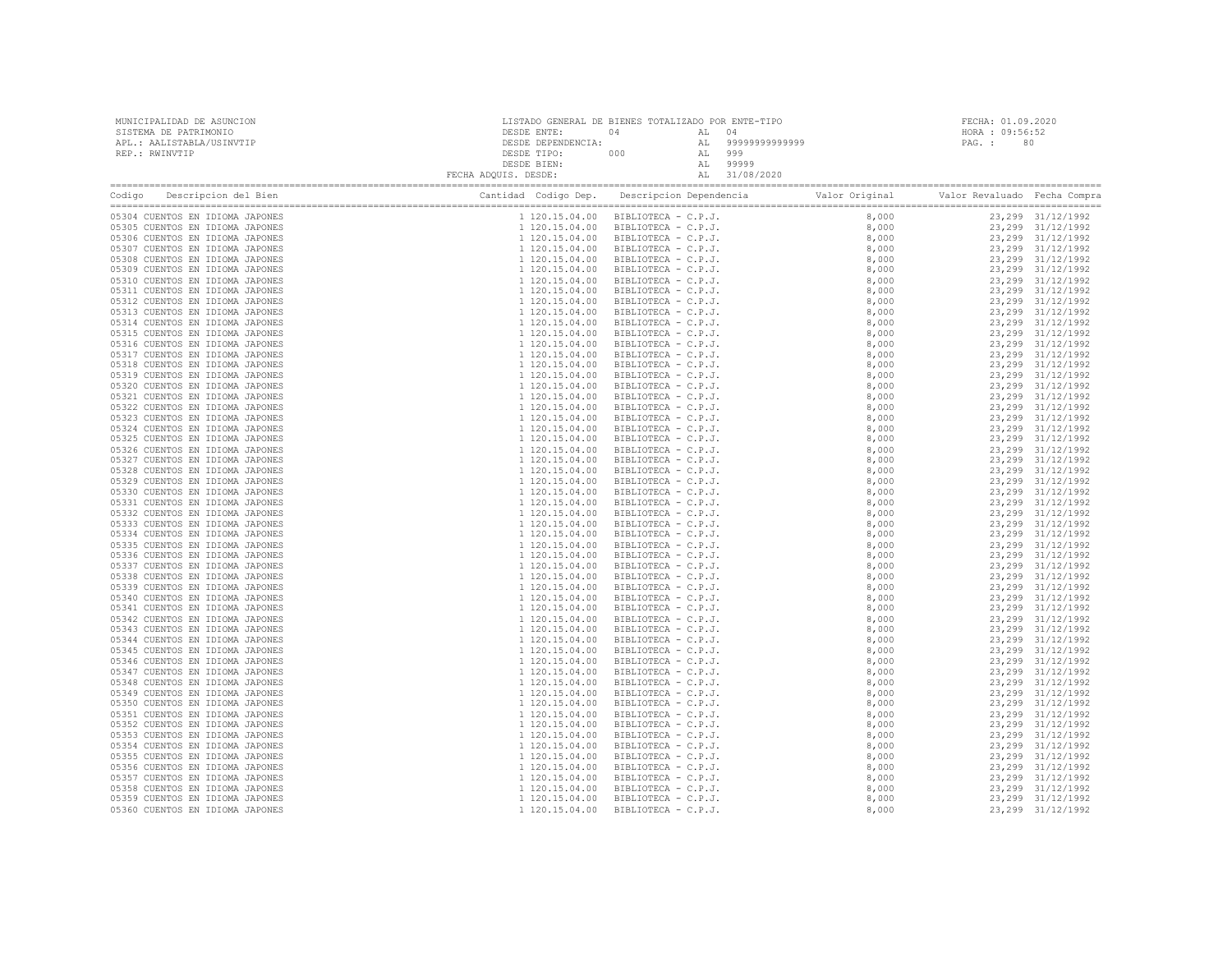| MUNICIPALIDAD DE ASUNCION<br>SISTEMA DE PATRIMONIO<br>APL.: AALISTABLA/USINVTIP<br>REP.: RWINVTIP | $\begin{tabular}{c c c c c} \multicolumn{1}{c}{\textbf{DESDE}} & \multicolumn{1}{c}{\textbf{DESDE}} & \multicolumn{1}{c}{\textbf{DESDE}} & \multicolumn{1}{c}{\textbf{DESDE}} & \multicolumn{1}{c}{\textbf{DESDE}} & \multicolumn{1}{c}{\textbf{DESDE}} & \multicolumn{1}{c}{\textbf{DESDE}} & \multicolumn{1}{c}{\textbf{DESDE}} & \multicolumn{1}{c}{\textbf{DESDE}} & \multicolumn{1}{c}{\textbf{DESDE}} & \multicolumn{1}{c}{\textbf{DESDE}} & \multicolumn{1}{$ |                     | FECHA: 01.09.2020<br>HORA : 09:56:52<br>PAG.: 80 |  |  |
|---------------------------------------------------------------------------------------------------|----------------------------------------------------------------------------------------------------------------------------------------------------------------------------------------------------------------------------------------------------------------------------------------------------------------------------------------------------------------------------------------------------------------------------------------------------------------------|---------------------|--------------------------------------------------|--|--|
|                                                                                                   |                                                                                                                                                                                                                                                                                                                                                                                                                                                                      |                     |                                                  |  |  |
| 05304 CUENTOS EN IDIOMA JAPONES                                                                   |                                                                                                                                                                                                                                                                                                                                                                                                                                                                      |                     |                                                  |  |  |
| 05305 CUENTOS EN IDIOMA JAPONES                                                                   |                                                                                                                                                                                                                                                                                                                                                                                                                                                                      |                     |                                                  |  |  |
| 05306 CUENTOS EN IDIOMA JAPONES                                                                   |                                                                                                                                                                                                                                                                                                                                                                                                                                                                      |                     |                                                  |  |  |
| 05307 CUENTOS EN IDIOMA JAPONES<br>05308 CUENTOS EN IDIOMA JAPONES                                |                                                                                                                                                                                                                                                                                                                                                                                                                                                                      |                     |                                                  |  |  |
| 05309 CUENTOS EN IDIOMA JAPONES                                                                   |                                                                                                                                                                                                                                                                                                                                                                                                                                                                      |                     |                                                  |  |  |
| 05310 CUENTOS EN IDIOMA JAPONES                                                                   |                                                                                                                                                                                                                                                                                                                                                                                                                                                                      |                     |                                                  |  |  |
| 05311 CUENTOS EN IDIOMA JAPONES                                                                   |                                                                                                                                                                                                                                                                                                                                                                                                                                                                      |                     |                                                  |  |  |
| 05312 CUENTOS EN IDIOMA JAPONES                                                                   |                                                                                                                                                                                                                                                                                                                                                                                                                                                                      |                     |                                                  |  |  |
| 05313 CUENTOS EN IDIOMA JAPONES                                                                   |                                                                                                                                                                                                                                                                                                                                                                                                                                                                      |                     |                                                  |  |  |
| 05314 CUENTOS EN IDIOMA JAPONES                                                                   |                                                                                                                                                                                                                                                                                                                                                                                                                                                                      |                     |                                                  |  |  |
| 05315 CUENTOS EN IDIOMA JAPONES                                                                   |                                                                                                                                                                                                                                                                                                                                                                                                                                                                      |                     |                                                  |  |  |
| 05316 CUENTOS EN IDIOMA JAPONES                                                                   |                                                                                                                                                                                                                                                                                                                                                                                                                                                                      |                     |                                                  |  |  |
| 05317 CUENTOS EN IDIOMA JAPONES                                                                   |                                                                                                                                                                                                                                                                                                                                                                                                                                                                      |                     |                                                  |  |  |
| 05318 CUENTOS EN IDIOMA JAPONES                                                                   |                                                                                                                                                                                                                                                                                                                                                                                                                                                                      |                     |                                                  |  |  |
| 05319 CUENTOS EN IDIOMA JAPONES                                                                   |                                                                                                                                                                                                                                                                                                                                                                                                                                                                      |                     |                                                  |  |  |
| 05320 CUENTOS EN IDIOMA JAPONES                                                                   |                                                                                                                                                                                                                                                                                                                                                                                                                                                                      |                     |                                                  |  |  |
| 05321 CUENTOS EN IDIOMA JAPONES                                                                   |                                                                                                                                                                                                                                                                                                                                                                                                                                                                      |                     |                                                  |  |  |
| 05322 CUENTOS EN IDIOMA JAPONES                                                                   |                                                                                                                                                                                                                                                                                                                                                                                                                                                                      |                     |                                                  |  |  |
| 05323 CUENTOS EN IDIOMA JAPONES<br>05324 CUENTOS EN IDIOMA JAPONES                                |                                                                                                                                                                                                                                                                                                                                                                                                                                                                      |                     |                                                  |  |  |
| 05325 CUENTOS EN IDIOMA JAPONES                                                                   |                                                                                                                                                                                                                                                                                                                                                                                                                                                                      |                     |                                                  |  |  |
| 05326 CUENTOS EN IDIOMA JAPONES                                                                   |                                                                                                                                                                                                                                                                                                                                                                                                                                                                      |                     |                                                  |  |  |
| 05327 CUENTOS EN IDIOMA JAPONES                                                                   |                                                                                                                                                                                                                                                                                                                                                                                                                                                                      |                     |                                                  |  |  |
| 05328 CUENTOS EN IDIOMA JAPONES                                                                   |                                                                                                                                                                                                                                                                                                                                                                                                                                                                      |                     |                                                  |  |  |
| 05329 CUENTOS EN IDIOMA JAPONES                                                                   |                                                                                                                                                                                                                                                                                                                                                                                                                                                                      |                     |                                                  |  |  |
| 05330 CUENTOS EN IDIOMA JAPONES                                                                   |                                                                                                                                                                                                                                                                                                                                                                                                                                                                      |                     |                                                  |  |  |
| 05331 CUENTOS EN IDIOMA JAPONES                                                                   |                                                                                                                                                                                                                                                                                                                                                                                                                                                                      |                     |                                                  |  |  |
| 05332 CUENTOS EN IDIOMA JAPONES                                                                   |                                                                                                                                                                                                                                                                                                                                                                                                                                                                      |                     |                                                  |  |  |
| 05333 CUENTOS EN IDIOMA JAPONES                                                                   |                                                                                                                                                                                                                                                                                                                                                                                                                                                                      |                     |                                                  |  |  |
| 05334 CUENTOS EN IDIOMA JAPONES                                                                   |                                                                                                                                                                                                                                                                                                                                                                                                                                                                      |                     |                                                  |  |  |
| 05335 CUENTOS EN IDIOMA JAPONES                                                                   |                                                                                                                                                                                                                                                                                                                                                                                                                                                                      |                     |                                                  |  |  |
| 05336 CUENTOS EN IDIOMA JAPONES                                                                   |                                                                                                                                                                                                                                                                                                                                                                                                                                                                      |                     |                                                  |  |  |
| 05337 CUENTOS EN IDIOMA JAPONES                                                                   |                                                                                                                                                                                                                                                                                                                                                                                                                                                                      |                     |                                                  |  |  |
| 05338 CUENTOS EN IDIOMA JAPONES                                                                   |                                                                                                                                                                                                                                                                                                                                                                                                                                                                      |                     |                                                  |  |  |
| 05339 CUENTOS EN IDIOMA JAPONES<br>05340 CUENTOS EN IDIOMA JAPONES                                |                                                                                                                                                                                                                                                                                                                                                                                                                                                                      |                     |                                                  |  |  |
| 05341 CUENTOS EN IDIOMA JAPONES                                                                   |                                                                                                                                                                                                                                                                                                                                                                                                                                                                      |                     |                                                  |  |  |
| 05342 CUENTOS EN IDIOMA JAPONES                                                                   |                                                                                                                                                                                                                                                                                                                                                                                                                                                                      |                     |                                                  |  |  |
| 05343 CUENTOS EN IDIOMA JAPONES                                                                   |                                                                                                                                                                                                                                                                                                                                                                                                                                                                      |                     |                                                  |  |  |
| 05344 CUENTOS EN IDIOMA JAPONES                                                                   |                                                                                                                                                                                                                                                                                                                                                                                                                                                                      |                     |                                                  |  |  |
| 05345 CUENTOS EN IDIOMA JAPONES                                                                   |                                                                                                                                                                                                                                                                                                                                                                                                                                                                      |                     |                                                  |  |  |
| 05346 CUENTOS EN IDIOMA JAPONES                                                                   |                                                                                                                                                                                                                                                                                                                                                                                                                                                                      |                     |                                                  |  |  |
| 05347 CUENTOS EN IDIOMA JAPONES                                                                   |                                                                                                                                                                                                                                                                                                                                                                                                                                                                      |                     |                                                  |  |  |
| 05348 CUENTOS EN IDIOMA JAPONES                                                                   |                                                                                                                                                                                                                                                                                                                                                                                                                                                                      |                     |                                                  |  |  |
| 05349 CUENTOS EN IDIOMA JAPONES                                                                   |                                                                                                                                                                                                                                                                                                                                                                                                                                                                      |                     |                                                  |  |  |
| 05350 CUENTOS EN IDIOMA JAPONES                                                                   |                                                                                                                                                                                                                                                                                                                                                                                                                                                                      |                     |                                                  |  |  |
| 05351 CUENTOS EN IDIOMA JAPONES                                                                   |                                                                                                                                                                                                                                                                                                                                                                                                                                                                      |                     |                                                  |  |  |
| 05352 CUENTOS EN IDIOMA JAPONES                                                                   |                                                                                                                                                                                                                                                                                                                                                                                                                                                                      |                     |                                                  |  |  |
| 05353 CUENTOS EN IDIOMA JAPONES                                                                   |                                                                                                                                                                                                                                                                                                                                                                                                                                                                      |                     |                                                  |  |  |
| 05354 CUENTOS EN IDIOMA JAPONES<br>05355 CUENTOS EN IDIOMA JAPONES                                |                                                                                                                                                                                                                                                                                                                                                                                                                                                                      |                     |                                                  |  |  |
| 05356 CUENTOS EN IDIOMA JAPONES                                                                   |                                                                                                                                                                                                                                                                                                                                                                                                                                                                      |                     |                                                  |  |  |
| 05357 CUENTOS EN IDIOMA JAPONES                                                                   |                                                                                                                                                                                                                                                                                                                                                                                                                                                                      |                     |                                                  |  |  |
| 05358 CUENTOS EN IDIOMA JAPONES                                                                   |                                                                                                                                                                                                                                                                                                                                                                                                                                                                      |                     |                                                  |  |  |
| 05359 CUENTOS EN IDIOMA JAPONES                                                                   |                                                                                                                                                                                                                                                                                                                                                                                                                                                                      |                     |                                                  |  |  |
| 05360 CUENTOS EN IDIOMA JAPONES                                                                   |                                                                                                                                                                                                                                                                                                                                                                                                                                                                      | BIBLIOTECA - C.P.J. |                                                  |  |  |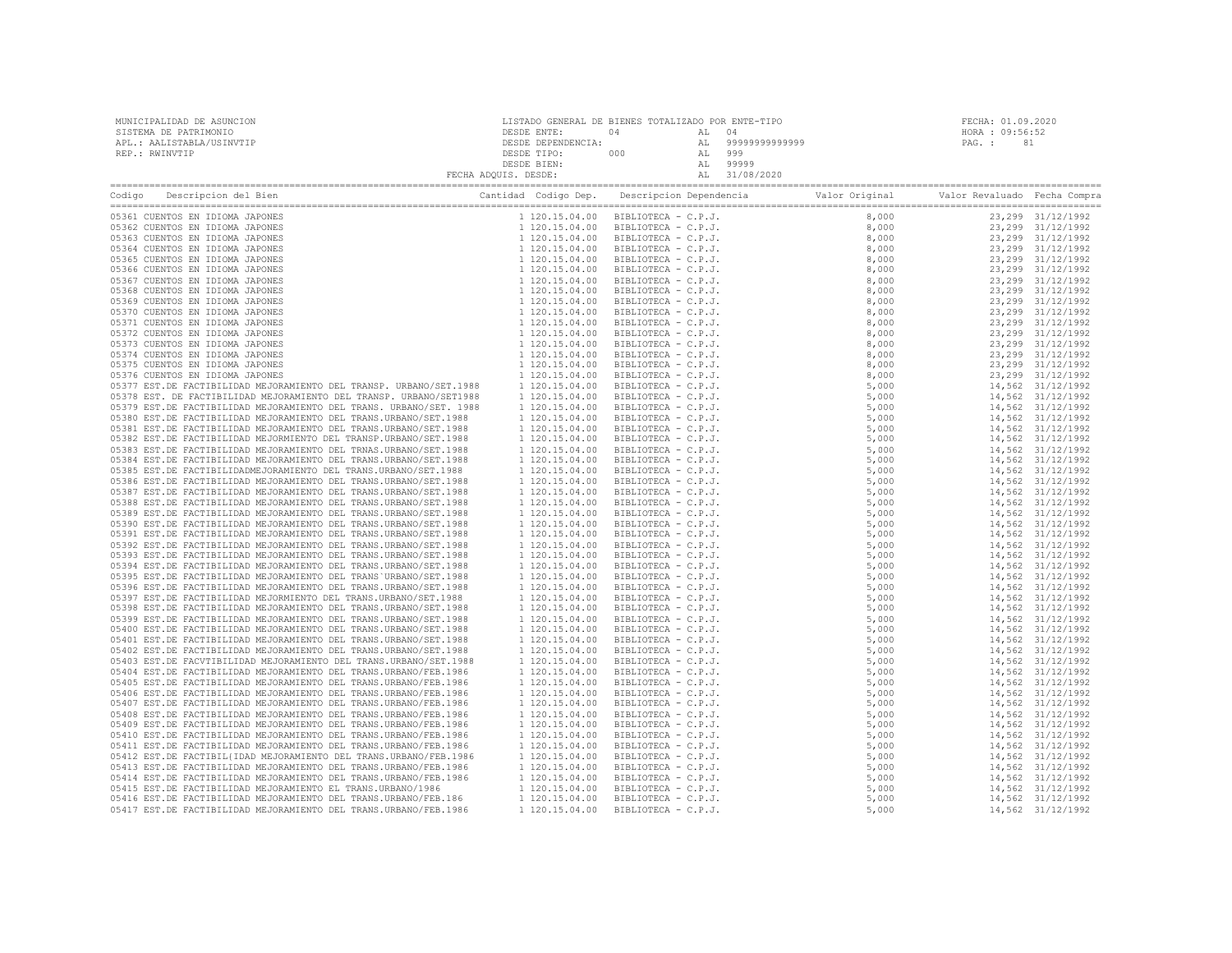| MUNICIPALIDAD DE ASUNCION<br>SISTEMA DE PATRIMONIO<br>APL.: AALISTABLA/USINVTIP<br>REP.: RWINVTIP                                                                                                                                   | DESDE ENTE:                      | LISTADO GENERAL DE BIENES TOTALIZADO POR ENTE-TIPO<br>04 AL 04 |  | FECHA: 01.09.2020<br>HORA : 09:56:52<br>PAG. : 81 |                                        |
|-------------------------------------------------------------------------------------------------------------------------------------------------------------------------------------------------------------------------------------|----------------------------------|----------------------------------------------------------------|--|---------------------------------------------------|----------------------------------------|
| Codigo Descripcion del Bien de Marco de Cantidad Codigo Dep. Descripcion Dependencia de Valor Original Valor Revaluado Fecha Compra                                                                                                 |                                  |                                                                |  |                                                   |                                        |
| 05361 CUENTOS EN IDIOMA JAPONES                                                                                                                                                                                                     |                                  |                                                                |  |                                                   | 23,299 31/12/1992                      |
| 05362 CUENTOS EN IDIOMA JAPONES                                                                                                                                                                                                     |                                  |                                                                |  |                                                   | 23,299 31/12/1992                      |
| 05363 CUENTOS EN IDIOMA JAPONES                                                                                                                                                                                                     |                                  |                                                                |  |                                                   | 23, 299 31/12/1992                     |
| 05364 CUENTOS EN IDIOMA JAPONES<br>05365 CUENTOS EN IDIOMA JAPONES                                                                                                                                                                  |                                  |                                                                |  |                                                   | 23,299 31/12/1992<br>23,299 31/12/1992 |
| 05366 CUENTOS EN IDIOMA JAPONES                                                                                                                                                                                                     |                                  |                                                                |  |                                                   | 23,299 31/12/1992                      |
| 05367 CUENTOS EN IDIOMA JAPONES                                                                                                                                                                                                     |                                  |                                                                |  |                                                   | 23,299 31/12/1992                      |
| 05368 CUENTOS EN IDIOMA JAPONES                                                                                                                                                                                                     |                                  |                                                                |  |                                                   | 23,299 31/12/1992                      |
| 05369 CUENTOS EN IDIOMA JAPONES                                                                                                                                                                                                     |                                  |                                                                |  |                                                   | 23,299 31/12/1992                      |
| 05370 CUENTOS EN IDIOMA JAPONES                                                                                                                                                                                                     |                                  |                                                                |  |                                                   | 23,299 31/12/1992                      |
| 05371 CUENTOS EN IDIOMA JAPONES                                                                                                                                                                                                     |                                  |                                                                |  |                                                   | 23,299 31/12/1992<br>23,299 31/12/1992 |
| 05372 CUENTOS EN IDIOMA JAPONES<br>05373 CUENTOS EN IDIOMA JAPONES                                                                                                                                                                  |                                  |                                                                |  |                                                   | 23,299 31/12/1992                      |
| 05374 CUENTOS EN IDIOMA JAPONES                                                                                                                                                                                                     |                                  |                                                                |  |                                                   | 23,299 31/12/1992                      |
| 05375 CUENTOS EN IDIOMA JAPONES                                                                                                                                                                                                     |                                  |                                                                |  |                                                   | 23,299 31/12/1992                      |
| 05376 CUENTOS EN IDIOMA JAPONES                                                                                                                                                                                                     |                                  |                                                                |  |                                                   | 23,299 31/12/1992                      |
| 05377 EST.DE FACTIBILIDAD MEJORAMIENTO DEL TRANSP. URBANO/SET.1988 1 120.15.04.00                                                                                                                                                   |                                  |                                                                |  |                                                   | 14,562 31/12/1992                      |
| 05378 EST. DE FACTIBILIDAD MEJORAMIENTO DEL TRANSP. URBANO/SET1988 1 120.15.04.00                                                                                                                                                   |                                  |                                                                |  |                                                   | 14,562 31/12/1992                      |
| 05379 EST. DE FACTIBILIDAD MEJORAMIENTO DEL TRANS. URBANO/SET. 1988                                                                                                                                                                 |                                  |                                                                |  |                                                   | 14,562 31/12/1992                      |
| 05380 EST. DE FACTIBILIDAD MEJORAMIENTO DEL TRANS. URBANO/SET. 1988 1 120.15.04.00<br>05381 EST. DE FACTIBILIDAD MEJORAMIENTO DEL TRANS.URBANO/SET. 1988                                                                            |                                  |                                                                |  |                                                   | 14,562 31/12/1992<br>14,562 31/12/1992 |
| 05382 EST.DE FACTIBILIDAD MEJORMIENTO DEL TRANSP.URBANO/SET.1988                                                                                                                                                                    | 1 120.15.04.00<br>1 120.15.04.00 |                                                                |  |                                                   | 14,562 31/12/1992                      |
|                                                                                                                                                                                                                                     |                                  |                                                                |  |                                                   | 14,562 31/12/1992                      |
|                                                                                                                                                                                                                                     |                                  |                                                                |  |                                                   | 14,562 31/12/1992                      |
| 05361 EST. DE PACTIBILIDAD MEJORAMENTO DEL TRANSP. URBANO/SET. 1988 1120.15.04.00<br>05382 EST. DE PACTIBILIDAD MEJORAMENTO DEL TRANSP. URBANO/SET. 1988 1120.15.04.00<br>05383 EST. DE PACTIBILIDAD MEJORAMENTO DEL TRANS. URBANO/ |                                  |                                                                |  |                                                   | 14,562 31/12/1992                      |
|                                                                                                                                                                                                                                     |                                  |                                                                |  |                                                   | 14,562 31/12/1992                      |
|                                                                                                                                                                                                                                     |                                  |                                                                |  |                                                   | 14,562 31/12/1992                      |
|                                                                                                                                                                                                                                     |                                  |                                                                |  |                                                   | 14,562 31/12/1992                      |
|                                                                                                                                                                                                                                     |                                  |                                                                |  |                                                   | 14,562 31/12/1992<br>14,562 31/12/1992 |
|                                                                                                                                                                                                                                     |                                  |                                                                |  |                                                   | 14,562 31/12/1992                      |
|                                                                                                                                                                                                                                     |                                  |                                                                |  |                                                   | 14,562 31/12/1992                      |
|                                                                                                                                                                                                                                     |                                  |                                                                |  |                                                   | 14,562 31/12/1992                      |
|                                                                                                                                                                                                                                     |                                  |                                                                |  |                                                   | 14,562 31/12/1992                      |
|                                                                                                                                                                                                                                     |                                  |                                                                |  |                                                   | 14,562 31/12/1992                      |
|                                                                                                                                                                                                                                     |                                  |                                                                |  |                                                   | 14,562 31/12/1992                      |
|                                                                                                                                                                                                                                     |                                  |                                                                |  |                                                   | 14,562 31/12/1992<br>14,562 31/12/1992 |
|                                                                                                                                                                                                                                     |                                  |                                                                |  |                                                   | 14,562 31/12/1992                      |
|                                                                                                                                                                                                                                     |                                  |                                                                |  |                                                   | 14,562 31/12/1992                      |
|                                                                                                                                                                                                                                     |                                  |                                                                |  |                                                   | 14,562 31/12/1992                      |
|                                                                                                                                                                                                                                     |                                  |                                                                |  |                                                   | 14,562 31/12/1992                      |
|                                                                                                                                                                                                                                     |                                  |                                                                |  |                                                   | 14,562 31/12/1992                      |
|                                                                                                                                                                                                                                     |                                  |                                                                |  |                                                   | 14,562 31/12/1992                      |
|                                                                                                                                                                                                                                     |                                  |                                                                |  |                                                   | 14,562 31/12/1992<br>14,562 31/12/1992 |
|                                                                                                                                                                                                                                     |                                  |                                                                |  |                                                   | 14,562 31/12/1992                      |
|                                                                                                                                                                                                                                     |                                  |                                                                |  |                                                   | 14,562 31/12/1992                      |
|                                                                                                                                                                                                                                     |                                  |                                                                |  |                                                   | 14,562 31/12/1992                      |
|                                                                                                                                                                                                                                     |                                  |                                                                |  |                                                   | 14,562 31/12/1992                      |
|                                                                                                                                                                                                                                     |                                  |                                                                |  |                                                   | 14,562 31/12/1992                      |
|                                                                                                                                                                                                                                     |                                  |                                                                |  |                                                   | 14,562 31/12/1992                      |
|                                                                                                                                                                                                                                     |                                  |                                                                |  |                                                   | 14,562 31/12/1992                      |
|                                                                                                                                                                                                                                     |                                  |                                                                |  |                                                   | 14,562 31/12/1992<br>14,562 31/12/1992 |
|                                                                                                                                                                                                                                     |                                  |                                                                |  |                                                   | 14,562 31/12/1992                      |
|                                                                                                                                                                                                                                     |                                  |                                                                |  |                                                   | 14,562 31/12/1992                      |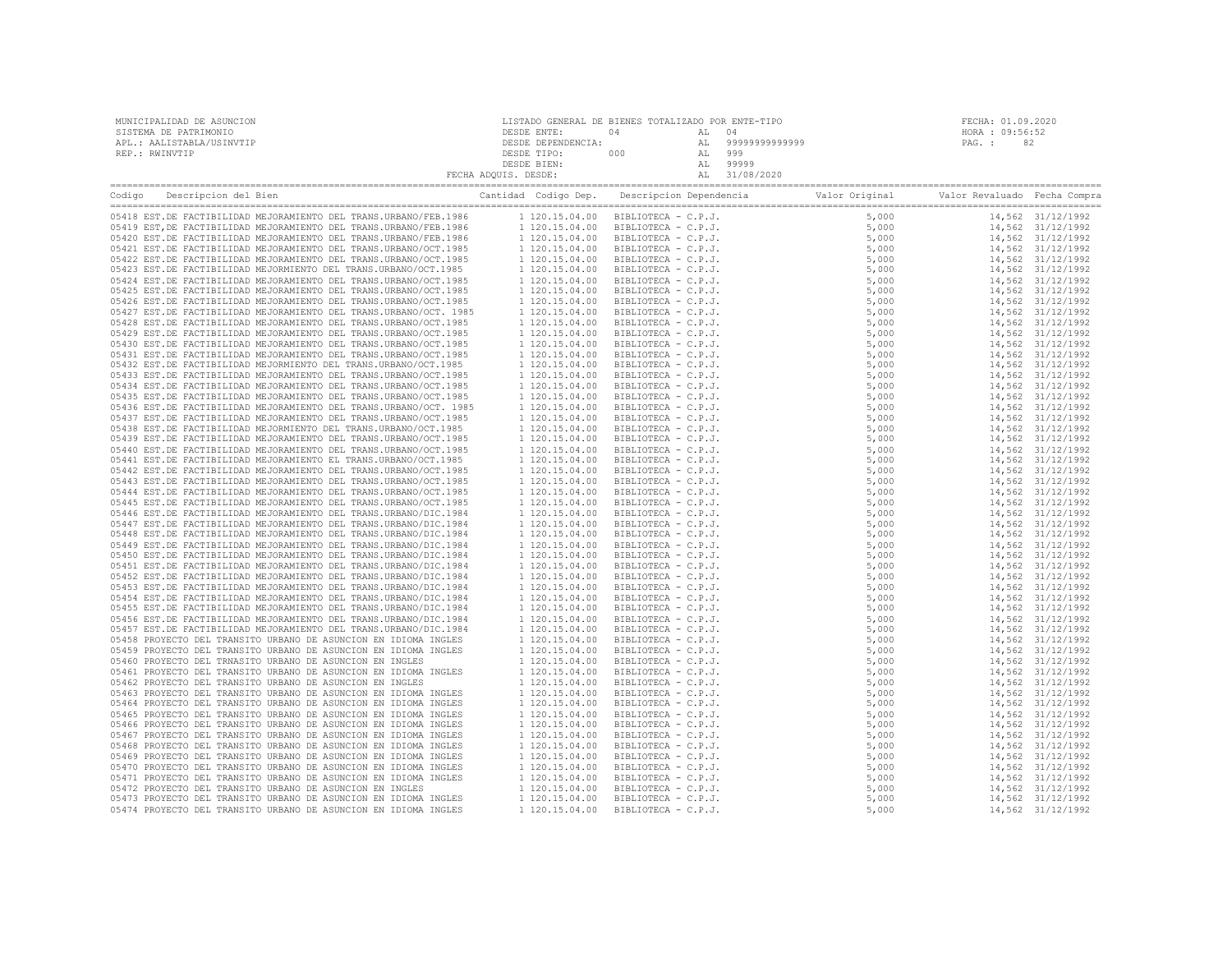| MUNICIPALIDAD DE ASUNCION | LISTADO GENERAL DE BIENES TOTALIZADO POR ENTE-TIPO |     |     |                | FECHA: 01.09.2020 |
|---------------------------|----------------------------------------------------|-----|-----|----------------|-------------------|
| SISTEMA DE PATRIMONIO     | DESDE ENTE:                                        | 04  | AT. | 04             | HORA : 09:56:52   |
| APL.: AALISTABLA/USINVTIP | DESDE DEPENDENCIA:                                 |     | AT. | 99999999999999 | 82<br>PAG. :      |
| REP.: RWINVTIP            | DESDE TIPO:                                        | 000 | AL  | 999            |                   |
|                           | DESDE BIEN:                                        |     | AT. | 99999          |                   |
|                           | FECHA ADOUIS. DESDE:                               |     |     | 31/08/2020     |                   |

| Cantidad Codigo Dep. Descripcion Dependencia and Valor Original Valor Revaluado Fecha Compra<br>Descripcion del Bien<br>Codigo |  |  |                                        |
|--------------------------------------------------------------------------------------------------------------------------------|--|--|----------------------------------------|
|                                                                                                                                |  |  |                                        |
|                                                                                                                                |  |  | 14,562 31/12/1992<br>14,562 31/12/1992 |
|                                                                                                                                |  |  | 14,562 31/12/1992                      |
|                                                                                                                                |  |  |                                        |
|                                                                                                                                |  |  | 14,562 31/12/1992<br>14,562 31/12/1992 |
|                                                                                                                                |  |  | 14,562 31/12/1992                      |
|                                                                                                                                |  |  |                                        |
|                                                                                                                                |  |  | 14,562 31/12/1992                      |
|                                                                                                                                |  |  | 14,562 31/12/1992                      |
|                                                                                                                                |  |  | 14,562 31/12/1992                      |
|                                                                                                                                |  |  | 14,562 31/12/1992                      |
|                                                                                                                                |  |  | 14,562 31/12/1992                      |
|                                                                                                                                |  |  | 14,562 31/12/1992                      |
|                                                                                                                                |  |  | 14,562 31/12/1992                      |
|                                                                                                                                |  |  | 14,562 31/12/1992                      |
|                                                                                                                                |  |  | 14,562 31/12/1992                      |
|                                                                                                                                |  |  | 14,562 31/12/1992                      |
|                                                                                                                                |  |  | 14,562 31/12/1992                      |
|                                                                                                                                |  |  | 14,562 31/12/1992                      |
|                                                                                                                                |  |  | 14,562 31/12/1992                      |
|                                                                                                                                |  |  | 14,562 31/12/1992                      |
|                                                                                                                                |  |  | 14,562 31/12/1992                      |
|                                                                                                                                |  |  | 14,562 31/12/1992                      |
|                                                                                                                                |  |  | 14,562 31/12/1992                      |
|                                                                                                                                |  |  | 14,562 31/12/1992                      |
|                                                                                                                                |  |  | 14,562 31/12/1992                      |
|                                                                                                                                |  |  | 14,562 31/12/1992                      |
|                                                                                                                                |  |  | 14,562 31/12/1992                      |
|                                                                                                                                |  |  | 14,562 31/12/1992                      |
|                                                                                                                                |  |  | 14,562 31/12/1992                      |
|                                                                                                                                |  |  | 14,562 31/12/1992                      |
|                                                                                                                                |  |  | 14,562 31/12/1992                      |
|                                                                                                                                |  |  | 14,562 31/12/1992                      |
|                                                                                                                                |  |  | 14,562 31/12/1992                      |
|                                                                                                                                |  |  | 14,562 31/12/1992                      |
|                                                                                                                                |  |  | 14,562 31/12/1992                      |
|                                                                                                                                |  |  | 14,562 31/12/1992                      |
|                                                                                                                                |  |  | 14,562 31/12/1992                      |
|                                                                                                                                |  |  | 14,562 31/12/1992                      |
|                                                                                                                                |  |  | 14,562 31/12/1992                      |
|                                                                                                                                |  |  | 14,562 31/12/1992                      |
|                                                                                                                                |  |  | 14,562 31/12/1992                      |
|                                                                                                                                |  |  | 14,562 31/12/1992                      |
|                                                                                                                                |  |  | 14,562 31/12/1992                      |
|                                                                                                                                |  |  | 14,562 31/12/1992                      |
|                                                                                                                                |  |  | 14,562 31/12/1992                      |
|                                                                                                                                |  |  | 14,562 31/12/1992                      |
|                                                                                                                                |  |  | 14,562 31/12/1992                      |
|                                                                                                                                |  |  |                                        |
|                                                                                                                                |  |  | 14,562 31/12/1992<br>14,562 31/12/1992 |
|                                                                                                                                |  |  |                                        |
|                                                                                                                                |  |  | 14,562 31/12/1992                      |
|                                                                                                                                |  |  | 14,562 31/12/1992                      |
|                                                                                                                                |  |  | 14,562 31/12/1992                      |
|                                                                                                                                |  |  | 14,562 31/12/1992                      |
|                                                                                                                                |  |  | 14,562 31/12/1992                      |
|                                                                                                                                |  |  | 14,562 31/12/1992                      |
|                                                                                                                                |  |  | 14,562 31/12/1992                      |
|                                                                                                                                |  |  | 14,562 31/12/1992                      |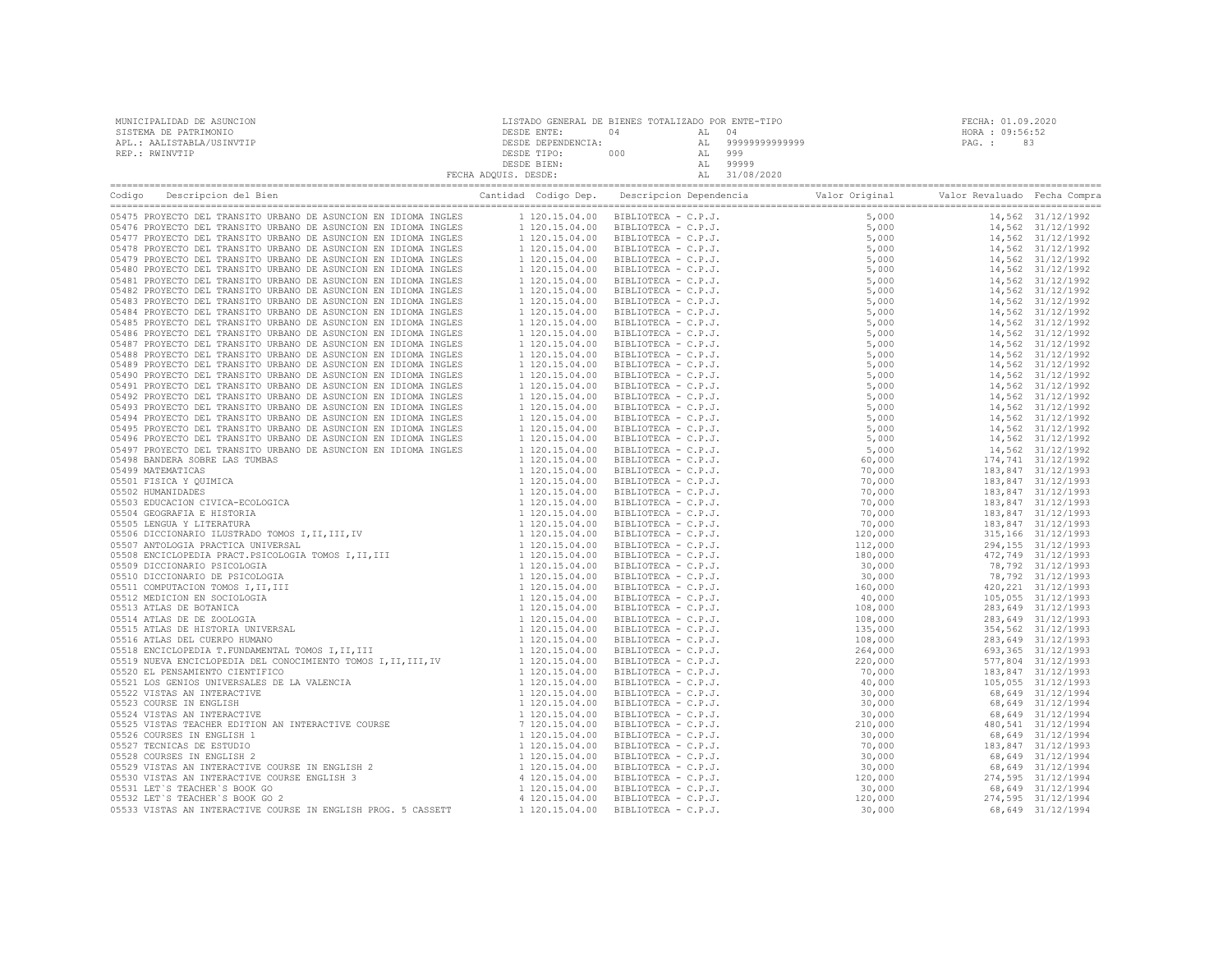| MUNICIPALIDAD DE ASUNCION | LISTADO GENERAL DE BIENES TOTALIZADO POR ENTE-TIPO |     |                |                 | FECHA: 01.09.2020 |
|---------------------------|----------------------------------------------------|-----|----------------|-----------------|-------------------|
| SISTEMA DE PATRIMONIO     | DESDE ENTE:                                        | 04  |                | HORA : 09:56:52 |                   |
| APL.: AALISTABLA/USINVTIP | DESDE DEPENDENCIA:                                 |     | 99999999999999 | PAG. :          | 83                |
| REP.: RWINVTIP            | DESDE TIPO:                                        | 000 | 999            |                 |                   |
|                           | DESDE BIEN:                                        |     | 99999          |                 |                   |
|                           | FECHA ADQUIS. DESDE:                               |     | 31/08/2020     |                 |                   |
|                           |                                                    |     |                |                 |                   |

| Codigo | Cantidad Codigo Dep. Descripcion Dependencia and Valor Original<br>Descripcion del Bien |  |  | Valor Revaluado Fecha Compra |  |
|--------|-----------------------------------------------------------------------------------------|--|--|------------------------------|--|
|        |                                                                                         |  |  |                              |  |
|        |                                                                                         |  |  |                              |  |
|        |                                                                                         |  |  |                              |  |
|        |                                                                                         |  |  |                              |  |
|        |                                                                                         |  |  |                              |  |
|        |                                                                                         |  |  |                              |  |
|        |                                                                                         |  |  |                              |  |
|        |                                                                                         |  |  |                              |  |
|        |                                                                                         |  |  |                              |  |
|        |                                                                                         |  |  |                              |  |
|        |                                                                                         |  |  |                              |  |
|        |                                                                                         |  |  |                              |  |
|        |                                                                                         |  |  |                              |  |
|        |                                                                                         |  |  |                              |  |
|        |                                                                                         |  |  |                              |  |
|        |                                                                                         |  |  |                              |  |
|        |                                                                                         |  |  |                              |  |
|        |                                                                                         |  |  |                              |  |
|        |                                                                                         |  |  |                              |  |
|        |                                                                                         |  |  |                              |  |
|        |                                                                                         |  |  |                              |  |
|        |                                                                                         |  |  |                              |  |
|        |                                                                                         |  |  |                              |  |
|        |                                                                                         |  |  |                              |  |
|        |                                                                                         |  |  |                              |  |
|        |                                                                                         |  |  |                              |  |
|        |                                                                                         |  |  |                              |  |
|        |                                                                                         |  |  |                              |  |
|        |                                                                                         |  |  |                              |  |
|        |                                                                                         |  |  |                              |  |
|        |                                                                                         |  |  |                              |  |
|        |                                                                                         |  |  |                              |  |
|        |                                                                                         |  |  |                              |  |
|        |                                                                                         |  |  |                              |  |
|        |                                                                                         |  |  |                              |  |
|        |                                                                                         |  |  |                              |  |
|        |                                                                                         |  |  |                              |  |
|        |                                                                                         |  |  |                              |  |
|        |                                                                                         |  |  |                              |  |
|        |                                                                                         |  |  |                              |  |
|        |                                                                                         |  |  |                              |  |
|        |                                                                                         |  |  |                              |  |
|        |                                                                                         |  |  |                              |  |
|        |                                                                                         |  |  |                              |  |
|        |                                                                                         |  |  |                              |  |
|        |                                                                                         |  |  |                              |  |
|        |                                                                                         |  |  |                              |  |
|        |                                                                                         |  |  |                              |  |
|        |                                                                                         |  |  |                              |  |
|        |                                                                                         |  |  |                              |  |
|        |                                                                                         |  |  |                              |  |
|        |                                                                                         |  |  |                              |  |
|        |                                                                                         |  |  |                              |  |
|        |                                                                                         |  |  |                              |  |
|        |                                                                                         |  |  |                              |  |
|        |                                                                                         |  |  |                              |  |
|        |                                                                                         |  |  |                              |  |
|        |                                                                                         |  |  |                              |  |
|        |                                                                                         |  |  |                              |  |
|        |                                                                                         |  |  |                              |  |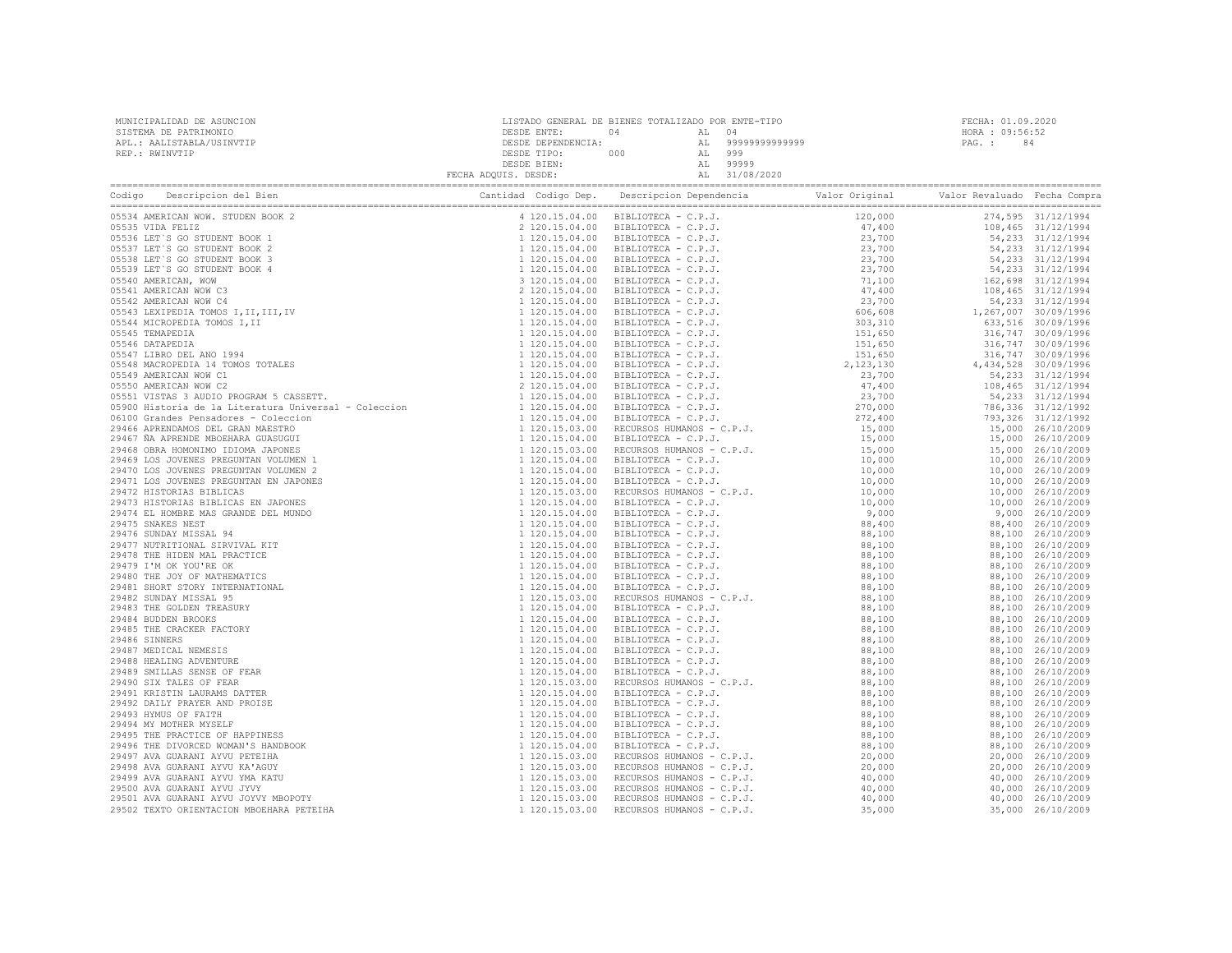| Codigo Descripcion del Bien (Compra Cantidad Codigo Dep. Descripcion Dependencia Valor Original Valor Revaluado Fecha Compra Cantidad Codigo Dep. Descripcion Dependencia Valor Original Valor Revaluado Fecha Compra Cantidad |  |  |  |
|--------------------------------------------------------------------------------------------------------------------------------------------------------------------------------------------------------------------------------|--|--|--|
|                                                                                                                                                                                                                                |  |  |  |
|                                                                                                                                                                                                                                |  |  |  |
|                                                                                                                                                                                                                                |  |  |  |
|                                                                                                                                                                                                                                |  |  |  |
|                                                                                                                                                                                                                                |  |  |  |
|                                                                                                                                                                                                                                |  |  |  |
|                                                                                                                                                                                                                                |  |  |  |
|                                                                                                                                                                                                                                |  |  |  |
|                                                                                                                                                                                                                                |  |  |  |
|                                                                                                                                                                                                                                |  |  |  |
|                                                                                                                                                                                                                                |  |  |  |
|                                                                                                                                                                                                                                |  |  |  |
|                                                                                                                                                                                                                                |  |  |  |
|                                                                                                                                                                                                                                |  |  |  |
|                                                                                                                                                                                                                                |  |  |  |
|                                                                                                                                                                                                                                |  |  |  |
|                                                                                                                                                                                                                                |  |  |  |
|                                                                                                                                                                                                                                |  |  |  |
|                                                                                                                                                                                                                                |  |  |  |
|                                                                                                                                                                                                                                |  |  |  |
|                                                                                                                                                                                                                                |  |  |  |
|                                                                                                                                                                                                                                |  |  |  |
|                                                                                                                                                                                                                                |  |  |  |
|                                                                                                                                                                                                                                |  |  |  |
|                                                                                                                                                                                                                                |  |  |  |
|                                                                                                                                                                                                                                |  |  |  |
|                                                                                                                                                                                                                                |  |  |  |
|                                                                                                                                                                                                                                |  |  |  |
|                                                                                                                                                                                                                                |  |  |  |
|                                                                                                                                                                                                                                |  |  |  |
|                                                                                                                                                                                                                                |  |  |  |
|                                                                                                                                                                                                                                |  |  |  |
|                                                                                                                                                                                                                                |  |  |  |
|                                                                                                                                                                                                                                |  |  |  |
|                                                                                                                                                                                                                                |  |  |  |
|                                                                                                                                                                                                                                |  |  |  |
|                                                                                                                                                                                                                                |  |  |  |
|                                                                                                                                                                                                                                |  |  |  |
|                                                                                                                                                                                                                                |  |  |  |
|                                                                                                                                                                                                                                |  |  |  |
|                                                                                                                                                                                                                                |  |  |  |
|                                                                                                                                                                                                                                |  |  |  |
|                                                                                                                                                                                                                                |  |  |  |
|                                                                                                                                                                                                                                |  |  |  |
|                                                                                                                                                                                                                                |  |  |  |
|                                                                                                                                                                                                                                |  |  |  |
|                                                                                                                                                                                                                                |  |  |  |
|                                                                                                                                                                                                                                |  |  |  |
|                                                                                                                                                                                                                                |  |  |  |
|                                                                                                                                                                                                                                |  |  |  |
|                                                                                                                                                                                                                                |  |  |  |
|                                                                                                                                                                                                                                |  |  |  |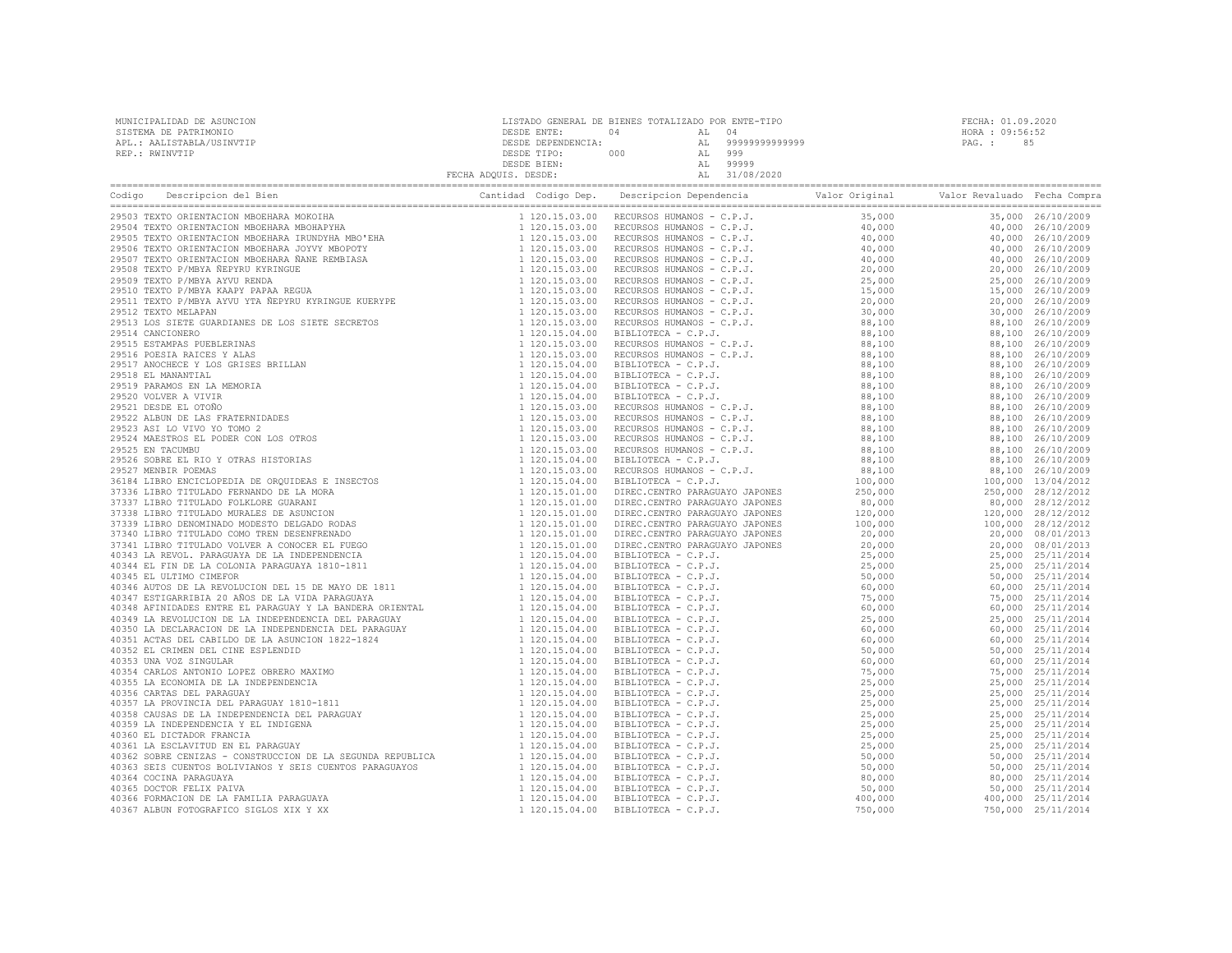| MUNICIPALIDAD DE ASUNCION | LISTADO GENERAL DE BIENES TOTALIZADO POR ENTE-TIPO |     |               | FECHA: 01.09.2020 |    |
|---------------------------|----------------------------------------------------|-----|---------------|-------------------|----|
| SISTEMA DE PATRIMONIO     | DESDE ENTE:                                        |     | . n. 4        | HORA : 09:56:52   |    |
| APL.: AALISTABLA/USINVTIP | DESDE DEPENDENCIA:                                 |     | 9999999999999 | PAG. :            | 85 |
| REP.: RWINVTIP            | DESDE TIPO:                                        | 000 | 999           |                   |    |
|                           | DESDE BIEN:                                        |     | 99999         |                   |    |
|                           | FECHA ADOUIS. DESDE:                               |     | 31/08/2020    |                   |    |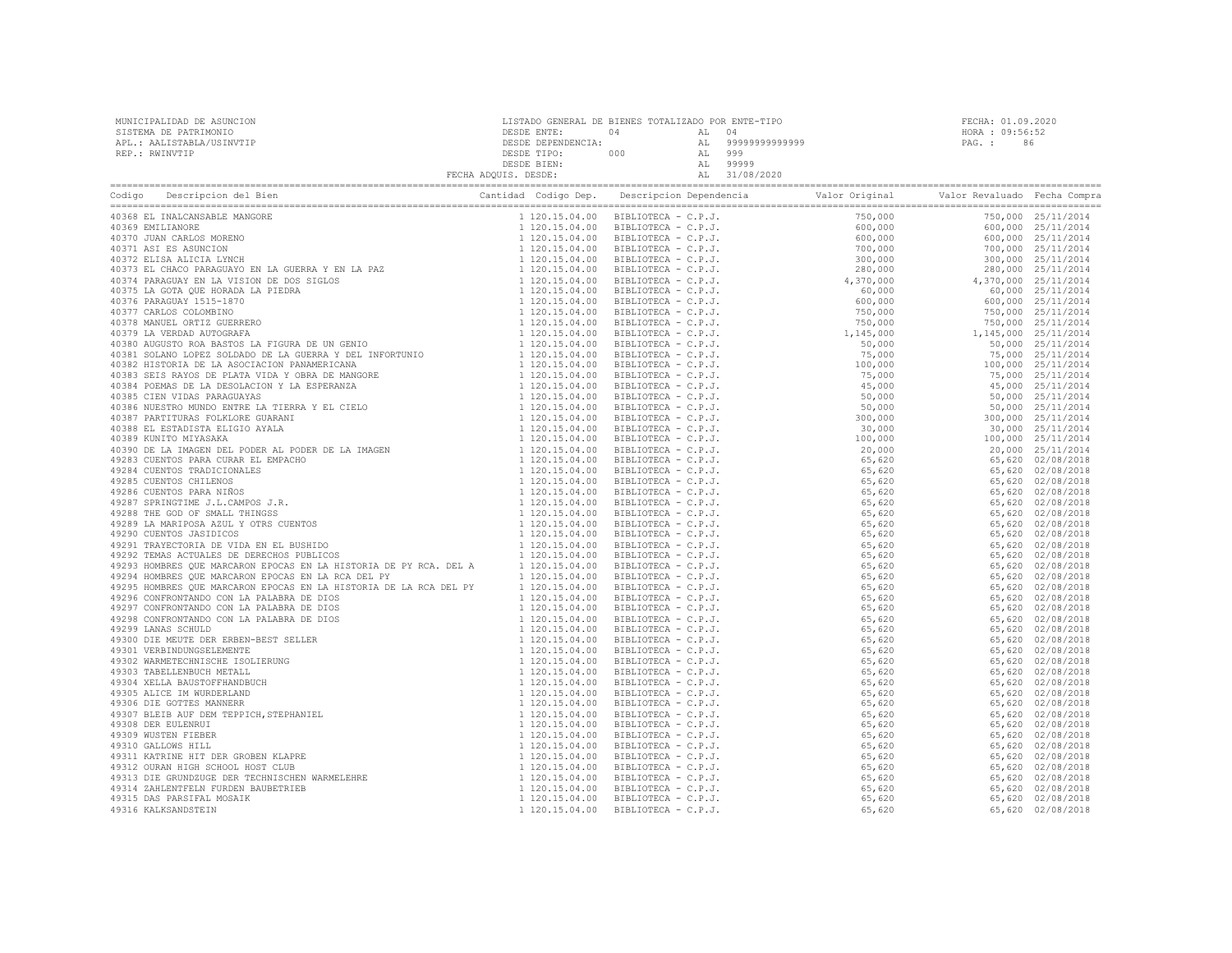| MUNICIPALIDAD DE ASUNCION | LISTADO GENERAL DE BIENES TOTALIZADO POR ENTE-TIPO |     |     |                |                 | FECHA: 01.09.2020 |
|---------------------------|----------------------------------------------------|-----|-----|----------------|-----------------|-------------------|
| SISTEMA DE PATRIMONIO     | DESDE ENTE:                                        |     |     |                | HORA : 09:56:52 |                   |
| APL.: AALISTABLA/USINVTIP | DESDE DEPENDENCIA:                                 |     | AT. | 99999999999999 | PAG. :          | 86                |
| REP.: RWINVTIP            | DESDE TIPO:                                        | 000 | AL  | 999            |                 |                   |
|                           | DESDE BIEN:                                        |     |     | 99999          |                 |                   |
|                           | FECHA ADOUIS. DESDE:                               |     |     | 31/08/2020     |                 |                   |

|                               |  | $\begin{tabular}{ c c c c c c c c} \hline \textbf{1.10} & \textbf{0.11} & \textbf{0.12} & \textbf{0.13} & \textbf{0.14} & \textbf{0.14} & \textbf{0.14} & \textbf{0.14} & \textbf{0.14} & \textbf{0.14} & \textbf{0.14} & \textbf{0.14} & \textbf{0.14} & \textbf{0.14} & \textbf{0.14} & \textbf{0.14} & \textbf{0.14} & \textbf{0.14} & \textbf{0.14} & \textbf{$ |  |
|-------------------------------|--|---------------------------------------------------------------------------------------------------------------------------------------------------------------------------------------------------------------------------------------------------------------------------------------------------------------------------------------------------------------------|--|
| 40368 EL INALCANSABLE MANGORE |  |                                                                                                                                                                                                                                                                                                                                                                     |  |
|                               |  |                                                                                                                                                                                                                                                                                                                                                                     |  |
|                               |  |                                                                                                                                                                                                                                                                                                                                                                     |  |
|                               |  |                                                                                                                                                                                                                                                                                                                                                                     |  |
|                               |  |                                                                                                                                                                                                                                                                                                                                                                     |  |
|                               |  |                                                                                                                                                                                                                                                                                                                                                                     |  |
|                               |  |                                                                                                                                                                                                                                                                                                                                                                     |  |
|                               |  |                                                                                                                                                                                                                                                                                                                                                                     |  |
|                               |  |                                                                                                                                                                                                                                                                                                                                                                     |  |
|                               |  |                                                                                                                                                                                                                                                                                                                                                                     |  |
|                               |  |                                                                                                                                                                                                                                                                                                                                                                     |  |
|                               |  |                                                                                                                                                                                                                                                                                                                                                                     |  |
|                               |  |                                                                                                                                                                                                                                                                                                                                                                     |  |
|                               |  |                                                                                                                                                                                                                                                                                                                                                                     |  |
|                               |  |                                                                                                                                                                                                                                                                                                                                                                     |  |
|                               |  |                                                                                                                                                                                                                                                                                                                                                                     |  |
|                               |  |                                                                                                                                                                                                                                                                                                                                                                     |  |
|                               |  |                                                                                                                                                                                                                                                                                                                                                                     |  |
|                               |  |                                                                                                                                                                                                                                                                                                                                                                     |  |
|                               |  |                                                                                                                                                                                                                                                                                                                                                                     |  |
|                               |  |                                                                                                                                                                                                                                                                                                                                                                     |  |
|                               |  |                                                                                                                                                                                                                                                                                                                                                                     |  |
|                               |  |                                                                                                                                                                                                                                                                                                                                                                     |  |
|                               |  |                                                                                                                                                                                                                                                                                                                                                                     |  |
|                               |  |                                                                                                                                                                                                                                                                                                                                                                     |  |
|                               |  |                                                                                                                                                                                                                                                                                                                                                                     |  |
|                               |  |                                                                                                                                                                                                                                                                                                                                                                     |  |
|                               |  |                                                                                                                                                                                                                                                                                                                                                                     |  |
|                               |  |                                                                                                                                                                                                                                                                                                                                                                     |  |
|                               |  |                                                                                                                                                                                                                                                                                                                                                                     |  |
|                               |  |                                                                                                                                                                                                                                                                                                                                                                     |  |
|                               |  |                                                                                                                                                                                                                                                                                                                                                                     |  |
|                               |  |                                                                                                                                                                                                                                                                                                                                                                     |  |
|                               |  |                                                                                                                                                                                                                                                                                                                                                                     |  |
|                               |  |                                                                                                                                                                                                                                                                                                                                                                     |  |
|                               |  |                                                                                                                                                                                                                                                                                                                                                                     |  |
|                               |  |                                                                                                                                                                                                                                                                                                                                                                     |  |
|                               |  |                                                                                                                                                                                                                                                                                                                                                                     |  |
|                               |  |                                                                                                                                                                                                                                                                                                                                                                     |  |
|                               |  |                                                                                                                                                                                                                                                                                                                                                                     |  |
|                               |  |                                                                                                                                                                                                                                                                                                                                                                     |  |
|                               |  |                                                                                                                                                                                                                                                                                                                                                                     |  |
|                               |  |                                                                                                                                                                                                                                                                                                                                                                     |  |
|                               |  |                                                                                                                                                                                                                                                                                                                                                                     |  |
|                               |  |                                                                                                                                                                                                                                                                                                                                                                     |  |
|                               |  |                                                                                                                                                                                                                                                                                                                                                                     |  |
|                               |  |                                                                                                                                                                                                                                                                                                                                                                     |  |
|                               |  |                                                                                                                                                                                                                                                                                                                                                                     |  |
|                               |  |                                                                                                                                                                                                                                                                                                                                                                     |  |
|                               |  |                                                                                                                                                                                                                                                                                                                                                                     |  |
|                               |  |                                                                                                                                                                                                                                                                                                                                                                     |  |
|                               |  |                                                                                                                                                                                                                                                                                                                                                                     |  |
|                               |  |                                                                                                                                                                                                                                                                                                                                                                     |  |
|                               |  |                                                                                                                                                                                                                                                                                                                                                                     |  |
|                               |  |                                                                                                                                                                                                                                                                                                                                                                     |  |
|                               |  |                                                                                                                                                                                                                                                                                                                                                                     |  |
|                               |  |                                                                                                                                                                                                                                                                                                                                                                     |  |
|                               |  |                                                                                                                                                                                                                                                                                                                                                                     |  |
|                               |  |                                                                                                                                                                                                                                                                                                                                                                     |  |
|                               |  |                                                                                                                                                                                                                                                                                                                                                                     |  |
|                               |  |                                                                                                                                                                                                                                                                                                                                                                     |  |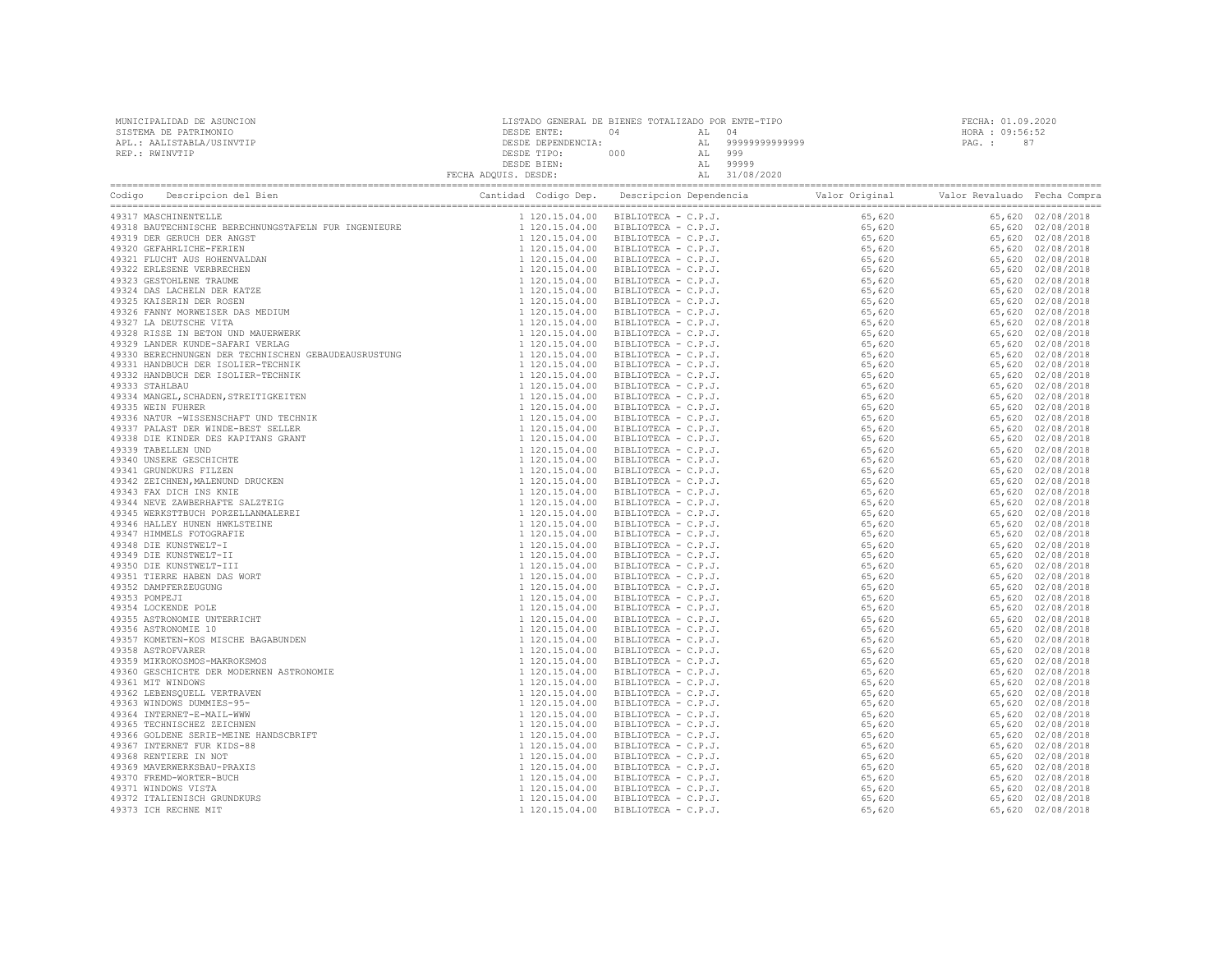| MUNICIPALIDAD DE ASUNCION | LISTADO GENERAL DE BIENES TOTALIZADO POR ENTE-TIPO |     |                | FECHA: 01.09.2020 |    |
|---------------------------|----------------------------------------------------|-----|----------------|-------------------|----|
| SISTEMA DE PATRIMONIO     | DESDE ENTE:                                        |     |                | HORA: 09:56:52    |    |
| APL.: AALISTABLA/USINVTIP | DESDE DEPENDENCIA:                                 |     | 99999999999999 | PAG. :            | 87 |
| REP.: RWINVTIP            | DESDE TIPO:                                        | 000 | 999            |                   |    |
|                           | DESDE BIEN:                                        |     | 99999          |                   |    |
|                           | FECHA ADOUIS. DESDE:                               |     | 31/08/2020     |                   |    |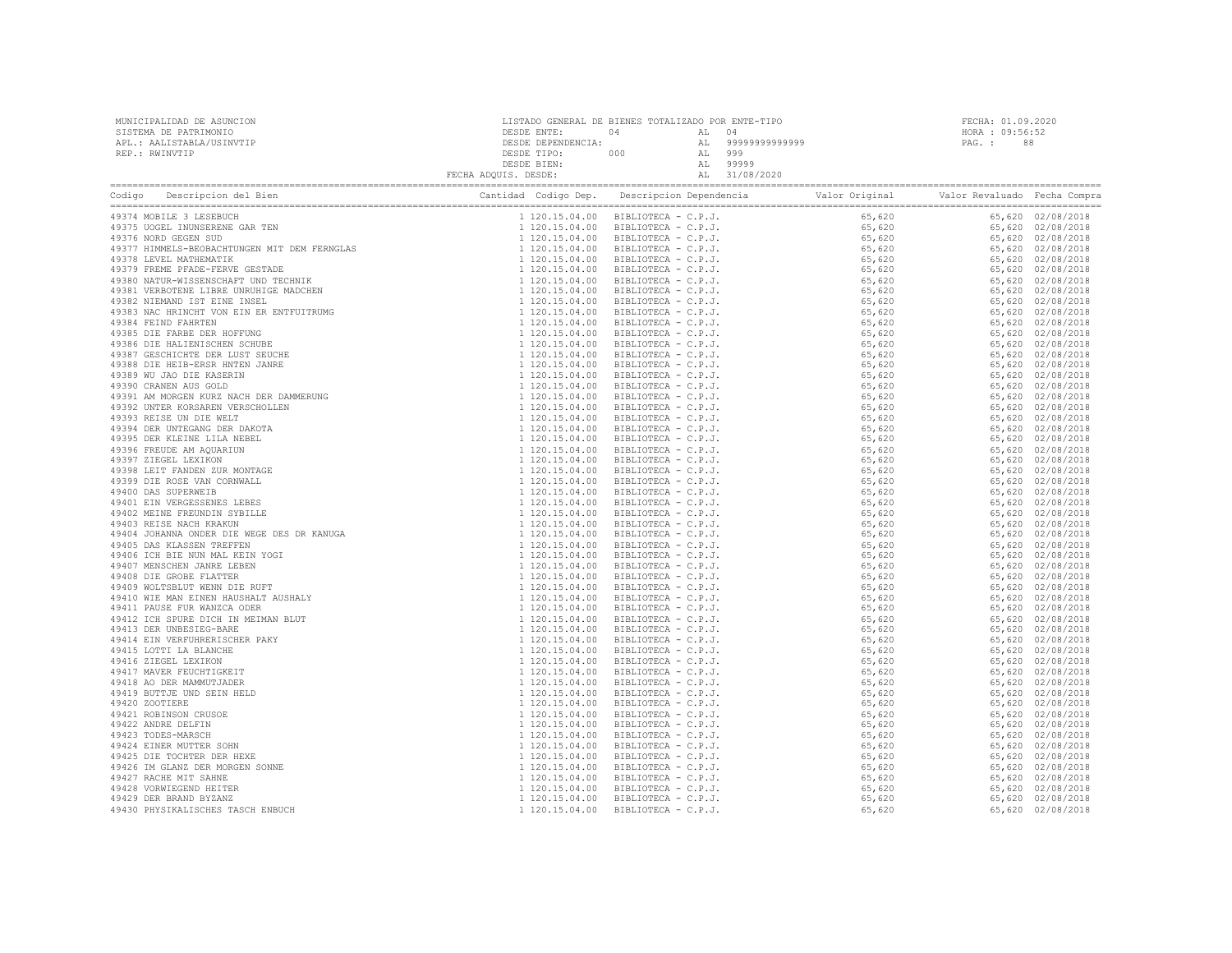| MUNICIPALIDAD DE ASUNCION | LISTADO GENERAL DE BIENES TOTALIZADO POR ENTE-TIPO |     |        |                   | FECHA: 01.09.2020 |  |
|---------------------------|----------------------------------------------------|-----|--------|-------------------|-------------------|--|
| SISTEMA DE PATRIMONIO     | DESDE ENTE:                                        |     |        |                   | HORA: 09:56:52    |  |
| APL.: AALISTABLA/USINVTIP | DESDE DEPENDENCIA:                                 |     |        | AL 99999999999999 | PAG.: 88          |  |
| REP.: RWINVTIP            | DESDE TIPO:                                        | 000 | AL 999 |                   |                   |  |
|                           | DESDE BIEN:                                        |     |        | AL 99999          |                   |  |
|                           | FECHA ADQUIS. DESDE:                               |     |        | AL 31/08/2020     |                   |  |

| Coding (Description del Bien (Description del Bien (Description del Bien (Description del Bien (Description del Bien (Description del Bien (1978) ROSCA: INUESTANCE NORTHER INDUSTRIES (1973) THEORY DESCRIPTION DESCRIPTION D |  |  |  |
|--------------------------------------------------------------------------------------------------------------------------------------------------------------------------------------------------------------------------------|--|--|--|
|                                                                                                                                                                                                                                |  |  |  |
|                                                                                                                                                                                                                                |  |  |  |
|                                                                                                                                                                                                                                |  |  |  |
|                                                                                                                                                                                                                                |  |  |  |
|                                                                                                                                                                                                                                |  |  |  |
|                                                                                                                                                                                                                                |  |  |  |
|                                                                                                                                                                                                                                |  |  |  |
|                                                                                                                                                                                                                                |  |  |  |
|                                                                                                                                                                                                                                |  |  |  |
|                                                                                                                                                                                                                                |  |  |  |
|                                                                                                                                                                                                                                |  |  |  |
|                                                                                                                                                                                                                                |  |  |  |
|                                                                                                                                                                                                                                |  |  |  |
|                                                                                                                                                                                                                                |  |  |  |
|                                                                                                                                                                                                                                |  |  |  |
|                                                                                                                                                                                                                                |  |  |  |
|                                                                                                                                                                                                                                |  |  |  |
|                                                                                                                                                                                                                                |  |  |  |
|                                                                                                                                                                                                                                |  |  |  |
|                                                                                                                                                                                                                                |  |  |  |
|                                                                                                                                                                                                                                |  |  |  |
|                                                                                                                                                                                                                                |  |  |  |
|                                                                                                                                                                                                                                |  |  |  |
|                                                                                                                                                                                                                                |  |  |  |
|                                                                                                                                                                                                                                |  |  |  |
|                                                                                                                                                                                                                                |  |  |  |
|                                                                                                                                                                                                                                |  |  |  |
|                                                                                                                                                                                                                                |  |  |  |
|                                                                                                                                                                                                                                |  |  |  |
|                                                                                                                                                                                                                                |  |  |  |
|                                                                                                                                                                                                                                |  |  |  |
|                                                                                                                                                                                                                                |  |  |  |
|                                                                                                                                                                                                                                |  |  |  |
|                                                                                                                                                                                                                                |  |  |  |
|                                                                                                                                                                                                                                |  |  |  |
|                                                                                                                                                                                                                                |  |  |  |
|                                                                                                                                                                                                                                |  |  |  |
|                                                                                                                                                                                                                                |  |  |  |
|                                                                                                                                                                                                                                |  |  |  |
|                                                                                                                                                                                                                                |  |  |  |
|                                                                                                                                                                                                                                |  |  |  |
|                                                                                                                                                                                                                                |  |  |  |
|                                                                                                                                                                                                                                |  |  |  |
|                                                                                                                                                                                                                                |  |  |  |
|                                                                                                                                                                                                                                |  |  |  |
|                                                                                                                                                                                                                                |  |  |  |
|                                                                                                                                                                                                                                |  |  |  |
|                                                                                                                                                                                                                                |  |  |  |
|                                                                                                                                                                                                                                |  |  |  |
|                                                                                                                                                                                                                                |  |  |  |
|                                                                                                                                                                                                                                |  |  |  |
|                                                                                                                                                                                                                                |  |  |  |
|                                                                                                                                                                                                                                |  |  |  |
|                                                                                                                                                                                                                                |  |  |  |
|                                                                                                                                                                                                                                |  |  |  |
|                                                                                                                                                                                                                                |  |  |  |
|                                                                                                                                                                                                                                |  |  |  |
|                                                                                                                                                                                                                                |  |  |  |
|                                                                                                                                                                                                                                |  |  |  |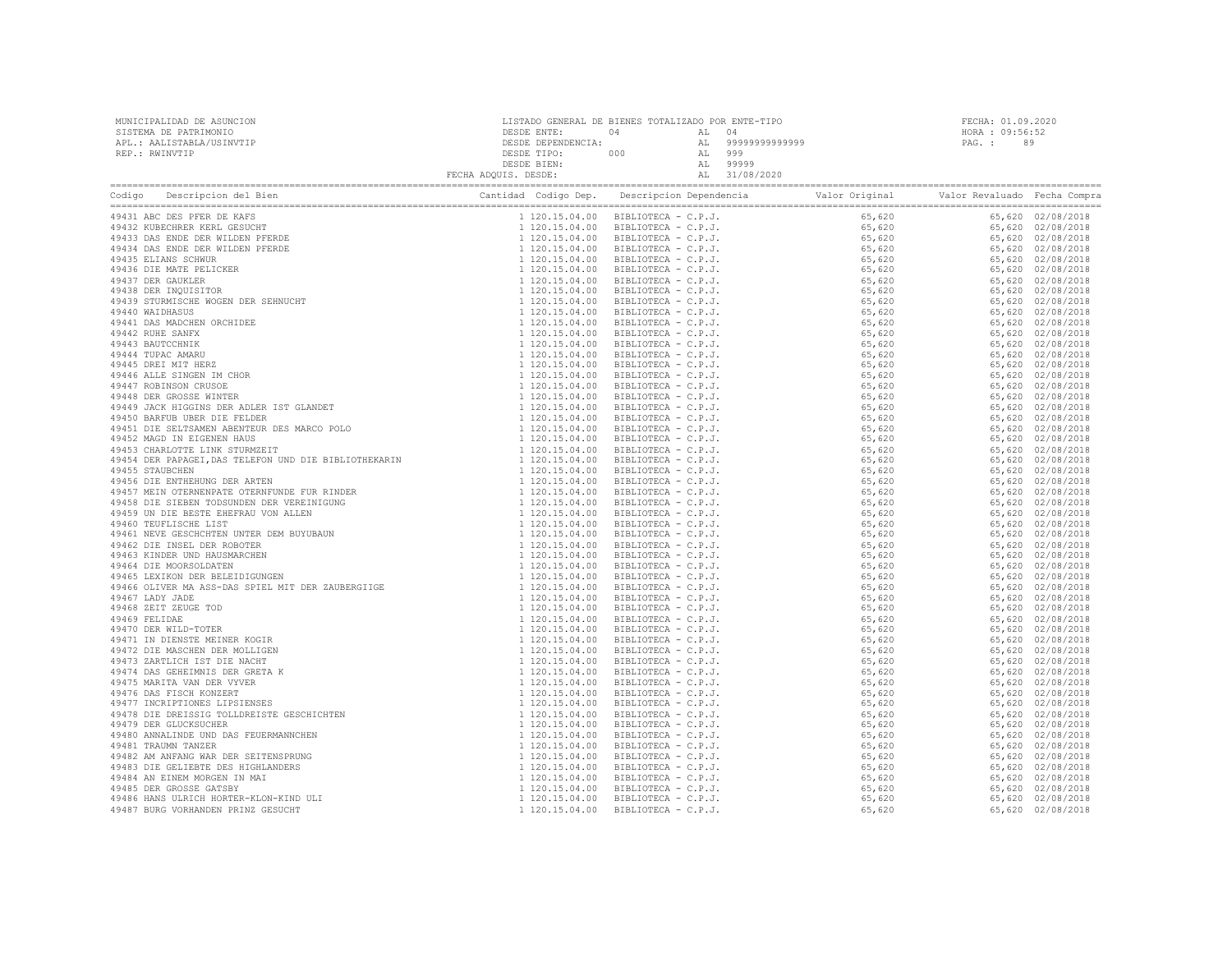| 49487 BURG VORHANDEN PRINZ GESUCHT |  |  |  |
|------------------------------------|--|--|--|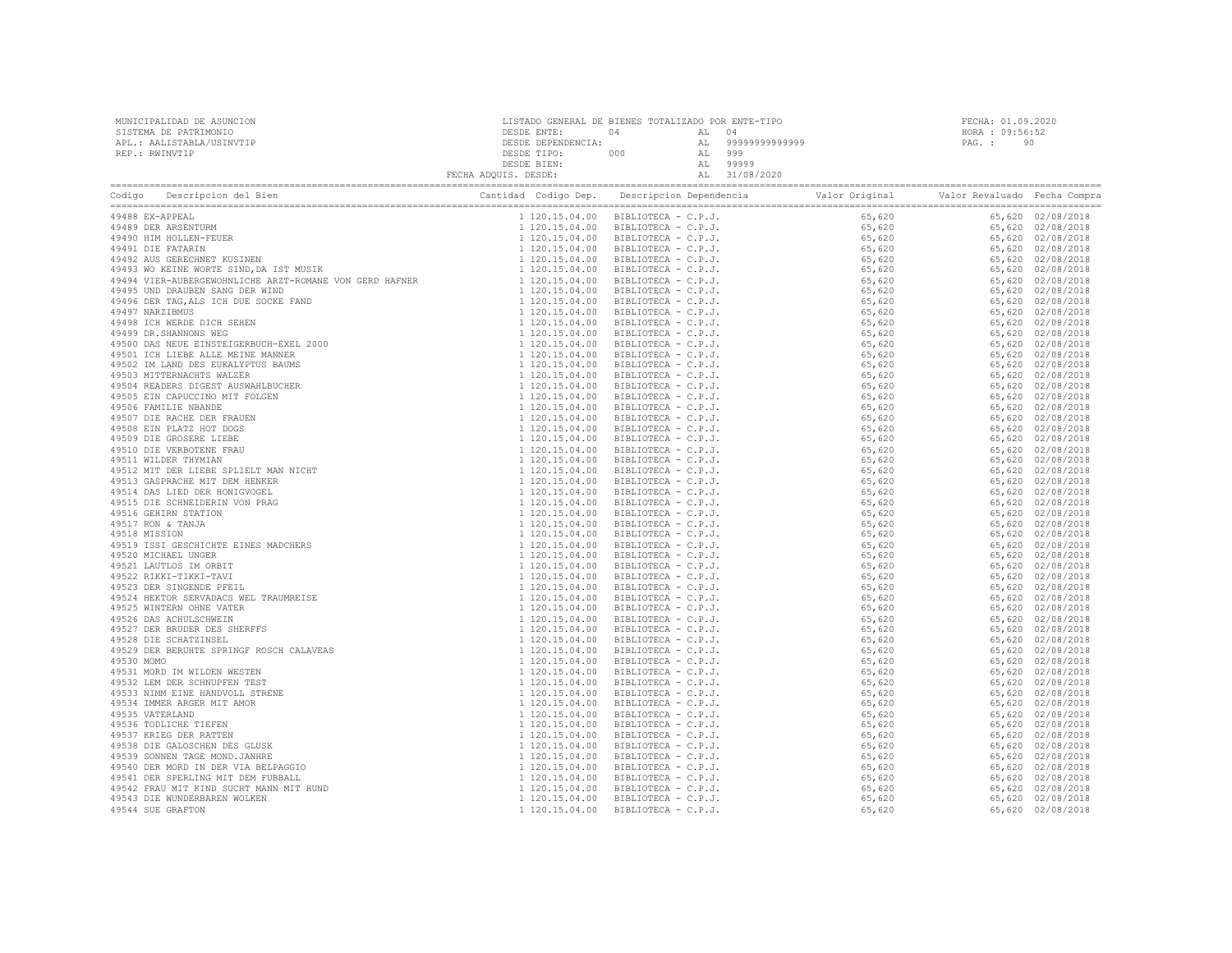| MUNICIPALIDAD DE ASUNCION<br>SISTEMA DE PATRIMONIO<br>APL.: AALISTABLA/USINVTIP<br>REP.: RWINVTIP |  | FECHA: 01.09.2020<br>HORA : 09:56:52<br>PAG.: 90 |  |
|---------------------------------------------------------------------------------------------------|--|--------------------------------------------------|--|
|                                                                                                   |  |                                                  |  |
|                                                                                                   |  |                                                  |  |
|                                                                                                   |  |                                                  |  |
|                                                                                                   |  |                                                  |  |
|                                                                                                   |  |                                                  |  |
|                                                                                                   |  |                                                  |  |
|                                                                                                   |  |                                                  |  |
|                                                                                                   |  |                                                  |  |
|                                                                                                   |  |                                                  |  |
|                                                                                                   |  |                                                  |  |
|                                                                                                   |  |                                                  |  |
|                                                                                                   |  |                                                  |  |
|                                                                                                   |  |                                                  |  |
|                                                                                                   |  |                                                  |  |
|                                                                                                   |  |                                                  |  |
|                                                                                                   |  |                                                  |  |
|                                                                                                   |  |                                                  |  |
|                                                                                                   |  |                                                  |  |
|                                                                                                   |  |                                                  |  |
|                                                                                                   |  |                                                  |  |
|                                                                                                   |  |                                                  |  |
|                                                                                                   |  |                                                  |  |
|                                                                                                   |  |                                                  |  |
|                                                                                                   |  |                                                  |  |
|                                                                                                   |  |                                                  |  |
|                                                                                                   |  |                                                  |  |
|                                                                                                   |  |                                                  |  |
|                                                                                                   |  |                                                  |  |
|                                                                                                   |  |                                                  |  |
|                                                                                                   |  |                                                  |  |
|                                                                                                   |  |                                                  |  |
|                                                                                                   |  |                                                  |  |
|                                                                                                   |  |                                                  |  |
|                                                                                                   |  |                                                  |  |
|                                                                                                   |  |                                                  |  |
|                                                                                                   |  |                                                  |  |
|                                                                                                   |  |                                                  |  |
|                                                                                                   |  |                                                  |  |
|                                                                                                   |  |                                                  |  |
|                                                                                                   |  |                                                  |  |
|                                                                                                   |  |                                                  |  |
|                                                                                                   |  |                                                  |  |
|                                                                                                   |  |                                                  |  |
|                                                                                                   |  |                                                  |  |
|                                                                                                   |  |                                                  |  |
|                                                                                                   |  |                                                  |  |
|                                                                                                   |  |                                                  |  |
|                                                                                                   |  |                                                  |  |
|                                                                                                   |  |                                                  |  |
|                                                                                                   |  |                                                  |  |
|                                                                                                   |  |                                                  |  |
|                                                                                                   |  |                                                  |  |
|                                                                                                   |  |                                                  |  |
|                                                                                                   |  |                                                  |  |
|                                                                                                   |  |                                                  |  |
|                                                                                                   |  |                                                  |  |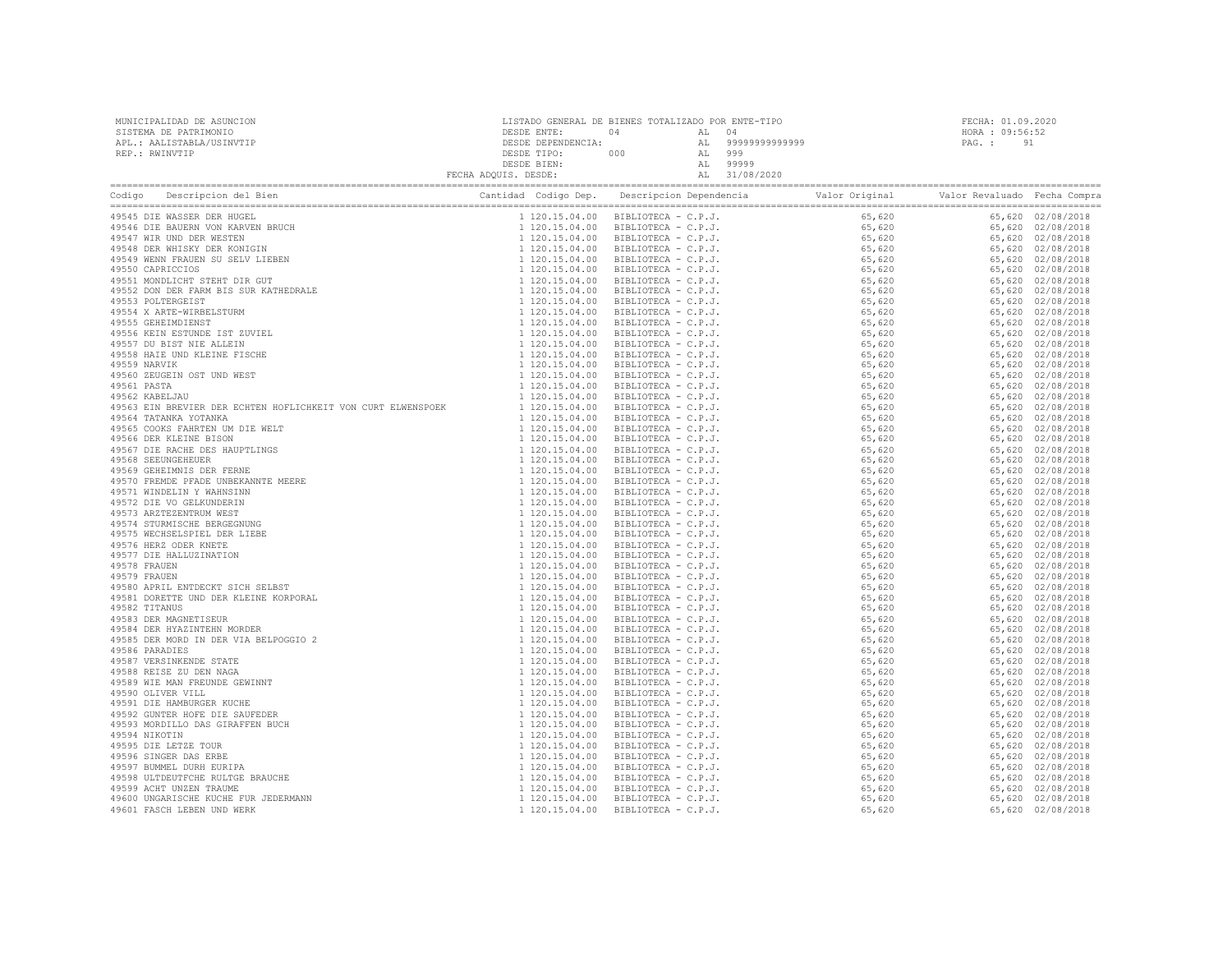| MUNICIPALIDAD DE ASUNCION | LISTADO GENERAL DE BIENES TOTALIZADO POR ENTE-TIPO |     |       |                   | FECHA: 01.09.2020 |    |
|---------------------------|----------------------------------------------------|-----|-------|-------------------|-------------------|----|
| SISTEMA DE PATRIMONIO     | DESDE ENTE:                                        |     | AL 04 |                   | HORA : 09:56:52   |    |
| APL.: AALISTABLA/USINVTIP | DESDE DEPENDENCIA:                                 |     |       | AL 99999999999999 | PAG. :            | 91 |
| REP.: RWINVTIP            | DESDE TIPO:                                        | 000 |       | 999               |                   |    |
|                           | DESDE BIEN:                                        |     |       | 99999             |                   |    |
|                           | FECHA ADOUIS. DESDE:                               |     |       | 31/08/2020        |                   |    |

|                            | $\begin{tabular}{ c c c c c c c c} \hline \textbf{1.64} & \textbf{0.64} & \textbf{0.64} & \textbf{0.64} & \textbf{0.64} & \textbf{0.64} & \textbf{0.64} & \textbf{0.64} & \textbf{0.64} & \textbf{0.64} & \textbf{0.64} & \textbf{0.64} & \textbf{0.64} & \textbf{0.64} & \textbf{0.64} & \textbf{0.64} & \textbf{0.64} & \textbf{0.64} & \textbf{0.64} & \textbf{$ |  |  |
|----------------------------|---------------------------------------------------------------------------------------------------------------------------------------------------------------------------------------------------------------------------------------------------------------------------------------------------------------------------------------------------------------------|--|--|
| 49545 DIE WASSER DER HUGEL |                                                                                                                                                                                                                                                                                                                                                                     |  |  |
|                            |                                                                                                                                                                                                                                                                                                                                                                     |  |  |
|                            |                                                                                                                                                                                                                                                                                                                                                                     |  |  |
|                            |                                                                                                                                                                                                                                                                                                                                                                     |  |  |
|                            |                                                                                                                                                                                                                                                                                                                                                                     |  |  |
|                            |                                                                                                                                                                                                                                                                                                                                                                     |  |  |
|                            |                                                                                                                                                                                                                                                                                                                                                                     |  |  |
|                            |                                                                                                                                                                                                                                                                                                                                                                     |  |  |
|                            |                                                                                                                                                                                                                                                                                                                                                                     |  |  |
|                            |                                                                                                                                                                                                                                                                                                                                                                     |  |  |
|                            |                                                                                                                                                                                                                                                                                                                                                                     |  |  |
|                            |                                                                                                                                                                                                                                                                                                                                                                     |  |  |
|                            |                                                                                                                                                                                                                                                                                                                                                                     |  |  |
|                            |                                                                                                                                                                                                                                                                                                                                                                     |  |  |
|                            |                                                                                                                                                                                                                                                                                                                                                                     |  |  |
|                            |                                                                                                                                                                                                                                                                                                                                                                     |  |  |
|                            |                                                                                                                                                                                                                                                                                                                                                                     |  |  |
|                            |                                                                                                                                                                                                                                                                                                                                                                     |  |  |
|                            |                                                                                                                                                                                                                                                                                                                                                                     |  |  |
|                            |                                                                                                                                                                                                                                                                                                                                                                     |  |  |
|                            |                                                                                                                                                                                                                                                                                                                                                                     |  |  |
|                            |                                                                                                                                                                                                                                                                                                                                                                     |  |  |
|                            |                                                                                                                                                                                                                                                                                                                                                                     |  |  |
|                            |                                                                                                                                                                                                                                                                                                                                                                     |  |  |
|                            |                                                                                                                                                                                                                                                                                                                                                                     |  |  |
|                            |                                                                                                                                                                                                                                                                                                                                                                     |  |  |
|                            |                                                                                                                                                                                                                                                                                                                                                                     |  |  |
|                            |                                                                                                                                                                                                                                                                                                                                                                     |  |  |
|                            |                                                                                                                                                                                                                                                                                                                                                                     |  |  |
|                            |                                                                                                                                                                                                                                                                                                                                                                     |  |  |
|                            |                                                                                                                                                                                                                                                                                                                                                                     |  |  |
|                            |                                                                                                                                                                                                                                                                                                                                                                     |  |  |
|                            |                                                                                                                                                                                                                                                                                                                                                                     |  |  |
|                            |                                                                                                                                                                                                                                                                                                                                                                     |  |  |
|                            |                                                                                                                                                                                                                                                                                                                                                                     |  |  |
|                            |                                                                                                                                                                                                                                                                                                                                                                     |  |  |
|                            |                                                                                                                                                                                                                                                                                                                                                                     |  |  |
|                            |                                                                                                                                                                                                                                                                                                                                                                     |  |  |
|                            |                                                                                                                                                                                                                                                                                                                                                                     |  |  |
|                            |                                                                                                                                                                                                                                                                                                                                                                     |  |  |
|                            |                                                                                                                                                                                                                                                                                                                                                                     |  |  |
|                            |                                                                                                                                                                                                                                                                                                                                                                     |  |  |
|                            |                                                                                                                                                                                                                                                                                                                                                                     |  |  |
|                            |                                                                                                                                                                                                                                                                                                                                                                     |  |  |
|                            |                                                                                                                                                                                                                                                                                                                                                                     |  |  |
|                            |                                                                                                                                                                                                                                                                                                                                                                     |  |  |
|                            |                                                                                                                                                                                                                                                                                                                                                                     |  |  |
|                            |                                                                                                                                                                                                                                                                                                                                                                     |  |  |
|                            |                                                                                                                                                                                                                                                                                                                                                                     |  |  |
|                            |                                                                                                                                                                                                                                                                                                                                                                     |  |  |
|                            |                                                                                                                                                                                                                                                                                                                                                                     |  |  |
|                            |                                                                                                                                                                                                                                                                                                                                                                     |  |  |
|                            |                                                                                                                                                                                                                                                                                                                                                                     |  |  |
|                            |                                                                                                                                                                                                                                                                                                                                                                     |  |  |
|                            |                                                                                                                                                                                                                                                                                                                                                                     |  |  |
|                            |                                                                                                                                                                                                                                                                                                                                                                     |  |  |
|                            |                                                                                                                                                                                                                                                                                                                                                                     |  |  |
|                            |                                                                                                                                                                                                                                                                                                                                                                     |  |  |
|                            |                                                                                                                                                                                                                                                                                                                                                                     |  |  |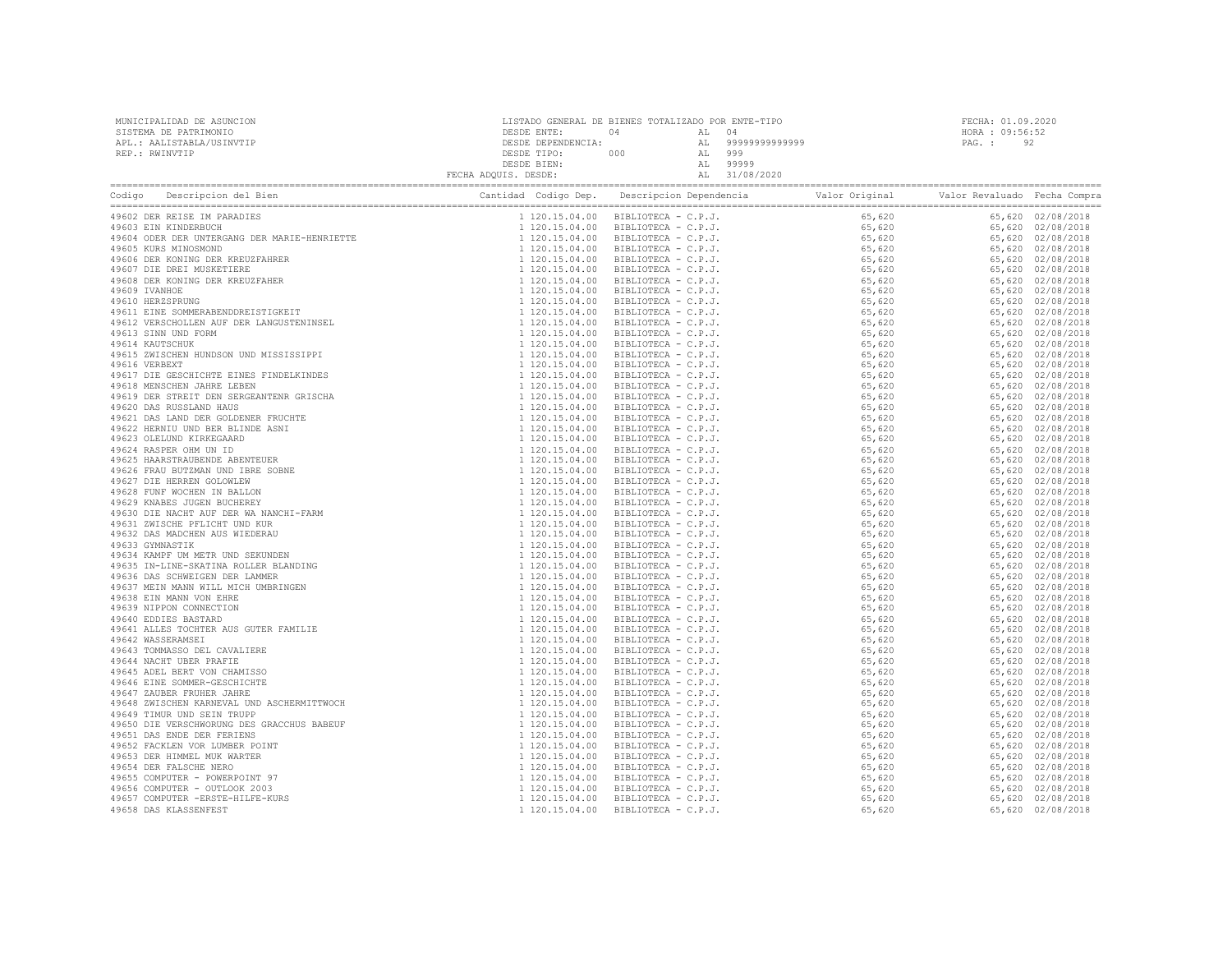| MUNICIPALIDAD DE ASUNCION | LISTADO GENERAL DE BIENES TOTALIZADO POR ENTE-TIPO |     |        |                   | FECHA: 01.09.2020 |  |  |
|---------------------------|----------------------------------------------------|-----|--------|-------------------|-------------------|--|--|
| SISTEMA DE PATRIMONIO     | DESDE ENTE:                                        | 04  | AT. 04 |                   | HORA : 09:56:52   |  |  |
| APL.: AALISTABLA/USINVTIP | DESDE DEPENDENCIA:                                 |     |        | AL 99999999999999 | PAG.: 92          |  |  |
| REP.: RWINVTIP            | DESDE TIPO:                                        | 000 | AL 999 |                   |                   |  |  |
|                           | DESDE BIEN:                                        |     | AT.    | 99999             |                   |  |  |
|                           | FECHA ADQUIS. DESDE:                               |     |        | AL 31/08/2020     |                   |  |  |

| COLUMBER PRESER IN PRAIDE-BINATIN PRESERVATION CONTROL DESCRIPTIONS CONTROL CONTROL AND CONTROL 49600 DER NUNCERISTING (49600 DER NUNCERISTING)<br>49600 DER REINER INCREDIENT (49600 DER PRESERVATIONS CONTROL AND CONTROL CONTR | $\begin{tabular}{cccccccc} \textbf{1.10} & \textbf{0.644\textcolor{black}{0.148\textcolor{black}{0.148\textcolor{black}{0.148\textcolor{black}{0.148\textcolor{black}{0.148\textcolor{black}{0.148\textcolor{black}{0.148\textcolor{black}{0.148\textcolor{black}{0.148\textcolor{black}{0.148\textcolor{black}{0.148\textcolor{black}{0.148\textcolor{black}{0.148\textcolor{black}{0.148\textcolor{black}{0.148\textcolor{black}{0.148\textcolor{black}{0.148\textcolor{black$ |  |  |
|-----------------------------------------------------------------------------------------------------------------------------------------------------------------------------------------------------------------------------------|----------------------------------------------------------------------------------------------------------------------------------------------------------------------------------------------------------------------------------------------------------------------------------------------------------------------------------------------------------------------------------------------------------------------------------------------------------------------------------|--|--|
|                                                                                                                                                                                                                                   |                                                                                                                                                                                                                                                                                                                                                                                                                                                                                  |  |  |
|                                                                                                                                                                                                                                   |                                                                                                                                                                                                                                                                                                                                                                                                                                                                                  |  |  |
|                                                                                                                                                                                                                                   |                                                                                                                                                                                                                                                                                                                                                                                                                                                                                  |  |  |
|                                                                                                                                                                                                                                   |                                                                                                                                                                                                                                                                                                                                                                                                                                                                                  |  |  |
|                                                                                                                                                                                                                                   |                                                                                                                                                                                                                                                                                                                                                                                                                                                                                  |  |  |
|                                                                                                                                                                                                                                   |                                                                                                                                                                                                                                                                                                                                                                                                                                                                                  |  |  |
|                                                                                                                                                                                                                                   |                                                                                                                                                                                                                                                                                                                                                                                                                                                                                  |  |  |
|                                                                                                                                                                                                                                   |                                                                                                                                                                                                                                                                                                                                                                                                                                                                                  |  |  |
|                                                                                                                                                                                                                                   |                                                                                                                                                                                                                                                                                                                                                                                                                                                                                  |  |  |
|                                                                                                                                                                                                                                   |                                                                                                                                                                                                                                                                                                                                                                                                                                                                                  |  |  |
|                                                                                                                                                                                                                                   |                                                                                                                                                                                                                                                                                                                                                                                                                                                                                  |  |  |
|                                                                                                                                                                                                                                   |                                                                                                                                                                                                                                                                                                                                                                                                                                                                                  |  |  |
|                                                                                                                                                                                                                                   |                                                                                                                                                                                                                                                                                                                                                                                                                                                                                  |  |  |
|                                                                                                                                                                                                                                   |                                                                                                                                                                                                                                                                                                                                                                                                                                                                                  |  |  |
|                                                                                                                                                                                                                                   |                                                                                                                                                                                                                                                                                                                                                                                                                                                                                  |  |  |
|                                                                                                                                                                                                                                   |                                                                                                                                                                                                                                                                                                                                                                                                                                                                                  |  |  |
|                                                                                                                                                                                                                                   |                                                                                                                                                                                                                                                                                                                                                                                                                                                                                  |  |  |
|                                                                                                                                                                                                                                   |                                                                                                                                                                                                                                                                                                                                                                                                                                                                                  |  |  |
|                                                                                                                                                                                                                                   |                                                                                                                                                                                                                                                                                                                                                                                                                                                                                  |  |  |
|                                                                                                                                                                                                                                   |                                                                                                                                                                                                                                                                                                                                                                                                                                                                                  |  |  |
|                                                                                                                                                                                                                                   |                                                                                                                                                                                                                                                                                                                                                                                                                                                                                  |  |  |
|                                                                                                                                                                                                                                   |                                                                                                                                                                                                                                                                                                                                                                                                                                                                                  |  |  |
|                                                                                                                                                                                                                                   |                                                                                                                                                                                                                                                                                                                                                                                                                                                                                  |  |  |
|                                                                                                                                                                                                                                   |                                                                                                                                                                                                                                                                                                                                                                                                                                                                                  |  |  |
|                                                                                                                                                                                                                                   |                                                                                                                                                                                                                                                                                                                                                                                                                                                                                  |  |  |
|                                                                                                                                                                                                                                   |                                                                                                                                                                                                                                                                                                                                                                                                                                                                                  |  |  |
|                                                                                                                                                                                                                                   |                                                                                                                                                                                                                                                                                                                                                                                                                                                                                  |  |  |
|                                                                                                                                                                                                                                   |                                                                                                                                                                                                                                                                                                                                                                                                                                                                                  |  |  |
|                                                                                                                                                                                                                                   |                                                                                                                                                                                                                                                                                                                                                                                                                                                                                  |  |  |
|                                                                                                                                                                                                                                   |                                                                                                                                                                                                                                                                                                                                                                                                                                                                                  |  |  |
|                                                                                                                                                                                                                                   |                                                                                                                                                                                                                                                                                                                                                                                                                                                                                  |  |  |
|                                                                                                                                                                                                                                   |                                                                                                                                                                                                                                                                                                                                                                                                                                                                                  |  |  |
|                                                                                                                                                                                                                                   |                                                                                                                                                                                                                                                                                                                                                                                                                                                                                  |  |  |
|                                                                                                                                                                                                                                   |                                                                                                                                                                                                                                                                                                                                                                                                                                                                                  |  |  |
|                                                                                                                                                                                                                                   |                                                                                                                                                                                                                                                                                                                                                                                                                                                                                  |  |  |
|                                                                                                                                                                                                                                   |                                                                                                                                                                                                                                                                                                                                                                                                                                                                                  |  |  |
|                                                                                                                                                                                                                                   |                                                                                                                                                                                                                                                                                                                                                                                                                                                                                  |  |  |
|                                                                                                                                                                                                                                   |                                                                                                                                                                                                                                                                                                                                                                                                                                                                                  |  |  |
|                                                                                                                                                                                                                                   |                                                                                                                                                                                                                                                                                                                                                                                                                                                                                  |  |  |
|                                                                                                                                                                                                                                   |                                                                                                                                                                                                                                                                                                                                                                                                                                                                                  |  |  |
|                                                                                                                                                                                                                                   |                                                                                                                                                                                                                                                                                                                                                                                                                                                                                  |  |  |
|                                                                                                                                                                                                                                   |                                                                                                                                                                                                                                                                                                                                                                                                                                                                                  |  |  |
|                                                                                                                                                                                                                                   |                                                                                                                                                                                                                                                                                                                                                                                                                                                                                  |  |  |
|                                                                                                                                                                                                                                   |                                                                                                                                                                                                                                                                                                                                                                                                                                                                                  |  |  |
|                                                                                                                                                                                                                                   |                                                                                                                                                                                                                                                                                                                                                                                                                                                                                  |  |  |
|                                                                                                                                                                                                                                   |                                                                                                                                                                                                                                                                                                                                                                                                                                                                                  |  |  |
|                                                                                                                                                                                                                                   |                                                                                                                                                                                                                                                                                                                                                                                                                                                                                  |  |  |
|                                                                                                                                                                                                                                   |                                                                                                                                                                                                                                                                                                                                                                                                                                                                                  |  |  |
|                                                                                                                                                                                                                                   |                                                                                                                                                                                                                                                                                                                                                                                                                                                                                  |  |  |
|                                                                                                                                                                                                                                   |                                                                                                                                                                                                                                                                                                                                                                                                                                                                                  |  |  |
|                                                                                                                                                                                                                                   |                                                                                                                                                                                                                                                                                                                                                                                                                                                                                  |  |  |
|                                                                                                                                                                                                                                   |                                                                                                                                                                                                                                                                                                                                                                                                                                                                                  |  |  |
|                                                                                                                                                                                                                                   |                                                                                                                                                                                                                                                                                                                                                                                                                                                                                  |  |  |
|                                                                                                                                                                                                                                   |                                                                                                                                                                                                                                                                                                                                                                                                                                                                                  |  |  |
|                                                                                                                                                                                                                                   |                                                                                                                                                                                                                                                                                                                                                                                                                                                                                  |  |  |
|                                                                                                                                                                                                                                   |                                                                                                                                                                                                                                                                                                                                                                                                                                                                                  |  |  |
|                                                                                                                                                                                                                                   |                                                                                                                                                                                                                                                                                                                                                                                                                                                                                  |  |  |
|                                                                                                                                                                                                                                   |                                                                                                                                                                                                                                                                                                                                                                                                                                                                                  |  |  |
|                                                                                                                                                                                                                                   |                                                                                                                                                                                                                                                                                                                                                                                                                                                                                  |  |  |
|                                                                                                                                                                                                                                   |                                                                                                                                                                                                                                                                                                                                                                                                                                                                                  |  |  |
|                                                                                                                                                                                                                                   |                                                                                                                                                                                                                                                                                                                                                                                                                                                                                  |  |  |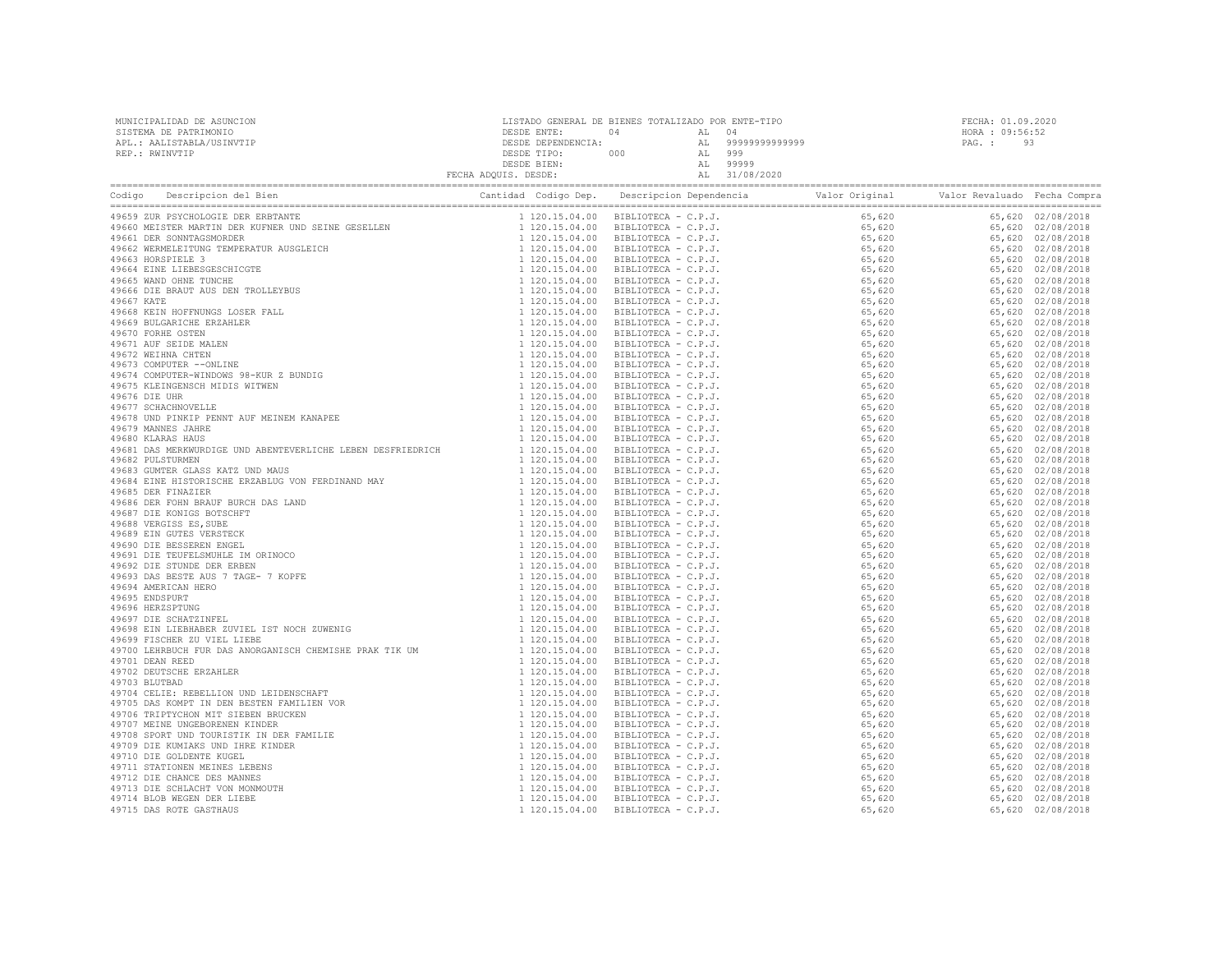| MUNICIPALIDAD DE ASUNCION | LISTADO GENERAL DE BIENES TOTALIZADO POR ENTE-TIPO |     |       |                   | FECHA: 01.09.2020 |      |  |
|---------------------------|----------------------------------------------------|-----|-------|-------------------|-------------------|------|--|
| SISTEMA DE PATRIMONIO     | DESDE ENTE:                                        | 04  | AL 04 |                   | HORA : 09:56:52   |      |  |
| APL.: AALISTABLA/USINVTIP | DESDE DEPENDENCIA:                                 |     |       | AL 99999999999999 | PAG. :            | - 93 |  |
| REP.: RWINVTIP            | DESDE TIPO:                                        | 000 | AL    | 999               |                   |      |  |
|                           | DESDE BIEN:                                        |     | AT.   | 99999             |                   |      |  |
|                           | FECHA ADQUIS. DESDE:                               |     |       | AL 31/08/2020     |                   |      |  |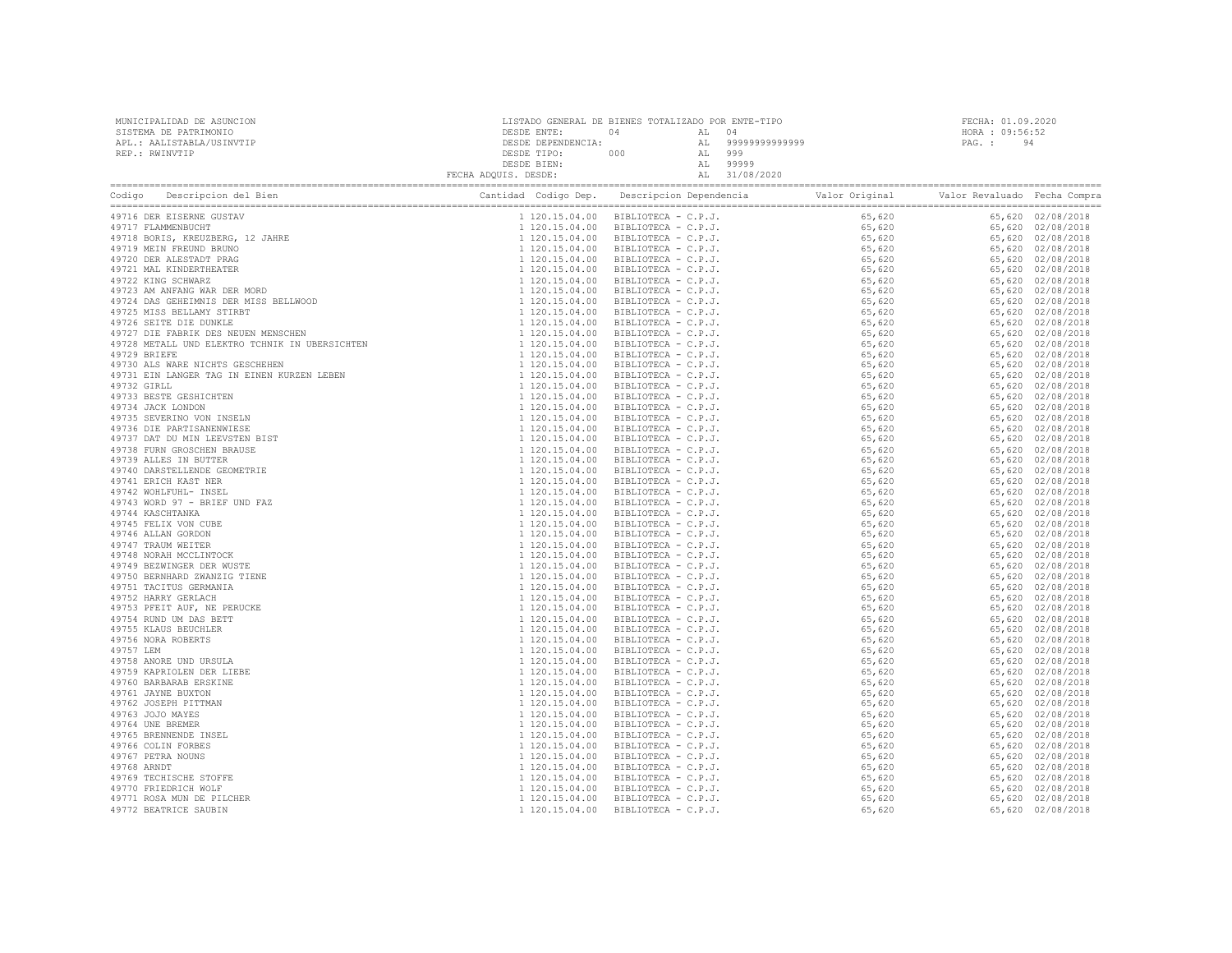| MUNICIPALIDAD DE ASUNCION<br>SISTEMA DE PATRIMONIO<br>APL.: AALISTABLA/USINVTIP<br>REP.: RWINVTIP                                                                                                                                                         |                                                                                                                                                                                                                                                                                 |  |  | FECHA: 01.09.2020<br>HORA : 09:56:52<br>PAG.: 94 |  |  |
|-----------------------------------------------------------------------------------------------------------------------------------------------------------------------------------------------------------------------------------------------------------|---------------------------------------------------------------------------------------------------------------------------------------------------------------------------------------------------------------------------------------------------------------------------------|--|--|--------------------------------------------------|--|--|
| Codigo Descripcion del Bien (Compra Cantidad Codigo Dep. Descripcion Dependencia Valor Original Valor Revaluado Fecha Compra Cantidad Codigo Dep. Descripcion Dependencia Valor Original Valor Revaluado Fecha Compra Cantidad                            | $\begin{tabular}{ c  c  c } \hline \textbf{1.1.01} & 0.014 & 0.014 & 0.014 & 0.014 & 0.014 & 0.014 & 0.014 & 0.014 & 0.014 & 0.014 & 0.014 & 0.014 & 0.014 & 0.014 & 0.014 & 0.014 & 0.014 & 0.014 & 0.014 & 0.014 & 0.014 & 0.014 & 0.014 & 0.014 & 0.014 & 0.014 & 0.014 & 0$ |  |  |                                                  |  |  |
| 49716 DER EISERNE GUSTAV                                                                                                                                                                                                                                  |                                                                                                                                                                                                                                                                                 |  |  |                                                  |  |  |
| 49717 FLAMMENBUCHT                                                                                                                                                                                                                                        |                                                                                                                                                                                                                                                                                 |  |  |                                                  |  |  |
|                                                                                                                                                                                                                                                           |                                                                                                                                                                                                                                                                                 |  |  |                                                  |  |  |
|                                                                                                                                                                                                                                                           |                                                                                                                                                                                                                                                                                 |  |  |                                                  |  |  |
|                                                                                                                                                                                                                                                           |                                                                                                                                                                                                                                                                                 |  |  |                                                  |  |  |
|                                                                                                                                                                                                                                                           |                                                                                                                                                                                                                                                                                 |  |  |                                                  |  |  |
|                                                                                                                                                                                                                                                           |                                                                                                                                                                                                                                                                                 |  |  |                                                  |  |  |
|                                                                                                                                                                                                                                                           |                                                                                                                                                                                                                                                                                 |  |  |                                                  |  |  |
|                                                                                                                                                                                                                                                           |                                                                                                                                                                                                                                                                                 |  |  |                                                  |  |  |
|                                                                                                                                                                                                                                                           |                                                                                                                                                                                                                                                                                 |  |  |                                                  |  |  |
|                                                                                                                                                                                                                                                           |                                                                                                                                                                                                                                                                                 |  |  |                                                  |  |  |
| 49710 DER EISERNE GUSTAV<br>49717 FIAMMENBUCHT<br>49717 FIAMMENBUCHT<br>49719 MEEN FREUDID BRUNO<br>49720 DER ALESTADT PRAG<br>49722 KING SCHEWARZ<br>49722 KING SCHEWARZ<br>49723 AM ANFANG WAR DER MORD<br>49724 DAS GEHEIMNIS DER MISS BELLWOOD<br>497 |                                                                                                                                                                                                                                                                                 |  |  |                                                  |  |  |
|                                                                                                                                                                                                                                                           |                                                                                                                                                                                                                                                                                 |  |  |                                                  |  |  |
|                                                                                                                                                                                                                                                           |                                                                                                                                                                                                                                                                                 |  |  |                                                  |  |  |
|                                                                                                                                                                                                                                                           |                                                                                                                                                                                                                                                                                 |  |  |                                                  |  |  |
| 49733 BESTE GESHICHTEN                                                                                                                                                                                                                                    |                                                                                                                                                                                                                                                                                 |  |  |                                                  |  |  |
| 49734 JACK LONDON                                                                                                                                                                                                                                         |                                                                                                                                                                                                                                                                                 |  |  |                                                  |  |  |
| 49735 SEVERINO VON INSELN                                                                                                                                                                                                                                 |                                                                                                                                                                                                                                                                                 |  |  |                                                  |  |  |
| 49736 DIE PARTISANENWIESE                                                                                                                                                                                                                                 |                                                                                                                                                                                                                                                                                 |  |  |                                                  |  |  |
| 49737 DAT DU MIN LEEVSTEN BIST                                                                                                                                                                                                                            |                                                                                                                                                                                                                                                                                 |  |  |                                                  |  |  |
| 49738 FURN GROSCHEN BRAUSE                                                                                                                                                                                                                                |                                                                                                                                                                                                                                                                                 |  |  |                                                  |  |  |
| 49739 ALLES IN BUTTER                                                                                                                                                                                                                                     |                                                                                                                                                                                                                                                                                 |  |  |                                                  |  |  |
| 49740 DARSTELLENDE GEOMETRIE                                                                                                                                                                                                                              |                                                                                                                                                                                                                                                                                 |  |  |                                                  |  |  |
| 49741 ERICH KAST NER<br>49742 WOHLFUHL- INSEL                                                                                                                                                                                                             |                                                                                                                                                                                                                                                                                 |  |  |                                                  |  |  |
| 49743 WORD 97 - BRIEF UND FAZ                                                                                                                                                                                                                             |                                                                                                                                                                                                                                                                                 |  |  |                                                  |  |  |
| 49744 KASCHTANKA                                                                                                                                                                                                                                          |                                                                                                                                                                                                                                                                                 |  |  |                                                  |  |  |
| 49745 FELIX VON CUBE                                                                                                                                                                                                                                      |                                                                                                                                                                                                                                                                                 |  |  |                                                  |  |  |
| 49746 ALLAN GORDON                                                                                                                                                                                                                                        |                                                                                                                                                                                                                                                                                 |  |  |                                                  |  |  |
| 49747 TRAUM WEITER                                                                                                                                                                                                                                        |                                                                                                                                                                                                                                                                                 |  |  |                                                  |  |  |
| 49748 NORAH MCCLINTOCK                                                                                                                                                                                                                                    |                                                                                                                                                                                                                                                                                 |  |  |                                                  |  |  |
| 49749 BEZWINGER DER WUSTE                                                                                                                                                                                                                                 |                                                                                                                                                                                                                                                                                 |  |  |                                                  |  |  |
| 49750 BERNHARD ZWANZIG TIENE                                                                                                                                                                                                                              |                                                                                                                                                                                                                                                                                 |  |  |                                                  |  |  |
| 49751 TACITUS GERMANIA<br>49752 HARRY GERLACH                                                                                                                                                                                                             |                                                                                                                                                                                                                                                                                 |  |  |                                                  |  |  |
| 49753 PFEIT AUF, NE PERUCKE                                                                                                                                                                                                                               |                                                                                                                                                                                                                                                                                 |  |  |                                                  |  |  |
| 49754 RUND UM DAS BETT                                                                                                                                                                                                                                    |                                                                                                                                                                                                                                                                                 |  |  |                                                  |  |  |
| 49755 KLAUS BEUCHLER                                                                                                                                                                                                                                      |                                                                                                                                                                                                                                                                                 |  |  |                                                  |  |  |
| 49756 NORA ROBERTS                                                                                                                                                                                                                                        |                                                                                                                                                                                                                                                                                 |  |  |                                                  |  |  |
| 49757 LEM                                                                                                                                                                                                                                                 |                                                                                                                                                                                                                                                                                 |  |  |                                                  |  |  |
| 49758 ANORE UND URSULA                                                                                                                                                                                                                                    |                                                                                                                                                                                                                                                                                 |  |  |                                                  |  |  |
| 49759 KAPRIOLEN DER LIEBE                                                                                                                                                                                                                                 |                                                                                                                                                                                                                                                                                 |  |  |                                                  |  |  |
| 49760 BARBARAB ERSKINE                                                                                                                                                                                                                                    |                                                                                                                                                                                                                                                                                 |  |  |                                                  |  |  |
| 49761 JAYNE BUXTON<br>49762 JOSEPH PITTMAN                                                                                                                                                                                                                |                                                                                                                                                                                                                                                                                 |  |  |                                                  |  |  |
| 49763 JOJO MAYES                                                                                                                                                                                                                                          |                                                                                                                                                                                                                                                                                 |  |  |                                                  |  |  |
| 49764 UNE BREMER                                                                                                                                                                                                                                          |                                                                                                                                                                                                                                                                                 |  |  |                                                  |  |  |
| 49765 BRENNENDE INSEL                                                                                                                                                                                                                                     |                                                                                                                                                                                                                                                                                 |  |  |                                                  |  |  |
| 49766 COLIN FORBES                                                                                                                                                                                                                                        |                                                                                                                                                                                                                                                                                 |  |  |                                                  |  |  |
| 49767 PETRA NOUNS                                                                                                                                                                                                                                         |                                                                                                                                                                                                                                                                                 |  |  |                                                  |  |  |
| 49768 ARNDT                                                                                                                                                                                                                                               |                                                                                                                                                                                                                                                                                 |  |  |                                                  |  |  |
| 49769 TECHISCHE STOFFE                                                                                                                                                                                                                                    |                                                                                                                                                                                                                                                                                 |  |  |                                                  |  |  |
| 49770 FRIEDRICH WOLF<br>49771 ROSA MUN DE PILCHER                                                                                                                                                                                                         |                                                                                                                                                                                                                                                                                 |  |  |                                                  |  |  |
| 49772 BEATRICE SAUBIN                                                                                                                                                                                                                                     |                                                                                                                                                                                                                                                                                 |  |  |                                                  |  |  |
|                                                                                                                                                                                                                                                           |                                                                                                                                                                                                                                                                                 |  |  |                                                  |  |  |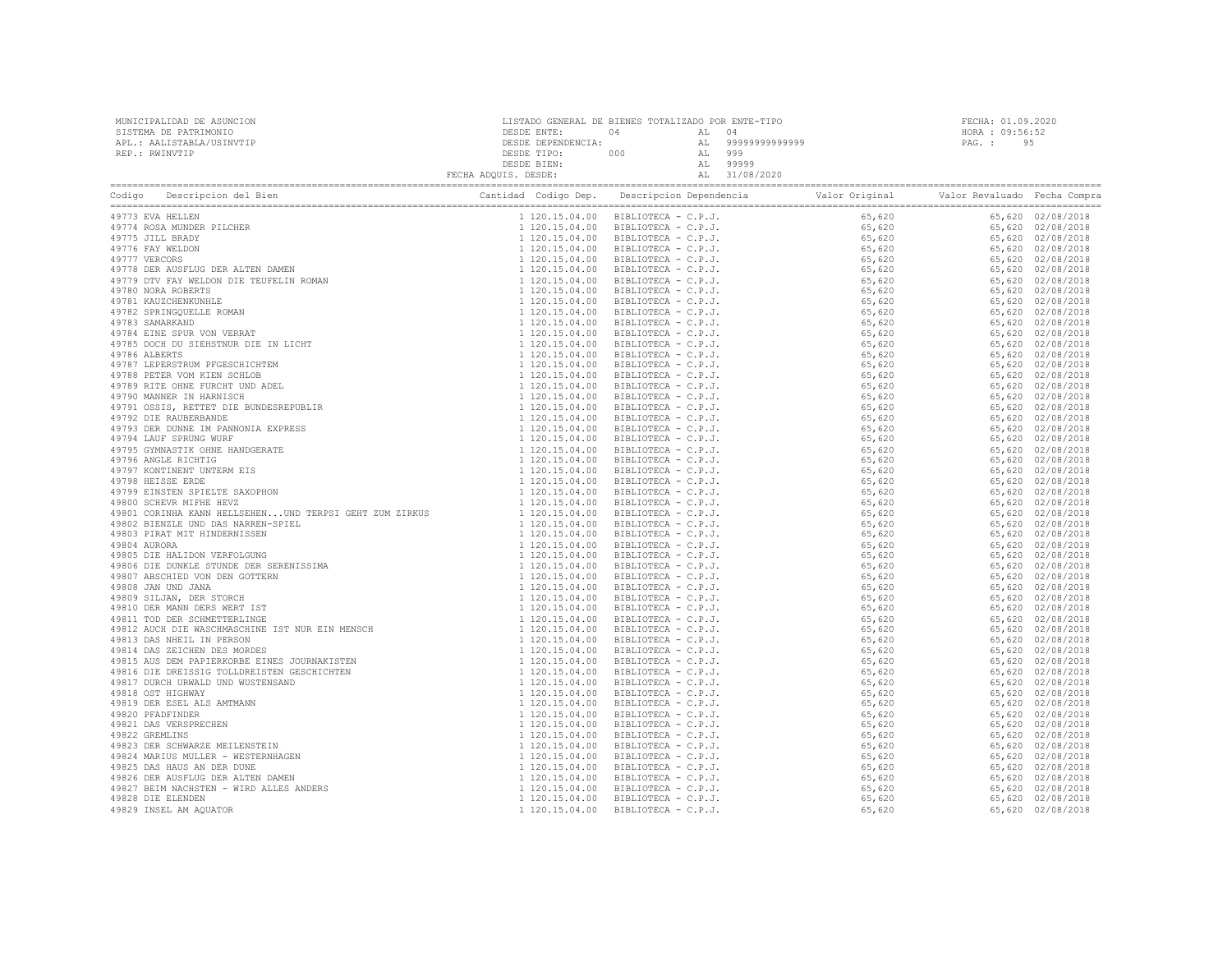| MUNICIPALIDAD DE ASUNCION | LISTADO GENERAL DE BIENES TOTALIZADO POR ENTE-TIPO |     |    |               | FECHA: 01.09.2020 |    |
|---------------------------|----------------------------------------------------|-----|----|---------------|-------------------|----|
| SISTEMA DE PATRIMONIO     | DESDE ENTE:                                        |     |    |               | HORA: 09:56:52    |    |
| APL.: AALISTABLA/USINVTIP | DESDE DEPENDENCIA:                                 |     | AL | 9999999999999 | PAG. :            | 95 |
| REP.: RWINVTIP            | DESDE TIPO:                                        | 000 |    | 999           |                   |    |
|                           | DESDE BIEN:                                        |     | AL | 99999         |                   |    |
|                           | FECHA ADQUIS. DESDE:                               |     | AL | 31/08/2020    |                   |    |
|                           |                                                    |     |    |               |                   |    |

| Descripcion del Bien<br>Codigo                                                                                                                                                                                                                                                                                                                | Cantidad Codigo Dep. | Descripcion Dependencia<br>Valor Original<br>$\begin{small} \textbf{Add } \textbf{Col}(10, 100) \end{smallmatrix} \begin{smallmatrix} \textbf{1} & \textbf{0} & \textbf{0} & \textbf{0} & \textbf{0} & \textbf{0} & \textbf{0} & \textbf{0} & \textbf{0} & \textbf{0} & \textbf{0} & \textbf{0} & \textbf{0} & \textbf{0} & \textbf{0} & \textbf{0} & \textbf{0} & \textbf{0} & \textbf{0} & \textbf{0} & \textbf{0} & \textbf{0} & \textbf{0} & \textbf{0} & \textbf{0} & \textbf{0} & \$ | Valor Revaluado Fecha Compra |                   |
|-----------------------------------------------------------------------------------------------------------------------------------------------------------------------------------------------------------------------------------------------------------------------------------------------------------------------------------------------|----------------------|--------------------------------------------------------------------------------------------------------------------------------------------------------------------------------------------------------------------------------------------------------------------------------------------------------------------------------------------------------------------------------------------------------------------------------------------------------------------------------------------|------------------------------|-------------------|
|                                                                                                                                                                                                                                                                                                                                               |                      |                                                                                                                                                                                                                                                                                                                                                                                                                                                                                            |                              | 65,620 02/08/2018 |
|                                                                                                                                                                                                                                                                                                                                               |                      |                                                                                                                                                                                                                                                                                                                                                                                                                                                                                            |                              | 65,620 02/08/2018 |
|                                                                                                                                                                                                                                                                                                                                               |                      |                                                                                                                                                                                                                                                                                                                                                                                                                                                                                            |                              | 65,620 02/08/2018 |
|                                                                                                                                                                                                                                                                                                                                               |                      |                                                                                                                                                                                                                                                                                                                                                                                                                                                                                            |                              | 65,620 02/08/2018 |
|                                                                                                                                                                                                                                                                                                                                               |                      |                                                                                                                                                                                                                                                                                                                                                                                                                                                                                            |                              | 65,620 02/08/2018 |
|                                                                                                                                                                                                                                                                                                                                               |                      |                                                                                                                                                                                                                                                                                                                                                                                                                                                                                            |                              | 65,620 02/08/2018 |
|                                                                                                                                                                                                                                                                                                                                               |                      |                                                                                                                                                                                                                                                                                                                                                                                                                                                                                            |                              | 65,620 02/08/2018 |
|                                                                                                                                                                                                                                                                                                                                               |                      |                                                                                                                                                                                                                                                                                                                                                                                                                                                                                            |                              | 65,620 02/08/2018 |
|                                                                                                                                                                                                                                                                                                                                               |                      |                                                                                                                                                                                                                                                                                                                                                                                                                                                                                            |                              | 65,620 02/08/2018 |
|                                                                                                                                                                                                                                                                                                                                               |                      |                                                                                                                                                                                                                                                                                                                                                                                                                                                                                            |                              | 65,620 02/08/2018 |
|                                                                                                                                                                                                                                                                                                                                               |                      |                                                                                                                                                                                                                                                                                                                                                                                                                                                                                            |                              | 65,620 02/08/2018 |
|                                                                                                                                                                                                                                                                                                                                               |                      |                                                                                                                                                                                                                                                                                                                                                                                                                                                                                            |                              | 65,620 02/08/2018 |
|                                                                                                                                                                                                                                                                                                                                               |                      |                                                                                                                                                                                                                                                                                                                                                                                                                                                                                            |                              | 65,620 02/08/2018 |
|                                                                                                                                                                                                                                                                                                                                               |                      |                                                                                                                                                                                                                                                                                                                                                                                                                                                                                            |                              | 65,620 02/08/2018 |
|                                                                                                                                                                                                                                                                                                                                               |                      |                                                                                                                                                                                                                                                                                                                                                                                                                                                                                            |                              | 65,620 02/08/2018 |
|                                                                                                                                                                                                                                                                                                                                               |                      |                                                                                                                                                                                                                                                                                                                                                                                                                                                                                            |                              | 65,620 02/08/2018 |
|                                                                                                                                                                                                                                                                                                                                               |                      |                                                                                                                                                                                                                                                                                                                                                                                                                                                                                            |                              | 65,620 02/08/2018 |
|                                                                                                                                                                                                                                                                                                                                               |                      |                                                                                                                                                                                                                                                                                                                                                                                                                                                                                            |                              | 65,620 02/08/2018 |
|                                                                                                                                                                                                                                                                                                                                               |                      |                                                                                                                                                                                                                                                                                                                                                                                                                                                                                            |                              | 65,620 02/08/2018 |
|                                                                                                                                                                                                                                                                                                                                               |                      |                                                                                                                                                                                                                                                                                                                                                                                                                                                                                            |                              | 65,620 02/08/2018 |
|                                                                                                                                                                                                                                                                                                                                               |                      |                                                                                                                                                                                                                                                                                                                                                                                                                                                                                            |                              | 65,620 02/08/2018 |
|                                                                                                                                                                                                                                                                                                                                               |                      |                                                                                                                                                                                                                                                                                                                                                                                                                                                                                            |                              | 65,620 02/08/2018 |
|                                                                                                                                                                                                                                                                                                                                               |                      |                                                                                                                                                                                                                                                                                                                                                                                                                                                                                            |                              | 65,620 02/08/2018 |
|                                                                                                                                                                                                                                                                                                                                               |                      |                                                                                                                                                                                                                                                                                                                                                                                                                                                                                            |                              |                   |
|                                                                                                                                                                                                                                                                                                                                               |                      |                                                                                                                                                                                                                                                                                                                                                                                                                                                                                            |                              | 65,620 02/08/2018 |
|                                                                                                                                                                                                                                                                                                                                               |                      |                                                                                                                                                                                                                                                                                                                                                                                                                                                                                            |                              | 65,620 02/08/2018 |
|                                                                                                                                                                                                                                                                                                                                               |                      |                                                                                                                                                                                                                                                                                                                                                                                                                                                                                            |                              | 65,620 02/08/2018 |
|                                                                                                                                                                                                                                                                                                                                               |                      |                                                                                                                                                                                                                                                                                                                                                                                                                                                                                            |                              | 65,620 02/08/2018 |
|                                                                                                                                                                                                                                                                                                                                               | 1 120.15.04.00       |                                                                                                                                                                                                                                                                                                                                                                                                                                                                                            |                              | 65,620 02/08/2018 |
|                                                                                                                                                                                                                                                                                                                                               |                      |                                                                                                                                                                                                                                                                                                                                                                                                                                                                                            |                              | 65,620 02/08/2018 |
|                                                                                                                                                                                                                                                                                                                                               |                      |                                                                                                                                                                                                                                                                                                                                                                                                                                                                                            |                              | 65,620 02/08/2018 |
|                                                                                                                                                                                                                                                                                                                                               |                      |                                                                                                                                                                                                                                                                                                                                                                                                                                                                                            |                              | 65,620 02/08/2018 |
|                                                                                                                                                                                                                                                                                                                                               |                      |                                                                                                                                                                                                                                                                                                                                                                                                                                                                                            |                              | 65,620 02/08/2018 |
|                                                                                                                                                                                                                                                                                                                                               |                      |                                                                                                                                                                                                                                                                                                                                                                                                                                                                                            |                              | 65,620 02/08/2018 |
|                                                                                                                                                                                                                                                                                                                                               |                      |                                                                                                                                                                                                                                                                                                                                                                                                                                                                                            |                              | 65,620 02/08/2018 |
|                                                                                                                                                                                                                                                                                                                                               |                      |                                                                                                                                                                                                                                                                                                                                                                                                                                                                                            |                              | 65,620 02/08/2018 |
|                                                                                                                                                                                                                                                                                                                                               |                      |                                                                                                                                                                                                                                                                                                                                                                                                                                                                                            |                              | 65,620 02/08/2018 |
|                                                                                                                                                                                                                                                                                                                                               |                      |                                                                                                                                                                                                                                                                                                                                                                                                                                                                                            |                              | 65,620 02/08/2018 |
|                                                                                                                                                                                                                                                                                                                                               |                      |                                                                                                                                                                                                                                                                                                                                                                                                                                                                                            |                              | 65,620 02/08/2018 |
|                                                                                                                                                                                                                                                                                                                                               |                      |                                                                                                                                                                                                                                                                                                                                                                                                                                                                                            |                              | 65,620 02/08/2018 |
|                                                                                                                                                                                                                                                                                                                                               |                      |                                                                                                                                                                                                                                                                                                                                                                                                                                                                                            |                              | 65,620 02/08/2018 |
|                                                                                                                                                                                                                                                                                                                                               |                      |                                                                                                                                                                                                                                                                                                                                                                                                                                                                                            |                              | 65,620 02/08/2018 |
|                                                                                                                                                                                                                                                                                                                                               |                      |                                                                                                                                                                                                                                                                                                                                                                                                                                                                                            |                              | 65,620 02/08/2018 |
|                                                                                                                                                                                                                                                                                                                                               |                      |                                                                                                                                                                                                                                                                                                                                                                                                                                                                                            |                              | 65,620 02/08/2018 |
|                                                                                                                                                                                                                                                                                                                                               |                      |                                                                                                                                                                                                                                                                                                                                                                                                                                                                                            |                              | 65,620 02/08/2018 |
|                                                                                                                                                                                                                                                                                                                                               |                      |                                                                                                                                                                                                                                                                                                                                                                                                                                                                                            |                              | 65,620 02/08/2018 |
|                                                                                                                                                                                                                                                                                                                                               |                      |                                                                                                                                                                                                                                                                                                                                                                                                                                                                                            |                              | 65,620 02/08/2018 |
|                                                                                                                                                                                                                                                                                                                                               |                      |                                                                                                                                                                                                                                                                                                                                                                                                                                                                                            |                              | 65,620 02/08/2018 |
|                                                                                                                                                                                                                                                                                                                                               |                      |                                                                                                                                                                                                                                                                                                                                                                                                                                                                                            |                              | 65,620 02/08/2018 |
|                                                                                                                                                                                                                                                                                                                                               |                      |                                                                                                                                                                                                                                                                                                                                                                                                                                                                                            |                              | 65,620 02/08/2018 |
|                                                                                                                                                                                                                                                                                                                                               |                      |                                                                                                                                                                                                                                                                                                                                                                                                                                                                                            |                              | 65,620 02/08/2018 |
|                                                                                                                                                                                                                                                                                                                                               |                      |                                                                                                                                                                                                                                                                                                                                                                                                                                                                                            |                              | 65,620 02/08/2018 |
|                                                                                                                                                                                                                                                                                                                                               |                      |                                                                                                                                                                                                                                                                                                                                                                                                                                                                                            |                              | 65,620 02/08/2018 |
|                                                                                                                                                                                                                                                                                                                                               |                      |                                                                                                                                                                                                                                                                                                                                                                                                                                                                                            |                              | 65,620 02/08/2018 |
|                                                                                                                                                                                                                                                                                                                                               |                      |                                                                                                                                                                                                                                                                                                                                                                                                                                                                                            |                              | 65,620 02/08/2018 |
|                                                                                                                                                                                                                                                                                                                                               |                      |                                                                                                                                                                                                                                                                                                                                                                                                                                                                                            |                              | 65,620 02/08/2018 |
|                                                                                                                                                                                                                                                                                                                                               |                      |                                                                                                                                                                                                                                                                                                                                                                                                                                                                                            |                              | 65,620 02/08/2018 |
| 49901 CORINER SPILLTE SAXOPHON $\begin{array}{l} 49810 \, \, \text{GUEY} \end{array} \quad \text{L1 20.15.04.00} \\ 49801 \, \, \text{GUEYR} \end{array} \quad \text{L1 20.15.04.00} \\ 49802 \, \, \text{ELEXLE WID} \end{array} \quad \text{L1 20.15.04.00} \\ 49803 \, \, \text{ELEXLE WID} \end{array} \quad \text{L1 20.15.04.00} \\ 49$ |                      |                                                                                                                                                                                                                                                                                                                                                                                                                                                                                            |                              | 65,620 02/08/2018 |
|                                                                                                                                                                                                                                                                                                                                               |                      |                                                                                                                                                                                                                                                                                                                                                                                                                                                                                            |                              |                   |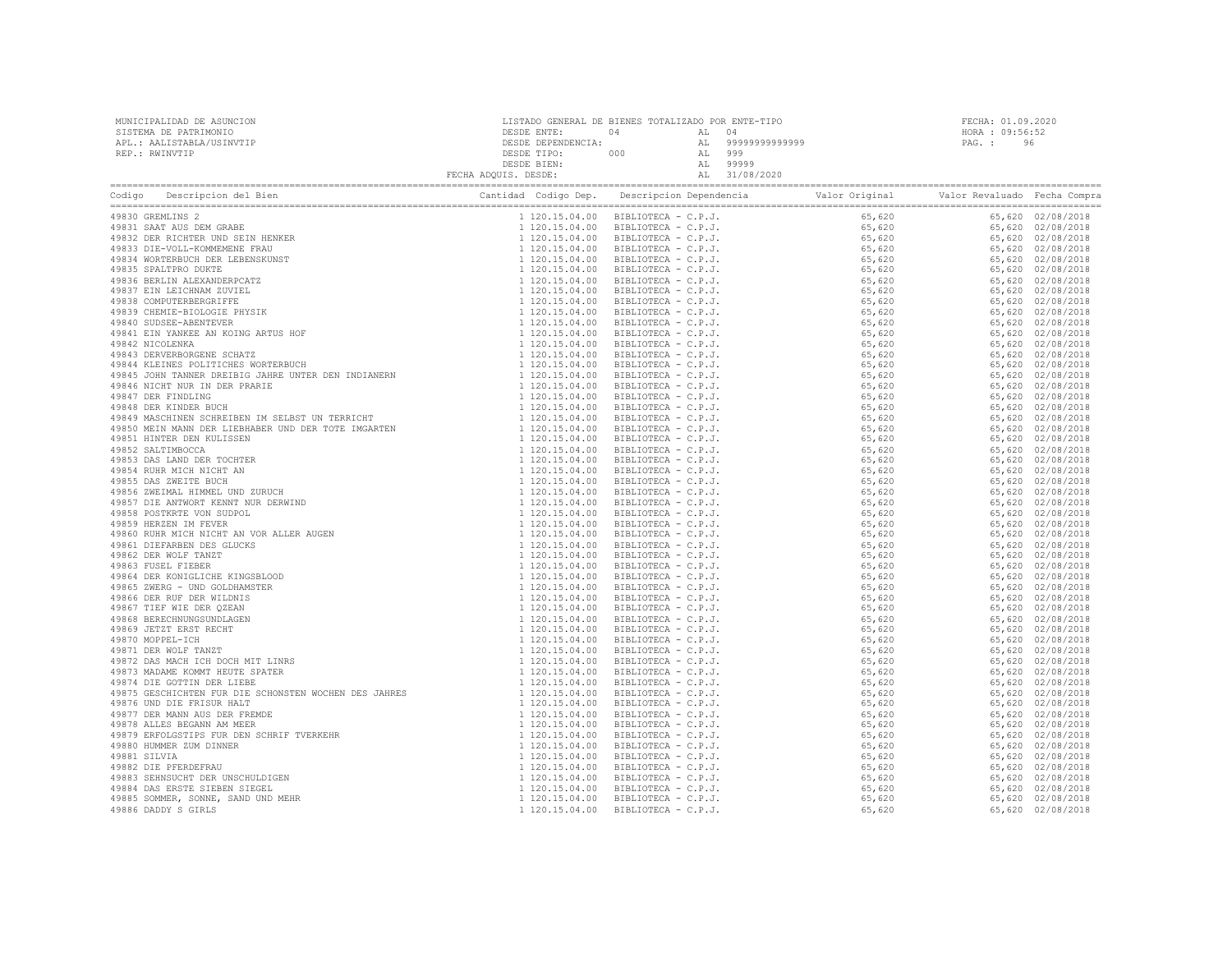| MUNICIPALIDAD DE ASUNCION | LISTADO GENERAL DE BIENES TOTALIZADO POR ENTE-TIPO |     |     |               | FECHA: 01.09.2020 |    |
|---------------------------|----------------------------------------------------|-----|-----|---------------|-------------------|----|
| SISTEMA DE PATRIMONIO     | DESDE ENTE:                                        | 04  |     |               | HORA : $09:56:52$ |    |
| APL.: AALISTABLA/USINVTIP | DESDE DEPENDENCIA:                                 |     |     | 9999999999999 | PAG. :            | 96 |
| REP.: RWINVTIP            | DESDE TIPO:                                        | 000 | AL. | 999           |                   |    |
|                           | DESDE BIEN:                                        |     |     | 99999         |                   |    |
|                           | FECHA ADQUIS. DESDE:                               |     |     | 31/08/2020    |                   |    |
|                           |                                                    |     |     |               |                   |    |

| Codigo Descripcion del Bien<br>Centricus des processions de Bien<br>4910 : Des capitales de Bien<br>4910 : Des capitales de Bien<br>4910 : Des Concerts de Bien<br>4910 : Des Concerts de Bien<br>4910 : Des capitales de Bien<br>4910 : Des capitales de Bien<br>4910 : D |  | Cantidad Codigo Dep. Descripcion Dependencia and Valor Original Valor Revaluado Fecha Compra<br>$\begin{tabular}{cccccccccccc} \textbf{0.44} & \textbf{0.45} & \textbf{0.46} & \textbf{0.46} & \textbf{0.47} & \textbf{0.48} & \textbf{0.48} & \textbf{0.48} & \textbf{0.48} & \textbf{0.48} & \textbf{0.48} & \textbf{0.48} & \textbf{0.48} & \textbf{0.48} & \textbf{0.48} & \textbf{0.48} & \textbf{0.48} & \textbf{0.48} & \textbf{0.48} & \textbf{0.48} & \textbf{0.48} &$ |  |
|----------------------------------------------------------------------------------------------------------------------------------------------------------------------------------------------------------------------------------------------------------------------------|--|---------------------------------------------------------------------------------------------------------------------------------------------------------------------------------------------------------------------------------------------------------------------------------------------------------------------------------------------------------------------------------------------------------------------------------------------------------------------------------|--|
| 49830 GREMLINS 2                                                                                                                                                                                                                                                           |  |                                                                                                                                                                                                                                                                                                                                                                                                                                                                                 |  |
|                                                                                                                                                                                                                                                                            |  |                                                                                                                                                                                                                                                                                                                                                                                                                                                                                 |  |
|                                                                                                                                                                                                                                                                            |  |                                                                                                                                                                                                                                                                                                                                                                                                                                                                                 |  |
|                                                                                                                                                                                                                                                                            |  |                                                                                                                                                                                                                                                                                                                                                                                                                                                                                 |  |
|                                                                                                                                                                                                                                                                            |  |                                                                                                                                                                                                                                                                                                                                                                                                                                                                                 |  |
|                                                                                                                                                                                                                                                                            |  |                                                                                                                                                                                                                                                                                                                                                                                                                                                                                 |  |
|                                                                                                                                                                                                                                                                            |  |                                                                                                                                                                                                                                                                                                                                                                                                                                                                                 |  |
|                                                                                                                                                                                                                                                                            |  |                                                                                                                                                                                                                                                                                                                                                                                                                                                                                 |  |
|                                                                                                                                                                                                                                                                            |  |                                                                                                                                                                                                                                                                                                                                                                                                                                                                                 |  |
|                                                                                                                                                                                                                                                                            |  |                                                                                                                                                                                                                                                                                                                                                                                                                                                                                 |  |
|                                                                                                                                                                                                                                                                            |  |                                                                                                                                                                                                                                                                                                                                                                                                                                                                                 |  |
|                                                                                                                                                                                                                                                                            |  |                                                                                                                                                                                                                                                                                                                                                                                                                                                                                 |  |
|                                                                                                                                                                                                                                                                            |  |                                                                                                                                                                                                                                                                                                                                                                                                                                                                                 |  |
|                                                                                                                                                                                                                                                                            |  |                                                                                                                                                                                                                                                                                                                                                                                                                                                                                 |  |
|                                                                                                                                                                                                                                                                            |  |                                                                                                                                                                                                                                                                                                                                                                                                                                                                                 |  |
|                                                                                                                                                                                                                                                                            |  |                                                                                                                                                                                                                                                                                                                                                                                                                                                                                 |  |
|                                                                                                                                                                                                                                                                            |  |                                                                                                                                                                                                                                                                                                                                                                                                                                                                                 |  |
|                                                                                                                                                                                                                                                                            |  |                                                                                                                                                                                                                                                                                                                                                                                                                                                                                 |  |
|                                                                                                                                                                                                                                                                            |  |                                                                                                                                                                                                                                                                                                                                                                                                                                                                                 |  |
|                                                                                                                                                                                                                                                                            |  |                                                                                                                                                                                                                                                                                                                                                                                                                                                                                 |  |
|                                                                                                                                                                                                                                                                            |  |                                                                                                                                                                                                                                                                                                                                                                                                                                                                                 |  |
|                                                                                                                                                                                                                                                                            |  |                                                                                                                                                                                                                                                                                                                                                                                                                                                                                 |  |
|                                                                                                                                                                                                                                                                            |  |                                                                                                                                                                                                                                                                                                                                                                                                                                                                                 |  |
|                                                                                                                                                                                                                                                                            |  |                                                                                                                                                                                                                                                                                                                                                                                                                                                                                 |  |
|                                                                                                                                                                                                                                                                            |  |                                                                                                                                                                                                                                                                                                                                                                                                                                                                                 |  |
|                                                                                                                                                                                                                                                                            |  |                                                                                                                                                                                                                                                                                                                                                                                                                                                                                 |  |
|                                                                                                                                                                                                                                                                            |  |                                                                                                                                                                                                                                                                                                                                                                                                                                                                                 |  |
|                                                                                                                                                                                                                                                                            |  |                                                                                                                                                                                                                                                                                                                                                                                                                                                                                 |  |
|                                                                                                                                                                                                                                                                            |  |                                                                                                                                                                                                                                                                                                                                                                                                                                                                                 |  |
|                                                                                                                                                                                                                                                                            |  |                                                                                                                                                                                                                                                                                                                                                                                                                                                                                 |  |
|                                                                                                                                                                                                                                                                            |  |                                                                                                                                                                                                                                                                                                                                                                                                                                                                                 |  |
|                                                                                                                                                                                                                                                                            |  |                                                                                                                                                                                                                                                                                                                                                                                                                                                                                 |  |
|                                                                                                                                                                                                                                                                            |  |                                                                                                                                                                                                                                                                                                                                                                                                                                                                                 |  |
|                                                                                                                                                                                                                                                                            |  |                                                                                                                                                                                                                                                                                                                                                                                                                                                                                 |  |
|                                                                                                                                                                                                                                                                            |  |                                                                                                                                                                                                                                                                                                                                                                                                                                                                                 |  |
|                                                                                                                                                                                                                                                                            |  |                                                                                                                                                                                                                                                                                                                                                                                                                                                                                 |  |
|                                                                                                                                                                                                                                                                            |  |                                                                                                                                                                                                                                                                                                                                                                                                                                                                                 |  |
|                                                                                                                                                                                                                                                                            |  |                                                                                                                                                                                                                                                                                                                                                                                                                                                                                 |  |
|                                                                                                                                                                                                                                                                            |  |                                                                                                                                                                                                                                                                                                                                                                                                                                                                                 |  |
|                                                                                                                                                                                                                                                                            |  |                                                                                                                                                                                                                                                                                                                                                                                                                                                                                 |  |
|                                                                                                                                                                                                                                                                            |  |                                                                                                                                                                                                                                                                                                                                                                                                                                                                                 |  |
|                                                                                                                                                                                                                                                                            |  |                                                                                                                                                                                                                                                                                                                                                                                                                                                                                 |  |
|                                                                                                                                                                                                                                                                            |  |                                                                                                                                                                                                                                                                                                                                                                                                                                                                                 |  |
|                                                                                                                                                                                                                                                                            |  |                                                                                                                                                                                                                                                                                                                                                                                                                                                                                 |  |
|                                                                                                                                                                                                                                                                            |  |                                                                                                                                                                                                                                                                                                                                                                                                                                                                                 |  |
|                                                                                                                                                                                                                                                                            |  |                                                                                                                                                                                                                                                                                                                                                                                                                                                                                 |  |
|                                                                                                                                                                                                                                                                            |  |                                                                                                                                                                                                                                                                                                                                                                                                                                                                                 |  |
|                                                                                                                                                                                                                                                                            |  |                                                                                                                                                                                                                                                                                                                                                                                                                                                                                 |  |
|                                                                                                                                                                                                                                                                            |  |                                                                                                                                                                                                                                                                                                                                                                                                                                                                                 |  |
|                                                                                                                                                                                                                                                                            |  |                                                                                                                                                                                                                                                                                                                                                                                                                                                                                 |  |
|                                                                                                                                                                                                                                                                            |  |                                                                                                                                                                                                                                                                                                                                                                                                                                                                                 |  |
|                                                                                                                                                                                                                                                                            |  |                                                                                                                                                                                                                                                                                                                                                                                                                                                                                 |  |
|                                                                                                                                                                                                                                                                            |  |                                                                                                                                                                                                                                                                                                                                                                                                                                                                                 |  |
|                                                                                                                                                                                                                                                                            |  |                                                                                                                                                                                                                                                                                                                                                                                                                                                                                 |  |
|                                                                                                                                                                                                                                                                            |  |                                                                                                                                                                                                                                                                                                                                                                                                                                                                                 |  |
|                                                                                                                                                                                                                                                                            |  |                                                                                                                                                                                                                                                                                                                                                                                                                                                                                 |  |
|                                                                                                                                                                                                                                                                            |  |                                                                                                                                                                                                                                                                                                                                                                                                                                                                                 |  |
|                                                                                                                                                                                                                                                                            |  |                                                                                                                                                                                                                                                                                                                                                                                                                                                                                 |  |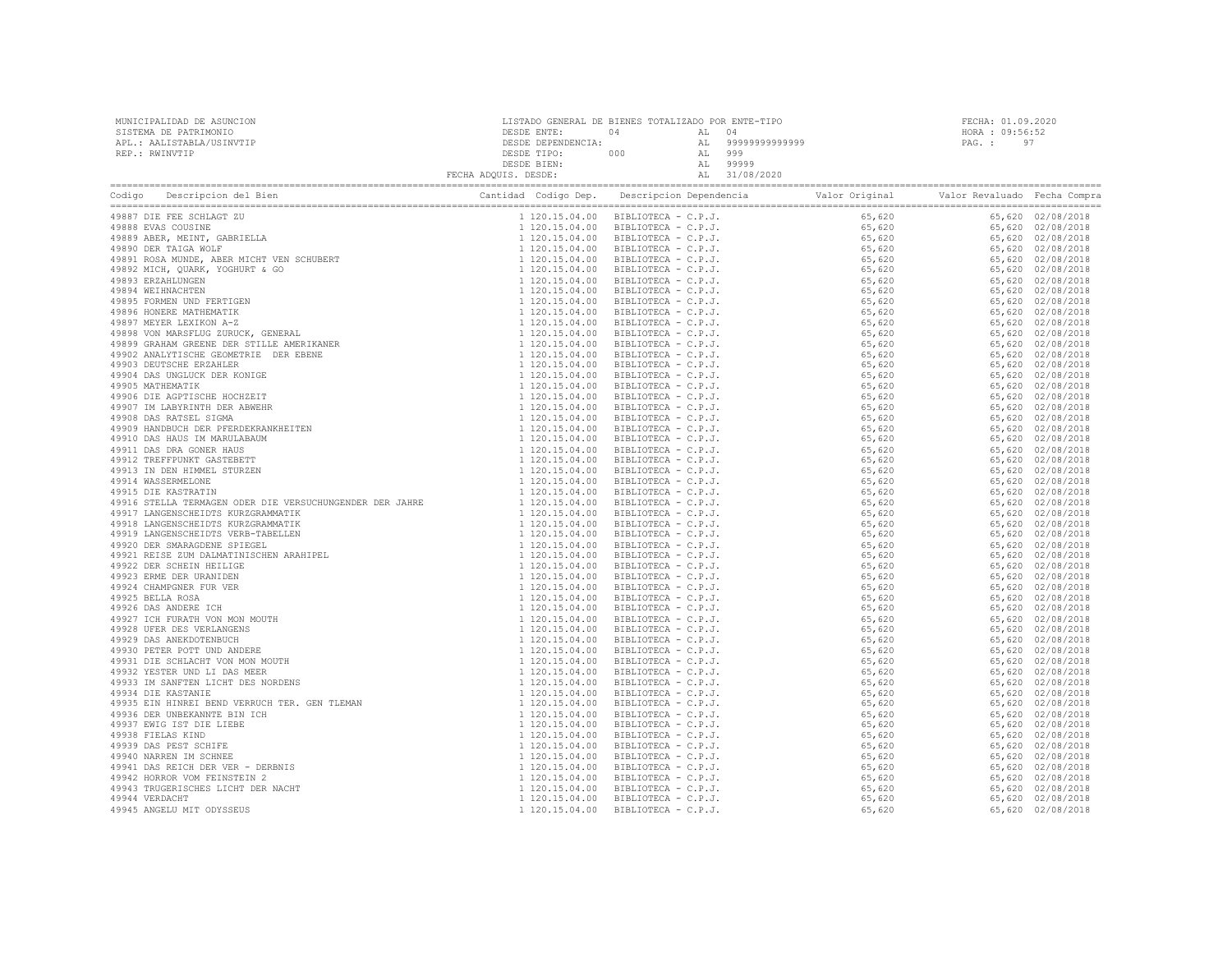| MUNICIPALIDAD DE ASUNCION<br>SISTEMA DE PATRIMONIO<br>APL.: AALISTABLA/USINVTIP<br>REP.: RWINVTIP                                   | $\begin{tabular}{c c c c} \multicolumn{1}{c }{\textbf{DESDE}} {\begin{tabular}{c} {\textbf{D}}{\textbf{E}}{\textbf{NTE}}: & $\mathbf{04}$ & $\mathbf{04}$ & $\mathbf{04}$ & $\mathbf{04}$ & $\mathbf{04}$\\ \multicolumn{1}{c }{\textbf{D}}{\textbf{E}}{\textbf{SDE}} {\begin{tabular}{c} {\textbf{D}}{\textbf{E}}{\textbf{NTE}}: & $\mathbf{04}$ & $\mathbf{A}\mathbf{L}$ & $\mathbf{04}$\\ \multicolumn{1}{c }{\textbf{D}}{\textbf{E}}{\textbf{SDE}} {\begin{tabular$ | LISTADO GENERAL DE BIENES TOTALIZADO POR ENTE-TIPO |  | FECHA: 01.09.2020<br>HORA : 09:56:52<br>PAG.: 97 |  |
|-------------------------------------------------------------------------------------------------------------------------------------|-------------------------------------------------------------------------------------------------------------------------------------------------------------------------------------------------------------------------------------------------------------------------------------------------------------------------------------------------------------------------------------------------------------------------------------------------------------------------|----------------------------------------------------|--|--------------------------------------------------|--|
| Codigo Descripcion del Bien de Marco de Cantidad Codigo Dep. Descripcion Dependencia de Valor Original Valor Revaluado Fecha Compra |                                                                                                                                                                                                                                                                                                                                                                                                                                                                         |                                                    |  |                                                  |  |
|                                                                                                                                     |                                                                                                                                                                                                                                                                                                                                                                                                                                                                         |                                                    |  |                                                  |  |
|                                                                                                                                     |                                                                                                                                                                                                                                                                                                                                                                                                                                                                         |                                                    |  |                                                  |  |
|                                                                                                                                     |                                                                                                                                                                                                                                                                                                                                                                                                                                                                         |                                                    |  |                                                  |  |
|                                                                                                                                     |                                                                                                                                                                                                                                                                                                                                                                                                                                                                         |                                                    |  |                                                  |  |
|                                                                                                                                     |                                                                                                                                                                                                                                                                                                                                                                                                                                                                         |                                                    |  |                                                  |  |
|                                                                                                                                     |                                                                                                                                                                                                                                                                                                                                                                                                                                                                         |                                                    |  |                                                  |  |
|                                                                                                                                     |                                                                                                                                                                                                                                                                                                                                                                                                                                                                         |                                                    |  |                                                  |  |
|                                                                                                                                     |                                                                                                                                                                                                                                                                                                                                                                                                                                                                         |                                                    |  |                                                  |  |
|                                                                                                                                     |                                                                                                                                                                                                                                                                                                                                                                                                                                                                         |                                                    |  |                                                  |  |
|                                                                                                                                     |                                                                                                                                                                                                                                                                                                                                                                                                                                                                         |                                                    |  |                                                  |  |
|                                                                                                                                     |                                                                                                                                                                                                                                                                                                                                                                                                                                                                         |                                                    |  |                                                  |  |
|                                                                                                                                     |                                                                                                                                                                                                                                                                                                                                                                                                                                                                         |                                                    |  |                                                  |  |
|                                                                                                                                     |                                                                                                                                                                                                                                                                                                                                                                                                                                                                         |                                                    |  |                                                  |  |
|                                                                                                                                     |                                                                                                                                                                                                                                                                                                                                                                                                                                                                         |                                                    |  |                                                  |  |
|                                                                                                                                     |                                                                                                                                                                                                                                                                                                                                                                                                                                                                         |                                                    |  |                                                  |  |
|                                                                                                                                     |                                                                                                                                                                                                                                                                                                                                                                                                                                                                         |                                                    |  |                                                  |  |
|                                                                                                                                     |                                                                                                                                                                                                                                                                                                                                                                                                                                                                         |                                                    |  |                                                  |  |
|                                                                                                                                     |                                                                                                                                                                                                                                                                                                                                                                                                                                                                         |                                                    |  |                                                  |  |
|                                                                                                                                     |                                                                                                                                                                                                                                                                                                                                                                                                                                                                         |                                                    |  |                                                  |  |
|                                                                                                                                     |                                                                                                                                                                                                                                                                                                                                                                                                                                                                         |                                                    |  |                                                  |  |
|                                                                                                                                     |                                                                                                                                                                                                                                                                                                                                                                                                                                                                         |                                                    |  |                                                  |  |
|                                                                                                                                     |                                                                                                                                                                                                                                                                                                                                                                                                                                                                         |                                                    |  |                                                  |  |
|                                                                                                                                     |                                                                                                                                                                                                                                                                                                                                                                                                                                                                         |                                                    |  |                                                  |  |
|                                                                                                                                     |                                                                                                                                                                                                                                                                                                                                                                                                                                                                         |                                                    |  |                                                  |  |
|                                                                                                                                     |                                                                                                                                                                                                                                                                                                                                                                                                                                                                         |                                                    |  |                                                  |  |
|                                                                                                                                     |                                                                                                                                                                                                                                                                                                                                                                                                                                                                         |                                                    |  |                                                  |  |
|                                                                                                                                     |                                                                                                                                                                                                                                                                                                                                                                                                                                                                         |                                                    |  |                                                  |  |
|                                                                                                                                     |                                                                                                                                                                                                                                                                                                                                                                                                                                                                         |                                                    |  |                                                  |  |
|                                                                                                                                     |                                                                                                                                                                                                                                                                                                                                                                                                                                                                         |                                                    |  |                                                  |  |
|                                                                                                                                     |                                                                                                                                                                                                                                                                                                                                                                                                                                                                         |                                                    |  |                                                  |  |
|                                                                                                                                     |                                                                                                                                                                                                                                                                                                                                                                                                                                                                         |                                                    |  |                                                  |  |
|                                                                                                                                     |                                                                                                                                                                                                                                                                                                                                                                                                                                                                         |                                                    |  |                                                  |  |
|                                                                                                                                     |                                                                                                                                                                                                                                                                                                                                                                                                                                                                         |                                                    |  |                                                  |  |
|                                                                                                                                     |                                                                                                                                                                                                                                                                                                                                                                                                                                                                         |                                                    |  |                                                  |  |
|                                                                                                                                     |                                                                                                                                                                                                                                                                                                                                                                                                                                                                         |                                                    |  |                                                  |  |
|                                                                                                                                     |                                                                                                                                                                                                                                                                                                                                                                                                                                                                         |                                                    |  |                                                  |  |
|                                                                                                                                     |                                                                                                                                                                                                                                                                                                                                                                                                                                                                         |                                                    |  |                                                  |  |
|                                                                                                                                     |                                                                                                                                                                                                                                                                                                                                                                                                                                                                         |                                                    |  |                                                  |  |
|                                                                                                                                     |                                                                                                                                                                                                                                                                                                                                                                                                                                                                         |                                                    |  |                                                  |  |
|                                                                                                                                     |                                                                                                                                                                                                                                                                                                                                                                                                                                                                         |                                                    |  |                                                  |  |
|                                                                                                                                     |                                                                                                                                                                                                                                                                                                                                                                                                                                                                         |                                                    |  |                                                  |  |
|                                                                                                                                     |                                                                                                                                                                                                                                                                                                                                                                                                                                                                         |                                                    |  |                                                  |  |
|                                                                                                                                     |                                                                                                                                                                                                                                                                                                                                                                                                                                                                         |                                                    |  |                                                  |  |
|                                                                                                                                     |                                                                                                                                                                                                                                                                                                                                                                                                                                                                         |                                                    |  |                                                  |  |
|                                                                                                                                     |                                                                                                                                                                                                                                                                                                                                                                                                                                                                         |                                                    |  |                                                  |  |
|                                                                                                                                     |                                                                                                                                                                                                                                                                                                                                                                                                                                                                         |                                                    |  |                                                  |  |
|                                                                                                                                     |                                                                                                                                                                                                                                                                                                                                                                                                                                                                         |                                                    |  |                                                  |  |
|                                                                                                                                     |                                                                                                                                                                                                                                                                                                                                                                                                                                                                         |                                                    |  |                                                  |  |
|                                                                                                                                     |                                                                                                                                                                                                                                                                                                                                                                                                                                                                         |                                                    |  |                                                  |  |
|                                                                                                                                     |                                                                                                                                                                                                                                                                                                                                                                                                                                                                         |                                                    |  |                                                  |  |
|                                                                                                                                     |                                                                                                                                                                                                                                                                                                                                                                                                                                                                         |                                                    |  |                                                  |  |
|                                                                                                                                     |                                                                                                                                                                                                                                                                                                                                                                                                                                                                         |                                                    |  |                                                  |  |
|                                                                                                                                     |                                                                                                                                                                                                                                                                                                                                                                                                                                                                         |                                                    |  |                                                  |  |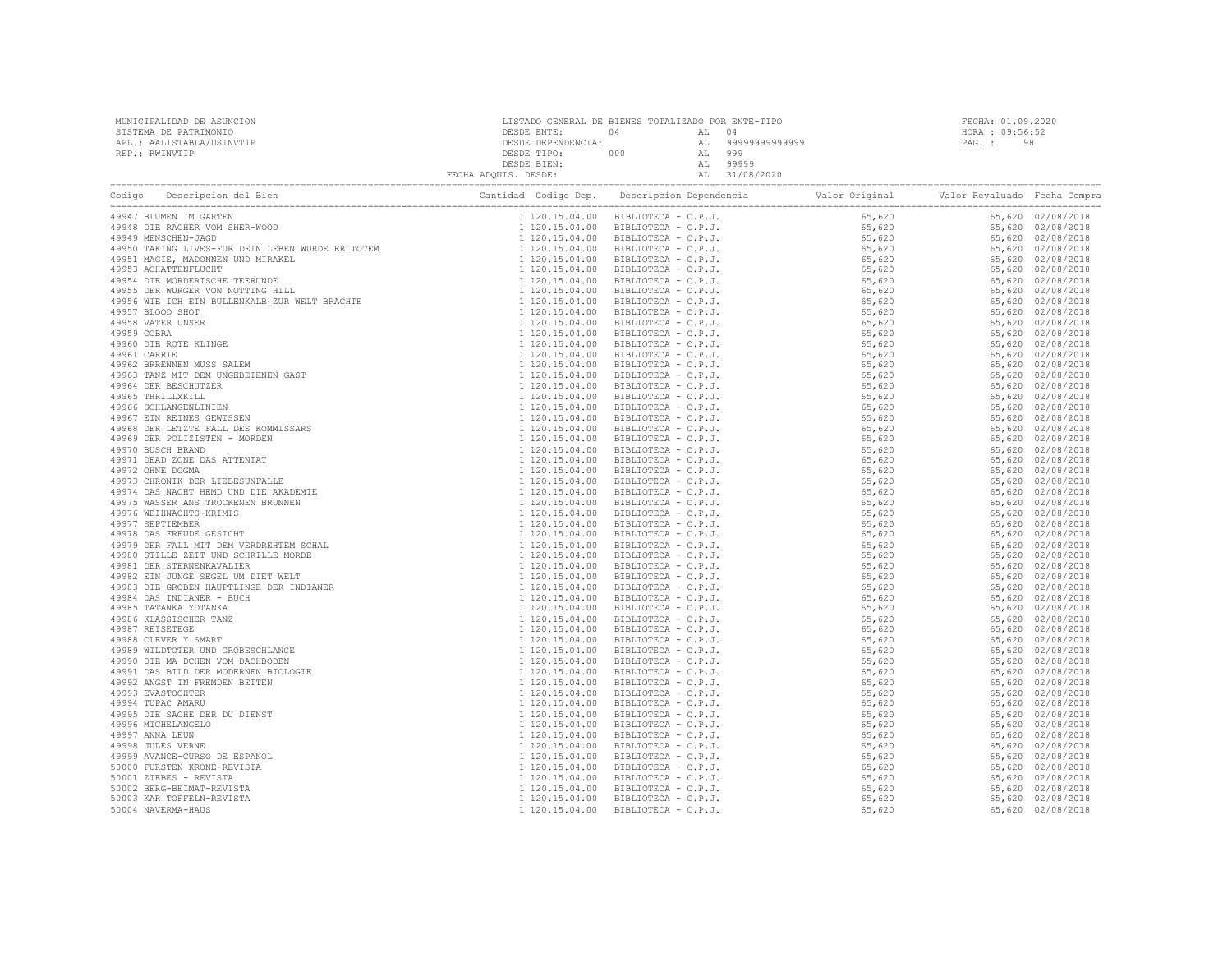| MUNICIPALIDAD DE ASUNCION | LISTADO GENERAL DE BIENES TOTALIZADO POR ENTE-TIPO |     |    | FECHA: 01.09.2020 |                 |
|---------------------------|----------------------------------------------------|-----|----|-------------------|-----------------|
| SISTEMA DE PATRIMONIO     | DESDE ENTE:                                        |     |    | 04                | HORA : 09:56:52 |
| APL.: AALISTABLA/USINVTIP | DESDE DEPENDENCIA:                                 |     | AL | 99999999999999    | -98<br>PAG. :   |
| REP.: RWINVTIP            | DESDE TIPO:                                        | 000 | AL | 999               |                 |
|                           | DESDE BIEN:                                        |     | AL | 99999             |                 |
|                           | FECHA ADQUIS. DESDE:                               |     | AL | 31/08/2020        |                 |
|                           |                                                    |     |    |                   |                 |

| Codigo | Descripcion del Bien<br>Codigo Description del Dien<br>1940 - Description del Dien<br>1942 - Mingari in Carrier<br>1953 - Mingar Indonesia<br>1954 - Mingar Indonesia<br>1954 - Mingar Indonesia<br>1955 - Mingar Indonesia<br>1955 - Mingar Indonesia<br>1955 - Ming | Cantidad Codigo Dep. | Descripcion Dependencia<br>Valor Original<br>idad Codiso Decretica Dependentia Veloc Crima<br>1124.13.04.00 BRB107624 - C.P.J., 55,500<br> | Valor Revaluado Fecha Compra |                   |
|--------|-----------------------------------------------------------------------------------------------------------------------------------------------------------------------------------------------------------------------------------------------------------------------|----------------------|--------------------------------------------------------------------------------------------------------------------------------------------|------------------------------|-------------------|
|        | 49947 BLUMEN IM GARTEN                                                                                                                                                                                                                                                |                      |                                                                                                                                            |                              | 65,620 02/08/2018 |
|        |                                                                                                                                                                                                                                                                       |                      |                                                                                                                                            |                              | 65,620 02/08/2018 |
|        |                                                                                                                                                                                                                                                                       |                      |                                                                                                                                            |                              | 65,620 02/08/2018 |
|        |                                                                                                                                                                                                                                                                       |                      |                                                                                                                                            |                              | 65,620 02/08/2018 |
|        |                                                                                                                                                                                                                                                                       |                      |                                                                                                                                            |                              | 65,620 02/08/2018 |
|        |                                                                                                                                                                                                                                                                       |                      |                                                                                                                                            |                              | 65,620 02/08/2018 |
|        |                                                                                                                                                                                                                                                                       |                      |                                                                                                                                            |                              | 65,620 02/08/2018 |
|        |                                                                                                                                                                                                                                                                       |                      |                                                                                                                                            |                              | 65,620 02/08/2018 |
|        |                                                                                                                                                                                                                                                                       |                      |                                                                                                                                            |                              | 65,620 02/08/2018 |
|        |                                                                                                                                                                                                                                                                       |                      |                                                                                                                                            |                              | 65,620 02/08/2018 |
|        |                                                                                                                                                                                                                                                                       |                      |                                                                                                                                            |                              | 65,620 02/08/2018 |
|        |                                                                                                                                                                                                                                                                       |                      |                                                                                                                                            |                              | 65,620 02/08/2018 |
|        |                                                                                                                                                                                                                                                                       |                      |                                                                                                                                            |                              | 65,620 02/08/2018 |
|        |                                                                                                                                                                                                                                                                       |                      |                                                                                                                                            |                              | 65,620 02/08/2018 |
|        |                                                                                                                                                                                                                                                                       |                      |                                                                                                                                            |                              | 65,620 02/08/2018 |
|        |                                                                                                                                                                                                                                                                       |                      |                                                                                                                                            |                              | 65,620 02/08/2018 |
|        |                                                                                                                                                                                                                                                                       |                      |                                                                                                                                            |                              | 65,620 02/08/2018 |
|        |                                                                                                                                                                                                                                                                       |                      |                                                                                                                                            |                              | 65,620 02/08/2018 |
|        |                                                                                                                                                                                                                                                                       |                      |                                                                                                                                            |                              | 65,620 02/08/2018 |
|        |                                                                                                                                                                                                                                                                       |                      |                                                                                                                                            |                              | 65,620 02/08/2018 |
|        |                                                                                                                                                                                                                                                                       |                      |                                                                                                                                            |                              | 65,620 02/08/2018 |
|        |                                                                                                                                                                                                                                                                       |                      |                                                                                                                                            |                              | 65,620 02/08/2018 |
|        |                                                                                                                                                                                                                                                                       |                      |                                                                                                                                            |                              | 65,620 02/08/2018 |
|        |                                                                                                                                                                                                                                                                       |                      |                                                                                                                                            |                              |                   |
|        |                                                                                                                                                                                                                                                                       |                      |                                                                                                                                            |                              | 65,620 02/08/2018 |
|        |                                                                                                                                                                                                                                                                       |                      |                                                                                                                                            |                              | 65,620 02/08/2018 |
|        |                                                                                                                                                                                                                                                                       |                      |                                                                                                                                            |                              | 65,620 02/08/2018 |
|        |                                                                                                                                                                                                                                                                       |                      |                                                                                                                                            |                              | 65,620 02/08/2018 |
|        |                                                                                                                                                                                                                                                                       |                      |                                                                                                                                            |                              | 65,620 02/08/2018 |
|        |                                                                                                                                                                                                                                                                       |                      |                                                                                                                                            |                              | 65,620 02/08/2018 |
|        |                                                                                                                                                                                                                                                                       |                      |                                                                                                                                            |                              | 65,620 02/08/2018 |
|        |                                                                                                                                                                                                                                                                       |                      |                                                                                                                                            |                              | 65,620 02/08/2018 |
|        |                                                                                                                                                                                                                                                                       |                      |                                                                                                                                            |                              | 65,620 02/08/2018 |
|        |                                                                                                                                                                                                                                                                       |                      |                                                                                                                                            |                              | 65,620 02/08/2018 |
|        |                                                                                                                                                                                                                                                                       |                      |                                                                                                                                            |                              | 65,620 02/08/2018 |
|        |                                                                                                                                                                                                                                                                       |                      |                                                                                                                                            |                              | 65,620 02/08/2018 |
|        |                                                                                                                                                                                                                                                                       |                      |                                                                                                                                            |                              | 65,620 02/08/2018 |
|        |                                                                                                                                                                                                                                                                       |                      |                                                                                                                                            |                              | 65,620 02/08/2018 |
|        |                                                                                                                                                                                                                                                                       |                      |                                                                                                                                            |                              | 65,620 02/08/2018 |
|        |                                                                                                                                                                                                                                                                       |                      |                                                                                                                                            |                              | 65,620 02/08/2018 |
|        |                                                                                                                                                                                                                                                                       |                      |                                                                                                                                            |                              | 65,620 02/08/2018 |
|        |                                                                                                                                                                                                                                                                       |                      |                                                                                                                                            |                              | 65,620 02/08/2018 |
|        |                                                                                                                                                                                                                                                                       |                      |                                                                                                                                            |                              | 65,620 02/08/2018 |
|        |                                                                                                                                                                                                                                                                       |                      |                                                                                                                                            |                              | 65,620 02/08/2018 |
|        |                                                                                                                                                                                                                                                                       |                      |                                                                                                                                            |                              | 65,620 02/08/2018 |
|        |                                                                                                                                                                                                                                                                       |                      |                                                                                                                                            |                              | 65,620 02/08/2018 |
|        |                                                                                                                                                                                                                                                                       |                      |                                                                                                                                            |                              | 65,620 02/08/2018 |
|        |                                                                                                                                                                                                                                                                       |                      |                                                                                                                                            |                              | 65,620 02/08/2018 |
|        |                                                                                                                                                                                                                                                                       |                      |                                                                                                                                            |                              | 65,620 02/08/2018 |
|        |                                                                                                                                                                                                                                                                       |                      |                                                                                                                                            |                              | 65,620 02/08/2018 |
|        |                                                                                                                                                                                                                                                                       |                      |                                                                                                                                            |                              | 65,620 02/08/2018 |
|        |                                                                                                                                                                                                                                                                       |                      |                                                                                                                                            |                              | 65,620 02/08/2018 |
|        |                                                                                                                                                                                                                                                                       |                      |                                                                                                                                            |                              | 65,620 02/08/2018 |
|        |                                                                                                                                                                                                                                                                       |                      |                                                                                                                                            |                              | 65,620 02/08/2018 |
|        |                                                                                                                                                                                                                                                                       |                      |                                                                                                                                            |                              | 65,620 02/08/2018 |
|        |                                                                                                                                                                                                                                                                       |                      |                                                                                                                                            |                              | 65,620 02/08/2018 |
|        |                                                                                                                                                                                                                                                                       |                      |                                                                                                                                            |                              | 65,620 02/08/2018 |
|        |                                                                                                                                                                                                                                                                       |                      |                                                                                                                                            |                              | 65,620 02/08/2018 |
|        |                                                                                                                                                                                                                                                                       |                      |                                                                                                                                            |                              |                   |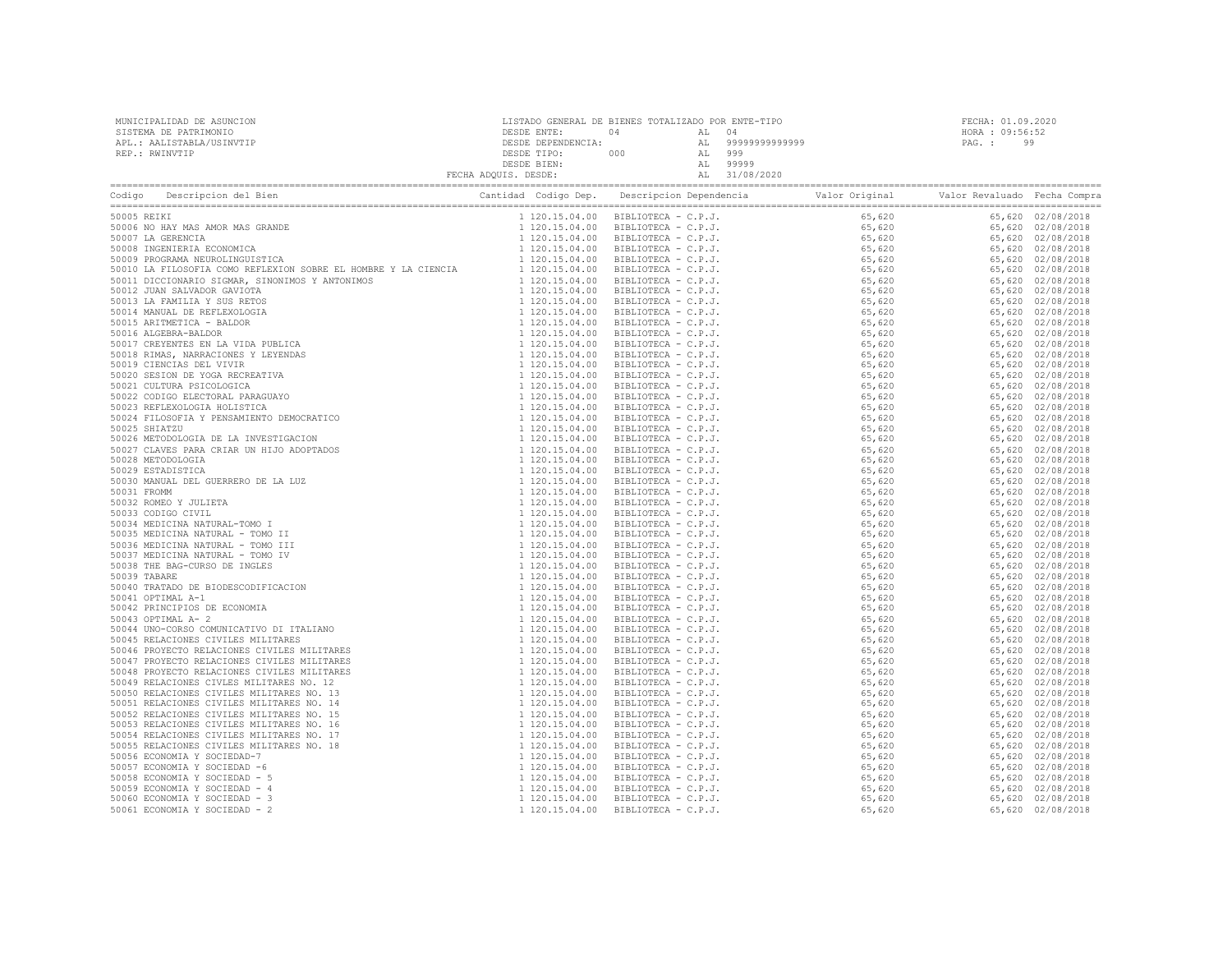| MUNICIPALIDAD DE ASUNCION<br>SISTEMA DE PATRIMONIO<br>APL.: AALISTABLA/USINVTIP<br>REP.: RWINVTIP | $\begin{tabular}{c c c c} \multicolumn{1}{c}{\texttt{DESDE}} \multicolumn{1}{c}{\texttt{DESDE}} \multicolumn{1}{c}{\texttt{DESDE}} \multicolumn{1}{c}{\texttt{DESDE}} \multicolumn{1}{c}{\texttt{DESDE}} \multicolumn{1}{c}{\texttt{DESDE}} \multicolumn{1}{c}{\texttt{DESDE}} \multicolumn{1}{c}{\texttt{DESDE}} \multicolumn{1}{c}{\texttt{DESDE}} \multicolumn{1}{c}{\texttt{DESDE}} \multicolumn{1}{c}{\texttt{DESDE}} \multicolumn{1}{c}{\texttt{DESDE}} \mult$ |  |  | FECHA: 01.09.2020<br>HORA : 09:56:52<br>PAG.: 99 |  |  |  |
|---------------------------------------------------------------------------------------------------|----------------------------------------------------------------------------------------------------------------------------------------------------------------------------------------------------------------------------------------------------------------------------------------------------------------------------------------------------------------------------------------------------------------------------------------------------------------------|--|--|--------------------------------------------------|--|--|--|
|                                                                                                   |                                                                                                                                                                                                                                                                                                                                                                                                                                                                      |  |  |                                                  |  |  |  |
|                                                                                                   |                                                                                                                                                                                                                                                                                                                                                                                                                                                                      |  |  |                                                  |  |  |  |
|                                                                                                   |                                                                                                                                                                                                                                                                                                                                                                                                                                                                      |  |  |                                                  |  |  |  |
|                                                                                                   |                                                                                                                                                                                                                                                                                                                                                                                                                                                                      |  |  |                                                  |  |  |  |
|                                                                                                   |                                                                                                                                                                                                                                                                                                                                                                                                                                                                      |  |  |                                                  |  |  |  |
|                                                                                                   |                                                                                                                                                                                                                                                                                                                                                                                                                                                                      |  |  |                                                  |  |  |  |
|                                                                                                   |                                                                                                                                                                                                                                                                                                                                                                                                                                                                      |  |  |                                                  |  |  |  |
|                                                                                                   |                                                                                                                                                                                                                                                                                                                                                                                                                                                                      |  |  |                                                  |  |  |  |
|                                                                                                   |                                                                                                                                                                                                                                                                                                                                                                                                                                                                      |  |  |                                                  |  |  |  |
|                                                                                                   |                                                                                                                                                                                                                                                                                                                                                                                                                                                                      |  |  |                                                  |  |  |  |
|                                                                                                   |                                                                                                                                                                                                                                                                                                                                                                                                                                                                      |  |  |                                                  |  |  |  |
|                                                                                                   |                                                                                                                                                                                                                                                                                                                                                                                                                                                                      |  |  |                                                  |  |  |  |
|                                                                                                   |                                                                                                                                                                                                                                                                                                                                                                                                                                                                      |  |  |                                                  |  |  |  |
|                                                                                                   |                                                                                                                                                                                                                                                                                                                                                                                                                                                                      |  |  |                                                  |  |  |  |
|                                                                                                   |                                                                                                                                                                                                                                                                                                                                                                                                                                                                      |  |  |                                                  |  |  |  |
|                                                                                                   |                                                                                                                                                                                                                                                                                                                                                                                                                                                                      |  |  |                                                  |  |  |  |
|                                                                                                   |                                                                                                                                                                                                                                                                                                                                                                                                                                                                      |  |  |                                                  |  |  |  |
|                                                                                                   |                                                                                                                                                                                                                                                                                                                                                                                                                                                                      |  |  |                                                  |  |  |  |
|                                                                                                   |                                                                                                                                                                                                                                                                                                                                                                                                                                                                      |  |  |                                                  |  |  |  |
|                                                                                                   |                                                                                                                                                                                                                                                                                                                                                                                                                                                                      |  |  |                                                  |  |  |  |
|                                                                                                   |                                                                                                                                                                                                                                                                                                                                                                                                                                                                      |  |  |                                                  |  |  |  |
|                                                                                                   |                                                                                                                                                                                                                                                                                                                                                                                                                                                                      |  |  |                                                  |  |  |  |
|                                                                                                   |                                                                                                                                                                                                                                                                                                                                                                                                                                                                      |  |  |                                                  |  |  |  |
|                                                                                                   |                                                                                                                                                                                                                                                                                                                                                                                                                                                                      |  |  |                                                  |  |  |  |
|                                                                                                   |                                                                                                                                                                                                                                                                                                                                                                                                                                                                      |  |  |                                                  |  |  |  |
|                                                                                                   |                                                                                                                                                                                                                                                                                                                                                                                                                                                                      |  |  |                                                  |  |  |  |
|                                                                                                   |                                                                                                                                                                                                                                                                                                                                                                                                                                                                      |  |  |                                                  |  |  |  |
|                                                                                                   |                                                                                                                                                                                                                                                                                                                                                                                                                                                                      |  |  |                                                  |  |  |  |
|                                                                                                   |                                                                                                                                                                                                                                                                                                                                                                                                                                                                      |  |  |                                                  |  |  |  |
|                                                                                                   |                                                                                                                                                                                                                                                                                                                                                                                                                                                                      |  |  |                                                  |  |  |  |
|                                                                                                   |                                                                                                                                                                                                                                                                                                                                                                                                                                                                      |  |  |                                                  |  |  |  |
|                                                                                                   |                                                                                                                                                                                                                                                                                                                                                                                                                                                                      |  |  |                                                  |  |  |  |
|                                                                                                   |                                                                                                                                                                                                                                                                                                                                                                                                                                                                      |  |  |                                                  |  |  |  |
|                                                                                                   |                                                                                                                                                                                                                                                                                                                                                                                                                                                                      |  |  |                                                  |  |  |  |
|                                                                                                   |                                                                                                                                                                                                                                                                                                                                                                                                                                                                      |  |  |                                                  |  |  |  |
|                                                                                                   |                                                                                                                                                                                                                                                                                                                                                                                                                                                                      |  |  |                                                  |  |  |  |
|                                                                                                   |                                                                                                                                                                                                                                                                                                                                                                                                                                                                      |  |  |                                                  |  |  |  |
|                                                                                                   |                                                                                                                                                                                                                                                                                                                                                                                                                                                                      |  |  |                                                  |  |  |  |
|                                                                                                   |                                                                                                                                                                                                                                                                                                                                                                                                                                                                      |  |  |                                                  |  |  |  |
|                                                                                                   |                                                                                                                                                                                                                                                                                                                                                                                                                                                                      |  |  |                                                  |  |  |  |
|                                                                                                   |                                                                                                                                                                                                                                                                                                                                                                                                                                                                      |  |  |                                                  |  |  |  |
|                                                                                                   |                                                                                                                                                                                                                                                                                                                                                                                                                                                                      |  |  |                                                  |  |  |  |
|                                                                                                   |                                                                                                                                                                                                                                                                                                                                                                                                                                                                      |  |  |                                                  |  |  |  |
|                                                                                                   |                                                                                                                                                                                                                                                                                                                                                                                                                                                                      |  |  |                                                  |  |  |  |
|                                                                                                   |                                                                                                                                                                                                                                                                                                                                                                                                                                                                      |  |  |                                                  |  |  |  |
|                                                                                                   |                                                                                                                                                                                                                                                                                                                                                                                                                                                                      |  |  |                                                  |  |  |  |
|                                                                                                   |                                                                                                                                                                                                                                                                                                                                                                                                                                                                      |  |  |                                                  |  |  |  |
|                                                                                                   |                                                                                                                                                                                                                                                                                                                                                                                                                                                                      |  |  |                                                  |  |  |  |
|                                                                                                   |                                                                                                                                                                                                                                                                                                                                                                                                                                                                      |  |  |                                                  |  |  |  |
|                                                                                                   |                                                                                                                                                                                                                                                                                                                                                                                                                                                                      |  |  |                                                  |  |  |  |
|                                                                                                   |                                                                                                                                                                                                                                                                                                                                                                                                                                                                      |  |  |                                                  |  |  |  |
|                                                                                                   |                                                                                                                                                                                                                                                                                                                                                                                                                                                                      |  |  |                                                  |  |  |  |
|                                                                                                   |                                                                                                                                                                                                                                                                                                                                                                                                                                                                      |  |  |                                                  |  |  |  |
|                                                                                                   |                                                                                                                                                                                                                                                                                                                                                                                                                                                                      |  |  |                                                  |  |  |  |
|                                                                                                   |                                                                                                                                                                                                                                                                                                                                                                                                                                                                      |  |  |                                                  |  |  |  |
|                                                                                                   |                                                                                                                                                                                                                                                                                                                                                                                                                                                                      |  |  |                                                  |  |  |  |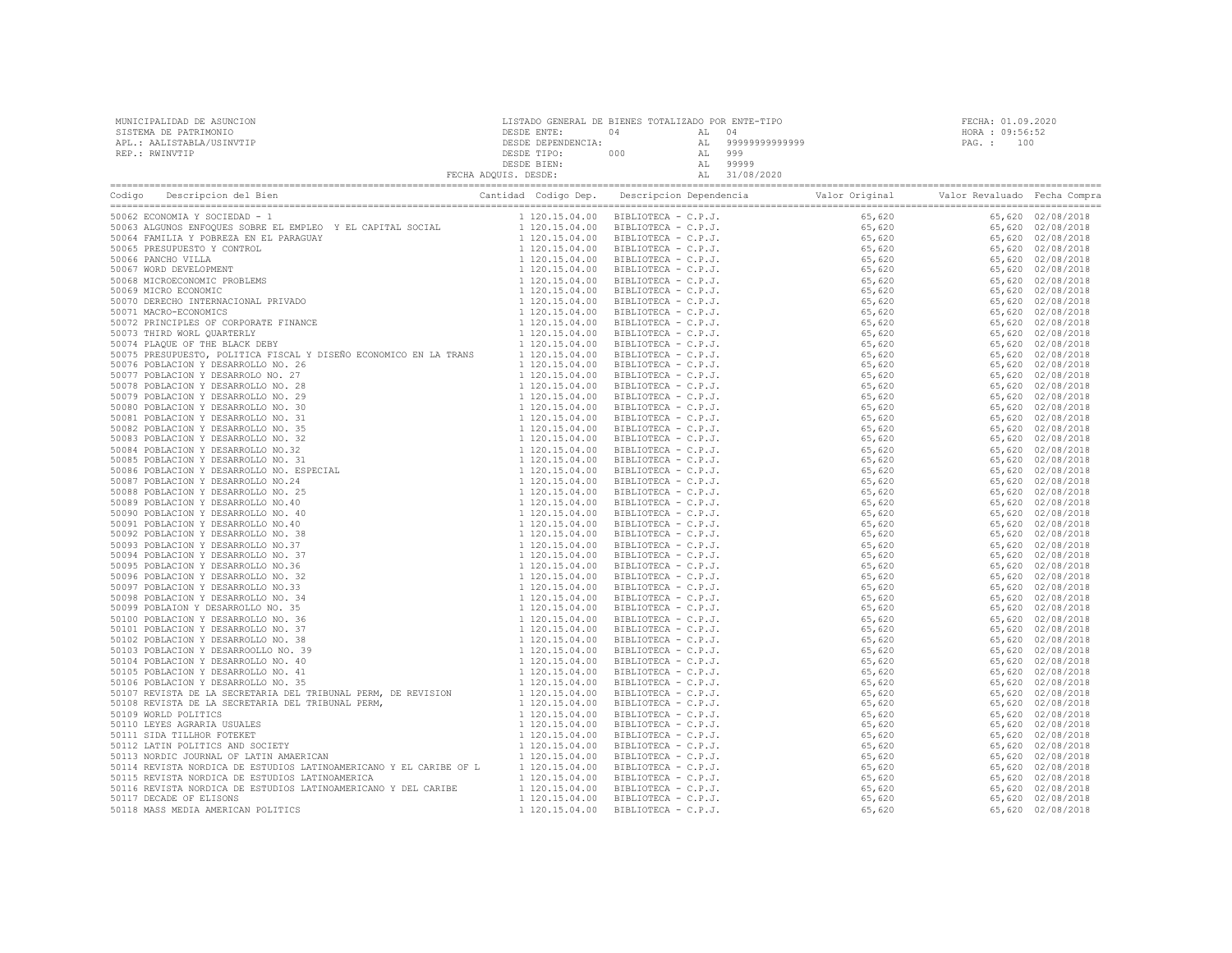MUNICIPALIDAD DE ASUNCION LISTADO GENERAL DE BIENES TOTALIZADO POR ENTE-TIPO FECHA: 01.09.2020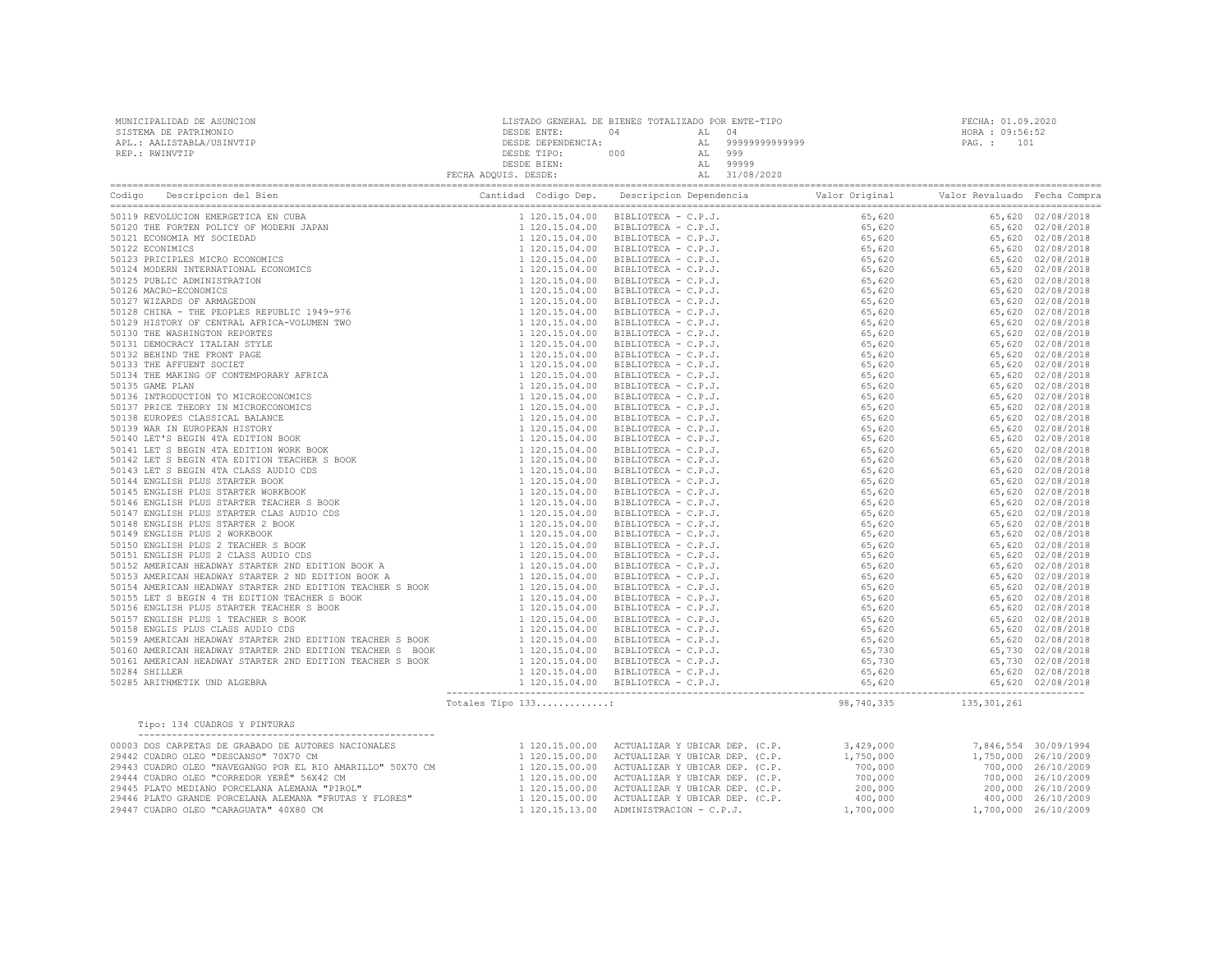| MUNICIPALIDAD DE ASUNCION<br>SISTEMA DE PATRIMONIO<br>APL.: AALISTABLA/USINVTIP<br>REP.: RWINVTIP                                                                                                                                                                                                                                                                                                                                                                                                    |                   |            | FECHA: 01.09.2020<br>HORA : 09:56:52<br>PAG. : 101 |  |  |
|------------------------------------------------------------------------------------------------------------------------------------------------------------------------------------------------------------------------------------------------------------------------------------------------------------------------------------------------------------------------------------------------------------------------------------------------------------------------------------------------------|-------------------|------------|----------------------------------------------------|--|--|
|                                                                                                                                                                                                                                                                                                                                                                                                                                                                                                      |                   |            |                                                    |  |  |
|                                                                                                                                                                                                                                                                                                                                                                                                                                                                                                      |                   |            |                                                    |  |  |
|                                                                                                                                                                                                                                                                                                                                                                                                                                                                                                      |                   |            |                                                    |  |  |
|                                                                                                                                                                                                                                                                                                                                                                                                                                                                                                      |                   |            |                                                    |  |  |
|                                                                                                                                                                                                                                                                                                                                                                                                                                                                                                      |                   |            |                                                    |  |  |
|                                                                                                                                                                                                                                                                                                                                                                                                                                                                                                      |                   |            |                                                    |  |  |
|                                                                                                                                                                                                                                                                                                                                                                                                                                                                                                      |                   |            |                                                    |  |  |
|                                                                                                                                                                                                                                                                                                                                                                                                                                                                                                      |                   |            |                                                    |  |  |
|                                                                                                                                                                                                                                                                                                                                                                                                                                                                                                      |                   |            |                                                    |  |  |
|                                                                                                                                                                                                                                                                                                                                                                                                                                                                                                      |                   |            |                                                    |  |  |
|                                                                                                                                                                                                                                                                                                                                                                                                                                                                                                      |                   |            |                                                    |  |  |
|                                                                                                                                                                                                                                                                                                                                                                                                                                                                                                      |                   |            |                                                    |  |  |
|                                                                                                                                                                                                                                                                                                                                                                                                                                                                                                      |                   |            |                                                    |  |  |
|                                                                                                                                                                                                                                                                                                                                                                                                                                                                                                      |                   |            |                                                    |  |  |
|                                                                                                                                                                                                                                                                                                                                                                                                                                                                                                      |                   |            |                                                    |  |  |
|                                                                                                                                                                                                                                                                                                                                                                                                                                                                                                      |                   |            |                                                    |  |  |
|                                                                                                                                                                                                                                                                                                                                                                                                                                                                                                      |                   |            |                                                    |  |  |
|                                                                                                                                                                                                                                                                                                                                                                                                                                                                                                      |                   |            |                                                    |  |  |
|                                                                                                                                                                                                                                                                                                                                                                                                                                                                                                      |                   |            |                                                    |  |  |
|                                                                                                                                                                                                                                                                                                                                                                                                                                                                                                      |                   |            |                                                    |  |  |
|                                                                                                                                                                                                                                                                                                                                                                                                                                                                                                      |                   |            |                                                    |  |  |
|                                                                                                                                                                                                                                                                                                                                                                                                                                                                                                      |                   |            |                                                    |  |  |
|                                                                                                                                                                                                                                                                                                                                                                                                                                                                                                      |                   |            |                                                    |  |  |
|                                                                                                                                                                                                                                                                                                                                                                                                                                                                                                      |                   |            |                                                    |  |  |
|                                                                                                                                                                                                                                                                                                                                                                                                                                                                                                      |                   |            |                                                    |  |  |
|                                                                                                                                                                                                                                                                                                                                                                                                                                                                                                      |                   |            |                                                    |  |  |
|                                                                                                                                                                                                                                                                                                                                                                                                                                                                                                      |                   |            |                                                    |  |  |
|                                                                                                                                                                                                                                                                                                                                                                                                                                                                                                      |                   |            |                                                    |  |  |
|                                                                                                                                                                                                                                                                                                                                                                                                                                                                                                      |                   |            |                                                    |  |  |
|                                                                                                                                                                                                                                                                                                                                                                                                                                                                                                      |                   |            |                                                    |  |  |
|                                                                                                                                                                                                                                                                                                                                                                                                                                                                                                      |                   |            |                                                    |  |  |
|                                                                                                                                                                                                                                                                                                                                                                                                                                                                                                      |                   |            |                                                    |  |  |
|                                                                                                                                                                                                                                                                                                                                                                                                                                                                                                      |                   |            |                                                    |  |  |
|                                                                                                                                                                                                                                                                                                                                                                                                                                                                                                      |                   |            |                                                    |  |  |
|                                                                                                                                                                                                                                                                                                                                                                                                                                                                                                      |                   |            |                                                    |  |  |
|                                                                                                                                                                                                                                                                                                                                                                                                                                                                                                      |                   |            |                                                    |  |  |
|                                                                                                                                                                                                                                                                                                                                                                                                                                                                                                      |                   |            |                                                    |  |  |
|                                                                                                                                                                                                                                                                                                                                                                                                                                                                                                      |                   |            |                                                    |  |  |
|                                                                                                                                                                                                                                                                                                                                                                                                                                                                                                      |                   |            |                                                    |  |  |
|                                                                                                                                                                                                                                                                                                                                                                                                                                                                                                      |                   |            |                                                    |  |  |
|                                                                                                                                                                                                                                                                                                                                                                                                                                                                                                      |                   |            |                                                    |  |  |
|                                                                                                                                                                                                                                                                                                                                                                                                                                                                                                      |                   |            |                                                    |  |  |
|                                                                                                                                                                                                                                                                                                                                                                                                                                                                                                      |                   |            |                                                    |  |  |
|                                                                                                                                                                                                                                                                                                                                                                                                                                                                                                      |                   |            |                                                    |  |  |
|                                                                                                                                                                                                                                                                                                                                                                                                                                                                                                      | Totales Tipo 133: | 98,740,335 | 135, 301, 261                                      |  |  |
| Tipo: 134 CUADROS Y PINTURAS                                                                                                                                                                                                                                                                                                                                                                                                                                                                         |                   |            |                                                    |  |  |
| $\begin{tabular}{cccccccc} \texttt{---}-\texttt{---}-\texttt{---}-\texttt{---}-\texttt{---}-\texttt{---}-\texttt{---}-\texttt{---}-\texttt{---}-\texttt{---}-\texttt{---}-\texttt{---}-\texttt{---}-\texttt{---}-\texttt{---}-\texttt{---}-\texttt{---}-\texttt{---}-\texttt{---}-\texttt{---}-\texttt{---}-\texttt{---}-\texttt{---}-\texttt{---}-\texttt{---}-\texttt{---}-\texttt{---}-\texttt{---}-\texttt{---}-\texttt{---}-\texttt{---}-\texttt{---}-\texttt{---}-\texttt{---}-\texttt{---}-\$ |                   |            |                                                    |  |  |
|                                                                                                                                                                                                                                                                                                                                                                                                                                                                                                      |                   |            |                                                    |  |  |
|                                                                                                                                                                                                                                                                                                                                                                                                                                                                                                      |                   |            |                                                    |  |  |
|                                                                                                                                                                                                                                                                                                                                                                                                                                                                                                      |                   |            |                                                    |  |  |
|                                                                                                                                                                                                                                                                                                                                                                                                                                                                                                      |                   |            |                                                    |  |  |
|                                                                                                                                                                                                                                                                                                                                                                                                                                                                                                      |                   |            |                                                    |  |  |
|                                                                                                                                                                                                                                                                                                                                                                                                                                                                                                      |                   |            |                                                    |  |  |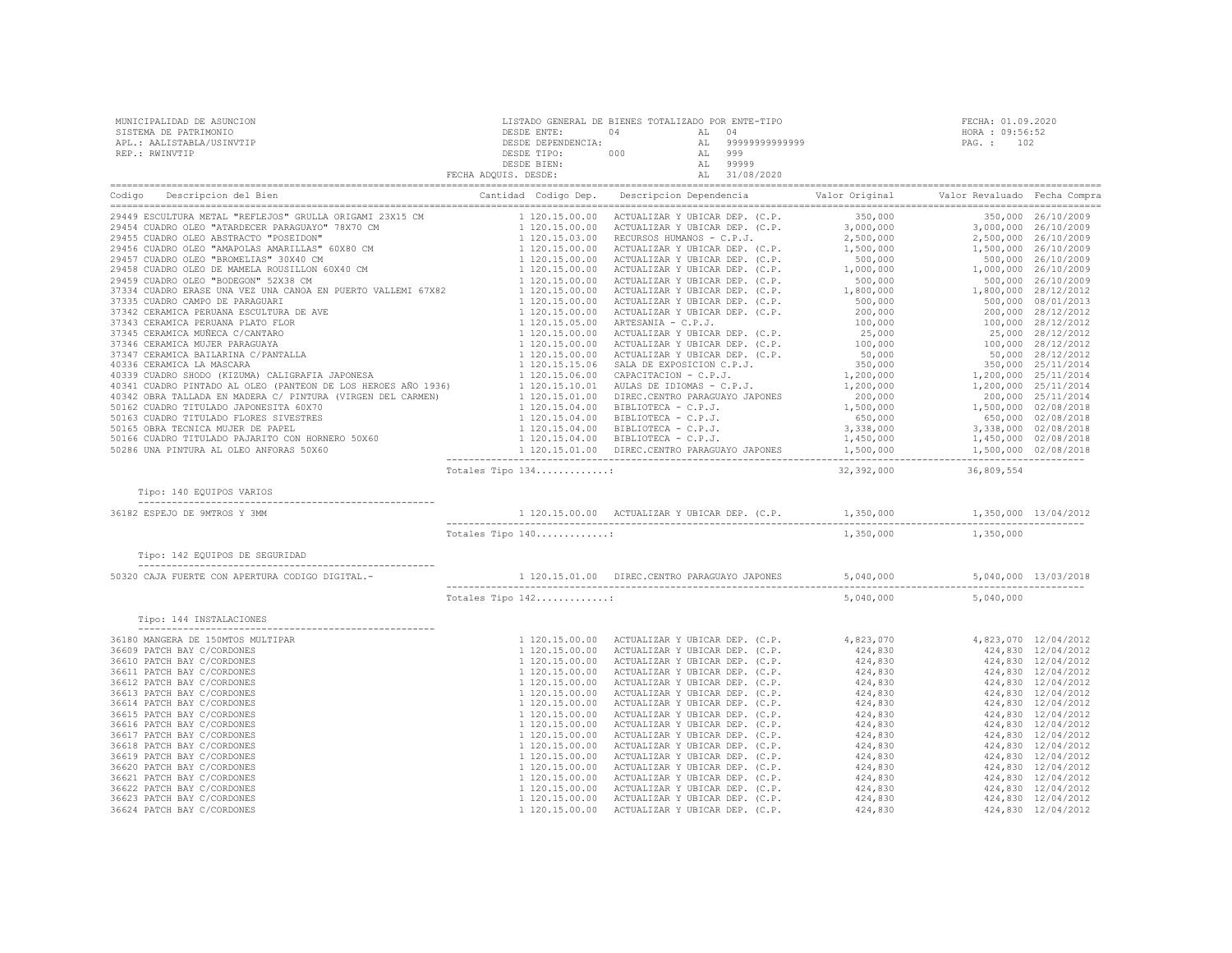| MUNICIPALIDAD DE ASUNCION<br>SISTEMA DE PATRIMONIO<br>APL.: AALISTABLA/USINVTIP<br>REP.: RWINVTIP                                                                                                                                                                                                                                                                                                            |                   | ${\tt LISTADO \hspace{0.5mm} GENERAL \hspace{0.5mm} {\tt DE} \hspace{0.5mm} {\tt DE} \hspace{0.5mm} {\tt C} \hspace{0.5mm} {\tt E} \hspace{0.5mm} {\tt C} \hspace{0.5mm} {\tt C} \hspace{0.5mm} {\tt C} \hspace{0.5mm} {\tt C} \hspace{0.5mm} {\tt C} \hspace{0.5mm} {\tt C} \hspace{0.5mm} {\tt C} \hspace{0.5mm} {\tt D} \hspace{0.5mm} {\tt C} \hspace{0.5mm} {\tt D} \hspace{0.5mm} {\tt C} \hspace{0.5mm$ |           |                           | FECHA: 01.09.2020<br>HORA : 09:56:52 |  |  |
|--------------------------------------------------------------------------------------------------------------------------------------------------------------------------------------------------------------------------------------------------------------------------------------------------------------------------------------------------------------------------------------------------------------|-------------------|----------------------------------------------------------------------------------------------------------------------------------------------------------------------------------------------------------------------------------------------------------------------------------------------------------------------------------------------------------------------------------------------------------------|-----------|---------------------------|--------------------------------------|--|--|
|                                                                                                                                                                                                                                                                                                                                                                                                              |                   |                                                                                                                                                                                                                                                                                                                                                                                                                |           |                           |                                      |  |  |
| $\begin{tabular}{ c c c c c c c c c c c c c} \hline \textbf{C} & \textbf{D} & \textbf{D} & \textbf{D} & \textbf{D} & \textbf{D} & \textbf{D} & \textbf{D} & \textbf{D} & \textbf{D} & \textbf{D} & \textbf{D} & \textbf{D} & \textbf{D} & \textbf{D} & \textbf{D} & \textbf{D} & \textbf{D} & \textbf{D} & \textbf{D} & \textbf{D} & \textbf{D} & \textbf{D} & \textbf{D} & \textbf{D} & \textbf{D} & \text$ |                   |                                                                                                                                                                                                                                                                                                                                                                                                                |           |                           |                                      |  |  |
|                                                                                                                                                                                                                                                                                                                                                                                                              |                   |                                                                                                                                                                                                                                                                                                                                                                                                                |           |                           |                                      |  |  |
|                                                                                                                                                                                                                                                                                                                                                                                                              |                   |                                                                                                                                                                                                                                                                                                                                                                                                                |           |                           |                                      |  |  |
|                                                                                                                                                                                                                                                                                                                                                                                                              |                   |                                                                                                                                                                                                                                                                                                                                                                                                                |           |                           |                                      |  |  |
|                                                                                                                                                                                                                                                                                                                                                                                                              |                   |                                                                                                                                                                                                                                                                                                                                                                                                                |           |                           |                                      |  |  |
|                                                                                                                                                                                                                                                                                                                                                                                                              |                   |                                                                                                                                                                                                                                                                                                                                                                                                                |           |                           |                                      |  |  |
|                                                                                                                                                                                                                                                                                                                                                                                                              |                   |                                                                                                                                                                                                                                                                                                                                                                                                                |           |                           |                                      |  |  |
|                                                                                                                                                                                                                                                                                                                                                                                                              |                   |                                                                                                                                                                                                                                                                                                                                                                                                                |           |                           |                                      |  |  |
|                                                                                                                                                                                                                                                                                                                                                                                                              |                   |                                                                                                                                                                                                                                                                                                                                                                                                                |           |                           |                                      |  |  |
|                                                                                                                                                                                                                                                                                                                                                                                                              |                   |                                                                                                                                                                                                                                                                                                                                                                                                                |           |                           |                                      |  |  |
|                                                                                                                                                                                                                                                                                                                                                                                                              |                   |                                                                                                                                                                                                                                                                                                                                                                                                                |           |                           |                                      |  |  |
|                                                                                                                                                                                                                                                                                                                                                                                                              |                   |                                                                                                                                                                                                                                                                                                                                                                                                                |           |                           |                                      |  |  |
|                                                                                                                                                                                                                                                                                                                                                                                                              |                   |                                                                                                                                                                                                                                                                                                                                                                                                                |           |                           |                                      |  |  |
|                                                                                                                                                                                                                                                                                                                                                                                                              |                   |                                                                                                                                                                                                                                                                                                                                                                                                                |           |                           |                                      |  |  |
|                                                                                                                                                                                                                                                                                                                                                                                                              |                   |                                                                                                                                                                                                                                                                                                                                                                                                                |           |                           |                                      |  |  |
|                                                                                                                                                                                                                                                                                                                                                                                                              |                   |                                                                                                                                                                                                                                                                                                                                                                                                                |           |                           |                                      |  |  |
|                                                                                                                                                                                                                                                                                                                                                                                                              |                   |                                                                                                                                                                                                                                                                                                                                                                                                                |           |                           |                                      |  |  |
|                                                                                                                                                                                                                                                                                                                                                                                                              |                   |                                                                                                                                                                                                                                                                                                                                                                                                                |           |                           |                                      |  |  |
|                                                                                                                                                                                                                                                                                                                                                                                                              |                   |                                                                                                                                                                                                                                                                                                                                                                                                                |           |                           |                                      |  |  |
|                                                                                                                                                                                                                                                                                                                                                                                                              |                   |                                                                                                                                                                                                                                                                                                                                                                                                                |           |                           |                                      |  |  |
|                                                                                                                                                                                                                                                                                                                                                                                                              |                   |                                                                                                                                                                                                                                                                                                                                                                                                                |           |                           |                                      |  |  |
|                                                                                                                                                                                                                                                                                                                                                                                                              | Totales Tipo 134: |                                                                                                                                                                                                                                                                                                                                                                                                                |           | 32, 392, 000 36, 809, 554 |                                      |  |  |
| Tipo: 140 EQUIPOS VARIOS                                                                                                                                                                                                                                                                                                                                                                                     |                   |                                                                                                                                                                                                                                                                                                                                                                                                                |           |                           |                                      |  |  |
| 36182 ESPEJO DE 9MTROS Y 3MM                                                                                                                                                                                                                                                                                                                                                                                 |                   |                                                                                                                                                                                                                                                                                                                                                                                                                |           |                           |                                      |  |  |
|                                                                                                                                                                                                                                                                                                                                                                                                              | Totales Tipo 140: |                                                                                                                                                                                                                                                                                                                                                                                                                | 1,350,000 | 1,350,000                 |                                      |  |  |
| Tipo: 142 EQUIPOS DE SEGURIDAD                                                                                                                                                                                                                                                                                                                                                                               |                   |                                                                                                                                                                                                                                                                                                                                                                                                                |           |                           |                                      |  |  |
| 50320 CAJA FUERTE CON APERTURA CODIGO DIGITAL.-                                                                                                                                                                                                                                                                                                                                                              |                   | 1 120.15.01.00 DIREC.CENTRO PARAGUAYO JAPONES 5,040,000 5,040,000 13/03/2018                                                                                                                                                                                                                                                                                                                                   |           |                           |                                      |  |  |
|                                                                                                                                                                                                                                                                                                                                                                                                              | Totales Tipo 142: |                                                                                                                                                                                                                                                                                                                                                                                                                |           | 5,040,000 5,040,000       |                                      |  |  |
| Tipo: 144 INSTALACIONES                                                                                                                                                                                                                                                                                                                                                                                      |                   |                                                                                                                                                                                                                                                                                                                                                                                                                |           |                           |                                      |  |  |
| 36180 MANGERA DE 150MTOS MULTIPAR                                                                                                                                                                                                                                                                                                                                                                            |                   |                                                                                                                                                                                                                                                                                                                                                                                                                |           |                           |                                      |  |  |
| 36609 PATCH BAY C/CORDONES                                                                                                                                                                                                                                                                                                                                                                                   |                   |                                                                                                                                                                                                                                                                                                                                                                                                                |           |                           |                                      |  |  |
| 36610 PATCH BAY C/CORDONES                                                                                                                                                                                                                                                                                                                                                                                   |                   |                                                                                                                                                                                                                                                                                                                                                                                                                |           |                           |                                      |  |  |
| 36611 PATCH BAY C/CORDONES<br>36612 PATCH BAY C/CORDONES                                                                                                                                                                                                                                                                                                                                                     |                   |                                                                                                                                                                                                                                                                                                                                                                                                                |           |                           |                                      |  |  |
| 36613 PATCH BAY C/CORDONES                                                                                                                                                                                                                                                                                                                                                                                   |                   |                                                                                                                                                                                                                                                                                                                                                                                                                |           |                           |                                      |  |  |
| 36614 PATCH BAY C/CORDONES                                                                                                                                                                                                                                                                                                                                                                                   |                   |                                                                                                                                                                                                                                                                                                                                                                                                                |           |                           |                                      |  |  |
| 36615 PATCH BAY C/CORDONES                                                                                                                                                                                                                                                                                                                                                                                   |                   |                                                                                                                                                                                                                                                                                                                                                                                                                |           |                           |                                      |  |  |
| 36616 PATCH BAY C/CORDONES                                                                                                                                                                                                                                                                                                                                                                                   |                   |                                                                                                                                                                                                                                                                                                                                                                                                                |           |                           |                                      |  |  |
| 36617 PATCH BAY C/CORDONES                                                                                                                                                                                                                                                                                                                                                                                   |                   |                                                                                                                                                                                                                                                                                                                                                                                                                |           |                           |                                      |  |  |
| 36618 PATCH BAY C/CORDONES                                                                                                                                                                                                                                                                                                                                                                                   |                   |                                                                                                                                                                                                                                                                                                                                                                                                                |           |                           |                                      |  |  |
| 36619 PATCH BAY C/CORDONES<br>36620 PATCH BAY C/CORDONES                                                                                                                                                                                                                                                                                                                                                     |                   |                                                                                                                                                                                                                                                                                                                                                                                                                |           |                           |                                      |  |  |
| 36621 PATCH BAY C/CORDONES                                                                                                                                                                                                                                                                                                                                                                                   |                   |                                                                                                                                                                                                                                                                                                                                                                                                                |           |                           |                                      |  |  |
| 36622 PATCH BAY C/CORDONES                                                                                                                                                                                                                                                                                                                                                                                   |                   |                                                                                                                                                                                                                                                                                                                                                                                                                |           |                           |                                      |  |  |
| 36623 PATCH BAY C/CORDONES                                                                                                                                                                                                                                                                                                                                                                                   |                   |                                                                                                                                                                                                                                                                                                                                                                                                                |           |                           |                                      |  |  |
| 36624 PATCH BAY C/CORDONES                                                                                                                                                                                                                                                                                                                                                                                   |                   |                                                                                                                                                                                                                                                                                                                                                                                                                |           |                           |                                      |  |  |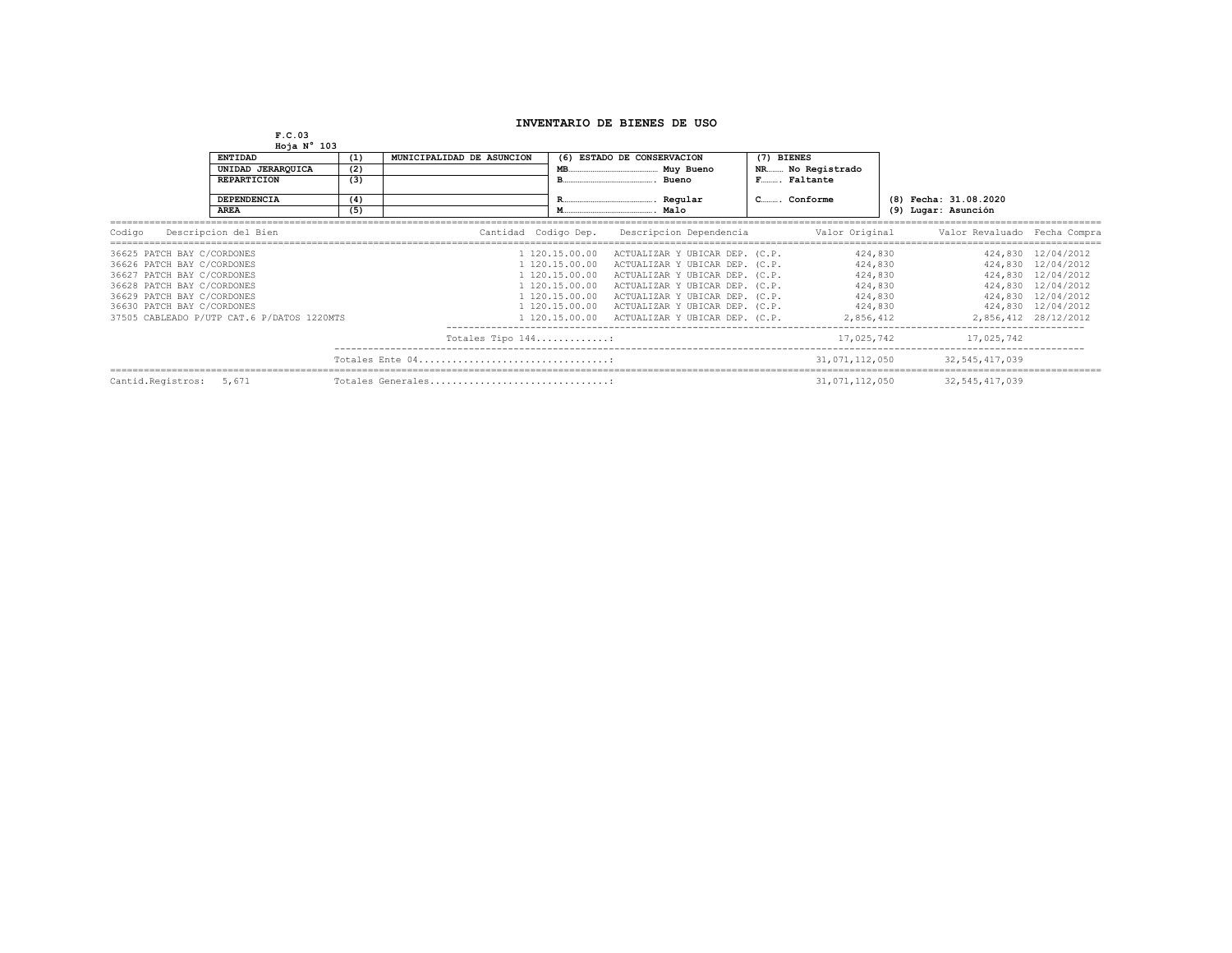## **INVENTARIO DE BIENES DE USO**

**F.C.03 Hoja N° 103**

|                            | 1001011202                                 |     |                           |                            |                                          |                  |                |                     |                              |                      |
|----------------------------|--------------------------------------------|-----|---------------------------|----------------------------|------------------------------------------|------------------|----------------|---------------------|------------------------------|----------------------|
|                            | <b>ENTIDAD</b><br>(1)                      |     | MUNICIPALIDAD DE ASUNCION | (6) ESTADO DE CONSERVACION |                                          | (7) BIENES       |                |                     |                              |                      |
|                            | UNIDAD JERARQUICA                          | (2) |                           | MB.<br>Muy Bueno           |                                          | NR No Registrado |                |                     |                              |                      |
|                            | <b>REPARTICION</b>                         |     | (3)                       |                            | Bueno                                    |                  | F Faltante     |                     |                              |                      |
|                            | <b>DEPENDENCIA</b>                         | (4) |                           |                            | Regular                                  | CConforme        |                |                     | (8) Fecha: 31.08.2020        |                      |
|                            | <b>AREA</b>                                | (5) |                           |                            | Malo                                     |                  |                | (9) Lugar: Asunción |                              |                      |
| Codigo                     | Descripcion del Bien                       |     | Cantidad Codigo Dep.      |                            | Descripcion Dependencia                  |                  | Valor Original |                     | Valor Revaluado Fecha Compra |                      |
| 36625 PATCH BAY C/CORDONES |                                            |     |                           | 1 120.15.00.00             | ACTUALIZAR Y UBICAR DEP. (C.P.           |                  | 424,830        |                     |                              | 424,830 12/04/2012   |
| 36626 PATCH BAY C/CORDONES |                                            |     |                           | 1 120.15.00.00             | ACTUALIZAR Y UBICAR DEP. (C.P.           |                  |                | 424,830             |                              | 424,830 12/04/2012   |
| 36627 PATCH BAY C/CORDONES |                                            |     |                           | 1 120.15.00.00             | ACTUALIZAR Y UBICAR DEP. (C.P.           |                  | 424,830        |                     |                              | 424,830 12/04/2012   |
| 36628 PATCH BAY C/CORDONES |                                            |     |                           | 1 120.15.00.00             | ACTUALIZAR Y UBICAR DEP. (C.P.           |                  | 424,830        |                     |                              | 424,830 12/04/2012   |
| 36629 PATCH BAY C/CORDONES |                                            |     |                           | 1 120.15.00.00             | ACTUALIZAR Y UBICAR DEP. (C.P.           |                  | 424,830        |                     |                              | 424,830 12/04/2012   |
| 36630 PATCH BAY C/CORDONES |                                            |     |                           | 1 120.15.00.00             | ACTUALIZAR Y UBICAR DEP. (C.P.           |                  | 424,830        |                     |                              | 424,830 12/04/2012   |
|                            | 37505 CABLEADO P/UTP CAT.6 P/DATOS 1220MTS |     |                           | 1 120.15.00.00             | ACTUALIZAR Y UBICAR DEP. (C.P. 2,856,412 |                  |                |                     |                              | 2,856,412 28/12/2012 |
|                            |                                            |     | Totales Tipo 144:         |                            |                                          |                  | 17,025,742     |                     | 17,025,742                   |                      |
|                            |                                            |     | Totales Ente 04           |                            |                                          |                  | 31,071,112,050 |                     | 32, 545, 417, 039            |                      |
| Cantid.Registros: 5,671    |                                            |     | Totales Generales         |                            |                                          |                  | 31,071,112,050 |                     | 32, 545, 417, 039            |                      |